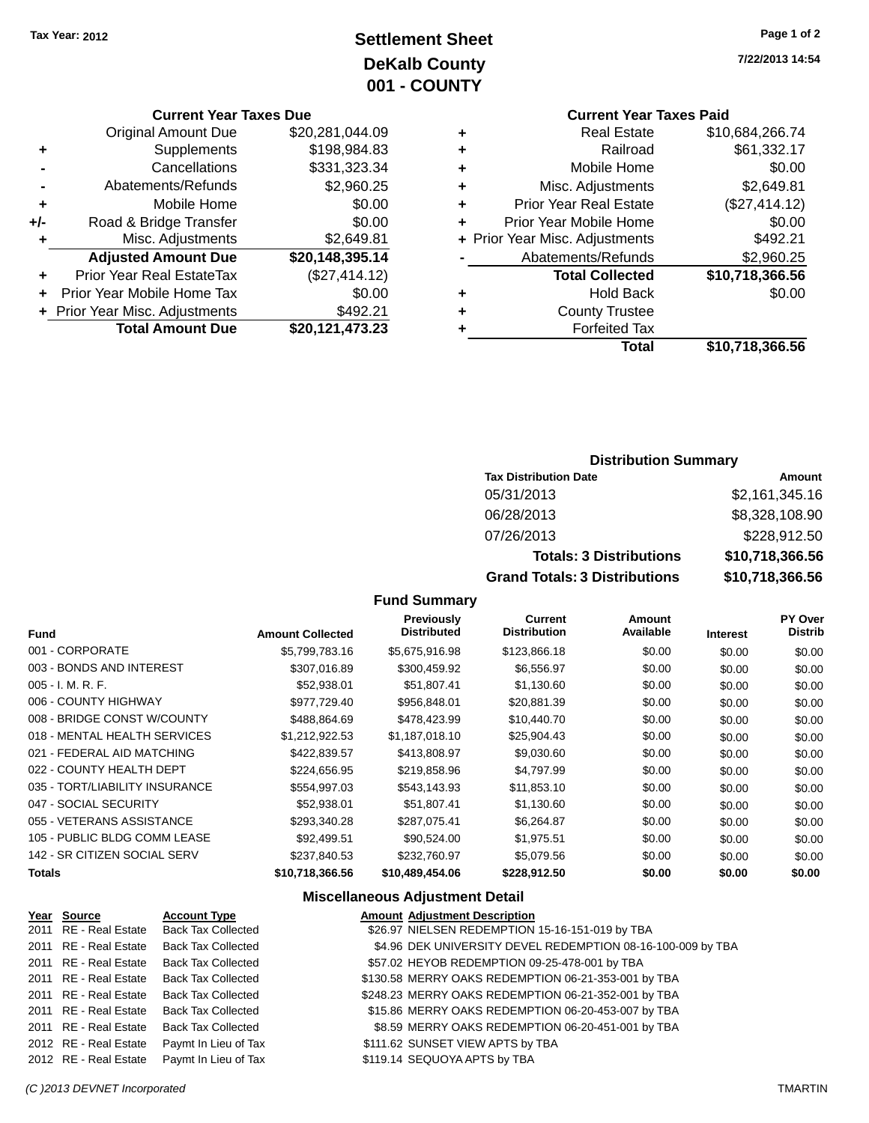## **Settlement Sheet Tax Year: 2012 Page 1 of 2 DeKalb County 001 - COUNTY**

**Current Year Taxes Due**

| <b>Original Amount Due</b>       | \$20,281,044.09         |
|----------------------------------|-------------------------|
| Supplements                      | \$198,984.83            |
| Cancellations                    | \$331,323.34            |
| Abatements/Refunds               | \$2,960.25              |
| Mobile Home                      | \$0.00                  |
| Road & Bridge Transfer           | \$0.00                  |
| Misc. Adjustments                | \$2,649.81              |
| <b>Adjusted Amount Due</b>       | \$20,148,395.14         |
| <b>Prior Year Real EstateTax</b> | (\$27,414.12)           |
| Prior Year Mobile Home Tax       | \$0.00                  |
| + Prior Year Misc. Adjustments   | \$492.21                |
|                                  | \$20,121,473.23         |
|                                  | <b>Total Amount Due</b> |

**7/22/2013 14:54**

## **Current Year Taxes Paid**

| ٠ | <b>Real Estate</b>             | \$10,684,266.74 |
|---|--------------------------------|-----------------|
| ٠ | Railroad                       | \$61,332.17     |
| ٠ | Mobile Home                    | \$0.00          |
| ٠ | Misc. Adjustments              | \$2,649.81      |
| ٠ | <b>Prior Year Real Estate</b>  | (\$27,414.12)   |
| ٠ | Prior Year Mobile Home         | \$0.00          |
|   | + Prior Year Misc. Adjustments | \$492.21        |
|   | Abatements/Refunds             | \$2,960.25      |
|   | <b>Total Collected</b>         | \$10,718,366.56 |
| ٠ | <b>Hold Back</b>               | \$0.00          |
| ٠ | <b>County Trustee</b>          |                 |
| ٠ | <b>Forfeited Tax</b>           |                 |
|   | Total                          | \$10,718,366.56 |
|   |                                |                 |

#### **Distribution Summary**

| <b>Tax Distribution Date</b>         | Amount          |
|--------------------------------------|-----------------|
| 05/31/2013                           | \$2,161,345.16  |
| 06/28/2013                           | \$8,328,108.90  |
| 07/26/2013                           | \$228,912.50    |
| <b>Totals: 3 Distributions</b>       | \$10,718,366.56 |
| <b>Grand Totals: 3 Distributions</b> | \$10,718,366.56 |

## **Fund Summary**

| <b>Fund</b>                    | <b>Amount Collected</b> | <b>Previously</b><br><b>Distributed</b> | Current<br><b>Distribution</b> | Amount<br>Available | <b>Interest</b> | <b>PY Over</b><br>Distrib |
|--------------------------------|-------------------------|-----------------------------------------|--------------------------------|---------------------|-----------------|---------------------------|
| 001 - CORPORATE                | \$5,799,783.16          | \$5,675,916.98                          | \$123,866.18                   | \$0.00              | \$0.00          | \$0.00                    |
| 003 - BONDS AND INTEREST       | \$307,016.89            | \$300,459.92                            | \$6,556.97                     | \$0.00              | \$0.00          | \$0.00                    |
| 005 - I. M. R. F.              | \$52,938.01             | \$51,807.41                             | \$1,130.60                     | \$0.00              | \$0.00          | \$0.00                    |
| 006 - COUNTY HIGHWAY           | \$977,729.40            | \$956,848.01                            | \$20,881.39                    | \$0.00              | \$0.00          | \$0.00                    |
| 008 - BRIDGE CONST W/COUNTY    | \$488.864.69            | \$478,423.99                            | \$10,440.70                    | \$0.00              | \$0.00          | \$0.00                    |
| 018 - MENTAL HEALTH SERVICES   | \$1,212,922.53          | \$1,187,018.10                          | \$25,904.43                    | \$0.00              | \$0.00          | \$0.00                    |
| 021 - FEDERAL AID MATCHING     | \$422,839.57            | \$413,808.97                            | \$9,030.60                     | \$0.00              | \$0.00          | \$0.00                    |
| 022 - COUNTY HEALTH DEPT       | \$224,656.95            | \$219,858.96                            | \$4,797.99                     | \$0.00              | \$0.00          | \$0.00                    |
| 035 - TORT/LIABILITY INSURANCE | \$554.997.03            | \$543.143.93                            | \$11,853.10                    | \$0.00              | \$0.00          | \$0.00                    |
| 047 - SOCIAL SECURITY          | \$52,938.01             | \$51,807.41                             | \$1,130.60                     | \$0.00              | \$0.00          | \$0.00                    |
| 055 - VETERANS ASSISTANCE      | \$293,340.28            | \$287,075.41                            | \$6,264.87                     | \$0.00              | \$0.00          | \$0.00                    |
| 105 - PUBLIC BLDG COMM LEASE   | \$92.499.51             | \$90.524.00                             | \$1,975.51                     | \$0.00              | \$0.00          | \$0.00                    |
| 142 - SR CITIZEN SOCIAL SERV   | \$237,840.53            | \$232,760.97                            | \$5,079.56                     | \$0.00              | \$0.00          | \$0.00                    |
| <b>Totals</b>                  | \$10,718,366.56         | \$10,489,454.06                         | \$228,912.50                   | \$0.00              | \$0.00          | \$0.00                    |
|                                |                         |                                         |                                |                     |                 |                           |

#### **Miscellaneous Adjustment Detail**

| Year Source           | <b>Account Type</b>                        | <b>Amount Adjustment Description</b>                        |
|-----------------------|--------------------------------------------|-------------------------------------------------------------|
|                       | 2011 RE - Real Estate Back Tax Collected   | \$26.97 NIELSEN REDEMPTION 15-16-151-019 by TBA             |
| 2011 RE - Real Estate | <b>Back Tax Collected</b>                  | \$4.96 DEK UNIVERSITY DEVEL REDEMPTION 08-16-100-009 by TBA |
|                       | 2011 RE - Real Estate Back Tax Collected   | \$57.02 HEYOB REDEMPTION 09-25-478-001 by TBA               |
|                       | 2011 RE - Real Estate Back Tax Collected   | \$130.58 MERRY OAKS REDEMPTION 06-21-353-001 by TBA         |
|                       | 2011 RE - Real Estate Back Tax Collected   | \$248.23 MERRY OAKS REDEMPTION 06-21-352-001 by TBA         |
|                       | 2011 RE - Real Estate Back Tax Collected   | \$15.86 MERRY OAKS REDEMPTION 06-20-453-007 by TBA          |
|                       | 2011 RE - Real Estate Back Tax Collected   | \$8.59 MERRY OAKS REDEMPTION 06-20-451-001 by TBA           |
|                       | 2012 RE - Real Estate Paymt In Lieu of Tax | \$111.62 SUNSET VIEW APTS by TBA                            |
|                       | 2012 RE - Real Estate Paymt In Lieu of Tax | \$119.14 SEQUOYA APTS by TBA                                |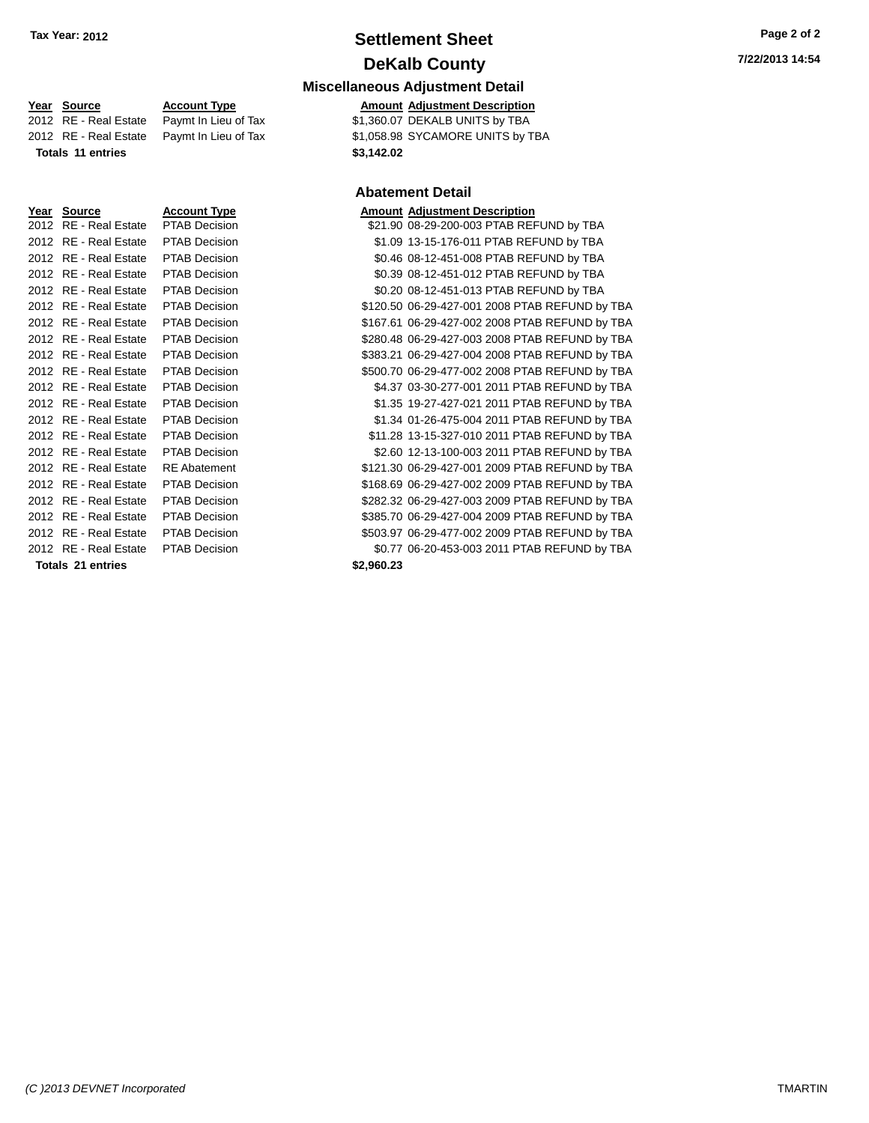## **Settlement Sheet Tax Year: 2012 Page 2 of 2 DeKalb County**

| <b>Miscellaneous Adjustment Detail</b> |  |  |
|----------------------------------------|--|--|
|                                        |  |  |

2012 RE - Real Estate Paymt In Lieu of Tax \$1,058.98 SYCAMORE UNITS by TBA

#### **Abatement Detail**

| <u>Year Source</u>    | <b>Account Type</b>  |           | <b>Amount Adjustment Description</b>           |
|-----------------------|----------------------|-----------|------------------------------------------------|
| 2012 RE - Real Estate | <b>PTAB Decision</b> |           | \$21.90 08-29-200-003 PTAB REFUND by TBA       |
| 2012 RE - Real Estate | <b>PTAB Decision</b> |           | \$1.09 13-15-176-011 PTAB REFUND by TBA        |
| 2012 RE - Real Estate | <b>PTAB Decision</b> |           | \$0.46 08-12-451-008 PTAB REFUND by TBA        |
| 2012 RE - Real Estate | <b>PTAB Decision</b> |           | \$0.39 08-12-451-012 PTAB REFUND by TBA        |
| 2012 RE - Real Estate | PTAB Decision        |           | \$0.20 08-12-451-013 PTAB REFUND by TBA        |
| 2012 RE - Real Estate | PTAB Decision        |           | \$120.50 06-29-427-001 2008 PTAB REFUND by TBA |
| 2012 RE - Real Estate | <b>PTAB Decision</b> |           | \$167.61 06-29-427-002 2008 PTAB REFUND by TBA |
| 2012 RE - Real Estate | <b>PTAB Decision</b> |           | \$280.48 06-29-427-003 2008 PTAB REFUND by TBA |
| 2012 RE - Real Estate | <b>PTAB Decision</b> |           | \$383.21 06-29-427-004 2008 PTAB REFUND by TBA |
| 2012 RE - Real Estate | <b>PTAB Decision</b> |           | \$500.70 06-29-477-002 2008 PTAB REFUND by TBA |
| 2012 RE - Real Estate | <b>PTAB Decision</b> |           | \$4.37 03-30-277-001 2011 PTAB REFUND by TBA   |
| 2012 RE - Real Estate | PTAB Decision        |           | \$1.35 19-27-427-021 2011 PTAB REFUND by TBA   |
| 2012 RE - Real Estate | <b>PTAB Decision</b> |           | \$1.34 01-26-475-004 2011 PTAB REFUND by TBA   |
| 2012 RE - Real Estate | <b>PTAB Decision</b> |           | \$11.28 13-15-327-010 2011 PTAB REFUND by TBA  |
| 2012 RE - Real Estate | PTAB Decision        |           | \$2.60 12-13-100-003 2011 PTAB REFUND by TBA   |
| 2012 RE - Real Estate | <b>RE</b> Abatement  |           | \$121.30 06-29-427-001 2009 PTAB REFUND by TBA |
| 2012 RE - Real Estate | <b>PTAB Decision</b> |           | \$168.69 06-29-427-002 2009 PTAB REFUND by TBA |
| 2012 RE - Real Estate | PTAB Decision        |           | \$282.32 06-29-427-003 2009 PTAB REFUND by TBA |
| 2012 RE - Real Estate | PTAB Decision        |           | \$385.70 06-29-427-004 2009 PTAB REFUND by TBA |
| 2012 RE - Real Estate | <b>PTAB Decision</b> |           | \$503.97 06-29-477-002 2009 PTAB REFUND by TBA |
| 2012 RE - Real Estate | <b>PTAB Decision</b> |           | \$0.77 06-20-453-003 2011 PTAB REFUND by TBA   |
| Tatala Ad antoine     |                      | 00 000 00 |                                                |

**Year Source 19 Account Type Account Type Amount Adjustment Description**<br>
2012 RE - Real Estate Paymt In Lieu of Tax \$1,360.07 DEKALB UNITS by TBA  $\overline{2012}$  RE - Real Estate Paymt In Lieu of Tax **Totals 11 entries \$3,142.02**

| <u>Year Source</u>    | <b>Account Type</b>  | <b>Amount Adjustment Description</b> |
|-----------------------|----------------------|--------------------------------------|
| 2012 RE - Real Estate | PTAB Decision        | \$21.90 08-29-200-003 PTAB REI       |
| 2012 RE - Real Estate | PTAB Decision        | \$1.09 13-15-176-011 PTAB REF        |
| 2012 RE - Real Estate | PTAB Decision        | \$0.46 08-12-451-008 PTAB REI        |
| 2012 RE - Real Estate | <b>PTAB Decision</b> | \$0.39 08-12-451-012 PTAB REI        |
| 2012 RE - Real Estate | PTAB Decision        | \$0.20 08-12-451-013 PTAB REI        |
| 2012 RE - Real Estate | <b>PTAB Decision</b> | \$120.50 06-29-427-001 2008 PTA      |
| 2012 RE - Real Estate | PTAB Decision        | \$167.61 06-29-427-002 2008 PTA      |
| 2012 RE - Real Estate | <b>PTAB Decision</b> | \$280.48 06-29-427-003 2008 PTA      |
| 2012 RE - Real Estate | <b>PTAB Decision</b> | \$383.21 06-29-427-004 2008 PTA      |
| 2012 RE - Real Estate | <b>PTAB Decision</b> | \$500.70 06-29-477-002 2008 PTA      |
| 2012 RE - Real Estate | <b>PTAB Decision</b> | \$4.37 03-30-277-001 2011 PTA        |
| 2012 RE - Real Estate | <b>PTAB Decision</b> | \$1.35 19-27-427-021 2011 PTA        |
| 2012 RE - Real Estate | <b>PTAB Decision</b> | \$1.34 01-26-475-004 2011 PTA        |
| 2012 RE - Real Estate | PTAB Decision        | \$11.28 13-15-327-010 2011 PTA       |
| 2012 RE - Real Estate | <b>PTAB Decision</b> | \$2.60 12-13-100-003 2011 PTA        |
| 2012 RE - Real Estate | <b>RE</b> Abatement  | \$121.30 06-29-427-001 2009 PTA      |
| 2012 RE - Real Estate | <b>PTAB Decision</b> | \$168.69 06-29-427-002 2009 PTA      |
| 2012 RE - Real Estate | <b>PTAB Decision</b> | \$282.32 06-29-427-003 2009 PTA      |
| 2012 RE - Real Estate | <b>PTAB Decision</b> | \$385.70 06-29-427-004 2009 PTA      |
| 2012 RE - Real Estate | <b>PTAB Decision</b> | \$503.97 06-29-477-002 2009 PTA      |
| 2012 RE - Real Estate | <b>PTAB Decision</b> | \$0.77 06-20-453-003 2011 PTA        |
|                       |                      |                                      |

**Totals 21 entries \$2,960.23**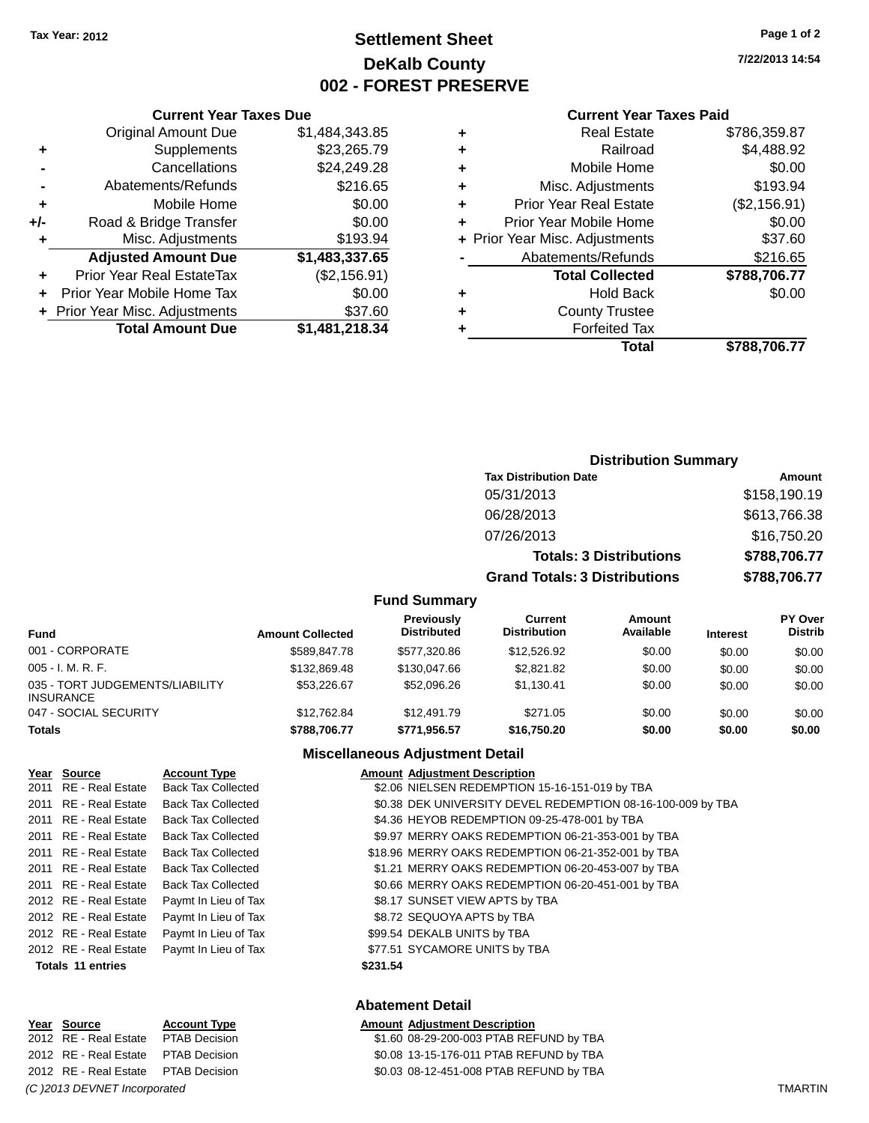## **Settlement Sheet Tax Year: 2012 Page 1 of 2 DeKalb County 002 - FOREST PRESERVE**

**7/22/2013 14:54**

#### **Current Year Taxes Paid**

|        |   | Total                          | \$788,706.77 |
|--------|---|--------------------------------|--------------|
| 18.34  |   | <b>Forfeited Tax</b>           |              |
| 37.60  | ٠ | <b>County Trustee</b>          |              |
| \$0.00 | ٠ | <b>Hold Back</b>               | \$0.00       |
| 56.91) |   | <b>Total Collected</b>         | \$788,706.77 |
| 37.65  |   | Abatements/Refunds             | \$216.65     |
| 93.94  |   | + Prior Year Misc. Adjustments | \$37.60      |
| \$0.00 |   | Prior Year Mobile Home         | \$0.00       |
| \$0.00 | ٠ | <b>Prior Year Real Estate</b>  | (\$2,156.91) |
| 16.65  | ٠ | Misc. Adjustments              | \$193.94     |
| 49.28  | ٠ | Mobile Home                    | \$0.00       |
| 65.79  | ٠ | Railroad                       | \$4,488.92   |
| 43.85  | ٠ | <b>Real Estate</b>             | \$786,359.87 |
|        |   |                                |              |

|     | <b>Current Year Taxes Due</b>    |                |
|-----|----------------------------------|----------------|
|     | <b>Original Amount Due</b>       | \$1,484,343.85 |
| ٠   | Supplements                      | \$23,265.79    |
|     | Cancellations                    | \$24,249.28    |
|     | Abatements/Refunds               | \$216.65       |
| ٠   | Mobile Home                      | \$0.00         |
| +/- | Road & Bridge Transfer           | \$0.00         |
| ٠   | Misc. Adjustments                | \$193.94       |
|     | <b>Adjusted Amount Due</b>       | \$1,483,337.65 |
|     | <b>Prior Year Real EstateTax</b> | (\$2,156.91)   |
|     | Prior Year Mobile Home Tax       | \$0.00         |
|     | + Prior Year Misc. Adjustments   | \$37.60        |
|     | <b>Total Amount Due</b>          | \$1,481,218.34 |
|     |                                  |                |

| <b>Distribution Summary</b>          |              |
|--------------------------------------|--------------|
| <b>Tax Distribution Date</b>         | Amount       |
| 05/31/2013                           | \$158,190.19 |
| 06/28/2013                           | \$613,766.38 |
| 07/26/2013                           | \$16,750.20  |
| <b>Totals: 3 Distributions</b>       | \$788,706.77 |
| <b>Grand Totals: 3 Distributions</b> | \$788,706.77 |

#### **Fund Summary**

| <b>Fund</b>                                         | <b>Amount Collected</b> | Previously<br><b>Distributed</b> | Current<br><b>Distribution</b> | <b>Amount</b><br>Available | <b>Interest</b> | <b>PY Over</b><br><b>Distrib</b> |
|-----------------------------------------------------|-------------------------|----------------------------------|--------------------------------|----------------------------|-----------------|----------------------------------|
| 001 - CORPORATE                                     | \$589,847.78            | \$577.320.86                     | \$12,526.92                    | \$0.00                     | \$0.00          | \$0.00                           |
| $005 - I. M. R. F.$                                 | \$132,869.48            | \$130,047.66                     | \$2.821.82                     | \$0.00                     | \$0.00          | \$0.00                           |
| 035 - TORT JUDGEMENTS/LIABILITY<br><b>INSURANCE</b> | \$53,226.67             | \$52,096.26                      | \$1.130.41                     | \$0.00                     | \$0.00          | \$0.00                           |
| 047 - SOCIAL SECURITY                               | \$12,762.84             | \$12,491.79                      | \$271.05                       | \$0.00                     | \$0.00          | \$0.00                           |
| <b>Totals</b>                                       | \$788,706.77            | \$771,956.57                     | \$16.750.20                    | \$0.00                     | \$0.00          | \$0.00                           |

#### **Miscellaneous Adjustment Detail**

| Year Source           | <b>Account Type</b>       | <b>Amount Adiustment Description</b>                        |
|-----------------------|---------------------------|-------------------------------------------------------------|
| 2011 RE - Real Estate | <b>Back Tax Collected</b> | \$2.06 NIELSEN REDEMPTION 15-16-151-019 by TBA              |
| 2011 RE - Real Estate | <b>Back Tax Collected</b> | \$0.38 DEK UNIVERSITY DEVEL REDEMPTION 08-16-100-009 by TBA |
| 2011 RE - Real Estate | <b>Back Tax Collected</b> | \$4.36 HEYOB REDEMPTION 09-25-478-001 by TBA                |
| 2011 RE - Real Estate | <b>Back Tax Collected</b> | \$9.97 MERRY OAKS REDEMPTION 06-21-353-001 by TBA           |
| 2011 RE - Real Estate | <b>Back Tax Collected</b> | \$18.96 MERRY OAKS REDEMPTION 06-21-352-001 by TBA          |
| 2011 RE - Real Estate | <b>Back Tax Collected</b> | \$1.21 MERRY OAKS REDEMPTION 06-20-453-007 by TBA           |
| 2011 RE - Real Estate | <b>Back Tax Collected</b> | \$0.66 MERRY OAKS REDEMPTION 06-20-451-001 by TBA           |
| 2012 RE - Real Estate | Paymt In Lieu of Tax      | \$8.17 SUNSET VIEW APTS by TBA                              |
| 2012 RE - Real Estate | Paymt In Lieu of Tax      | \$8.72 SEQUOYA APTS by TBA                                  |
| 2012 RE - Real Estate | Paymt In Lieu of Tax      | \$99.54 DEKALB UNITS by TBA                                 |
| 2012 RE - Real Estate | Paymt In Lieu of Tax      | \$77.51 SYCAMORE UNITS by TBA                               |
| Totals 11 entries     |                           | \$231.54                                                    |
|                       |                           |                                                             |

# **Year Source Account Type Amount Adjustment Description** *(C )2013 DEVNET Incorporated* TMARTIN

#### **Abatement Detail**

#### 2012 RE - Real Estate PTAB Decision \$1.60 08-29-200-003 PTAB REFUND by TBA 2012 RE - Real Estate PTAB Decision \$0.08 13-15-176-011 PTAB REFUND by TBA 2012 RE - Real Estate PTAB Decision \$0.03 08-12-451-008 PTAB REFUND by TBA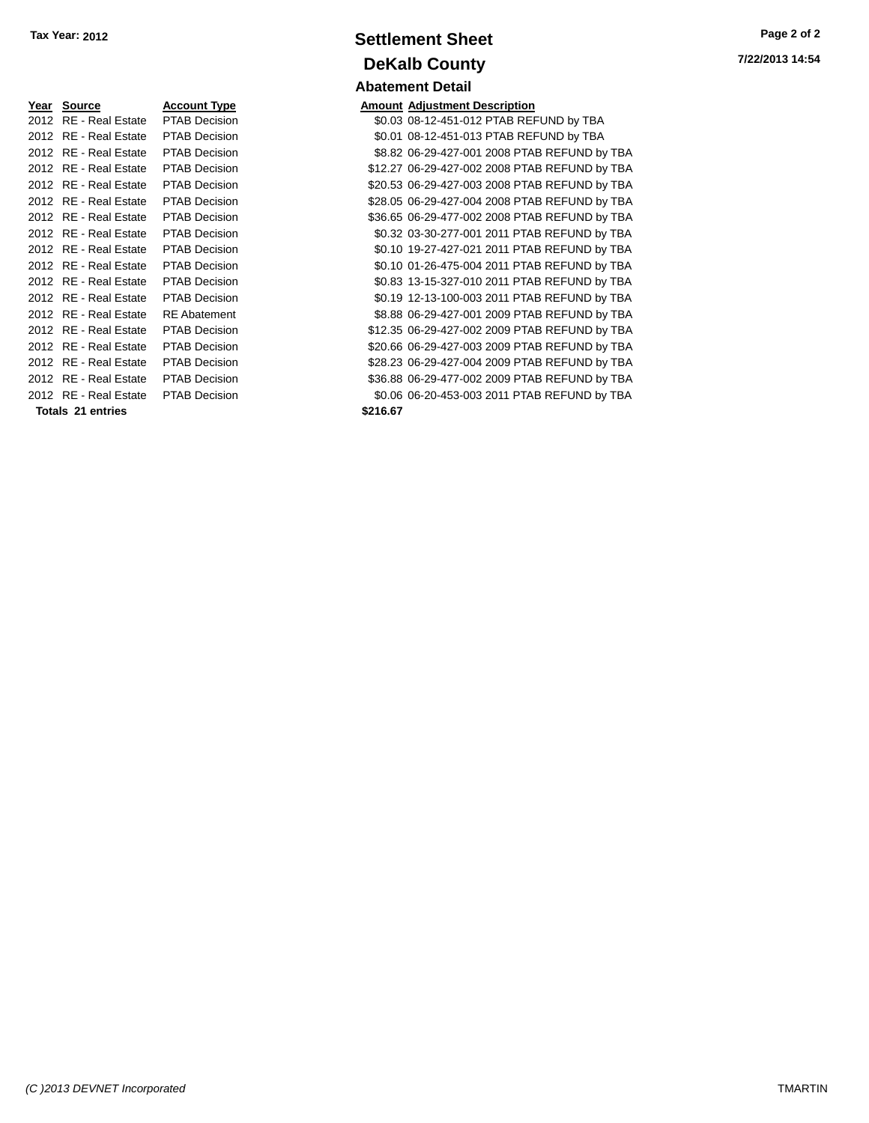| Year Source Account Type            |                      |          | <b>Amount Adjustment Description</b> |
|-------------------------------------|----------------------|----------|--------------------------------------|
| 2012 RE - Real Estate PTAB Decision |                      |          | \$0.03 08-12-451-012 PTAB REI        |
| 2012 RE - Real Estate PTAB Decision |                      |          | \$0.01 08-12-451-013 PTAB REI        |
| 2012 RE - Real Estate               | <b>PTAB Decision</b> |          | \$8.82 06-29-427-001 2008 PTA        |
| 2012 RE - Real Estate               | <b>PTAB Decision</b> |          | \$12.27 06-29-427-002 2008 PTA       |
| 2012 RE - Real Estate               | <b>PTAB Decision</b> |          | \$20.53 06-29-427-003 2008 PTA       |
| 2012 RE - Real Estate               | <b>PTAB Decision</b> |          | \$28.05 06-29-427-004 2008 PTA       |
| 2012 RE - Real Estate               | <b>PTAB Decision</b> |          | \$36.65 06-29-477-002 2008 PTA       |
| 2012 RE - Real Estate               | <b>PTAB Decision</b> |          | \$0.32 03-30-277-001 2011 PTA        |
| 2012 RE - Real Estate               | <b>PTAB Decision</b> |          | \$0.10 19-27-427-021 2011 PTA        |
| 2012 RE - Real Estate PTAB Decision |                      |          | \$0.10 01-26-475-004 2011 PTA        |
| 2012 RE - Real Estate               | <b>PTAB Decision</b> |          | \$0.83 13-15-327-010 2011 PTA        |
| 2012 RE - Real Estate               | <b>PTAB Decision</b> |          | \$0.19 12-13-100-003 2011 PTA        |
| 2012 RE - Real Estate               | <b>RE</b> Abatement  |          | \$8.88 06-29-427-001 2009 PTA        |
| 2012 RE - Real Estate               | <b>PTAB Decision</b> |          | \$12.35 06-29-427-002 2009 PTA       |
| 2012 RE - Real Estate               | <b>PTAB Decision</b> |          | \$20.66 06-29-427-003 2009 PTA       |
| 2012 RE - Real Estate               | <b>PTAB Decision</b> |          | \$28.23 06-29-427-004 2009 PTA       |
| 2012 RE - Real Estate               | PTAB Decision        |          | \$36.88 06-29-477-002 2009 PTA       |
| 2012 RE - Real Estate PTAB Decision |                      |          | \$0.06 06-20-453-003 2011 PTA        |
| Totals 21 entries                   |                      | \$216.67 |                                      |
|                                     |                      |          |                                      |

## **Settlement Sheet Tax Year: 2012 Page 2 of 2 DeKalb County Abatement Detail**

| Year Source              | <b>Account Type</b>  | <b>Amount Adjustment Description</b>          |
|--------------------------|----------------------|-----------------------------------------------|
| 2012 RE - Real Estate    | <b>PTAB Decision</b> | \$0.03 08-12-451-012 PTAB REFUND by TBA       |
| 2012 RE - Real Estate    | <b>PTAB Decision</b> | \$0.01 08-12-451-013 PTAB REFUND by TBA       |
| 2012 RE - Real Estate    | <b>PTAB Decision</b> | \$8.82 06-29-427-001 2008 PTAB REFUND by TBA  |
| 2012 RE - Real Estate    | PTAB Decision        | \$12.27 06-29-427-002 2008 PTAB REFUND by TBA |
| 2012 RE - Real Estate    | <b>PTAB Decision</b> | \$20.53 06-29-427-003 2008 PTAB REFUND by TBA |
| 2012 RE - Real Estate    | <b>PTAB Decision</b> | \$28.05 06-29-427-004 2008 PTAB REFUND by TBA |
| 2012 RE - Real Estate    | <b>PTAB Decision</b> | \$36.65 06-29-477-002 2008 PTAB REFUND by TBA |
| 2012 RE - Real Estate    | PTAB Decision        | \$0.32 03-30-277-001 2011 PTAB REFUND by TBA  |
| 2012 RE - Real Estate    | <b>PTAB Decision</b> | \$0.10 19-27-427-021 2011 PTAB REFUND by TBA  |
| 2012 RE - Real Estate    | PTAB Decision        | \$0.10 01-26-475-004 2011 PTAB REFUND by TBA  |
| 2012 RE - Real Estate    | PTAB Decision        | \$0.83 13-15-327-010 2011 PTAB REFUND by TBA  |
| 2012 RE - Real Estate    | PTAB Decision        | \$0.19 12-13-100-003 2011 PTAB REFUND by TBA  |
| 2012 RE - Real Estate    | <b>RE</b> Abatement  | \$8.88 06-29-427-001 2009 PTAB REFUND by TBA  |
| 2012 RE - Real Estate    | <b>PTAB Decision</b> | \$12.35 06-29-427-002 2009 PTAB REFUND by TBA |
| 2012 RE - Real Estate    | <b>PTAB Decision</b> | \$20.66 06-29-427-003 2009 PTAB REFUND by TBA |
| 2012 RE - Real Estate    | <b>PTAB Decision</b> | \$28.23 06-29-427-004 2009 PTAB REFUND by TBA |
| 2012 RE - Real Estate    | <b>PTAB Decision</b> | \$36.88 06-29-477-002 2009 PTAB REFUND by TBA |
| 2012 RE - Real Estate    | <b>PTAB Decision</b> | \$0.06 06-20-453-003 2011 PTAB REFUND by TBA  |
| <b>Totals 21 entries</b> |                      | \$216.67                                      |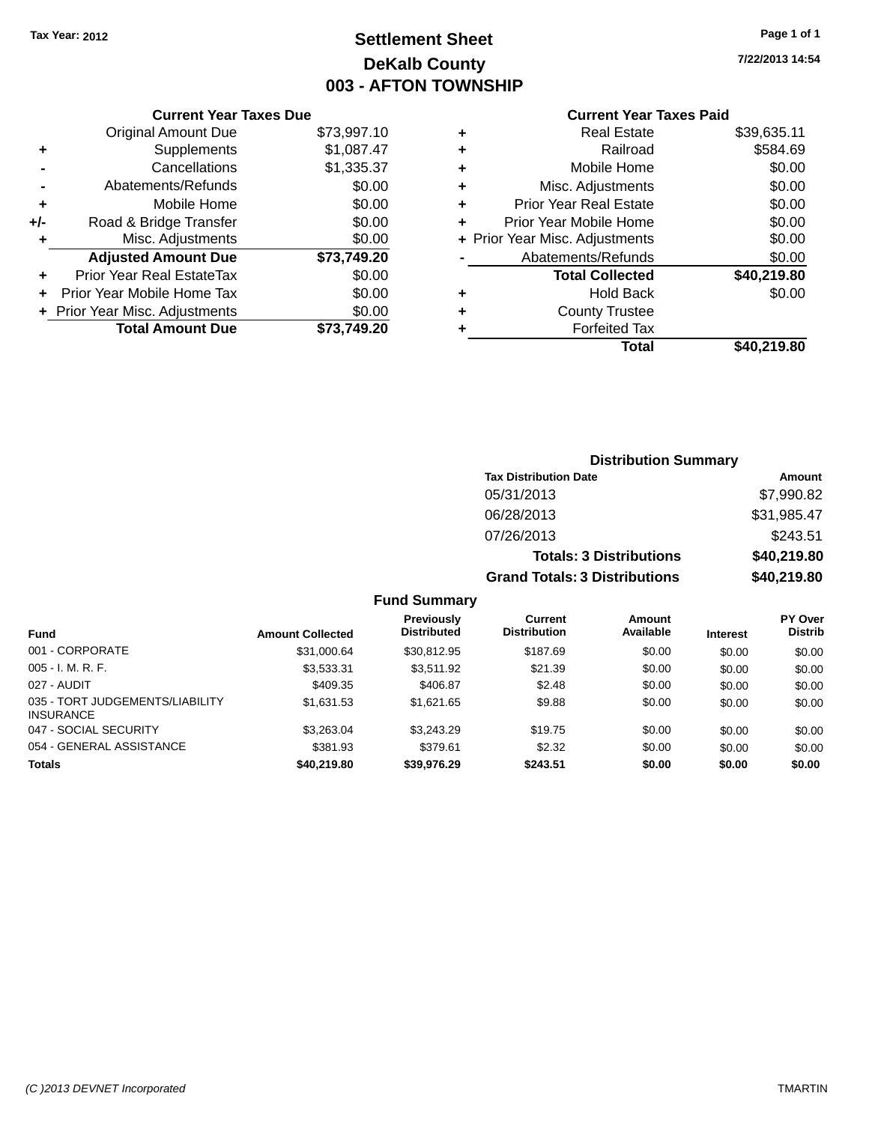## **Settlement Sheet Tax Year: 2012 Page 1 of 1 DeKalb County 003 - AFTON TOWNSHIP**

**7/22/2013 14:54**

## **Current Year Taxes Paid**

|       | <b>Current Year Taxes Due</b>  |             |
|-------|--------------------------------|-------------|
|       | <b>Original Amount Due</b>     | \$73,997.10 |
| ٠     | Supplements                    | \$1,087.47  |
|       | Cancellations                  | \$1,335.37  |
|       | Abatements/Refunds             | \$0.00      |
| ٠     | Mobile Home                    | \$0.00      |
| $+/-$ | Road & Bridge Transfer         | \$0.00      |
| ٠     | Misc. Adjustments              | \$0.00      |
|       | <b>Adjusted Amount Due</b>     | \$73,749.20 |
| ÷     | Prior Year Real EstateTax      | \$0.00      |
|       | Prior Year Mobile Home Tax     | \$0.00      |
|       | + Prior Year Misc. Adjustments | \$0.00      |
|       | <b>Total Amount Due</b>        | \$73.749.20 |
|       |                                |             |

| ٠ | <b>Real Estate</b>             | \$39,635.11 |
|---|--------------------------------|-------------|
| ٠ | Railroad                       | \$584.69    |
| ÷ | Mobile Home                    | \$0.00      |
| ٠ | Misc. Adjustments              | \$0.00      |
| ٠ | <b>Prior Year Real Estate</b>  | \$0.00      |
| ÷ | Prior Year Mobile Home         | \$0.00      |
|   | + Prior Year Misc. Adjustments | \$0.00      |
|   | Abatements/Refunds             | \$0.00      |
|   | <b>Total Collected</b>         | \$40,219.80 |
| ٠ | Hold Back                      | \$0.00      |
| ٠ | <b>County Trustee</b>          |             |
| ٠ | <b>Forfeited Tax</b>           |             |
|   | Total                          | \$40,219.80 |
|   |                                |             |

| <b>Distribution Summary</b>          |             |  |  |  |
|--------------------------------------|-------------|--|--|--|
| <b>Tax Distribution Date</b>         | Amount      |  |  |  |
| 05/31/2013                           | \$7,990.82  |  |  |  |
| 06/28/2013                           | \$31,985.47 |  |  |  |
| 07/26/2013                           | \$243.51    |  |  |  |
| <b>Totals: 3 Distributions</b>       | \$40,219.80 |  |  |  |
| <b>Grand Totals: 3 Distributions</b> | \$40,219.80 |  |  |  |

#### **Fund Summary**

|                                                     |                         | <b>Previously</b><br><b>Distributed</b> | Current<br><b>Distribution</b> | Amount<br>Available |                 | <b>PY Over</b><br><b>Distrib</b> |
|-----------------------------------------------------|-------------------------|-----------------------------------------|--------------------------------|---------------------|-----------------|----------------------------------|
| <b>Fund</b>                                         | <b>Amount Collected</b> |                                         |                                |                     | <b>Interest</b> |                                  |
| 001 - CORPORATE                                     | \$31,000.64             | \$30.812.95                             | \$187.69                       | \$0.00              | \$0.00          | \$0.00                           |
| $005 - I. M. R. F.$                                 | \$3,533.31              | \$3.511.92                              | \$21.39                        | \$0.00              | \$0.00          | \$0.00                           |
| 027 - AUDIT                                         | \$409.35                | \$406.87                                | \$2.48                         | \$0.00              | \$0.00          | \$0.00                           |
| 035 - TORT JUDGEMENTS/LIABILITY<br><b>INSURANCE</b> | \$1.631.53              | \$1.621.65                              | \$9.88                         | \$0.00              | \$0.00          | \$0.00                           |
| 047 - SOCIAL SECURITY                               | \$3.263.04              | \$3,243.29                              | \$19.75                        | \$0.00              | \$0.00          | \$0.00                           |
| 054 - GENERAL ASSISTANCE                            | \$381.93                | \$379.61                                | \$2.32                         | \$0.00              | \$0.00          | \$0.00                           |
| <b>Totals</b>                                       | \$40.219.80             | \$39,976.29                             | \$243.51                       | \$0.00              | \$0.00          | \$0.00                           |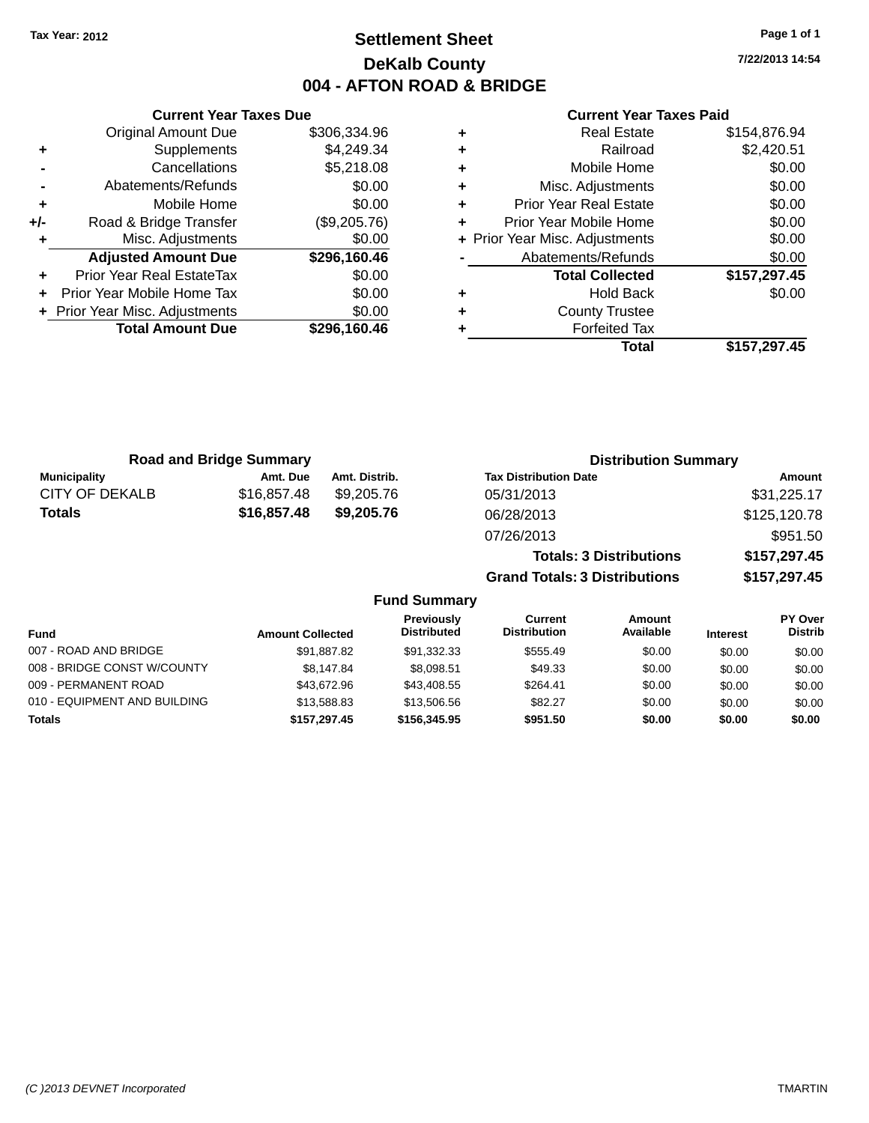## **Settlement Sheet Tax Year: 2012 Page 1 of 1 DeKalb County 004 - AFTON ROAD & BRIDGE**

**7/22/2013 14:54**

#### **Current Year Taxes Paid**

|     | <b>Original Amount Due</b>     | \$306,334.96 |
|-----|--------------------------------|--------------|
| ٠   | Supplements                    | \$4,249.34   |
|     | Cancellations                  | \$5,218.08   |
|     | Abatements/Refunds             | \$0.00       |
| ٠   | Mobile Home                    | \$0.00       |
| +/- | Road & Bridge Transfer         | (\$9,205.76) |
| ٠   | Misc. Adjustments              | \$0.00       |
|     | <b>Adjusted Amount Due</b>     | \$296,160.46 |
| ÷   | Prior Year Real EstateTax      | \$0.00       |
| ÷   | Prior Year Mobile Home Tax     | \$0.00       |
|     | + Prior Year Misc. Adjustments | \$0.00       |
|     | <b>Total Amount Due</b>        | \$296,160.46 |
|     |                                |              |

**Current Year Taxes Due**

| ٠ | <b>Real Estate</b>             | \$154,876.94 |
|---|--------------------------------|--------------|
| ٠ | Railroad                       | \$2,420.51   |
| ٠ | Mobile Home                    | \$0.00       |
| ٠ | Misc. Adjustments              | \$0.00       |
| ٠ | <b>Prior Year Real Estate</b>  | \$0.00       |
| ٠ | Prior Year Mobile Home         | \$0.00       |
|   | + Prior Year Misc. Adjustments | \$0.00       |
|   | Abatements/Refunds             | \$0.00       |
|   | <b>Total Collected</b>         | \$157,297.45 |
| ٠ | Hold Back                      | \$0.00       |
| ٠ | <b>County Trustee</b>          |              |
| ٠ | <b>Forfeited Tax</b>           |              |
|   | Total                          | \$157,297.45 |
|   |                                |              |

**Grand Totals: 3 Distributions \$157,297.45**

| <b>Road and Bridge Summary</b> |             |               | <b>Distribution Summary</b>    |              |  |
|--------------------------------|-------------|---------------|--------------------------------|--------------|--|
| <b>Municipality</b>            | Amt. Due    | Amt. Distrib. | <b>Tax Distribution Date</b>   | Amount       |  |
| CITY OF DEKALB                 | \$16,857.48 | \$9.205.76    | 05/31/2013                     | \$31,225.17  |  |
| Totals                         | \$16,857.48 | \$9,205,76    | 06/28/2013                     | \$125,120.78 |  |
|                                |             |               | 07/26/2013                     | \$951.50     |  |
|                                |             |               | <b>Totals: 3 Distributions</b> | \$157,297.45 |  |

**Fund Summary Fund Interest Amount Collected Distributed PY Over Distrib Amount Available Current Distribution Previously** 007 - ROAD AND BRIDGE \$91,887.82 \$91,332.33 \$555.49 \$0.00 \$0.00 \$0.00 \$0.00 008 - BRIDGE CONST W/COUNTY  $$8,147.84$   $$8,098.51$   $$49.33$   $$0.00$   $$0.00$   $$0.00$ 009 - PERMANENT ROAD \$13,672.96 \$43,408.55 \$264.41 \$0.00 \$0.00 \$0.00 \$0.00 010 - EQUIPMENT AND BUILDING \$13,588.83 \$13,506.56 \$82.27 \$0.00 \$0.00 \$0.00 \$0.00 **Totals \$157,297.45 \$156,345.95 \$951.50 \$0.00 \$0.00 \$0.00**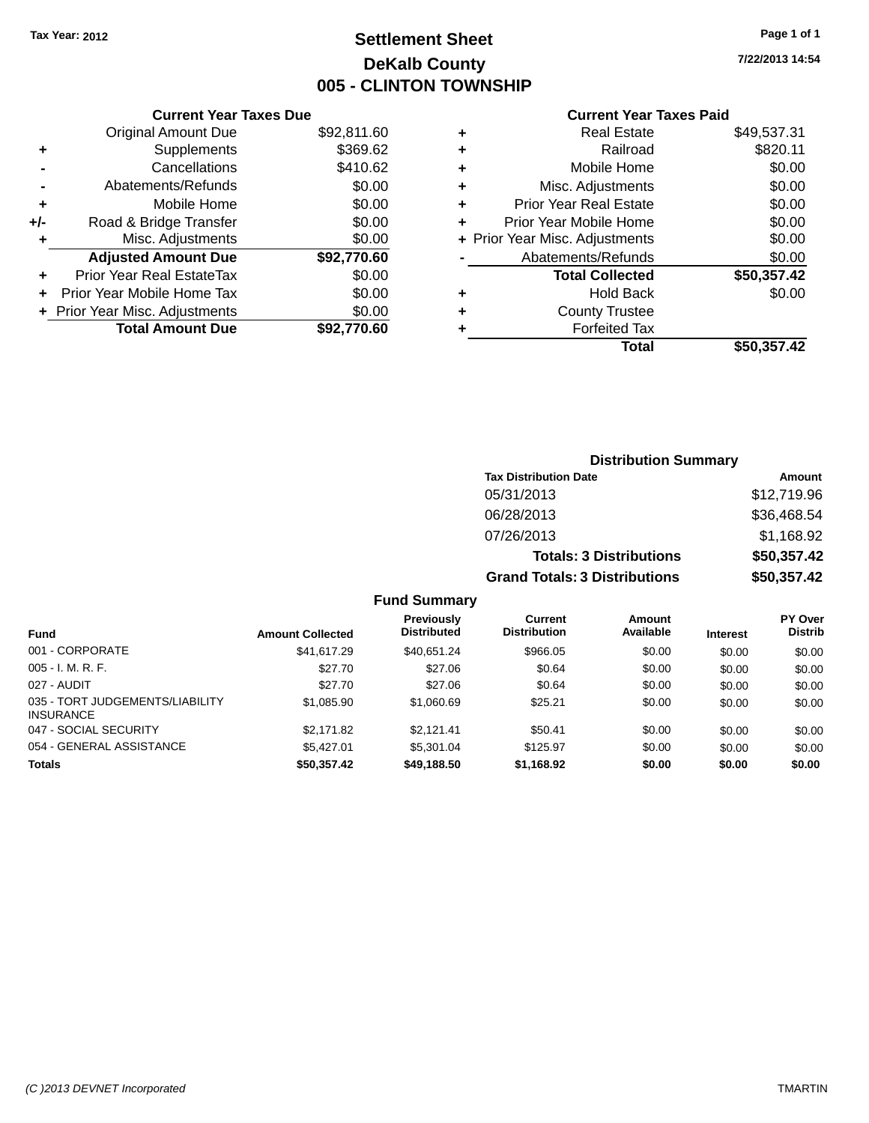## **Settlement Sheet Tax Year: 2012 Page 1 of 1 DeKalb County 005 - CLINTON TOWNSHIP**

**7/22/2013 14:54**

|       | <b>Current Year Taxes Due</b>  |             |
|-------|--------------------------------|-------------|
|       | <b>Original Amount Due</b>     | \$92,811.60 |
| ٠     | Supplements                    | \$369.62    |
|       | Cancellations                  | \$410.62    |
|       | Abatements/Refunds             | \$0.00      |
| ÷     | Mobile Home                    | \$0.00      |
| $+/-$ | Road & Bridge Transfer         | \$0.00      |
| ٠     | Misc. Adjustments              | \$0.00      |
|       | <b>Adjusted Amount Due</b>     | \$92,770.60 |
|       | Prior Year Real EstateTax      | \$0.00      |
|       | Prior Year Mobile Home Tax     | \$0.00      |
|       | + Prior Year Misc. Adjustments | \$0.00      |
|       | <b>Total Amount Due</b>        | \$92,770.60 |
|       |                                |             |

#### **Current Year Taxes Paid**

| ٠ | <b>Real Estate</b>             | \$49,537.31 |
|---|--------------------------------|-------------|
| ٠ | Railroad                       | \$820.11    |
| ÷ | Mobile Home                    | \$0.00      |
| ٠ | Misc. Adjustments              | \$0.00      |
| ٠ | <b>Prior Year Real Estate</b>  | \$0.00      |
| ٠ | Prior Year Mobile Home         | \$0.00      |
|   | + Prior Year Misc. Adjustments | \$0.00      |
|   | Abatements/Refunds             | \$0.00      |
|   | <b>Total Collected</b>         | \$50,357.42 |
| ٠ | <b>Hold Back</b>               | \$0.00      |
| ٠ | <b>County Trustee</b>          |             |
| ٠ | <b>Forfeited Tax</b>           |             |
|   | Total                          | \$50,357.42 |
|   |                                |             |

#### **Distribution Summary Tax Distribution Date Amount** 05/31/2013 \$12,719.96 06/28/2013 \$36,468.54 07/26/2013 \$1,168.92 **Totals: 3 Distributions \$50,357.42 Grand Totals: 3 Distributions \$50,357.42**

#### **Fund Summary**

| <b>Fund</b>                                         | <b>Amount Collected</b> | <b>Previously</b><br><b>Distributed</b> | Current<br><b>Distribution</b> | Amount<br>Available | <b>Interest</b> | <b>PY Over</b><br><b>Distrib</b> |
|-----------------------------------------------------|-------------------------|-----------------------------------------|--------------------------------|---------------------|-----------------|----------------------------------|
| 001 - CORPORATE                                     | \$41,617.29             | \$40.651.24                             | \$966.05                       | \$0.00              | \$0.00          | \$0.00                           |
| $005 - I. M. R. F.$                                 | \$27.70                 | \$27.06                                 | \$0.64                         | \$0.00              | \$0.00          | \$0.00                           |
| 027 - AUDIT                                         | \$27.70                 | \$27.06                                 | \$0.64                         | \$0.00              | \$0.00          | \$0.00                           |
| 035 - TORT JUDGEMENTS/LIABILITY<br><b>INSURANCE</b> | \$1.085.90              | \$1,060.69                              | \$25.21                        | \$0.00              | \$0.00          | \$0.00                           |
| 047 - SOCIAL SECURITY                               | \$2.171.82              | \$2.121.41                              | \$50.41                        | \$0.00              | \$0.00          | \$0.00                           |
| 054 - GENERAL ASSISTANCE                            | \$5.427.01              | \$5,301.04                              | \$125.97                       | \$0.00              | \$0.00          | \$0.00                           |
| <b>Totals</b>                                       | \$50,357.42             | \$49,188.50                             | \$1,168.92                     | \$0.00              | \$0.00          | \$0.00                           |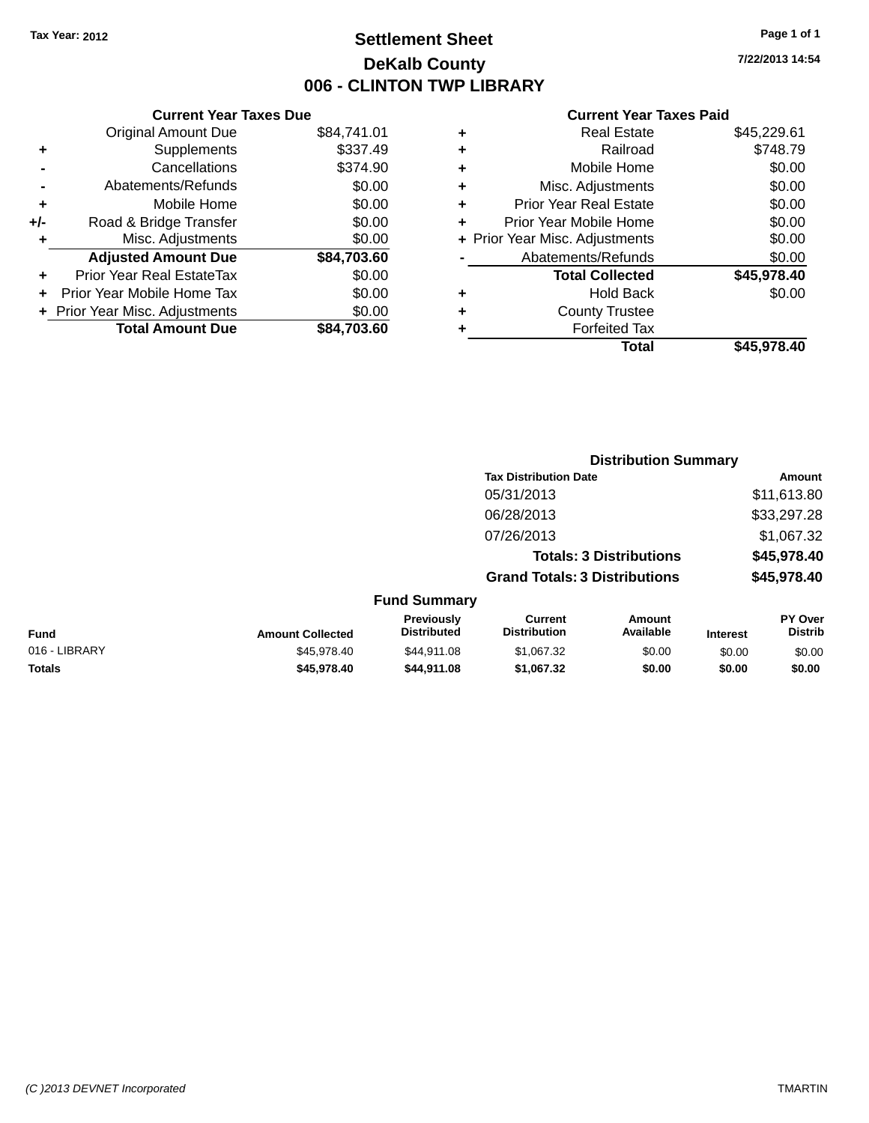## **Settlement Sheet Tax Year: 2012 Page 1 of 1 DeKalb County 006 - CLINTON TWP LIBRARY**

**7/22/2013 14:54**

|     | <b>Current Year Taxes Due</b>  |             |  |  |  |  |
|-----|--------------------------------|-------------|--|--|--|--|
|     | <b>Original Amount Due</b>     | \$84,741.01 |  |  |  |  |
| ٠   | Supplements                    | \$337.49    |  |  |  |  |
|     | Cancellations                  | \$374.90    |  |  |  |  |
|     | Abatements/Refunds             | \$0.00      |  |  |  |  |
| ٠   | Mobile Home                    | \$0.00      |  |  |  |  |
| +/- | Road & Bridge Transfer         | \$0.00      |  |  |  |  |
|     | Misc. Adjustments              | \$0.00      |  |  |  |  |
|     | <b>Adjusted Amount Due</b>     | \$84,703.60 |  |  |  |  |
| ÷   | Prior Year Real EstateTax      | \$0.00      |  |  |  |  |
|     | Prior Year Mobile Home Tax     | \$0.00      |  |  |  |  |
|     | + Prior Year Misc. Adjustments | \$0.00      |  |  |  |  |
|     | <b>Total Amount Due</b>        | \$84,703.60 |  |  |  |  |
|     |                                |             |  |  |  |  |

| ٠ | <b>Real Estate</b>             | \$45,229.61 |
|---|--------------------------------|-------------|
| ٠ | Railroad                       | \$748.79    |
| ٠ | Mobile Home                    | \$0.00      |
| ٠ | Misc. Adjustments              | \$0.00      |
| ٠ | <b>Prior Year Real Estate</b>  | \$0.00      |
| ÷ | Prior Year Mobile Home         | \$0.00      |
|   | + Prior Year Misc. Adjustments | \$0.00      |
|   | Abatements/Refunds             | \$0.00      |
|   | <b>Total Collected</b>         | \$45,978.40 |
| ٠ | Hold Back                      | \$0.00      |
| ٠ | <b>County Trustee</b>          |             |
| ٠ | <b>Forfeited Tax</b>           |             |
|   | Total                          | \$45,978.40 |
|   |                                |             |

|               |                         |                                  | <b>Distribution Summary</b>           |                                |                 |                                  |
|---------------|-------------------------|----------------------------------|---------------------------------------|--------------------------------|-----------------|----------------------------------|
|               |                         |                                  | <b>Tax Distribution Date</b>          |                                |                 | Amount                           |
|               |                         |                                  | 05/31/2013                            |                                |                 | \$11,613.80                      |
|               |                         |                                  | 06/28/2013                            |                                |                 | \$33,297.28                      |
|               |                         |                                  | 07/26/2013                            |                                |                 | \$1,067.32                       |
|               |                         |                                  |                                       | <b>Totals: 3 Distributions</b> |                 | \$45,978.40                      |
|               |                         |                                  | <b>Grand Totals: 3 Distributions</b>  |                                |                 | \$45,978.40                      |
|               |                         | <b>Fund Summary</b>              |                                       |                                |                 |                                  |
| Fund          | <b>Amount Collected</b> | Previously<br><b>Distributed</b> | <b>Current</b><br><b>Distribution</b> | Amount<br>Available            | <b>Interest</b> | <b>PY Over</b><br><b>Distrib</b> |
| 016 - LIBRARY | \$45,978.40             | \$44,911.08                      | \$1,067.32                            | \$0.00                         | \$0.00          | \$0.00                           |
| <b>Totals</b> | \$45,978.40             | \$44,911.08                      | \$1,067.32                            | \$0.00                         | \$0.00          | \$0.00                           |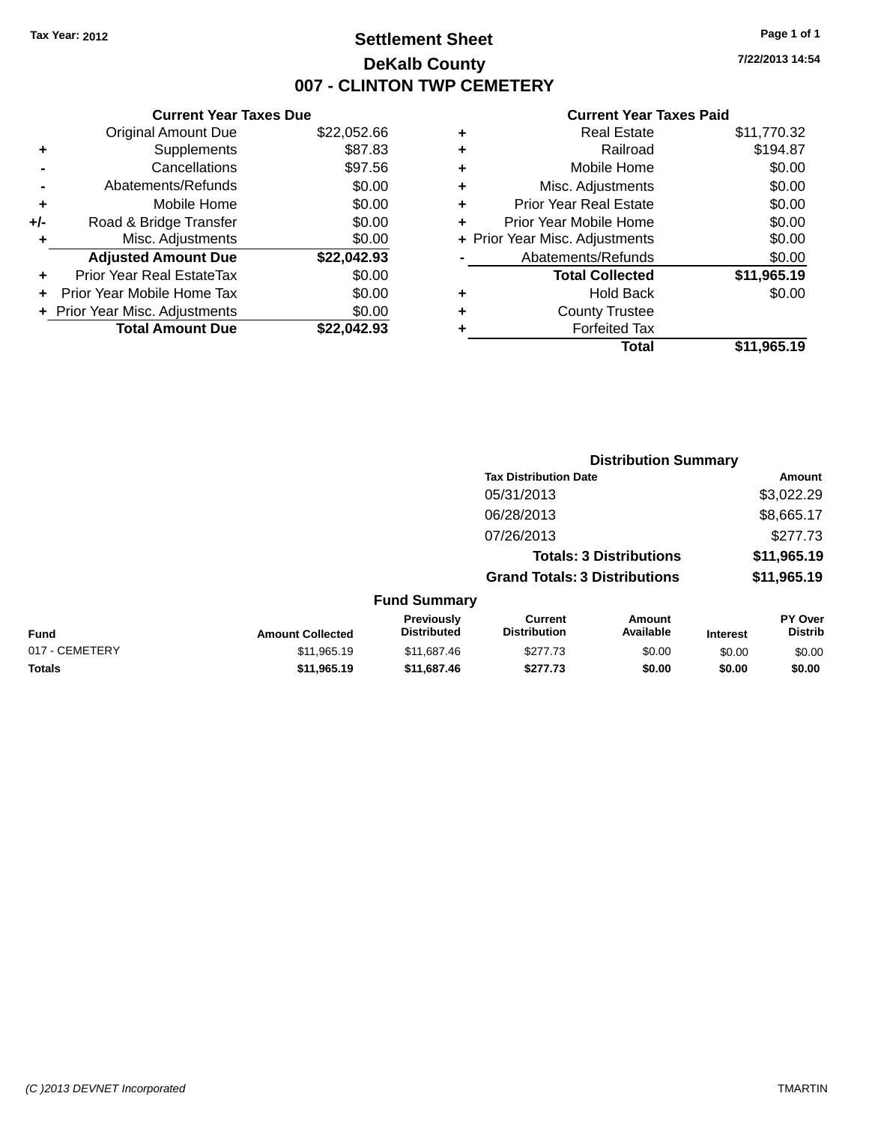## **Settlement Sheet Tax Year: 2012 Page 1 of 1 DeKalb County 007 - CLINTON TWP CEMETERY**

**7/22/2013 14:54**

|     | <b>Current Year Taxes Due</b>  |             |
|-----|--------------------------------|-------------|
|     | <b>Original Amount Due</b>     | \$22,052.66 |
| ٠   | Supplements                    | \$87.83     |
|     | Cancellations                  | \$97.56     |
|     | Abatements/Refunds             | \$0.00      |
| ÷   | Mobile Home                    | \$0.00      |
| +/- | Road & Bridge Transfer         | \$0.00      |
|     | Misc. Adjustments              | \$0.00      |
|     | <b>Adjusted Amount Due</b>     | \$22,042.93 |
|     | Prior Year Real EstateTax      | \$0.00      |
|     | Prior Year Mobile Home Tax     | \$0.00      |
|     | + Prior Year Misc. Adjustments | \$0.00      |
|     | <b>Total Amount Due</b>        | \$22.042.93 |
|     |                                |             |

|   | <b>Real Estate</b>             | \$11,770.32 |
|---|--------------------------------|-------------|
| ٠ | Railroad                       | \$194.87    |
| ٠ | Mobile Home                    | \$0.00      |
| ٠ | Misc. Adjustments              | \$0.00      |
| ٠ | <b>Prior Year Real Estate</b>  | \$0.00      |
| ÷ | Prior Year Mobile Home         | \$0.00      |
|   | + Prior Year Misc. Adjustments | \$0.00      |
|   | Abatements/Refunds             | \$0.00      |
|   | <b>Total Collected</b>         | \$11,965.19 |
| ٠ | Hold Back                      | \$0.00      |
| ٠ | <b>County Trustee</b>          |             |
| ٠ | <b>Forfeited Tax</b>           |             |
|   | Total                          | \$11,965.19 |
|   |                                |             |

|                |                         |                                  | <b>Distribution Summary</b>           |                                |                 |                           |
|----------------|-------------------------|----------------------------------|---------------------------------------|--------------------------------|-----------------|---------------------------|
|                |                         |                                  | <b>Tax Distribution Date</b>          |                                |                 | <b>Amount</b>             |
|                |                         |                                  | 05/31/2013                            |                                |                 | \$3,022.29                |
|                |                         |                                  | 06/28/2013                            |                                |                 | \$8,665.17                |
|                |                         |                                  | 07/26/2013                            |                                |                 | \$277.73                  |
|                |                         |                                  |                                       | <b>Totals: 3 Distributions</b> |                 | \$11,965.19               |
|                |                         |                                  | <b>Grand Totals: 3 Distributions</b>  |                                |                 | \$11,965.19               |
|                |                         | <b>Fund Summary</b>              |                                       |                                |                 |                           |
| <b>Fund</b>    | <b>Amount Collected</b> | Previously<br><b>Distributed</b> | <b>Current</b><br><b>Distribution</b> | Amount<br>Available            | <b>Interest</b> | PY Over<br><b>Distrib</b> |
| 017 - CEMETERY | \$11,965.19             | \$11,687.46                      | \$277.73                              | \$0.00                         | \$0.00          | \$0.00                    |
| <b>Totals</b>  | \$11,965.19             | \$11,687.46                      | \$277.73                              | \$0.00                         | \$0.00          | \$0.00                    |
|                |                         |                                  |                                       |                                |                 |                           |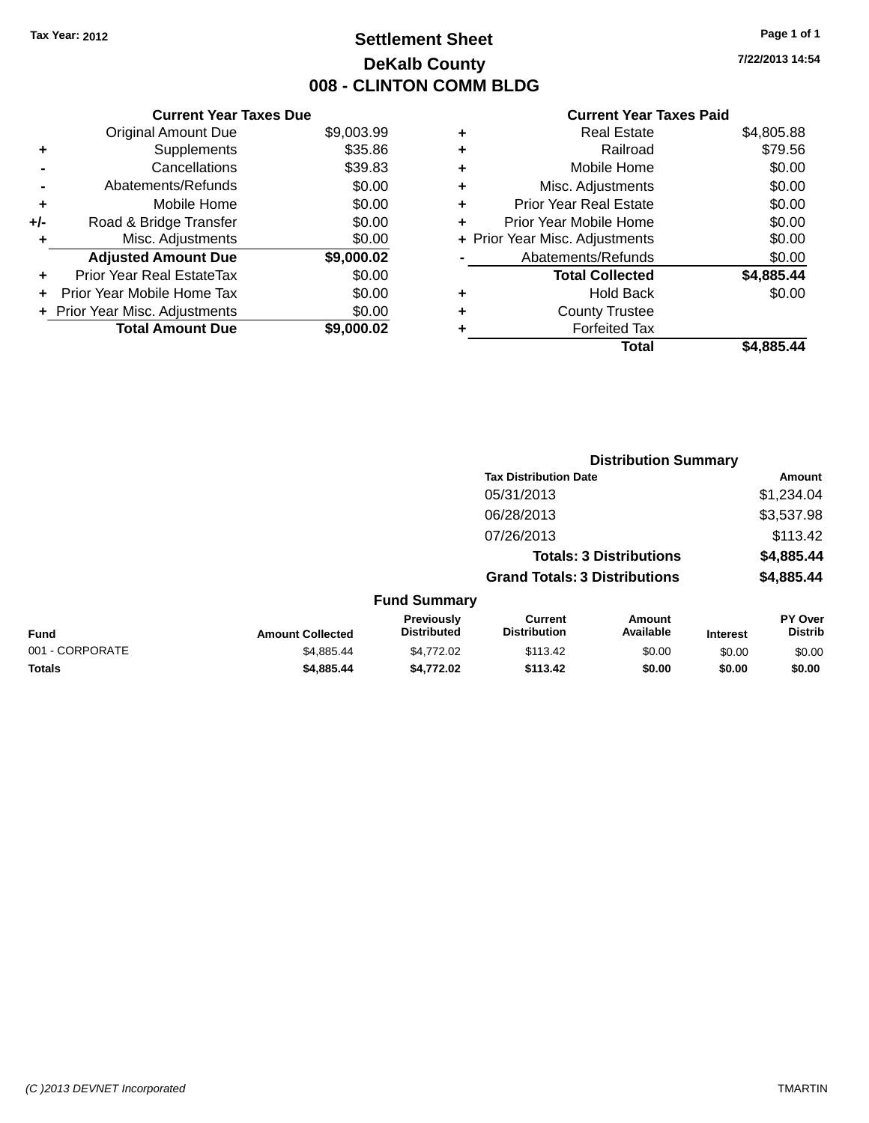## **Settlement Sheet Tax Year: 2012 Page 1 of 1 DeKalb County 008 - CLINTON COMM BLDG**

**7/22/2013 14:54**

|     | <b>Current Year Taxes Due</b>  |            |
|-----|--------------------------------|------------|
|     | <b>Original Amount Due</b>     | \$9,003.99 |
| ٠   | Supplements                    | \$35.86    |
|     | Cancellations                  | \$39.83    |
|     | Abatements/Refunds             | \$0.00     |
| ٠   | Mobile Home                    | \$0.00     |
| +/- | Road & Bridge Transfer         | \$0.00     |
|     | Misc. Adjustments              | \$0.00     |
|     | <b>Adjusted Amount Due</b>     | \$9,000.02 |
| ÷   | Prior Year Real EstateTax      | \$0.00     |
| ÷   | Prior Year Mobile Home Tax     | \$0.00     |
|     | + Prior Year Misc. Adjustments | \$0.00     |
|     | <b>Total Amount Due</b>        | \$9,000.02 |

| ٠ | <b>Real Estate</b>             | \$4,805.88 |
|---|--------------------------------|------------|
| ٠ | Railroad                       | \$79.56    |
| ٠ | Mobile Home                    | \$0.00     |
| ٠ | Misc. Adjustments              | \$0.00     |
| ٠ | <b>Prior Year Real Estate</b>  | \$0.00     |
| ÷ | Prior Year Mobile Home         | \$0.00     |
|   | + Prior Year Misc. Adjustments | \$0.00     |
|   | Abatements/Refunds             | \$0.00     |
|   | <b>Total Collected</b>         | \$4,885.44 |
| ٠ | <b>Hold Back</b>               | \$0.00     |
| ٠ | <b>County Trustee</b>          |            |
| ٠ | <b>Forfeited Tax</b>           |            |
|   | Total                          | \$4.885.44 |
|   |                                |            |

|                 |                         |                                  | <b>Distribution Summary</b>           |                                |                 |                           |
|-----------------|-------------------------|----------------------------------|---------------------------------------|--------------------------------|-----------------|---------------------------|
|                 |                         |                                  | <b>Tax Distribution Date</b>          |                                |                 | Amount                    |
|                 |                         |                                  | 05/31/2013                            |                                |                 | \$1,234.04                |
|                 |                         |                                  | 06/28/2013                            |                                |                 | \$3,537.98                |
|                 |                         |                                  | 07/26/2013                            |                                |                 | \$113.42                  |
|                 |                         |                                  |                                       | <b>Totals: 3 Distributions</b> |                 | \$4,885.44                |
|                 |                         |                                  | <b>Grand Totals: 3 Distributions</b>  |                                |                 | \$4,885.44                |
|                 |                         | <b>Fund Summary</b>              |                                       |                                |                 |                           |
| <b>Fund</b>     | <b>Amount Collected</b> | Previously<br><b>Distributed</b> | <b>Current</b><br><b>Distribution</b> | Amount<br>Available            | <b>Interest</b> | PY Over<br><b>Distrib</b> |
| 001 - CORPORATE | \$4,885.44              | \$4,772.02                       | \$113.42                              | \$0.00                         | \$0.00          | \$0.00                    |
| <b>Totals</b>   | \$4,885.44              | \$4,772.02                       | \$113.42                              | \$0.00                         | \$0.00          | \$0.00                    |
|                 |                         |                                  |                                       |                                |                 |                           |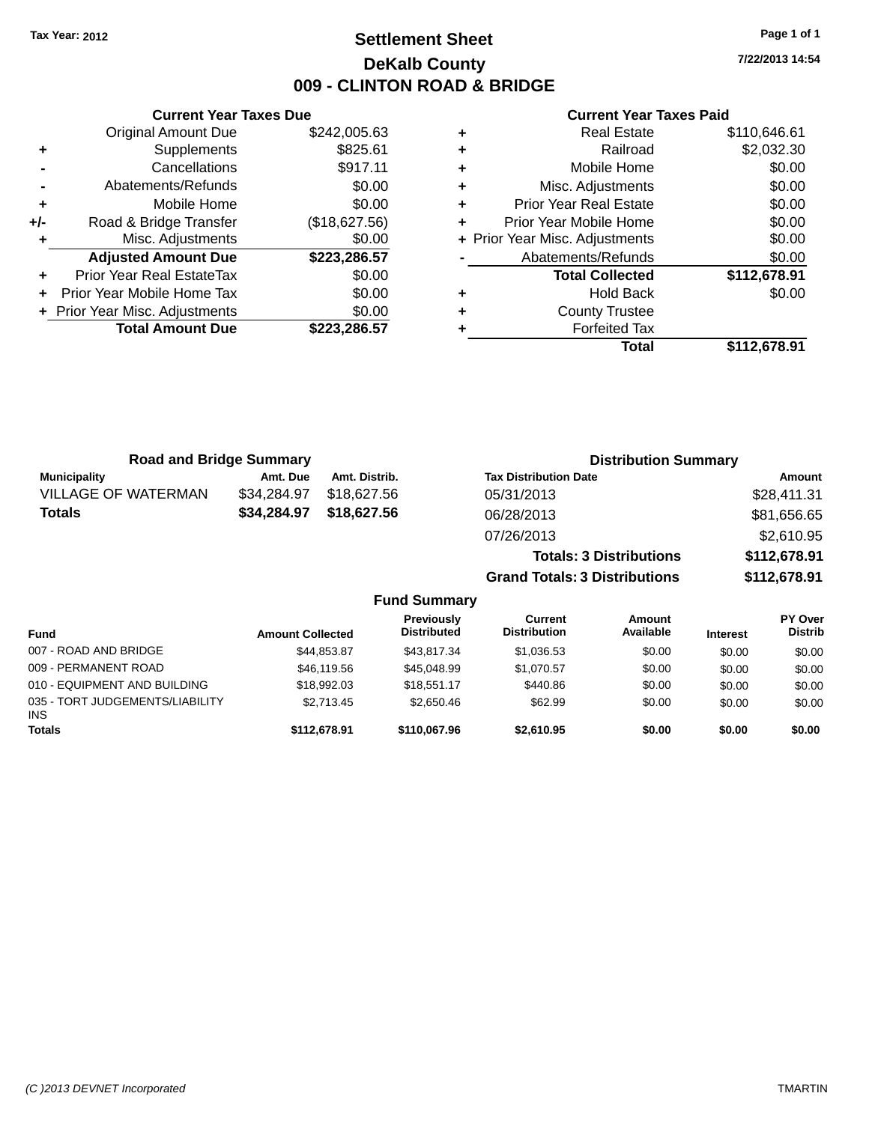## **Settlement Sheet Tax Year: 2012 Page 1 of 1 DeKalb County 009 - CLINTON ROAD & BRIDGE**

**7/22/2013 14:54**

|     | <b>Current Year Taxes Due</b>  |               |  |  |  |
|-----|--------------------------------|---------------|--|--|--|
|     | <b>Original Amount Due</b>     | \$242,005.63  |  |  |  |
| ٠   | Supplements                    | \$825.61      |  |  |  |
|     | Cancellations                  | \$917.11      |  |  |  |
|     | \$0.00<br>Abatements/Refunds   |               |  |  |  |
| ٠   | Mobile Home                    | \$0.00        |  |  |  |
| +/- | Road & Bridge Transfer         | (\$18,627.56) |  |  |  |
| ٠   | Misc. Adjustments              | \$0.00        |  |  |  |
|     | <b>Adjusted Amount Due</b>     | \$223,286.57  |  |  |  |
| ٠   | Prior Year Real EstateTax      | \$0.00        |  |  |  |
| ÷   | Prior Year Mobile Home Tax     | \$0.00        |  |  |  |
|     | + Prior Year Misc. Adjustments | \$0.00        |  |  |  |
|     | <b>Total Amount Due</b>        | \$223,286.57  |  |  |  |
|     |                                |               |  |  |  |

| <b>Road and Bridge Summary</b> |             |               | <b>Distribution Summary</b>          |              |
|--------------------------------|-------------|---------------|--------------------------------------|--------------|
| <b>Municipality</b>            | Amt. Due    | Amt. Distrib. | <b>Tax Distribution Date</b>         | Amount       |
| <b>VILLAGE OF WATERMAN</b>     | \$34,284.97 | \$18.627.56   | 05/31/2013                           | \$28,411.31  |
| <b>Totals</b>                  | \$34,284.97 | \$18,627.56   | 06/28/2013                           | \$81,656.65  |
|                                |             |               | 07/26/2013                           | \$2,610.95   |
|                                |             |               | <b>Totals: 3 Distributions</b>       | \$112,678.91 |
|                                |             |               | <b>Grand Totals: 3 Distributions</b> | \$112,678.91 |

|                                               |                         | <b>Fund Summary</b>                     |                                |                     |                 |                                  |
|-----------------------------------------------|-------------------------|-----------------------------------------|--------------------------------|---------------------|-----------------|----------------------------------|
| <b>Fund</b>                                   | <b>Amount Collected</b> | <b>Previously</b><br><b>Distributed</b> | Current<br><b>Distribution</b> | Amount<br>Available | <b>Interest</b> | <b>PY Over</b><br><b>Distrib</b> |
| 007 - ROAD AND BRIDGE                         | \$44.853.87             | \$43,817.34                             | \$1,036.53                     | \$0.00              | \$0.00          | \$0.00                           |
| 009 - PERMANENT ROAD                          | \$46,119.56             | \$45,048.99                             | \$1,070.57                     | \$0.00              | \$0.00          | \$0.00                           |
| 010 - EQUIPMENT AND BUILDING                  | \$18,992.03             | \$18,551.17                             | \$440.86                       | \$0.00              | \$0.00          | \$0.00                           |
| 035 - TORT JUDGEMENTS/LIABILITY<br><b>INS</b> | \$2.713.45              | \$2,650.46                              | \$62.99                        | \$0.00              | \$0.00          | \$0.00                           |
| <b>Totals</b>                                 | \$112,678.91            | \$110,067.96                            | \$2,610.95                     | \$0.00              | \$0.00          | \$0.00                           |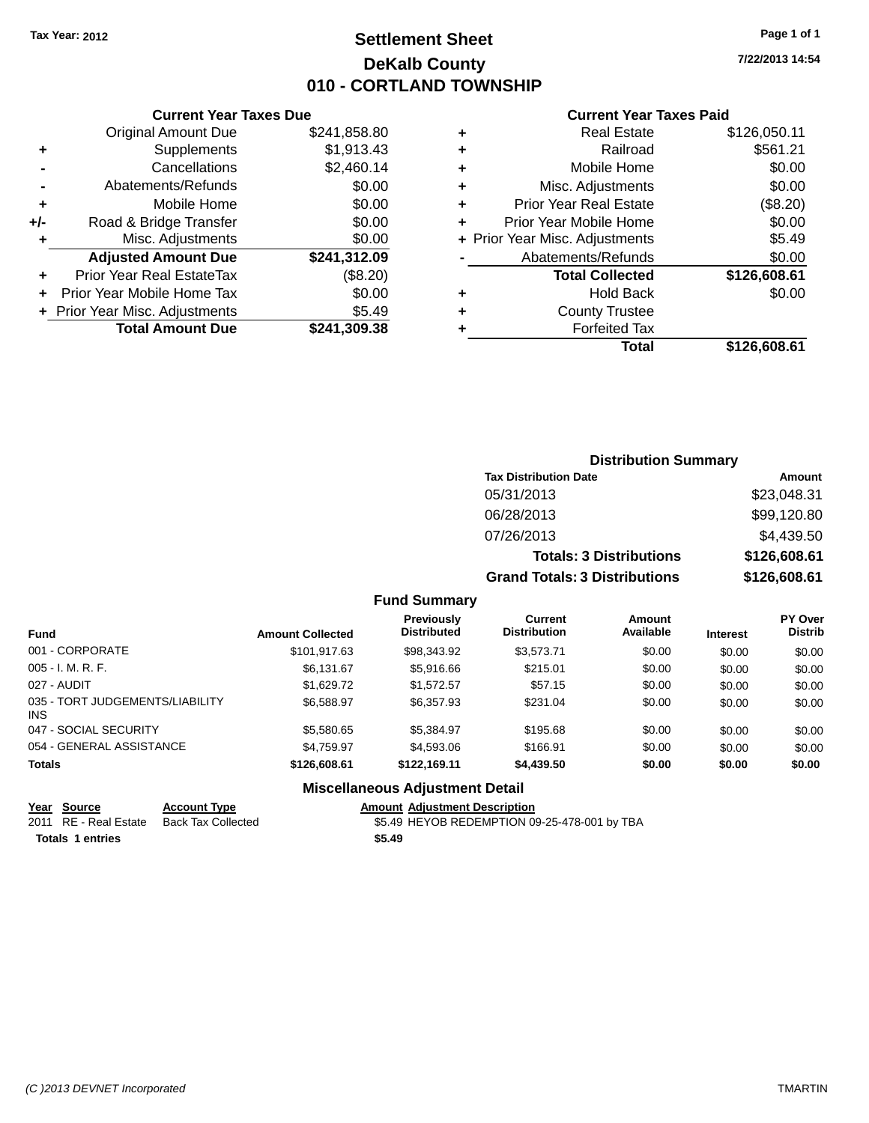## **Settlement Sheet Tax Year: 2012 Page 1 of 1 DeKalb County 010 - CORTLAND TOWNSHIP**

**7/22/2013 14:54**

#### **Current Year Taxes Paid**

|                      | ٠ | \$241,858.80 | <b>Original Amount Due</b>       |       |
|----------------------|---|--------------|----------------------------------|-------|
|                      | ٠ | \$1,913.43   | Supplements                      |       |
| M                    | ٠ | \$2,460.14   | Cancellations                    |       |
| Misc. A              | ٠ | \$0.00       | Abatements/Refunds               |       |
| Prior Year I         | ٠ | \$0.00       | Mobile Home                      |       |
| Prior Year M         |   | \$0.00       | Road & Bridge Transfer           | $+/-$ |
| + Prior Year Misc. A |   | \$0.00       | Misc. Adjustments                |       |
| Abatemer             |   | \$241,312.09 | <b>Adjusted Amount Due</b>       |       |
| Total                |   | (\$8.20)     | <b>Prior Year Real EstateTax</b> | ٠     |
|                      | ٠ | \$0.00       | Prior Year Mobile Home Tax       |       |
| Cou                  | ٠ | \$5.49       | + Prior Year Misc. Adjustments   |       |
| F٥                   |   | \$241,309.38 | <b>Total Amount Due</b>          |       |
|                      |   |              |                                  |       |

**Current Year Taxes Due**

|   | Total                          | \$126,608.61 |
|---|--------------------------------|--------------|
|   | <b>Forfeited Tax</b>           |              |
|   | <b>County Trustee</b>          |              |
|   | <b>Hold Back</b>               | \$0.00       |
|   | <b>Total Collected</b>         | \$126,608.61 |
|   | Abatements/Refunds             | \$0.00       |
|   | + Prior Year Misc. Adjustments | \$5.49       |
| ÷ | Prior Year Mobile Home         | \$0.00       |
| ÷ | <b>Prior Year Real Estate</b>  | (\$8.20)     |
| ÷ | Misc. Adjustments              | \$0.00       |
| ÷ | Mobile Home                    | \$0.00       |
| ÷ | Railroad                       | \$561.21     |
| ٠ | <b>Real Estate</b>             | \$126,050.11 |

## **Distribution Summary Tax Distribution Date Amount** 05/31/2013 \$23,048.31 06/28/2013 \$99,120.80 07/26/2013 \$4,439.50 **Totals: 3 Distributions \$126,608.61 Grand Totals: 3 Distributions \$126,608.61 Fund Summary**

#### **Fund Interest Amount Collected Distributed PY Over Distrib Amount Available Current Distribution Previously** 001 - CORPORATE 6 \$101,917.63 \$98,343.92 \$3,573.71 \$0.00 \$0.00 \$0.00 \$0.00 \$0.00 \$0.00 \$0.00 \$0.00 \$0.00 \$0.00 \$0.00 005 - I. M. R. F. \$6,131.67 \$5,916.66 \$215.01 \$0.00 \$0.00 \$0.00 027 - AUDIT \$1,629.72 \$1,572.57 \$57.15 \$0.00 \$0.00 \$0.00 035 - TORT JUDGEMENTS/LIABILITY INS \$6,588.97 \$6,357.93 \$231.04 \$0.00 \$0.00 \$0.00 047 - SOCIAL SECURITY \$5,580.65 \$5,384.97 \$195.68 \$0.00 \$0.00 \$0.00 054 - GENERAL ASSISTANCE \$4,759.97 \$4,593.06 \$166.91 \$0.00 \$0.00 \$0.00 **Totals \$126,608.61 \$122,169.11 \$4,439.50 \$0.00 \$0.00 \$0.00**

#### **Miscellaneous Adjustment Detail**

#### **Year Source Account Type Amount Adjustment Description**

2011 RE - Real Estate Back Tax Collected \$5.49 HEYOB REDEMPTION 09-25-478-001 by TBA **Totals 1 entries \$5.49**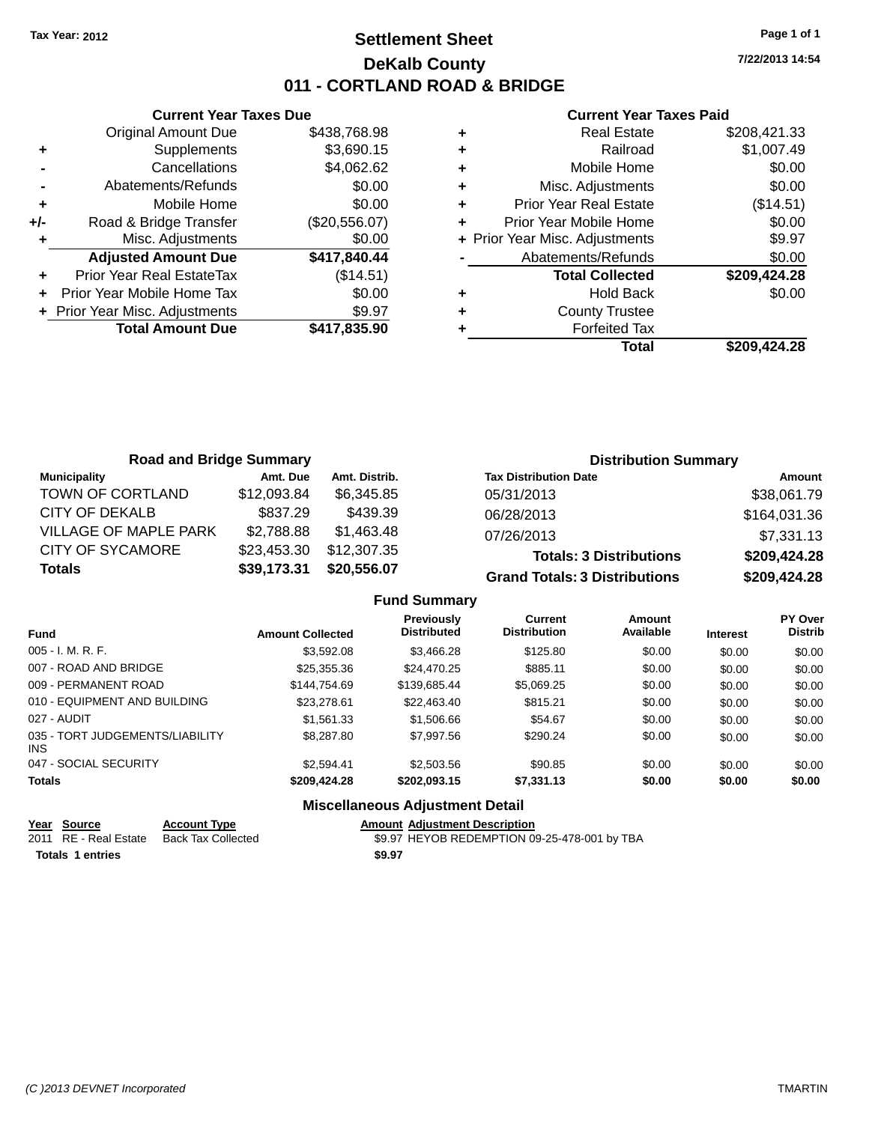## **Settlement Sheet Tax Year: 2012 Page 1 of 1 DeKalb County 011 - CORTLAND ROAD & BRIDGE**

**7/22/2013 14:54**

#### **Current Year Taxes Paid**

|     | <b>Current Year Taxes Due</b>            |               |  |  |  |  |  |
|-----|------------------------------------------|---------------|--|--|--|--|--|
|     | <b>Original Amount Due</b>               | \$438,768.98  |  |  |  |  |  |
| ٠   | Supplements                              | \$3,690.15    |  |  |  |  |  |
|     | Cancellations                            | \$4,062.62    |  |  |  |  |  |
|     | Abatements/Refunds                       | \$0.00        |  |  |  |  |  |
| ٠   | Mobile Home                              | \$0.00        |  |  |  |  |  |
| +/- | Road & Bridge Transfer                   | (\$20,556.07) |  |  |  |  |  |
|     | Misc. Adjustments                        | \$0.00        |  |  |  |  |  |
|     | <b>Adjusted Amount Due</b>               | \$417,840.44  |  |  |  |  |  |
|     | Prior Year Real EstateTax                | (\$14.51)     |  |  |  |  |  |
|     | Prior Year Mobile Home Tax               | \$0.00        |  |  |  |  |  |
|     | \$9.97<br>+ Prior Year Misc. Adjustments |               |  |  |  |  |  |
|     | <b>Total Amount Due</b>                  | \$417,835.90  |  |  |  |  |  |
|     |                                          |               |  |  |  |  |  |

| ٠ | <b>Real Estate</b>             | \$208,421.33 |
|---|--------------------------------|--------------|
| ٠ | Railroad                       | \$1,007.49   |
| ٠ | Mobile Home                    | \$0.00       |
| ٠ | Misc. Adjustments              | \$0.00       |
| ٠ | <b>Prior Year Real Estate</b>  | (\$14.51)    |
| ٠ | Prior Year Mobile Home         | \$0.00       |
|   | + Prior Year Misc. Adjustments | \$9.97       |
|   | Abatements/Refunds             | \$0.00       |
|   | <b>Total Collected</b>         | \$209,424.28 |
| ٠ | <b>Hold Back</b>               | \$0.00       |
| ٠ | <b>County Trustee</b>          |              |
|   | <b>Forfeited Tax</b>           |              |
|   | Total                          | \$209.424.28 |

| <b>Road and Bridge Summary</b> |             |               | <b>Distribution Summary</b>          |              |
|--------------------------------|-------------|---------------|--------------------------------------|--------------|
| <b>Municipality</b>            | Amt. Due    | Amt. Distrib. | <b>Tax Distribution Date</b>         | Amount       |
| TOWN OF CORTLAND               | \$12,093.84 | \$6.345.85    | 05/31/2013                           | \$38,061.79  |
| CITY OF DEKALB                 | \$837.29    | \$439.39      | 06/28/2013                           | \$164,031.36 |
| <b>VILLAGE OF MAPLE PARK</b>   | \$2,788.88  | \$1.463.48    | 07/26/2013                           | \$7,331.13   |
| <b>CITY OF SYCAMORE</b>        | \$23,453.30 | \$12,307.35   | <b>Totals: 3 Distributions</b>       | \$209,424.28 |
| <b>Totals</b>                  | \$39,173.31 | \$20,556.07   | <b>Grand Totals: 3 Distributions</b> | \$209,424.28 |

#### **Fund Summary**

| Fund                                    | <b>Amount Collected</b> | Previously<br><b>Distributed</b> | Current<br><b>Distribution</b> | Amount<br>Available | <b>Interest</b> | <b>PY Over</b><br><b>Distrib</b> |
|-----------------------------------------|-------------------------|----------------------------------|--------------------------------|---------------------|-----------------|----------------------------------|
| 005 - I. M. R. F.                       | \$3,592.08              | \$3,466.28                       | \$125.80                       | \$0.00              | \$0.00          | \$0.00                           |
| 007 - ROAD AND BRIDGE                   | \$25,355.36             | \$24,470.25                      | \$885.11                       | \$0.00              | \$0.00          | \$0.00                           |
| 009 - PERMANENT ROAD                    | \$144.754.69            | \$139,685.44                     | \$5,069.25                     | \$0.00              | \$0.00          | \$0.00                           |
| 010 - EQUIPMENT AND BUILDING            | \$23,278.61             | \$22,463.40                      | \$815.21                       | \$0.00              | \$0.00          | \$0.00                           |
| 027 - AUDIT                             | \$1.561.33              | \$1,506.66                       | \$54.67                        | \$0.00              | \$0.00          | \$0.00                           |
| 035 - TORT JUDGEMENTS/LIABILITY<br>INS. | \$8,287.80              | \$7,997.56                       | \$290.24                       | \$0.00              | \$0.00          | \$0.00                           |
| 047 - SOCIAL SECURITY                   | \$2,594.41              | \$2,503.56                       | \$90.85                        | \$0.00              | \$0.00          | \$0.00                           |
| <b>Totals</b>                           | \$209,424.28            | \$202,093.15                     | \$7,331.13                     | \$0.00              | \$0.00          | \$0.00                           |

#### **Miscellaneous Adjustment Detail**

| Year Source             | <b>Account Type</b> | <b>Amount Adiustment Description</b>         |
|-------------------------|---------------------|----------------------------------------------|
| 2011 RE - Real Estate   | Back Tax Collected  | \$9.97 HEYOB REDEMPTION 09-25-478-001 by TBA |
| <b>Totals 1 entries</b> |                     | \$9.97                                       |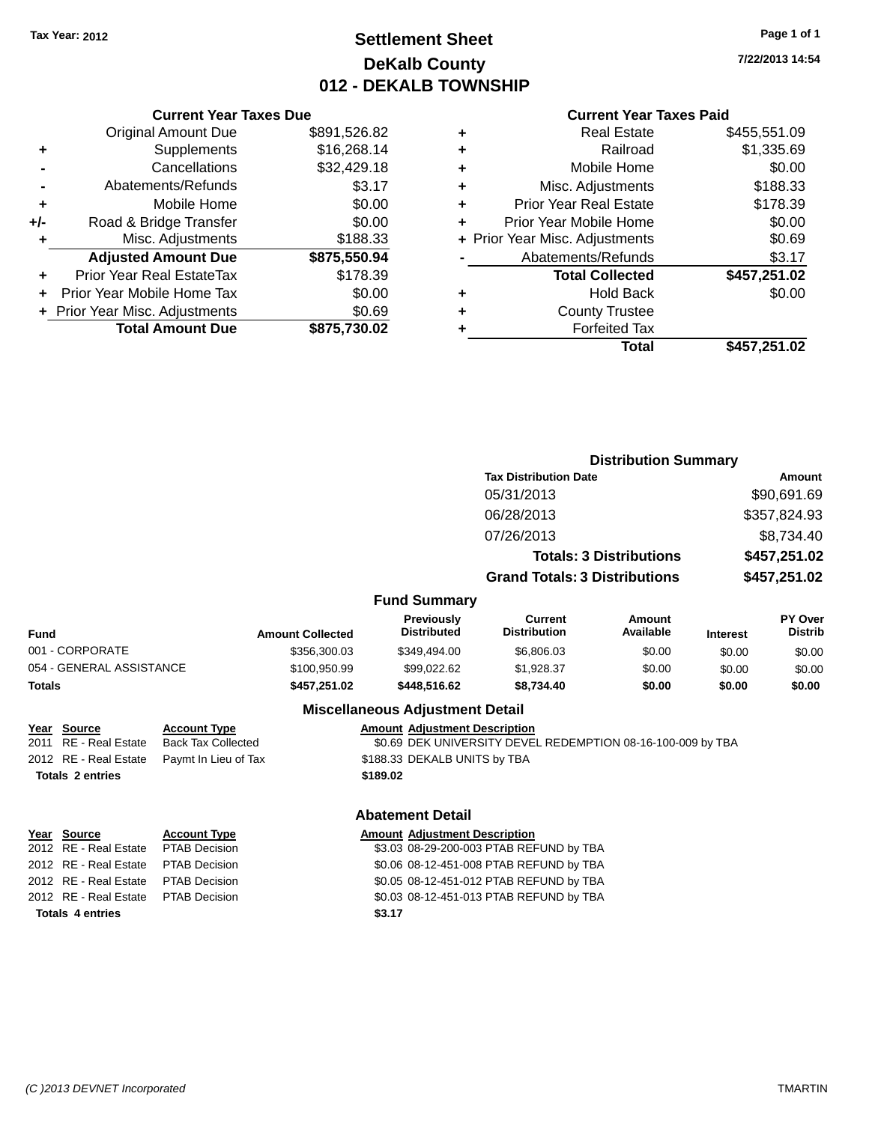## **Settlement Sheet Tax Year: 2012 Page 1 of 1 DeKalb County 012 - DEKALB TOWNSHIP**

**7/22/2013 14:54**

#### **Current Year Taxes Paid**

| <b>Current Year Taxes Due</b>  |              |
|--------------------------------|--------------|
| <b>Original Amount Due</b>     | \$891,526.82 |
| Supplements                    | \$16,268.14  |
| Cancellations                  | \$32,429.18  |
| Abatements/Refunds             | \$3.17       |
| Mobile Home                    | \$0.00       |
| Road & Bridge Transfer         | \$0.00       |
| Misc. Adjustments              | \$188.33     |
| <b>Adjusted Amount Due</b>     | \$875,550.94 |
| Prior Year Real EstateTax      | \$178.39     |
| Prior Year Mobile Home Tax     | \$0.00       |
| + Prior Year Misc. Adjustments | \$0.69       |
| <b>Total Amount Due</b>        | \$875,730.02 |
|                                |              |

| ٠ | <b>Real Estate</b>             | \$455,551.09 |
|---|--------------------------------|--------------|
| ٠ | Railroad                       | \$1,335.69   |
| ٠ | Mobile Home                    | \$0.00       |
| ٠ | Misc. Adjustments              | \$188.33     |
| ٠ | <b>Prior Year Real Estate</b>  | \$178.39     |
| ٠ | Prior Year Mobile Home         | \$0.00       |
|   | + Prior Year Misc. Adjustments | \$0.69       |
|   | Abatements/Refunds             | \$3.17       |
|   | <b>Total Collected</b>         | \$457,251.02 |
| ٠ | <b>Hold Back</b>               | \$0.00       |
| ٠ | <b>County Trustee</b>          |              |
| ٠ | <b>Forfeited Tax</b>           |              |
|   | Total                          | \$457,251.02 |
|   |                                |              |

|                          | <b>Distribution Summary</b>  |                                  |                                      |                     |                 |                           |
|--------------------------|------------------------------|----------------------------------|--------------------------------------|---------------------|-----------------|---------------------------|
|                          | <b>Tax Distribution Date</b> |                                  |                                      |                     | Amount          |                           |
|                          |                              |                                  | 05/31/2013                           |                     |                 | \$90,691.69               |
|                          |                              |                                  | 06/28/2013                           |                     |                 | \$357,824.93              |
|                          |                              |                                  | 07/26/2013                           |                     |                 | \$8,734.40                |
|                          |                              | <b>Totals: 3 Distributions</b>   |                                      | \$457,251.02        |                 |                           |
|                          |                              |                                  | <b>Grand Totals: 3 Distributions</b> |                     | \$457,251.02    |                           |
|                          |                              | <b>Fund Summary</b>              |                                      |                     |                 |                           |
| Fund                     | <b>Amount Collected</b>      | Previously<br><b>Distributed</b> | Current<br><b>Distribution</b>       | Amount<br>Available | <b>Interest</b> | PY Over<br><b>Distrib</b> |
| 001 - CORPORATE          | \$356,300.03                 | \$349,494.00                     | \$6,806.03                           | \$0.00              | \$0.00          | \$0.00                    |
| 054 - GENERAL ASSISTANCE | \$100,950.99                 | \$99,022.62                      | \$1,928.37                           | \$0.00              | \$0.00          | \$0.00                    |
| <b>Totals</b>            | \$457,251.02                 | \$448,516.62                     | \$8,734.40                           | \$0.00              | \$0.00          | \$0.00                    |
|                          |                              |                                  |                                      |                     |                 |                           |

#### **Miscellaneous Adjustment Detail**

|                         | <u>MISCENANEOUS AUJUSUNENT DETAIL</u> |                                                             |  |  |  |
|-------------------------|---------------------------------------|-------------------------------------------------------------|--|--|--|
| Year Source             | <b>Account Type</b>                   | <b>Amount Adjustment Description</b>                        |  |  |  |
| 2011 RE - Real Estate   | <b>Back Tax Collected</b>             | \$0.69 DEK UNIVERSITY DEVEL REDEMPTION 08-16-100-009 by TBA |  |  |  |
| 2012 RE - Real Estate   | Paymt In Lieu of Tax                  | \$188.33 DEKALB UNITS by TBA                                |  |  |  |
| <b>Totals 2 entries</b> |                                       | \$189.02                                                    |  |  |  |
|                         |                                       | <b>Abatement Detail</b>                                     |  |  |  |
| Year Source             | <b>Account Type</b>                   | <b>Amount Adjustment Description</b>                        |  |  |  |

# **Totals 4 entries \$3.17**

2012 RE - Real Estate PTAB Decision \$3.03 08-29-200-003 PTAB REFUND by TBA 2012 RE - Real Estate PTAB Decision \$0.06 08-12-451-008 PTAB REFUND by TBA 2012 RE - Real Estate PTAB Decision \$0.05 08-12-451-012 PTAB REFUND by TBA 2012 RE - Real Estate PTAB Decision \$0.03 08-12-451-013 PTAB REFUND by TBA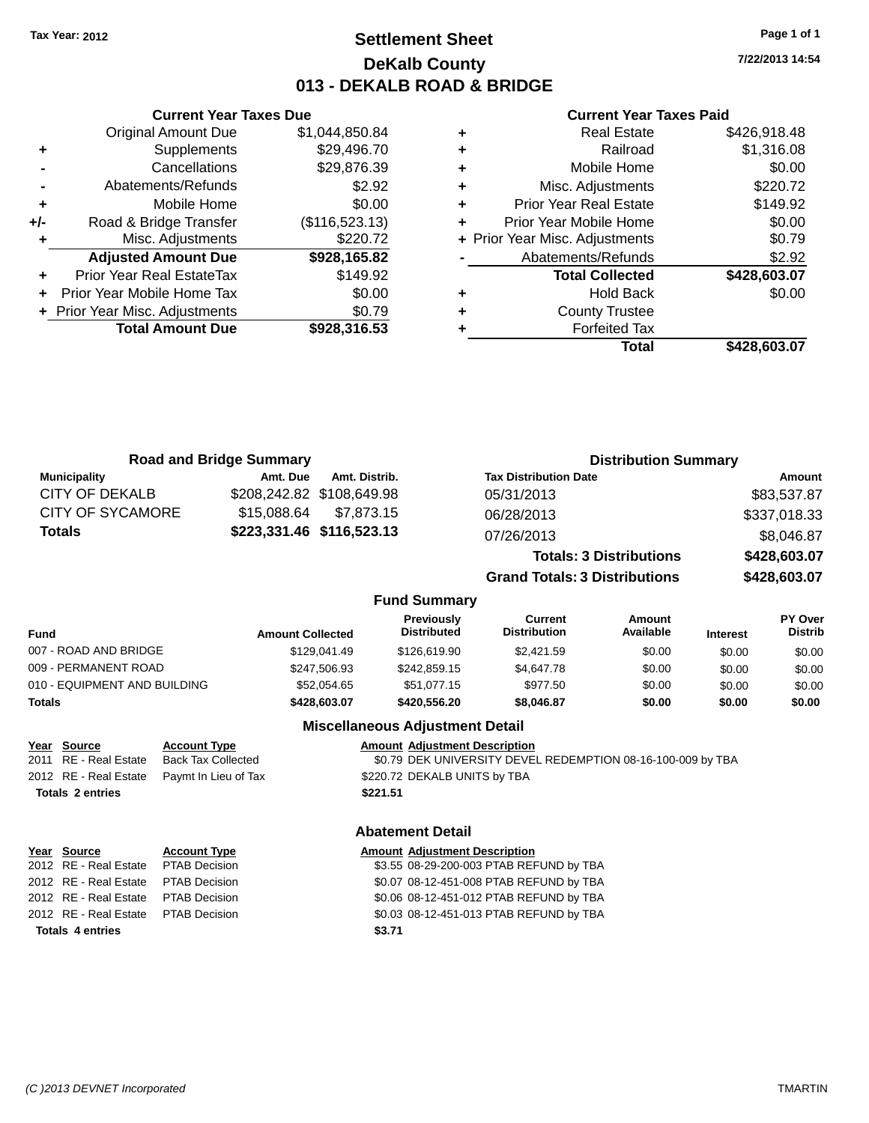## **Settlement Sheet Tax Year: 2012 Page 1 of 1 DeKalb County 013 - DEKALB ROAD & BRIDGE**

**7/22/2013 14:54**

#### **Current Year Taxes Paid**

|     | <b>Original Amount Due</b>     | \$1,044,850.84 | ٠         |
|-----|--------------------------------|----------------|-----------|
|     | Supplements                    | \$29,496.70    | ٠         |
|     | Cancellations                  | \$29,876.39    | ٠         |
|     | Abatements/Refunds             | \$2.92         | ٠         |
|     | Mobile Home                    | \$0.00         | ٠         |
| +/- | Road & Bridge Transfer         | (\$116,523.13) | Pı        |
|     | Misc. Adjustments              | \$220.72       | + Prior Y |
|     | <b>Adjusted Amount Due</b>     | \$928,165.82   |           |
|     | Prior Year Real EstateTax      | \$149.92       |           |
|     | Prior Year Mobile Home Tax     | \$0.00         | ٠         |
|     | + Prior Year Misc. Adjustments | \$0.79         | ٠         |
|     | <b>Total Amount Due</b>        | \$928,316.53   |           |
|     |                                |                |           |

**Current Year Taxes Due**

| ٠ | <b>Real Estate</b>             | \$426,918.48 |
|---|--------------------------------|--------------|
| ٠ | Railroad                       | \$1,316.08   |
| ٠ | Mobile Home                    | \$0.00       |
| ٠ | Misc. Adjustments              | \$220.72     |
| ٠ | <b>Prior Year Real Estate</b>  | \$149.92     |
| ٠ | Prior Year Mobile Home         | \$0.00       |
|   | + Prior Year Misc. Adjustments | \$0.79       |
|   | Abatements/Refunds             | \$2.92       |
|   | <b>Total Collected</b>         | \$428,603.07 |
| ٠ | <b>Hold Back</b>               | \$0.00       |
| ٠ | <b>County Trustee</b>          |              |
|   | <b>Forfeited Tax</b>           |              |
|   | Total                          | \$428,603.07 |
|   |                                |              |

|                         | <b>Road and Bridge Summary</b> |               |                                  |                                       | <b>Distribution Summary</b>    |                 |                           |
|-------------------------|--------------------------------|---------------|----------------------------------|---------------------------------------|--------------------------------|-----------------|---------------------------|
| <b>Municipality</b>     | Amt. Due                       | Amt. Distrib. |                                  | <b>Tax Distribution Date</b>          |                                |                 | Amount                    |
| <b>CITY OF DEKALB</b>   | \$208,242.82 \$108,649.98      |               |                                  | 05/31/2013                            |                                |                 | \$83,537.87               |
| <b>CITY OF SYCAMORE</b> | \$15,088.64                    | \$7,873.15    |                                  | 06/28/2013                            |                                |                 | \$337,018.33              |
| <b>Totals</b>           | \$223,331.46 \$116,523.13      |               |                                  | 07/26/2013                            |                                |                 | \$8,046.87                |
|                         |                                |               |                                  |                                       | <b>Totals: 3 Distributions</b> |                 | \$428,603.07              |
|                         |                                |               |                                  | <b>Grand Totals: 3 Distributions</b>  |                                |                 | \$428,603.07              |
|                         |                                |               | <b>Fund Summary</b>              |                                       |                                |                 |                           |
| <b>Fund</b>             | <b>Amount Collected</b>        |               | Previously<br><b>Distributed</b> | <b>Current</b><br><b>Distribution</b> | Amount<br>Available            | <b>Interest</b> | PY Over<br><b>Distrib</b> |
| 007 - ROAD AND BRIDGE   |                                | \$129.041.49  | \$126,619.90                     | \$2,421.59                            | \$0.00                         | \$0.00          | \$0.00                    |
| 009 - PERMANENT ROAD    |                                | \$247.506.93  | \$242,859.15                     | \$4,647.78                            | \$0.00                         | \$0.00          | \$0.00                    |

| <b>Totals</b>                | \$428.603.07 | \$420,556.20      | \$8,046.87      | \$0.00 | \$0.00 | \$0.00 |
|------------------------------|--------------|-------------------|-----------------|--------|--------|--------|
| 010 - EQUIPMENT AND BUILDING | \$52.054.65  | \$51.077.15       | \$977.50        | \$0.00 | \$0.00 | \$0.00 |
| 009 - PERMANENT ROAD         | \$247.506.93 | \$242,859.15      | \$4,647.78      | \$0.00 | \$0.00 | \$0.00 |
| <u>סטערוער שמער די ושט</u>   | 0.20071.70   | $V = V, V = V, V$ | <b>UL.TL.JU</b> | vv.vv  | vu.vu  | JU.UU  |

#### **Miscellaneous Adjustment Detail**

#### **Year** Source **Account Type Account Adjustment Description**

2011 RE - Real Estate Back Tax Collected \$0.79 DEK UNIVERSITY DEVEL REDEMPTION 08-16-100-009 by TBA 2012 RE - Real Estate Paymt In Lieu of Tax \$220.72 DEKALB UNITS by TBA **Totals 2 entries \$221.51**

#### **Abatement Detail**

| Year Source                         | <b>Account Type</b> |        | <b>Amount Adjustment Description</b>    |
|-------------------------------------|---------------------|--------|-----------------------------------------|
| 2012 RE - Real Estate PTAB Decision |                     |        | \$3.55 08-29-200-003 PTAB REFUND by TBA |
| 2012 RE - Real Estate PTAB Decision |                     |        | \$0.07 08-12-451-008 PTAB REFUND by TBA |
| 2012 RE - Real Estate PTAB Decision |                     |        | \$0.06 08-12-451-012 PTAB REFUND by TBA |
| 2012 RE - Real Estate PTAB Decision |                     |        | \$0.03 08-12-451-013 PTAB REFUND by TBA |
| <b>Totals 4 entries</b>             |                     | \$3.71 |                                         |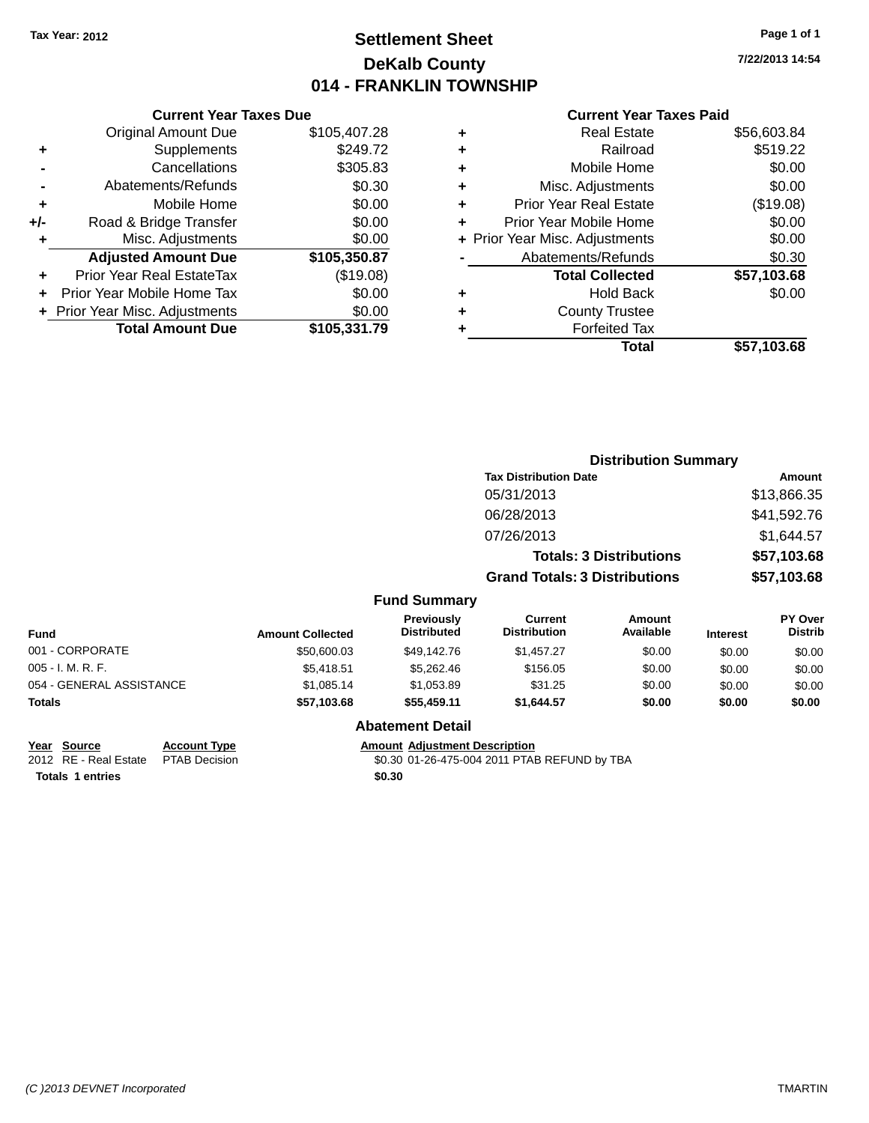## **Settlement Sheet Tax Year: 2012 Page 1 of 1 DeKalb County 014 - FRANKLIN TOWNSHIP**

**7/22/2013 14:54**

| <b>Current Year Taxes Paid</b> |  |  |
|--------------------------------|--|--|
|                                |  |  |

|     | <b>Current Year Taxes Due</b>  |              |  |  |  |  |
|-----|--------------------------------|--------------|--|--|--|--|
|     | <b>Original Amount Due</b>     | \$105,407.28 |  |  |  |  |
| ٠   | Supplements                    | \$249.72     |  |  |  |  |
|     | Cancellations                  | \$305.83     |  |  |  |  |
|     | Abatements/Refunds             | \$0.30       |  |  |  |  |
| ٠   | Mobile Home                    | \$0.00       |  |  |  |  |
| +/- | Road & Bridge Transfer         | \$0.00       |  |  |  |  |
|     | Misc. Adjustments              | \$0.00       |  |  |  |  |
|     | <b>Adjusted Amount Due</b>     | \$105,350.87 |  |  |  |  |
| ٠   | Prior Year Real EstateTax      | (\$19.08)    |  |  |  |  |
|     | Prior Year Mobile Home Tax     | \$0.00       |  |  |  |  |
|     | + Prior Year Misc. Adjustments | \$0.00       |  |  |  |  |
|     | <b>Total Amount Due</b>        | \$105,331.79 |  |  |  |  |
|     |                                |              |  |  |  |  |

| ٠ | <b>Real Estate</b>             | \$56,603.84 |
|---|--------------------------------|-------------|
| ٠ | Railroad                       | \$519.22    |
| ٠ | Mobile Home                    | \$0.00      |
| ٠ | Misc. Adjustments              | \$0.00      |
| ٠ | <b>Prior Year Real Estate</b>  | (\$19.08)   |
| ٠ | Prior Year Mobile Home         | \$0.00      |
|   | + Prior Year Misc. Adjustments | \$0.00      |
|   | Abatements/Refunds             | \$0.30      |
|   | <b>Total Collected</b>         | \$57,103.68 |
| ٠ | <b>Hold Back</b>               | \$0.00      |
| ٠ | <b>County Trustee</b>          |             |
| ٠ | <b>Forfeited Tax</b>           |             |
|   | Total                          | \$57,103.68 |
|   |                                |             |

|                          |                         |                                         |                                       | <b>Distribution Summary</b>    |                 |                           |
|--------------------------|-------------------------|-----------------------------------------|---------------------------------------|--------------------------------|-----------------|---------------------------|
|                          |                         |                                         | <b>Tax Distribution Date</b>          |                                |                 | Amount                    |
|                          |                         |                                         | 05/31/2013                            |                                |                 | \$13,866.35               |
|                          |                         |                                         | 06/28/2013                            |                                |                 | \$41,592.76               |
|                          |                         |                                         | 07/26/2013                            |                                |                 | \$1,644.57                |
|                          |                         |                                         |                                       | <b>Totals: 3 Distributions</b> |                 | \$57,103.68               |
|                          |                         |                                         | <b>Grand Totals: 3 Distributions</b>  |                                |                 | \$57,103.68               |
|                          |                         | <b>Fund Summary</b>                     |                                       |                                |                 |                           |
| <b>Fund</b>              | <b>Amount Collected</b> | <b>Previously</b><br><b>Distributed</b> | <b>Current</b><br><b>Distribution</b> | <b>Amount</b><br>Available     | <b>Interest</b> | PY Over<br><b>Distrib</b> |
| 001 - CORPORATE          | \$50,600.03             | \$49,142.76                             | \$1,457.27                            | \$0.00                         | \$0.00          | \$0.00                    |
| 005 - I. M. R. F.        | \$5,418.51              | \$5,262.46                              | \$156.05                              | \$0.00                         | \$0.00          | \$0.00                    |
| 054 - GENERAL ASSISTANCE | \$1,085.14              | \$1,053.89                              | \$31.25                               | \$0.00                         | \$0.00          | \$0.00                    |
| Totals                   | \$57,103.68             | \$55,459.11                             | \$1,644.57                            | \$0.00                         | \$0.00          | \$0.00                    |
|                          |                         | <b>Abatement Detail</b>                 |                                       |                                |                 |                           |

**Year** Source **Account Type Account Adjustment Description** 

2012 RE - Real Estate PTAB Decision \$0.30 01-26-475-004 2011 PTAB REFUND by TBA **Totals 1 entries \$0.30**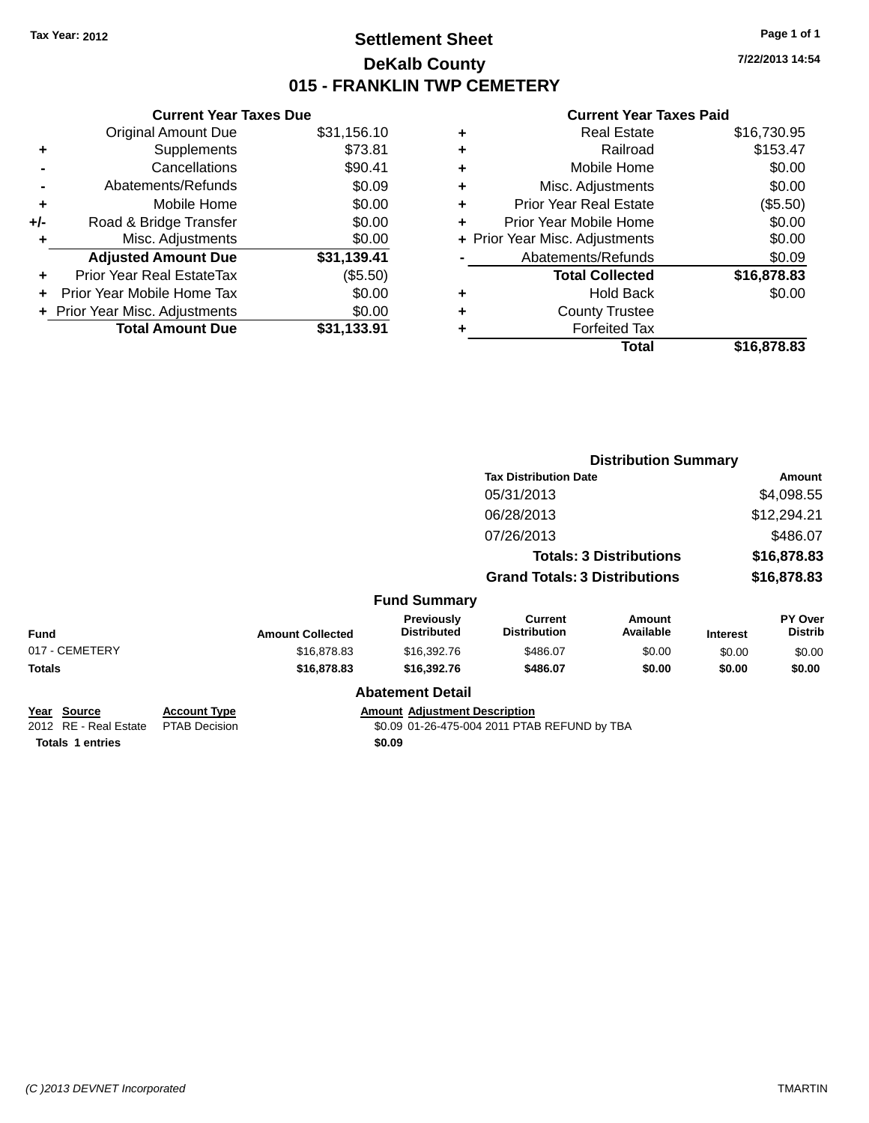## **Settlement Sheet Tax Year: 2012 Page 1 of 1 DeKalb County 015 - FRANKLIN TWP CEMETERY**

**7/22/2013 14:54**

|     | <b>Current Year Taxes Due</b>  |             |
|-----|--------------------------------|-------------|
|     | <b>Original Amount Due</b>     | \$31,156.10 |
| ٠   | Supplements                    | \$73.81     |
|     | Cancellations                  | \$90.41     |
|     | Abatements/Refunds             | \$0.09      |
| ÷   | Mobile Home                    | \$0.00      |
| +/- | Road & Bridge Transfer         | \$0.00      |
|     | Misc. Adjustments              | \$0.00      |
|     | <b>Adjusted Amount Due</b>     | \$31,139.41 |
|     | Prior Year Real EstateTax      | (\$5.50)    |
|     | Prior Year Mobile Home Tax     | \$0.00      |
|     | + Prior Year Misc. Adjustments | \$0.00      |
|     | <b>Total Amount Due</b>        | \$31.133.91 |
|     |                                |             |

|   | <b>Real Estate</b>             | \$16,730.95 |
|---|--------------------------------|-------------|
| ٠ | Railroad                       | \$153.47    |
| ٠ | Mobile Home                    | \$0.00      |
| ٠ | Misc. Adjustments              | \$0.00      |
| ٠ | <b>Prior Year Real Estate</b>  | (\$5.50)    |
| ٠ | Prior Year Mobile Home         | \$0.00      |
|   | + Prior Year Misc. Adjustments | \$0.00      |
|   | Abatements/Refunds             | \$0.09      |
|   | <b>Total Collected</b>         | \$16,878.83 |
| ٠ | <b>Hold Back</b>               | \$0.00      |
|   | <b>County Trustee</b>          |             |
| ٠ | <b>Forfeited Tax</b>           |             |
|   | Total                          | \$16,878.83 |
|   |                                |             |

|                                      |                                             |                         |                                         |                                              | <b>Distribution Summary</b>    |                 |                           |
|--------------------------------------|---------------------------------------------|-------------------------|-----------------------------------------|----------------------------------------------|--------------------------------|-----------------|---------------------------|
|                                      |                                             |                         |                                         | <b>Tax Distribution Date</b>                 |                                |                 | Amount                    |
|                                      |                                             |                         |                                         | 05/31/2013                                   |                                |                 | \$4,098.55                |
|                                      |                                             |                         |                                         | 06/28/2013                                   |                                |                 | \$12,294.21               |
|                                      |                                             |                         |                                         | 07/26/2013                                   |                                |                 | \$486.07                  |
|                                      |                                             |                         |                                         |                                              | <b>Totals: 3 Distributions</b> |                 | \$16,878.83               |
|                                      |                                             |                         |                                         | <b>Grand Totals: 3 Distributions</b>         |                                |                 | \$16,878.83               |
|                                      |                                             |                         | <b>Fund Summary</b>                     |                                              |                                |                 |                           |
| Fund                                 |                                             | <b>Amount Collected</b> | <b>Previously</b><br><b>Distributed</b> | <b>Current</b><br><b>Distribution</b>        | <b>Amount</b><br>Available     | <b>Interest</b> | PY Over<br><b>Distrib</b> |
| 017 - CEMETERY                       |                                             | \$16,878.83             | \$16,392.76                             | \$486.07                                     | \$0.00                         | \$0.00          | \$0.00                    |
| Totals                               |                                             | \$16,878.83             | \$16,392.76                             | \$486.07                                     | \$0.00                         | \$0.00          | \$0.00                    |
|                                      |                                             |                         | <b>Abatement Detail</b>                 |                                              |                                |                 |                           |
| Year Source<br>2012 RE - Real Estate | <b>Account Type</b><br><b>PTAB Decision</b> |                         | <b>Amount Adjustment Description</b>    | \$0.09 01-26-475-004 2011 PTAB REFUND by TBA |                                |                 |                           |
| <b>Totals 1 entries</b>              |                                             |                         | \$0.09                                  |                                              |                                |                 |                           |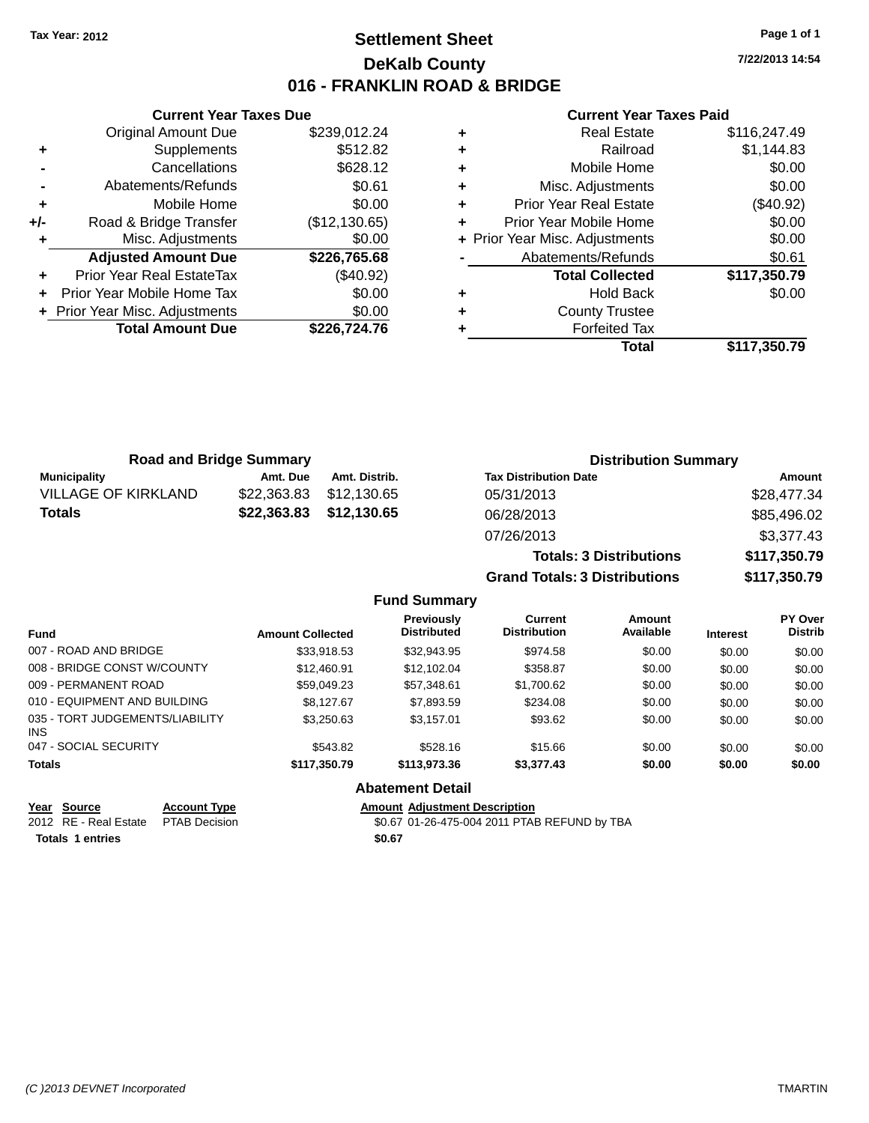## **Settlement Sheet Tax Year: 2012 Page 1 of 1 DeKalb County 016 - FRANKLIN ROAD & BRIDGE**

**7/22/2013 14:54**

#### **Current Year Taxes Paid**

|       | <b>Current Year Taxes Due</b>  |               |
|-------|--------------------------------|---------------|
|       | Original Amount Due            | \$239,012.24  |
| ٠     | Supplements                    | \$512.82      |
|       | Cancellations                  | \$628.12      |
|       | Abatements/Refunds             | \$0.61        |
| ٠     | Mobile Home                    | \$0.00        |
| $+/-$ | Road & Bridge Transfer         | (\$12,130.65) |
| ٠     | Misc. Adjustments              | \$0.00        |
|       | <b>Adjusted Amount Due</b>     | \$226,765.68  |
| ÷     | Prior Year Real EstateTax      | $(\$40.92)$   |
|       | Prior Year Mobile Home Tax     | \$0.00        |
|       | + Prior Year Misc. Adjustments | \$0.00        |
|       | <b>Total Amount Due</b>        | \$226,724.76  |
|       |                                |               |

|   | <b>Real Estate</b>             | \$116,247.49 |
|---|--------------------------------|--------------|
| ٠ | Railroad                       | \$1,144.83   |
| ٠ | Mobile Home                    | \$0.00       |
| ٠ | Misc. Adjustments              | \$0.00       |
| ٠ | <b>Prior Year Real Estate</b>  | $(\$40.92)$  |
| ÷ | Prior Year Mobile Home         | \$0.00       |
|   | + Prior Year Misc. Adjustments | \$0.00       |
|   | Abatements/Refunds             | \$0.61       |
|   | <b>Total Collected</b>         | \$117,350.79 |
| ٠ | Hold Back                      | \$0.00       |
| ٠ | <b>County Trustee</b>          |              |
|   | <b>Forfeited Tax</b>           |              |
|   | Total                          | \$117,350.79 |
|   |                                |              |

| <b>Road and Bridge Summary</b> |             |               | <b>Distribution Summary</b>    |              |  |
|--------------------------------|-------------|---------------|--------------------------------|--------------|--|
| <b>Municipality</b>            | Amt. Due    | Amt. Distrib. | <b>Tax Distribution Date</b>   | Amount       |  |
| <b>VILLAGE OF KIRKLAND</b>     | \$22,363.83 | \$12,130.65   | 05/31/2013                     | \$28,477.34  |  |
| <b>Totals</b>                  | \$22,363.83 | \$12,130.65   | 06/28/2013                     | \$85,496.02  |  |
|                                |             |               | 07/26/2013                     | \$3,377.43   |  |
|                                |             |               | <b>Totals: 3 Distributions</b> | \$117,350.79 |  |

**Grand Totals: 3 Distributions \$117,350.79**

#### **Fund Summary**

| <b>Fund</b>                             | <b>Amount Collected</b> | <b>Previously</b><br><b>Distributed</b> | Current<br><b>Distribution</b> | Amount<br>Available | <b>Interest</b> | PY Over<br><b>Distrib</b> |
|-----------------------------------------|-------------------------|-----------------------------------------|--------------------------------|---------------------|-----------------|---------------------------|
| 007 - ROAD AND BRIDGE                   | \$33,918.53             | \$32,943.95                             | \$974.58                       | \$0.00              | \$0.00          | \$0.00                    |
| 008 - BRIDGE CONST W/COUNTY             | \$12,460.91             | \$12.102.04                             | \$358.87                       | \$0.00              | \$0.00          | \$0.00                    |
| 009 - PERMANENT ROAD                    | \$59,049.23             | \$57,348.61                             | \$1,700.62                     | \$0.00              | \$0.00          | \$0.00                    |
| 010 - EQUIPMENT AND BUILDING            | \$8.127.67              | \$7,893.59                              | \$234.08                       | \$0.00              | \$0.00          | \$0.00                    |
| 035 - TORT JUDGEMENTS/LIABILITY<br>INS. | \$3,250.63              | \$3,157.01                              | \$93.62                        | \$0.00              | \$0.00          | \$0.00                    |
| 047 - SOCIAL SECURITY                   | \$543.82                | \$528.16                                | \$15.66                        | \$0.00              | \$0.00          | \$0.00                    |
| <b>Totals</b>                           | \$117,350.79            | \$113,973,36                            | \$3,377.43                     | \$0.00              | \$0.00          | \$0.00                    |

#### **Abatement Detail**

**<u>Year Source</u> <b>Account Type Amount Adjustment Description**<br>2012 RE - Real Estate PTAB Decision **Amount Adjustment Description** 

\$0.67 01-26-475-004 2011 PTAB REFUND by TBA **Totals 1 entries \$0.67**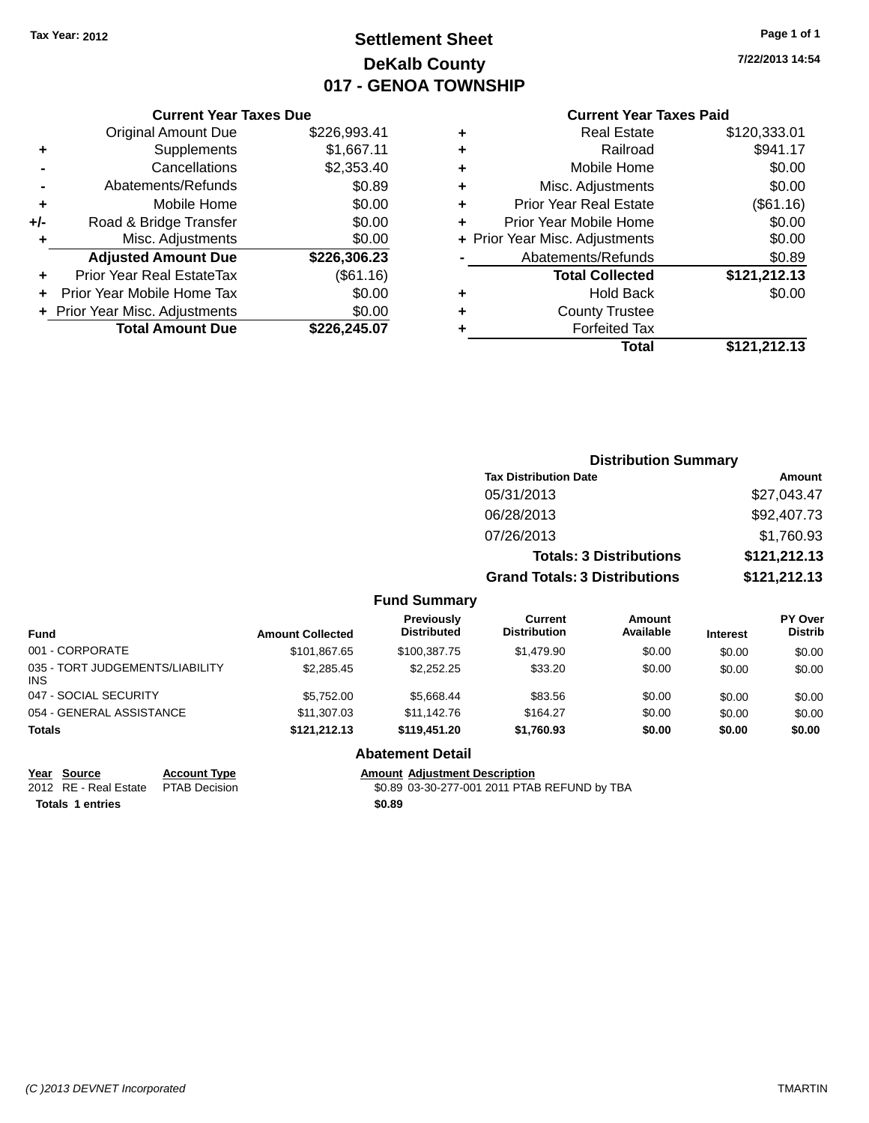## **Settlement Sheet Tax Year: 2012 Page 1 of 1 DeKalb County 017 - GENOA TOWNSHIP**

**7/22/2013 14:54**

#### **Current Year Taxes Paid**

|       | <b>Current Year Taxes Due</b>  |              |
|-------|--------------------------------|--------------|
|       | <b>Original Amount Due</b>     | \$226,993.41 |
| ٠     | Supplements                    | \$1,667.11   |
|       | Cancellations                  | \$2,353.40   |
|       | Abatements/Refunds             | \$0.89       |
| ٠     | Mobile Home                    | \$0.00       |
| $+/-$ | Road & Bridge Transfer         | \$0.00       |
| ٠     | Misc. Adjustments              | \$0.00       |
|       | <b>Adjusted Amount Due</b>     | \$226,306.23 |
| ٠     | Prior Year Real EstateTax      | (\$61.16)    |
|       | Prior Year Mobile Home Tax     | \$0.00       |
|       | + Prior Year Misc. Adjustments | \$0.00       |
|       | <b>Total Amount Due</b>        | \$226,245.07 |
|       |                                |              |

|   | <b>Real Estate</b>             | \$120,333.01 |
|---|--------------------------------|--------------|
| ٠ | Railroad                       | \$941.17     |
| ٠ | Mobile Home                    | \$0.00       |
| ٠ | Misc. Adjustments              | \$0.00       |
| ٠ | <b>Prior Year Real Estate</b>  | (\$61.16)    |
| ٠ | Prior Year Mobile Home         | \$0.00       |
|   | + Prior Year Misc. Adjustments | \$0.00       |
|   | Abatements/Refunds             | \$0.89       |
|   | <b>Total Collected</b>         | \$121,212.13 |
| ٠ | <b>Hold Back</b>               | \$0.00       |
| ٠ | <b>County Trustee</b>          |              |
|   | <b>Forfeited Tax</b>           |              |
|   | Total                          | \$121,212.13 |
|   |                                |              |

|                      |                                         |                                      | <b>Distribution Summary</b>    |          |                                  |
|----------------------|-----------------------------------------|--------------------------------------|--------------------------------|----------|----------------------------------|
|                      |                                         | <b>Tax Distribution Date</b>         |                                |          | Amount                           |
|                      |                                         | 05/31/2013                           |                                |          | \$27,043.47                      |
|                      |                                         | 06/28/2013                           |                                |          | \$92,407.73                      |
|                      |                                         | 07/26/2013                           |                                |          | \$1,760.93                       |
|                      |                                         |                                      | <b>Totals: 3 Distributions</b> |          | \$121,212.13                     |
|                      |                                         | <b>Grand Totals: 3 Distributions</b> |                                |          | \$121,212.13                     |
|                      | <b>Fund Summary</b>                     |                                      |                                |          |                                  |
| <b>int Collected</b> | <b>Previously</b><br><b>Distributed</b> | Current<br><b>Distribution</b>       | Amount<br>Available            | Interest | <b>PY Over</b><br><b>Distrib</b> |

| <b>Fund</b>                                   | <b>Amount Collected</b> | <b>Previously</b><br><b>Distributed</b> | Current<br><b>Distribution</b> | Amount<br>Available | <b>Interest</b> | <b>PY Over</b><br><b>Distrib</b> |
|-----------------------------------------------|-------------------------|-----------------------------------------|--------------------------------|---------------------|-----------------|----------------------------------|
| 001 - CORPORATE                               | \$101.867.65            | \$100.387.75                            | \$1,479.90                     | \$0.00              | \$0.00          | \$0.00                           |
| 035 - TORT JUDGEMENTS/LIABILITY<br><b>INS</b> | \$2,285.45              | \$2,252,25                              | \$33.20                        | \$0.00              | \$0.00          | \$0.00                           |
| 047 - SOCIAL SECURITY                         | \$5.752.00              | \$5.668.44                              | \$83.56                        | \$0.00              | \$0.00          | \$0.00                           |
| 054 - GENERAL ASSISTANCE                      | \$11,307.03             | \$11.142.76                             | \$164.27                       | \$0.00              | \$0.00          | \$0.00                           |
| <b>Totals</b>                                 | \$121.212.13            | \$119,451.20                            | \$1,760.93                     | \$0.00              | \$0.00          | \$0.00                           |

## **Year Source Account Type Account Type Amount Adjustment Description**<br>2012 RE - Real Estate PTAB Decision **1997 1998 10-1998** 10-30-277-001 2011 PTAE

**Totals 1 entries \$0.89**

#### **Abatement Detail**

\$0.89 03-30-277-001 2011 PTAB REFUND by TBA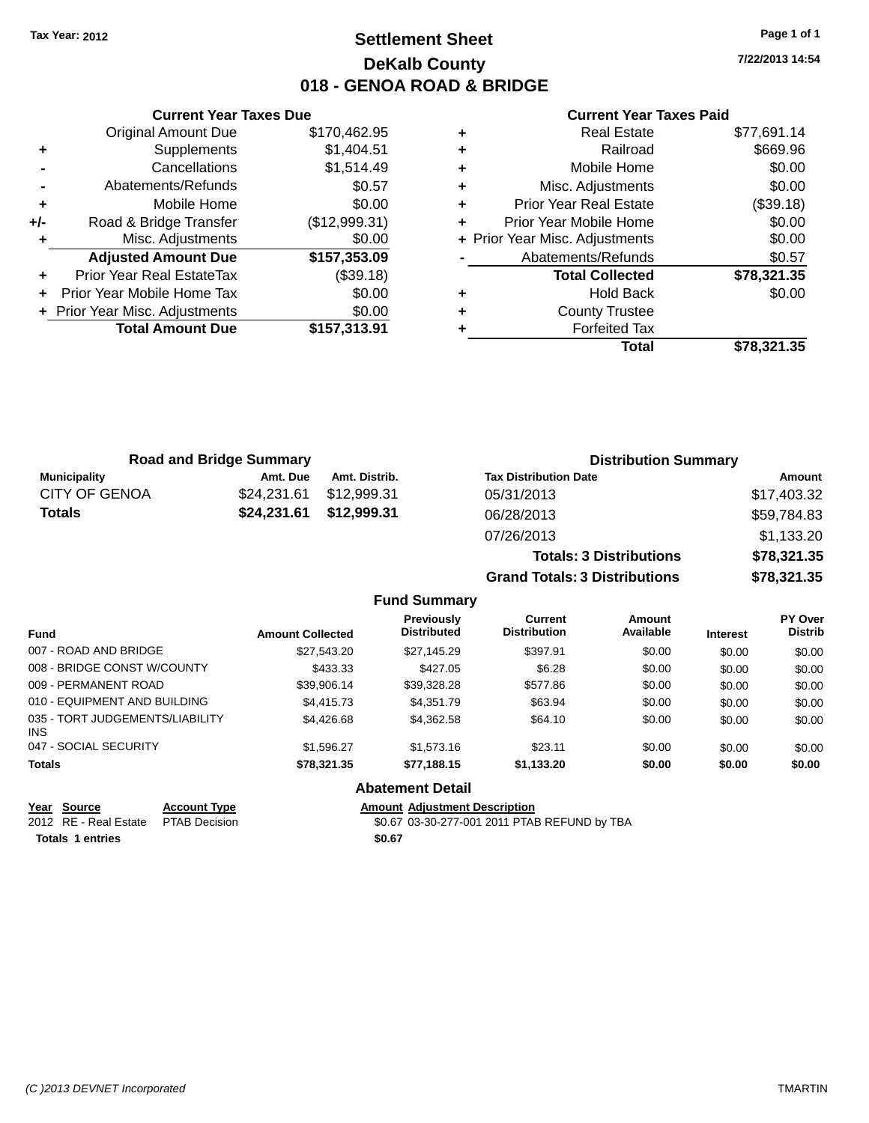## **Settlement Sheet Tax Year: 2012 Page 1 of 1 DeKalb County 018 - GENOA ROAD & BRIDGE**

**7/22/2013 14:54**

#### **Current Year Taxes Paid**

|     | <b>Original Amount Due</b>     | \$170,462.95  |
|-----|--------------------------------|---------------|
| ٠   | Supplements                    | \$1,404.51    |
|     | Cancellations                  | \$1,514.49    |
|     | Abatements/Refunds             | \$0.57        |
| ÷   | Mobile Home                    | \$0.00        |
| +/- | Road & Bridge Transfer         | (\$12,999.31) |
|     | Misc. Adjustments              | \$0.00        |
|     | <b>Adjusted Amount Due</b>     | \$157,353.09  |
| ÷   | Prior Year Real EstateTax      | (\$39.18)     |
| ÷   | Prior Year Mobile Home Tax     | \$0.00        |
|     | + Prior Year Misc. Adjustments | \$0.00        |
|     | <b>Total Amount Due</b>        | \$157,313.91  |
|     |                                |               |

**Current Year Taxes Due**

| ٠ | <b>Real Estate</b>             | \$77,691.14 |
|---|--------------------------------|-------------|
| ٠ | Railroad                       | \$669.96    |
| ٠ | Mobile Home                    | \$0.00      |
| ٠ | Misc. Adjustments              | \$0.00      |
| ٠ | <b>Prior Year Real Estate</b>  | (\$39.18)   |
| ٠ | Prior Year Mobile Home         | \$0.00      |
|   | + Prior Year Misc. Adjustments | \$0.00      |
|   | Abatements/Refunds             | \$0.57      |
|   | <b>Total Collected</b>         | \$78,321.35 |
| ٠ | <b>Hold Back</b>               | \$0.00      |
| ٠ | <b>County Trustee</b>          |             |
| ٠ | <b>Forfeited Tax</b>           |             |
|   | Total                          | \$78,321.35 |
|   |                                |             |

**Totals: 3 Distributions \$78,321.35**

**Grand Totals: 3 Distributions \$78,321.35**

| <b>Road and Bridge Summary</b> |                         |               | <b>Distribution Summary</b>  |             |  |
|--------------------------------|-------------------------|---------------|------------------------------|-------------|--|
| Municipality                   | Amt. Due                | Amt. Distrib. | <b>Tax Distribution Date</b> | Amount      |  |
| <b>CITY OF GENOA</b>           | \$24.231.61 \$12.999.31 |               | 05/31/2013                   | \$17,403.32 |  |
| Totals                         | \$24,231.61 \$12,999.31 |               | 06/28/2013                   | \$59,784.83 |  |
|                                |                         |               | 07/26/2013                   | \$1,133.20  |  |

#### **Fund Summary Fund Interest Amount Collected Distributed PY Over Distrib Amount Available Current Distribution Previously** 007 - ROAD AND BRIDGE \$27,543.20 \$27,145.29 \$397.91 \$0.00 \$0.00 \$0.00 \$0.00 008 - BRIDGE CONST W/COUNTY  $$433.33$   $$427.05$   $$6.28$   $$0.00$   $$0.00$   $$0.00$ 009 - PERMANENT ROAD \$39,906.14 \$39,328.28 \$577.86 \$0.00 \$0.00 \$0.00 010 - EQUIPMENT AND BUILDING \$4,415.73 \$4,351.79 \$63.94 \$0.00 \$0.00 \$0.00 \$0.00 035 - TORT JUDGEMENTS/LIABILITY INS \$4,426.68 \$4,362.58 \$64.10 \$0.00 \$0.00 \$0.00 047 - SOCIAL SECURITY \$1,596.27 \$1,573.16 \$23.11 \$0.00 \$0.00 \$0.00 **Totals \$78,321.35 \$77,188.15 \$1,133.20 \$0.00 \$0.00 \$0.00 Abatement Detail**

**Year Source Account Type Amount Adjustment Description** 2012 RE - Real Estate PTAB Decision \$0.67 03-30-277-001 2011 PTAB REFUND by TBA **Totals 1 entries \$0.67**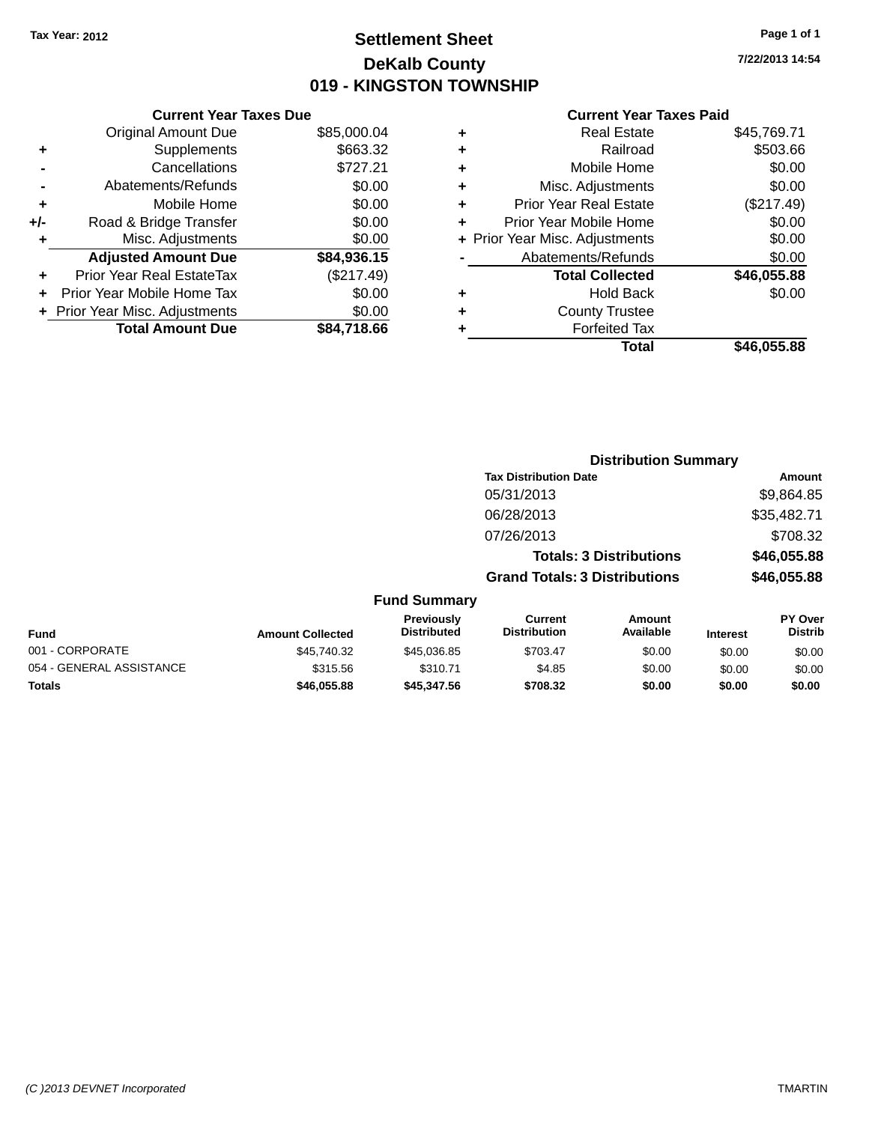## **Settlement Sheet Tax Year: 2012 Page 1 of 1 DeKalb County 019 - KINGSTON TOWNSHIP**

**7/22/2013 14:54**

|     | <b>Current Year Taxes Due</b>  |             |
|-----|--------------------------------|-------------|
|     | <b>Original Amount Due</b>     | \$85,000.04 |
| ٠   | Supplements                    | \$663.32    |
|     | Cancellations                  | \$727.21    |
|     | Abatements/Refunds             | \$0.00      |
| ٠   | Mobile Home                    | \$0.00      |
| +/- | Road & Bridge Transfer         | \$0.00      |
|     | Misc. Adjustments              | \$0.00      |
|     | <b>Adjusted Amount Due</b>     | \$84,936.15 |
| ٠   | Prior Year Real EstateTax      | (\$217.49)  |
|     | Prior Year Mobile Home Tax     | \$0.00      |
|     | + Prior Year Misc. Adjustments | \$0.00      |
|     | <b>Total Amount Due</b>        | \$84.718.66 |
|     |                                |             |

|   | <b>Real Estate</b>             | \$45,769.71 |
|---|--------------------------------|-------------|
| ٠ | Railroad                       | \$503.66    |
| ٠ | Mobile Home                    | \$0.00      |
| ٠ | Misc. Adjustments              | \$0.00      |
| ٠ | <b>Prior Year Real Estate</b>  | (\$217.49)  |
| ٠ | Prior Year Mobile Home         | \$0.00      |
|   | + Prior Year Misc. Adjustments | \$0.00      |
|   | Abatements/Refunds             | \$0.00      |
|   | <b>Total Collected</b>         | \$46,055.88 |
| ٠ | Hold Back                      | \$0.00      |
| ٠ | <b>County Trustee</b>          |             |
| ٠ | <b>Forfeited Tax</b>           |             |
|   | Total                          | \$46,055.88 |
|   |                                |             |

|                         |                                  |                                      | <b>Distribution Summary</b>    |                 |                                  |
|-------------------------|----------------------------------|--------------------------------------|--------------------------------|-----------------|----------------------------------|
|                         |                                  | <b>Tax Distribution Date</b>         |                                |                 | Amount                           |
|                         |                                  | 05/31/2013                           |                                |                 | \$9,864.85                       |
|                         |                                  | 06/28/2013                           |                                |                 | \$35,482.71                      |
|                         |                                  | 07/26/2013                           |                                |                 | \$708.32                         |
|                         |                                  |                                      | <b>Totals: 3 Distributions</b> |                 | \$46,055.88                      |
|                         |                                  | <b>Grand Totals: 3 Distributions</b> |                                |                 | \$46,055.88                      |
|                         | <b>Fund Summary</b>              |                                      |                                |                 |                                  |
| <b>Amount Collected</b> | Previously<br><b>Distributed</b> | Current<br><b>Distribution</b>       | Amount<br>Available            | <b>Interest</b> | <b>PY Over</b><br><b>Distrib</b> |
| \$45.740.32             | \$45,036.85                      | \$703.47                             | \$0.00                         | \$0.00          | \$0.00                           |

| Fund                     | <b>Amount Collected</b> | <b>FICVIOUSIV</b><br><b>Distributed</b> | <b>UULLEIIL</b><br><b>Distribution</b> | AIIVUIIL<br>Available | <b>Interest</b> | гіччы<br>Distrib |
|--------------------------|-------------------------|-----------------------------------------|----------------------------------------|-----------------------|-----------------|------------------|
| 001 - CORPORATE          | \$45.740.32             | \$45.036.85                             | \$703.47                               | \$0.00                | \$0.00          | \$0.00           |
| 054 - GENERAL ASSISTANCE | \$315.56                | \$310.71                                | \$4.85                                 | \$0.00                | \$0.00          | \$0.00           |
| Totals                   | \$46.055.88             | \$45,347,56                             | \$708.32                               | \$0.00                | \$0.00          | \$0.00           |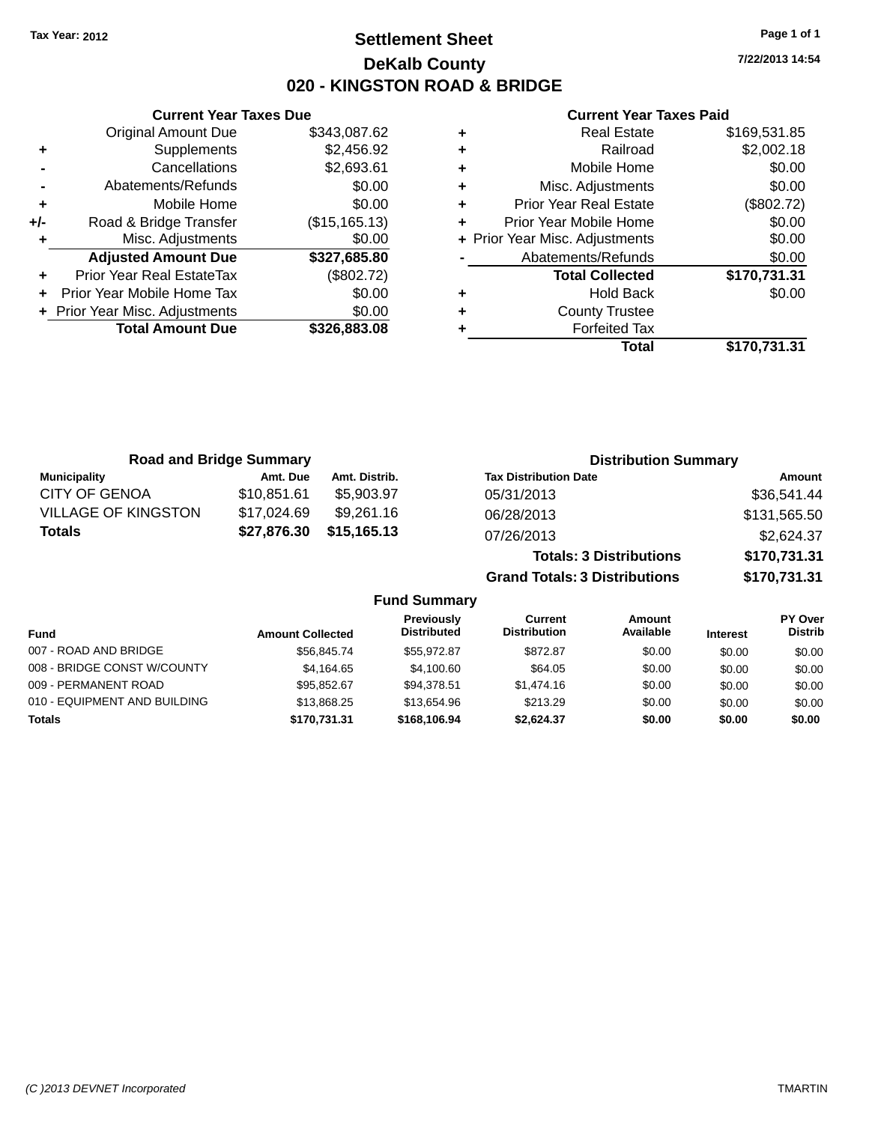## **Settlement Sheet Tax Year: 2012 Page 1 of 1 DeKalb County 020 - KINGSTON ROAD & BRIDGE**

**7/22/2013 14:54**

#### **Current Year Taxes Paid**

|       | <b>Current Year Taxes Due</b>  |                |
|-------|--------------------------------|----------------|
|       | <b>Original Amount Due</b>     | \$343,087.62   |
| ٠     | Supplements                    | \$2,456.92     |
|       | Cancellations                  | \$2,693.61     |
|       | Abatements/Refunds             | \$0.00         |
| ٠     | Mobile Home                    | \$0.00         |
| $+/-$ | Road & Bridge Transfer         | (\$15, 165.13) |
| ٠     | Misc. Adjustments              | \$0.00         |
|       | <b>Adjusted Amount Due</b>     | \$327,685.80   |
| ٠     | Prior Year Real EstateTax      | (\$802.72)     |
|       | Prior Year Mobile Home Tax     | \$0.00         |
|       | + Prior Year Misc. Adjustments | \$0.00         |
|       | <b>Total Amount Due</b>        | \$326,883.08   |
|       |                                |                |

|   | Total                          | \$170,731.31 |
|---|--------------------------------|--------------|
| ٠ | <b>Forfeited Tax</b>           |              |
| ٠ | <b>County Trustee</b>          |              |
| ٠ | <b>Hold Back</b>               | \$0.00       |
|   | <b>Total Collected</b>         | \$170,731.31 |
|   | Abatements/Refunds             | \$0.00       |
|   | + Prior Year Misc. Adjustments | \$0.00       |
| ÷ | Prior Year Mobile Home         | \$0.00       |
| ٠ | <b>Prior Year Real Estate</b>  | (\$802.72)   |
| ٠ | Misc. Adjustments              | \$0.00       |
| ٠ | Mobile Home                    | \$0.00       |
| ٠ | Railroad                       | \$2,002.18   |
|   | <b>Real Estate</b>             | \$169,531.85 |

| <b>Road and Bridge Summary</b> |             |               | <b>Distribution Summary</b>    |              |
|--------------------------------|-------------|---------------|--------------------------------|--------------|
| <b>Municipality</b>            | Amt. Due    | Amt. Distrib. | <b>Tax Distribution Date</b>   | Amount       |
| <b>CITY OF GENOA</b>           | \$10,851.61 | \$5,903,97    | 05/31/2013                     | \$36,541.44  |
| <b>VILLAGE OF KINGSTON</b>     | \$17,024.69 | \$9,261.16    | 06/28/2013                     | \$131,565.50 |
| <b>Totals</b>                  | \$27,876.30 | \$15,165.13   | 07/26/2013                     | \$2,624.37   |
|                                |             |               | <b>Totals: 3 Distributions</b> | \$170,731.31 |

**Grand Totals: 3 Distributions \$170,731.31**

#### **Fund Summary**

| <b>Fund</b>                  | <b>Amount Collected</b> | <b>Previously</b><br><b>Distributed</b> | Current<br><b>Distribution</b> | Amount<br>Available | <b>Interest</b> | PY Over<br><b>Distrib</b> |
|------------------------------|-------------------------|-----------------------------------------|--------------------------------|---------------------|-----------------|---------------------------|
| 007 - ROAD AND BRIDGE        | \$56,845.74             | \$55.972.87                             | \$872.87                       | \$0.00              | \$0.00          | \$0.00                    |
| 008 - BRIDGE CONST W/COUNTY  | \$4.164.65              | \$4,100.60                              | \$64.05                        | \$0.00              | \$0.00          | \$0.00                    |
| 009 - PERMANENT ROAD         | \$95,852.67             | \$94,378.51                             | \$1,474.16                     | \$0.00              | \$0.00          | \$0.00                    |
| 010 - EQUIPMENT AND BUILDING | \$13,868,25             | \$13.654.96                             | \$213.29                       | \$0.00              | \$0.00          | \$0.00                    |
| <b>Totals</b>                | \$170.731.31            | \$168,106.94                            | \$2.624.37                     | \$0.00              | \$0.00          | \$0.00                    |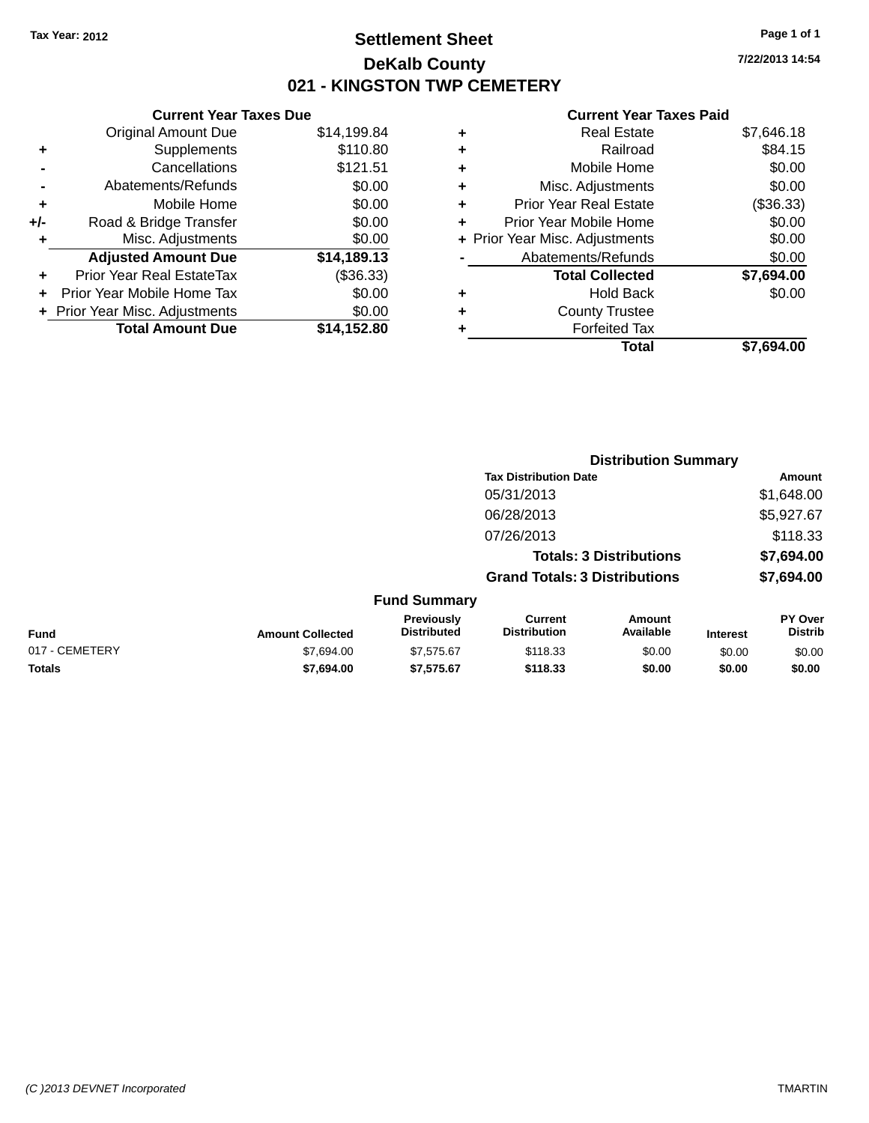## **Settlement Sheet Tax Year: 2012 Page 1 of 1 DeKalb County 021 - KINGSTON TWP CEMETERY**

**7/22/2013 14:54**

|       | <b>Current Year Taxes Due</b>  |             |
|-------|--------------------------------|-------------|
|       | <b>Original Amount Due</b>     | \$14,199.84 |
| ٠     | Supplements                    | \$110.80    |
|       | Cancellations                  | \$121.51    |
|       | Abatements/Refunds             | \$0.00      |
| ٠     | Mobile Home                    | \$0.00      |
| $+/-$ | Road & Bridge Transfer         | \$0.00      |
| ٠     | Misc. Adjustments              | \$0.00      |
|       | <b>Adjusted Amount Due</b>     | \$14,189.13 |
|       | Prior Year Real EstateTax      | (\$36.33)   |
|       | Prior Year Mobile Home Tax     | \$0.00      |
|       | + Prior Year Misc. Adjustments | \$0.00      |
|       | <b>Total Amount Due</b>        | \$14,152.80 |
|       |                                |             |

| ٠ | Real Estate                    | \$7,646.18 |
|---|--------------------------------|------------|
| ٠ | Railroad                       | \$84.15    |
| ٠ | Mobile Home                    | \$0.00     |
| ٠ | Misc. Adjustments              | \$0.00     |
| ٠ | <b>Prior Year Real Estate</b>  | (\$36.33)  |
|   | Prior Year Mobile Home         | \$0.00     |
|   | + Prior Year Misc. Adjustments | \$0.00     |
|   | Abatements/Refunds             | \$0.00     |
|   | <b>Total Collected</b>         | \$7,694.00 |
| ٠ | Hold Back                      | \$0.00     |
| ٠ | <b>County Trustee</b>          |            |
| ٠ | <b>Forfeited Tax</b>           |            |
|   | Total                          | \$7,694.00 |
|   |                                |            |

|                |                         |                                  | <b>Distribution Summary</b>           |                                |                 |                           |
|----------------|-------------------------|----------------------------------|---------------------------------------|--------------------------------|-----------------|---------------------------|
|                |                         |                                  | <b>Tax Distribution Date</b>          |                                |                 | <b>Amount</b>             |
|                |                         |                                  | 05/31/2013                            |                                |                 | \$1,648.00                |
|                |                         |                                  | 06/28/2013                            |                                |                 | \$5,927.67                |
|                |                         |                                  | 07/26/2013                            |                                |                 | \$118.33                  |
|                |                         |                                  |                                       | <b>Totals: 3 Distributions</b> |                 | \$7,694.00                |
|                |                         |                                  | <b>Grand Totals: 3 Distributions</b>  |                                |                 | \$7,694.00                |
|                |                         | <b>Fund Summary</b>              |                                       |                                |                 |                           |
| Fund           | <b>Amount Collected</b> | Previously<br><b>Distributed</b> | <b>Current</b><br><b>Distribution</b> | Amount<br>Available            | <b>Interest</b> | PY Over<br><b>Distrib</b> |
| 017 - CEMETERY | \$7,694.00              | \$7,575.67                       | \$118.33                              | \$0.00                         | \$0.00          | \$0.00                    |
| <b>Totals</b>  | \$7,694.00              | \$7,575.67                       | \$118.33                              | \$0.00                         | \$0.00          | \$0.00                    |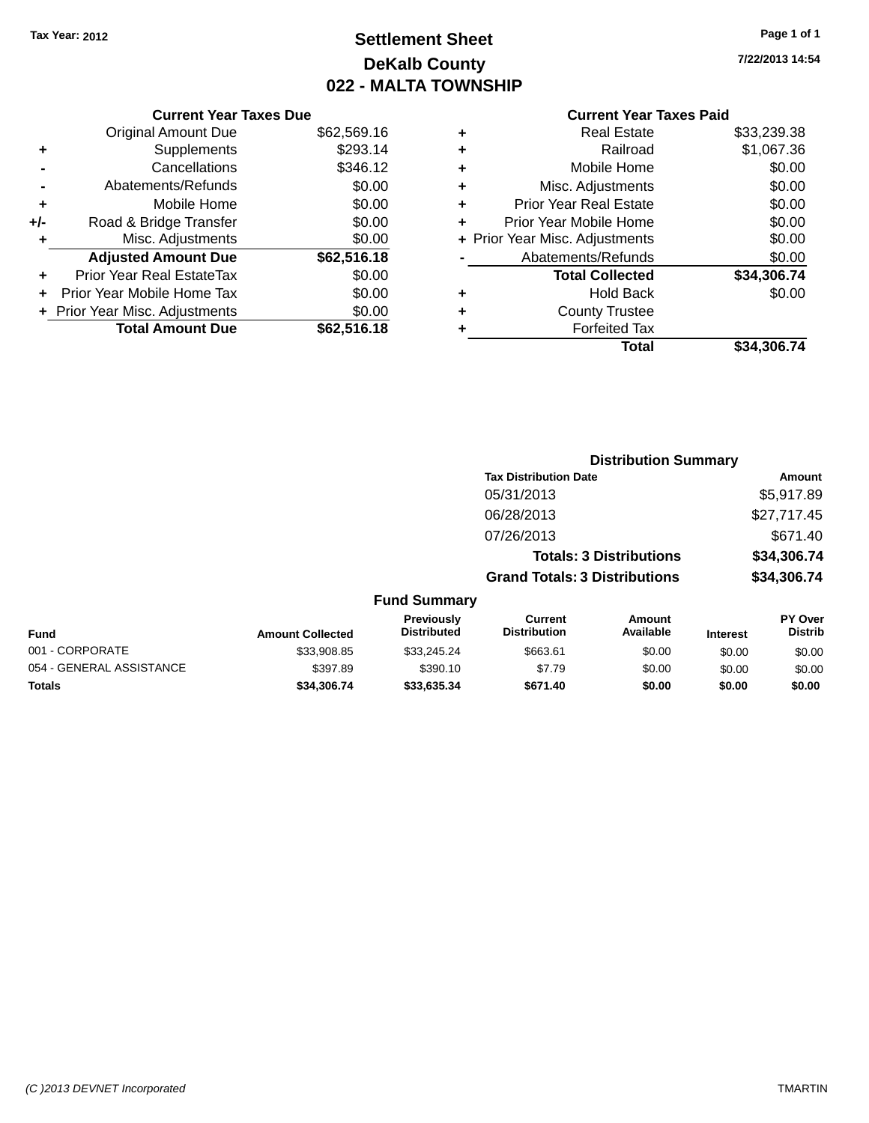## **Settlement Sheet Tax Year: 2012 Page 1 of 1 DeKalb County 022 - MALTA TOWNSHIP**

**7/22/2013 14:54**

|     | <b>Current Year Taxes Due</b>  |             |
|-----|--------------------------------|-------------|
|     | <b>Original Amount Due</b>     | \$62,569.16 |
| ٠   | Supplements                    | \$293.14    |
|     | Cancellations                  | \$346.12    |
|     | Abatements/Refunds             | \$0.00      |
| ٠   | Mobile Home                    | \$0.00      |
| +/- | Road & Bridge Transfer         | \$0.00      |
| ٠   | Misc. Adjustments              | \$0.00      |
|     | <b>Adjusted Amount Due</b>     | \$62,516.18 |
| ٠   | Prior Year Real EstateTax      | \$0.00      |
|     | Prior Year Mobile Home Tax     | \$0.00      |
|     | + Prior Year Misc. Adjustments | \$0.00      |
|     | <b>Total Amount Due</b>        | \$62,516.18 |
|     |                                |             |

|   | <b>Real Estate</b>             | \$33,239.38 |
|---|--------------------------------|-------------|
| ٠ | Railroad                       | \$1,067.36  |
| ٠ | Mobile Home                    | \$0.00      |
| ٠ | Misc. Adjustments              | \$0.00      |
| ٠ | <b>Prior Year Real Estate</b>  | \$0.00      |
| ٠ | Prior Year Mobile Home         | \$0.00      |
|   | + Prior Year Misc. Adjustments | \$0.00      |
|   | Abatements/Refunds             | \$0.00      |
|   | <b>Total Collected</b>         | \$34,306.74 |
| ٠ | Hold Back                      | \$0.00      |
| ٠ | <b>County Trustee</b>          |             |
| ٠ | <b>Forfeited Tax</b>           |             |
|   | Total                          | \$34,306.74 |
|   |                                |             |

|                     |                                      | <b>Distribution Summary</b>    |                |
|---------------------|--------------------------------------|--------------------------------|----------------|
|                     | <b>Tax Distribution Date</b>         |                                | Amount         |
|                     | 05/31/2013                           |                                | \$5,917.89     |
|                     | 06/28/2013                           |                                | \$27,717.45    |
|                     | 07/26/2013                           |                                | \$671.40       |
|                     |                                      | <b>Totals: 3 Distributions</b> | \$34,306.74    |
|                     | <b>Grand Totals: 3 Distributions</b> |                                | \$34,306.74    |
| <b>Fund Summary</b> |                                      |                                |                |
| Previously          | Current                              | Amount                         | <b>PY Over</b> |

| Fund                     | <b>Amount Collected</b> | <b>Previously</b><br><b>Distributed</b> | Current<br><b>Distribution</b> | Amount<br>Available | <b>Interest</b> | <b>PY Over</b><br><b>Distrib</b> |
|--------------------------|-------------------------|-----------------------------------------|--------------------------------|---------------------|-----------------|----------------------------------|
| 001 - CORPORATE          | \$33,908.85             | \$33.245.24                             | \$663.61                       | \$0.00              | \$0.00          | \$0.00                           |
| 054 - GENERAL ASSISTANCE | \$397.89                | \$390.10                                | \$7.79                         | \$0.00              | \$0.00          | \$0.00                           |
| Totals                   | \$34.306.74             | \$33,635,34                             | \$671.40                       | \$0.00              | \$0.00          | \$0.00                           |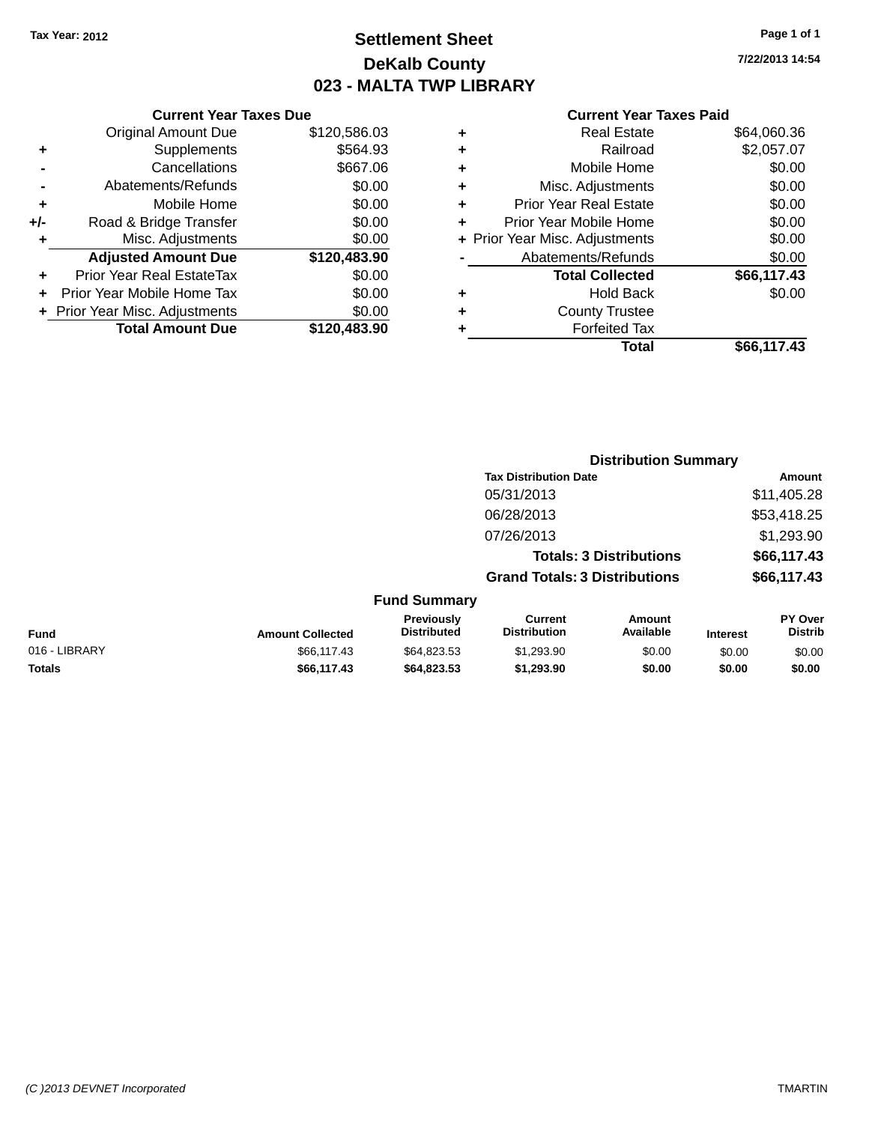## **Settlement Sheet Tax Year: 2012 Page 1 of 1 DeKalb County 023 - MALTA TWP LIBRARY**

**7/22/2013 14:54**

#### **Current Year Taxes Paid**

|     | <b>Current Year Taxes Due</b>    |              |  |  |  |
|-----|----------------------------------|--------------|--|--|--|
|     | <b>Original Amount Due</b>       | \$120,586.03 |  |  |  |
| ٠   | Supplements                      | \$564.93     |  |  |  |
|     | Cancellations                    | \$667.06     |  |  |  |
| -   | Abatements/Refunds               | \$0.00       |  |  |  |
| ٠   | Mobile Home                      | \$0.00       |  |  |  |
| +/- | Road & Bridge Transfer           | \$0.00       |  |  |  |
| ٠   | Misc. Adjustments                | \$0.00       |  |  |  |
|     | <b>Adjusted Amount Due</b>       | \$120,483.90 |  |  |  |
| ٠   | <b>Prior Year Real EstateTax</b> | \$0.00       |  |  |  |
|     | Prior Year Mobile Home Tax       | \$0.00       |  |  |  |
|     | + Prior Year Misc. Adjustments   | \$0.00       |  |  |  |
|     | <b>Total Amount Due</b>          | \$120,483.90 |  |  |  |
|     |                                  |              |  |  |  |

| ٠ | <b>Real Estate</b>             | \$64,060.36 |
|---|--------------------------------|-------------|
| ٠ | Railroad                       | \$2,057.07  |
| ٠ | Mobile Home                    | \$0.00      |
| ٠ | Misc. Adjustments              | \$0.00      |
| ٠ | <b>Prior Year Real Estate</b>  | \$0.00      |
| ÷ | Prior Year Mobile Home         | \$0.00      |
|   | + Prior Year Misc. Adjustments | \$0.00      |
|   | Abatements/Refunds             | \$0.00      |
|   | <b>Total Collected</b>         | \$66,117.43 |
| ٠ | <b>Hold Back</b>               | \$0.00      |
| ٠ | <b>County Trustee</b>          |             |
| ٠ | <b>Forfeited Tax</b>           |             |
|   | Total                          | \$66,117.43 |
|   |                                |             |

|               |                         |                                  |                                       | <b>Distribution Summary</b>    |                 |                           |
|---------------|-------------------------|----------------------------------|---------------------------------------|--------------------------------|-----------------|---------------------------|
|               |                         |                                  | <b>Tax Distribution Date</b>          |                                |                 | Amount                    |
|               |                         |                                  | 05/31/2013                            |                                |                 | \$11,405.28               |
|               |                         |                                  | 06/28/2013                            |                                |                 | \$53,418.25               |
|               |                         |                                  | 07/26/2013                            |                                |                 | \$1,293.90                |
|               |                         |                                  |                                       | <b>Totals: 3 Distributions</b> |                 | \$66,117.43               |
|               |                         |                                  | <b>Grand Totals: 3 Distributions</b>  |                                |                 | \$66,117.43               |
|               |                         | <b>Fund Summary</b>              |                                       |                                |                 |                           |
| Fund          | <b>Amount Collected</b> | Previously<br><b>Distributed</b> | <b>Current</b><br><b>Distribution</b> | Amount<br>Available            | <b>Interest</b> | PY Over<br><b>Distrib</b> |
| 016 - LIBRARY | \$66,117,43             | \$64.823.53                      | \$1,293.90                            | \$0.00                         | \$0.00          | \$0.00                    |

**Totals \$66,117.43 \$64,823.53 \$1,293.90 \$0.00 \$0.00 \$0.00**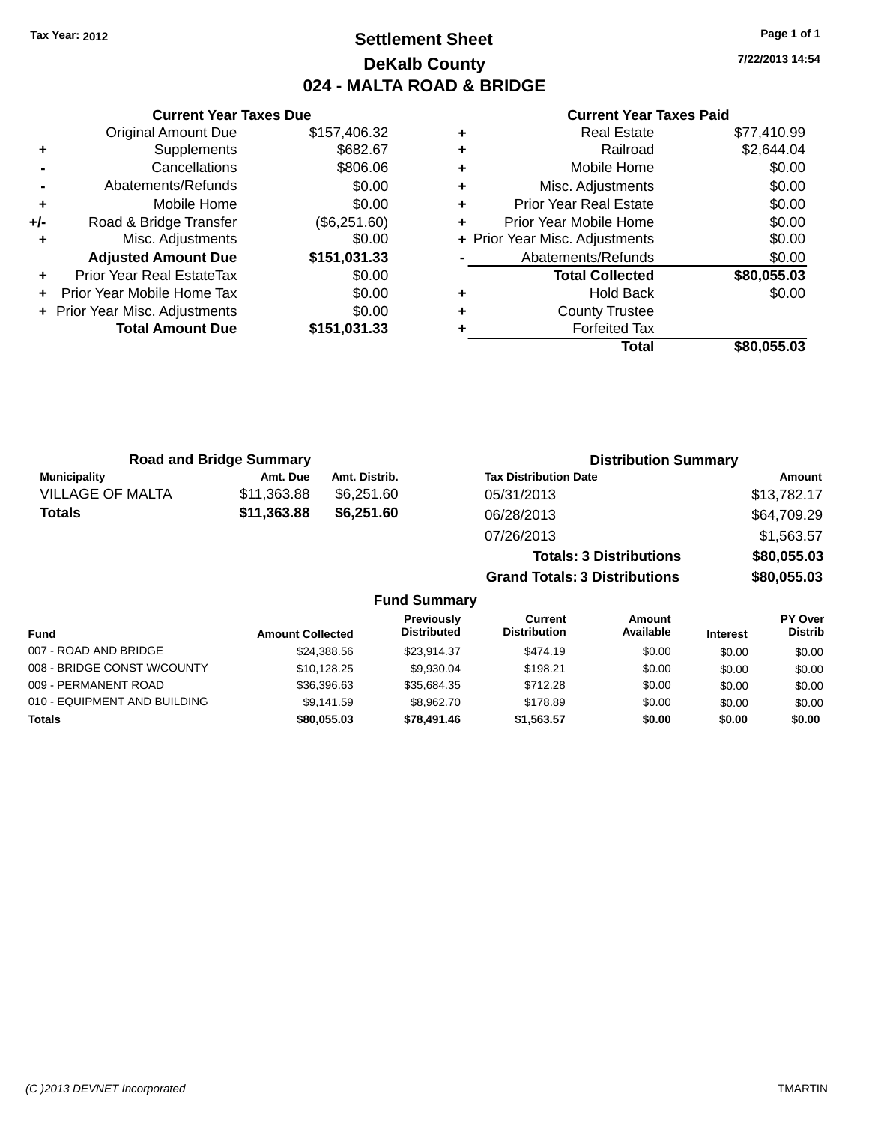## **Settlement Sheet Tax Year: 2012 Page 1 of 1 DeKalb County 024 - MALTA ROAD & BRIDGE**

**7/22/2013 14:54**

#### **Current Year Taxes Paid**

|     | <b>Current Year Taxes Due</b>  |              |
|-----|--------------------------------|--------------|
|     | <b>Original Amount Due</b>     | \$157,406.32 |
| ٠   | Supplements                    | \$682.67     |
|     | Cancellations                  | \$806.06     |
|     | Abatements/Refunds             | \$0.00       |
| ٠   | Mobile Home                    | \$0.00       |
| +/- | Road & Bridge Transfer         | (\$6,251.60) |
|     | Misc. Adjustments              | \$0.00       |
|     | <b>Adjusted Amount Due</b>     | \$151,031.33 |
| ٠   | Prior Year Real EstateTax      | \$0.00       |
|     | Prior Year Mobile Home Tax     | \$0.00       |
|     | + Prior Year Misc. Adjustments | \$0.00       |
|     | <b>Total Amount Due</b>        | \$151,031.33 |
|     |                                |              |

| ٠ | <b>Real Estate</b>             | \$77,410.99 |
|---|--------------------------------|-------------|
| ÷ | Railroad                       | \$2,644.04  |
| ٠ | Mobile Home                    | \$0.00      |
| ٠ | Misc. Adjustments              | \$0.00      |
| ٠ | <b>Prior Year Real Estate</b>  | \$0.00      |
| ٠ | Prior Year Mobile Home         | \$0.00      |
|   | + Prior Year Misc. Adjustments | \$0.00      |
|   | Abatements/Refunds             | \$0.00      |
|   | <b>Total Collected</b>         | \$80,055.03 |
| ٠ | Hold Back                      | \$0.00      |
| ٠ | <b>County Trustee</b>          |             |
| ٠ | <b>Forfeited Tax</b>           |             |
|   | Total                          | \$80,055.03 |
|   |                                |             |

| <b>Road and Bridge Summary</b> |             |               | <b>Distribution Summary</b>    |             |  |
|--------------------------------|-------------|---------------|--------------------------------|-------------|--|
| <b>Municipality</b>            | Amt. Due    | Amt. Distrib. | <b>Tax Distribution Date</b>   | Amount      |  |
| <b>VILLAGE OF MALTA</b>        | \$11,363.88 | \$6,251,60    | 05/31/2013                     | \$13,782.17 |  |
| Totals                         | \$11,363.88 | \$6,251.60    | 06/28/2013                     | \$64,709.29 |  |
|                                |             |               | 07/26/2013                     | \$1,563.57  |  |
|                                |             |               | <b>Totals: 3 Distributions</b> | \$80,055.03 |  |

**Grand Totals: 3 Distributions \$80,055.03**

#### **Fund Summary**

| <b>Fund</b>                  | <b>Amount Collected</b> | Previously<br><b>Distributed</b> | Current<br><b>Distribution</b> | Amount<br>Available | <b>Interest</b> | <b>PY Over</b><br><b>Distrib</b> |
|------------------------------|-------------------------|----------------------------------|--------------------------------|---------------------|-----------------|----------------------------------|
|                              |                         |                                  |                                |                     |                 |                                  |
| 007 - ROAD AND BRIDGE        | \$24.388.56             | \$23.914.37                      | \$474.19                       | \$0.00              | \$0.00          | \$0.00                           |
| 008 - BRIDGE CONST W/COUNTY  | \$10,128.25             | \$9.930.04                       | \$198.21                       | \$0.00              | \$0.00          | \$0.00                           |
| 009 - PERMANENT ROAD         | \$36,396.63             | \$35,684.35                      | \$712.28                       | \$0.00              | \$0.00          | \$0.00                           |
| 010 - EQUIPMENT AND BUILDING | \$9.141.59              | \$8.962.70                       | \$178.89                       | \$0.00              | \$0.00          | \$0.00                           |
| Totals                       | \$80,055,03             | \$78,491.46                      | \$1.563.57                     | \$0.00              | \$0.00          | \$0.00                           |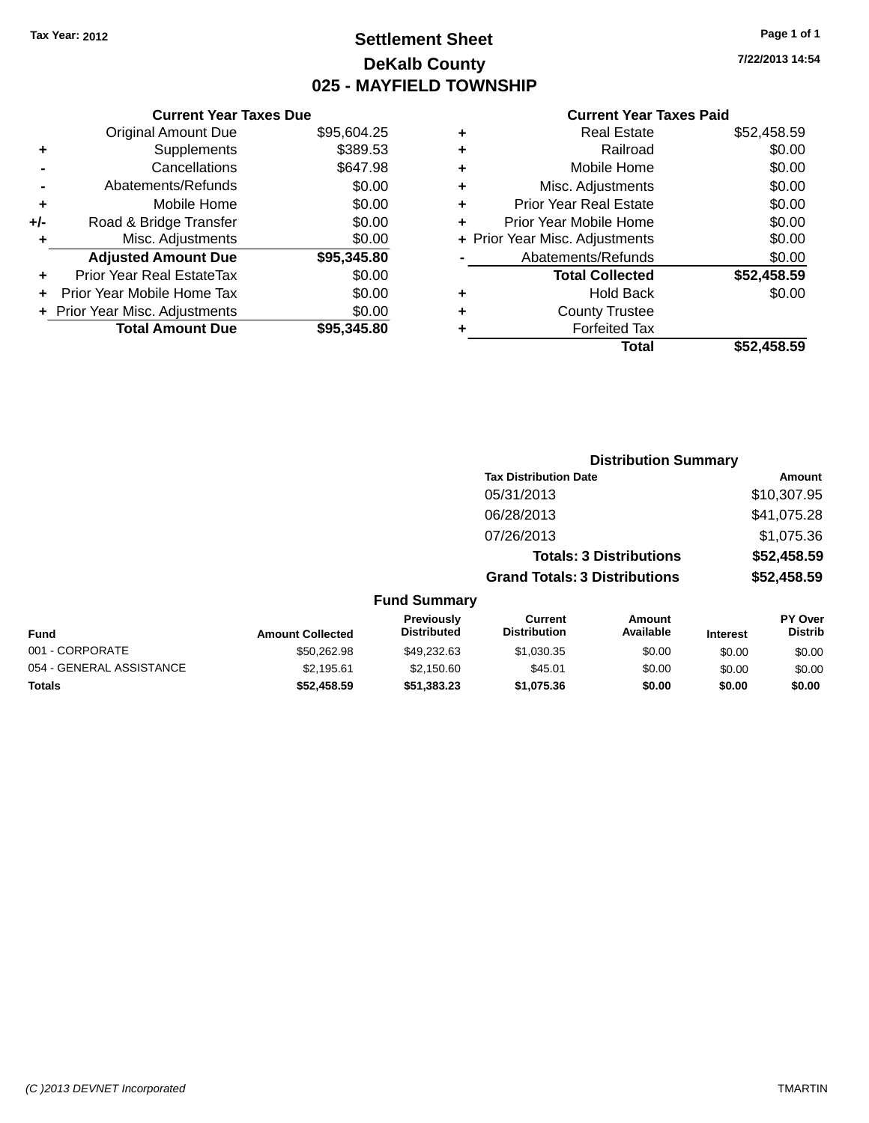## **Settlement Sheet Tax Year: 2012 Page 1 of 1 DeKalb County 025 - MAYFIELD TOWNSHIP**

**7/22/2013 14:54**

|     | <b>Current Year Taxes Due</b>  |             |  |  |  |
|-----|--------------------------------|-------------|--|--|--|
|     | <b>Original Amount Due</b>     | \$95,604.25 |  |  |  |
| ٠   | Supplements                    | \$389.53    |  |  |  |
|     | Cancellations                  | \$647.98    |  |  |  |
|     | Abatements/Refunds             | \$0.00      |  |  |  |
| ٠   | Mobile Home                    | \$0.00      |  |  |  |
| +/- | Road & Bridge Transfer         | \$0.00      |  |  |  |
| ٠   | Misc. Adjustments              | \$0.00      |  |  |  |
|     | <b>Adjusted Amount Due</b>     | \$95,345.80 |  |  |  |
| ÷   | Prior Year Real EstateTax      | \$0.00      |  |  |  |
|     | Prior Year Mobile Home Tax     | \$0.00      |  |  |  |
|     | + Prior Year Misc. Adjustments | \$0.00      |  |  |  |
|     | <b>Total Amount Due</b>        | \$95,345.80 |  |  |  |
|     |                                |             |  |  |  |

|   | <b>Real Estate</b>             | \$52,458.59 |
|---|--------------------------------|-------------|
| ٠ | Railroad                       | \$0.00      |
| ٠ | Mobile Home                    | \$0.00      |
| ٠ | Misc. Adjustments              | \$0.00      |
| ٠ | <b>Prior Year Real Estate</b>  | \$0.00      |
| ÷ | Prior Year Mobile Home         | \$0.00      |
|   | + Prior Year Misc. Adjustments | \$0.00      |
|   | Abatements/Refunds             | \$0.00      |
|   | <b>Total Collected</b>         | \$52,458.59 |
| ٠ | <b>Hold Back</b>               | \$0.00      |
| ٠ | <b>County Trustee</b>          |             |
| ٠ | <b>Forfeited Tax</b>           |             |
|   | Total                          | \$52.458.59 |

|                     |                                      | <b>Distribution Summary</b>    |                |
|---------------------|--------------------------------------|--------------------------------|----------------|
|                     | <b>Tax Distribution Date</b>         |                                | Amount         |
|                     | 05/31/2013                           |                                | \$10,307.95    |
|                     | 06/28/2013                           |                                | \$41,075.28    |
|                     | 07/26/2013                           |                                | \$1,075.36     |
|                     |                                      | <b>Totals: 3 Distributions</b> | \$52,458.59    |
|                     | <b>Grand Totals: 3 Distributions</b> |                                | \$52,458.59    |
| <b>Fund Summary</b> |                                      |                                |                |
| <b>Draviously</b>   | Currant.                             | Amoint                         | <b>DV Over</b> |

| Fund                     | <b>Amount Collected</b> | <b>Previously</b><br><b>Distributed</b> | Current<br><b>Distribution</b> | Amount<br>Available | <b>Interest</b> | <b>PY Over</b><br><b>Distrib</b> |
|--------------------------|-------------------------|-----------------------------------------|--------------------------------|---------------------|-----------------|----------------------------------|
| 001 - CORPORATE          | \$50,262.98             | \$49.232.63                             | \$1,030.35                     | \$0.00              | \$0.00          | \$0.00                           |
| 054 - GENERAL ASSISTANCE | \$2.195.61              | \$2.150.60                              | \$45.01                        | \$0.00              | \$0.00          | \$0.00                           |
| <b>Totals</b>            | \$52,458.59             | \$51,383.23                             | \$1,075.36                     | \$0.00              | \$0.00          | \$0.00                           |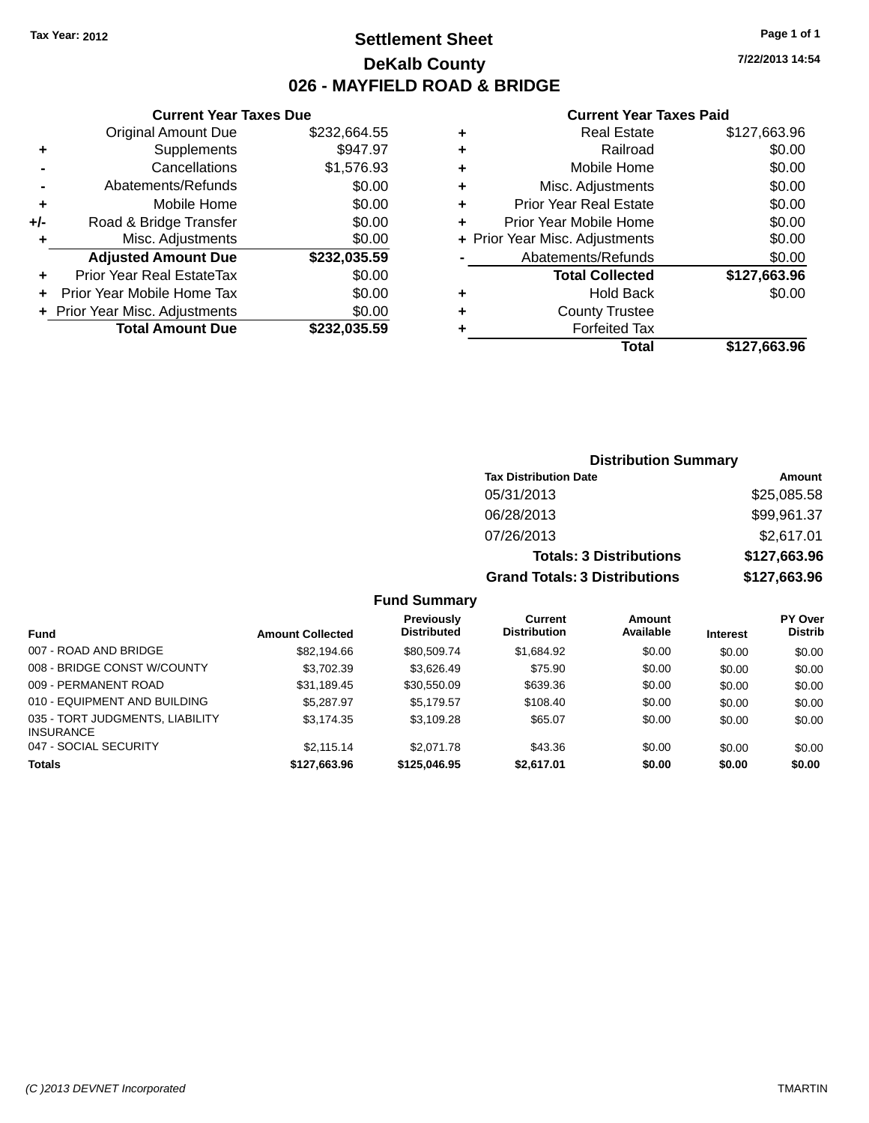## **Settlement Sheet Tax Year: 2012 Page 1 of 1 DeKalb County 026 - MAYFIELD ROAD & BRIDGE**

**7/22/2013 14:54**

#### **Current Year Taxes Paid**

|     | <b>Current Year Taxes Due</b> |              |  |  |
|-----|-------------------------------|--------------|--|--|
|     | Original Amount Due           | \$232,664.55 |  |  |
| ٠   | Supplements                   | \$947.97     |  |  |
|     | Cancellations                 | \$1,576.93   |  |  |
|     | Abatements/Refunds            | \$0.00       |  |  |
| ٠   | Mobile Home                   | \$0.00       |  |  |
| +/- | Road & Bridge Transfer        | \$0.00       |  |  |
| ٠   | Misc. Adjustments             | \$0.00       |  |  |
|     | <b>Adjusted Amount Due</b>    | \$232,035.59 |  |  |
| ٠   | Prior Year Real EstateTax     | \$0.00       |  |  |
| ÷   | Prior Year Mobile Home Tax    | \$0.00       |  |  |
|     | Prior Year Misc. Adjustments  | \$0.00       |  |  |
|     | <b>Total Amount Due</b>       | \$232,035.59 |  |  |

| ٠ | <b>Real Estate</b>             | \$127,663.96 |
|---|--------------------------------|--------------|
| ÷ | Railroad                       | \$0.00       |
| ٠ | Mobile Home                    | \$0.00       |
| ٠ | Misc. Adjustments              | \$0.00       |
| ٠ | <b>Prior Year Real Estate</b>  | \$0.00       |
| ÷ | Prior Year Mobile Home         | \$0.00       |
|   | + Prior Year Misc. Adjustments | \$0.00       |
|   | Abatements/Refunds             | \$0.00       |
|   | <b>Total Collected</b>         | \$127,663.96 |
| ٠ | <b>Hold Back</b>               | \$0.00       |
| ٠ | <b>County Trustee</b>          |              |
| ٠ | <b>Forfeited Tax</b>           |              |
|   | Total                          | \$127,663.96 |
|   |                                |              |

| <b>Distribution Summary</b>          |              |  |  |  |
|--------------------------------------|--------------|--|--|--|
| <b>Tax Distribution Date</b>         | Amount       |  |  |  |
| 05/31/2013                           | \$25,085.58  |  |  |  |
| 06/28/2013                           | \$99,961.37  |  |  |  |
| 07/26/2013                           | \$2,617.01   |  |  |  |
| <b>Totals: 3 Distributions</b>       | \$127,663.96 |  |  |  |
| <b>Grand Totals: 3 Distributions</b> | \$127,663.96 |  |  |  |

#### **Fund Summary**

| <b>Fund</b>                                         | <b>Amount Collected</b> | <b>Previously</b><br><b>Distributed</b> | Current<br><b>Distribution</b> | Amount<br>Available | <b>Interest</b> | <b>PY Over</b><br><b>Distrib</b> |
|-----------------------------------------------------|-------------------------|-----------------------------------------|--------------------------------|---------------------|-----------------|----------------------------------|
| 007 - ROAD AND BRIDGE                               | \$82,194.66             | \$80.509.74                             | \$1,684.92                     | \$0.00              | \$0.00          | \$0.00                           |
| 008 - BRIDGE CONST W/COUNTY                         | \$3,702.39              | \$3,626.49                              | \$75.90                        | \$0.00              | \$0.00          | \$0.00                           |
| 009 - PERMANENT ROAD                                | \$31,189.45             | \$30.550.09                             | \$639.36                       | \$0.00              | \$0.00          | \$0.00                           |
| 010 - EQUIPMENT AND BUILDING                        | \$5,287.97              | \$5.179.57                              | \$108.40                       | \$0.00              | \$0.00          | \$0.00                           |
| 035 - TORT JUDGMENTS, LIABILITY<br><b>INSURANCE</b> | \$3,174.35              | \$3,109.28                              | \$65.07                        | \$0.00              | \$0.00          | \$0.00                           |
| 047 - SOCIAL SECURITY                               | \$2,115.14              | \$2,071.78                              | \$43.36                        | \$0.00              | \$0.00          | \$0.00                           |
| <b>Totals</b>                                       | \$127,663.96            | \$125,046.95                            | \$2,617.01                     | \$0.00              | \$0.00          | \$0.00                           |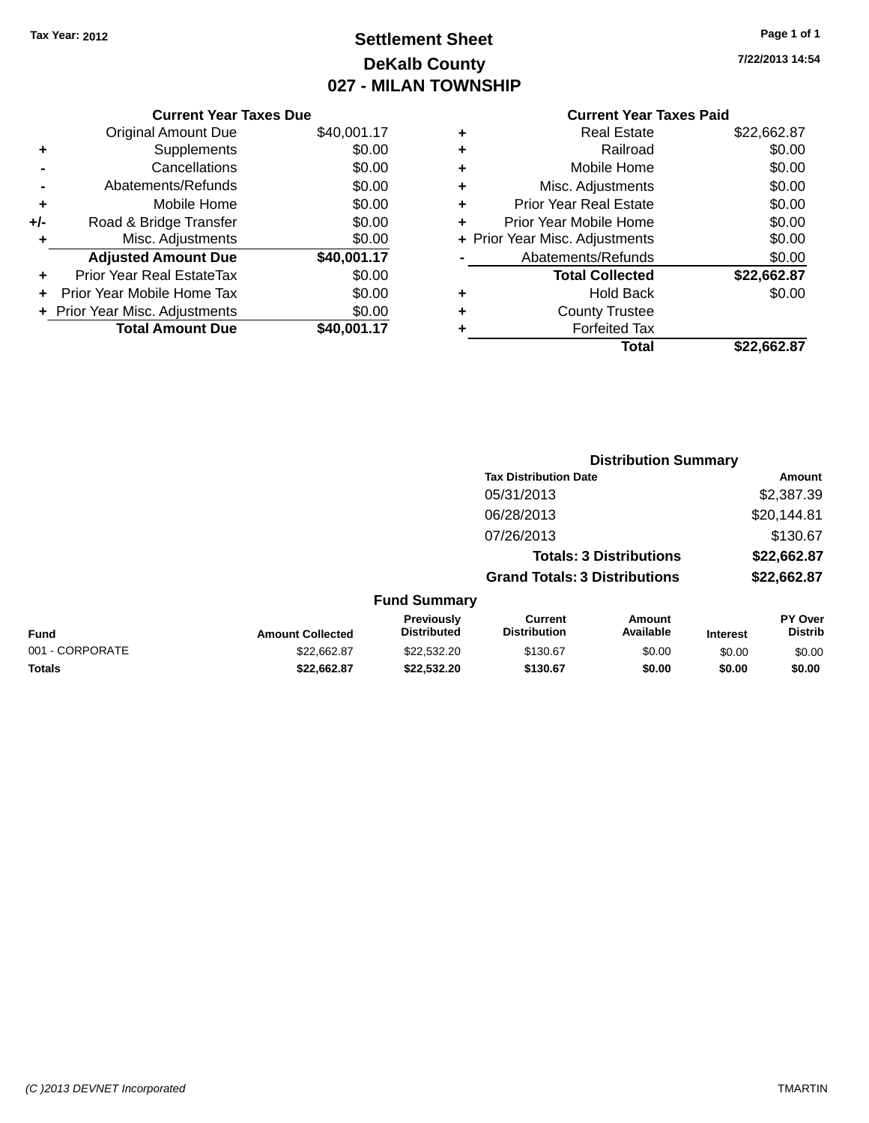## **Settlement Sheet Tax Year: 2012 Page 1 of 1 DeKalb County 027 - MILAN TOWNSHIP**

**7/22/2013 14:54**

|       | <b>Current Year Taxes Due</b>  |             |
|-------|--------------------------------|-------------|
|       | <b>Original Amount Due</b>     | \$40,001.17 |
| ٠     | Supplements                    | \$0.00      |
|       | Cancellations                  | \$0.00      |
|       | Abatements/Refunds             | \$0.00      |
| ٠     | Mobile Home                    | \$0.00      |
| $+/-$ | Road & Bridge Transfer         | \$0.00      |
| ٠     | Misc. Adjustments              | \$0.00      |
|       | <b>Adjusted Amount Due</b>     | \$40,001.17 |
| ٠     | Prior Year Real EstateTax      | \$0.00      |
|       | Prior Year Mobile Home Tax     | \$0.00      |
|       | + Prior Year Misc. Adjustments | \$0.00      |
|       | <b>Total Amount Due</b>        | \$40,001.17 |
|       |                                |             |

| ٠ | <b>Real Estate</b>             | \$22,662.87 |
|---|--------------------------------|-------------|
| ٠ | Railroad                       | \$0.00      |
| ٠ | Mobile Home                    | \$0.00      |
| ٠ | Misc. Adjustments              | \$0.00      |
| ٠ | <b>Prior Year Real Estate</b>  | \$0.00      |
| ٠ | Prior Year Mobile Home         | \$0.00      |
|   | + Prior Year Misc. Adjustments | \$0.00      |
|   | Abatements/Refunds             | \$0.00      |
|   | <b>Total Collected</b>         | \$22,662.87 |
| ٠ | <b>Hold Back</b>               | \$0.00      |
| ٠ | <b>County Trustee</b>          |             |
| ٠ | <b>Forfeited Tax</b>           |             |
|   | <b>Total</b>                   | \$22,662.87 |
|   |                                |             |

|                 |                         |                                  | <b>Distribution Summary</b>           |                                |                 |                                  |
|-----------------|-------------------------|----------------------------------|---------------------------------------|--------------------------------|-----------------|----------------------------------|
|                 |                         |                                  | <b>Tax Distribution Date</b>          |                                |                 | Amount                           |
|                 |                         |                                  | 05/31/2013                            |                                |                 | \$2,387.39                       |
|                 |                         |                                  | 06/28/2013                            |                                |                 | \$20,144.81                      |
|                 |                         |                                  | 07/26/2013                            |                                |                 | \$130.67                         |
|                 |                         |                                  |                                       | <b>Totals: 3 Distributions</b> |                 | \$22,662.87                      |
|                 |                         |                                  | <b>Grand Totals: 3 Distributions</b>  |                                |                 | \$22,662.87                      |
|                 |                         | <b>Fund Summary</b>              |                                       |                                |                 |                                  |
| <b>Fund</b>     | <b>Amount Collected</b> | Previously<br><b>Distributed</b> | <b>Current</b><br><b>Distribution</b> | Amount<br>Available            | <b>Interest</b> | <b>PY Over</b><br><b>Distrib</b> |
| 001 - CORPORATE | \$22,662.87             | \$22,532.20                      | \$130.67                              | \$0.00                         | \$0.00          | \$0.00                           |
| <b>Totals</b>   | \$22,662.87             | \$22,532.20                      | \$130.67                              | \$0.00                         | \$0.00          | \$0.00                           |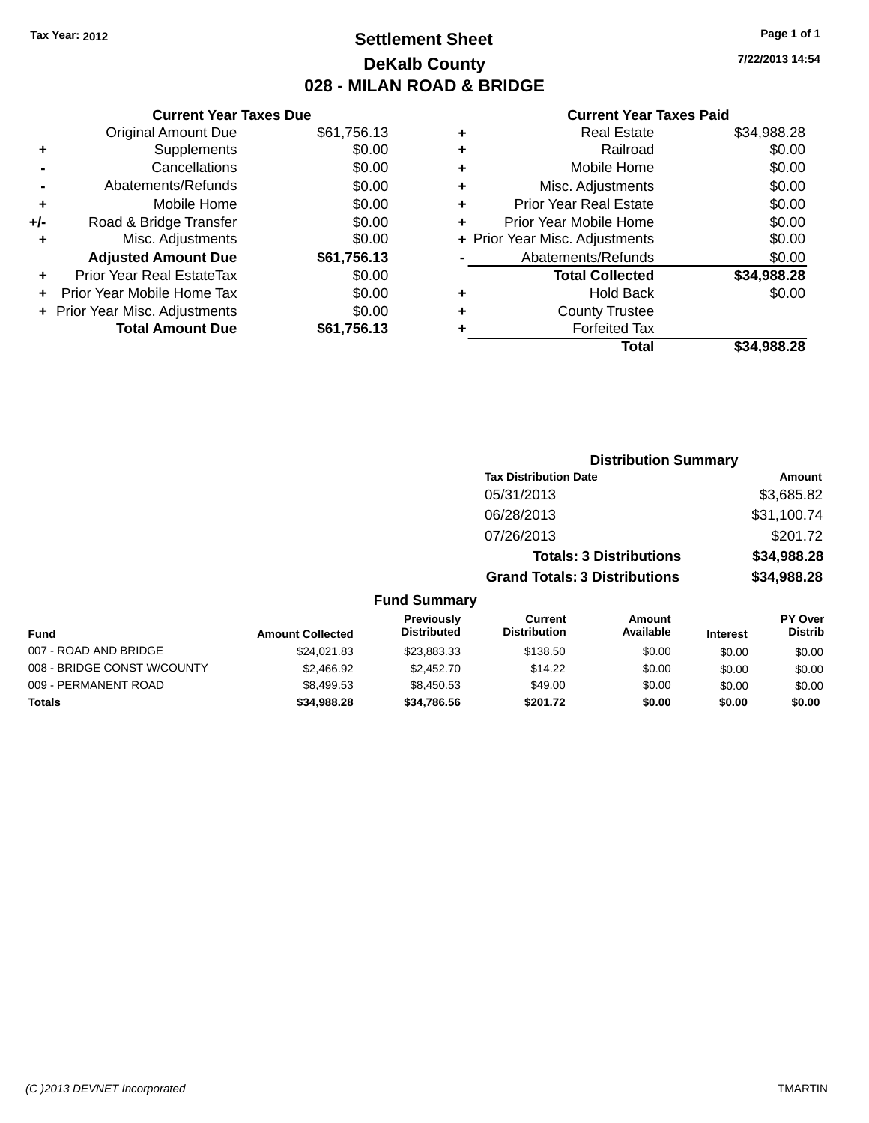## **Settlement Sheet Tax Year: 2012 Page 1 of 1 DeKalb County 028 - MILAN ROAD & BRIDGE**

| <b>Current Year Taxes Due</b>  |             |
|--------------------------------|-------------|
| <b>Original Amount Due</b>     | \$61,756.13 |
| Supplements                    | \$0.00      |
| Cancellations                  | \$0.00      |
| Abatements/Refunds             | \$0.00      |
| Mobile Home                    | \$0.00      |
| Road & Bridge Transfer         | \$0.00      |
| Misc. Adjustments              | \$0.00      |
| <b>Adjusted Amount Due</b>     | \$61,756.13 |
| Prior Year Real EstateTax      | \$0.00      |
| Prior Year Mobile Home Tax     | \$0.00      |
| + Prior Year Misc. Adjustments | \$0.00      |
| <b>Total Amount Due</b>        | \$61,756.13 |
|                                |             |

#### **Current Year Taxes Paid**

| ٠ | <b>Real Estate</b>             | \$34,988.28 |
|---|--------------------------------|-------------|
| ٠ | Railroad                       | \$0.00      |
| ٠ | Mobile Home                    | \$0.00      |
| ٠ | Misc. Adjustments              | \$0.00      |
| ٠ | <b>Prior Year Real Estate</b>  | \$0.00      |
| ٠ | Prior Year Mobile Home         | \$0.00      |
|   | + Prior Year Misc. Adjustments | \$0.00      |
|   | Abatements/Refunds             | \$0.00      |
|   | <b>Total Collected</b>         | \$34,988.28 |
| ٠ | <b>Hold Back</b>               | \$0.00      |
| ٠ | <b>County Trustee</b>          |             |
| ٠ | <b>Forfeited Tax</b>           |             |
|   | Total                          | \$34.988.28 |
|   |                                |             |

|                     | <b>Distribution Summary</b>          |             |
|---------------------|--------------------------------------|-------------|
|                     | <b>Tax Distribution Date</b>         | Amount      |
|                     | 05/31/2013                           | \$3,685.82  |
|                     | 06/28/2013                           | \$31,100.74 |
|                     | 07/26/2013                           | \$201.72    |
|                     | <b>Totals: 3 Distributions</b>       | \$34,988.28 |
|                     | <b>Grand Totals: 3 Distributions</b> | \$34,988.28 |
| <b>Fund Summary</b> |                                      |             |

| <b>Fund</b>                 | <b>Amount Collected</b> | <b>Previously</b><br><b>Distributed</b> | Current<br><b>Distribution</b> | Amount<br>Available | <b>Interest</b> | <b>PY Over</b><br><b>Distrib</b> |
|-----------------------------|-------------------------|-----------------------------------------|--------------------------------|---------------------|-----------------|----------------------------------|
| 007 - ROAD AND BRIDGE       | \$24.021.83             | \$23.883.33                             | \$138.50                       | \$0.00              | \$0.00          | \$0.00                           |
| 008 - BRIDGE CONST W/COUNTY | \$2,466.92              | \$2,452.70                              | \$14.22                        | \$0.00              | \$0.00          | \$0.00                           |
| 009 - PERMANENT ROAD        | \$8.499.53              | \$8.450.53                              | \$49.00                        | \$0.00              | \$0.00          | \$0.00                           |
| Totals                      | \$34,988.28             | \$34,786,56                             | \$201.72                       | \$0.00              | \$0.00          | \$0.00                           |

**7/22/2013 14:54**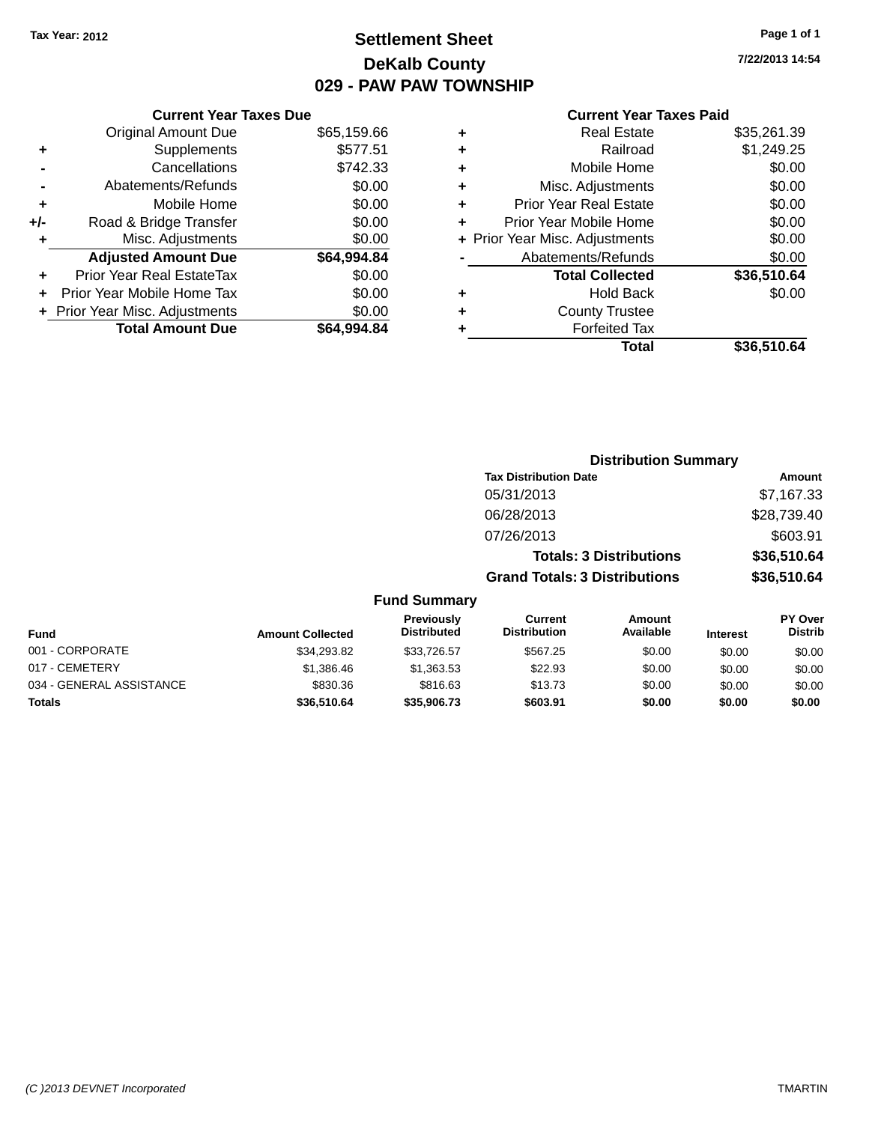## **Settlement Sheet Tax Year: 2012 Page 1 of 1 DeKalb County 029 - PAW PAW TOWNSHIP**

#### **Current Year Taxes Due**

|       | <b>Original Amount Due</b>     | \$65,159.66 |
|-------|--------------------------------|-------------|
| ٠     | Supplements                    | \$577.51    |
|       | Cancellations                  | \$742.33    |
|       | Abatements/Refunds             | \$0.00      |
| ٠     | Mobile Home                    | \$0.00      |
| $+/-$ | Road & Bridge Transfer         | \$0.00      |
| ٠     | Misc. Adjustments              | \$0.00      |
|       | <b>Adjusted Amount Due</b>     | \$64,994.84 |
| ÷     | Prior Year Real EstateTax      | \$0.00      |
|       | Prior Year Mobile Home Tax     | \$0.00      |
|       | + Prior Year Misc. Adjustments | \$0.00      |
|       | <b>Total Amount Due</b>        | \$64.994.84 |

#### **Current Year Taxes Paid**

| ٠ | <b>Real Estate</b>             | \$35,261.39 |
|---|--------------------------------|-------------|
| ٠ | Railroad                       | \$1,249.25  |
| ٠ | Mobile Home                    | \$0.00      |
| ٠ | Misc. Adjustments              | \$0.00      |
| ٠ | <b>Prior Year Real Estate</b>  | \$0.00      |
| ٠ | Prior Year Mobile Home         | \$0.00      |
|   | + Prior Year Misc. Adjustments | \$0.00      |
|   | Abatements/Refunds             | \$0.00      |
|   | <b>Total Collected</b>         | \$36,510.64 |
| ٠ | <b>Hold Back</b>               | \$0.00      |
| ٠ | <b>County Trustee</b>          |             |
| ٠ | <b>Forfeited Tax</b>           |             |
|   | Total                          | \$36,510.64 |
|   |                                |             |

| <b>Distribution Summary</b>          |             |
|--------------------------------------|-------------|
| <b>Tax Distribution Date</b>         | Amount      |
| 05/31/2013                           | \$7,167.33  |
| 06/28/2013                           | \$28,739.40 |
| 07/26/2013                           | \$603.91    |
| <b>Totals: 3 Distributions</b>       | \$36,510.64 |
| <b>Grand Totals: 3 Distributions</b> | \$36,510.64 |

#### **Fund Summary**

| <b>Fund</b>              | <b>Amount Collected</b> | <b>Previously</b><br><b>Distributed</b> | Current<br><b>Distribution</b> | Amount<br>Available | <b>Interest</b> | PY Over<br><b>Distrib</b> |
|--------------------------|-------------------------|-----------------------------------------|--------------------------------|---------------------|-----------------|---------------------------|
| 001 - CORPORATE          | \$34,293.82             | \$33,726.57                             | \$567.25                       | \$0.00              | \$0.00          | \$0.00                    |
| 017 - CEMETERY           | \$1,386.46              | \$1.363.53                              | \$22.93                        | \$0.00              | \$0.00          | \$0.00                    |
| 034 - GENERAL ASSISTANCE | \$830.36                | \$816.63                                | \$13.73                        | \$0.00              | \$0.00          | \$0.00                    |
| <b>Totals</b>            | \$36,510.64             | \$35,906,73                             | \$603.91                       | \$0.00              | \$0.00          | \$0.00                    |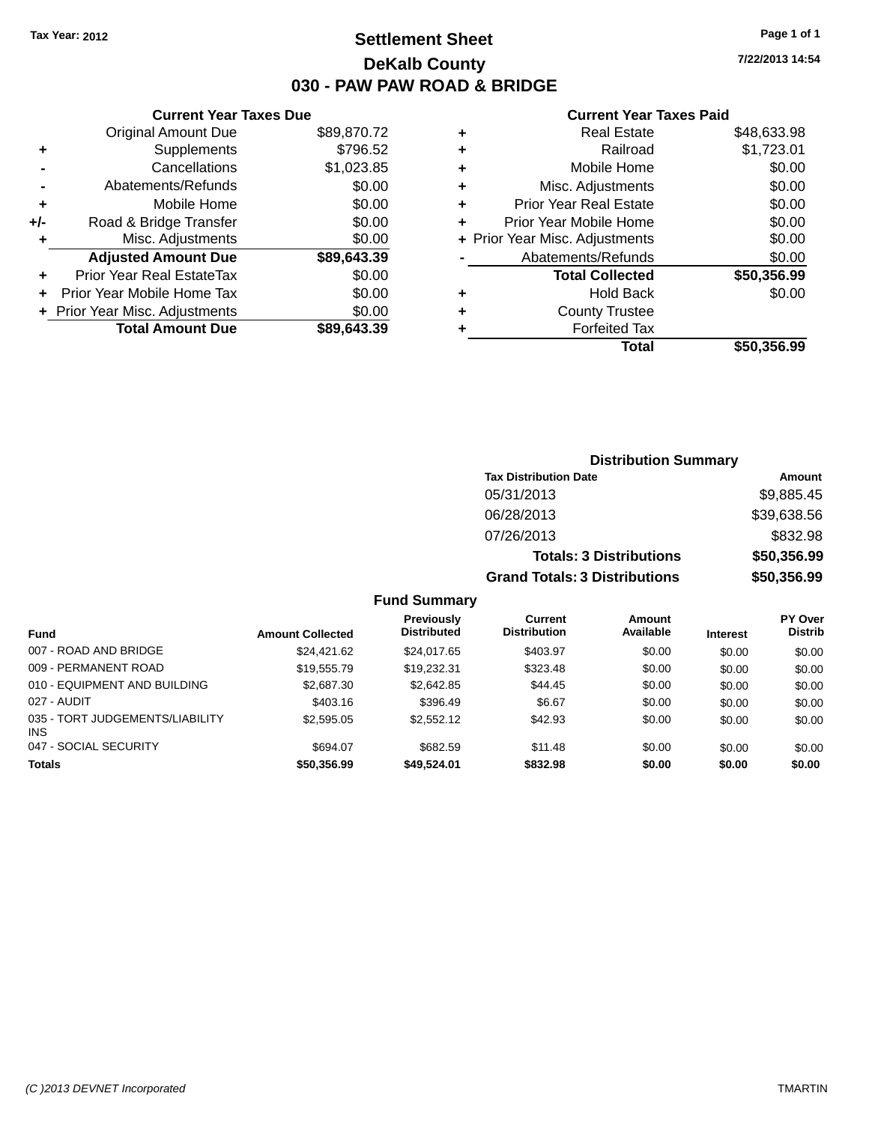## **Settlement Sheet Tax Year: 2012 Page 1 of 1 DeKalb County 030 - PAW PAW ROAD & BRIDGE**

**7/22/2013 14:54**

#### **Current Year Taxes Paid**

|     | <b>Current Year Taxes Due</b>  |             |
|-----|--------------------------------|-------------|
|     | <b>Original Amount Due</b>     | \$89,870.72 |
| ٠   | Supplements                    | \$796.52    |
|     | Cancellations                  | \$1,023.85  |
|     | Abatements/Refunds             | \$0.00      |
| ÷   | Mobile Home                    | \$0.00      |
| +/- | Road & Bridge Transfer         | \$0.00      |
|     | Misc. Adjustments              | \$0.00      |
|     | <b>Adjusted Amount Due</b>     | \$89,643.39 |
| ٠   | Prior Year Real EstateTax      | \$0.00      |
|     | Prior Year Mobile Home Tax     | \$0.00      |
|     | + Prior Year Misc. Adjustments | \$0.00      |
|     | <b>Total Amount Due</b>        | \$89,643.39 |
|     |                                |             |

|   | <b>Real Estate</b>             | \$48,633.98 |
|---|--------------------------------|-------------|
| ٠ | Railroad                       | \$1,723.01  |
| ٠ | Mobile Home                    | \$0.00      |
| ٠ | Misc. Adjustments              | \$0.00      |
| ٠ | <b>Prior Year Real Estate</b>  | \$0.00      |
| ٠ | Prior Year Mobile Home         | \$0.00      |
|   | + Prior Year Misc. Adjustments | \$0.00      |
|   | Abatements/Refunds             | \$0.00      |
|   | <b>Total Collected</b>         | \$50,356.99 |
| ٠ | Hold Back                      | \$0.00      |
| ٠ | <b>County Trustee</b>          |             |
| ٠ | <b>Forfeited Tax</b>           |             |
|   | Total                          | \$50,356.99 |
|   |                                |             |

| <b>Distribution Summary</b>          |             |
|--------------------------------------|-------------|
| <b>Tax Distribution Date</b>         | Amount      |
| 05/31/2013                           | \$9,885.45  |
| 06/28/2013                           | \$39,638.56 |
| 07/26/2013                           | \$832.98    |
| <b>Totals: 3 Distributions</b>       | \$50,356.99 |
| <b>Grand Totals: 3 Distributions</b> | \$50,356.99 |

#### **Fund Summary**

| <b>Fund</b>                                   | <b>Amount Collected</b> | <b>Previously</b><br><b>Distributed</b> | Current<br><b>Distribution</b> | <b>Amount</b><br>Available | <b>Interest</b> | <b>PY Over</b><br><b>Distrib</b> |
|-----------------------------------------------|-------------------------|-----------------------------------------|--------------------------------|----------------------------|-----------------|----------------------------------|
| 007 - ROAD AND BRIDGE                         | \$24.421.62             | \$24,017.65                             | \$403.97                       | \$0.00                     | \$0.00          | \$0.00                           |
| 009 - PERMANENT ROAD                          | \$19.555.79             | \$19,232.31                             | \$323.48                       | \$0.00                     | \$0.00          | \$0.00                           |
| 010 - EQUIPMENT AND BUILDING                  | \$2,687.30              | \$2,642.85                              | \$44.45                        | \$0.00                     | \$0.00          | \$0.00                           |
| 027 - AUDIT                                   | \$403.16                | \$396.49                                | \$6.67                         | \$0.00                     | \$0.00          | \$0.00                           |
| 035 - TORT JUDGEMENTS/LIABILITY<br><b>INS</b> | \$2,595.05              | \$2,552.12                              | \$42.93                        | \$0.00                     | \$0.00          | \$0.00                           |
| 047 - SOCIAL SECURITY                         | \$694.07                | \$682.59                                | \$11.48                        | \$0.00                     | \$0.00          | \$0.00                           |
| <b>Totals</b>                                 | \$50,356.99             | \$49,524.01                             | \$832.98                       | \$0.00                     | \$0.00          | \$0.00                           |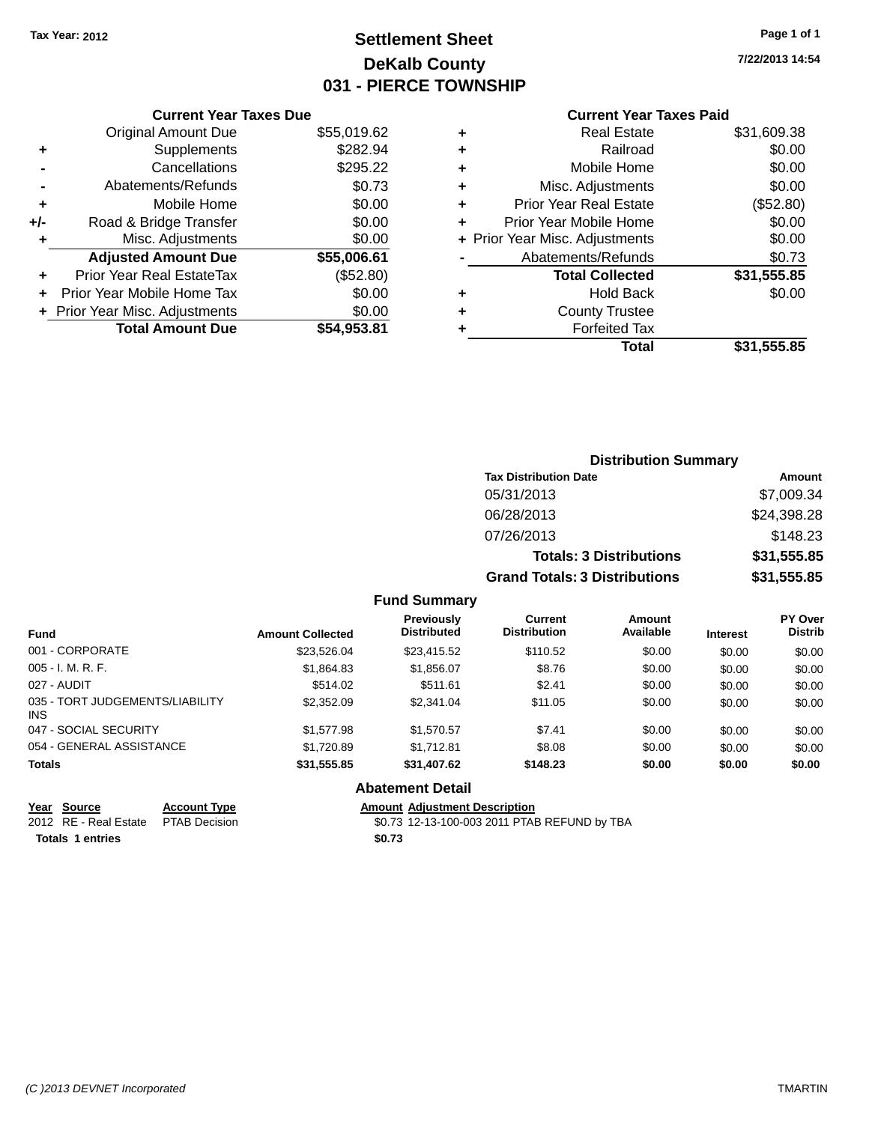## **Settlement Sheet Tax Year: 2012 Page 1 of 1 DeKalb County 031 - PIERCE TOWNSHIP**

**7/22/2013 14:54**

#### **Current Year Taxes Paid**

|     | <b>Current Year Taxes Due</b>  |             |
|-----|--------------------------------|-------------|
|     | <b>Original Amount Due</b>     | \$55,019.62 |
| ٠   | Supplements                    | \$282.94    |
|     | Cancellations                  | \$295.22    |
|     | Abatements/Refunds             | \$0.73      |
| ٠   | Mobile Home                    | \$0.00      |
| +/- | Road & Bridge Transfer         | \$0.00      |
| ٠   | Misc. Adjustments              | \$0.00      |
|     | <b>Adjusted Amount Due</b>     | \$55,006.61 |
| ٠   | Prior Year Real EstateTax      | (\$52.80)   |
|     | Prior Year Mobile Home Tax     | \$0.00      |
|     | + Prior Year Misc. Adjustments | \$0.00      |
|     | <b>Total Amount Due</b>        | \$54,953.81 |
|     |                                |             |

| ٠ | <b>Real Estate</b>             | \$31,609.38 |
|---|--------------------------------|-------------|
| ٠ | Railroad                       | \$0.00      |
| ٠ | Mobile Home                    | \$0.00      |
| ٠ | Misc. Adjustments              | \$0.00      |
| ٠ | <b>Prior Year Real Estate</b>  | (\$52.80)   |
| ٠ | Prior Year Mobile Home         | \$0.00      |
|   | + Prior Year Misc. Adjustments | \$0.00      |
|   | Abatements/Refunds             | \$0.73      |
|   | <b>Total Collected</b>         | \$31,555.85 |
| ٠ | Hold Back                      | \$0.00      |
| ٠ | <b>County Trustee</b>          |             |
|   | <b>Forfeited Tax</b>           |             |
|   | Total                          | \$31,555.85 |
|   |                                |             |

| <b>Distribution Summary</b>          |             |
|--------------------------------------|-------------|
| <b>Tax Distribution Date</b>         | Amount      |
| 05/31/2013                           | \$7,009.34  |
| 06/28/2013                           | \$24,398.28 |
| 07/26/2013                           | \$148.23    |
| <b>Totals: 3 Distributions</b>       | \$31,555.85 |
| <b>Grand Totals: 3 Distributions</b> | \$31,555.85 |

#### **Fund Summary**

| <b>Fund</b>                             | <b>Amount Collected</b> | Previously<br><b>Distributed</b> | Current<br><b>Distribution</b> | <b>Amount</b><br>Available | <b>Interest</b> | <b>PY Over</b><br><b>Distrib</b> |
|-----------------------------------------|-------------------------|----------------------------------|--------------------------------|----------------------------|-----------------|----------------------------------|
| 001 - CORPORATE                         | \$23.526.04             | \$23,415.52                      | \$110.52                       | \$0.00                     | \$0.00          | \$0.00                           |
| $005 - I. M. R. F.$                     | \$1,864.83              | \$1,856.07                       | \$8.76                         | \$0.00                     | \$0.00          | \$0.00                           |
| 027 - AUDIT                             | \$514.02                | \$511.61                         | \$2.41                         | \$0.00                     | \$0.00          | \$0.00                           |
| 035 - TORT JUDGEMENTS/LIABILITY<br>INS. | \$2,352.09              | \$2,341.04                       | \$11.05                        | \$0.00                     | \$0.00          | \$0.00                           |
| 047 - SOCIAL SECURITY                   | \$1,577.98              | \$1.570.57                       | \$7.41                         | \$0.00                     | \$0.00          | \$0.00                           |
| 054 - GENERAL ASSISTANCE                | \$1,720.89              | \$1.712.81                       | \$8.08                         | \$0.00                     | \$0.00          | \$0.00                           |
| <b>Totals</b>                           | \$31,555.85             | \$31,407.62                      | \$148.23                       | \$0.00                     | \$0.00          | \$0.00                           |

#### **Abatement Detail**

**Year Source Account Type Amount Adjustment Description**

\$0.73 12-13-100-003 2011 PTAB REFUND by TBA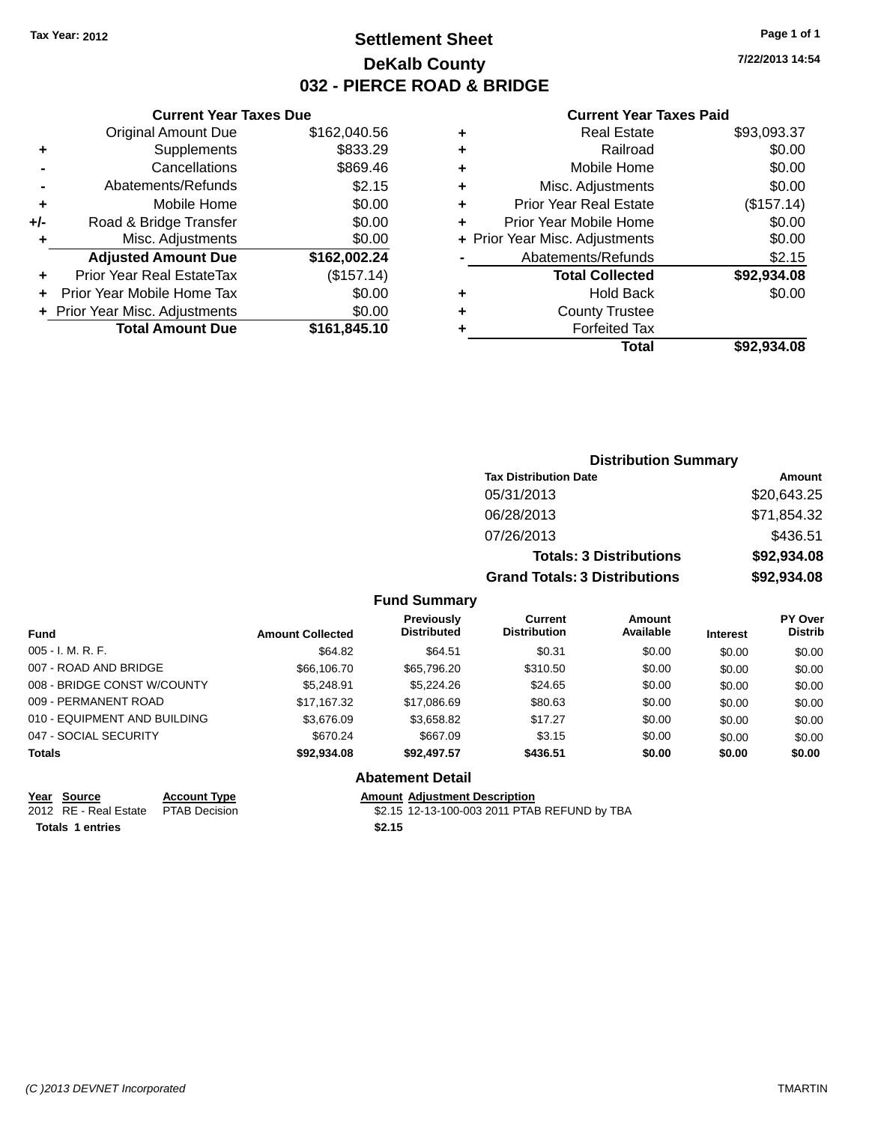## **Settlement Sheet Tax Year: 2012 Page 1 of 1 DeKalb County 032 - PIERCE ROAD & BRIDGE**

**7/22/2013 14:54**

#### **Current Year Taxes Paid**

|     | <b>Current Year Taxes Due</b>  |              |            |
|-----|--------------------------------|--------------|------------|
|     | <b>Original Amount Due</b>     | \$162,040.56 | ٠          |
|     | Supplements                    | \$833.29     | ٠          |
|     | Cancellations                  | \$869.46     | ٠          |
|     | Abatements/Refunds             | \$2.15       | ٠          |
|     | Mobile Home                    | \$0.00       |            |
| +/- | Road & Bridge Transfer         | \$0.00       | Pr         |
|     | Misc. Adjustments              | \$0.00       | + Prior Ye |
|     | <b>Adjusted Amount Due</b>     | \$162,002.24 |            |
|     | Prior Year Real EstateTax      | (\$157.14)   |            |
|     | Prior Year Mobile Home Tax     | \$0.00       |            |
|     | + Prior Year Misc. Adjustments | \$0.00       |            |
|     | <b>Total Amount Due</b>        | \$161,845.10 |            |
|     |                                |              |            |

|   | <b>Real Estate</b>             | \$93,093.37 |
|---|--------------------------------|-------------|
| ٠ | Railroad                       | \$0.00      |
| ٠ | Mobile Home                    | \$0.00      |
| ٠ | Misc. Adjustments              | \$0.00      |
|   | <b>Prior Year Real Estate</b>  | (\$157.14)  |
|   | Prior Year Mobile Home         | \$0.00      |
|   | + Prior Year Misc. Adjustments | \$0.00      |
|   | Abatements/Refunds             | \$2.15      |
|   | <b>Total Collected</b>         | \$92,934.08 |
|   | <b>Hold Back</b>               | \$0.00      |
|   | <b>County Trustee</b>          |             |
|   | <b>Forfeited Tax</b>           |             |
|   | Total                          | \$92,934.08 |
|   |                                |             |

| <b>Distribution Summary</b>          |             |
|--------------------------------------|-------------|
| <b>Tax Distribution Date</b>         | Amount      |
| 05/31/2013                           | \$20,643.25 |
| 06/28/2013                           | \$71,854.32 |
| 07/26/2013                           | \$436.51    |
| <b>Totals: 3 Distributions</b>       | \$92,934.08 |
| <b>Grand Totals: 3 Distributions</b> | \$92,934.08 |

#### **Fund Summary**

| <b>Fund</b>                  | <b>Amount Collected</b> | <b>Previously</b><br><b>Distributed</b> | Current<br><b>Distribution</b> | Amount<br>Available | <b>Interest</b> | <b>PY Over</b><br><b>Distrib</b> |
|------------------------------|-------------------------|-----------------------------------------|--------------------------------|---------------------|-----------------|----------------------------------|
|                              |                         |                                         |                                |                     |                 |                                  |
| $005 - I. M. R. F.$          | \$64.82                 | \$64.51                                 | \$0.31                         | \$0.00              | \$0.00          | \$0.00                           |
| 007 - ROAD AND BRIDGE        | \$66,106.70             | \$65,796.20                             | \$310.50                       | \$0.00              | \$0.00          | \$0.00                           |
| 008 - BRIDGE CONST W/COUNTY  | \$5.248.91              | \$5,224.26                              | \$24.65                        | \$0.00              | \$0.00          | \$0.00                           |
| 009 - PERMANENT ROAD         | \$17.167.32             | \$17,086.69                             | \$80.63                        | \$0.00              | \$0.00          | \$0.00                           |
| 010 - EQUIPMENT AND BUILDING | \$3,676,09              | \$3,658.82                              | \$17.27                        | \$0.00              | \$0.00          | \$0.00                           |
| 047 - SOCIAL SECURITY        | \$670.24                | \$667.09                                | \$3.15                         | \$0.00              | \$0.00          | \$0.00                           |
| <b>Totals</b>                | \$92,934.08             | \$92,497.57                             | \$436.51                       | \$0.00              | \$0.00          | \$0.00                           |

#### **Abatement Detail**

## **Year Source Account Type Amount Adjustment Description**<br>2012 RE - Real Estate PTAB Decision **Amount Adjustment Description**

\$2.15 12-13-100-003 2011 PTAB REFUND by TBA

**Totals 1 entries \$2.15**

*(C )2013 DEVNET Incorporated* TMARTIN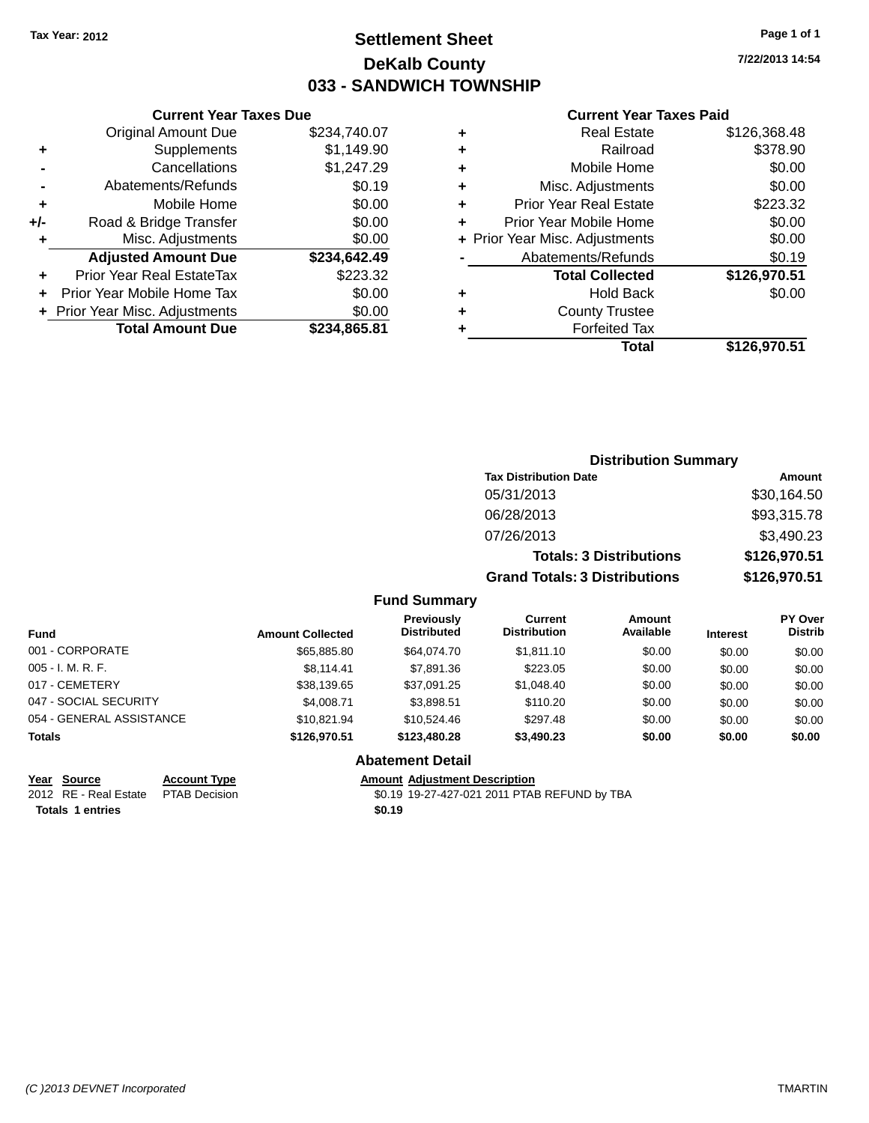## **Settlement Sheet Tax Year: 2012 Page 1 of 1 DeKalb County 033 - SANDWICH TOWNSHIP**

**7/22/2013 14:54**

#### **Current Year Taxes Paid**

|     | <b>Current Year Taxes Due</b>  |              |  |  |
|-----|--------------------------------|--------------|--|--|
|     | <b>Original Amount Due</b>     | \$234,740.07 |  |  |
| ٠   | Supplements                    | \$1,149.90   |  |  |
|     | Cancellations                  | \$1,247.29   |  |  |
|     | Abatements/Refunds             | \$0.19       |  |  |
| ٠   | Mobile Home                    | \$0.00       |  |  |
| +/- | Road & Bridge Transfer         | \$0.00       |  |  |
| ٠   | Misc. Adjustments              | \$0.00       |  |  |
|     | <b>Adjusted Amount Due</b>     | \$234,642.49 |  |  |
| ٠   | Prior Year Real EstateTax      | \$223.32     |  |  |
|     | Prior Year Mobile Home Tax     | \$0.00       |  |  |
|     | + Prior Year Misc. Adjustments | \$0.00       |  |  |
|     | <b>Total Amount Due</b>        | \$234,865.81 |  |  |
|     |                                |              |  |  |

| ٠ | <b>Real Estate</b>             | \$126,368.48 |
|---|--------------------------------|--------------|
| ٠ | Railroad                       | \$378.90     |
| ٠ | Mobile Home                    | \$0.00       |
| ٠ | Misc. Adjustments              | \$0.00       |
| ٠ | <b>Prior Year Real Estate</b>  | \$223.32     |
| ÷ | Prior Year Mobile Home         | \$0.00       |
|   | + Prior Year Misc. Adjustments | \$0.00       |
|   | Abatements/Refunds             | \$0.19       |
|   | <b>Total Collected</b>         | \$126,970.51 |
| ٠ | Hold Back                      | \$0.00       |
| ٠ | <b>County Trustee</b>          |              |
| ٠ | <b>Forfeited Tax</b>           |              |
|   | Total                          | \$126,970.51 |
|   |                                |              |

| <b>Distribution Summary</b>          |              |
|--------------------------------------|--------------|
| <b>Tax Distribution Date</b>         | Amount       |
| 05/31/2013                           | \$30,164.50  |
| 06/28/2013                           | \$93,315.78  |
| 07/26/2013                           | \$3,490.23   |
| <b>Totals: 3 Distributions</b>       | \$126,970.51 |
| <b>Grand Totals: 3 Distributions</b> | \$126,970.51 |

#### **Fund Summary**

| <b>Fund</b>              | <b>Amount Collected</b> | Previously<br><b>Distributed</b> | Current<br><b>Distribution</b> | <b>Amount</b><br>Available | <b>Interest</b> | <b>PY Over</b><br><b>Distrib</b> |
|--------------------------|-------------------------|----------------------------------|--------------------------------|----------------------------|-----------------|----------------------------------|
| 001 - CORPORATE          | \$65,885,80             | \$64,074.70                      | \$1.811.10                     | \$0.00                     | \$0.00          | \$0.00                           |
| $005 - I. M. R. F.$      | \$8.114.41              | \$7,891.36                       | \$223.05                       | \$0.00                     | \$0.00          | \$0.00                           |
| 017 - CEMETERY           | \$38,139.65             | \$37,091.25                      | \$1,048.40                     | \$0.00                     | \$0.00          | \$0.00                           |
| 047 - SOCIAL SECURITY    | \$4,008.71              | \$3,898.51                       | \$110.20                       | \$0.00                     | \$0.00          | \$0.00                           |
| 054 - GENERAL ASSISTANCE | \$10.821.94             | \$10.524.46                      | \$297.48                       | \$0.00                     | \$0.00          | \$0.00                           |
| <b>Totals</b>            | \$126,970.51            | \$123,480,28                     | \$3,490.23                     | \$0.00                     | \$0.00          | \$0.00                           |

#### **Abatement Detail**

**Year** Source **Account Type Account Adjustment Description** 

**Totals 1 entries** 

2012 RE - Real Estate PTAB Decision \$0.19 19-27-427-021 2011 PTAB REFUND by TBA<br> **Totals 1 entries** \$0.19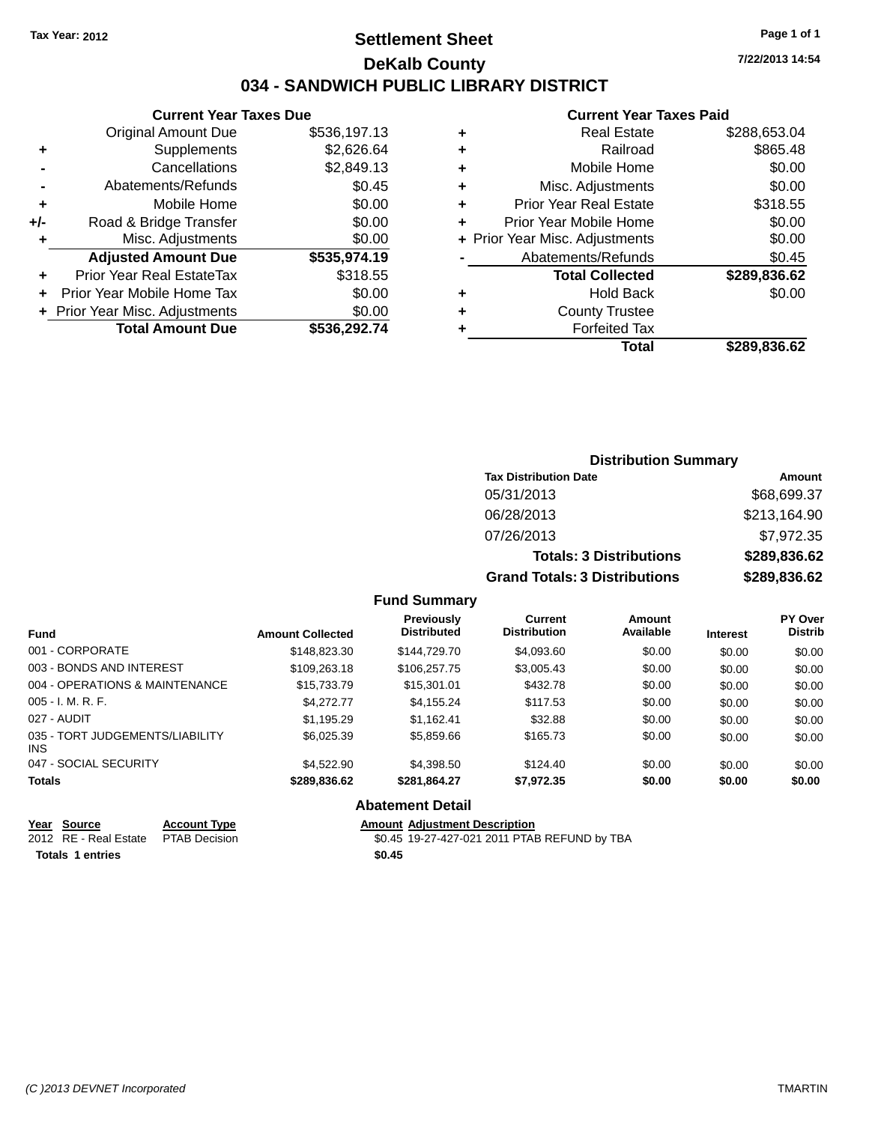## **Settlement Sheet Tax Year: 2012 Page 1 of 1 DeKalb County 034 - SANDWICH PUBLIC LIBRARY DISTRICT**

| Current Year Taxes Due |  |
|------------------------|--|
|------------------------|--|

|     | <b>Total Amount Due</b>        | \$536.292.74 |
|-----|--------------------------------|--------------|
|     | + Prior Year Misc. Adjustments | \$0.00       |
|     | Prior Year Mobile Home Tax     | \$0.00       |
| ÷   | Prior Year Real EstateTax      | \$318.55     |
|     | <b>Adjusted Amount Due</b>     | \$535,974.19 |
| ٠   | Misc. Adjustments              | \$0.00       |
| +/- | Road & Bridge Transfer         | \$0.00       |
| ٠   | Mobile Home                    | \$0.00       |
|     | Abatements/Refunds             | \$0.45       |
|     | Cancellations                  | \$2,849.13   |
| ٠   | Supplements                    | \$2,626.64   |
|     | <b>Original Amount Due</b>     | \$536,197.13 |

#### **Current Year Taxes Paid**

| ٠ | <b>Real Estate</b>             | \$288,653.04 |
|---|--------------------------------|--------------|
| ٠ | Railroad                       | \$865.48     |
| ٠ | Mobile Home                    | \$0.00       |
| ٠ | Misc. Adjustments              | \$0.00       |
| ٠ | <b>Prior Year Real Estate</b>  | \$318.55     |
| ٠ | Prior Year Mobile Home         | \$0.00       |
|   | + Prior Year Misc. Adjustments | \$0.00       |
|   | Abatements/Refunds             | \$0.45       |
|   | <b>Total Collected</b>         | \$289,836.62 |
| ٠ | <b>Hold Back</b>               | \$0.00       |
| ٠ | <b>County Trustee</b>          |              |
| ٠ | <b>Forfeited Tax</b>           |              |
|   | Total                          | \$289,836.62 |
|   |                                |              |

#### **Distribution Summary Tax Distribution Date Amount** 05/31/2013 \$68,699.37 06/28/2013 \$213,164.90 07/26/2013 \$7,972.35 **Totals: 3 Distributions \$289,836.62 Grand Totals: 3 Distributions \$289,836.62**

#### **Fund Summary**

| <b>Amount Collected</b> | Previously<br><b>Distributed</b> | Current<br><b>Distribution</b> | Amount<br>Available | <b>Interest</b> | <b>PY Over</b><br><b>Distrib</b> |
|-------------------------|----------------------------------|--------------------------------|---------------------|-----------------|----------------------------------|
| \$148,823.30            | \$144,729,70                     | \$4,093.60                     | \$0.00              | \$0.00          | \$0.00                           |
| \$109,263.18            | \$106,257,75                     | \$3,005.43                     | \$0.00              | \$0.00          | \$0.00                           |
| \$15,733.79             | \$15,301.01                      | \$432.78                       | \$0.00              | \$0.00          | \$0.00                           |
| \$4,272,77              | \$4,155.24                       | \$117.53                       | \$0.00              | \$0.00          | \$0.00                           |
| \$1,195.29              | \$1,162.41                       | \$32.88                        | \$0.00              | \$0.00          | \$0.00                           |
| \$6,025.39              | \$5,859.66                       | \$165.73                       | \$0.00              | \$0.00          | \$0.00                           |
| \$4,522,90              | \$4,398.50                       | \$124.40                       | \$0.00              | \$0.00          | \$0.00                           |
| \$289,836.62            | \$281,864.27                     | \$7,972.35                     | \$0.00              | \$0.00          | \$0.00                           |
|                         |                                  |                                |                     |                 |                                  |

#### **Abatement Detail**

| Year Source                         | <b>Account Type</b> | Amount |
|-------------------------------------|---------------------|--------|
| 2012 RE - Real Estate PTAB Decision |                     | \$0.45 |
| <b>Totals 1 entries</b>             |                     | \$0.45 |

**Amount Adjustment Description** \$0.45 19-27-427-021 2011 PTAB REFUND by TBA **7/22/2013 14:54**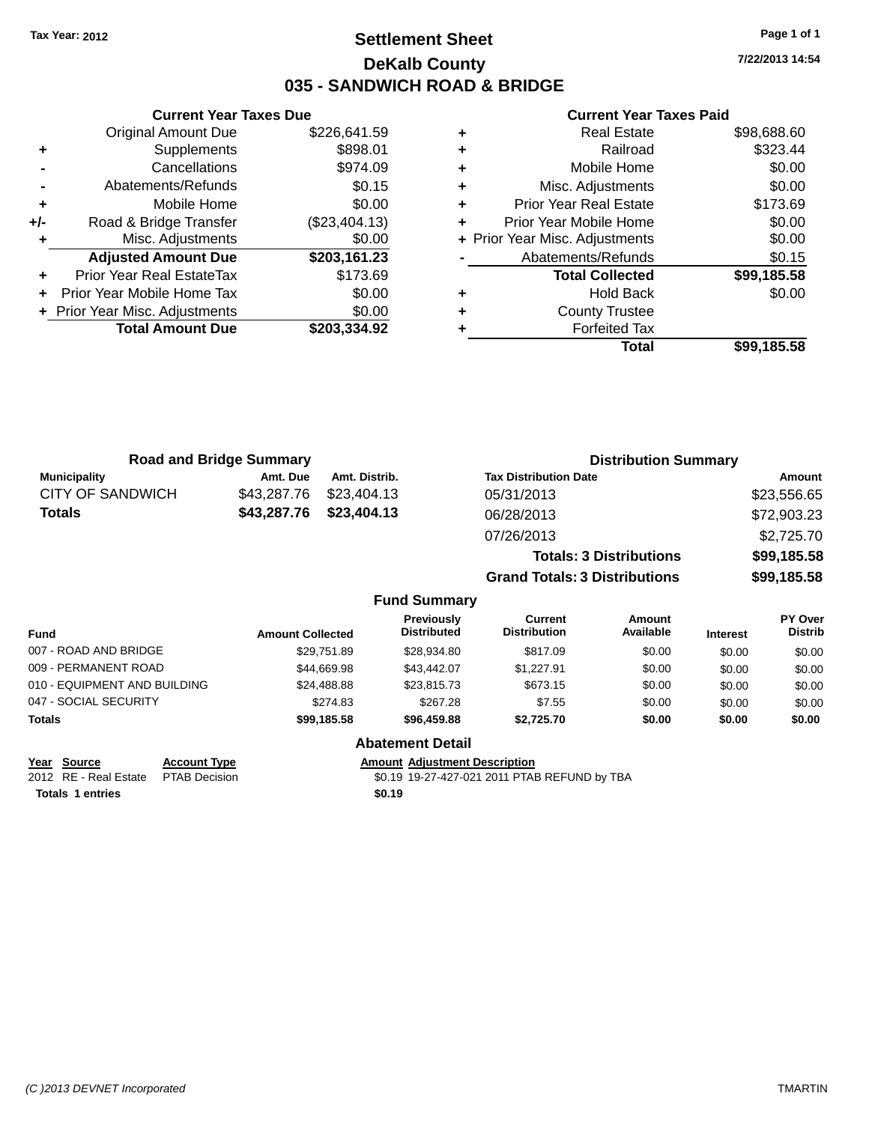## **Settlement Sheet Tax Year: 2012 Page 1 of 1 DeKalb County 035 - SANDWICH ROAD & BRIDGE**

**7/22/2013 14:54**

#### **Current Year Taxes Paid**

|     | <b>Current Year Taxes Due</b>  |               |  |  |  |  |  |
|-----|--------------------------------|---------------|--|--|--|--|--|
|     | <b>Original Amount Due</b>     | \$226,641.59  |  |  |  |  |  |
| ٠   | Supplements                    | \$898.01      |  |  |  |  |  |
|     | Cancellations                  | \$974.09      |  |  |  |  |  |
|     | \$0.15<br>Abatements/Refunds   |               |  |  |  |  |  |
| ٠   | Mobile Home                    | \$0.00        |  |  |  |  |  |
| +/- | Road & Bridge Transfer         | (\$23,404.13) |  |  |  |  |  |
| ٠   | Misc. Adjustments              | \$0.00        |  |  |  |  |  |
|     | <b>Adjusted Amount Due</b>     | \$203,161.23  |  |  |  |  |  |
| ٠   | Prior Year Real EstateTax      | \$173.69      |  |  |  |  |  |
| ÷   | Prior Year Mobile Home Tax     | \$0.00        |  |  |  |  |  |
|     | + Prior Year Misc. Adjustments | \$0.00        |  |  |  |  |  |
|     | <b>Total Amount Due</b>        | \$203,334.92  |  |  |  |  |  |
|     |                                |               |  |  |  |  |  |

| <b>Real Estate</b>             | \$98,688.60 |
|--------------------------------|-------------|
| Railroad                       | \$323.44    |
| Mobile Home                    | \$0.00      |
| Misc. Adjustments              | \$0.00      |
| <b>Prior Year Real Estate</b>  | \$173.69    |
| Prior Year Mobile Home         | \$0.00      |
| + Prior Year Misc. Adjustments | \$0.00      |
| Abatements/Refunds             | \$0.15      |
| <b>Total Collected</b>         | \$99,185.58 |
| <b>Hold Back</b>               | \$0.00      |
| <b>County Trustee</b>          |             |
| <b>Forfeited Tax</b>           |             |
| Total                          | \$99,185.58 |
|                                |             |

| <b>Road and Bridge Summary</b> |             |                     |                                      | <b>Distribution Summary</b> |  |  |
|--------------------------------|-------------|---------------------|--------------------------------------|-----------------------------|--|--|
| <b>Municipality</b>            | Amt. Due    | Amt. Distrib.       | <b>Tax Distribution Date</b>         | Amount                      |  |  |
| <b>CITY OF SANDWICH</b>        | \$43,287.76 | \$23,404.13         | 05/31/2013                           | \$23,556.65                 |  |  |
| <b>Totals</b>                  | \$43,287.76 | \$23,404.13         | 06/28/2013                           | \$72,903.23                 |  |  |
|                                |             |                     | 07/26/2013                           | \$2,725.70                  |  |  |
|                                |             |                     | <b>Totals: 3 Distributions</b>       | \$99,185.58                 |  |  |
|                                |             |                     | <b>Grand Totals: 3 Distributions</b> | \$99,185.58                 |  |  |
|                                |             | <b>Fund Summary</b> |                                      |                             |  |  |

| Fund                         | <b>Amount Collected</b> | Previously<br><b>Distributed</b> | Current<br><b>Distribution</b> | Amount<br>Available | <b>Interest</b> | <b>PY Over</b><br><b>Distrib</b> |
|------------------------------|-------------------------|----------------------------------|--------------------------------|---------------------|-----------------|----------------------------------|
| 007 - ROAD AND BRIDGE        | \$29,751.89             | \$28,934.80                      | \$817.09                       | \$0.00              | \$0.00          | \$0.00                           |
| 009 - PERMANENT ROAD         | \$44.669.98             | \$43,442.07                      | \$1.227.91                     | \$0.00              | \$0.00          | \$0.00                           |
| 010 - EQUIPMENT AND BUILDING | \$24,488.88             | \$23,815,73                      | \$673.15                       | \$0.00              | \$0.00          | \$0.00                           |
| 047 - SOCIAL SECURITY        | \$274.83                | \$267.28                         | \$7.55                         | \$0.00              | \$0.00          | \$0.00                           |
| <b>Totals</b>                | \$99,185,58             | \$96,459.88                      | \$2.725.70                     | \$0.00              | \$0.00          | \$0.00                           |
|                              |                         | <b>Abatement Detail</b>          |                                |                     |                 |                                  |

**Totals 1 entries \$0.19**

**Year** Source **Account Type Account Adjustment Description** 2012 RE - Real Estate PTAB Decision \$0.19 19-27-427-021 2011 PTAB REFUND by TBA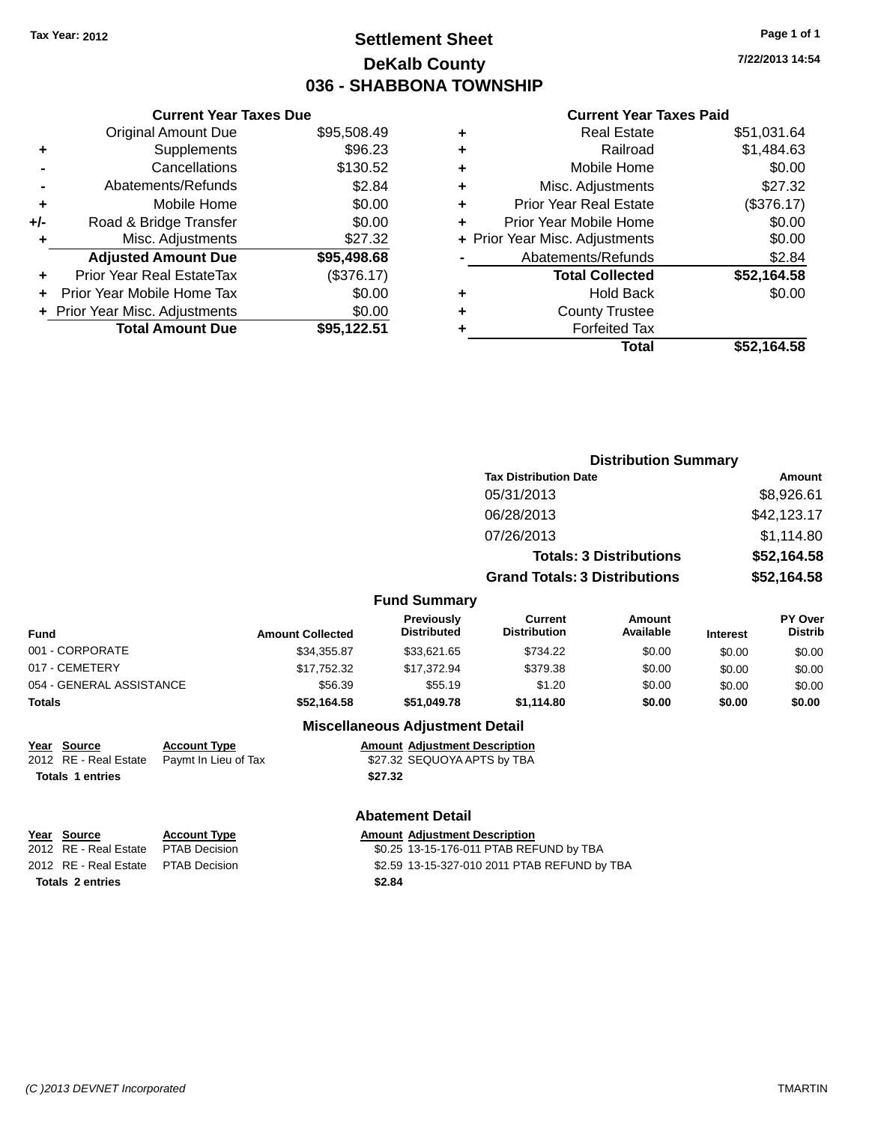## **Settlement Sheet Tax Year: 2012 Page 1 of 1 DeKalb County 036 - SHABBONA TOWNSHIP**

**7/22/2013 14:54**

#### **Current Year Taxes Paid**

|     | <b>Current Year Taxes Due</b>  |             |
|-----|--------------------------------|-------------|
|     | <b>Original Amount Due</b>     | \$95,508.49 |
| ٠   | Supplements                    | \$96.23     |
|     | Cancellations                  | \$130.52    |
|     | Abatements/Refunds             | \$2.84      |
| ٠   | Mobile Home                    | \$0.00      |
| +/- | Road & Bridge Transfer         | \$0.00      |
| ٠   | Misc. Adjustments              | \$27.32     |
|     | <b>Adjusted Amount Due</b>     | \$95,498.68 |
| ٠   | Prior Year Real EstateTax      | (\$376.17)  |
|     | Prior Year Mobile Home Tax     | \$0.00      |
|     | + Prior Year Misc. Adjustments | \$0.00      |
|     | <b>Total Amount Due</b>        | \$95.122.51 |
|     |                                |             |

| ٠ | <b>Real Estate</b>             | \$51,031.64 |
|---|--------------------------------|-------------|
| ٠ | Railroad                       | \$1,484.63  |
| ٠ | Mobile Home                    | \$0.00      |
| ٠ | Misc. Adjustments              | \$27.32     |
| ٠ | <b>Prior Year Real Estate</b>  | (\$376.17)  |
| ÷ | Prior Year Mobile Home         | \$0.00      |
|   | + Prior Year Misc. Adjustments | \$0.00      |
|   | Abatements/Refunds             | \$2.84      |
|   | <b>Total Collected</b>         | \$52,164.58 |
| ٠ | <b>Hold Back</b>               | \$0.00      |
| ٠ | <b>County Trustee</b>          |             |
| ٠ | <b>Forfeited Tax</b>           |             |
|   | Total                          | \$52.164.58 |
|   |                                |             |

|                          |                         | <b>Distribution Summary</b>      |                                       |                                |                 |                                  |
|--------------------------|-------------------------|----------------------------------|---------------------------------------|--------------------------------|-----------------|----------------------------------|
|                          |                         |                                  | <b>Tax Distribution Date</b>          |                                |                 | Amount                           |
|                          |                         |                                  | 05/31/2013                            |                                |                 | \$8,926.61                       |
|                          |                         |                                  | 06/28/2013                            |                                | \$42,123.17     |                                  |
|                          |                         |                                  | 07/26/2013                            |                                |                 | \$1,114.80                       |
|                          |                         |                                  |                                       | <b>Totals: 3 Distributions</b> |                 | \$52,164.58                      |
|                          |                         |                                  | <b>Grand Totals: 3 Distributions</b>  |                                |                 | \$52,164.58                      |
|                          |                         | <b>Fund Summary</b>              |                                       |                                |                 |                                  |
| <b>Fund</b>              | <b>Amount Collected</b> | Previously<br><b>Distributed</b> | <b>Current</b><br><b>Distribution</b> | <b>Amount</b><br>Available     | <b>Interest</b> | <b>PY Over</b><br><b>Distrib</b> |
| 001 - CORPORATE          | \$34,355.87             | \$33,621.65                      | \$734.22                              | \$0.00                         | \$0.00          | \$0.00                           |
| 017 - CEMETERY           | \$17,752.32             | \$17.372.94                      | \$379.38                              | \$0.00                         | \$0.00          | \$0.00                           |
| 054 - GENERAL ASSISTANCE | \$56.39                 | \$55.19                          | \$1.20                                | \$0.00                         | \$0.00          | \$0.00                           |
| Totals                   | \$52,164.58             | \$51,049.78                      | \$1,114.80                            | \$0.00                         | \$0.00          | \$0.00                           |
|                          |                         |                                  |                                       |                                |                 |                                  |

#### **Miscellaneous Adjustment Detail**

**Year Source Account Type Amount Adjustment Description**

2012 RE - Real Estate Paymt In Lieu of Tax \$27.32 SEQUOYA APTS by TBA

**Totals 1 entries \$27.32**

**Totals 2 entries \$2.84**

#### **Abatement Detail**

**Year** Source **Account Type Account Adjustment Description** 2012 RE - Real Estate PTAB Decision \$0.25 13-15-176-011 PTAB REFUND by TBA 2012 RE - Real Estate PTAB Decision \$2.59 13-15-327-010 2011 PTAB REFUND by TBA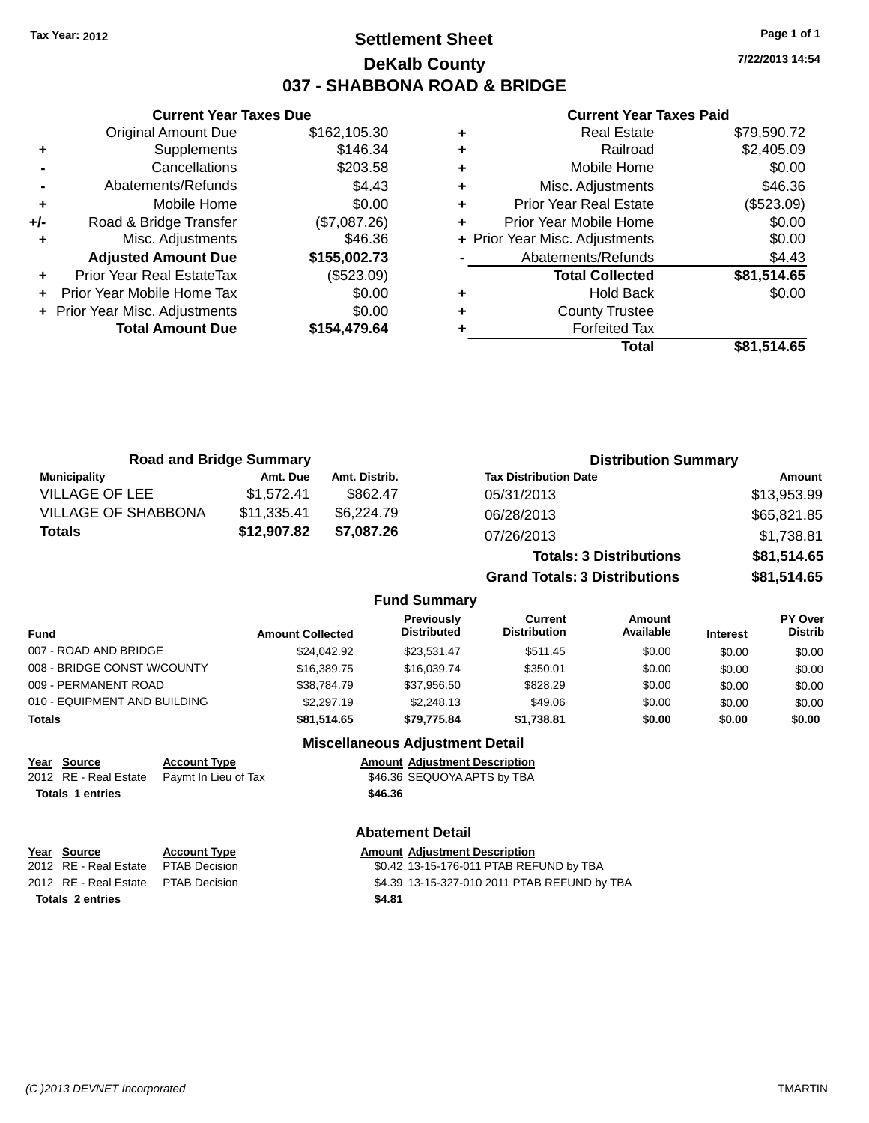## **Settlement Sheet Tax Year: 2012 Page 1 of 1 DeKalb County 037 - SHABBONA ROAD & BRIDGE**

**7/22/2013 14:54**

#### **Current Year Taxes Paid**

|     | <b>Current Year Taxes Due</b>  |              |  |  |  |  |  |
|-----|--------------------------------|--------------|--|--|--|--|--|
|     | <b>Original Amount Due</b>     | \$162,105.30 |  |  |  |  |  |
| ٠   | Supplements                    | \$146.34     |  |  |  |  |  |
|     | Cancellations                  | \$203.58     |  |  |  |  |  |
|     | Abatements/Refunds             | \$4.43       |  |  |  |  |  |
| ٠   | Mobile Home                    | \$0.00       |  |  |  |  |  |
| +/- | Road & Bridge Transfer         | (\$7,087.26) |  |  |  |  |  |
|     | Misc. Adjustments              | \$46.36      |  |  |  |  |  |
|     | <b>Adjusted Amount Due</b>     | \$155,002.73 |  |  |  |  |  |
| ٠   | Prior Year Real EstateTax      | (\$523.09)   |  |  |  |  |  |
|     | Prior Year Mobile Home Tax     | \$0.00       |  |  |  |  |  |
|     | + Prior Year Misc. Adjustments | \$0.00       |  |  |  |  |  |
|     | <b>Total Amount Due</b>        | \$154.479.64 |  |  |  |  |  |
|     |                                |              |  |  |  |  |  |

|   | Total                          | \$81,514.65 |
|---|--------------------------------|-------------|
| ٠ | <b>Forfeited Tax</b>           |             |
| ٠ | <b>County Trustee</b>          |             |
| ٠ | <b>Hold Back</b>               | \$0.00      |
|   | <b>Total Collected</b>         | \$81,514.65 |
|   | Abatements/Refunds             | \$4.43      |
|   | + Prior Year Misc. Adjustments | \$0.00      |
| ٠ | Prior Year Mobile Home         | \$0.00      |
| ٠ | <b>Prior Year Real Estate</b>  | (\$523.09)  |
| ٠ | Misc. Adjustments              | \$46.36     |
| ٠ | Mobile Home                    | \$0.00      |
| ٠ | Railroad                       | \$2,405.09  |
| ٠ | <b>Real Estate</b>             | \$79,590.72 |

| <b>Road and Bridge Summary</b> |             |               | <b>Distribution Summary</b>    |             |  |
|--------------------------------|-------------|---------------|--------------------------------|-------------|--|
| Municipality                   | Amt. Due    | Amt. Distrib. | <b>Tax Distribution Date</b>   | Amount      |  |
| <b>VILLAGE OF LEE</b>          | \$1.572.41  | \$862.47      | 05/31/2013                     | \$13,953.99 |  |
| <b>VILLAGE OF SHABBONA</b>     | \$11,335.41 | \$6,224.79    | 06/28/2013                     | \$65,821.85 |  |
| <b>Totals</b>                  | \$12,907.82 | \$7,087.26    | 07/26/2013                     | \$1,738.81  |  |
|                                |             |               | <b>Totals: 3 Distributions</b> | \$81,514.65 |  |

**Grand Totals: 3 Distributions \$81,514.65**

#### **Fund Summary**

| Fund                         | <b>Amount Collected</b> | <b>Previously</b><br><b>Distributed</b> | Current<br><b>Distribution</b> | Amount<br>Available | <b>Interest</b> | <b>PY Over</b><br><b>Distrib</b> |
|------------------------------|-------------------------|-----------------------------------------|--------------------------------|---------------------|-----------------|----------------------------------|
| 007 - ROAD AND BRIDGE        | \$24.042.92             | \$23.531.47                             | \$511.45                       | \$0.00              | \$0.00          | \$0.00                           |
| 008 - BRIDGE CONST W/COUNTY  | \$16,389,75             | \$16,039.74                             | \$350.01                       | \$0.00              | \$0.00          | \$0.00                           |
| 009 - PERMANENT ROAD         | \$38,784.79             | \$37.956.50                             | \$828.29                       | \$0.00              | \$0.00          | \$0.00                           |
| 010 - EQUIPMENT AND BUILDING | \$2,297.19              | \$2,248.13                              | \$49.06                        | \$0.00              | \$0.00          | \$0.00                           |
| Totals                       | \$81,514.65             | \$79.775.84                             | \$1,738.81                     | \$0.00              | \$0.00          | \$0.00                           |

#### **Miscellaneous Adjustment Detail**

**Year Source • Account Type AMOULT AMOULT Adjustment Description** 

2012 RE - Real Estate Paymt In Lieu of Tax \$46.36 SEQUOYA APTS by TBA **Totals 1 entries \$46.36**

#### **Abatement Detail**

| Year Source                         | <b>Account Type</b> |        | <b>Amount Adjustment Description</b>         |
|-------------------------------------|---------------------|--------|----------------------------------------------|
| 2012 RE - Real Estate               | PTAB Decision       |        | \$0.42 13-15-176-011 PTAB REFUND by TBA      |
| 2012 RE - Real Estate PTAB Decision |                     |        | \$4.39 13-15-327-010 2011 PTAB REFUND by TBA |
| Totals 2 entries                    |                     | \$4.81 |                                              |
|                                     |                     |        |                                              |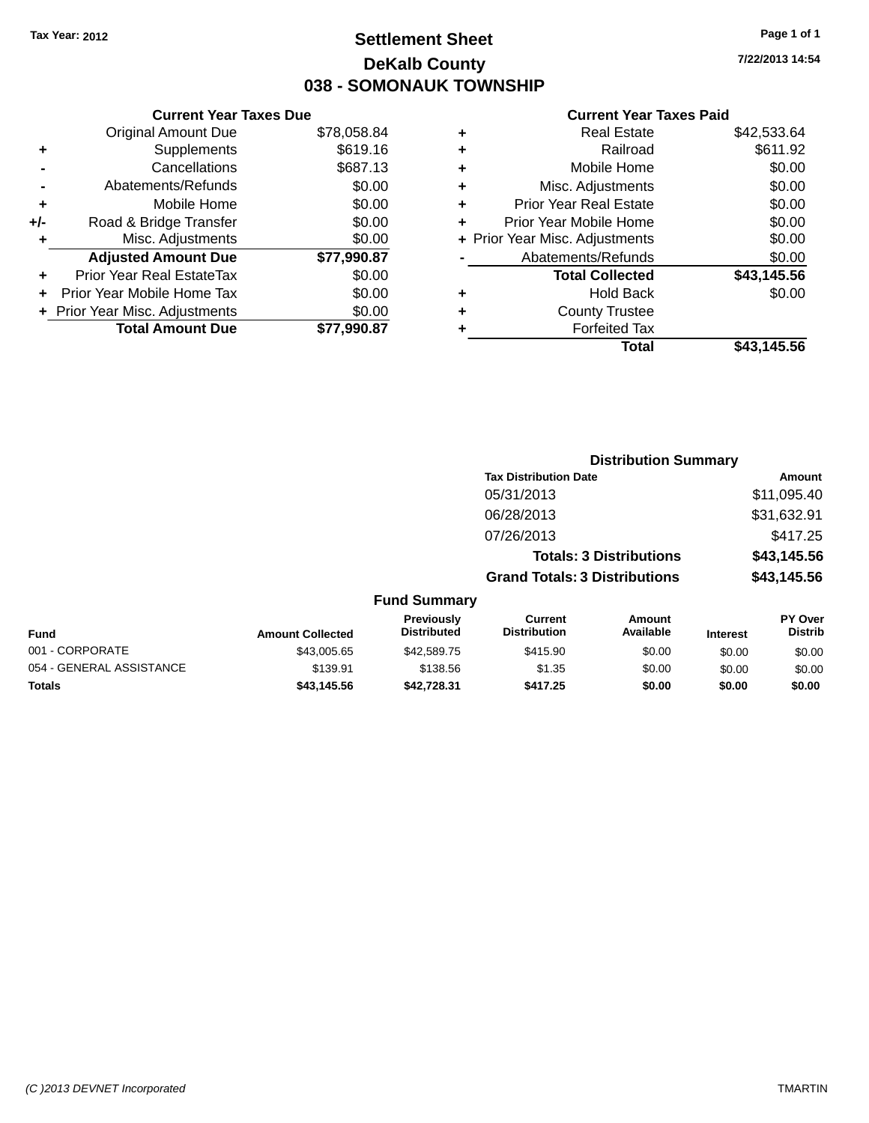## **Settlement Sheet Tax Year: 2012 Page 1 of 1 DeKalb County 038 - SOMONAUK TOWNSHIP**

**7/22/2013 14:54**

#### **Current Year Taxes Paid**

| <b>Current Year Taxes Due</b>  |             |
|--------------------------------|-------------|
| <b>Original Amount Due</b>     | \$78,058.84 |
| Supplements                    | \$619.16    |
| Cancellations                  | \$687.13    |
| Abatements/Refunds             | \$0.00      |
| Mobile Home                    | \$0.00      |
| Road & Bridge Transfer         | \$0.00      |
| Misc. Adjustments              | \$0.00      |
| <b>Adjusted Amount Due</b>     | \$77,990.87 |
| Prior Year Real EstateTax      | \$0.00      |
| Prior Year Mobile Home Tax     | \$0.00      |
| + Prior Year Misc. Adjustments | \$0.00      |
| <b>Total Amount Due</b>        | \$77.990.87 |
|                                |             |

| ٠ | <b>Real Estate</b>             | \$42,533.64 |
|---|--------------------------------|-------------|
| ٠ | Railroad                       | \$611.92    |
| ٠ | Mobile Home                    | \$0.00      |
| ٠ | Misc. Adjustments              | \$0.00      |
| ٠ | <b>Prior Year Real Estate</b>  | \$0.00      |
| ÷ | Prior Year Mobile Home         | \$0.00      |
|   | + Prior Year Misc. Adjustments | \$0.00      |
|   | Abatements/Refunds             | \$0.00      |
|   | <b>Total Collected</b>         | \$43,145.56 |
| ٠ | <b>Hold Back</b>               | \$0.00      |
| ٠ | <b>County Trustee</b>          |             |
| ٠ | <b>Forfeited Tax</b>           |             |
|   | Total                          | \$43,145.56 |
|   |                                |             |

|                          |                         |                                  | <b>Distribution Summary</b>           |                                |                 |                                  |
|--------------------------|-------------------------|----------------------------------|---------------------------------------|--------------------------------|-----------------|----------------------------------|
|                          |                         |                                  | <b>Tax Distribution Date</b>          |                                |                 | <b>Amount</b>                    |
|                          |                         |                                  | 05/31/2013                            |                                |                 | \$11,095.40                      |
|                          |                         |                                  | 06/28/2013                            |                                |                 | \$31,632.91                      |
|                          |                         |                                  | 07/26/2013                            |                                |                 | \$417.25                         |
|                          |                         |                                  |                                       | <b>Totals: 3 Distributions</b> |                 | \$43,145.56                      |
|                          |                         |                                  | <b>Grand Totals: 3 Distributions</b>  |                                |                 | \$43,145.56                      |
|                          |                         | <b>Fund Summary</b>              |                                       |                                |                 |                                  |
| <b>Fund</b>              | <b>Amount Collected</b> | Previously<br><b>Distributed</b> | <b>Current</b><br><b>Distribution</b> | <b>Amount</b><br>Available     | <b>Interest</b> | <b>PY Over</b><br><b>Distrib</b> |
| 001 - CORPORATE          | \$43,005.65             | \$42,589.75                      | \$415.90                              | \$0.00                         | \$0.00          | \$0.00                           |
| 054 - GENERAL ASSISTANCE | \$139.91                | \$138.56                         | \$1.35                                | \$0.00                         | \$0.00          | \$0.00                           |
| <b>Totals</b>            | \$43,145.56             | \$42,728.31                      | \$417.25                              | \$0.00                         | \$0.00          | \$0.00                           |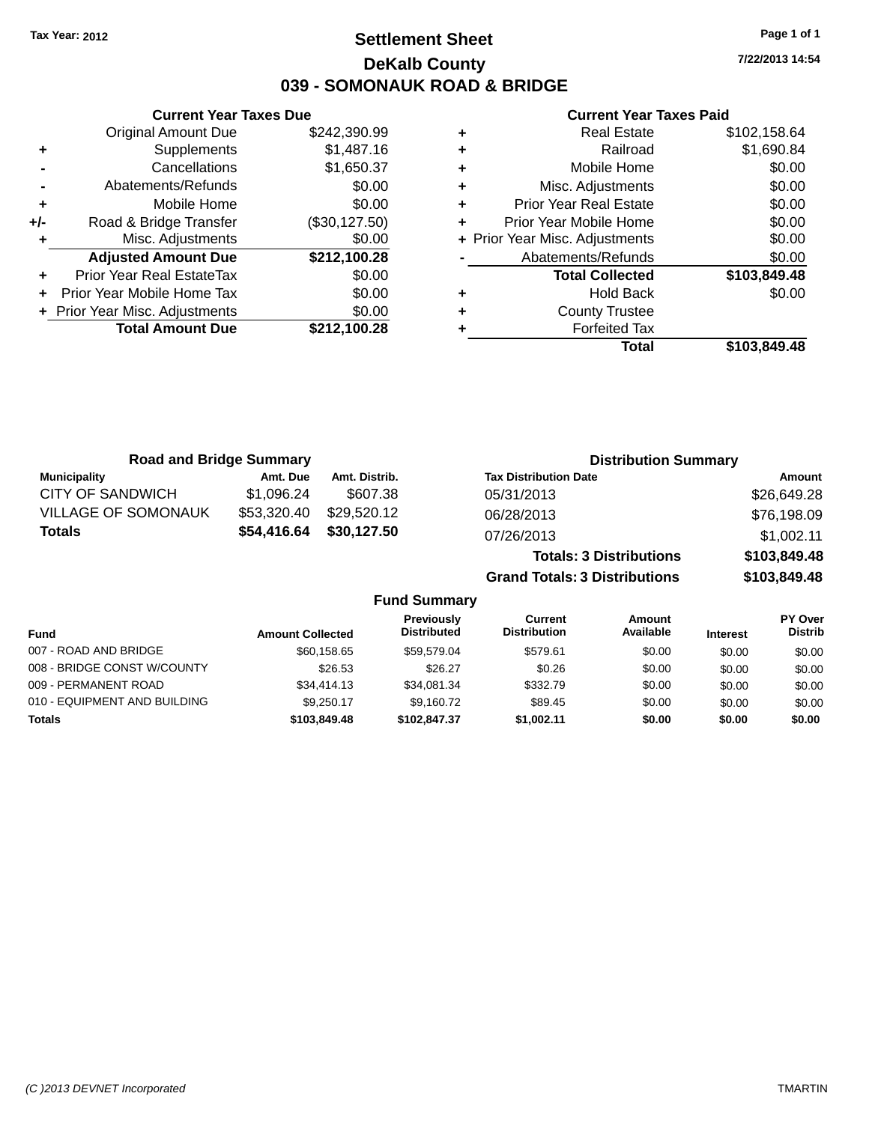## **Settlement Sheet Tax Year: 2012 Page 1 of 1 DeKalb County 039 - SOMONAUK ROAD & BRIDGE**

**Current Year Taxes Due** Original Amount Due \$242,390.99 **+** Supplements \$1,487.16 **-** Cancellations \$1,650.37 **-** Abatements/Refunds \$0.00 **+** Mobile Home \$0.00 **+/-** Road & Bridge Transfer (\$30,127.50) **+** Misc. Adjustments \$0.00 **Adjusted Amount Due \$212,100.28 +** Prior Year Real EstateTax \$0.00 **+** Prior Year Mobile Home Tax \$0.00 **+ Prior Year Misc. Adjustments**  $$0.00$ **Total Amount Due \$212,100.28**

#### **Current Year Taxes Paid**

|   | <b>Real Estate</b>             | \$102,158.64 |
|---|--------------------------------|--------------|
| ٠ | Railroad                       | \$1,690.84   |
| ٠ | Mobile Home                    | \$0.00       |
| ٠ | Misc. Adjustments              | \$0.00       |
| ٠ | <b>Prior Year Real Estate</b>  | \$0.00       |
|   | Prior Year Mobile Home         | \$0.00       |
|   | + Prior Year Misc. Adjustments | \$0.00       |
|   | Abatements/Refunds             | \$0.00       |
|   | <b>Total Collected</b>         | \$103,849.48 |
| ٠ | <b>Hold Back</b>               | \$0.00       |
| ٠ | <b>County Trustee</b>          |              |
|   | <b>Forfeited Tax</b>           |              |
|   | Total                          | \$103,849.48 |
|   |                                |              |

| <b>Road and Bridge Summary</b> |             |               | <b>Distribution Summary</b>    |              |
|--------------------------------|-------------|---------------|--------------------------------|--------------|
| <b>Municipality</b>            | Amt. Due    | Amt. Distrib. | <b>Tax Distribution Date</b>   | Amount       |
| <b>CITY OF SANDWICH</b>        | \$1.096.24  | \$607.38      | 05/31/2013                     | \$26,649.28  |
| <b>VILLAGE OF SOMONAUK</b>     | \$53,320.40 | \$29,520.12   | 06/28/2013                     | \$76,198.09  |
| <b>Totals</b>                  | \$54,416.64 | \$30,127.50   | 07/26/2013                     | \$1,002.11   |
|                                |             |               | <b>Totals: 3 Distributions</b> | \$103,849.48 |

**Grand Totals: 3 Distributions \$103,849.48**

**Fund Summary**

| <b>Fund</b>                  | <b>Amount Collected</b> | <b>Previously</b><br><b>Distributed</b> | Current<br><b>Distribution</b> | Amount<br>Available | <b>Interest</b> | PY Over<br><b>Distrib</b> |
|------------------------------|-------------------------|-----------------------------------------|--------------------------------|---------------------|-----------------|---------------------------|
| 007 - ROAD AND BRIDGE        | \$60.158.65             | \$59.579.04                             | \$579.61                       | \$0.00              | \$0.00          | \$0.00                    |
| 008 - BRIDGE CONST W/COUNTY  | \$26.53                 | \$26.27                                 | \$0.26                         | \$0.00              | \$0.00          | \$0.00                    |
| 009 - PERMANENT ROAD         | \$34,414.13             | \$34.081.34                             | \$332.79                       | \$0.00              | \$0.00          | \$0.00                    |
| 010 - EQUIPMENT AND BUILDING | \$9,250.17              | \$9.160.72                              | \$89.45                        | \$0.00              | \$0.00          | \$0.00                    |
| <b>Totals</b>                | \$103,849.48            | \$102.847.37                            | \$1,002.11                     | \$0.00              | \$0.00          | \$0.00                    |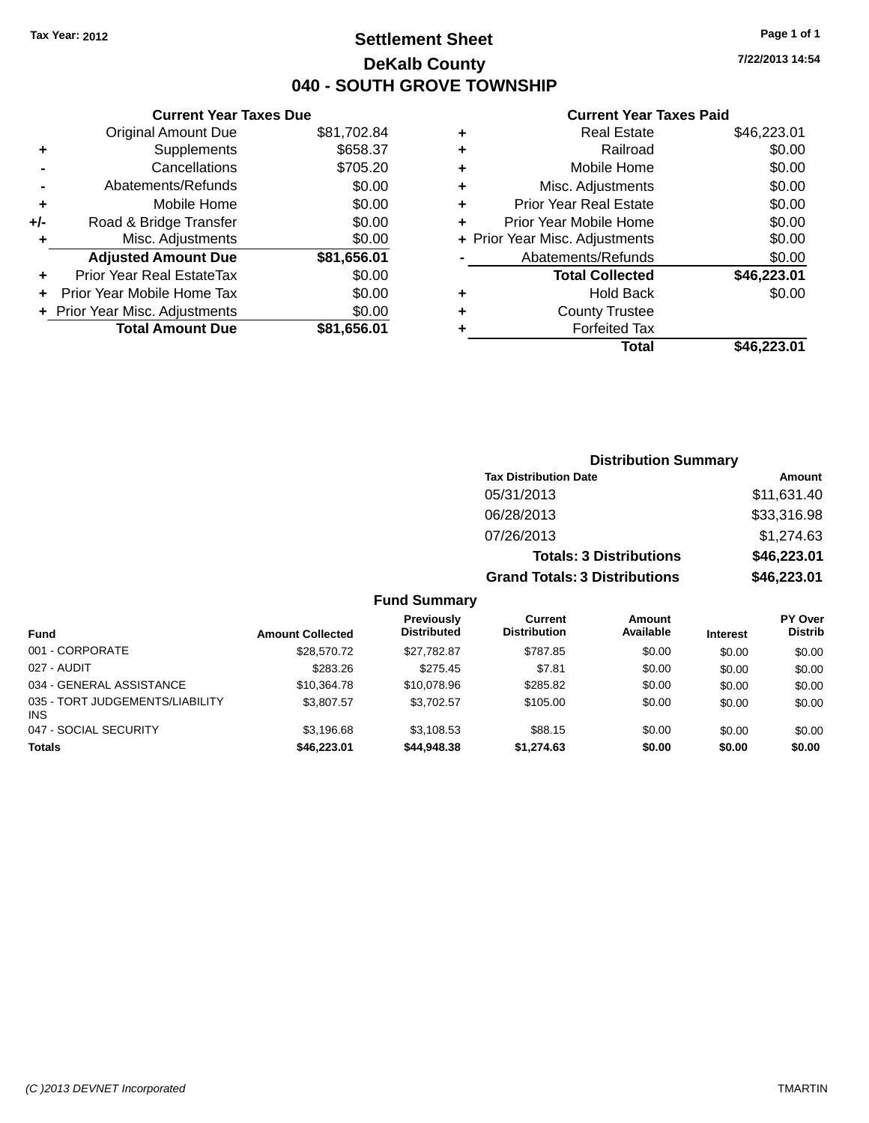## **Settlement Sheet Tax Year: 2012 Page 1 of 1 DeKalb County 040 - SOUTH GROVE TOWNSHIP**

**7/22/2013 14:54**

#### **Current Year Taxes Paid**

| <b>Current Year Taxes Due</b>   |             |
|---------------------------------|-------------|
| <b>Original Amount Due</b>      | \$81,702.84 |
| Supplements<br>٠                | \$658.37    |
| Cancellations                   | \$705.20    |
| Abatements/Refunds              | \$0.00      |
| Mobile Home<br>٠                | \$0.00      |
| Road & Bridge Transfer<br>$+/-$ | \$0.00      |
| Misc. Adjustments               | \$0.00      |
| <b>Adjusted Amount Due</b>      | \$81,656.01 |
| Prior Year Real EstateTax<br>٠  | \$0.00      |
| Prior Year Mobile Home Tax      | \$0.00      |
| + Prior Year Misc. Adjustments  | \$0.00      |
| <b>Total Amount Due</b>         | \$81.656.01 |

| ٠ | <b>Real Estate</b>             | \$46,223.01 |
|---|--------------------------------|-------------|
| ٠ | Railroad                       | \$0.00      |
| ٠ | Mobile Home                    | \$0.00      |
| ٠ | Misc. Adjustments              | \$0.00      |
| ٠ | <b>Prior Year Real Estate</b>  | \$0.00      |
| ٠ | Prior Year Mobile Home         | \$0.00      |
|   | + Prior Year Misc. Adjustments | \$0.00      |
|   | Abatements/Refunds             | \$0.00      |
|   | <b>Total Collected</b>         | \$46,223.01 |
| ٠ | <b>Hold Back</b>               | \$0.00      |
| ٠ | <b>County Trustee</b>          |             |
| ٠ | <b>Forfeited Tax</b>           |             |
|   | Total                          | \$46,223.01 |
|   |                                |             |

|                     |                                      | <b>Distribution Summary</b>    |                |
|---------------------|--------------------------------------|--------------------------------|----------------|
|                     | <b>Tax Distribution Date</b>         |                                | Amount         |
|                     | 05/31/2013                           |                                | \$11,631.40    |
|                     | 06/28/2013                           |                                | \$33,316.98    |
|                     | 07/26/2013                           |                                | \$1,274.63     |
|                     |                                      | <b>Totals: 3 Distributions</b> | \$46,223.01    |
|                     | <b>Grand Totals: 3 Distributions</b> |                                | \$46,223.01    |
| <b>Fund Summary</b> |                                      |                                |                |
| <b>Previously</b>   | Current                              | Amount                         | <b>PY Over</b> |

| <b>Fund</b>                            | <b>Amount Collected</b> | <b>Previously</b><br><b>Distributed</b> | Current<br><b>Distribution</b> | Amount<br>Available | <b>Interest</b> | <b>PY Over</b><br><b>Distrib</b> |
|----------------------------------------|-------------------------|-----------------------------------------|--------------------------------|---------------------|-----------------|----------------------------------|
| 001 - CORPORATE                        | \$28,570.72             | \$27.782.87                             | \$787.85                       | \$0.00              | \$0.00          | \$0.00                           |
| 027 - AUDIT                            | \$283.26                | \$275.45                                | \$7.81                         | \$0.00              | \$0.00          | \$0.00                           |
| 034 - GENERAL ASSISTANCE               | \$10,364.78             | \$10,078.96                             | \$285.82                       | \$0.00              | \$0.00          | \$0.00                           |
| 035 - TORT JUDGEMENTS/LIABILITY<br>INS | \$3,807.57              | \$3.702.57                              | \$105.00                       | \$0.00              | \$0.00          | \$0.00                           |
| 047 - SOCIAL SECURITY                  | \$3.196.68              | \$3,108.53                              | \$88.15                        | \$0.00              | \$0.00          | \$0.00                           |
| <b>Totals</b>                          | \$46,223,01             | \$44,948,38                             | \$1,274.63                     | \$0.00              | \$0.00          | \$0.00                           |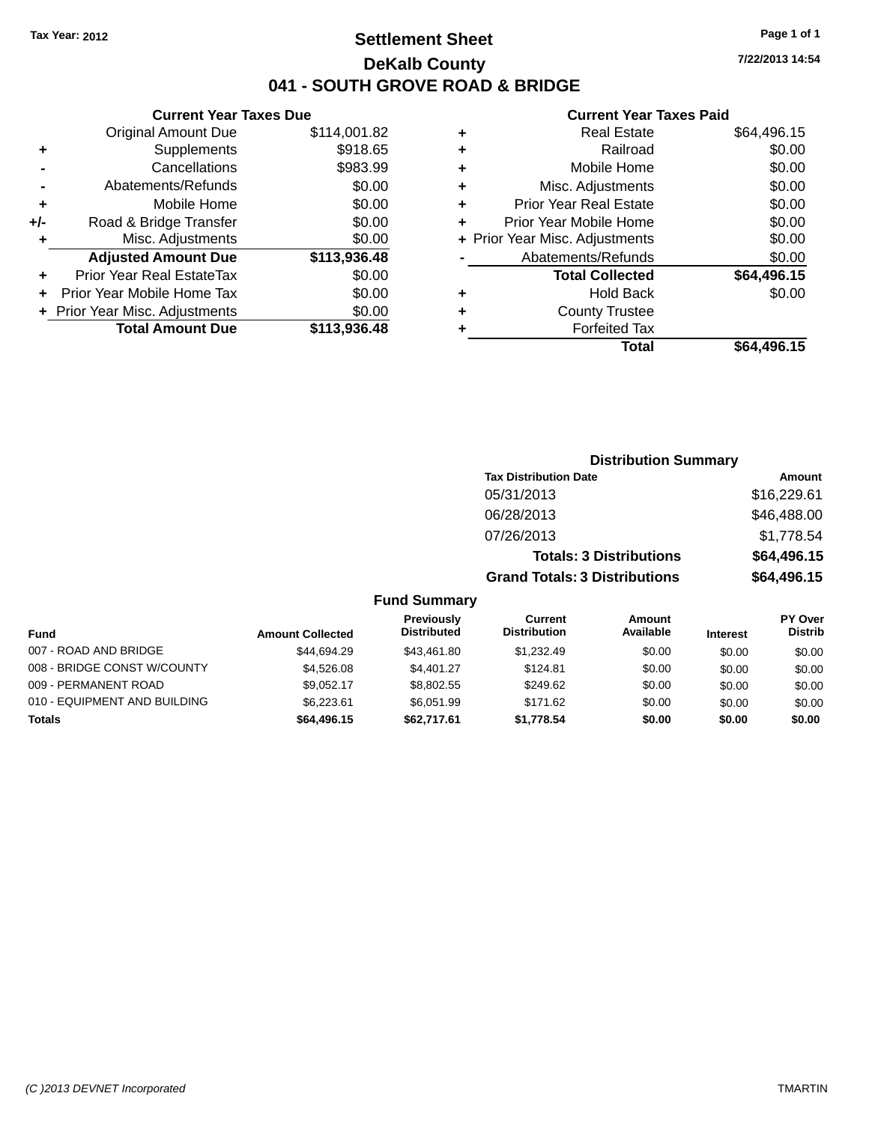## **Settlement Sheet Tax Year: 2012 Page 1 of 1 DeKalb County 041 - SOUTH GROVE ROAD & BRIDGE**

**Current Year Taxes Due**

| <b>Original Amount Due</b>     | \$114,001.82 |
|--------------------------------|--------------|
| Supplements                    | \$918.65     |
| Cancellations                  | \$983.99     |
| Abatements/Refunds             | \$0.00       |
| Mobile Home                    | \$0.00       |
| Road & Bridge Transfer         | \$0.00       |
| Misc. Adjustments              | \$0.00       |
| <b>Adjusted Amount Due</b>     | \$113,936.48 |
| Prior Year Real EstateTax      | \$0.00       |
| Prior Year Mobile Home Tax     | \$0.00       |
| + Prior Year Misc. Adjustments | \$0.00       |
| <b>Total Amount Due</b>        | \$113,936.48 |
|                                |              |

#### **Current Year Taxes Paid**

| ٠ | <b>Real Estate</b>             | \$64,496.15 |
|---|--------------------------------|-------------|
| ٠ | Railroad                       | \$0.00      |
| ٠ | Mobile Home                    | \$0.00      |
| ٠ | Misc. Adjustments              | \$0.00      |
| ٠ | <b>Prior Year Real Estate</b>  | \$0.00      |
| ÷ | Prior Year Mobile Home         | \$0.00      |
|   | + Prior Year Misc. Adjustments | \$0.00      |
|   | Abatements/Refunds             | \$0.00      |
|   | <b>Total Collected</b>         | \$64,496.15 |
| ٠ | <b>Hold Back</b>               | \$0.00      |
| ٠ | <b>County Trustee</b>          |             |
| ٠ | <b>Forfeited Tax</b>           |             |
|   | Total                          | \$64,496.15 |
|   |                                |             |

| <b>Distribution Summary</b>    |             |
|--------------------------------|-------------|
| <b>Tax Distribution Date</b>   | Amount      |
| 05/31/2013                     | \$16,229.61 |
| 06/28/2013                     | \$46,488.00 |
| 07/26/2013                     | \$1,778.54  |
| <b>Totals: 3 Distributions</b> | \$64,496.15 |

**Grand Totals: 3 Distributions \$64,496.15**

#### **Fund Summary**

|                              |                         | Previously         | Current             | Amount    |                 | PY Over        |
|------------------------------|-------------------------|--------------------|---------------------|-----------|-----------------|----------------|
| Fund                         | <b>Amount Collected</b> | <b>Distributed</b> | <b>Distribution</b> | Available | <b>Interest</b> | <b>Distrib</b> |
| 007 - ROAD AND BRIDGE        | \$44,694.29             | \$43.461.80        | \$1.232.49          | \$0.00    | \$0.00          | \$0.00         |
| 008 - BRIDGE CONST W/COUNTY  | \$4,526,08              | \$4.401.27         | \$124.81            | \$0.00    | \$0.00          | \$0.00         |
| 009 - PERMANENT ROAD         | \$9.052.17              | \$8,802.55         | \$249.62            | \$0.00    | \$0.00          | \$0.00         |
| 010 - EQUIPMENT AND BUILDING | \$6.223.61              | \$6.051.99         | \$171.62            | \$0.00    | \$0.00          | \$0.00         |
| <b>Totals</b>                | \$64,496.15             | \$62,717.61        | \$1.778.54          | \$0.00    | \$0.00          | \$0.00         |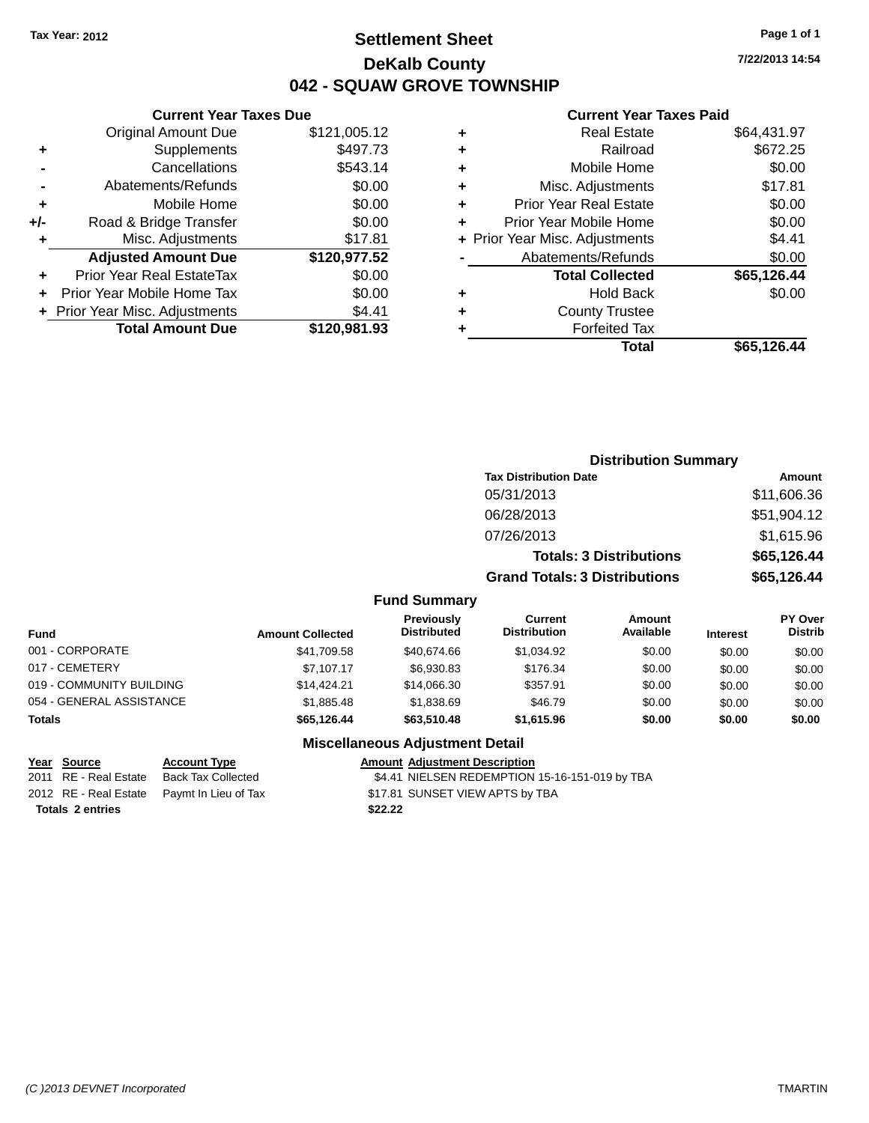## **Settlement Sheet Tax Year: 2012 Page 1 of 1 DeKalb County 042 - SQUAW GROVE TOWNSHIP**

**7/22/2013 14:54**

#### **Current Year Taxes Paid**

|     | <b>Current Year Taxes Due</b>  |              |  |  |  |
|-----|--------------------------------|--------------|--|--|--|
|     | <b>Original Amount Due</b>     | \$121,005.12 |  |  |  |
| ٠   | Supplements                    | \$497.73     |  |  |  |
|     | Cancellations                  | \$543.14     |  |  |  |
|     | Abatements/Refunds             | \$0.00       |  |  |  |
| ٠   | Mobile Home                    | \$0.00       |  |  |  |
| +/- | Road & Bridge Transfer         | \$0.00       |  |  |  |
| ٠   | Misc. Adjustments              | \$17.81      |  |  |  |
|     | <b>Adjusted Amount Due</b>     | \$120,977.52 |  |  |  |
| ٠   | Prior Year Real EstateTax      | \$0.00       |  |  |  |
|     | Prior Year Mobile Home Tax     | \$0.00       |  |  |  |
|     | + Prior Year Misc. Adjustments | \$4.41       |  |  |  |
|     | <b>Total Amount Due</b>        | \$120,981.93 |  |  |  |
|     |                                |              |  |  |  |

|   | <b>Real Estate</b>             | \$64,431.97 |
|---|--------------------------------|-------------|
| ٠ | Railroad                       | \$672.25    |
| ٠ | Mobile Home                    | \$0.00      |
| ٠ | Misc. Adjustments              | \$17.81     |
| ٠ | <b>Prior Year Real Estate</b>  | \$0.00      |
| ٠ | Prior Year Mobile Home         | \$0.00      |
|   | + Prior Year Misc. Adjustments | \$4.41      |
|   | Abatements/Refunds             | \$0.00      |
|   | <b>Total Collected</b>         | \$65,126.44 |
| ٠ | Hold Back                      | \$0.00      |
| ٠ | <b>County Trustee</b>          |             |
| ٠ | <b>Forfeited Tax</b>           |             |
|   | Total                          | \$65,126.44 |
|   |                                |             |

|         | <b>Distribution Summary</b>          |             |
|---------|--------------------------------------|-------------|
|         | <b>Tax Distribution Date</b>         | Amount      |
|         | 05/31/2013                           | \$11,606.36 |
|         | 06/28/2013                           | \$51,904.12 |
|         | 07/26/2013                           | \$1,615.96  |
|         | <b>Totals: 3 Distributions</b>       | \$65,126.44 |
|         | <b>Grand Totals: 3 Distributions</b> | \$65,126.44 |
| Summary |                                      |             |

| Fund                     | <b>Amount Collected</b> | <b>Previously</b><br><b>Distributed</b> | Current<br><b>Distribution</b> | <b>Amount</b><br>Available | <b>Interest</b> | PY Over<br><b>Distrib</b> |
|--------------------------|-------------------------|-----------------------------------------|--------------------------------|----------------------------|-----------------|---------------------------|
| 001 - CORPORATE          | \$41,709.58             | \$40.674.66                             | \$1.034.92                     | \$0.00                     | \$0.00          | \$0.00                    |
| 017 - CEMETERY           | \$7.107.17              | \$6,930.83                              | \$176.34                       | \$0.00                     | \$0.00          | \$0.00                    |
| 019 - COMMUNITY BUILDING | \$14.424.21             | \$14,066.30                             | \$357.91                       | \$0.00                     | \$0.00          | \$0.00                    |
| 054 - GENERAL ASSISTANCE | \$1,885.48              | \$1,838,69                              | \$46.79                        | \$0.00                     | \$0.00          | \$0.00                    |
| <b>Totals</b>            | \$65,126,44             | \$63,510.48                             | \$1,615.96                     | \$0.00                     | \$0.00          | \$0.00                    |

#### **Miscellaneous Adjustment Detail**

**Fund** 

#### **Year** Source **Account Type Account Adjustment Description**

**Totals 2 entries \$22.22**

2011 RE - Real Estate Back Tax Collected \$4.41 NIELSEN REDEMPTION 15-16-151-019 by TBA 2012 RE - Real Estate Paymt In Lieu of Tax \$17.81 SUNSET VIEW APTS by TBA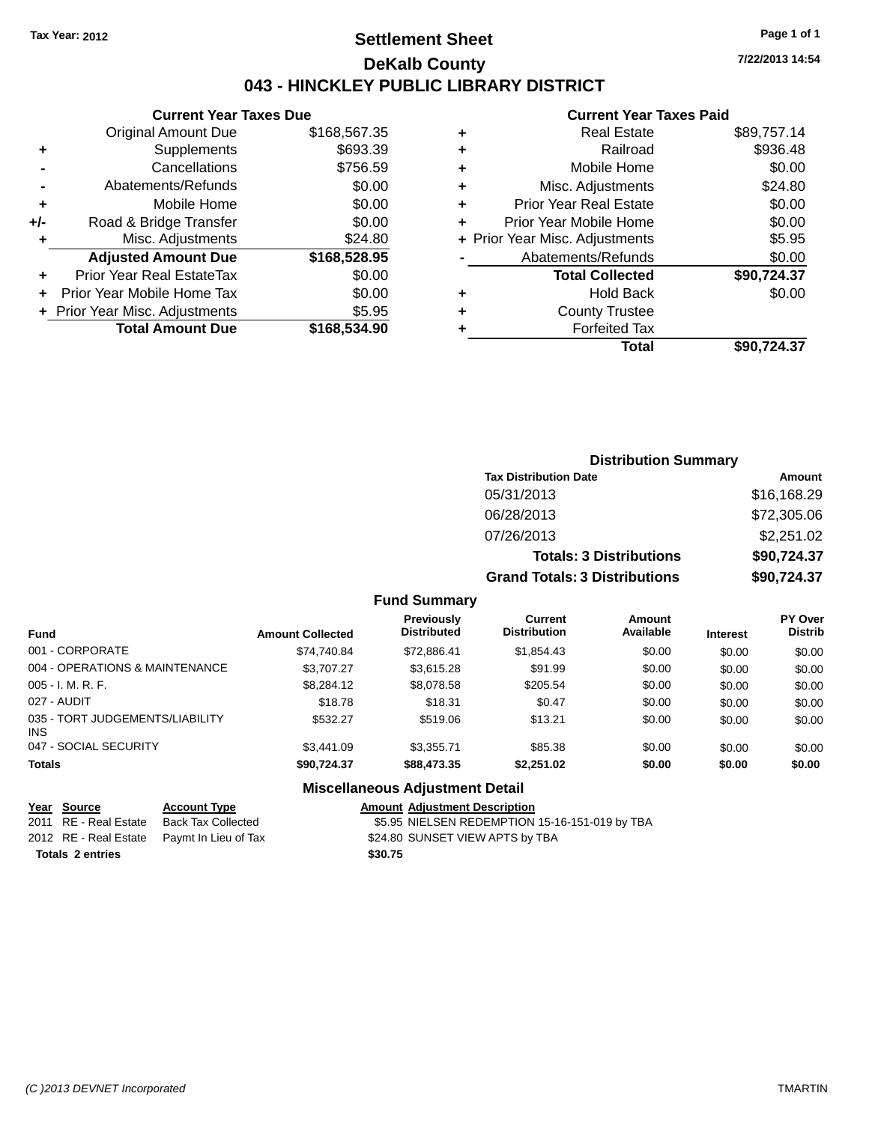## **Settlement Sheet Tax Year: 2012 Page 1 of 1 DeKalb County 043 - HINCKLEY PUBLIC LIBRARY DISTRICT**

**Current Year Taxes Due**

|       | Gullellt I call Taxes Due        |              |
|-------|----------------------------------|--------------|
|       | <b>Original Amount Due</b>       | \$168,567.35 |
| ٠     | Supplements                      | \$693.39     |
|       | Cancellations                    | \$756.59     |
|       | Abatements/Refunds               | \$0.00       |
| ٠     | Mobile Home                      | \$0.00       |
| $+/-$ | Road & Bridge Transfer           | \$0.00       |
|       | Misc. Adjustments                | \$24.80      |
|       | <b>Adjusted Amount Due</b>       | \$168,528.95 |
| ٠     | <b>Prior Year Real EstateTax</b> | \$0.00       |
|       | Prior Year Mobile Home Tax       | \$0.00       |
|       | + Prior Year Misc. Adjustments   | \$5.95       |
|       | <b>Total Amount Due</b>          | \$168,534.90 |
|       |                                  |              |

#### **Current Year Taxes Paid**

| ٠ | <b>Real Estate</b>             | \$89,757.14 |
|---|--------------------------------|-------------|
| ٠ | Railroad                       | \$936.48    |
| ٠ | Mobile Home                    | \$0.00      |
| ٠ | Misc. Adjustments              | \$24.80     |
| ٠ | <b>Prior Year Real Estate</b>  | \$0.00      |
| ٠ | Prior Year Mobile Home         | \$0.00      |
|   | + Prior Year Misc. Adjustments | \$5.95      |
|   | Abatements/Refunds             | \$0.00      |
|   | <b>Total Collected</b>         | \$90,724.37 |
| ٠ | Hold Back                      | \$0.00      |
|   | <b>County Trustee</b>          |             |
| ٠ | <b>Forfeited Tax</b>           |             |
|   | Total                          | \$90,724.37 |
|   |                                |             |

### **Distribution Summary Tax Distribution Date Amount** 05/31/2013 \$16,168.29 06/28/2013 \$72,305.06 07/26/2013 \$2,251.02 **Totals: 3 Distributions \$90,724.37 Grand Totals: 3 Distributions \$90,724.37**

#### **Fund Summary**

| <b>Fund</b>                            | <b>Amount Collected</b> | <b>Previously</b><br><b>Distributed</b> | Current<br><b>Distribution</b> | Amount<br>Available | <b>Interest</b> | <b>PY Over</b><br><b>Distrib</b> |
|----------------------------------------|-------------------------|-----------------------------------------|--------------------------------|---------------------|-----------------|----------------------------------|
| 001 - CORPORATE                        | \$74.740.84             | \$72,886.41                             | \$1,854.43                     | \$0.00              | \$0.00          | \$0.00                           |
| 004 - OPERATIONS & MAINTENANCE         | \$3,707.27              | \$3,615.28                              | \$91.99                        | \$0.00              | \$0.00          | \$0.00                           |
| $005 - I. M. R. F.$                    | \$8,284.12              | \$8,078.58                              | \$205.54                       | \$0.00              | \$0.00          | \$0.00                           |
| 027 - AUDIT                            | \$18.78                 | \$18.31                                 | \$0.47                         | \$0.00              | \$0.00          | \$0.00                           |
| 035 - TORT JUDGEMENTS/LIABILITY<br>INS | \$532.27                | \$519.06                                | \$13.21                        | \$0.00              | \$0.00          | \$0.00                           |
| 047 - SOCIAL SECURITY                  | \$3,441.09              | \$3.355.71                              | \$85.38                        | \$0.00              | \$0.00          | \$0.00                           |
| <b>Totals</b>                          | \$90.724.37             | \$88,473.35                             | \$2.251.02                     | \$0.00              | \$0.00          | \$0.00                           |

#### **Miscellaneous Adjustment Detail**

### **Year Source Account Type Amount Adjustment Description**

2011 RE - Real Estate Back Tax Collected \$5.95 NIELSEN REDEMPTION 15-16-151-019 by TBA 2012 RE - Real Estate Paymt In Lieu of Tax \$24.80 SUNSET VIEW APTS by TBA **Totals 2 entries \$30.75**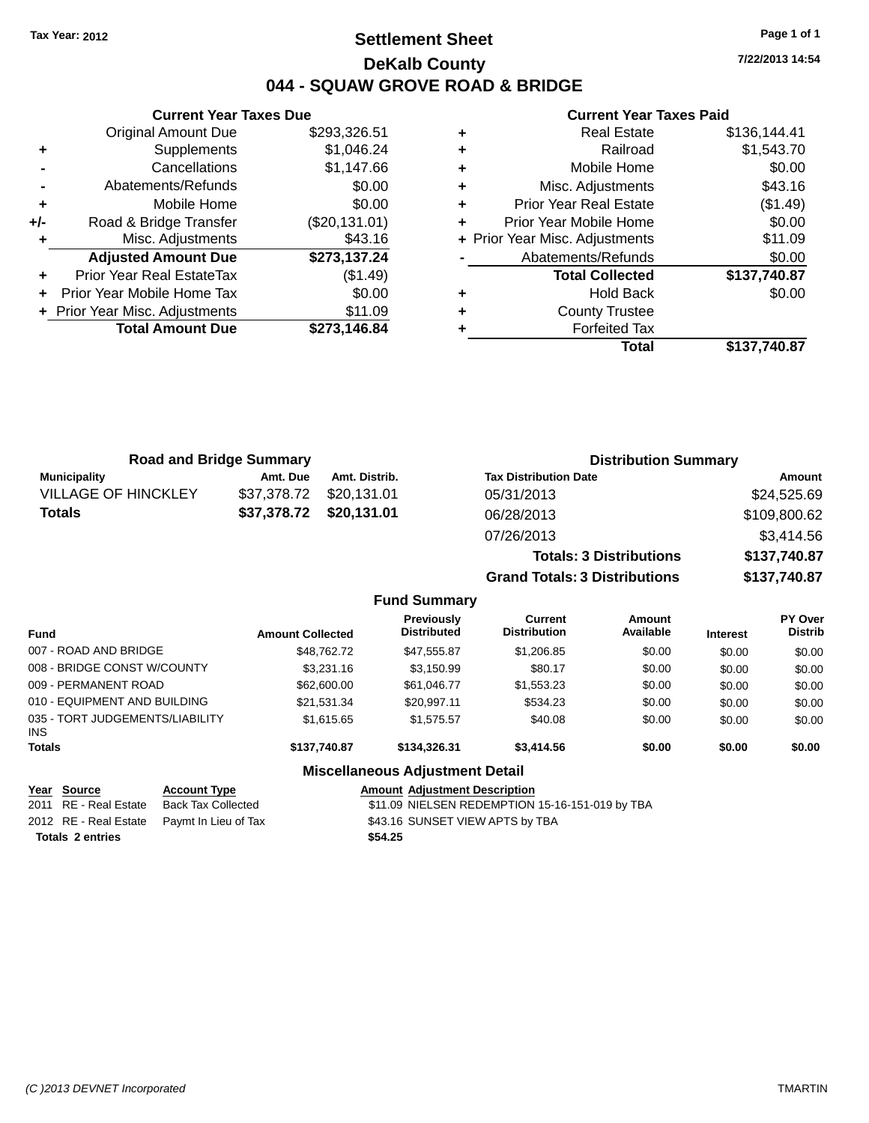## **Settlement Sheet Tax Year: 2012 Page 1 of 1 DeKalb County 044 - SQUAW GROVE ROAD & BRIDGE**

**7/22/2013 14:54**

#### **Current Year Taxes Paid**

|     | <b>Original Amount Due</b>     | \$293,326.51  |
|-----|--------------------------------|---------------|
| ٠   | Supplements                    | \$1,046.24    |
|     | Cancellations                  | \$1,147.66    |
|     | Abatements/Refunds             | \$0.00        |
| ÷   | Mobile Home                    | \$0.00        |
| +/- | Road & Bridge Transfer         | (\$20,131.01) |
|     | Misc. Adjustments              | \$43.16       |
|     | <b>Adjusted Amount Due</b>     | \$273,137.24  |
| ÷   | Prior Year Real EstateTax      | (\$1.49)      |
| ÷   | Prior Year Mobile Home Tax     | \$0.00        |
|     | + Prior Year Misc. Adjustments | \$11.09       |
|     | <b>Total Amount Due</b>        | \$273,146.84  |
|     |                                |               |

**Current Year Taxes Due**

| <b>Real Estate</b>            | \$136,144.41                   |
|-------------------------------|--------------------------------|
| Railroad                      | \$1,543.70                     |
| Mobile Home                   | \$0.00                         |
| Misc. Adjustments             | \$43.16                        |
| <b>Prior Year Real Estate</b> | (\$1.49)                       |
| Prior Year Mobile Home        | \$0.00                         |
|                               | \$11.09                        |
| Abatements/Refunds            | \$0.00                         |
| <b>Total Collected</b>        | \$137,740.87                   |
| <b>Hold Back</b>              | \$0.00                         |
| <b>County Trustee</b>         |                                |
| <b>Forfeited Tax</b>          |                                |
| Total                         | \$137,740.87                   |
|                               | + Prior Year Misc. Adjustments |

**Grand Totals: 3 Distributions \$137,740.87**

| <b>Road and Bridge Summary</b> |                         | <b>Distribution Summary</b> |                                |              |
|--------------------------------|-------------------------|-----------------------------|--------------------------------|--------------|
| <b>Municipality</b>            | Amt. Due                | Amt. Distrib.               | <b>Tax Distribution Date</b>   | Amount       |
| <b>VILLAGE OF HINCKLEY</b>     | \$37,378.72             | \$20,131.01                 | 05/31/2013                     | \$24,525.69  |
| <b>Totals</b>                  | \$37,378.72 \$20,131.01 |                             | 06/28/2013                     | \$109,800.62 |
|                                |                         |                             | 07/26/2013                     | \$3,414.56   |
|                                |                         |                             | <b>Totals: 3 Distributions</b> | \$137,740.87 |

**Fund Summary Fund Interest Amount Collected Distributed PY Over Amount Available Current Distribution Previously** 007 - ROAD AND BRIDGE 60.00 \$18,762.72 \$47,555.87 \$1,206.85 \$0.00 \$0.00 \$0.00 \$0.00 008 - BRIDGE CONST W/COUNTY  $$3,231.16$   $$3,150.99$   $$80.17$   $$0.00$   $$0.00$   $$0.00$ 009 - PERMANENT ROAD \$62,600.00 \$61,046.77 \$1,553.23 \$0.00 \$0.00 \$0.00 \$0.00 010 - EQUIPMENT AND BUILDING \$21,531.34 \$20,997.11 \$534.23 \$0.00 \$0.00 \$0.00 \$0.00 035 - TORT JUDGEMENTS/LIABILITY INS \$1,615.65 \$1,575.57 \$40.08 \$0.00 \$0.00 \$0.00 **Totals \$137,740.87 \$134,326.31 \$3,414.56 \$0.00 \$0.00 \$0.00**

#### **Miscellaneous Adjustment Detail**

| <u>Year Source</u>      | <b>Account Type</b>                        | <b>Amount Adiustment Description</b>            |
|-------------------------|--------------------------------------------|-------------------------------------------------|
| 2011 RE - Real Estate   | Back Tax Collected                         | \$11.09 NIELSEN REDEMPTION 15-16-151-019 by TBA |
|                         | 2012 RE - Real Estate Paymt In Lieu of Tax | \$43.16 SUNSET VIEW APTS by TBA                 |
| <b>Totals 2 entries</b> |                                            | \$54.25                                         |

**Distrib**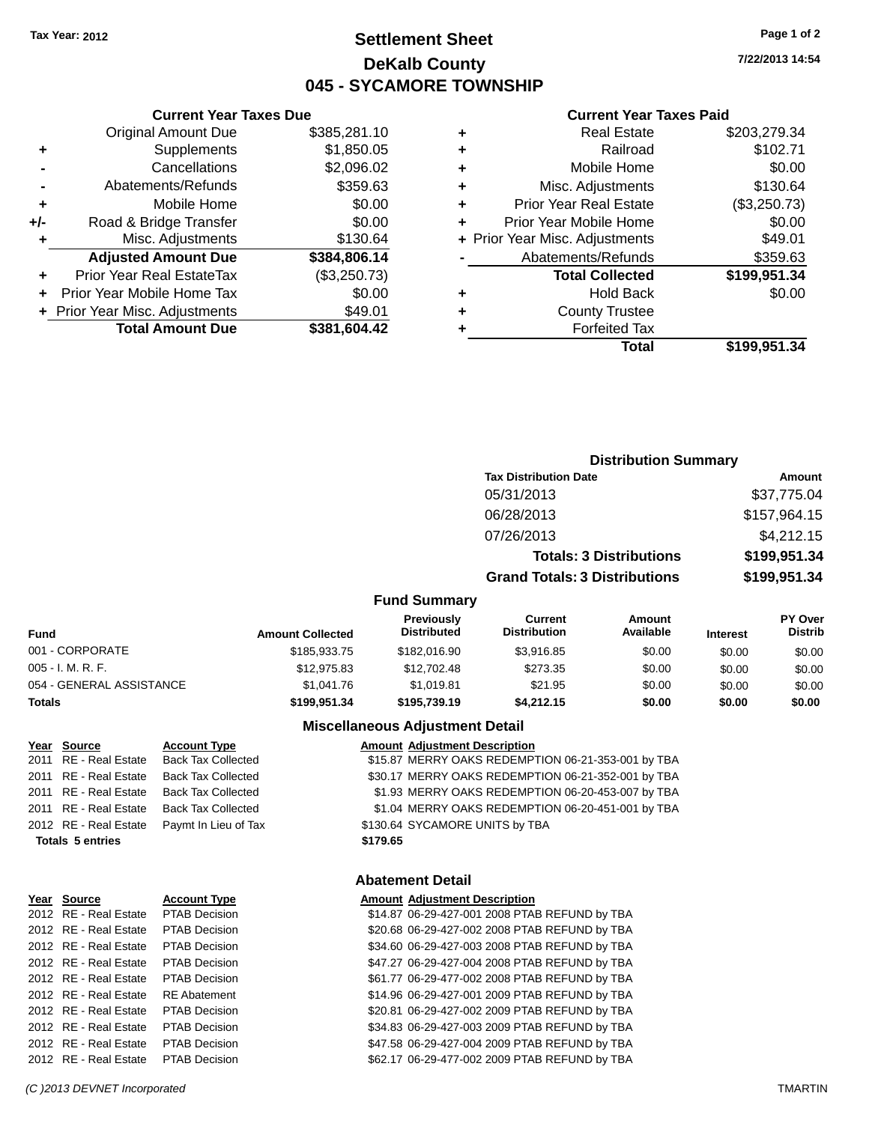## **Settlement Sheet Tax Year: 2012 Page 1 of 2 DeKalb County 045 - SYCAMORE TOWNSHIP**

**7/22/2013 14:54**

#### **Current Year Taxes Paid**

|     | <b>Current Year Taxes Due</b>  |              |  |  |  |  |  |
|-----|--------------------------------|--------------|--|--|--|--|--|
|     | <b>Original Amount Due</b>     | \$385,281.10 |  |  |  |  |  |
| ٠   | Supplements                    | \$1,850.05   |  |  |  |  |  |
|     | Cancellations                  | \$2,096.02   |  |  |  |  |  |
|     | Abatements/Refunds             | \$359.63     |  |  |  |  |  |
| ٠   | Mobile Home                    | \$0.00       |  |  |  |  |  |
| +/- | Road & Bridge Transfer         | \$0.00       |  |  |  |  |  |
| ٠   | Misc. Adjustments              | \$130.64     |  |  |  |  |  |
|     | <b>Adjusted Amount Due</b>     | \$384,806.14 |  |  |  |  |  |
| ٠   | Prior Year Real EstateTax      | (\$3,250.73) |  |  |  |  |  |
|     | Prior Year Mobile Home Tax     | \$0.00       |  |  |  |  |  |
|     | + Prior Year Misc. Adjustments | \$49.01      |  |  |  |  |  |
|     | <b>Total Amount Due</b>        | \$381,604.42 |  |  |  |  |  |

|   | <b>Real Estate</b>             | \$203,279.34 |
|---|--------------------------------|--------------|
| ٠ | Railroad                       | \$102.71     |
| ٠ | Mobile Home                    | \$0.00       |
| ٠ | Misc. Adjustments              | \$130.64     |
| ٠ | <b>Prior Year Real Estate</b>  | (\$3,250.73) |
| ÷ | Prior Year Mobile Home         | \$0.00       |
|   | + Prior Year Misc. Adjustments | \$49.01      |
|   | Abatements/Refunds             | \$359.63     |
|   | <b>Total Collected</b>         | \$199,951.34 |
| ٠ | <b>Hold Back</b>               | \$0.00       |
| ٠ | <b>County Trustee</b>          |              |
| ٠ | <b>Forfeited Tax</b>           |              |
|   | Total                          | \$199,951.34 |
|   |                                |              |

## **Distribution Summary Tax Distribution Date Amount** 05/31/2013 \$37,775.04 06/28/2013 \$157,964.15 07/26/2013 \$4,212.15 **Totals: 3 Distributions \$199,951.34 Grand Totals: 3 Distributions \$199,951.34**

#### **Fund Summary**

| <b>Fund</b>              | <b>Amount Collected</b> | <b>Previously</b><br><b>Distributed</b> | Current<br><b>Distribution</b> | Amount<br>Available | <b>Interest</b> | <b>PY Over</b><br><b>Distrib</b> |
|--------------------------|-------------------------|-----------------------------------------|--------------------------------|---------------------|-----------------|----------------------------------|
| 001 - CORPORATE          | \$185,933.75            | \$182,016.90                            | \$3.916.85                     | \$0.00              | \$0.00          | \$0.00                           |
| $005 - I. M. R. F.$      | \$12,975.83             | \$12,702.48                             | \$273.35                       | \$0.00              | \$0.00          | \$0.00                           |
| 054 - GENERAL ASSISTANCE | \$1.041.76              | \$1.019.81                              | \$21.95                        | \$0.00              | \$0.00          | \$0.00                           |
| <b>Totals</b>            | \$199.951.34            | \$195,739.19                            | \$4,212.15                     | \$0.00              | \$0.00          | \$0.00                           |

#### **Miscellaneous Adjustment Detail**

#### **Year** Source **Account Type Account Adjustment Description**

2011 RE - Real Estate Back Tax Collected \$15.87 MERRY OAKS REDEMPTION 06-21-353-001 by TBA 2011 RE - Real Estate Back Tax Collected \$30.17 MERRY OAKS REDEMPTION 06-21-352-001 by TBA 2011 RE - Real Estate Back Tax Collected \$1.93 MERRY OAKS REDEMPTION 06-20-453-007 by TBA 2011 RE - Real Estate Back Tax Collected \$1.04 MERRY OAKS REDEMPTION 06-20-451-001 by TBA 2012 RE - Real Estate Paymt In Lieu of Tax \$130.64 SYCAMORE UNITS by TBA

## **Totals 5 entries \$179.65**

#### **Abatement Detail**

| Year Source           | <b>Account Type</b>  | <b>Amount Adjustment Description</b>          |
|-----------------------|----------------------|-----------------------------------------------|
| 2012 RE - Real Estate | <b>PTAB Decision</b> | \$14.87 06-29-427-001 2008 PTAB REFUND by TBA |
| 2012 RE - Real Estate | <b>PTAB Decision</b> | \$20.68 06-29-427-002 2008 PTAB REFUND by TBA |
| 2012 RE - Real Estate | PTAB Decision        | \$34.60 06-29-427-003 2008 PTAB REFUND by TBA |
| 2012 RE - Real Estate | PTAB Decision        | \$47.27 06-29-427-004 2008 PTAB REFUND by TBA |
| 2012 RE - Real Estate | <b>PTAB Decision</b> | \$61.77 06-29-477-002 2008 PTAB REFUND by TBA |
| 2012 RE - Real Estate | <b>RE</b> Abatement  | \$14.96 06-29-427-001 2009 PTAB REFUND by TBA |
| 2012 RE - Real Estate | <b>PTAB Decision</b> | \$20.81 06-29-427-002 2009 PTAB REFUND by TBA |
| 2012 RE - Real Estate | PTAB Decision        | \$34.83 06-29-427-003 2009 PTAB REFUND by TBA |
| 2012 RE - Real Estate | <b>PTAB Decision</b> | \$47.58 06-29-427-004 2009 PTAB REFUND by TBA |
| 2012 RE - Real Estate | <b>PTAB Decision</b> | \$62.17 06-29-477-002 2009 PTAB REFUND by TBA |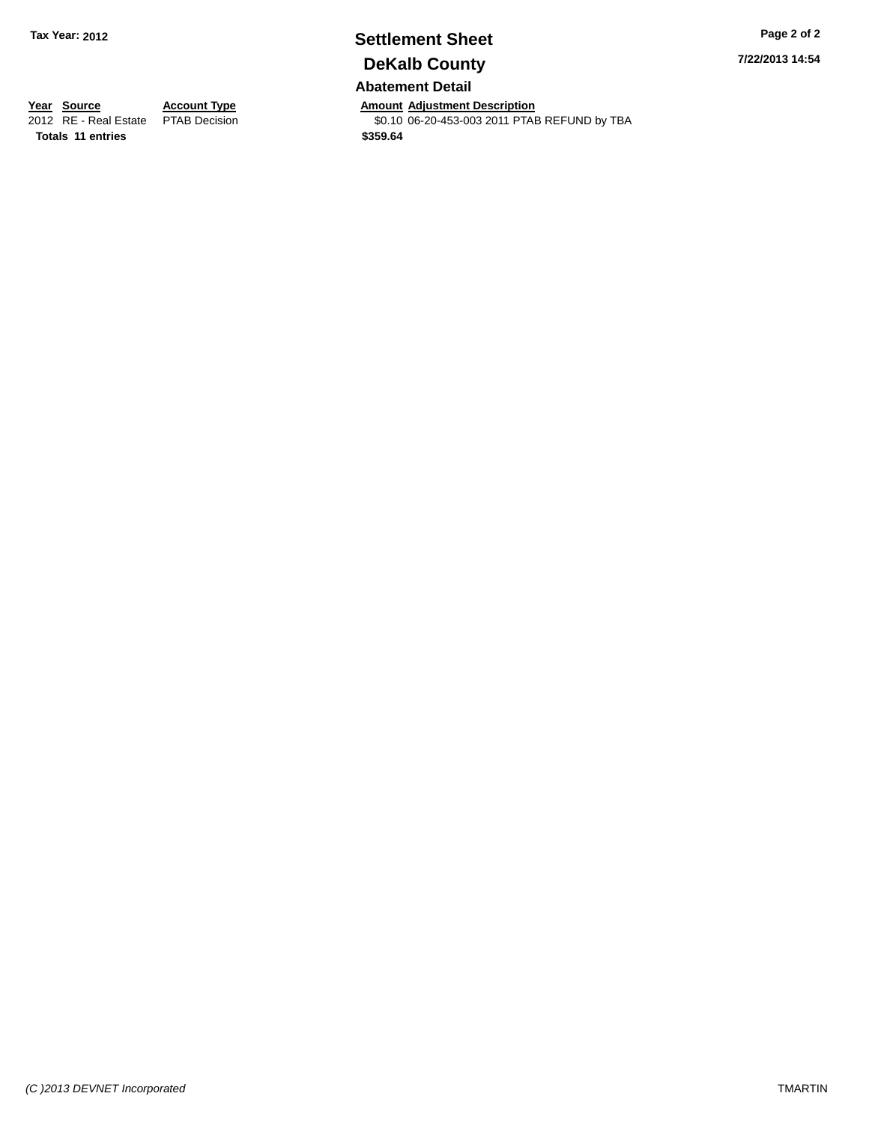## **Settlement Sheet Tax Year: 2012 Page 2 of 2 DeKalb County**

**Abatement Detail**

**Year Source Account Type Annount Adjustment Description**<br>2012 RE - Real Estate PTAB Decision **Amount Adjustment Description** \$0.10 06-20-453-003 2011 PTAB REFUND by TBA

**7/22/2013 14:54**

**Totals 11 entries \$359.64**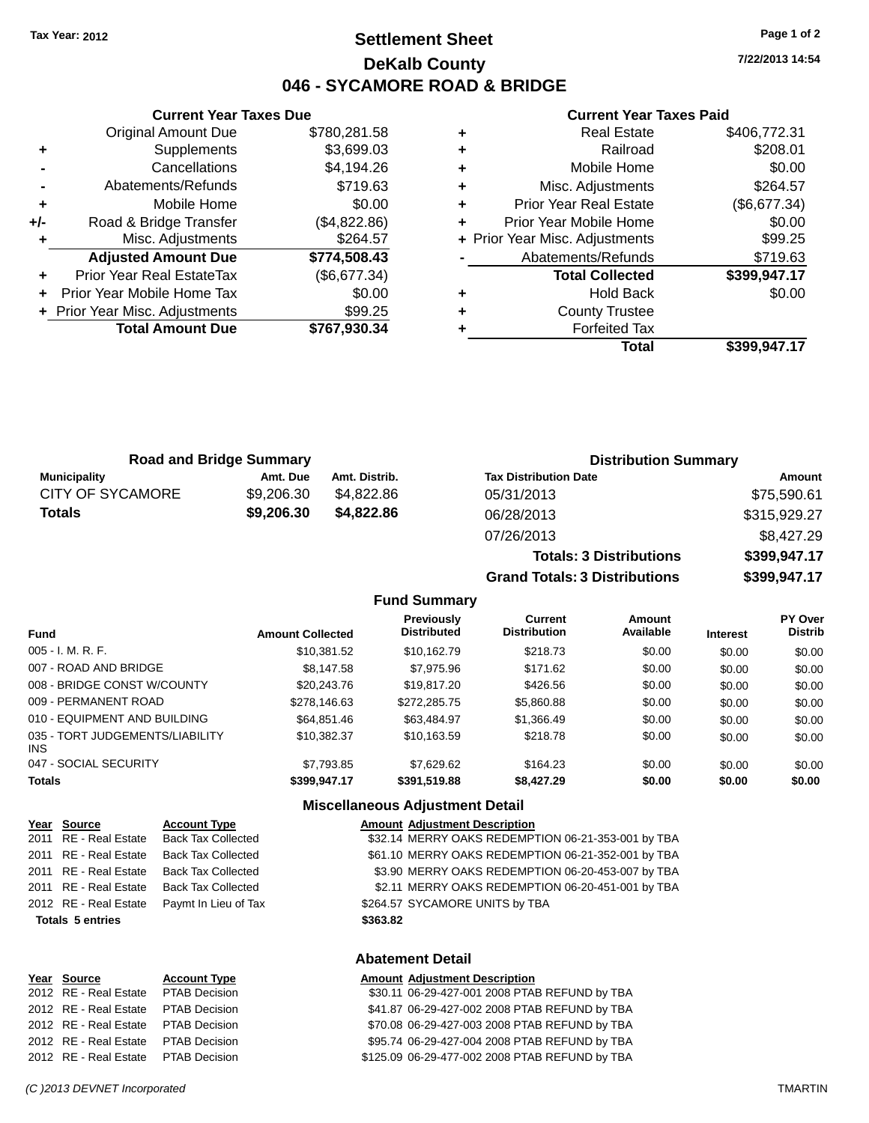## **Settlement Sheet Tax Year: 2012 Page 1 of 2 DeKalb County 046 - SYCAMORE ROAD & BRIDGE**

**7/22/2013 14:54**

#### **Current Year Taxes Paid**

**Grand Totals: 3 Distributions \$399,947.17**

|   | Misc. Adjustments              | \$264.57     |     |
|---|--------------------------------|--------------|-----|
| ٠ |                                |              | + P |
|   | <b>Adjusted Amount Due</b>     | \$774,508.43 |     |
|   | Prior Year Real EstateTax      | (\$6,677.34) |     |
|   | + Prior Year Mobile Home Tax   | \$0.00       |     |
|   | + Prior Year Misc. Adjustments | \$99.25      |     |
|   | <b>Total Amount Due</b>        | \$767,930.34 |     |
|   |                                |              |     |

**Current Year Taxes Due** Original Amount Due \$780,281.58

**+** Supplements \$3,699.03 **-** Cancellations \$4,194.26

| <b>Road and Bridge Summary</b> |            |               | <b>Distribution Summary</b>    |              |  |
|--------------------------------|------------|---------------|--------------------------------|--------------|--|
| <b>Municipality</b>            | Amt. Due   | Amt. Distrib. | <b>Tax Distribution Date</b>   | Amount       |  |
| <b>CITY OF SYCAMORE</b>        | \$9,206,30 | \$4.822.86    | 05/31/2013                     | \$75,590.61  |  |
| <b>Totals</b>                  | \$9,206.30 | \$4,822.86    | 06/28/2013                     | \$315,929.27 |  |
|                                |            |               | 07/26/2013                     | \$8,427.29   |  |
|                                |            |               | <b>Totals: 3 Distributions</b> | \$399,947.17 |  |

**Fund Summary**

| <b>Fund</b>                             | <b>Amount Collected</b> | <b>Previously</b><br><b>Distributed</b> | <b>Current</b><br><b>Distribution</b> | Amount<br>Available | <b>Interest</b> | <b>PY Over</b><br><b>Distrib</b> |
|-----------------------------------------|-------------------------|-----------------------------------------|---------------------------------------|---------------------|-----------------|----------------------------------|
| $005 - I. M. R. F.$                     | \$10,381.52             | \$10.162.79                             | \$218.73                              | \$0.00              | \$0.00          | \$0.00                           |
| 007 - ROAD AND BRIDGE                   | \$8,147.58              | \$7.975.96                              | \$171.62                              | \$0.00              | \$0.00          | \$0.00                           |
| 008 - BRIDGE CONST W/COUNTY             | \$20,243.76             | \$19,817,20                             | \$426.56                              | \$0.00              | \$0.00          | \$0.00                           |
| 009 - PERMANENT ROAD                    | \$278,146.63            | \$272,285.75                            | \$5,860.88                            | \$0.00              | \$0.00          | \$0.00                           |
| 010 - EQUIPMENT AND BUILDING            | \$64.851.46             | \$63,484.97                             | \$1,366.49                            | \$0.00              | \$0.00          | \$0.00                           |
| 035 - TORT JUDGEMENTS/LIABILITY<br>INS. | \$10.382.37             | \$10,163.59                             | \$218.78                              | \$0.00              | \$0.00          | \$0.00                           |
| 047 - SOCIAL SECURITY                   | \$7.793.85              | \$7.629.62                              | \$164.23                              | \$0.00              | \$0.00          | \$0.00                           |
| <b>Totals</b>                           | \$399,947.17            | \$391,519.88                            | \$8,427.29                            | \$0.00              | \$0.00          | \$0.00                           |

#### **Miscellaneous Adjustment Detail**

| Year Source             | <b>Account Type</b>       | <b>Amount Adjustment Description</b>               |
|-------------------------|---------------------------|----------------------------------------------------|
| 2011 RE - Real Estate   | <b>Back Tax Collected</b> | \$32.14 MERRY OAKS REDEMPTION 06-21-353-001 by TBA |
| 2011 RE - Real Estate   | <b>Back Tax Collected</b> | \$61.10 MERRY OAKS REDEMPTION 06-21-352-001 by TBA |
| 2011 RE - Real Estate   | <b>Back Tax Collected</b> | \$3.90 MERRY OAKS REDEMPTION 06-20-453-007 by TBA  |
| 2011 RE - Real Estate   | <b>Back Tax Collected</b> | \$2.11 MERRY OAKS REDEMPTION 06-20-451-001 by TBA  |
| 2012 RE - Real Estate   | Paymt In Lieu of Tax      | \$264.57 SYCAMORE UNITS by TBA                     |
| <b>Totals 5 entries</b> |                           | \$363.82                                           |
|                         |                           | Ahatamant Datail                                   |

| rear Source           | <b>Account Type</b>  |  |
|-----------------------|----------------------|--|
| 2012 RE - Real Estate | <b>PTAB Decision</b> |  |
| 2012 RE - Real Estate | <b>PTAB Decision</b> |  |
| 2012 RE - Real Estate | <b>PTAB Decision</b> |  |
| 2012 RE - Real Estate | <b>PTAB Decision</b> |  |
| 2012 RE - Real Estate | <b>PTAB Decision</b> |  |

**Abatement Detail**

#### **Year** Source **Account Type A** Annount Adjustment Description

\$30.11 06-29-427-001 2008 PTAB REFUND by TBA \$41.87 06-29-427-002 2008 PTAB REFUND by TBA \$70.08 06-29-427-003 2008 PTAB REFUND by TBA \$95.74 06-29-427-004 2008 PTAB REFUND by TBA \$125.09 06-29-477-002 2008 PTAB REFUND by TBA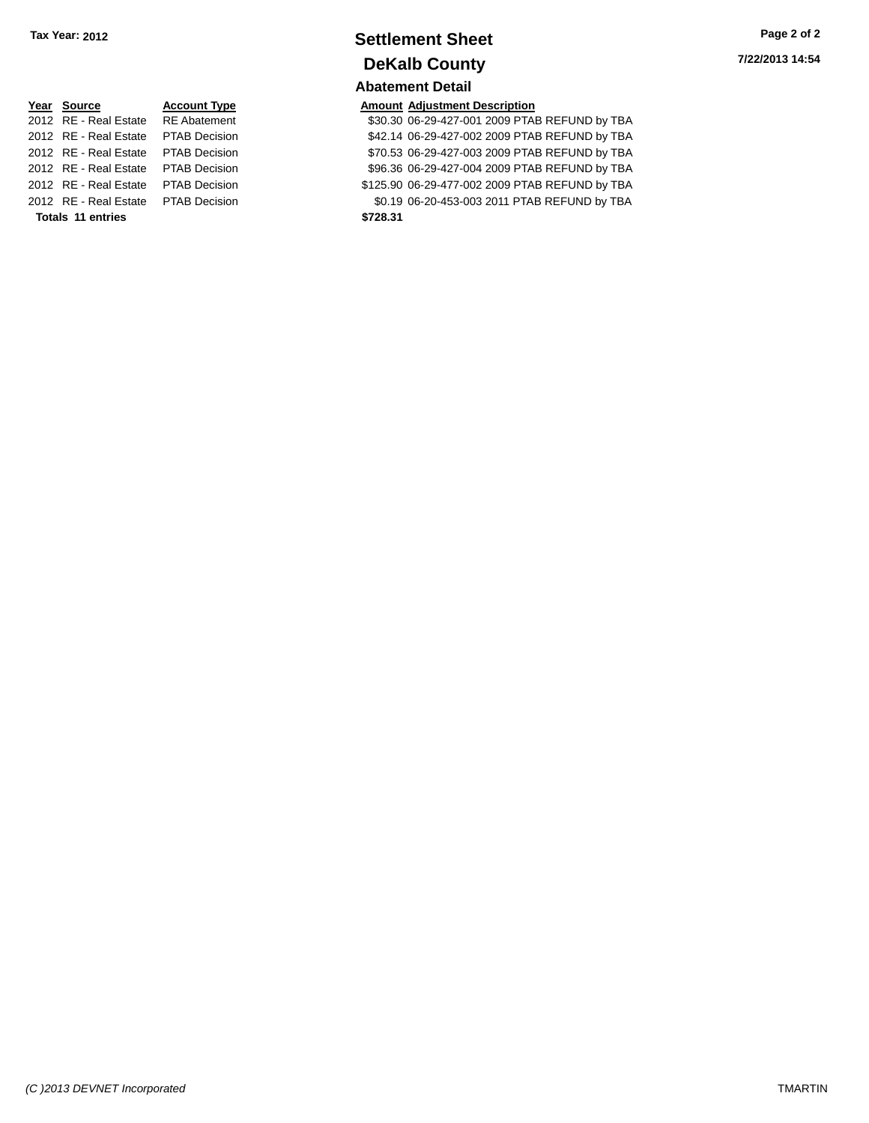## **Settlement Sheet Tax Year: 2012 Page 2 of 2 DeKalb County Abatement Detail**

**Year Source Account Type**<br>
2012 RE - Real Estate RE Abatement **Adjustment Adjustment Description**<br>
\$30.30 06-29-427-001 2009 PTA \$30.30 06-29-427-001 2009 PTAB REFUND by TBA 2012 RE - Real Estate PTAB Decision \$42.14 06-29-427-002 2009 PTAB REFUND by TBA 2012 RE - Real Estate PTAB Decision \$70.53 06-29-427-003 2009 PTAB REFUND by TBA 2012 RE - Real Estate PTAB Decision \$96.36 06-29-427-004 2009 PTAB REFUND by TBA 2012 RE - Real Estate PTAB Decision \$125.90 06-29-477-002 2009 PTAB REFUND by TBA 2012 RE - Real Estate PTAB Decision \$0.19 06-20-453-003 2011 PTAB REFUND by TBA

**Totals 11 entries \$728.31**

| (C) 2013 DEVNET Incorporated | <b>TMARTIN</b> |
|------------------------------|----------------|
|                              |                |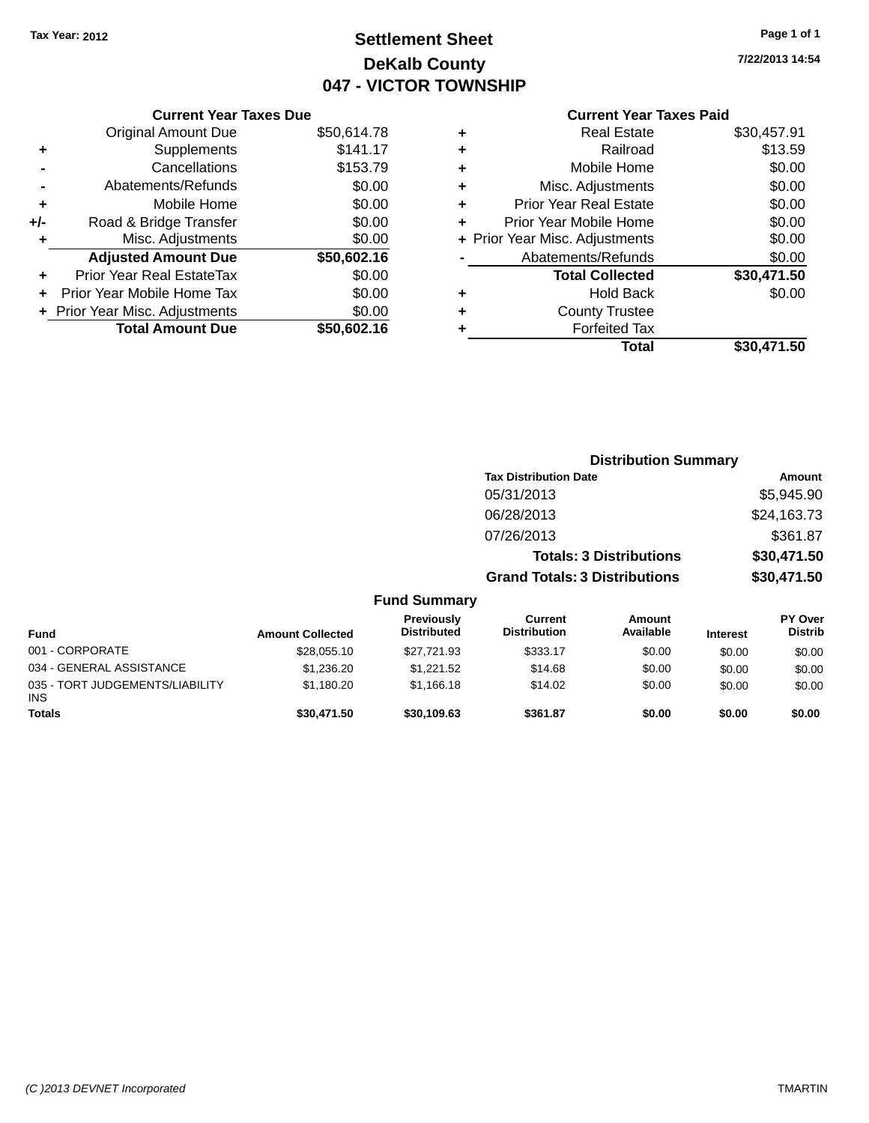## **Settlement Sheet Tax Year: 2012 Page 1 of 1 DeKalb County 047 - VICTOR TOWNSHIP**

**7/22/2013 14:54**

## **Current Year Taxes Paid**

|     | <b>Current Year Taxes Due</b>  |             |
|-----|--------------------------------|-------------|
|     | <b>Original Amount Due</b>     | \$50,614.78 |
| ٠   | Supplements                    | \$141.17    |
|     | Cancellations                  | \$153.79    |
|     | Abatements/Refunds             | \$0.00      |
| ٠   | Mobile Home                    | \$0.00      |
| +/- | Road & Bridge Transfer         | \$0.00      |
| ٠   | Misc. Adjustments              | \$0.00      |
|     | <b>Adjusted Amount Due</b>     | \$50,602.16 |
| ٠   | Prior Year Real EstateTax      | \$0.00      |
|     | Prior Year Mobile Home Tax     | \$0.00      |
|     | + Prior Year Misc. Adjustments | \$0.00      |
|     | <b>Total Amount Due</b>        | \$50,602.16 |
|     |                                |             |

|   | <b>Real Estate</b>             | \$30,457.91 |
|---|--------------------------------|-------------|
| ٠ | Railroad                       | \$13.59     |
| ٠ | Mobile Home                    | \$0.00      |
| ٠ | Misc. Adjustments              | \$0.00      |
| ٠ | <b>Prior Year Real Estate</b>  | \$0.00      |
| ٠ | Prior Year Mobile Home         | \$0.00      |
|   | + Prior Year Misc. Adjustments | \$0.00      |
|   | Abatements/Refunds             | \$0.00      |
|   | <b>Total Collected</b>         | \$30,471.50 |
| ٠ | Hold Back                      | \$0.00      |
| ٠ | <b>County Trustee</b>          |             |
| ٠ | <b>Forfeited Tax</b>           |             |
|   | Total                          | \$30,471.50 |
|   |                                |             |

|                                               |                         |                                  | <b>Distribution Summary</b>          |                                |                 |                           |
|-----------------------------------------------|-------------------------|----------------------------------|--------------------------------------|--------------------------------|-----------------|---------------------------|
|                                               |                         |                                  | <b>Tax Distribution Date</b>         |                                |                 | Amount                    |
|                                               |                         |                                  | 05/31/2013                           |                                |                 | \$5,945.90                |
|                                               |                         |                                  | 06/28/2013                           |                                |                 | \$24,163.73               |
|                                               |                         |                                  | 07/26/2013                           |                                |                 | \$361.87                  |
|                                               |                         |                                  |                                      | <b>Totals: 3 Distributions</b> |                 | \$30,471.50               |
|                                               |                         |                                  | <b>Grand Totals: 3 Distributions</b> |                                | \$30,471.50     |                           |
|                                               |                         | <b>Fund Summary</b>              |                                      |                                |                 |                           |
| <b>Fund</b>                                   | <b>Amount Collected</b> | Previously<br><b>Distributed</b> | Current<br><b>Distribution</b>       | <b>Amount</b><br>Available     | <b>Interest</b> | PY Over<br><b>Distrib</b> |
| 001 - CORPORATE                               | \$28,055.10             | \$27,721.93                      | \$333.17                             | \$0.00                         | \$0.00          | \$0.00                    |
| 034 - GENERAL ASSISTANCE                      | \$1,236.20              | \$1,221.52                       | \$14.68                              | \$0.00                         | \$0.00          | \$0.00                    |
| 035 - TORT JUDGEMENTS/LIABILITY<br><b>INS</b> | \$1,180.20              | \$1,166.18                       | \$14.02                              | \$0.00                         | \$0.00          | \$0.00                    |

**Totals \$30,471.50 \$30,109.63 \$361.87 \$0.00 \$0.00 \$0.00**

**INS**<br>Totals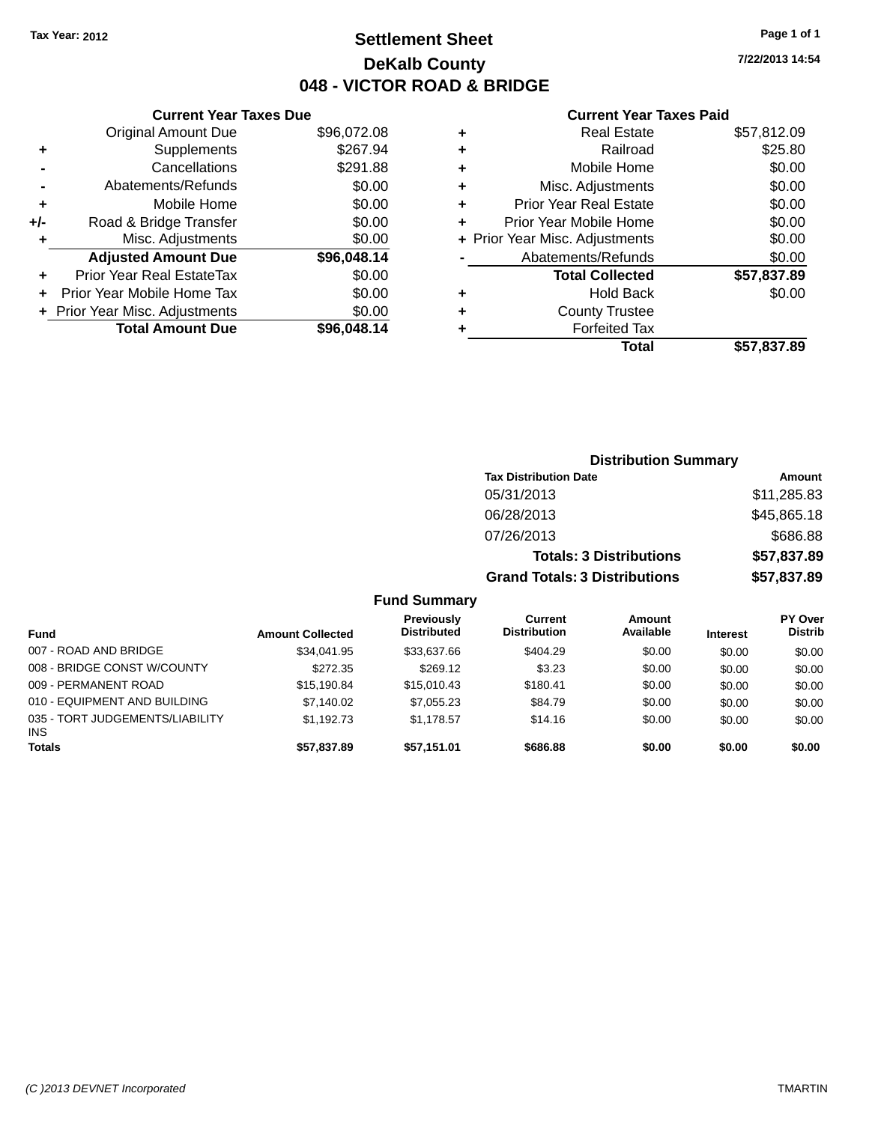## **Settlement Sheet Tax Year: 2012 Page 1 of 1 DeKalb County 048 - VICTOR ROAD & BRIDGE**

**7/22/2013 14:54**

#### **Current Year Taxes Paid**

|     | <b>Current Year Taxes Due</b>  |             |
|-----|--------------------------------|-------------|
|     | <b>Original Amount Due</b>     | \$96,072.08 |
| ٠   | Supplements                    | \$267.94    |
|     | Cancellations                  | \$291.88    |
|     | Abatements/Refunds             | \$0.00      |
| ٠   | Mobile Home                    | \$0.00      |
| +/- | Road & Bridge Transfer         | \$0.00      |
|     | Misc. Adjustments              | \$0.00      |
|     | <b>Adjusted Amount Due</b>     | \$96,048.14 |
| ٠   | Prior Year Real EstateTax      | \$0.00      |
|     | Prior Year Mobile Home Tax     | \$0.00      |
|     | + Prior Year Misc. Adjustments | \$0.00      |
|     | <b>Total Amount Due</b>        | \$96,048.14 |
|     |                                |             |

|   | <b>Real Estate</b>             | \$57,812.09 |
|---|--------------------------------|-------------|
| ٠ | Railroad                       | \$25.80     |
| ٠ | Mobile Home                    | \$0.00      |
| ٠ | Misc. Adjustments              | \$0.00      |
| ٠ | <b>Prior Year Real Estate</b>  | \$0.00      |
| ÷ | Prior Year Mobile Home         | \$0.00      |
|   | + Prior Year Misc. Adjustments | \$0.00      |
|   | Abatements/Refunds             | \$0.00      |
|   | <b>Total Collected</b>         | \$57,837.89 |
| ٠ | Hold Back                      | \$0.00      |
| ٠ | <b>County Trustee</b>          |             |
| ٠ | <b>Forfeited Tax</b>           |             |
|   | Total                          | \$57,837.89 |
|   |                                |             |

|         | <b>Distribution Summary</b>          |             |
|---------|--------------------------------------|-------------|
|         | <b>Tax Distribution Date</b>         | Amount      |
|         | 05/31/2013                           | \$11,285.83 |
|         | 06/28/2013                           | \$45,865.18 |
|         | 07/26/2013                           | \$686.88    |
|         | <b>Totals: 3 Distributions</b>       | \$57,837.89 |
|         | <b>Grand Totals: 3 Distributions</b> | \$57,837.89 |
| Summary |                                      |             |

| <b>Fund</b>                             | <b>Amount Collected</b> | Previously<br><b>Distributed</b> | Current<br><b>Distribution</b> | <b>Amount</b><br>Available |                 | <b>PY Over</b><br><b>Distrib</b> |
|-----------------------------------------|-------------------------|----------------------------------|--------------------------------|----------------------------|-----------------|----------------------------------|
|                                         |                         |                                  |                                |                            | <b>Interest</b> |                                  |
| 007 - ROAD AND BRIDGE                   | \$34.041.95             | \$33,637.66                      | \$404.29                       | \$0.00                     | \$0.00          | \$0.00                           |
| 008 - BRIDGE CONST W/COUNTY             | \$272.35                | \$269.12                         | \$3.23                         | \$0.00                     | \$0.00          | \$0.00                           |
| 009 - PERMANENT ROAD                    | \$15,190.84             | \$15,010.43                      | \$180.41                       | \$0.00                     | \$0.00          | \$0.00                           |
| 010 - EQUIPMENT AND BUILDING            | \$7.140.02              | \$7.055.23                       | \$84.79                        | \$0.00                     | \$0.00          | \$0.00                           |
| 035 - TORT JUDGEMENTS/LIABILITY<br>INS. | \$1.192.73              | \$1.178.57                       | \$14.16                        | \$0.00                     | \$0.00          | \$0.00                           |
| <b>Totals</b>                           | \$57,837.89             | \$57,151.01                      | \$686.88                       | \$0.00                     | \$0.00          | \$0.00                           |

**Fund**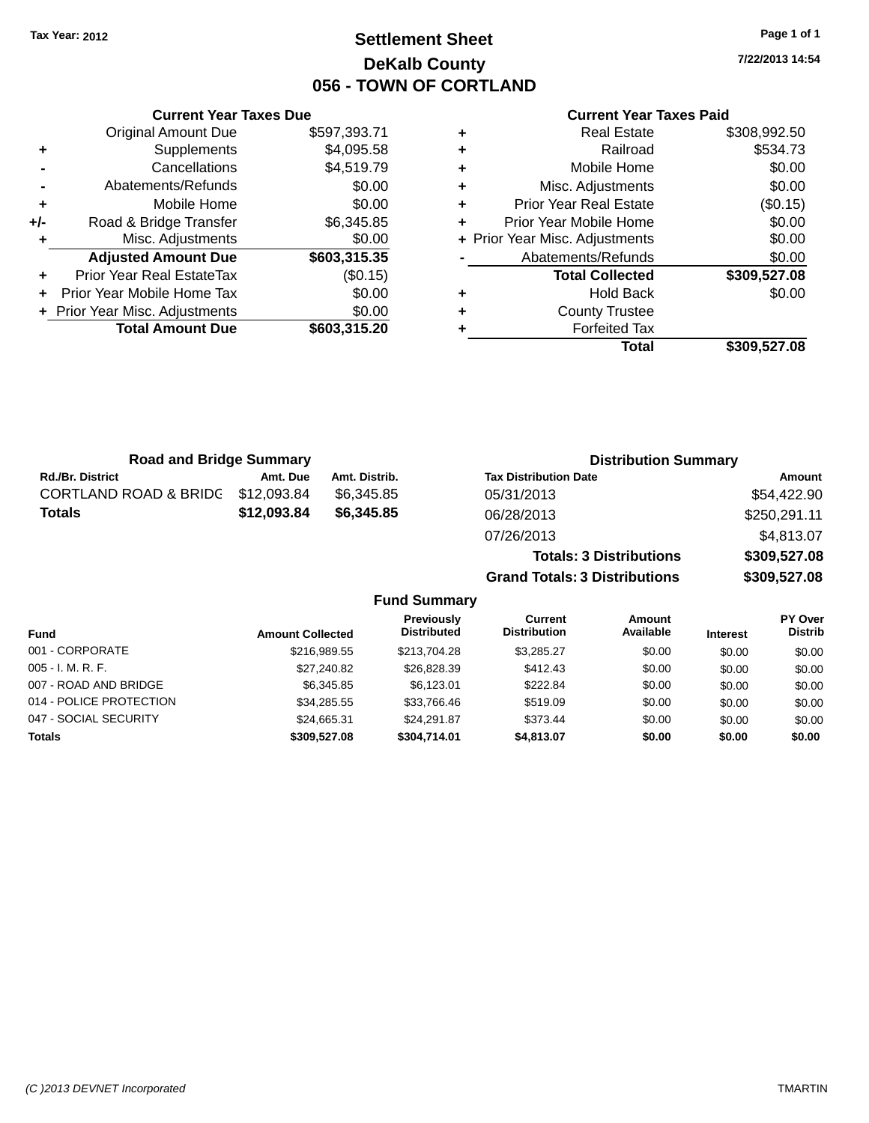## **Settlement Sheet Tax Year: 2012 Page 1 of 1 DeKalb County 056 - TOWN OF CORTLAND**

**7/22/2013 14:54**

#### **Current Year Taxes Paid**

**Grand Totals: 3 Distributions \$309,527.08**

|     | <b>Current Year Taxes Due</b>  |              |   | <b>Current Year Taxes Paid</b> |              |  |
|-----|--------------------------------|--------------|---|--------------------------------|--------------|--|
|     | <b>Original Amount Due</b>     | \$597,393.71 | ٠ | <b>Real Estate</b>             | \$308,992.50 |  |
| ٠   | <b>Supplements</b>             | \$4,095.58   | ٠ | Railroad                       | \$534.73     |  |
|     | Cancellations                  | \$4,519.79   | ٠ | Mobile Home                    | \$0.00       |  |
|     | Abatements/Refunds             | \$0.00       | ٠ | Misc. Adjustments              | \$0.00       |  |
| ÷   | Mobile Home                    | \$0.00       | ٠ | <b>Prior Year Real Estate</b>  | (\$0.15)     |  |
| +/- | Road & Bridge Transfer         | \$6,345.85   | ٠ | Prior Year Mobile Home         | \$0.00       |  |
|     | Misc. Adjustments              | \$0.00       |   | + Prior Year Misc. Adjustments | \$0.00       |  |
|     | <b>Adjusted Amount Due</b>     | \$603,315.35 |   | Abatements/Refunds             | \$0.00       |  |
| ÷.  | Prior Year Real EstateTax      | (\$0.15)     |   | <b>Total Collected</b>         | \$309,527.08 |  |
| ÷.  | Prior Year Mobile Home Tax     | \$0.00       | ٠ | <b>Hold Back</b>               | \$0.00       |  |
|     | + Prior Year Misc. Adjustments | \$0.00       | ٠ | <b>County Trustee</b>          |              |  |
|     | <b>Total Amount Due</b>        | \$603,315.20 |   | <b>Forfeited Tax</b>           |              |  |
|     |                                |              |   | <b>Total</b>                   | \$309,527.08 |  |

| <b>Road and Bridge Summary</b>   |             |               | <b>Distribution Summary</b>    |              |
|----------------------------------|-------------|---------------|--------------------------------|--------------|
| <b>Rd./Br. District</b>          | Amt. Due    | Amt. Distrib. | <b>Tax Distribution Date</b>   | Amount       |
| <b>CORTLAND ROAD &amp; BRIDG</b> | \$12.093.84 | \$6.345.85    | 05/31/2013                     | \$54,422.90  |
| Totals                           | \$12,093.84 | \$6,345.85    | 06/28/2013                     | \$250,291.11 |
|                                  |             |               | 07/26/2013                     | \$4,813.07   |
|                                  |             |               | <b>Totals: 3 Distributions</b> | \$309,527.08 |

**Fund Summary Fund Interest Amount Collected Distributed PY Over Distrib Amount Available Current Distribution Previously** 001 - CORPORATE \$216,989.55 \$213,704.28 \$3,285.27 \$0.00 \$0.00 \$0.00 005 - I. M. R. F. \$27,240.82 \$26,828.39 \$412.43 \$0.00 \$0.00 \$0.00 007 - ROAD AND BRIDGE 6 .00 \$0.00 \$6,345.85 \$6,123.01 \$222.84 \$0.00 \$0.00 \$0.00 \$0.00 014 - POLICE PROTECTION \$34,285.55 \$33,766.46 \$519.09 \$0.00 \$0.00 \$0.00 \$0.00 047 - SOCIAL SECURITY \$24,665.31 \$24,291.87 \$373.44 \$0.00 \$0.00 \$0.00 \$0.00 **Totals \$309,527.08 \$304,714.01 \$4,813.07 \$0.00 \$0.00 \$0.00**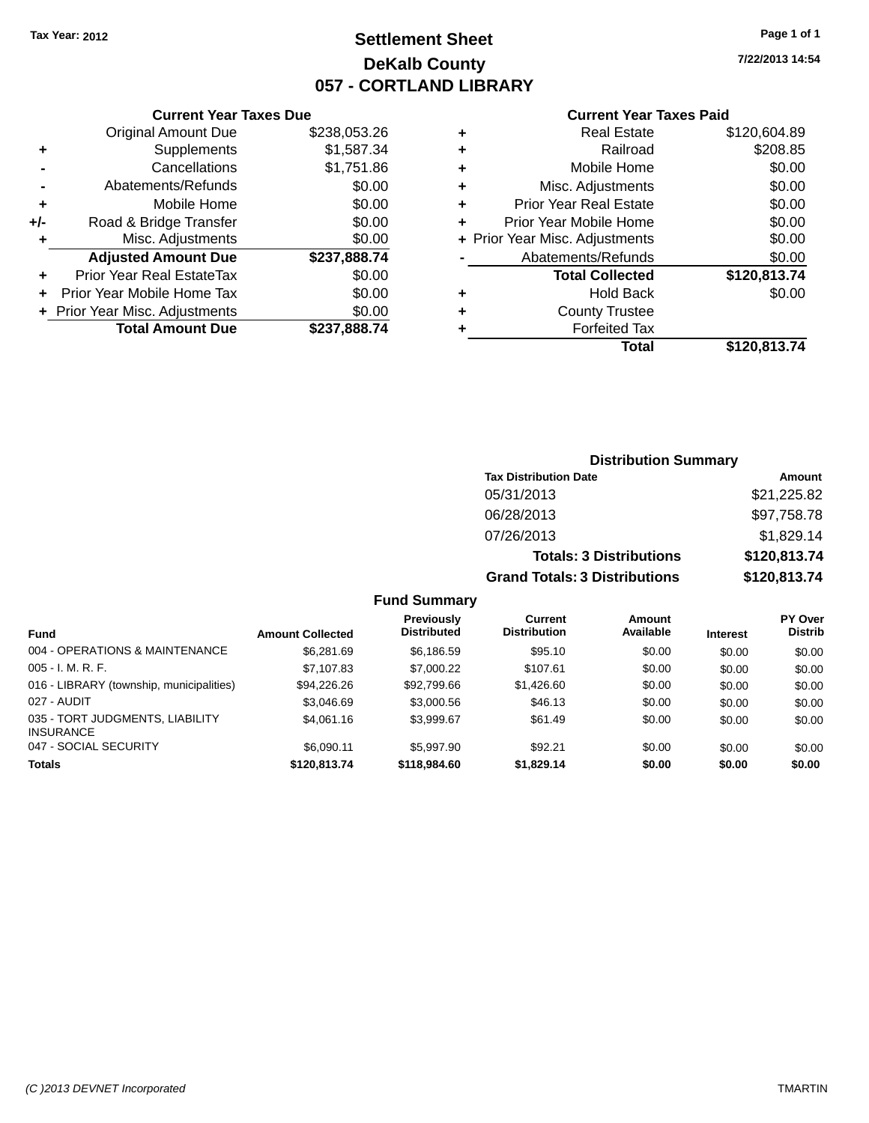## **Settlement Sheet Tax Year: 2012 Page 1 of 1 DeKalb County 057 - CORTLAND LIBRARY**

**7/22/2013 14:54**

#### **Current Year Taxes Paid**

|       | <b>Current Year Taxes Due</b>  |              |
|-------|--------------------------------|--------------|
|       | <b>Original Amount Due</b>     | \$238,053.26 |
| ٠     | Supplements                    | \$1,587.34   |
|       | Cancellations                  | \$1,751.86   |
|       | Abatements/Refunds             | \$0.00       |
| ٠     | Mobile Home                    | \$0.00       |
| $+/-$ | Road & Bridge Transfer         | \$0.00       |
| ٠     | Misc. Adjustments              | \$0.00       |
|       | <b>Adjusted Amount Due</b>     | \$237,888.74 |
| ÷     | Prior Year Real EstateTax      | \$0.00       |
|       | Prior Year Mobile Home Tax     | \$0.00       |
|       | + Prior Year Misc. Adjustments | \$0.00       |
|       | <b>Total Amount Due</b>        | \$237,888.74 |
|       |                                |              |

| ٠ | <b>Real Estate</b>             | \$120,604.89 |
|---|--------------------------------|--------------|
| ٠ | Railroad                       | \$208.85     |
| ٠ | Mobile Home                    | \$0.00       |
| ٠ | Misc. Adjustments              | \$0.00       |
| ٠ | <b>Prior Year Real Estate</b>  | \$0.00       |
| ٠ | Prior Year Mobile Home         | \$0.00       |
|   | + Prior Year Misc. Adjustments | \$0.00       |
|   | Abatements/Refunds             | \$0.00       |
|   | <b>Total Collected</b>         | \$120,813.74 |
| ٠ | <b>Hold Back</b>               | \$0.00       |
| ٠ | <b>County Trustee</b>          |              |
| ٠ | <b>Forfeited Tax</b>           |              |
|   | Total                          | \$120,813.74 |
|   |                                |              |

### **Distribution Summary Tax Distribution Date Amount** 05/31/2013 \$21,225.82 06/28/2013 \$97,758.78 07/26/2013 \$1,829.14 **Totals: 3 Distributions \$120,813.74 Grand Totals: 3 Distributions \$120,813.74**

#### **Fund Summary**

|                                                     |                         | Previously         | <b>Current</b>      | <b>Amount</b> |                 | <b>PY Over</b> |
|-----------------------------------------------------|-------------------------|--------------------|---------------------|---------------|-----------------|----------------|
| <b>Fund</b>                                         | <b>Amount Collected</b> | <b>Distributed</b> | <b>Distribution</b> | Available     | <b>Interest</b> | <b>Distrib</b> |
| 004 - OPERATIONS & MAINTENANCE                      | \$6,281.69              | \$6,186.59         | \$95.10             | \$0.00        | \$0.00          | \$0.00         |
| $005 - I. M. R. F.$                                 | \$7,107.83              | \$7,000.22         | \$107.61            | \$0.00        | \$0.00          | \$0.00         |
| 016 - LIBRARY (township, municipalities)            | \$94,226.26             | \$92,799.66        | \$1,426.60          | \$0.00        | \$0.00          | \$0.00         |
| 027 - AUDIT                                         | \$3.046.69              | \$3,000.56         | \$46.13             | \$0.00        | \$0.00          | \$0.00         |
| 035 - TORT JUDGMENTS, LIABILITY<br><b>INSURANCE</b> | \$4,061.16              | \$3.999.67         | \$61.49             | \$0.00        | \$0.00          | \$0.00         |
| 047 - SOCIAL SECURITY                               | \$6.090.11              | \$5,997.90         | \$92.21             | \$0.00        | \$0.00          | \$0.00         |
| <b>Totals</b>                                       | \$120,813,74            | \$118,984,60       | \$1,829.14          | \$0.00        | \$0.00          | \$0.00         |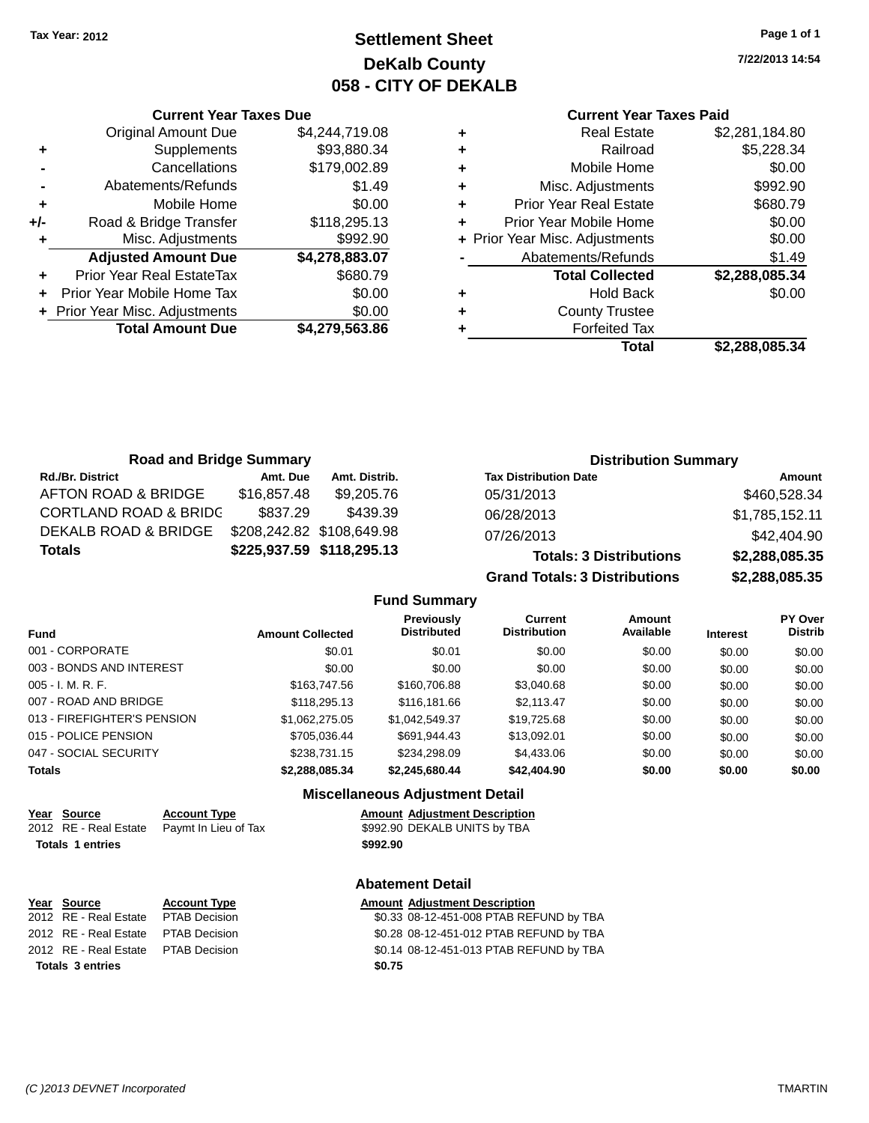**Current Year Taxes Due** Original Amount Due \$4,244,719.08

**Adjusted Amount Due \$4,278,883.07**

**Total Amount Due \$4,279,563.86**

**+** Supplements \$93,880.34 **-** Cancellations \$179,002.89 **-** Abatements/Refunds \$1.49 **+** Mobile Home \$0.00 **+/-** Road & Bridge Transfer \$118,295.13 **+** Misc. Adjustments \$992.90

**+** Prior Year Real EstateTax \$680.79 **+** Prior Year Mobile Home Tax \$0.00 **+** Prior Year Misc. Adjustments  $$0.00$ 

## **Settlement Sheet Tax Year: 2012 Page 1 of 1 DeKalb County 058 - CITY OF DEKALB**

**7/22/2013 14:54**

#### **Current Year Taxes Paid**

| ٠ | <b>Real Estate</b>             | \$2,281,184.80 |
|---|--------------------------------|----------------|
| ٠ | Railroad                       | \$5,228.34     |
| ٠ | Mobile Home                    | \$0.00         |
| ٠ | Misc. Adjustments              | \$992.90       |
| ٠ | <b>Prior Year Real Estate</b>  | \$680.79       |
| ٠ | Prior Year Mobile Home         | \$0.00         |
|   | + Prior Year Misc. Adjustments | \$0.00         |
|   | Abatements/Refunds             | \$1.49         |
|   | <b>Total Collected</b>         | \$2,288,085.34 |
| ٠ | <b>Hold Back</b>               | \$0.00         |
| ٠ | <b>County Trustee</b>          |                |
| ٠ | <b>Forfeited Tax</b>           |                |
|   | Total                          | \$2.288.085.34 |
|   |                                |                |

| <b>Road and Bridge Summary</b>   |             |                           | <b>Distribution Summary</b>    |                |
|----------------------------------|-------------|---------------------------|--------------------------------|----------------|
| <b>Rd./Br. District</b>          | Amt. Due    | Amt. Distrib.             | <b>Tax Distribution Date</b>   | Amount         |
| AFTON ROAD & BRIDGE              | \$16,857.48 | \$9,205.76                | 05/31/2013                     | \$460,528.34   |
| <b>CORTLAND ROAD &amp; BRIDC</b> | \$837.29    | \$439.39                  | 06/28/2013                     | \$1,785,152.11 |
| DEKALB ROAD & BRIDGE             |             | \$208,242.82 \$108,649.98 | 07/26/2013                     | \$42,404.90    |
| <b>Totals</b>                    |             | \$225,937.59 \$118,295.13 | <b>Totals: 3 Distributions</b> | \$2,288,085.35 |
|                                  |             |                           |                                |                |

**Grand Totals: 3 Distributions \$2,288,085.35**

**Fund Summary**

| <b>Fund</b>                 | <b>Amount Collected</b> | <b>Previously</b><br><b>Distributed</b> | <b>Current</b><br><b>Distribution</b> | Amount<br>Available | <b>Interest</b> | <b>PY Over</b><br><b>Distrib</b> |
|-----------------------------|-------------------------|-----------------------------------------|---------------------------------------|---------------------|-----------------|----------------------------------|
| 001 - CORPORATE             | \$0.01                  | \$0.01                                  | \$0.00                                | \$0.00              | \$0.00          | \$0.00                           |
| 003 - BONDS AND INTEREST    | \$0.00                  | \$0.00                                  | \$0.00                                | \$0.00              | \$0.00          | \$0.00                           |
| $005 - I. M. R. F.$         | \$163,747.56            | \$160,706.88                            | \$3,040.68                            | \$0.00              | \$0.00          | \$0.00                           |
| 007 - ROAD AND BRIDGE       | \$118,295.13            | \$116,181,66                            | \$2.113.47                            | \$0.00              | \$0.00          | \$0.00                           |
| 013 - FIREFIGHTER'S PENSION | \$1.062.275.05          | \$1,042,549.37                          | \$19,725.68                           | \$0.00              | \$0.00          | \$0.00                           |
| 015 - POLICE PENSION        | \$705.036.44            | \$691.944.43                            | \$13,092.01                           | \$0.00              | \$0.00          | \$0.00                           |
| 047 - SOCIAL SECURITY       | \$238,731.15            | \$234.298.09                            | \$4,433.06                            | \$0.00              | \$0.00          | \$0.00                           |
| <b>Totals</b>               | \$2,288,085.34          | \$2,245,680.44                          | \$42,404.90                           | \$0.00              | \$0.00          | \$0.00                           |

#### **Miscellaneous Adjustment Detail**

#### **Year Source Account Type Amount Adjustment Description**

| <b>Totals 1 entries</b> |                                            | \$992.90                     |
|-------------------------|--------------------------------------------|------------------------------|
|                         | 2012 RE - Real Estate Paymt In Lieu of Tax | \$992.90 DEKALB UNITS by TBA |

#### **Abatement Detail**

| Year Source                         | <b>Account Type</b> | Amount |
|-------------------------------------|---------------------|--------|
| 2012 RE - Real Estate PTAB Decision |                     | \$0.33 |
| 2012 RE - Real Estate PTAB Decision |                     | \$0.28 |
| 2012 RE - Real Estate PTAB Decision |                     | \$0.14 |
| <b>Totals 3 entries</b>             |                     | \$0.75 |

#### **Amount Adjustment Description** \$0.33 08-12-451-008 PTAB REFUND by TBA \$0.28 08-12-451-012 PTAB REFUND by TBA

\$0.14 08-12-451-013 PTAB REFUND by TBA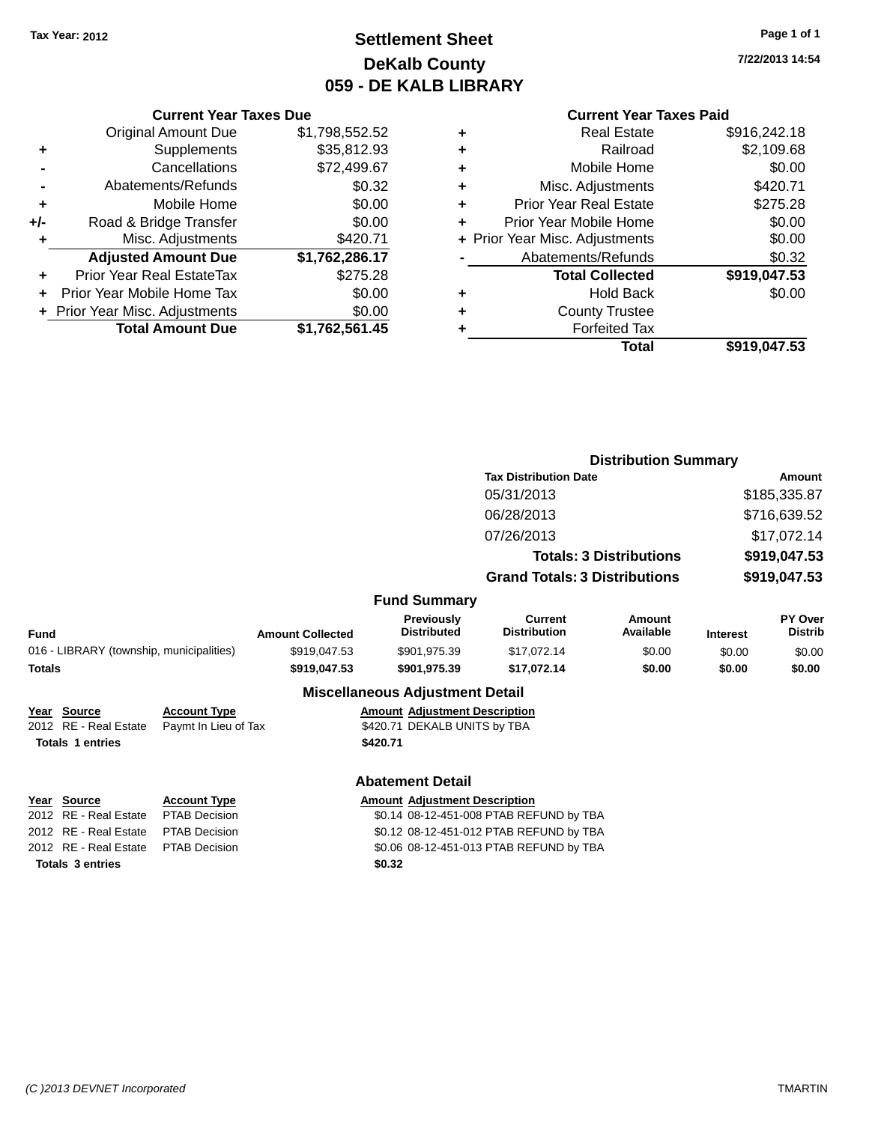## **Settlement Sheet Tax Year: 2012 Page 1 of 1 DeKalb County 059 - DE KALB LIBRARY**

**7/22/2013 14:54**

|     | <b>Current Year Taxes Due</b>  |                |
|-----|--------------------------------|----------------|
|     | <b>Original Amount Due</b>     | \$1,798,552.52 |
| ٠   | Supplements                    | \$35,812.93    |
|     | Cancellations                  | \$72,499.67    |
|     | Abatements/Refunds             | \$0.32         |
| ٠   | Mobile Home                    | \$0.00         |
| +/- | Road & Bridge Transfer         | \$0.00         |
| ٠   | Misc. Adjustments              | \$420.71       |
|     | <b>Adjusted Amount Due</b>     | \$1,762,286.17 |
| ٠   | Prior Year Real EstateTax      | \$275.28       |
| ÷   | Prior Year Mobile Home Tax     | \$0.00         |
|     | + Prior Year Misc. Adjustments | \$0.00         |
|     | <b>Total Amount Due</b>        | \$1,762,561.45 |
|     |                                |                |

|   | <b>Current Year Taxes Paid</b> |              |
|---|--------------------------------|--------------|
| ٠ | <b>Real Estate</b>             | \$916,242.18 |
| ٠ | Railroad                       | \$2,109.68   |
| ٠ | Mobile Home                    | \$0.00       |
| ٠ | Misc. Adjustments              | \$420.71     |
| ٠ | <b>Prior Year Real Estate</b>  | \$275.28     |
| ٠ | Prior Year Mobile Home         | \$0.00       |
|   | + Prior Year Misc. Adjustments | \$0.00       |
|   | Abatements/Refunds             | \$0.32       |
|   | <b>Total Collected</b>         | \$919,047.53 |
| ٠ | <b>Hold Back</b>               | \$0.00       |
|   | <b>County Trustee</b>          |              |
|   | <b>Forfeited Tax</b>           |              |
|   | Total                          | \$919,047.53 |
|   |                                |              |

|                                          |                         |                                                                 |                                       | <b>Distribution Summary</b>    |                 |                           |
|------------------------------------------|-------------------------|-----------------------------------------------------------------|---------------------------------------|--------------------------------|-----------------|---------------------------|
|                                          |                         |                                                                 | <b>Tax Distribution Date</b>          |                                |                 | <b>Amount</b>             |
|                                          |                         |                                                                 | 05/31/2013                            |                                |                 | \$185,335.87              |
|                                          |                         |                                                                 | 06/28/2013                            |                                |                 | \$716,639.52              |
|                                          |                         |                                                                 | 07/26/2013                            |                                |                 | \$17,072.14               |
|                                          |                         |                                                                 |                                       | <b>Totals: 3 Distributions</b> |                 | \$919,047.53              |
|                                          |                         |                                                                 | <b>Grand Totals: 3 Distributions</b>  |                                |                 | \$919,047.53              |
|                                          |                         | <b>Fund Summary</b>                                             |                                       |                                |                 |                           |
| <b>Fund</b>                              | <b>Amount Collected</b> | Previously<br><b>Distributed</b>                                | <b>Current</b><br><b>Distribution</b> | <b>Amount</b><br>Available     | <b>Interest</b> | PY Over<br><b>Distrib</b> |
| 016 - LIBRARY (township, municipalities) | \$919,047.53            | \$901,975.39                                                    | \$17,072.14                           | \$0.00                         | \$0.00          | \$0.00                    |
| <b>Totals</b>                            | \$919,047.53            | \$901,975.39                                                    | \$17,072.14                           | \$0.00                         | \$0.00          | \$0.00                    |
|                                          |                         | Additional Highlight and an Additional Additional Property High |                                       |                                |                 |                           |

#### **Miscellaneous Adjustment Detail**

| Year Source             | <b>Account Type</b>                        | <b>Amount Adjustment Description</b> |
|-------------------------|--------------------------------------------|--------------------------------------|
|                         | 2012 RE - Real Estate Paymt In Lieu of Tax | \$420.71 DEKALB UNITS by TBA         |
| <b>Totals 1 entries</b> |                                            | \$420.71                             |

#### **Abatement Detail**

| Year Source                         | <b>Account Type</b> | <b>Amount Adjustment Description</b> |
|-------------------------------------|---------------------|--------------------------------------|
| 2012 RE - Real Estate PTAB Decision |                     | \$0.14 08-12-451-008 PTAB REF        |
| 2012 BE Bool Ectate BTAB Decision   |                     | 0.420042454042070000                 |

**Totals 3 entries \$0.32**

2012 80.14 08-12-451-008 PTAB REFUND by TBA 2012 RE - Real Estate PTAB Decision \$0.12 08-12-451-012 PTAB REFUND by TBA 2012 RE - Real Estate PTAB Decision \$0.06 08-12-451-013 PTAB REFUND by TBA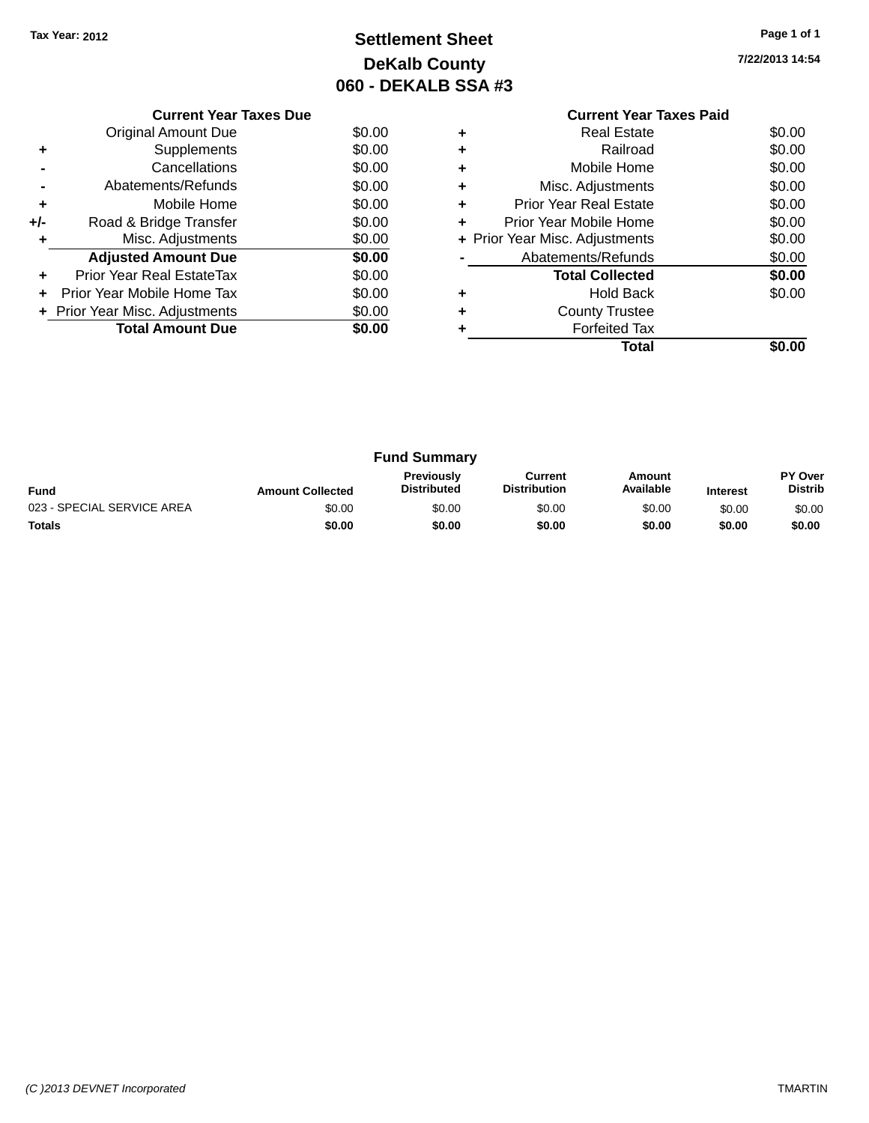## **Settlement Sheet Tax Year: 2012 Page 1 of 1 DeKalb County 060 - DEKALB SSA #3**

| 7/22/2013 14:54 |  |
|-----------------|--|
|                 |  |

|     | <b>Current Year Taxes Due</b>  |        |  |  |  |  |  |
|-----|--------------------------------|--------|--|--|--|--|--|
|     | <b>Original Amount Due</b>     | \$0.00 |  |  |  |  |  |
|     | Supplements                    | \$0.00 |  |  |  |  |  |
|     | Cancellations                  | \$0.00 |  |  |  |  |  |
|     | Abatements/Refunds             | \$0.00 |  |  |  |  |  |
| ٠   | Mobile Home                    | \$0.00 |  |  |  |  |  |
| +/- | Road & Bridge Transfer         | \$0.00 |  |  |  |  |  |
|     | Misc. Adjustments              | \$0.00 |  |  |  |  |  |
|     | <b>Adjusted Amount Due</b>     | \$0.00 |  |  |  |  |  |
|     | Prior Year Real EstateTax      | \$0.00 |  |  |  |  |  |
|     | Prior Year Mobile Home Tax     | \$0.00 |  |  |  |  |  |
|     | + Prior Year Misc. Adjustments | \$0.00 |  |  |  |  |  |
|     | <b>Total Amount Due</b>        | \$0.00 |  |  |  |  |  |
|     |                                |        |  |  |  |  |  |

#### **Current Year Taxes Paid +** Real Estate \$0.00 **+** Railroad \$0.00 **+** Mobile Home \$0.00 **+** Misc. Adjustments \$0.00 **+** Prior Year Real Estate \$0.00 **+** Prior Year Mobile Home \$0.00<br> **+** Prior Year Misc. Adjustments \$0.00 **+ Prior Year Misc. Adjustments -** Abatements/Refunds \$0.00 **Total Collected \$0.00 +** Hold Back \$0.00 **+** County Trustee **+** Forfeited Tax **Total \$0.00**

| <b>Fund Summary</b>        |                         |                                         |                                |                     |                 |                           |
|----------------------------|-------------------------|-----------------------------------------|--------------------------------|---------------------|-----------------|---------------------------|
| <b>Fund</b>                | <b>Amount Collected</b> | <b>Previously</b><br><b>Distributed</b> | Current<br><b>Distribution</b> | Amount<br>Available | <b>Interest</b> | PY Over<br><b>Distrib</b> |
| 023 - SPECIAL SERVICE AREA | \$0.00                  | \$0.00                                  | \$0.00                         | \$0.00              | \$0.00          | \$0.00                    |
| <b>Totals</b>              | \$0.00                  | \$0.00                                  | \$0.00                         | \$0.00              | \$0.00          | \$0.00                    |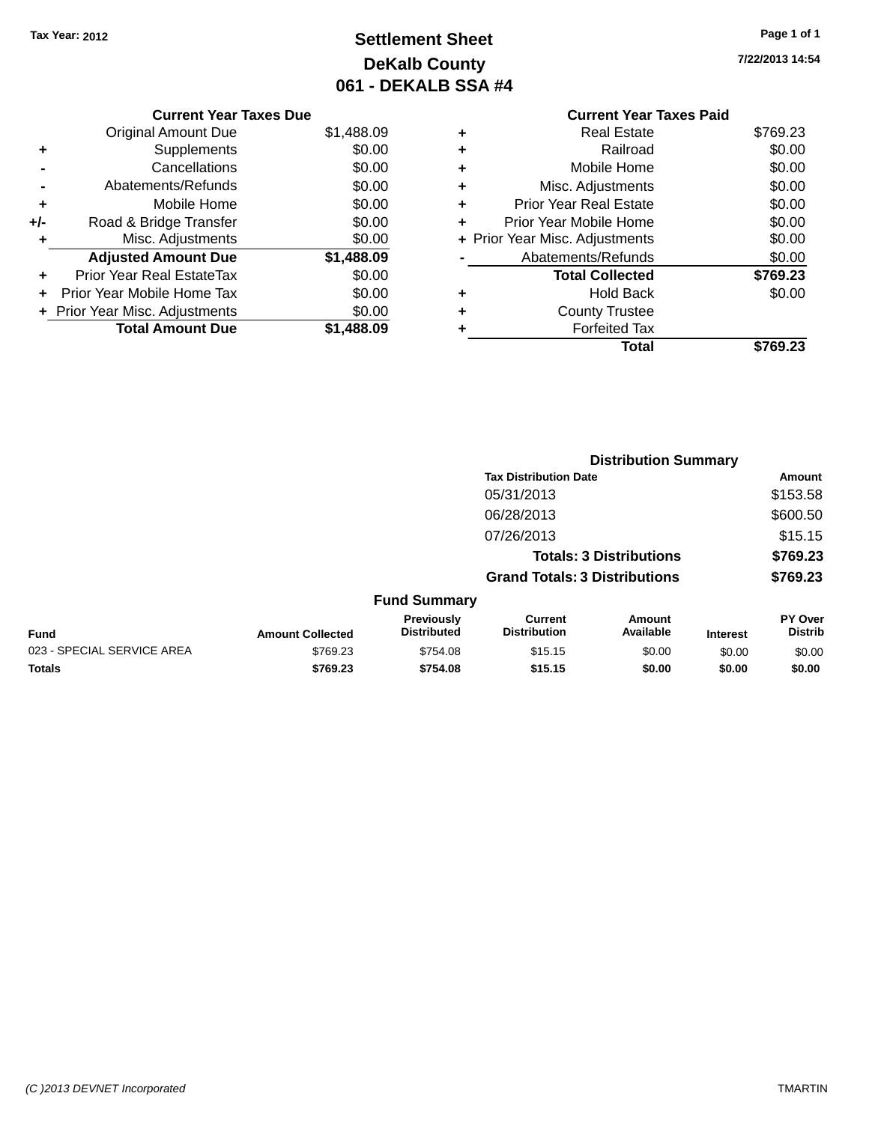## **Settlement Sheet Tax Year: 2012 Page 1 of 1 DeKalb County 061 - DEKALB SSA #4**

**7/22/2013 14:54**

|       | <b>Current Year Taxes Due</b>    |            |
|-------|----------------------------------|------------|
|       | <b>Original Amount Due</b>       | \$1,488.09 |
| ٠     | Supplements                      | \$0.00     |
|       | Cancellations                    | \$0.00     |
|       | Abatements/Refunds               | \$0.00     |
| ٠     | Mobile Home                      | \$0.00     |
| $+/-$ | Road & Bridge Transfer           | \$0.00     |
| ÷     | Misc. Adjustments                | \$0.00     |
|       | <b>Adjusted Amount Due</b>       | \$1,488.09 |
| ÷     | <b>Prior Year Real EstateTax</b> | \$0.00     |
|       | Prior Year Mobile Home Tax       | \$0.00     |
|       | + Prior Year Misc. Adjustments   | \$0.00     |
|       | <b>Total Amount Due</b>          | \$1.488.09 |

|   | <b>Current Year Taxes Paid</b> |          |
|---|--------------------------------|----------|
| ٠ | <b>Real Estate</b>             | \$769.23 |
| ٠ | Railroad                       | \$0.00   |
| ٠ | Mobile Home                    | \$0.00   |
| ٠ | Misc. Adjustments              | \$0.00   |
| ٠ | <b>Prior Year Real Estate</b>  | \$0.00   |
| ٠ | Prior Year Mobile Home         | \$0.00   |
|   | + Prior Year Misc. Adjustments | \$0.00   |
|   | Abatements/Refunds             | \$0.00   |
|   | <b>Total Collected</b>         | \$769.23 |
| ٠ | <b>Hold Back</b>               | \$0.00   |
|   | <b>County Trustee</b>          |          |
|   | <b>Forfeited Tax</b>           |          |
|   | Total                          | \$769.23 |
|   |                                |          |

|                            |                         |                                  |                                       | <b>Distribution Summary</b>    |                 |                           |
|----------------------------|-------------------------|----------------------------------|---------------------------------------|--------------------------------|-----------------|---------------------------|
|                            |                         |                                  | <b>Tax Distribution Date</b>          |                                |                 | Amount                    |
|                            |                         |                                  | 05/31/2013                            |                                |                 | \$153.58                  |
|                            |                         |                                  | 06/28/2013                            |                                |                 | \$600.50                  |
|                            |                         |                                  | 07/26/2013                            |                                |                 | \$15.15                   |
|                            |                         |                                  |                                       | <b>Totals: 3 Distributions</b> |                 | \$769.23                  |
|                            |                         |                                  | <b>Grand Totals: 3 Distributions</b>  |                                |                 | \$769.23                  |
|                            |                         | <b>Fund Summary</b>              |                                       |                                |                 |                           |
| Fund                       | <b>Amount Collected</b> | Previously<br><b>Distributed</b> | <b>Current</b><br><b>Distribution</b> | Amount<br>Available            | <b>Interest</b> | PY Over<br><b>Distrib</b> |
| 023 - SPECIAL SERVICE AREA | \$769.23                | \$754.08                         | \$15.15                               | \$0.00                         | \$0.00          | \$0.00                    |
| <b>Totals</b>              | \$769.23                | \$754.08                         | \$15.15                               | \$0.00                         | \$0.00          | \$0.00                    |
|                            |                         |                                  |                                       |                                |                 |                           |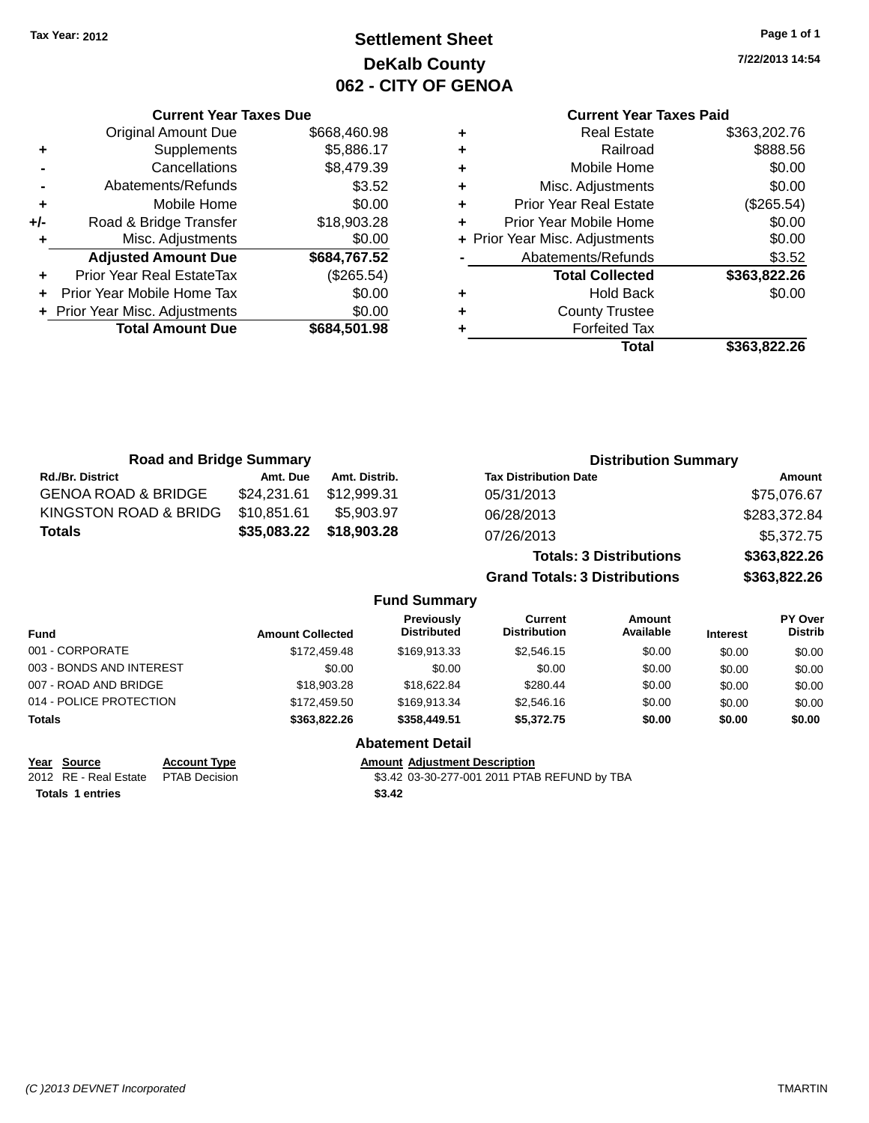## **Settlement Sheet Tax Year: 2012 Page 1 of 1 DeKalb County 062 - CITY OF GENOA**

**7/22/2013 14:54**

#### **Current Year Taxes Paid**

|     | <b>Current Year Taxes Due</b>    |              |  |  |  |  |
|-----|----------------------------------|--------------|--|--|--|--|
|     | <b>Original Amount Due</b>       | \$668,460.98 |  |  |  |  |
| ٠   | Supplements                      | \$5,886.17   |  |  |  |  |
|     | Cancellations                    | \$8,479.39   |  |  |  |  |
|     | Abatements/Refunds               | \$3.52       |  |  |  |  |
| ٠   | Mobile Home                      | \$0.00       |  |  |  |  |
| +/- | Road & Bridge Transfer           | \$18,903.28  |  |  |  |  |
| ٠   | Misc. Adjustments                | \$0.00       |  |  |  |  |
|     | <b>Adjusted Amount Due</b>       | \$684,767.52 |  |  |  |  |
| ٠   | <b>Prior Year Real EstateTax</b> | (\$265.54)   |  |  |  |  |
| ÷   | Prior Year Mobile Home Tax       | \$0.00       |  |  |  |  |
|     | + Prior Year Misc. Adjustments   | \$0.00       |  |  |  |  |
|     | <b>Total Amount Due</b>          | \$684,501.98 |  |  |  |  |
|     |                                  |              |  |  |  |  |

| ٠ | <b>Real Estate</b>             | \$363,202.76 |
|---|--------------------------------|--------------|
| ٠ | Railroad                       | \$888.56     |
| ٠ | Mobile Home                    | \$0.00       |
| ٠ | Misc. Adjustments              | \$0.00       |
| ٠ | <b>Prior Year Real Estate</b>  | (\$265.54)   |
| ٠ | Prior Year Mobile Home         | \$0.00       |
|   | + Prior Year Misc. Adjustments | \$0.00       |
|   | Abatements/Refunds             | \$3.52       |
|   | <b>Total Collected</b>         | \$363,822.26 |
| ٠ | <b>Hold Back</b>               | \$0.00       |
| ٠ | <b>County Trustee</b>          |              |
|   | <b>Forfeited Tax</b>           |              |
|   | Total                          | \$363,822.26 |
|   |                                |              |

| <b>Road and Bridge Summary</b> |             |               | <b>Distribution Summary</b>    |              |  |
|--------------------------------|-------------|---------------|--------------------------------|--------------|--|
| <b>Rd./Br. District</b>        | Amt. Due    | Amt. Distrib. | <b>Tax Distribution Date</b>   | Amount       |  |
| <b>GENOA ROAD &amp; BRIDGE</b> | \$24,231.61 | \$12.999.31   | 05/31/2013                     | \$75,076.67  |  |
| KINGSTON ROAD & BRIDG          | \$10,851.61 | \$5,903.97    | 06/28/2013                     | \$283,372.84 |  |
| Totals                         | \$35,083.22 | \$18,903.28   | 07/26/2013                     | \$5,372.75   |  |
|                                |             |               | <b>Totals: 3 Distributions</b> | \$363,822.26 |  |

**Grand Totals: 3 Distributions \$363,822.26**

#### **Fund Summary**

| <b>Fund</b>              | <b>Amount Collected</b> | Previously<br><b>Distributed</b> | Current<br><b>Distribution</b> | Amount<br>Available | <b>Interest</b> | PY Over<br><b>Distrib</b> |
|--------------------------|-------------------------|----------------------------------|--------------------------------|---------------------|-----------------|---------------------------|
| 001 - CORPORATE          | \$172,459.48            | \$169.913.33                     | \$2.546.15                     | \$0.00              | \$0.00          | \$0.00                    |
| 003 - BONDS AND INTEREST | \$0.00                  | \$0.00                           | \$0.00                         | \$0.00              | \$0.00          | \$0.00                    |
| 007 - ROAD AND BRIDGE    | \$18,903.28             | \$18,622,84                      | \$280.44                       | \$0.00              | \$0.00          | \$0.00                    |
| 014 - POLICE PROTECTION  | \$172.459.50            | \$169.913.34                     | \$2,546.16                     | \$0.00              | \$0.00          | \$0.00                    |
| <b>Totals</b>            | \$363,822,26            | \$358,449.51                     | \$5,372,75                     | \$0.00              | \$0.00          | \$0.00                    |

**Totals 1 entries \$3.42**

**Year Source Account Type Amount Adjustment Description** 2012 RE - Real Estate PTAB Decision \$3.42 03-30-277-001 2011 PTAB REFUND by TBA

**Abatement Detail**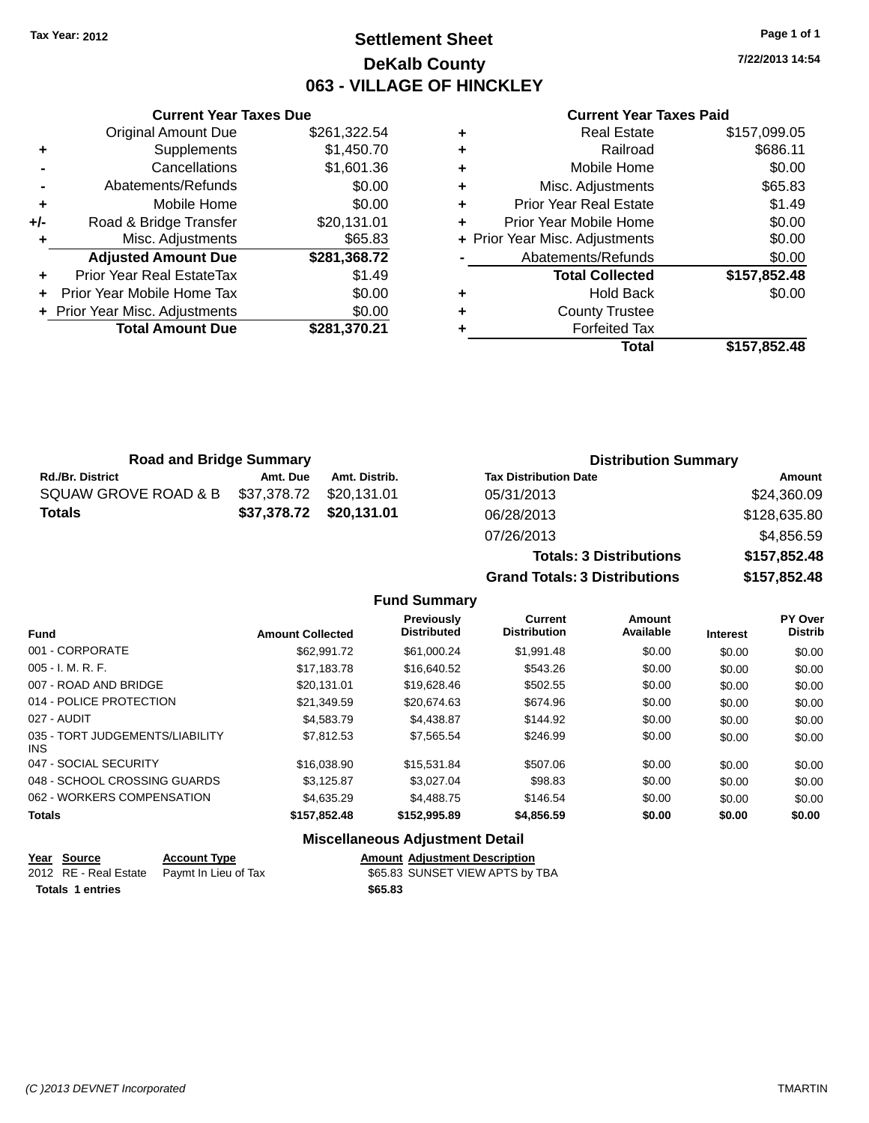## **Settlement Sheet Tax Year: 2012 Page 1 of 1 DeKalb County 063 - VILLAGE OF HINCKLEY**

**7/22/2013 14:54**

#### **Current Year Taxes Paid**

|       | <b>Current Year Taxes Due</b>  |              |
|-------|--------------------------------|--------------|
|       | <b>Original Amount Due</b>     | \$261,322.54 |
| ٠     | Supplements                    | \$1,450.70   |
|       | Cancellations                  | \$1,601.36   |
|       | Abatements/Refunds             | \$0.00       |
| ٠     | Mobile Home                    | \$0.00       |
| $+/-$ | Road & Bridge Transfer         | \$20,131.01  |
|       | Misc. Adjustments              | \$65.83      |
|       | <b>Adjusted Amount Due</b>     | \$281,368.72 |
| ٠     | Prior Year Real EstateTax      | \$1.49       |
|       | Prior Year Mobile Home Tax     | \$0.00       |
|       | + Prior Year Misc. Adjustments | \$0.00       |
|       | <b>Total Amount Due</b>        | \$281,370.21 |
|       |                                |              |

|   | <b>Real Estate</b>             | \$157,099.05 |
|---|--------------------------------|--------------|
| ÷ | Railroad                       | \$686.11     |
| ٠ | Mobile Home                    | \$0.00       |
| ٠ | Misc. Adjustments              | \$65.83      |
| ٠ | <b>Prior Year Real Estate</b>  | \$1.49       |
| ٠ | Prior Year Mobile Home         | \$0.00       |
|   | + Prior Year Misc. Adjustments | \$0.00       |
|   | Abatements/Refunds             | \$0.00       |
|   | <b>Total Collected</b>         | \$157,852.48 |
| ٠ | <b>Hold Back</b>               | \$0.00       |
| ٠ | <b>County Trustee</b>          |              |
| ٠ | <b>Forfeited Tax</b>           |              |
|   | Total                          | \$157,852.48 |
|   |                                |              |

| <b>Road and Bridge Summary</b> |                         |               | <b>Distribution Summary</b>  |              |  |
|--------------------------------|-------------------------|---------------|------------------------------|--------------|--|
| <b>Rd./Br. District</b>        | Amt. Due                | Amt. Distrib. | <b>Tax Distribution Date</b> | Amount       |  |
| SQUAW GROVE ROAD & B           | \$37,378.72             | \$20.131.01   | 05/31/2013                   | \$24,360.09  |  |
| <b>Totals</b>                  | \$37,378.72 \$20,131.01 |               | 06/28/2013                   | \$128,635.80 |  |
|                                |                         |               | 07/26/2013                   | \$4,856.59   |  |

| 07/26/2013                           | \$4,856.59   |
|--------------------------------------|--------------|
| <b>Totals: 3 Distributions</b>       | \$157,852.48 |
| <b>Grand Totals: 3 Distributions</b> | \$157,852.48 |

#### **Fund Summary**

|                                         |                         | Previously<br><b>Distributed</b> | Current<br><b>Distribution</b> | Amount<br>Available |                 | <b>PY Over</b><br><b>Distrib</b> |
|-----------------------------------------|-------------------------|----------------------------------|--------------------------------|---------------------|-----------------|----------------------------------|
| <b>Fund</b>                             | <b>Amount Collected</b> |                                  |                                |                     | <b>Interest</b> |                                  |
| 001 - CORPORATE                         | \$62,991.72             | \$61,000.24                      | \$1,991.48                     | \$0.00              | \$0.00          | \$0.00                           |
| $005 - I. M. R. F.$                     | \$17.183.78             | \$16,640.52                      | \$543.26                       | \$0.00              | \$0.00          | \$0.00                           |
| 007 - ROAD AND BRIDGE                   | \$20.131.01             | \$19,628.46                      | \$502.55                       | \$0.00              | \$0.00          | \$0.00                           |
| 014 - POLICE PROTECTION                 | \$21,349.59             | \$20,674.63                      | \$674.96                       | \$0.00              | \$0.00          | \$0.00                           |
| 027 - AUDIT                             | \$4,583,79              | \$4.438.87                       | \$144.92                       | \$0.00              | \$0.00          | \$0.00                           |
| 035 - TORT JUDGEMENTS/LIABILITY<br>INS. | \$7.812.53              | \$7.565.54                       | \$246.99                       | \$0.00              | \$0.00          | \$0.00                           |
| 047 - SOCIAL SECURITY                   | \$16,038,90             | \$15.531.84                      | \$507.06                       | \$0.00              | \$0.00          | \$0.00                           |
| 048 - SCHOOL CROSSING GUARDS            | \$3.125.87              | \$3.027.04                       | \$98.83                        | \$0.00              | \$0.00          | \$0.00                           |
| 062 - WORKERS COMPENSATION              | \$4,635,29              | \$4,488.75                       | \$146.54                       | \$0.00              | \$0.00          | \$0.00                           |
| <b>Totals</b>                           | \$157,852.48            | \$152,995.89                     | \$4,856.59                     | \$0.00              | \$0.00          | \$0.00                           |

### **Miscellaneous Adjustment Detail**

| Year Source<br><u>in the company of the company of the company of the company of the company of the company of the company of the company of the company of the company of the company of the company of the company of the company of the comp</u> | <b>Account Type</b>                        |         | <b>Amount Adiustment Description</b> |
|-----------------------------------------------------------------------------------------------------------------------------------------------------------------------------------------------------------------------------------------------------|--------------------------------------------|---------|--------------------------------------|
|                                                                                                                                                                                                                                                     | 2012 RE - Real Estate Paymt In Lieu of Tax |         | \$65.83 SUNSET VIEW APTS by TBA      |
| <b>Totals 1 entries</b>                                                                                                                                                                                                                             |                                            | \$65.83 |                                      |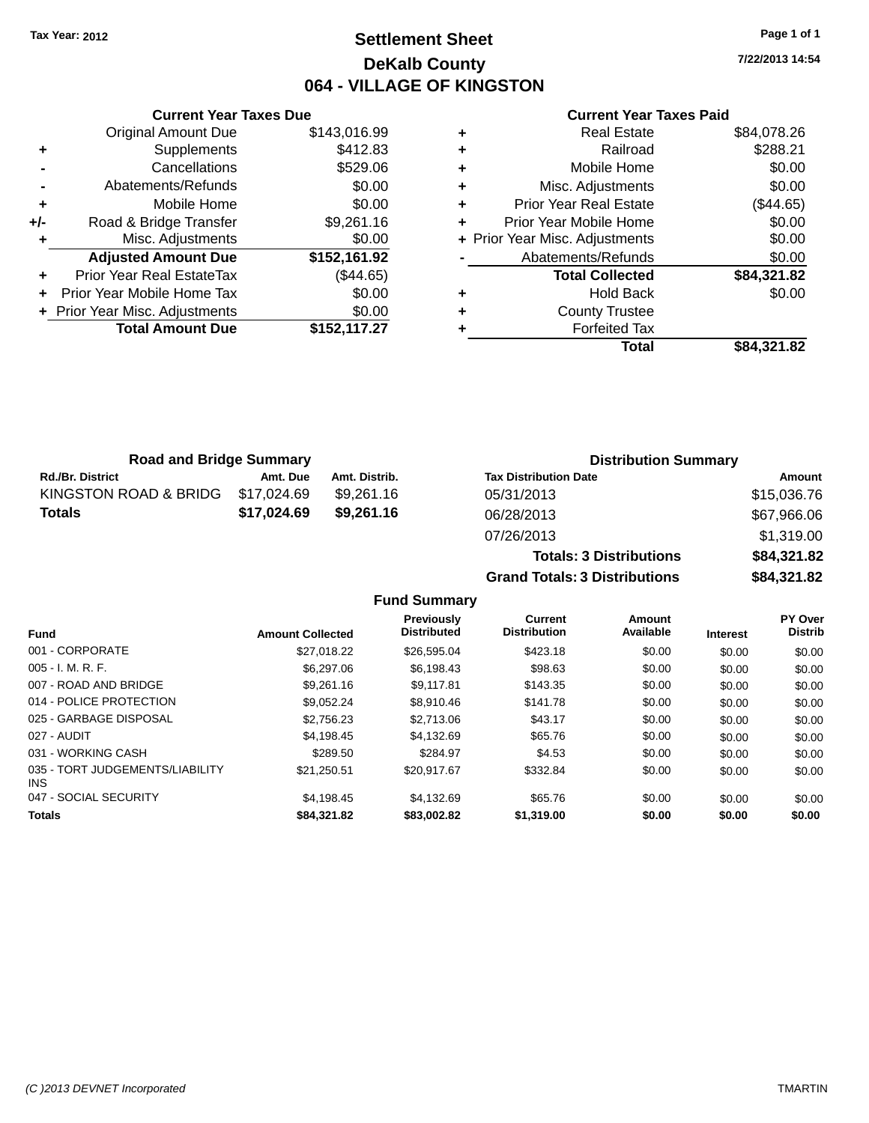## **Settlement Sheet Tax Year: 2012 Page 1 of 1 DeKalb County 064 - VILLAGE OF KINGSTON**

**7/22/2013 14:54**

#### **Current Year Taxes Paid**

|     | <b>Total Amount Due</b>        | \$152,117.27 |
|-----|--------------------------------|--------------|
|     | + Prior Year Misc. Adjustments | \$0.00       |
|     | Prior Year Mobile Home Tax     | \$0.00       |
| ÷   | Prior Year Real EstateTax      | (\$44.65)    |
|     | <b>Adjusted Amount Due</b>     | \$152,161.92 |
|     | Misc. Adjustments              | \$0.00       |
| +/- | Road & Bridge Transfer         | \$9,261.16   |
| ٠   | Mobile Home                    | \$0.00       |
|     | Abatements/Refunds             | \$0.00       |
|     | Cancellations                  | \$529.06     |
| ٠   | Supplements                    | \$412.83     |
|     | <b>Original Amount Due</b>     | \$143,016.99 |
|     |                                |              |

**Current Year Taxes Due**

| ٠ | <b>Real Estate</b>             | \$84,078.26 |
|---|--------------------------------|-------------|
| ٠ | Railroad                       | \$288.21    |
| ٠ | Mobile Home                    | \$0.00      |
| ٠ | Misc. Adjustments              | \$0.00      |
| ٠ | <b>Prior Year Real Estate</b>  | (\$44.65)   |
| ÷ | Prior Year Mobile Home         | \$0.00      |
|   | + Prior Year Misc. Adjustments | \$0.00      |
|   | Abatements/Refunds             | \$0.00      |
|   | <b>Total Collected</b>         | \$84,321.82 |
| ٠ | Hold Back                      | \$0.00      |
| ٠ | <b>County Trustee</b>          |             |
| ٠ | <b>Forfeited Tax</b>           |             |
|   | Total                          | \$84,321.82 |
|   |                                |             |

**Totals: 3 Distributions \$84,321.82**

| <b>Road and Bridge Summary</b> |             | <b>Distribution Summary</b> |                              |             |
|--------------------------------|-------------|-----------------------------|------------------------------|-------------|
| <b>Rd./Br. District</b>        | Amt. Due    | Amt. Distrib.               | <b>Tax Distribution Date</b> | Amount      |
| KINGSTON ROAD & BRIDG          | \$17,024.69 | \$9.261.16                  | 05/31/2013                   | \$15,036.76 |
| <b>Totals</b>                  | \$17,024.69 | \$9,261.16                  | 06/28/2013                   | \$67,966.06 |
|                                |             |                             | 07/26/2013                   | \$1,319.00  |

**Grand Totals: 3 Distributions \$84,321.82 Fund Summary Fund Interest Amount Collected Distributed PY Over Distrib Amount Available Current Distribution Previously** 001 - CORPORATE \$27,018.22 \$26,595.04 \$423.18 \$0.00 \$0.00 \$0.00 005 - I. M. R. F. \$6,297.06 \$6,198.43 \$98.63 \$0.00 \$0.00 \$0.00 007 - ROAD AND BRIDGE 60.00 \$9,261.16 \$9,261.16 \$9,117.81 \$143.35 \$0.00 \$0.00 \$0.00 \$0.00 014 - POLICE PROTECTION \$9,052.24 \$8,910.46 \$141.78 \$0.00 \$0.00 \$0.00 025 - GARBAGE DISPOSAL \$2,756.23 \$2,713.06 \$0.00 \$0.00 \$0.00 \$0.00 027 - AUDIT \$4,198.45 \$4,132.69 \$65.76 \$0.00 \$0.00 \$0.00 031 - WORKING CASH \$289.50 \$284.97 \$4.53 \$0.00 \$0.00 \$0.00 035 - TORT JUDGEMENTS/LIABILITY INS \$21,250.51 \$20,917.67 \$332.84 \$0.00 \$0.00 \$0.00 047 - SOCIAL SECURITY \$4,198.45 \$4,132.69 \$65.76 \$0.00 \$0.00 \$0.00 **Totals \$84,321.82 \$83,002.82 \$1,319.00 \$0.00 \$0.00 \$0.00**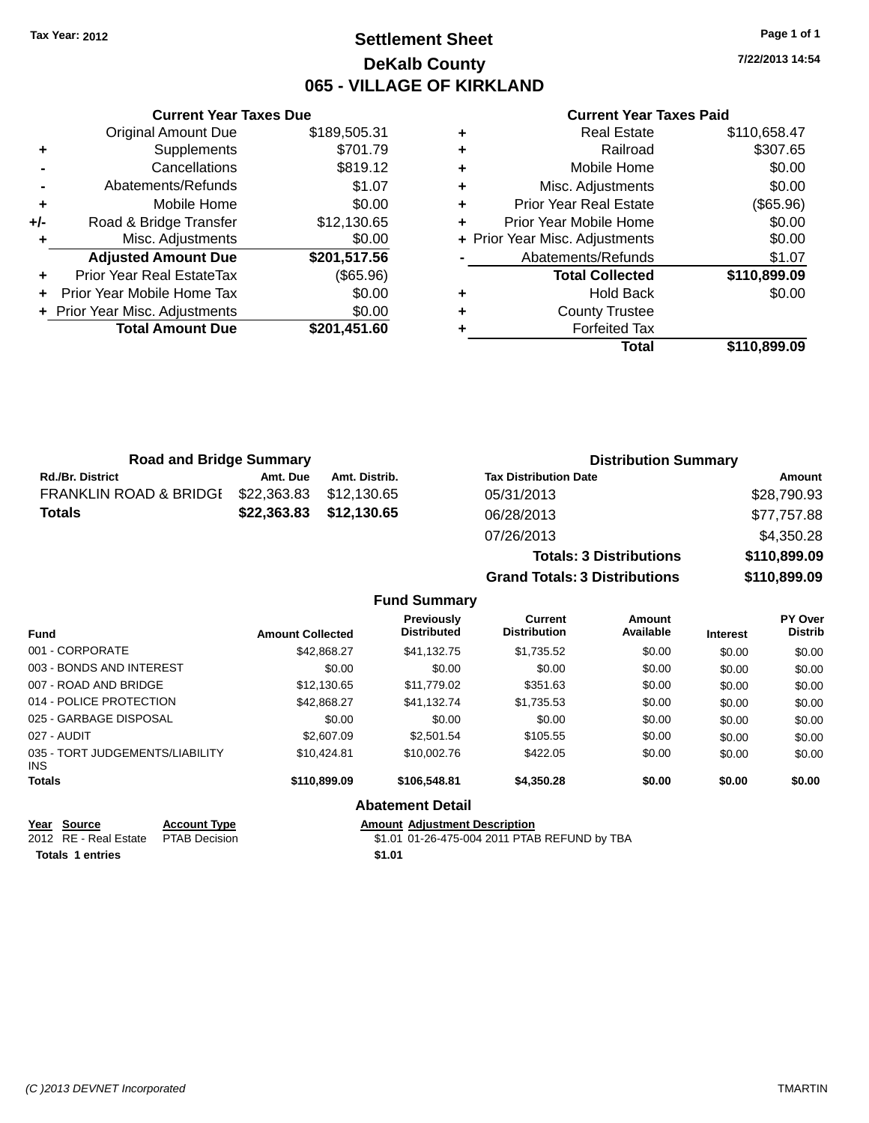## **Settlement Sheet Tax Year: 2012 Page 1 of 1 DeKalb County 065 - VILLAGE OF KIRKLAND**

**7/22/2013 14:54**

#### **Current Year Taxes Paid**

|       | <b>Total Amount Due</b>        | \$201,451.60 |
|-------|--------------------------------|--------------|
|       | + Prior Year Misc. Adjustments | \$0.00       |
|       | Prior Year Mobile Home Tax     | \$0.00       |
|       | Prior Year Real EstateTax      | (\$65.96)    |
|       | <b>Adjusted Amount Due</b>     | \$201,517.56 |
| ٠     | Misc. Adjustments              | \$0.00       |
| $+/-$ | Road & Bridge Transfer         | \$12,130.65  |
| ٠     | Mobile Home                    | \$0.00       |
|       | Abatements/Refunds             | \$1.07       |
|       | Cancellations                  | \$819.12     |
| ٠     | Supplements                    | \$701.79     |
|       | <b>Original Amount Due</b>     | \$189,505.31 |
|       |                                |              |

**Current Year Taxes Due**

|   | <b>Real Estate</b>             | \$110,658.47 |
|---|--------------------------------|--------------|
| ٠ | Railroad                       | \$307.65     |
| ٠ | Mobile Home                    | \$0.00       |
| ٠ | Misc. Adjustments              | \$0.00       |
| ٠ | Prior Year Real Estate         | (\$65.96)    |
|   | Prior Year Mobile Home         | \$0.00       |
|   | + Prior Year Misc. Adjustments | \$0.00       |
|   | Abatements/Refunds             | \$1.07       |
|   | <b>Total Collected</b>         | \$110,899.09 |
| ٠ | Hold Back                      | \$0.00       |
|   | <b>County Trustee</b>          |              |
|   | <b>Forfeited Tax</b>           |              |
|   | Total                          | \$110,899.09 |
|   |                                |              |

**Grand Totals: 3 Distributions \$110,899.09**

| <b>Road and Bridge Summary</b>    |             | <b>Distribution Summary</b> |                                |              |
|-----------------------------------|-------------|-----------------------------|--------------------------------|--------------|
| <b>Rd./Br. District</b>           | Amt. Due    | Amt. Distrib.               | <b>Tax Distribution Date</b>   | Amount       |
| <b>FRANKLIN ROAD &amp; BRIDGE</b> | \$22,363.83 | \$12.130.65                 | 05/31/2013                     | \$28,790.93  |
| <b>Totals</b>                     | \$22,363.83 | \$12,130.65                 | 06/28/2013                     | \$77,757.88  |
|                                   |             |                             | 07/26/2013                     | \$4,350.28   |
|                                   |             |                             | <b>Totals: 3 Distributions</b> | \$110,899.09 |

**Fund Summary Fund Interest Amount Collected Distributed PY Over Distrib Amount Available Current Distribution Previously** 001 - CORPORATE \$42,868.27 \$41,132.75 \$1,735.52 \$0.00 \$0.00 \$0.00 003 - BONDS AND INTEREST  $$0.00$   $$0.00$   $$0.00$   $$0.00$   $$0.00$   $$0.00$   $$0.00$   $$0.00$ 007 - ROAD AND BRIDGE 60.00 \$12,130.65 \$11,779.02 \$351.63 \$0.00 \$0.00 \$0.00 \$0.00 014 - POLICE PROTECTION \$42,868.27 \$41,132.74 \$1,735.53 \$0.00 \$0.00 \$0.00 025 - GARBAGE DISPOSAL \$0.00 \$0.00 \$0.00 \$0.00 \$0.00 \$0.00 027 - AUDIT \$2,607.09 \$2,501.54 \$105.55 \$0.00 \$0.00 \$0.00 035 - TORT JUDGEMENTS/LIABILITY INS \$10,424.81 \$10,002.76 \$422.05 \$0.00 \$0.00 \$0.00 **Totals \$110,899.09 \$106,548.81 \$4,350.28 \$0.00 \$0.00 \$0.00 Abatement Detail Year Source Account Type Amount Adjustment Description**

| rear source                         | ACCOUNT TVDE | Alliount Agiustment Describtion              |
|-------------------------------------|--------------|----------------------------------------------|
| 2012 RE - Real Estate PTAB Decision |              | \$1.01 01-26-475-004 2011 PTAB REFUND by TBA |
| Totals 1 entries                    |              | \$1.01                                       |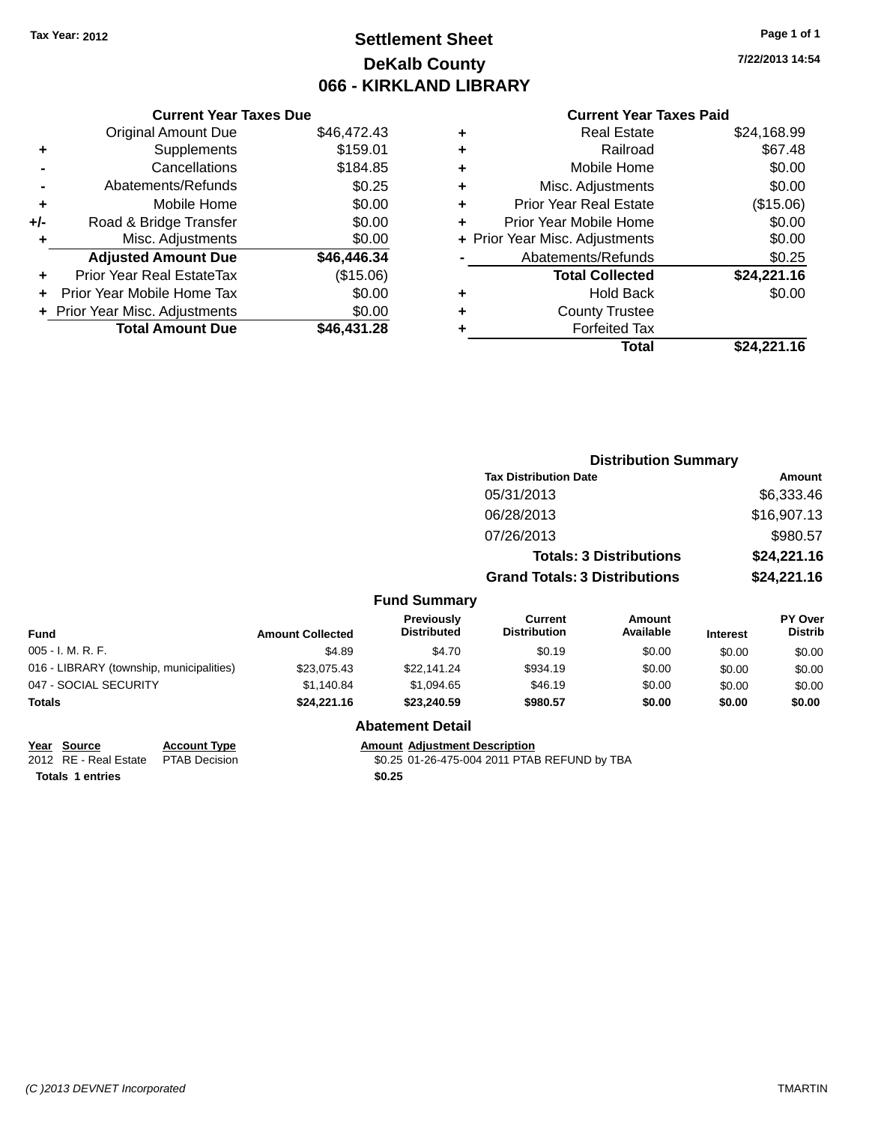## **Settlement Sheet Tax Year: 2012 Page 1 of 1 DeKalb County 066 - KIRKLAND LIBRARY**

**7/22/2013 14:54**

#### **Current Year Taxes Paid**

|     | <b>Current Year Taxes Due</b>     |             |  |  |  |
|-----|-----------------------------------|-------------|--|--|--|
|     | <b>Original Amount Due</b>        | \$46,472.43 |  |  |  |
| ٠   | Supplements                       | \$159.01    |  |  |  |
|     | Cancellations                     | \$184.85    |  |  |  |
|     | Abatements/Refunds                | \$0.25      |  |  |  |
| ٠   | Mobile Home                       | \$0.00      |  |  |  |
| +/- | Road & Bridge Transfer            | \$0.00      |  |  |  |
|     | Misc. Adjustments                 | \$0.00      |  |  |  |
|     | <b>Adjusted Amount Due</b>        | \$46,446.34 |  |  |  |
| ÷   | Prior Year Real EstateTax         | (\$15.06)   |  |  |  |
|     | <b>Prior Year Mobile Home Tax</b> | \$0.00      |  |  |  |
|     | + Prior Year Misc. Adjustments    | \$0.00      |  |  |  |
|     | <b>Total Amount Due</b>           | \$46.431.28 |  |  |  |

| ٠ | Real Estate                    | \$24,168.99 |
|---|--------------------------------|-------------|
| ٠ | Railroad                       | \$67.48     |
| ٠ | Mobile Home                    | \$0.00      |
| ٠ | Misc. Adjustments              | \$0.00      |
| ٠ | <b>Prior Year Real Estate</b>  | (\$15.06)   |
|   | Prior Year Mobile Home         | \$0.00      |
|   | + Prior Year Misc. Adjustments | \$0.00      |
|   | Abatements/Refunds             | \$0.25      |
|   | <b>Total Collected</b>         | \$24,221.16 |
| ٠ | Hold Back                      | \$0.00      |
| ٠ | <b>County Trustee</b>          |             |
|   | <b>Forfeited Tax</b>           |             |
|   | Total                          | \$24.221.16 |
|   |                                |             |

|                                          |                         |                                         | <b>Distribution Summary</b>           |                                |                 |                                  |
|------------------------------------------|-------------------------|-----------------------------------------|---------------------------------------|--------------------------------|-----------------|----------------------------------|
|                                          |                         |                                         | <b>Tax Distribution Date</b>          | Amount                         |                 |                                  |
|                                          |                         |                                         | 05/31/2013                            |                                |                 | \$6,333.46                       |
|                                          |                         |                                         | 06/28/2013                            |                                |                 | \$16,907.13                      |
|                                          |                         |                                         | 07/26/2013                            |                                |                 | \$980.57                         |
|                                          |                         |                                         |                                       | <b>Totals: 3 Distributions</b> |                 | \$24,221.16                      |
|                                          |                         |                                         | <b>Grand Totals: 3 Distributions</b>  |                                |                 | \$24,221.16                      |
|                                          |                         | <b>Fund Summary</b>                     |                                       |                                |                 |                                  |
| <b>Fund</b>                              | <b>Amount Collected</b> | <b>Previously</b><br><b>Distributed</b> | <b>Current</b><br><b>Distribution</b> | <b>Amount</b><br>Available     | <b>Interest</b> | <b>PY Over</b><br><b>Distrib</b> |
| 005 - I. M. R. F.                        | \$4.89                  | \$4.70                                  | \$0.19                                | \$0.00                         | \$0.00          | \$0.00                           |
| 016 - LIBRARY (township, municipalities) | \$23,075.43             | \$22,141.24                             | \$934.19                              | \$0.00                         | \$0.00          | \$0.00                           |
| 047 - SOCIAL SECURITY                    | \$1,140.84              | \$1,094.65                              | \$46.19                               | \$0.00                         | \$0.00          | \$0.00                           |
| Totals                                   | \$24,221.16             | \$23,240.59                             | \$980.57                              | \$0.00                         | \$0.00          | \$0.00                           |
|                                          |                         | <b>Abatement Detail</b>                 |                                       |                                |                 |                                  |

**Year** Source **Account Type Account Adjustment Description Totals 1 entries \$0.25**

2012 RE - Real Estate PTAB Decision \$0.25 01-26-475-004 2011 PTAB REFUND by TBA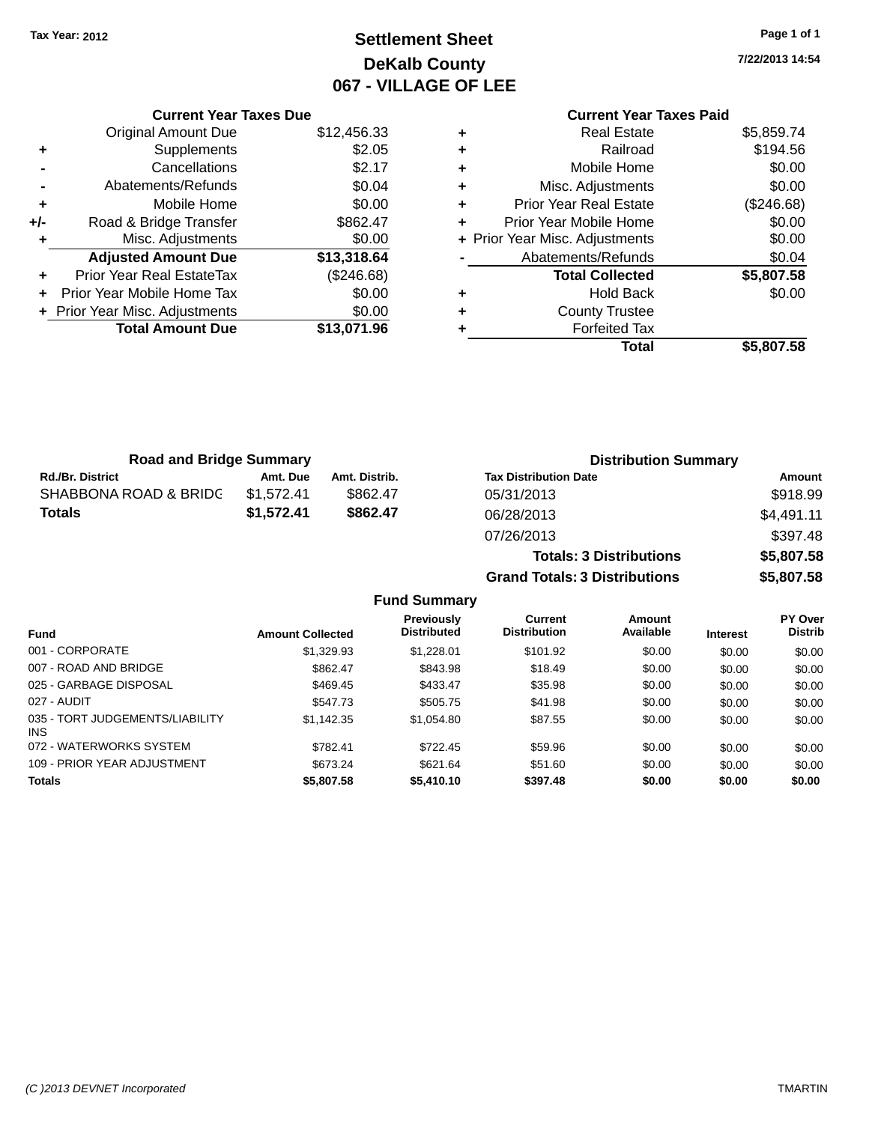## **Settlement Sheet Tax Year: 2012 Page 1 of 1 DeKalb County 067 - VILLAGE OF LEE**

**7/22/2013 14:54**

## **Current Year Taxes Paid**

|     | <b>Total Amount Due</b>        | \$13,071.96 |
|-----|--------------------------------|-------------|
|     | + Prior Year Misc. Adjustments | \$0.00      |
|     | Prior Year Mobile Home Tax     | \$0.00      |
| ÷   | Prior Year Real EstateTax      | (\$246.68)  |
|     | <b>Adjusted Amount Due</b>     | \$13,318.64 |
|     | Misc. Adjustments              | \$0.00      |
| +/- | Road & Bridge Transfer         | \$862.47    |
| ٠   | Mobile Home                    | \$0.00      |
|     | Abatements/Refunds             | \$0.04      |
|     | Cancellations                  | \$2.17      |
| ٠   | Supplements                    | \$2.05      |
|     | <b>Original Amount Due</b>     | \$12,456.33 |
|     |                                |             |

**Current Year Taxes Due**

| ٠ | <b>Real Estate</b>             | \$5,859.74 |
|---|--------------------------------|------------|
| ٠ | Railroad                       | \$194.56   |
| ٠ | Mobile Home                    | \$0.00     |
| ٠ | Misc. Adjustments              | \$0.00     |
| ٠ | <b>Prior Year Real Estate</b>  | (\$246.68) |
| ٠ | Prior Year Mobile Home         | \$0.00     |
|   | + Prior Year Misc. Adjustments | \$0.00     |
|   | Abatements/Refunds             | \$0.04     |
|   | <b>Total Collected</b>         | \$5,807.58 |
| ٠ | <b>Hold Back</b>               | \$0.00     |
| ٠ | <b>County Trustee</b>          |            |
| ٠ | <b>Forfeited Tax</b>           |            |
|   | Total                          | \$5,807.58 |
|   |                                |            |

**Grand Totals: 3 Distributions \$5,807.58**

| <b>Road and Bridge Summary</b> |            |               | <b>Distribution Summary</b>    |            |  |
|--------------------------------|------------|---------------|--------------------------------|------------|--|
| <b>Rd./Br. District</b>        | Amt. Due   | Amt. Distrib. | <b>Tax Distribution Date</b>   | Amount     |  |
| SHABBONA ROAD & BRIDC          | \$1.572.41 | \$862.47      | 05/31/2013                     | \$918.99   |  |
| Totals                         | \$1,572.41 | \$862.47      | 06/28/2013                     | \$4,491.11 |  |
|                                |            |               | 07/26/2013                     | \$397.48   |  |
|                                |            |               | <b>Totals: 3 Distributions</b> | \$5,807.58 |  |

**Fund Summary Fund Interest Amount Collected Distributed PY Over Distrib Amount Available Current Distribution Previously** 001 - CORPORATE 6 \$1,329.93 \$1,228.01 \$101.92 \$0.00 \$0.00 \$0.00 \$0.00 \$0.00 \$0.00 \$0.00 \$0.00 \$0.00 \$0.00 \$0.00 \$0.0 007 - ROAD AND BRIDGE 60.00 \$802.47 \$843.98 \$18.49 \$0.00 \$0.00 \$0.00 \$0.00 025 - GARBAGE DISPOSAL \$469.45 \$433.47 \$0.00 \$0.00 \$0.00 \$0.00 \$0.00 \$0.00 \$0.00 \$0.00 \$0.00 027 - AUDIT \$547.73 \$505.75 \$41.98 \$0.00 \$0.00 \$0.00 035 - TORT JUDGEMENTS/LIABILITY INS \$1,142.35 \$1,054.80 \$87.55 \$0.00 \$0.00 \$0.00 072 - WATERWORKS SYSTEM \$782.41 \$722.45 \$59.96 \$0.00 \$0.00 \$0.00 \$0.00 109 - PRIOR YEAR ADJUSTMENT 6673.24 \$621.64 \$51.60 \$0.00 \$0.00 \$0.00 \$0.00 **Totals \$5,807.58 \$5,410.10 \$397.48 \$0.00 \$0.00 \$0.00**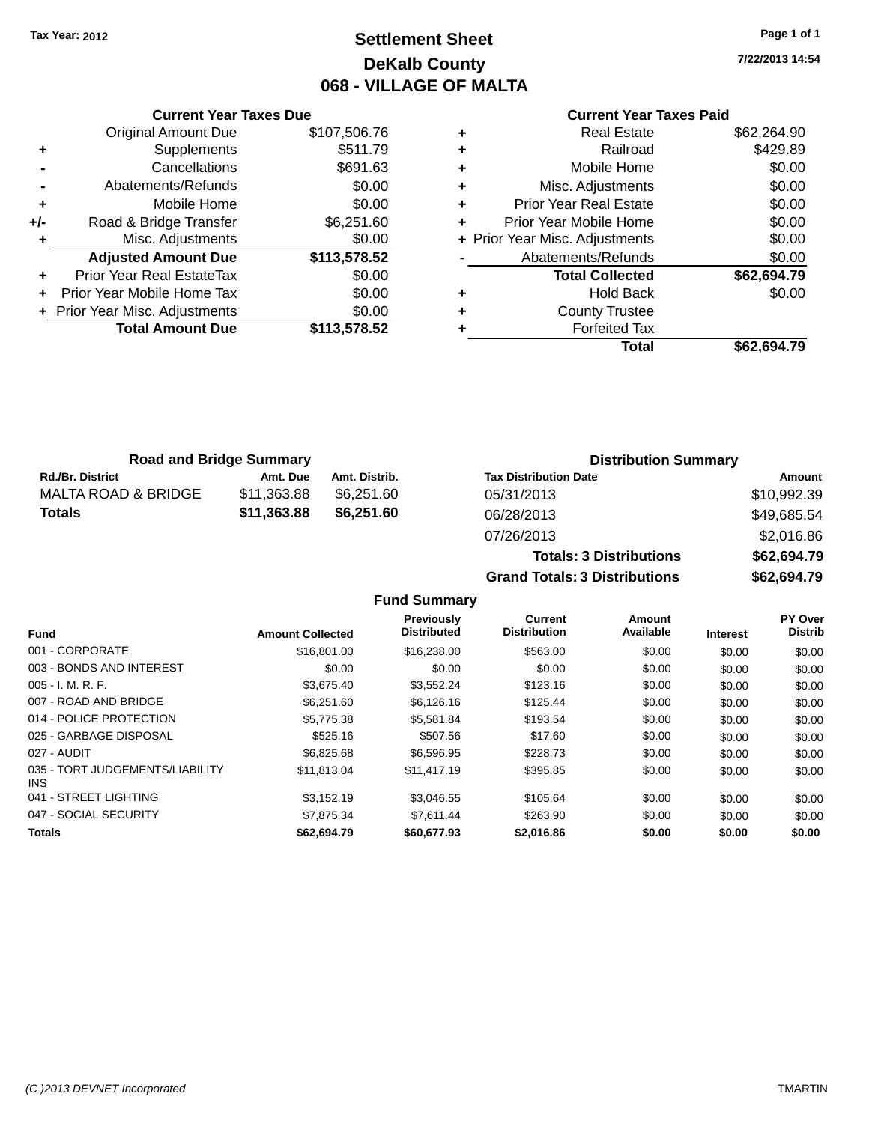## **Settlement Sheet Tax Year: 2012 Page 1 of 1 DeKalb County 068 - VILLAGE OF MALTA**

**7/22/2013 14:54**

#### **Current Year Taxes Paid**

|     | <b>Current Year Taxes Due</b>  |              |
|-----|--------------------------------|--------------|
|     | <b>Original Amount Due</b>     | \$107,506.76 |
| ٠   | Supplements                    | \$511.79     |
|     | Cancellations                  | \$691.63     |
|     | Abatements/Refunds             | \$0.00       |
| ٠   | Mobile Home                    | \$0.00       |
| +/- | Road & Bridge Transfer         | \$6,251.60   |
| ٠   | Misc. Adjustments              | \$0.00       |
|     | <b>Adjusted Amount Due</b>     | \$113,578.52 |
|     | Prior Year Real EstateTax      | \$0.00       |
|     | Prior Year Mobile Home Tax     | \$0.00       |
|     | + Prior Year Misc. Adjustments | \$0.00       |
|     | <b>Total Amount Due</b>        | \$113,578,52 |
|     |                                |              |

| ٠ | <b>Real Estate</b>             | \$62,264.90 |
|---|--------------------------------|-------------|
| ٠ | Railroad                       | \$429.89    |
| ٠ | Mobile Home                    | \$0.00      |
| ٠ | Misc. Adjustments              | \$0.00      |
| ٠ | <b>Prior Year Real Estate</b>  | \$0.00      |
| ٠ | Prior Year Mobile Home         | \$0.00      |
|   | + Prior Year Misc. Adjustments | \$0.00      |
|   | Abatements/Refunds             | \$0.00      |
|   | <b>Total Collected</b>         | \$62,694.79 |
| ٠ | <b>Hold Back</b>               | \$0.00      |
| ٠ | <b>County Trustee</b>          |             |
| ٠ | <b>Forfeited Tax</b>           |             |
|   | Total                          | \$62,694.79 |
|   |                                |             |

| <b>Road and Bridge Summary</b> |             |               | <b>Distribution Summary</b>  |             |  |
|--------------------------------|-------------|---------------|------------------------------|-------------|--|
| <b>Rd./Br. District</b>        | Amt. Due    | Amt. Distrib. | <b>Tax Distribution Date</b> | Amount      |  |
| MALTA ROAD & BRIDGE            | \$11.363.88 | \$6.251.60    | 05/31/2013                   | \$10,992.39 |  |
| Totals                         | \$11,363.88 | \$6.251.60    | 06/28/2013                   | \$49,685.54 |  |
|                                |             |               | 07/26/2013                   | \$2,016,86  |  |

| 07/26/2013                           | \$2,016.86  |
|--------------------------------------|-------------|
| <b>Totals: 3 Distributions</b>       | \$62,694.79 |
| <b>Grand Totals: 3 Distributions</b> | \$62,694.79 |
|                                      |             |

#### **Fund Summary**

|                                         |                         | Previously         | Current             | <b>Amount</b> |                 | <b>PY Over</b> |
|-----------------------------------------|-------------------------|--------------------|---------------------|---------------|-----------------|----------------|
| <b>Fund</b>                             | <b>Amount Collected</b> | <b>Distributed</b> | <b>Distribution</b> | Available     | <b>Interest</b> | <b>Distrib</b> |
| 001 - CORPORATE                         | \$16,801.00             | \$16,238,00        | \$563.00            | \$0.00        | \$0.00          | \$0.00         |
| 003 - BONDS AND INTEREST                | \$0.00                  | \$0.00             | \$0.00              | \$0.00        | \$0.00          | \$0.00         |
| $005 - I. M. R. F.$                     | \$3,675.40              | \$3,552.24         | \$123.16            | \$0.00        | \$0.00          | \$0.00         |
| 007 - ROAD AND BRIDGE                   | \$6.251.60              | \$6,126.16         | \$125.44            | \$0.00        | \$0.00          | \$0.00         |
| 014 - POLICE PROTECTION                 | \$5,775.38              | \$5,581.84         | \$193.54            | \$0.00        | \$0.00          | \$0.00         |
| 025 - GARBAGE DISPOSAL                  | \$525.16                | \$507.56           | \$17.60             | \$0.00        | \$0.00          | \$0.00         |
| 027 - AUDIT                             | \$6,825,68              | \$6,596.95         | \$228.73            | \$0.00        | \$0.00          | \$0.00         |
| 035 - TORT JUDGEMENTS/LIABILITY<br>INS. | \$11.813.04             | \$11,417.19        | \$395.85            | \$0.00        | \$0.00          | \$0.00         |
| 041 - STREET LIGHTING                   | \$3.152.19              | \$3.046.55         | \$105.64            | \$0.00        | \$0.00          | \$0.00         |
| 047 - SOCIAL SECURITY                   | \$7,875,34              | \$7.611.44         | \$263.90            | \$0.00        | \$0.00          | \$0.00         |
| <b>Totals</b>                           | \$62.694.79             | \$60,677.93        | \$2,016.86          | \$0.00        | \$0.00          | \$0.00         |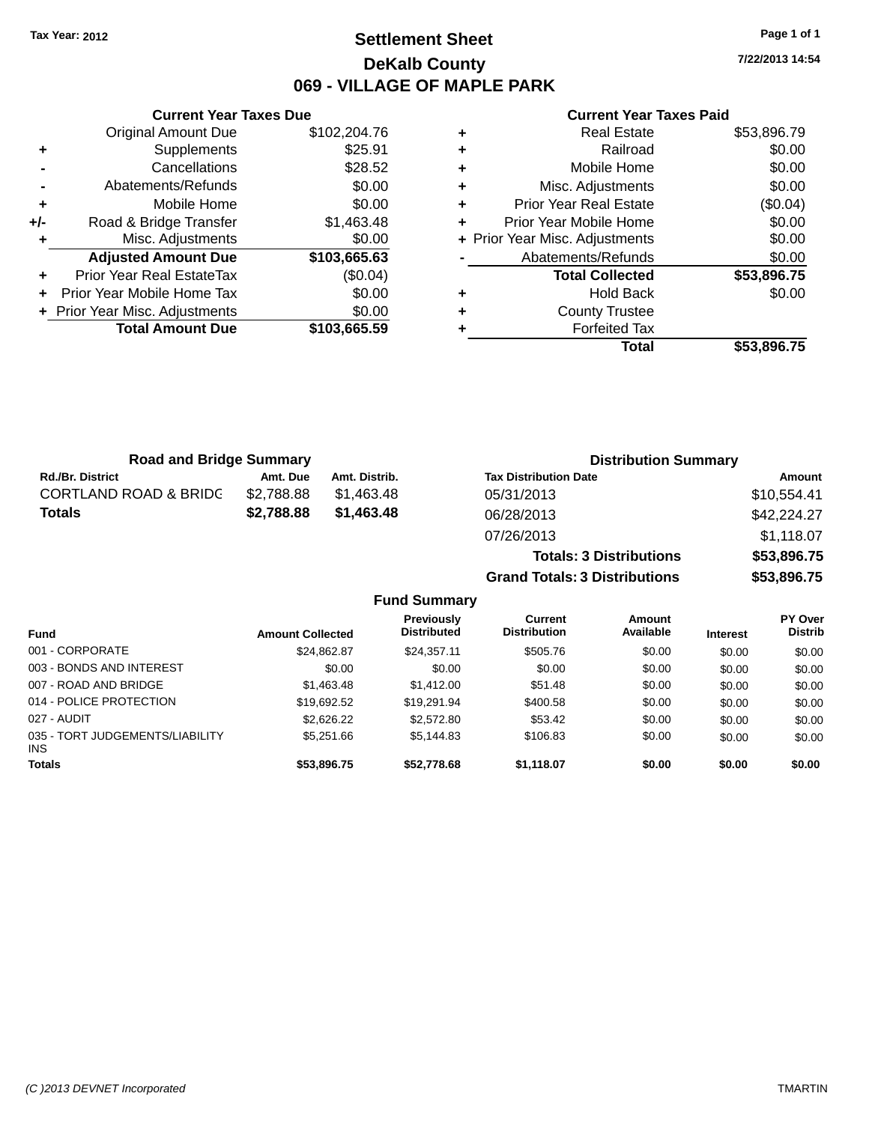## **Settlement Sheet Tax Year: 2012 Page 1 of 1 DeKalb County 069 - VILLAGE OF MAPLE PARK**

**7/22/2013 14:54**

#### **Current Year Taxes Paid**

|     | <b>Original Amount Due</b>     | \$102,204.76 |
|-----|--------------------------------|--------------|
| ٠   | Supplements                    | \$25.91      |
|     | Cancellations                  | \$28.52      |
|     | Abatements/Refunds             | \$0.00       |
| ٠   | Mobile Home                    | \$0.00       |
| +/- | Road & Bridge Transfer         | \$1,463.48   |
|     | Misc. Adjustments              | \$0.00       |
|     | <b>Adjusted Amount Due</b>     | \$103,665.63 |
| ÷   | Prior Year Real EstateTax      | (\$0.04)     |
|     | Prior Year Mobile Home Tax     | \$0.00       |
|     | + Prior Year Misc. Adjustments | \$0.00       |
|     | <b>Total Amount Due</b>        | \$103,665.59 |
|     |                                |              |

**Current Year Taxes Due**

| ٠ | <b>Real Estate</b>             | \$53,896.79 |
|---|--------------------------------|-------------|
| ٠ | Railroad                       | \$0.00      |
| ٠ | Mobile Home                    | \$0.00      |
| ٠ | Misc. Adjustments              | \$0.00      |
| ٠ | <b>Prior Year Real Estate</b>  | (\$0.04)    |
| ٠ | Prior Year Mobile Home         | \$0.00      |
|   | + Prior Year Misc. Adjustments | \$0.00      |
|   | Abatements/Refunds             | \$0.00      |
|   | <b>Total Collected</b>         | \$53,896.75 |
| ٠ | <b>Hold Back</b>               | \$0.00      |
| ٠ | <b>County Trustee</b>          |             |
|   | <b>Forfeited Tax</b>           |             |
|   | Total                          | \$53.896.75 |

**Totals: 3 Distributions \$53,896.75**

**Grand Totals: 3 Distributions \$53,896.75**

| <b>Road and Bridge Summary</b>   |            |               | <b>Distribution Summary</b>  |             |  |
|----------------------------------|------------|---------------|------------------------------|-------------|--|
| <b>Rd./Br. District</b>          | Amt. Due   | Amt. Distrib. | <b>Tax Distribution Date</b> | Amount      |  |
| <b>CORTLAND ROAD &amp; BRIDG</b> | \$2.788.88 | \$1.463.48    | 05/31/2013                   | \$10,554.41 |  |
| Totals                           | \$2,788.88 | \$1,463,48    | 06/28/2013                   | \$42,224.27 |  |
|                                  |            |               | 07/26/2013                   | \$1,118.07  |  |

#### **Fund Summary Fund Interest Amount Collected Distributed PY Over Distrib Amount Available Current Distribution Previously** 001 - CORPORATE \$24,862.87 \$24,357.11 \$505.76 \$0.00 \$0.00 \$0.00 003 - BONDS AND INTEREST  $$0.00$   $$0.00$   $$0.00$   $$0.00$   $$0.00$   $$0.00$   $$0.00$   $$0.00$ 007 - ROAD AND BRIDGE \$1,463.48 \$1,412.00 \$51.48 \$0.00 \$0.00 \$0.00 \$0.00 014 - POLICE PROTECTION \$19,692.52 \$19,291.94 \$400.58 \$0.00 \$0.00 \$0.00 \$0.00 027 - AUDIT \$2,626.22 \$2,572.80 \$53.42 \$0.00 \$0.00 \$0.00 035 - TORT JUDGEMENTS/LIABILITY INS \$5,251.66 \$5,144.83 \$106.83 \$0.00 \$0.00 \$0.00 **Totals \$53,896.75 \$52,778.68 \$1,118.07 \$0.00 \$0.00 \$0.00**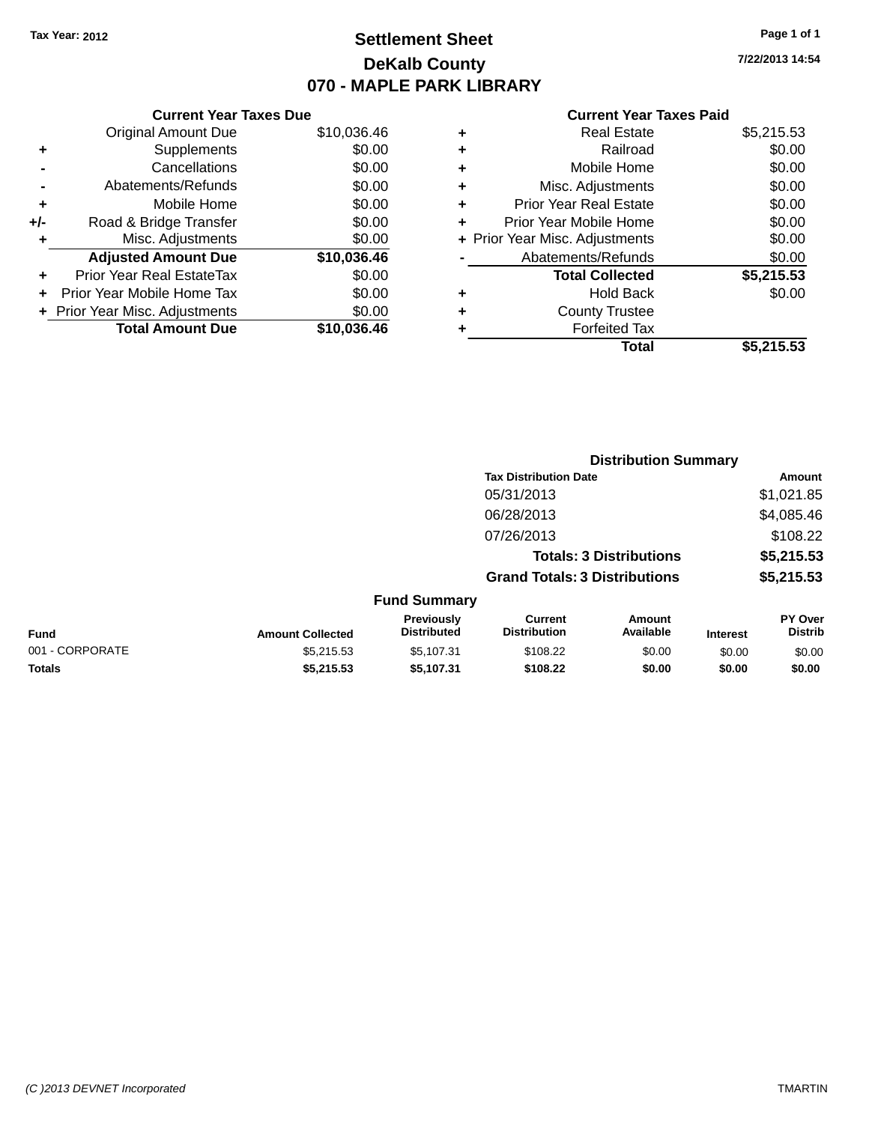## **Settlement Sheet Tax Year: 2012 Page 1 of 1 DeKalb County 070 - MAPLE PARK LIBRARY**

**7/22/2013 14:54**

#### **Current Year Taxes Paid**

|     | <b>Current Year Taxes Due</b>  |             |  |  |  |
|-----|--------------------------------|-------------|--|--|--|
|     | <b>Original Amount Due</b>     | \$10,036.46 |  |  |  |
| ٠   | Supplements                    | \$0.00      |  |  |  |
|     | Cancellations                  | \$0.00      |  |  |  |
|     | Abatements/Refunds             | \$0.00      |  |  |  |
| ٠   | Mobile Home                    | \$0.00      |  |  |  |
| +/- | Road & Bridge Transfer         | \$0.00      |  |  |  |
| ٠   | Misc. Adjustments              | \$0.00      |  |  |  |
|     | <b>Adjusted Amount Due</b>     | \$10,036.46 |  |  |  |
| ÷   | Prior Year Real EstateTax      | \$0.00      |  |  |  |
|     | Prior Year Mobile Home Tax     | \$0.00      |  |  |  |
|     | + Prior Year Misc. Adjustments | \$0.00      |  |  |  |
|     | <b>Total Amount Due</b>        | \$10.036.46 |  |  |  |
|     |                                |             |  |  |  |

| <b>Real Estate</b>             | \$5,215.53 |
|--------------------------------|------------|
| Railroad                       | \$0.00     |
| Mobile Home                    | \$0.00     |
| Misc. Adjustments              | \$0.00     |
| <b>Prior Year Real Estate</b>  | \$0.00     |
| Prior Year Mobile Home         | \$0.00     |
| + Prior Year Misc. Adjustments | \$0.00     |
| Abatements/Refunds             | \$0.00     |
| <b>Total Collected</b>         | \$5,215.53 |
| <b>Hold Back</b>               | \$0.00     |
| <b>County Trustee</b>          |            |
| <b>Forfeited Tax</b>           |            |
| Total                          | \$5,215.53 |
|                                |            |

|                 |                         | <b>Distribution Summary</b>             |                                       |                                |                 |                           |
|-----------------|-------------------------|-----------------------------------------|---------------------------------------|--------------------------------|-----------------|---------------------------|
|                 |                         |                                         | <b>Tax Distribution Date</b>          |                                |                 | <b>Amount</b>             |
|                 |                         |                                         | 05/31/2013                            |                                |                 | \$1,021.85                |
|                 |                         |                                         | 06/28/2013                            |                                |                 | \$4,085.46                |
|                 |                         |                                         | 07/26/2013                            |                                |                 | \$108.22                  |
|                 |                         |                                         |                                       | <b>Totals: 3 Distributions</b> |                 | \$5,215.53                |
|                 |                         |                                         | <b>Grand Totals: 3 Distributions</b>  |                                |                 | \$5,215.53                |
|                 |                         | <b>Fund Summary</b>                     |                                       |                                |                 |                           |
| <b>Fund</b>     | <b>Amount Collected</b> | <b>Previously</b><br><b>Distributed</b> | <b>Current</b><br><b>Distribution</b> | Amount<br>Available            | <b>Interest</b> | PY Over<br><b>Distrib</b> |
| 001 - CORPORATE | \$5,215.53              | \$5,107.31                              | \$108.22                              | \$0.00                         | \$0.00          | \$0.00                    |
| <b>Totals</b>   | \$5,215.53              | \$5,107.31                              | \$108.22                              | \$0.00                         | \$0.00          | \$0.00                    |
|                 |                         |                                         |                                       |                                |                 |                           |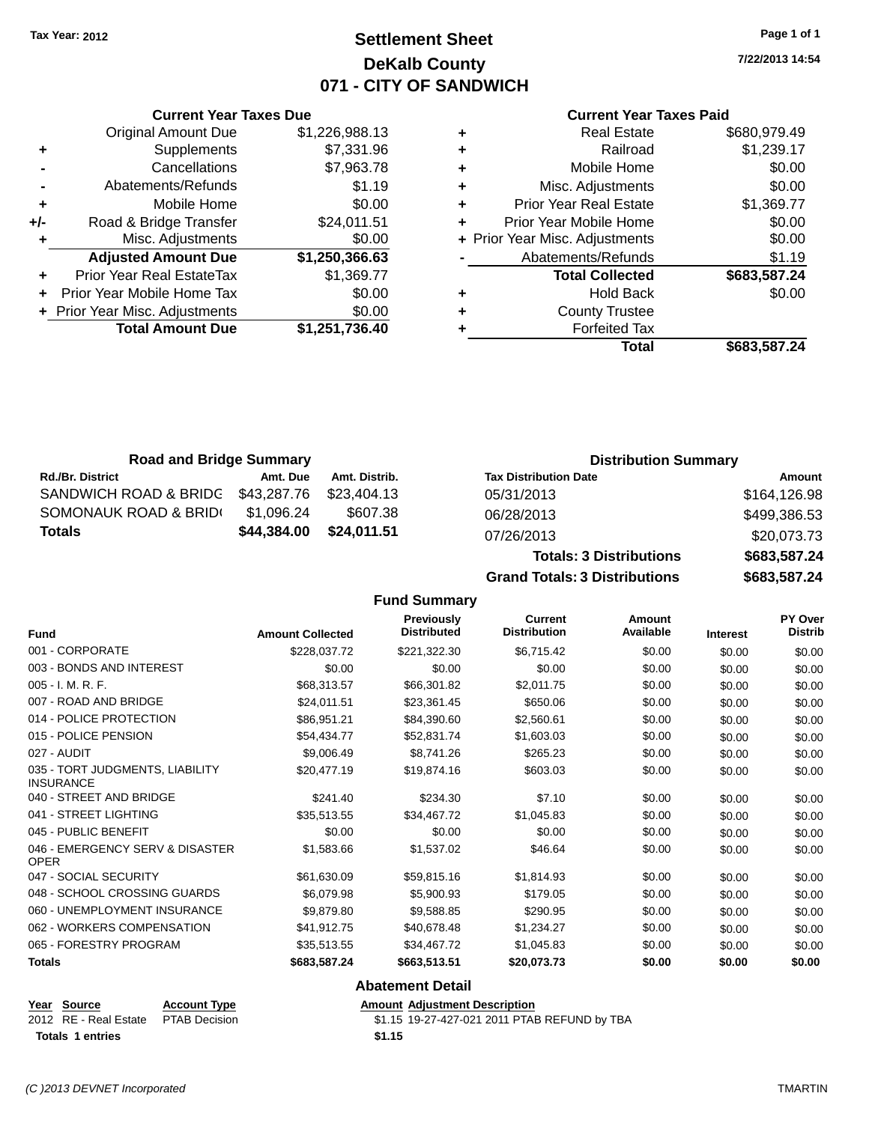**Current Year Taxes Due** Original Amount Due \$1,226,988.13

**Adjusted Amount Due \$1,250,366.63**

**Total Amount Due \$1,251,736.40**

**-** Cancellations \$7,963.78

**+** Supplements \$7,331.96

**-** Abatements/Refunds \$1.19 **+** Mobile Home \$0.00 **+/-** Road & Bridge Transfer \$24,011.51 **+** Misc. Adjustments \$0.00

**+** Prior Year Real EstateTax \$1,369.77 **+** Prior Year Mobile Home Tax \$0.00 **+** Prior Year Misc. Adjustments  $$0.00$ 

## **Settlement Sheet Tax Year: 2012 Page 1 of 1 DeKalb County 071 - CITY OF SANDWICH**

**7/22/2013 14:54**

#### **Current Year Taxes Paid**

| Real Estate                    | \$680,979.49 |
|--------------------------------|--------------|
| Railroad                       | \$1,239.17   |
| Mobile Home                    | \$0.00       |
| Misc. Adjustments              | \$0.00       |
| <b>Prior Year Real Estate</b>  | \$1,369.77   |
| Prior Year Mobile Home         | \$0.00       |
| + Prior Year Misc. Adjustments | \$0.00       |
| Abatements/Refunds             | \$1.19       |
| <b>Total Collected</b>         | \$683,587.24 |
| <b>Hold Back</b>               | \$0.00       |
| <b>County Trustee</b>          |              |
| <b>Forfeited Tax</b>           |              |
| Total                          | \$683.587.24 |
|                                |              |

**Grand Totals: 3 Distributions \$683,587.24**

| <b>Road and Bridge Summary</b> |             |               | <b>Distribution Summary</b>    |              |
|--------------------------------|-------------|---------------|--------------------------------|--------------|
| <b>Rd./Br. District</b>        | Amt. Due    | Amt. Distrib. | <b>Tax Distribution Date</b>   | Amount       |
| SANDWICH ROAD & BRIDG          | \$43,287.76 | \$23.404.13   | 05/31/2013                     | \$164,126.98 |
| SOMONAUK ROAD & BRID(          | \$1,096.24  | \$607.38      | 06/28/2013                     | \$499,386.53 |
| <b>Totals</b>                  | \$44,384.00 | \$24,011.51   | 07/26/2013                     | \$20,073.73  |
|                                |             |               | <b>Totals: 3 Distributions</b> | \$683,587.24 |

**Fund Summary Fund Interest Amount Collected Distributed PY Over Distrib Amount Available Current Distribution Previously** 001 - CORPORATE \$228,037.72 \$221,322.30 \$6,715.42 \$0.00 \$0.00 \$0.00 003 - BONDS AND INTEREST  $$0.00$   $$0.00$   $$0.00$   $$0.00$   $$0.00$   $$0.00$   $$0.00$   $$0.00$ 005 - I. M. R. F. \$68,313.57 \$66,301.82 \$2,011.75 \$0.00 \$0.00 \$0.00 007 - ROAD AND BRIDGE 60.00 \$24,011.51 \$23,361.45 \$650.06 \$0.00 \$0.00 \$0.00 \$0.00 014 - POLICE PROTECTION **\$86,951.21** \$84,390.60 \$2,560.61 \$0.00 \$0.00 \$0.00 \$0.00 015 - POLICE PENSION \$54,434.77 \$52,831.74 \$0.00 \$0.00 \$0.00 \$0.00 \$0.00 027 - AUDIT \$9,006.49 \$8,741.26 \$265.23 \$0.00 \$0.00 \$0.00 035 - TORT JUDGMENTS, LIABILITY INSURANCE \$20,477.19 \$19,874.16 \$603.03 \$0.00 \$0.00 \$0.00 040 - STREET AND BRIDGE 60.00 \$241.40 \$234.30 \$7.10 \$0.00 \$0.00 \$0.00 \$0.00 041 - STREET LIGHTING \$35,513.55 \$34,467.72 \$1,045.83 \$0.00 \$0.00 \$0.00 045 - PUBLIC BENEFIT \$0.00 \$0.00 \$0.00 \$0.00 \$0.00 \$0.00 046 - EMERGENCY SERV & DISASTER OPER \$1,583.66 \$1,537.02 \$46.64 \$0.00 \$0.00 \$0.00 047 - SOCIAL SECURITY 6 \$61,630.09 \$59,815.16 \$1,814.93 \$0.00 \$0.00 \$0.00 \$0.00 \$0.00 \$0.00 \$0.00 \$0.00 \$0.00 \$0.00 \$0.00 048 - SCHOOL CROSSING GUARDS \$6,079.98 \$5,900.93 \$179.05 \$0.00 \$0.00 \$0.00 \$0.00 060 - UNEMPLOYMENT INSURANCE \$9,879.80 \$9,588.85 \$290.95 \$0.00 \$0.00 \$0.00 \$0.00 062 - WORKERS COMPENSATION \$41,912.75 \$40,678.48 \$1,234.27 \$0.00 \$0.00 \$0.00 065 - FORESTRY PROGRAM \$35,513.55 \$34,467.72 \$1,045.83 \$0.00 \$0.00 \$0.00 **Totals \$683,587.24 \$663,513.51 \$20,073.73 \$0.00 \$0.00 \$0.00 Abatement Detail**

| Year Source           | <b>Account Type</b>  |
|-----------------------|----------------------|
| 2012 RE - Real Estate | <b>PTAB Decision</b> |

**Totals 1 entries \$1.15**

**Amount Adjustment Description** \$1.15 19-27-427-021 2011 PTAB REFUND by TBA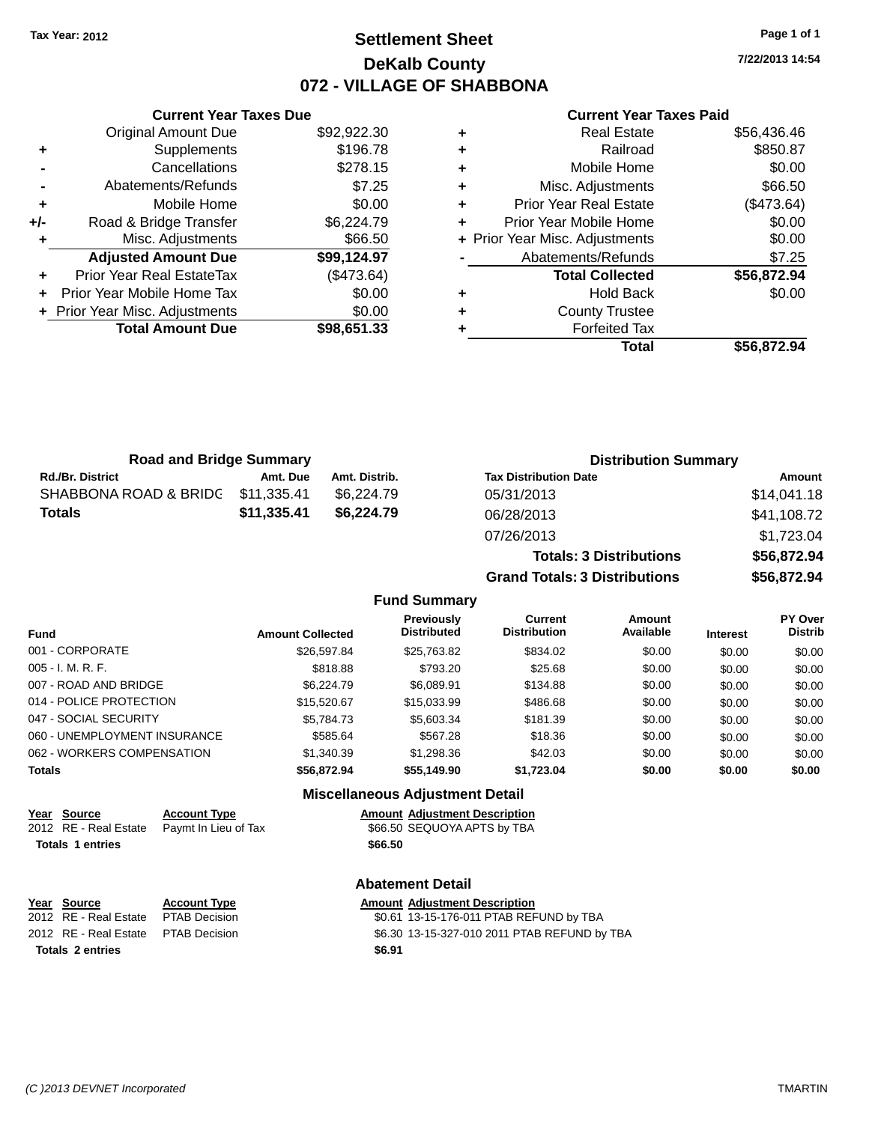## **Settlement Sheet Tax Year: 2012 Page 1 of 1 DeKalb County 072 - VILLAGE OF SHABBONA**

**7/22/2013 14:54**

|       | <b>Current Year Taxes Due</b>  |             |  |  |  |
|-------|--------------------------------|-------------|--|--|--|
|       | <b>Original Amount Due</b>     | \$92,922.30 |  |  |  |
| ÷     | Supplements                    | \$196.78    |  |  |  |
|       | Cancellations                  | \$278.15    |  |  |  |
|       | Abatements/Refunds             | \$7.25      |  |  |  |
| ٠     | Mobile Home                    | \$0.00      |  |  |  |
| $+/-$ | Road & Bridge Transfer         | \$6,224.79  |  |  |  |
| ٠     | Misc. Adjustments              | \$66.50     |  |  |  |
|       | <b>Adjusted Amount Due</b>     | \$99,124.97 |  |  |  |
| ÷     | Prior Year Real EstateTax      | (\$473.64)  |  |  |  |
|       | Prior Year Mobile Home Tax     | \$0.00      |  |  |  |
|       | + Prior Year Misc. Adjustments | \$0.00      |  |  |  |
|       | <b>Total Amount Due</b>        | \$98,651.33 |  |  |  |
|       |                                |             |  |  |  |

|   | Total                          | \$56,872.94 |
|---|--------------------------------|-------------|
| ٠ | <b>Forfeited Tax</b>           |             |
| ٠ | <b>County Trustee</b>          |             |
| ٠ | <b>Hold Back</b>               | \$0.00      |
|   | <b>Total Collected</b>         | \$56,872.94 |
|   | Abatements/Refunds             | \$7.25      |
|   | + Prior Year Misc. Adjustments | \$0.00      |
| ٠ | Prior Year Mobile Home         | \$0.00      |
| ٠ | <b>Prior Year Real Estate</b>  | (\$473.64)  |
| ٠ | Misc. Adjustments              | \$66.50     |
| ٠ | Mobile Home                    | \$0.00      |
| ٠ | Railroad                       | \$850.87    |
| ٠ | <b>Real Estate</b>             | \$56,436.46 |

| <b>Road and Bridge Summary</b>    |             |               | <b>Distribution Summary</b>  |             |  |
|-----------------------------------|-------------|---------------|------------------------------|-------------|--|
| <b>Rd./Br. District</b>           | Amt. Due    | Amt. Distrib. | <b>Tax Distribution Date</b> | Amount      |  |
| SHABBONA ROAD & BRIDC \$11,335.41 |             | \$6.224.79    | 05/31/2013                   | \$14,041.18 |  |
| <b>Totals</b>                     | \$11,335.41 | \$6.224.79    | 06/28/2013                   | \$41,108.72 |  |
|                                   |             |               | 07/26/2013                   | \$1723.04   |  |

| 07/26/2013                           | \$1,723.04  |  |  |
|--------------------------------------|-------------|--|--|
| <b>Totals: 3 Distributions</b>       | \$56,872.94 |  |  |
| <b>Grand Totals: 3 Distributions</b> | \$56,872,94 |  |  |
|                                      |             |  |  |

#### **Fund Summary**

| <b>Fund</b>                  | <b>Amount Collected</b> | Previously<br><b>Distributed</b> | Current<br><b>Distribution</b> | Amount<br>Available | <b>Interest</b> | <b>PY Over</b><br><b>Distrib</b> |
|------------------------------|-------------------------|----------------------------------|--------------------------------|---------------------|-----------------|----------------------------------|
| 001 - CORPORATE              | \$26,597.84             | \$25,763.82                      | \$834.02                       | \$0.00              | \$0.00          | \$0.00                           |
| $005 - I. M. R. F.$          | \$818.88                | \$793.20                         | \$25.68                        | \$0.00              | \$0.00          | \$0.00                           |
| 007 - ROAD AND BRIDGE        | \$6,224.79              | \$6.089.91                       | \$134.88                       | \$0.00              | \$0.00          | \$0.00                           |
| 014 - POLICE PROTECTION      | \$15,520.67             | \$15,033,99                      | \$486.68                       | \$0.00              | \$0.00          | \$0.00                           |
| 047 - SOCIAL SECURITY        | \$5,784.73              | \$5,603.34                       | \$181.39                       | \$0.00              | \$0.00          | \$0.00                           |
| 060 - UNEMPLOYMENT INSURANCE | \$585.64                | \$567.28                         | \$18.36                        | \$0.00              | \$0.00          | \$0.00                           |
| 062 - WORKERS COMPENSATION   | \$1,340.39              | \$1,298.36                       | \$42.03                        | \$0.00              | \$0.00          | \$0.00                           |
| <b>Totals</b>                | \$56,872.94             | \$55,149.90                      | \$1,723.04                     | \$0.00              | \$0.00          | \$0.00                           |

#### **Miscellaneous Adjustment Detail**

| <b>Amount Adjustment Description</b> |
|--------------------------------------|
|                                      |

2012 RE - Real Estate Paymt In Lieu of Tax \$66.50 SEQUOYA APTS by TBA **Totals 1 entries \$66.50**

## **Abatement Detail**

| Year Source                         | <b>Account Type</b> |        | <b>Amount Adiustment Description</b>         |
|-------------------------------------|---------------------|--------|----------------------------------------------|
| 2012 RE - Real Estate PTAB Decision |                     |        | \$0.61 13-15-176-011 PTAB REFUND by TBA      |
| 2012 RE - Real Estate PTAB Decision |                     |        | \$6.30 13-15-327-010 2011 PTAB REFUND by TBA |
| <b>Totals 2 entries</b>             |                     | \$6.91 |                                              |

**Year Source <b>Account Type**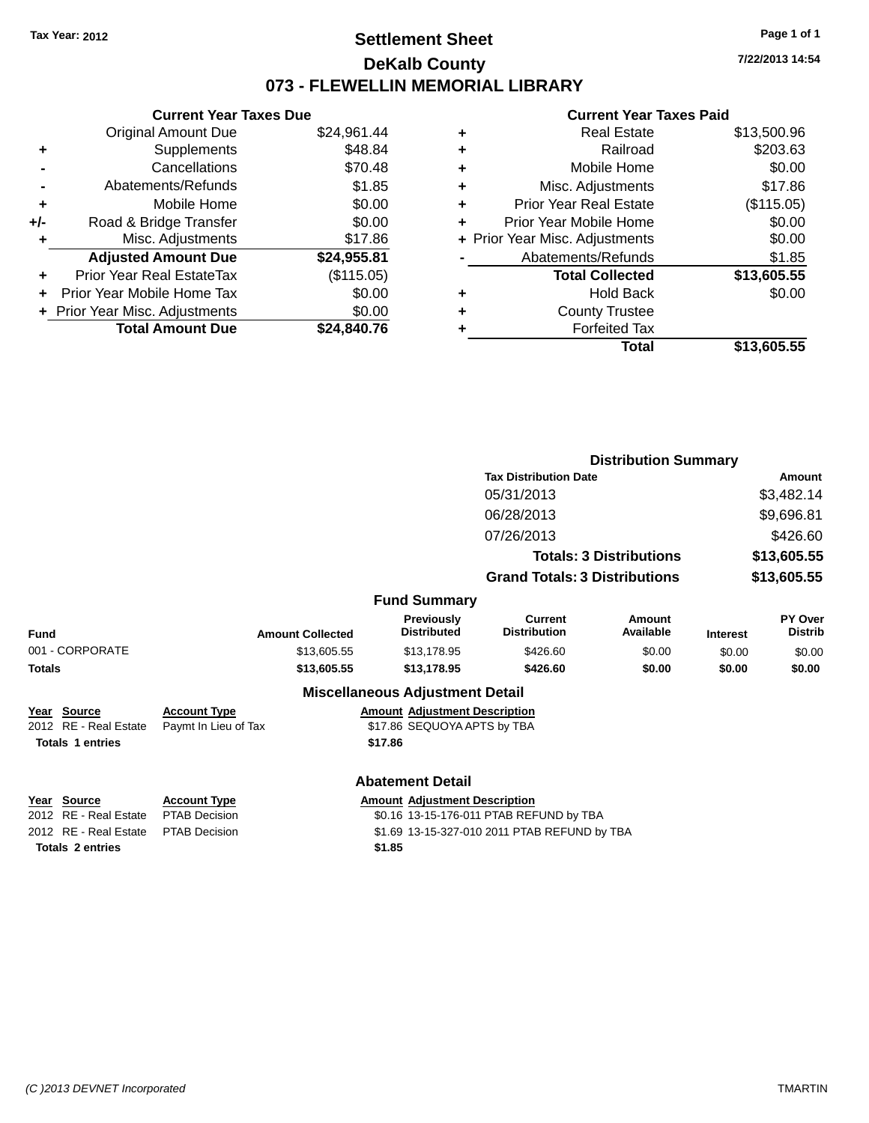## **Settlement Sheet Tax Year: 2012 Page 1 of 1 DeKalb County 073 - FLEWELLIN MEMORIAL LIBRARY**

**7/22/2013 14:54**

#### **Current Year Taxes Paid**

| <b>Current Year Taxes Due</b>  |             |
|--------------------------------|-------------|
| <b>Original Amount Due</b>     | \$24,961.44 |
| Supplements                    | \$48.84     |
| Cancellations                  | \$70.48     |
| Abatements/Refunds             | \$1.85      |
| Mobile Home                    | \$0.00      |
| Road & Bridge Transfer         | \$0.00      |
| Misc. Adjustments              | \$17.86     |
| <b>Adjusted Amount Due</b>     | \$24,955.81 |
| Prior Year Real EstateTax      | (\$115.05)  |
| Prior Year Mobile Home Tax     | \$0.00      |
| + Prior Year Misc. Adjustments | \$0.00      |
| <b>Total Amount Due</b>        | \$24.840.76 |
|                                |             |

|   | <b>Real Estate</b>             | \$13,500.96 |
|---|--------------------------------|-------------|
| ٠ | Railroad                       | \$203.63    |
| ٠ | Mobile Home                    | \$0.00      |
| ٠ | Misc. Adjustments              | \$17.86     |
| ٠ | <b>Prior Year Real Estate</b>  | (\$115.05)  |
| ÷ | Prior Year Mobile Home         | \$0.00      |
|   | + Prior Year Misc. Adjustments | \$0.00      |
|   | Abatements/Refunds             | \$1.85      |
|   | <b>Total Collected</b>         | \$13,605.55 |
| ٠ | Hold Back                      | \$0.00      |
| ٠ | <b>County Trustee</b>          |             |
| ٠ | <b>Forfeited Tax</b>           |             |
|   | Total                          | \$13,605.55 |
|   |                                |             |

|                                                                 |                                             |                                                                                |                                       | <b>Distribution Summary</b>    |                 |                           |
|-----------------------------------------------------------------|---------------------------------------------|--------------------------------------------------------------------------------|---------------------------------------|--------------------------------|-----------------|---------------------------|
|                                                                 |                                             |                                                                                | <b>Tax Distribution Date</b>          |                                |                 | Amount                    |
|                                                                 |                                             |                                                                                | 05/31/2013                            |                                |                 | \$3,482.14                |
|                                                                 |                                             |                                                                                | 06/28/2013                            |                                |                 | \$9,696.81                |
|                                                                 |                                             |                                                                                | 07/26/2013                            |                                |                 | \$426.60                  |
|                                                                 |                                             |                                                                                |                                       | <b>Totals: 3 Distributions</b> |                 | \$13,605.55               |
|                                                                 |                                             |                                                                                | <b>Grand Totals: 3 Distributions</b>  |                                |                 | \$13,605.55               |
|                                                                 |                                             | <b>Fund Summary</b>                                                            |                                       |                                |                 |                           |
| Fund                                                            | <b>Amount Collected</b>                     | <b>Previously</b><br><b>Distributed</b>                                        | <b>Current</b><br><b>Distribution</b> | Amount<br>Available            | <b>Interest</b> | PY Over<br><b>Distrib</b> |
| 001 - CORPORATE                                                 | \$13,605.55                                 | \$13,178.95                                                                    | \$426.60                              | \$0.00                         | \$0.00          | \$0.00                    |
| Totals                                                          | \$13,605.55                                 | \$13,178.95                                                                    | \$426.60                              | \$0.00                         | \$0.00          | \$0.00                    |
|                                                                 |                                             | <b>Miscellaneous Adjustment Detail</b>                                         |                                       |                                |                 |                           |
| Year Source<br>2012 RE - Real Estate<br><b>Totals 1 entries</b> | <b>Account Type</b><br>Paymt In Lieu of Tax | <b>Amount Adjustment Description</b><br>\$17.86 SEQUOYA APTS by TBA<br>\$17.86 |                                       |                                |                 |                           |

# **Totals 2 entries \$1.85**

**Abatement Detail**

**Year Source Account Type Anneurs Amount Adjustment Description**<br>2012 RE - Real Estate PTAB Decision **Amount Adjustment Description** \$0.16 13-15-176-011 PTAB REFUND by TBA

2012 RE - Real Estate PTAB Decision \$1.69 13-15-327-010 2011 PTAB REFUND by TBA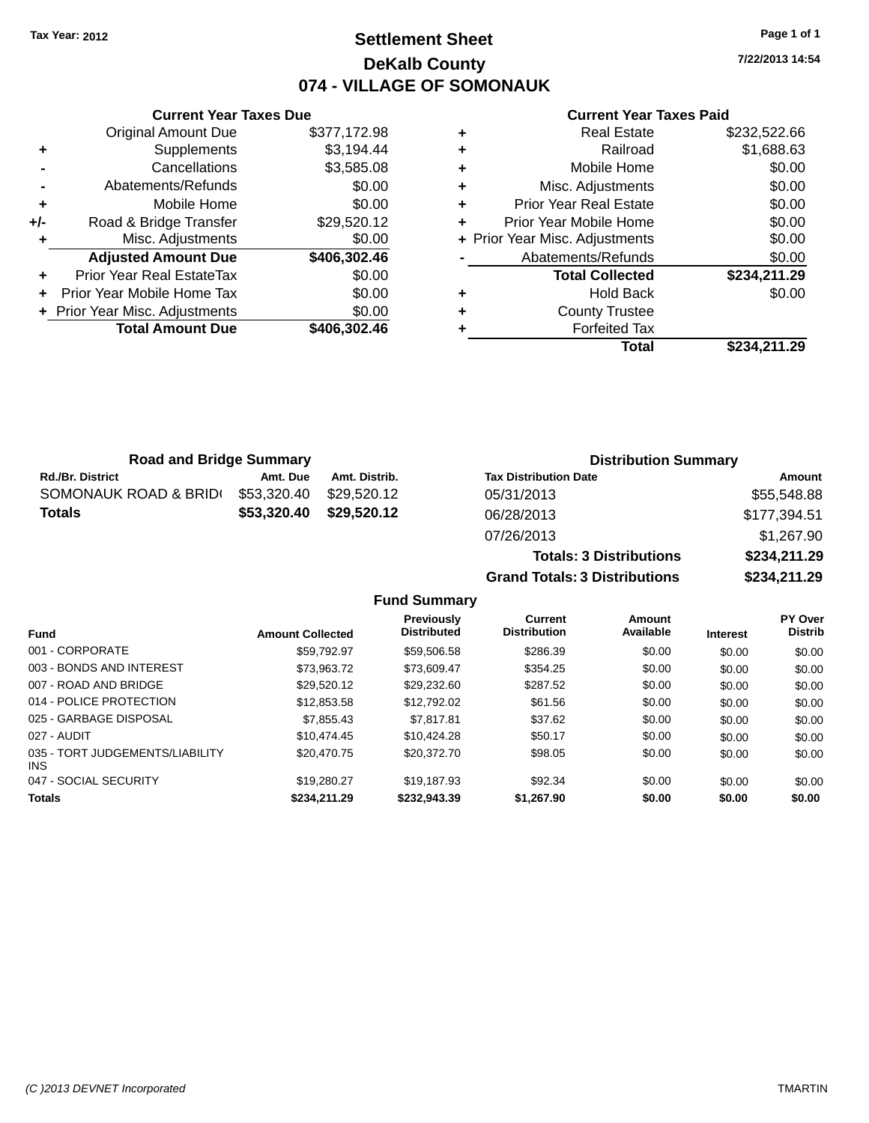## **Settlement Sheet Tax Year: 2012 Page 1 of 1 DeKalb County 074 - VILLAGE OF SOMONAUK**

**7/22/2013 14:54**

#### **Current Year Taxes Paid**

|     | <b>Current Year Taxes Due</b>    |              |
|-----|----------------------------------|--------------|
|     | <b>Original Amount Due</b>       | \$377,172.98 |
| ٠   | Supplements                      | \$3,194.44   |
|     | Cancellations                    | \$3,585.08   |
|     | Abatements/Refunds               | \$0.00       |
| ٠   | Mobile Home                      | \$0.00       |
| +/- | Road & Bridge Transfer           | \$29,520.12  |
| ٠   | Misc. Adjustments                | \$0.00       |
|     | <b>Adjusted Amount Due</b>       | \$406,302.46 |
|     | <b>Prior Year Real EstateTax</b> | \$0.00       |
|     | Prior Year Mobile Home Tax       | \$0.00       |
|     | + Prior Year Misc. Adjustments   | \$0.00       |
|     | <b>Total Amount Due</b>          | \$406.302.46 |
|     |                                  |              |

| \$1,688.63<br>Railroad<br>÷<br>\$0.00<br>Mobile Home<br>٠<br>Misc. Adjustments<br>٠ |        |
|-------------------------------------------------------------------------------------|--------|
|                                                                                     |        |
|                                                                                     |        |
|                                                                                     | \$0.00 |
| \$0.00<br><b>Prior Year Real Estate</b><br>٠                                        |        |
| \$0.00<br>Prior Year Mobile Home<br>÷                                               |        |
| \$0.00<br>+ Prior Year Misc. Adjustments                                            |        |
| \$0.00<br>Abatements/Refunds                                                        |        |
| \$234,211.29<br><b>Total Collected</b>                                              |        |
| \$0.00<br><b>Hold Back</b><br>٠                                                     |        |
| <b>County Trustee</b><br>٠                                                          |        |
| <b>Forfeited Tax</b>                                                                |        |
| Total<br>\$234.211.29                                                               |        |

**Totals: 3 Distributions \$234,211.29**

**Grand Totals: 3 Distributions \$234,211.29**

| <b>Road and Bridge Summary</b> |             |               | <b>Distribution Summary</b>  |              |
|--------------------------------|-------------|---------------|------------------------------|--------------|
| <b>Rd./Br. District</b>        | Amt. Due    | Amt. Distrib. | <b>Tax Distribution Date</b> | Amount       |
| SOMONAUK ROAD & BRIDI          | \$53,320.40 | \$29.520.12   | 05/31/2013                   | \$55,548.88  |
| <b>Totals</b>                  | \$53.320.40 | \$29.520.12   | 06/28/2013                   | \$177,394.51 |
|                                |             |               | 07/26/2013                   | \$1,267.90   |

## **Fund Summary**

| <b>Fund</b>                             | <b>Amount Collected</b> | <b>Previously</b><br><b>Distributed</b> | Current<br><b>Distribution</b> | Amount<br>Available | <b>Interest</b> | <b>PY Over</b><br><b>Distrib</b> |
|-----------------------------------------|-------------------------|-----------------------------------------|--------------------------------|---------------------|-----------------|----------------------------------|
| 001 - CORPORATE                         | \$59.792.97             | \$59,506.58                             | \$286.39                       | \$0.00              | \$0.00          | \$0.00                           |
| 003 - BONDS AND INTEREST                | \$73.963.72             | \$73,609.47                             | \$354.25                       | \$0.00              | \$0.00          | \$0.00                           |
| 007 - ROAD AND BRIDGE                   | \$29.520.12             | \$29,232.60                             | \$287.52                       | \$0.00              | \$0.00          | \$0.00                           |
| 014 - POLICE PROTECTION                 | \$12,853.58             | \$12,792.02                             | \$61.56                        | \$0.00              | \$0.00          | \$0.00                           |
| 025 - GARBAGE DISPOSAL                  | \$7,855.43              | \$7.817.81                              | \$37.62                        | \$0.00              | \$0.00          | \$0.00                           |
| 027 - AUDIT                             | \$10.474.45             | \$10.424.28                             | \$50.17                        | \$0.00              | \$0.00          | \$0.00                           |
| 035 - TORT JUDGEMENTS/LIABILITY<br>INS. | \$20.470.75             | \$20.372.70                             | \$98.05                        | \$0.00              | \$0.00          | \$0.00                           |
| 047 - SOCIAL SECURITY                   | \$19,280.27             | \$19.187.93                             | \$92.34                        | \$0.00              | \$0.00          | \$0.00                           |
| <b>Totals</b>                           | \$234,211.29            | \$232,943.39                            | \$1.267.90                     | \$0.00              | \$0.00          | \$0.00                           |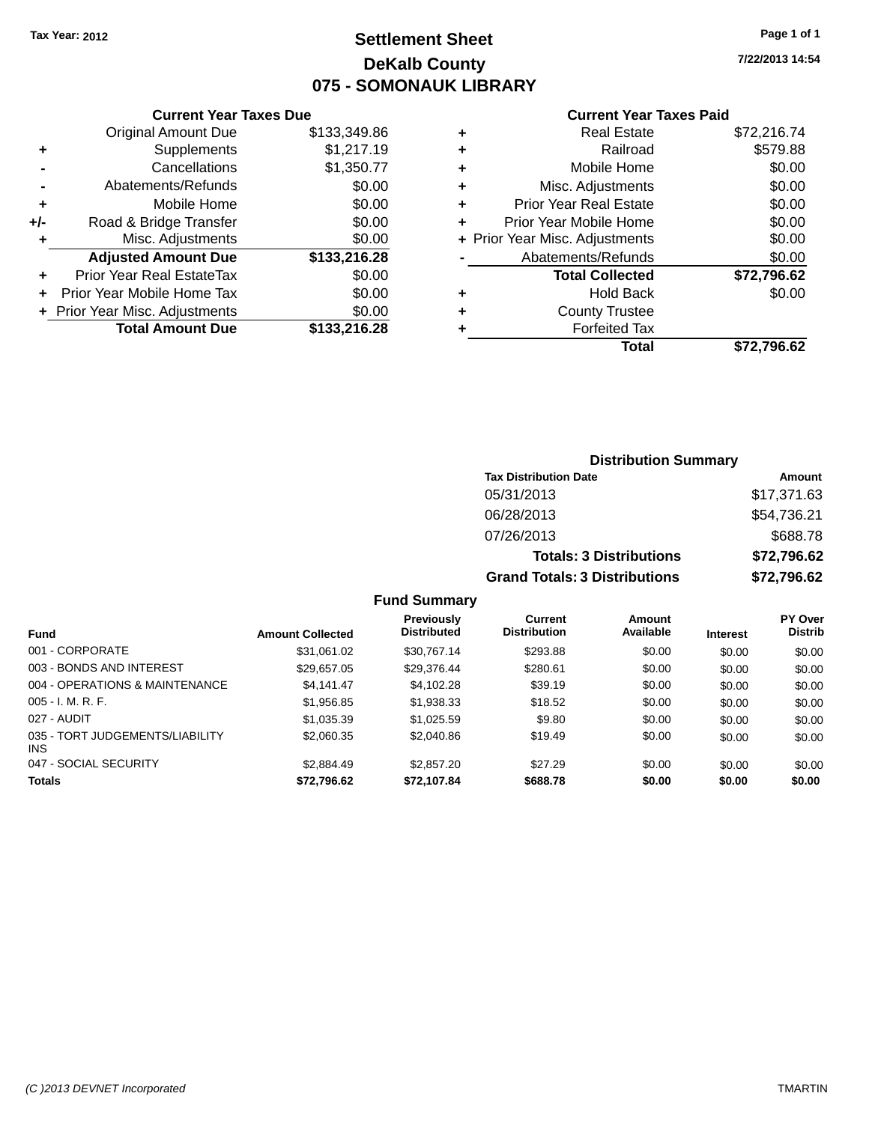## **Settlement Sheet Tax Year: 2012 Page 1 of 1 DeKalb County 075 - SOMONAUK LIBRARY**

**7/22/2013 14:54**

|                | <b>Current Year Taxes Due</b> |              |
|----------------|-------------------------------|--------------|
|                | <b>Original Amount Due</b>    | \$133,349.86 |
| ٠              | Supplements                   | \$1,217.19   |
|                | Cancellations                 | \$1,350.77   |
| $\blacksquare$ | Abatements/Refunds            | \$0.00       |
| ٠              | Mobile Home                   | \$0.00       |
| +/-            | Road & Bridge Transfer        | \$0.00       |
| ÷              | Misc. Adjustments             | \$0.00       |
|                | <b>Adjusted Amount Due</b>    | \$133,216.28 |
|                | Prior Year Real EstateTax     | \$0.00       |
|                | Prior Year Mobile Home Tax    | \$0.00       |

**+ Prior Year Misc. Adjustments**  $$0.00$ 

**Total Amount Due \$133,216.28**

#### **Current Year Taxes Paid**

|   | Real Estate                    | \$72,216.74 |
|---|--------------------------------|-------------|
| ٠ | Railroad                       | \$579.88    |
| ٠ | Mobile Home                    | \$0.00      |
| ٠ | Misc. Adjustments              | \$0.00      |
| ٠ | <b>Prior Year Real Estate</b>  | \$0.00      |
| ٠ | Prior Year Mobile Home         | \$0.00      |
|   | + Prior Year Misc. Adjustments | \$0.00      |
|   | Abatements/Refunds             | \$0.00      |
|   | <b>Total Collected</b>         | \$72,796.62 |
| ٠ | <b>Hold Back</b>               | \$0.00      |
| ٠ | <b>County Trustee</b>          |             |
| ٠ | <b>Forfeited Tax</b>           |             |
|   | Total                          | \$72,796.62 |
|   |                                |             |

### **Distribution Summary Tax Distribution Date Amount** 05/31/2013 \$17,371.63 06/28/2013 \$54,736.21 07/26/2013 \$688.78 **Totals: 3 Distributions \$72,796.62 Grand Totals: 3 Distributions \$72,796.62**

#### **Fund Summary**

| <b>Fund</b>                                   | <b>Amount Collected</b> | Previously<br><b>Distributed</b> | Current<br><b>Distribution</b> | Amount<br>Available | <b>Interest</b> | PY Over<br><b>Distrib</b> |
|-----------------------------------------------|-------------------------|----------------------------------|--------------------------------|---------------------|-----------------|---------------------------|
| 001 - CORPORATE                               | \$31,061.02             | \$30.767.14                      | \$293.88                       | \$0.00              | \$0.00          | \$0.00                    |
| 003 - BONDS AND INTEREST                      | \$29,657.05             | \$29,376.44                      | \$280.61                       | \$0.00              | \$0.00          | \$0.00                    |
| 004 - OPERATIONS & MAINTENANCE                | \$4.141.47              | \$4,102.28                       | \$39.19                        | \$0.00              | \$0.00          | \$0.00                    |
| $005 - I. M. R. F.$                           | \$1,956.85              | \$1,938.33                       | \$18.52                        | \$0.00              | \$0.00          | \$0.00                    |
| 027 - AUDIT                                   | \$1,035.39              | \$1,025.59                       | \$9.80                         | \$0.00              | \$0.00          | \$0.00                    |
| 035 - TORT JUDGEMENTS/LIABILITY<br><b>INS</b> | \$2,060.35              | \$2,040.86                       | \$19.49                        | \$0.00              | \$0.00          | \$0.00                    |
| 047 - SOCIAL SECURITY                         | \$2,884.49              | \$2,857.20                       | \$27.29                        | \$0.00              | \$0.00          | \$0.00                    |
| <b>Totals</b>                                 | \$72,796.62             | \$72,107.84                      | \$688.78                       | \$0.00              | \$0.00          | \$0.00                    |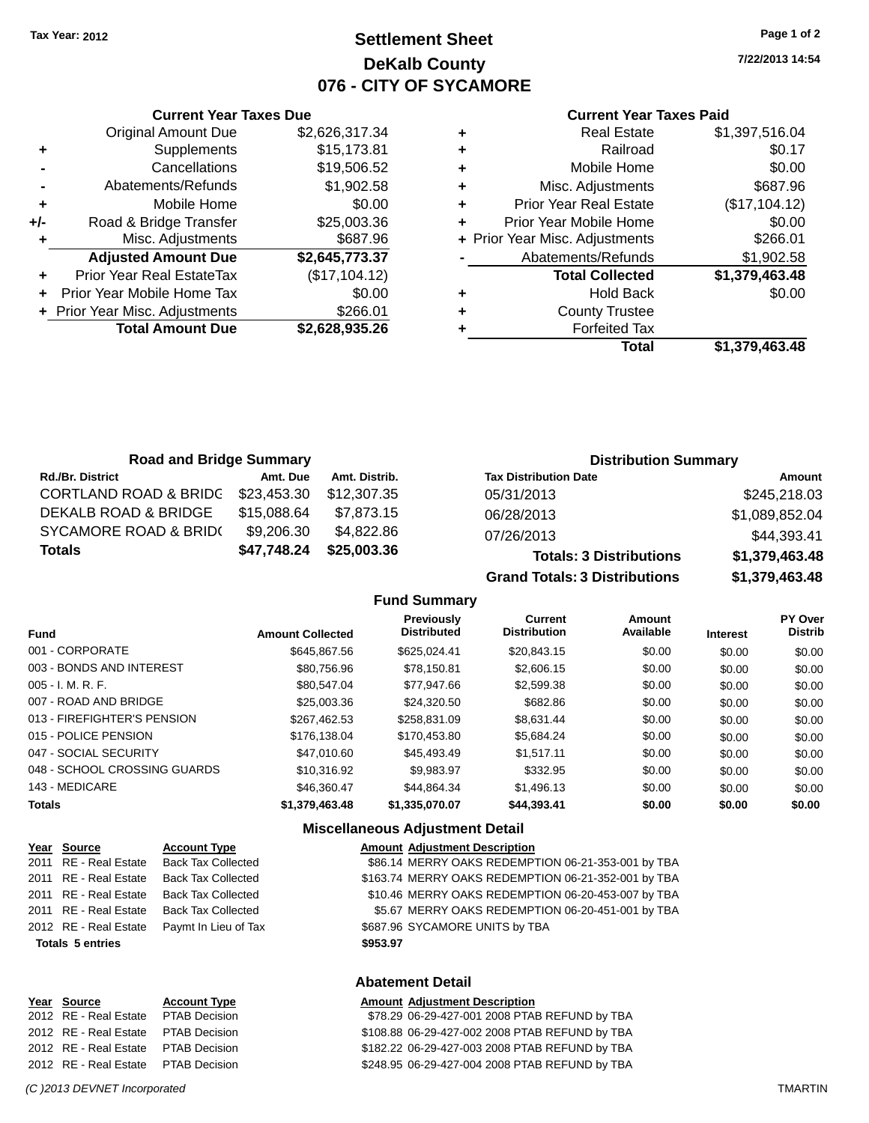### **Settlement Sheet Tax Year: 2012 Page 1 of 2 DeKalb County 076 - CITY OF SYCAMORE**

**7/22/2013 14:54**

#### **Current Year Taxes Paid**

|     | <b>Current Year Taxes Due</b>    |                |           |
|-----|----------------------------------|----------------|-----------|
|     | <b>Original Amount Due</b>       | \$2,626,317.34 | ٠         |
|     | Supplements                      | \$15,173.81    | ٠         |
|     | Cancellations                    | \$19,506.52    | ٠         |
|     | Abatements/Refunds               | \$1,902.58     | ٠         |
|     | Mobile Home                      | \$0.00         | ٠         |
| +/- | Road & Bridge Transfer           | \$25,003.36    |           |
|     | Misc. Adjustments                | \$687.96       | $+$ Prior |
|     | <b>Adjusted Amount Due</b>       | \$2,645,773.37 |           |
|     | <b>Prior Year Real EstateTax</b> | (\$17,104.12)  |           |
|     | Prior Year Mobile Home Tax       | \$0.00         | ٠         |
|     | + Prior Year Misc. Adjustments   | \$266.01       | ٠         |
|     | <b>Total Amount Due</b>          | \$2,628,935.26 |           |
|     |                                  |                |           |

|   | <b>Real Estate</b>             | \$1,397,516.04 |
|---|--------------------------------|----------------|
| ٠ | Railroad                       | \$0.17         |
| ٠ | Mobile Home                    | \$0.00         |
| ٠ | Misc. Adjustments              | \$687.96       |
| ٠ | <b>Prior Year Real Estate</b>  | (\$17,104.12)  |
|   | Prior Year Mobile Home         | \$0.00         |
|   | + Prior Year Misc. Adjustments | \$266.01       |
|   | Abatements/Refunds             | \$1,902.58     |
|   | <b>Total Collected</b>         | \$1,379,463.48 |
| ٠ | <b>Hold Back</b>               | \$0.00         |
|   | <b>County Trustee</b>          |                |
|   | <b>Forfeited Tax</b>           |                |
|   | Total                          | \$1,379,463.48 |
|   |                                |                |

| <b>Road and Bridge Summary</b>   |             |               | <b>Distribution Summary</b>    |                |  |
|----------------------------------|-------------|---------------|--------------------------------|----------------|--|
| <b>Rd./Br. District</b>          | Amt. Due    | Amt. Distrib. | <b>Tax Distribution Date</b>   | Amount         |  |
| <b>CORTLAND ROAD &amp; BRIDC</b> | \$23,453.30 | \$12,307.35   | 05/31/2013                     | \$245,218.03   |  |
| DEKALB ROAD & BRIDGE             | \$15,088.64 | \$7.873.15    | 06/28/2013                     | \$1,089,852.04 |  |
| <b>SYCAMORE ROAD &amp; BRID(</b> | \$9,206.30  | \$4.822.86    | 07/26/2013                     | \$44,393.41    |  |
| <b>Totals</b>                    | \$47,748.24 | \$25,003.36   | <b>Totals: 3 Distributions</b> | \$1,379,463.48 |  |

**Grand Totals: 3 Distributions \$1,379,463.48**

#### **Fund Summary**

| <b>Fund</b>                  | <b>Amount Collected</b> | <b>Previously</b><br><b>Distributed</b> | Current<br><b>Distribution</b> | Amount<br>Available | <b>Interest</b> | <b>PY Over</b><br><b>Distrib</b> |
|------------------------------|-------------------------|-----------------------------------------|--------------------------------|---------------------|-----------------|----------------------------------|
| 001 - CORPORATE              | \$645,867.56            | \$625,024.41                            | \$20.843.15                    | \$0.00              | \$0.00          | \$0.00                           |
| 003 - BONDS AND INTEREST     | \$80.756.96             | \$78.150.81                             | \$2,606.15                     | \$0.00              | \$0.00          | \$0.00                           |
| $005 - I. M. R. F.$          | \$80,547,04             | \$77.947.66                             | \$2.599.38                     | \$0.00              | \$0.00          | \$0.00                           |
| 007 - ROAD AND BRIDGE        | \$25,003.36             | \$24,320.50                             | \$682.86                       | \$0.00              | \$0.00          | \$0.00                           |
| 013 - FIREFIGHTER'S PENSION  | \$267.462.53            | \$258.831.09                            | \$8.631.44                     | \$0.00              | \$0.00          | \$0.00                           |
| 015 - POLICE PENSION         | \$176.138.04            | \$170.453.80                            | \$5.684.24                     | \$0.00              | \$0.00          | \$0.00                           |
| 047 - SOCIAL SECURITY        | \$47,010.60             | \$45,493.49                             | \$1.517.11                     | \$0.00              | \$0.00          | \$0.00                           |
| 048 - SCHOOL CROSSING GUARDS | \$10,316.92             | \$9.983.97                              | \$332.95                       | \$0.00              | \$0.00          | \$0.00                           |
| 143 - MEDICARE               | \$46,360.47             | \$44.864.34                             | \$1.496.13                     | \$0.00              | \$0.00          | \$0.00                           |
| <b>Totals</b>                | \$1,379,463,48          | \$1.335.070.07                          | \$44,393,41                    | \$0.00              | \$0.00          | \$0.00                           |

#### **Miscellaneous Adjustment Detail**

|                         | Year Source           | <b>Account Type</b>       |          | <b>Amount Adjustment Description</b>                |
|-------------------------|-----------------------|---------------------------|----------|-----------------------------------------------------|
|                         | 2011 RE - Real Estate | <b>Back Tax Collected</b> |          | \$86.14 MERRY OAKS REDEMPTION 06-21-353-001 by TBA  |
|                         | 2011 RE - Real Estate | <b>Back Tax Collected</b> |          | \$163.74 MERRY OAKS REDEMPTION 06-21-352-001 by TBA |
|                         | 2011 RE - Real Estate | <b>Back Tax Collected</b> |          | \$10.46 MERRY OAKS REDEMPTION 06-20-453-007 by TBA  |
|                         | 2011 RE - Real Estate | <b>Back Tax Collected</b> |          | \$5.67 MERRY OAKS REDEMPTION 06-20-451-001 by TBA   |
|                         | 2012 RE - Real Estate | Paymt In Lieu of Tax      |          | \$687.96 SYCAMORE UNITS by TBA                      |
| <b>Totals 5 entries</b> |                       |                           | \$953.97 |                                                     |
|                         |                       |                           |          | Ahatamant Datail                                    |

| Year Source           | <b>Account Type</b>  |
|-----------------------|----------------------|
| 2012 RE - Real Estate | <b>PTAB Decision</b> |
| 2012 RE - Real Estate | <b>PTAB Decision</b> |
| 2012 RE - Real Estate | <b>PTAB Decision</b> |
| 2012 RE - Real Estate | <b>PTAB Decision</b> |
|                       |                      |

**Abatement Detail**

#### **<u>Amount Adjustment Description</u>**

\$78.29 06-29-427-001 2008 PTAB REFUND by TBA \$108.88 06-29-427-002 2008 PTAB REFUND by TBA \$182.22 06-29-427-003 2008 PTAB REFUND by TBA \$248.95 06-29-427-004 2008 PTAB REFUND by TBA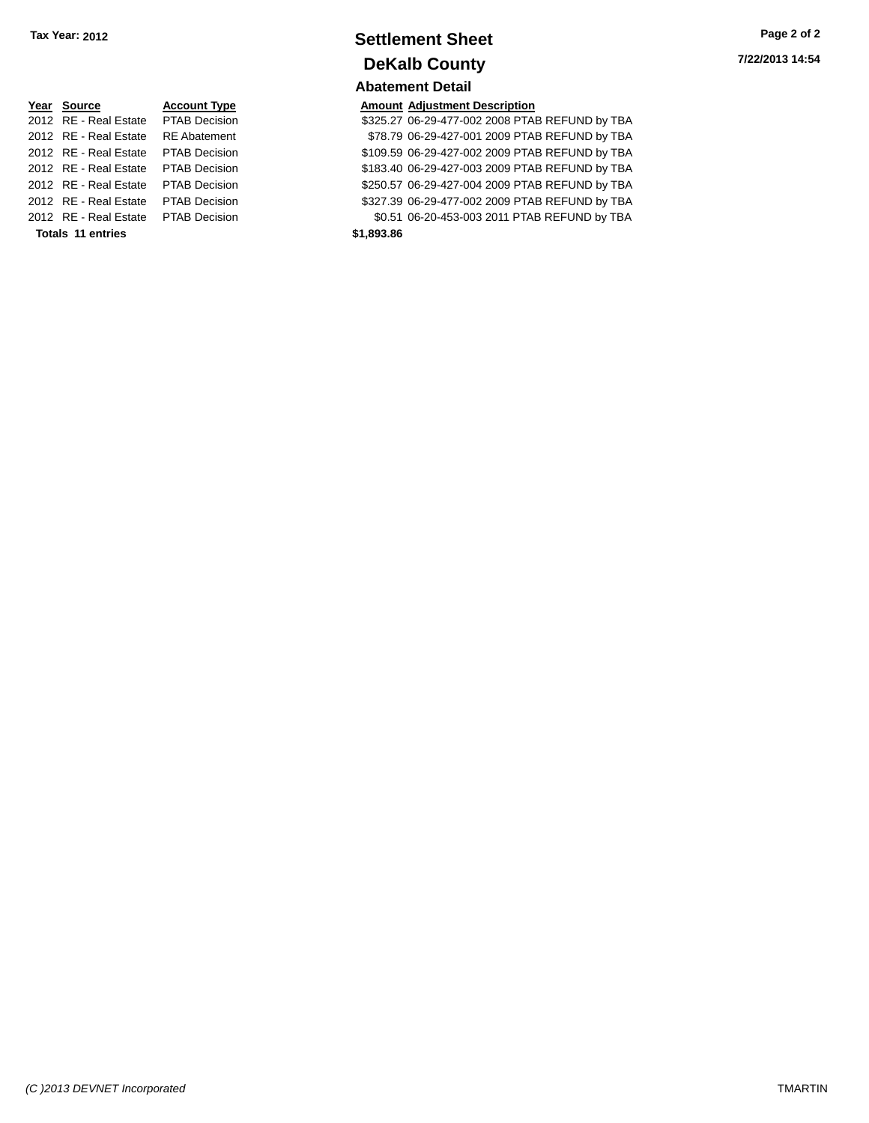| Tax Year: 2012 | <b>Settlement Sheet</b> | Page 2 of 2     |  |
|----------------|-------------------------|-----------------|--|
|                | <b>DeKalb County</b>    | 7/22/2013 14:54 |  |
|                | <b>Abatement Detail</b> |                 |  |

**<u>Year Source</u> <b>Account Type Amount Adjustment Description**<br>2012 RE - Real Estate PTAB Decision **Amount 1998** \$325.27 06-29-477-002 2008 PTAI \$325.27 06-29-477-002 2008 PTAB REFUND by TBA 2012 RE - Real Estate RE Abatement \$78.79 06-29-427-001 2009 PTAB REFUND by TBA 2012 RE - Real Estate PTAB Decision \$109.59 06-29-427-002 2009 PTAB REFUND by TBA 2012 RE - Real Estate PTAB Decision \$183.40 06-29-427-003 2009 PTAB REFUND by TBA 2012 RE - Real Estate PTAB Decision \$250.57 06-29-427-004 2009 PTAB REFUND by TBA 2012 RE - Real Estate PTAB Decision \$327.39 06-29-477-002 2009 PTAB REFUND by TBA 2012 RE - Real Estate PTAB Decision \$0.51 06-20-453-003 2011 PTAB REFUND by TBA **Totals 11 entries \$1,893.86**

| (C) 2013 DEVNET Incorporated | <b>TMARTIN</b> |
|------------------------------|----------------|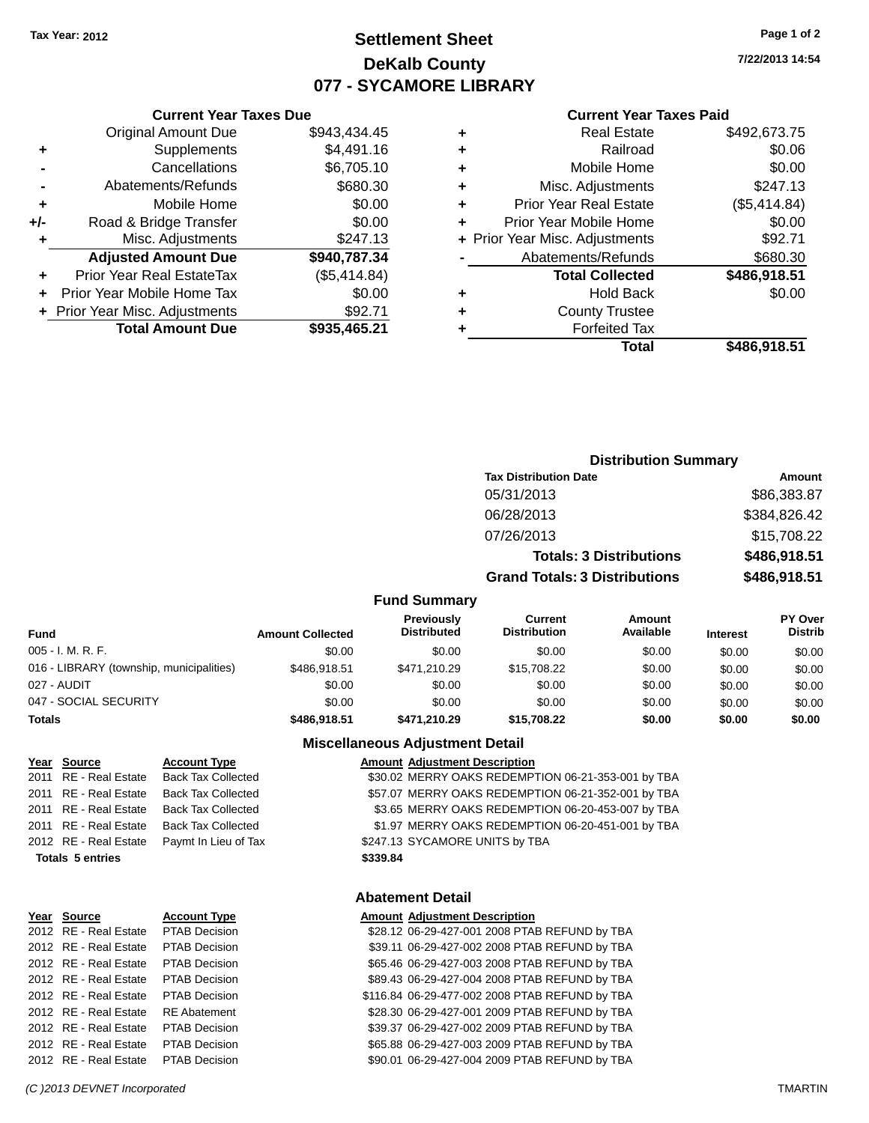**Original Amount Due** 

**Adjusted Amount Due** 

**Total Amount Due** 

**+** Supplements **-** Cancellations **-** Abatements/Refunds **+** Mobile Home **+/-** Road & Bridge Transfer **+** Misc. Adjustments

**+** Prior Year Real EstateTax **+** Prior Year Mobile Home Tax **+** Prior Year Misc. Adjustments

### **Settlement Sheet Tax Year: 2012 Page 1 of 2 DeKalb County 077 - SYCAMORE LIBRARY**

**7/22/2013 14:54**

#### **Current Year Taxes Paid**

| <b>Current Year Taxes Due</b> |              |   | <b>Current Year Taxes Paid</b> |              |  |
|-------------------------------|--------------|---|--------------------------------|--------------|--|
| ıl Amount Due                 | \$943,434.45 | ٠ | <b>Real Estate</b>             | \$492,673.75 |  |
| Supplements                   | \$4,491.16   | ٠ | Railroad                       | \$0.06       |  |
| Cancellations                 | \$6,705.10   | ٠ | Mobile Home                    | \$0.00       |  |
| ents/Refunds                  | \$680.30     | ÷ | Misc. Adjustments              | \$247.13     |  |
| Mobile Home                   | \$0.00       | ÷ | <b>Prior Year Real Estate</b>  | (\$5,414.84) |  |
| ridge Transfer                | \$0.00       | ÷ | Prior Year Mobile Home         | \$0.00       |  |
| . Adjustments                 | \$247.13     |   | + Prior Year Misc. Adjustments | \$92.71      |  |
| <b>Amount Due</b>             | \$940,787.34 |   | Abatements/Refunds             | \$680.30     |  |
| eal EstateTax:                | (\$5,414.84) |   | <b>Total Collected</b>         | \$486,918.51 |  |
| pile Home Tax                 | \$0.00       | ÷ | <b>Hold Back</b>               | \$0.00       |  |
| . Adjustments                 | \$92.71      | ÷ | <b>County Trustee</b>          |              |  |
| <b>Amount Due</b>             | \$935,465.21 |   | <b>Forfeited Tax</b>           |              |  |
|                               |              |   | Total                          | \$486 918 51 |  |

| Total | \$486,918.51 |
|-------|--------------|
| а тах |              |

| <b>Distribution Summary</b>          |              |
|--------------------------------------|--------------|
| <b>Tax Distribution Date</b>         | Amount       |
| 05/31/2013                           | \$86,383.87  |
| 06/28/2013                           | \$384,826.42 |
| 07/26/2013                           | \$15,708.22  |
| <b>Totals: 3 Distributions</b>       | \$486,918.51 |
| <b>Grand Totals: 3 Distributions</b> | \$486,918.51 |

#### **Fund Summary**

| <b>Fund</b>                              | <b>Amount Collected</b> | <b>Previously</b><br><b>Distributed</b> | Current<br><b>Distribution</b> | <b>Amount</b><br>Available | <b>Interest</b> | <b>PY Over</b><br><b>Distrib</b> |
|------------------------------------------|-------------------------|-----------------------------------------|--------------------------------|----------------------------|-----------------|----------------------------------|
| 005 - I. M. R. F.                        | \$0.00                  | \$0.00                                  | \$0.00                         | \$0.00                     | \$0.00          | \$0.00                           |
| 016 - LIBRARY (township, municipalities) | \$486.918.51            | \$471.210.29                            | \$15,708,22                    | \$0.00                     | \$0.00          | \$0.00                           |
| 027 - AUDIT                              | \$0.00                  | \$0.00                                  | \$0.00                         | \$0.00                     | \$0.00          | \$0.00                           |
| 047 - SOCIAL SECURITY                    | \$0.00                  | \$0.00                                  | \$0.00                         | \$0.00                     | \$0.00          | \$0.00                           |
| <b>Totals</b>                            | \$486,918.51            | \$471.210.29                            | \$15,708.22                    | \$0.00                     | \$0.00          | \$0.00                           |

#### **Miscellaneous Adjustment Detail**

#### **Year** Source **Account Type Account Adjustment Description**

2011 RE - Real Estate Back Tax Collected \$30.02 MERRY OAKS REDEMPTION 06-21-353-001 by TBA 2011 RE - Real Estate Back Tax Collected \$57.07 MERRY OAKS REDEMPTION 06-21-352-001 by TBA 2011 RE - Real Estate Back Tax Collected \$3.65 MERRY OAKS REDEMPTION 06-20-453-007 by TBA 2011 RE - Real Estate Back Tax Collected \$1.97 MERRY OAKS REDEMPTION 06-20-451-001 by TBA 2012 RE - Real Estate Paymt In Lieu of Tax \$247.13 SYCAMORE UNITS by TBA

#### **Abatement Detail**

#### **Type Amount Adjustment Description**

| $1991 - 999199$                      |                      |                                                |
|--------------------------------------|----------------------|------------------------------------------------|
| 2012 RE - Real Estate  PTAB Decision |                      | \$28.12 06-29-427-001 2008 PTAB REFUND by TBA  |
| 2012 RE - Real Estate                | <b>PTAB Decision</b> | \$39.11 06-29-427-002 2008 PTAB REFUND by TBA  |
| 2012 RE - Real Estate                | <b>PTAB Decision</b> | \$65.46 06-29-427-003 2008 PTAB REFUND by TBA  |
| 2012 RE - Real Estate                | <b>PTAB Decision</b> | \$89.43 06-29-427-004 2008 PTAB REFUND by TBA  |
| 2012 RE - Real Estate                | PTAB Decision        | \$116.84 06-29-477-002 2008 PTAB REFUND by TBA |
| 2012 RE - Real Estate                | <b>RE</b> Abatement  | \$28.30 06-29-427-001 2009 PTAB REFUND by TBA  |
| 2012 RE - Real Estate                | <b>PTAB Decision</b> | \$39.37 06-29-427-002 2009 PTAB REFUND by TBA  |
| 2012 RE - Real Estate                | <b>PTAB Decision</b> | \$65.88 06-29-427-003 2009 PTAB REFUND by TBA  |
| 2012 RE - Real Estate                | <b>PTAB Decision</b> | \$90.01 06-29-427-004 2009 PTAB REFUND by TBA  |

#### **Totals 5 entries \$339.84**

| Year Source           | <b>Account Type</b>  |
|-----------------------|----------------------|
| 2012 RE - Real Estate | <b>PTAB Decision</b> |
| 2012 RE - Real Estate | <b>PTAB Decision</b> |
| 2012 RE - Real Estate | PTAB Decision        |
| 2012 RE - Real Estate | <b>PTAB Decision</b> |
| 2012 RE - Real Estate | <b>PTAB Decision</b> |
| 2012 RE - Real Estate | <b>RE</b> Abatement  |
| 2012 RE - Real Estate | PTAB Decision        |
| 2012 RE - Real Estate | <b>PTAB Decision</b> |
| 2012 RE - Real Estate | <b>PTAB Decision</b> |
|                       |                      |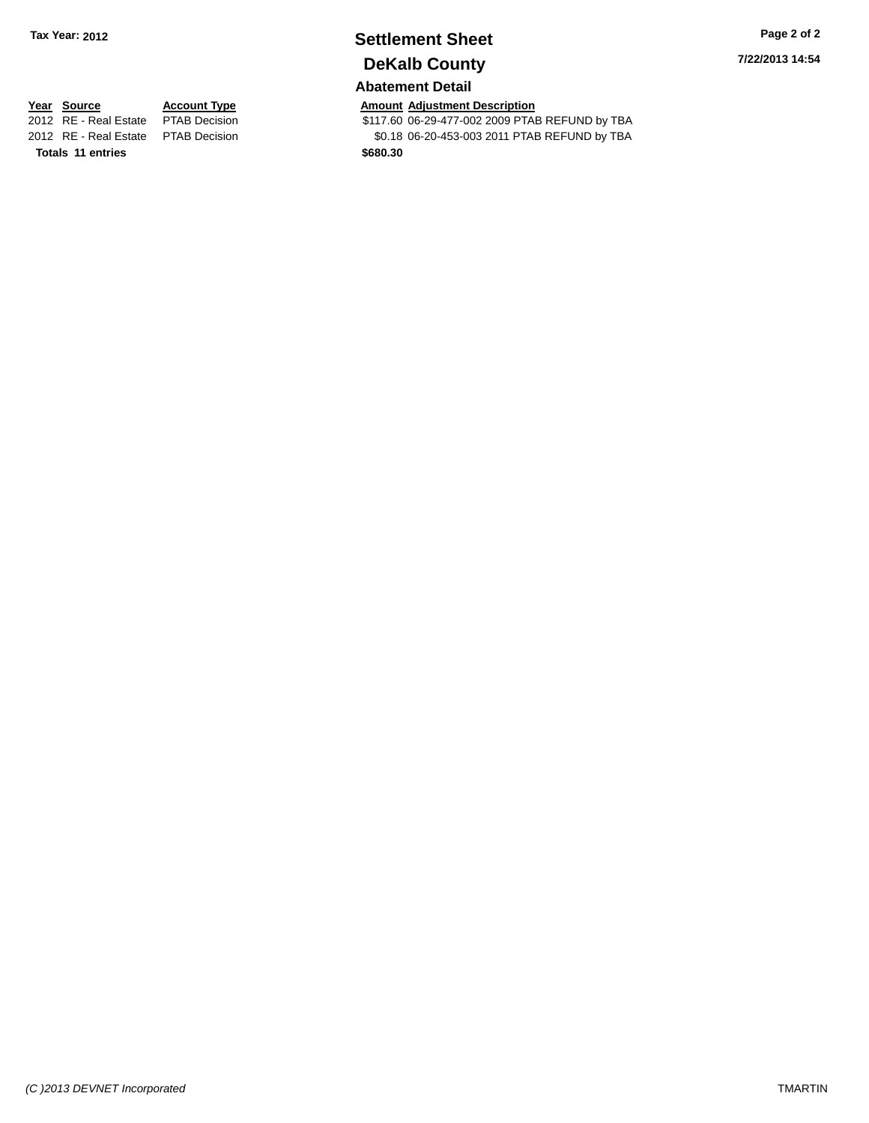## **Settlement Sheet Tax Year: 2012 Page 2 of 2 DeKalb County**

#### **Abatement Detail**

**7/22/2013 14:54**

**Totals 11 entries \$680.30**

**Year Source Account Type Amount Adjustment Description**<br>2012 RE - Real Estate PTAB Decision **Amount 1708** 8117.60 06-29-477-002 2009 PTAE \$117.60 06-29-477-002 2009 PTAB REFUND by TBA 2012 RE - Real Estate PTAB Decision \$0.18 06-20-453-003 2011 PTAB REFUND by TBA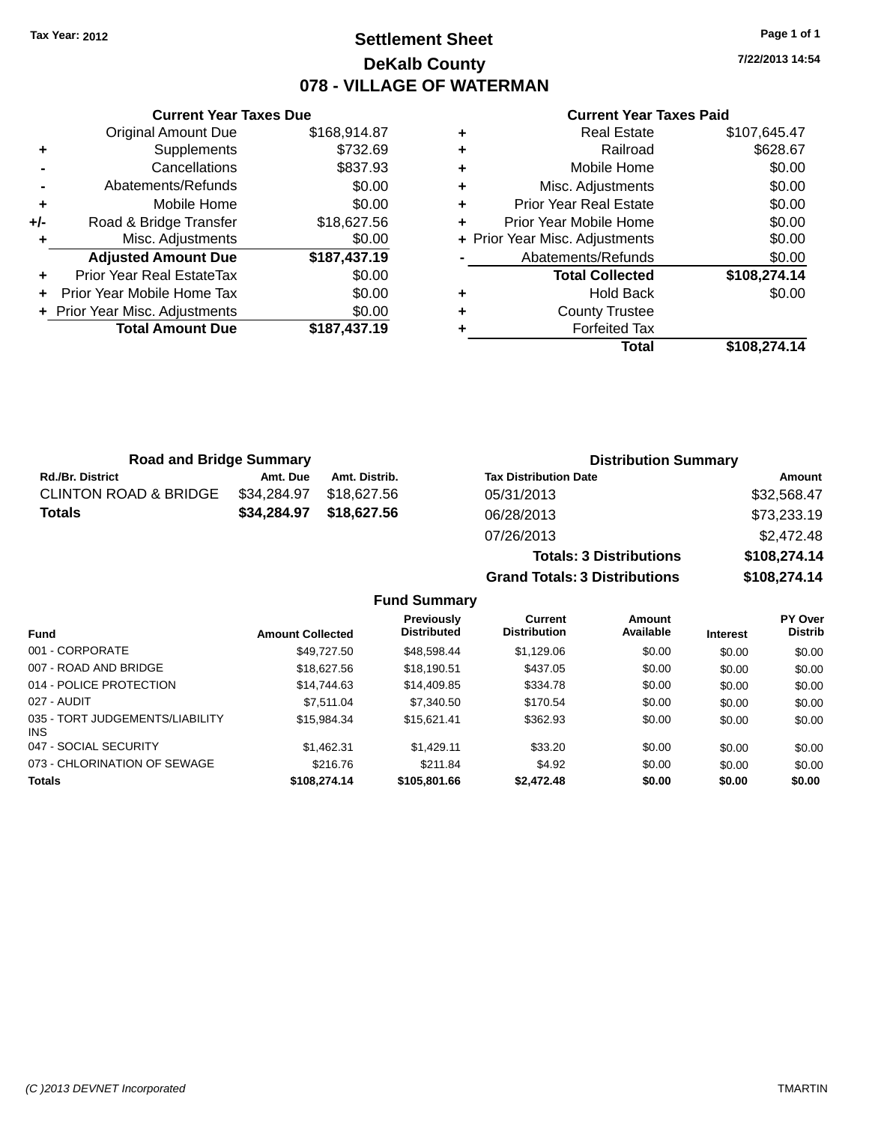### **Settlement Sheet Tax Year: 2012 Page 1 of 1 DeKalb County 078 - VILLAGE OF WATERMAN**

**7/22/2013 14:54**

#### **Current Year Taxes Paid**

|     | <b>Original Amount Due</b>     | \$168,914.87 |
|-----|--------------------------------|--------------|
| ٠   | Supplements                    | \$732.69     |
|     | Cancellations                  | \$837.93     |
|     | Abatements/Refunds             | \$0.00       |
| ÷   | Mobile Home                    | \$0.00       |
| +/- | Road & Bridge Transfer         | \$18,627.56  |
|     | Misc. Adjustments              | \$0.00       |
|     | <b>Adjusted Amount Due</b>     | \$187,437.19 |
| ÷   | Prior Year Real EstateTax      | \$0.00       |
| ÷   | Prior Year Mobile Home Tax     | \$0.00       |
|     | + Prior Year Misc. Adjustments | \$0.00       |
|     | <b>Total Amount Due</b>        | \$187,437.19 |
|     |                                |              |

**Current Year Taxes Due**

| ٠ | <b>Real Estate</b>             | \$107,645.47 |
|---|--------------------------------|--------------|
| ٠ | Railroad                       | \$628.67     |
| ٠ | Mobile Home                    | \$0.00       |
| ٠ | Misc. Adjustments              | \$0.00       |
| ٠ | <b>Prior Year Real Estate</b>  | \$0.00       |
| ٠ | Prior Year Mobile Home         | \$0.00       |
|   | + Prior Year Misc. Adjustments | \$0.00       |
|   | Abatements/Refunds             | \$0.00       |
|   | <b>Total Collected</b>         | \$108,274.14 |
| ٠ | <b>Hold Back</b>               | \$0.00       |
| ٠ | <b>County Trustee</b>          |              |
|   | <b>Forfeited Tax</b>           |              |
|   | Total                          | \$108.274.14 |

**Grand Totals: 3 Distributions \$108,274.14**

| <b>Road and Bridge Summary</b>   |             |               | <b>Distribution Summary</b>    |              |
|----------------------------------|-------------|---------------|--------------------------------|--------------|
| <b>Rd./Br. District</b>          | Amt. Due    | Amt. Distrib. | <b>Tax Distribution Date</b>   | Amount       |
| <b>CLINTON ROAD &amp; BRIDGE</b> | \$34,284.97 | \$18.627.56   | 05/31/2013                     | \$32,568.47  |
| Totals                           | \$34,284.97 | \$18,627.56   | 06/28/2013                     | \$73,233.19  |
|                                  |             |               | 07/26/2013                     | \$2,472.48   |
|                                  |             |               | <b>Totals: 3 Distributions</b> | \$108,274.14 |

**Fund Summary Fund Interest Amount Collected Distributed PY Over Distrib Amount Available Current Distribution Previously** 001 - CORPORATE \$49,727.50 \$48,598.44 \$1,129.06 \$0.00 \$0.00 \$0.00 007 - ROAD AND BRIDGE 60.00 \$18,627.56 \$18,190.51 \$437.05 \$0.00 \$0.00 \$0.00 \$0.00 014 - POLICE PROTECTION \$14,744.63 \$14,744.63 \$14,409.85 \$334.78 \$0.00 \$0.00 \$0.00 027 - AUDIT \$7,511.04 \$7,340.50 \$170.54 \$0.00 \$0.00 \$0.00 035 - TORT JUDGEMENTS/LIABILITY INS \$15,984.34 \$15,621.41 \$362.93 \$0.00 \$0.00 \$0.00 047 - SOCIAL SECURITY \$1,462.31 \$1,429.11 \$33.20 \$0.00 \$0.00 \$0.00 073 - CHLORINATION OF SEWAGE \$216.76 \$216.76 \$211.84 \$4.92 \$0.00 \$0.00 \$0.00 \$0.00 **Totals \$108,274.14 \$105,801.66 \$2,472.48 \$0.00 \$0.00 \$0.00**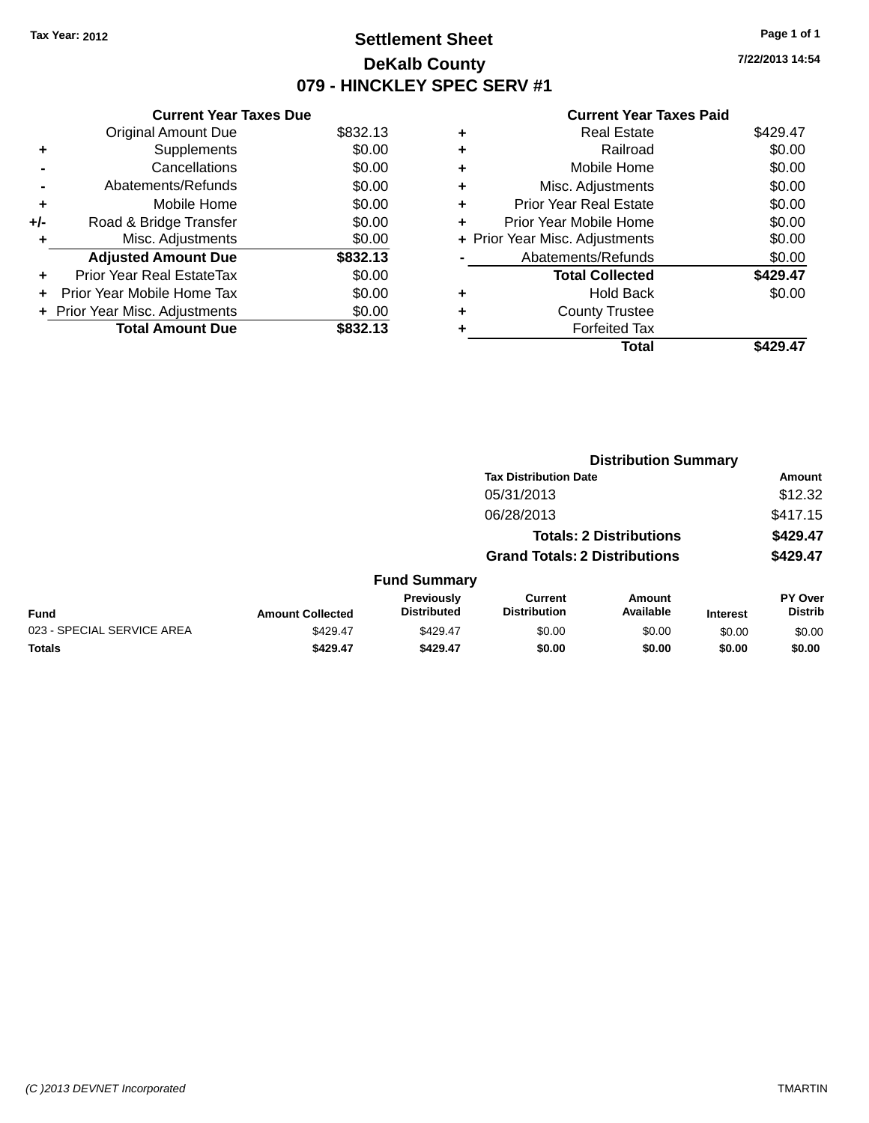### **Settlement Sheet Tax Year: 2012 Page 1 of 1 DeKalb County 079 - HINCKLEY SPEC SERV #1**

**7/22/2013 14:54**

|     | <b>Current Year Taxes Due</b>  |          |
|-----|--------------------------------|----------|
|     | <b>Original Amount Due</b>     | \$832.13 |
| ٠   | Supplements                    | \$0.00   |
|     | Cancellations                  | \$0.00   |
|     | Abatements/Refunds             | \$0.00   |
| ٠   | Mobile Home                    | \$0.00   |
| +/- | Road & Bridge Transfer         | \$0.00   |
| ٠   | Misc. Adjustments              | \$0.00   |
|     | <b>Adjusted Amount Due</b>     | \$832.13 |
| ÷   | Prior Year Real EstateTax      | \$0.00   |
| ÷   | Prior Year Mobile Home Tax     | \$0.00   |
|     | + Prior Year Misc. Adjustments | \$0.00   |
|     | <b>Total Amount Due</b>        | \$832.13 |

|   | Total                          | \$429.47 |
|---|--------------------------------|----------|
| ٠ | <b>Forfeited Tax</b>           |          |
| ٠ | <b>County Trustee</b>          |          |
| ٠ | <b>Hold Back</b>               | \$0.00   |
|   | <b>Total Collected</b>         | \$429.47 |
|   | Abatements/Refunds             | \$0.00   |
|   | + Prior Year Misc. Adjustments | \$0.00   |
| ٠ | Prior Year Mobile Home         | \$0.00   |
| ÷ | <b>Prior Year Real Estate</b>  | \$0.00   |
| ٠ | Misc. Adjustments              | \$0.00   |
| ٠ | Mobile Home                    | \$0.00   |
| ٠ | Railroad                       | \$0.00   |
| ٠ | <b>Real Estate</b>             | \$429.47 |
|   |                                |          |

|                            | <b>Distribution Summary</b>  |                                  |                                       |                                |                 |                           |  |
|----------------------------|------------------------------|----------------------------------|---------------------------------------|--------------------------------|-----------------|---------------------------|--|
|                            | <b>Tax Distribution Date</b> |                                  |                                       |                                | Amount          |                           |  |
|                            |                              |                                  | 05/31/2013                            |                                |                 | \$12.32                   |  |
|                            |                              |                                  | 06/28/2013                            |                                |                 | \$417.15                  |  |
|                            |                              |                                  |                                       | <b>Totals: 2 Distributions</b> |                 | \$429.47                  |  |
|                            |                              |                                  | <b>Grand Totals: 2 Distributions</b>  |                                |                 | \$429.47                  |  |
|                            |                              | <b>Fund Summary</b>              |                                       |                                |                 |                           |  |
| <b>Fund</b>                | <b>Amount Collected</b>      | Previously<br><b>Distributed</b> | <b>Current</b><br><b>Distribution</b> | Amount<br>Available            | <b>Interest</b> | PY Over<br><b>Distrib</b> |  |
| 023 - SPECIAL SERVICE AREA | \$429.47                     | \$429.47                         | \$0.00                                | \$0.00                         | \$0.00          | \$0.00                    |  |
| <b>Totals</b>              | \$429.47                     | \$429.47                         | \$0.00                                | \$0.00                         | \$0.00          | \$0.00                    |  |
|                            |                              |                                  |                                       |                                |                 |                           |  |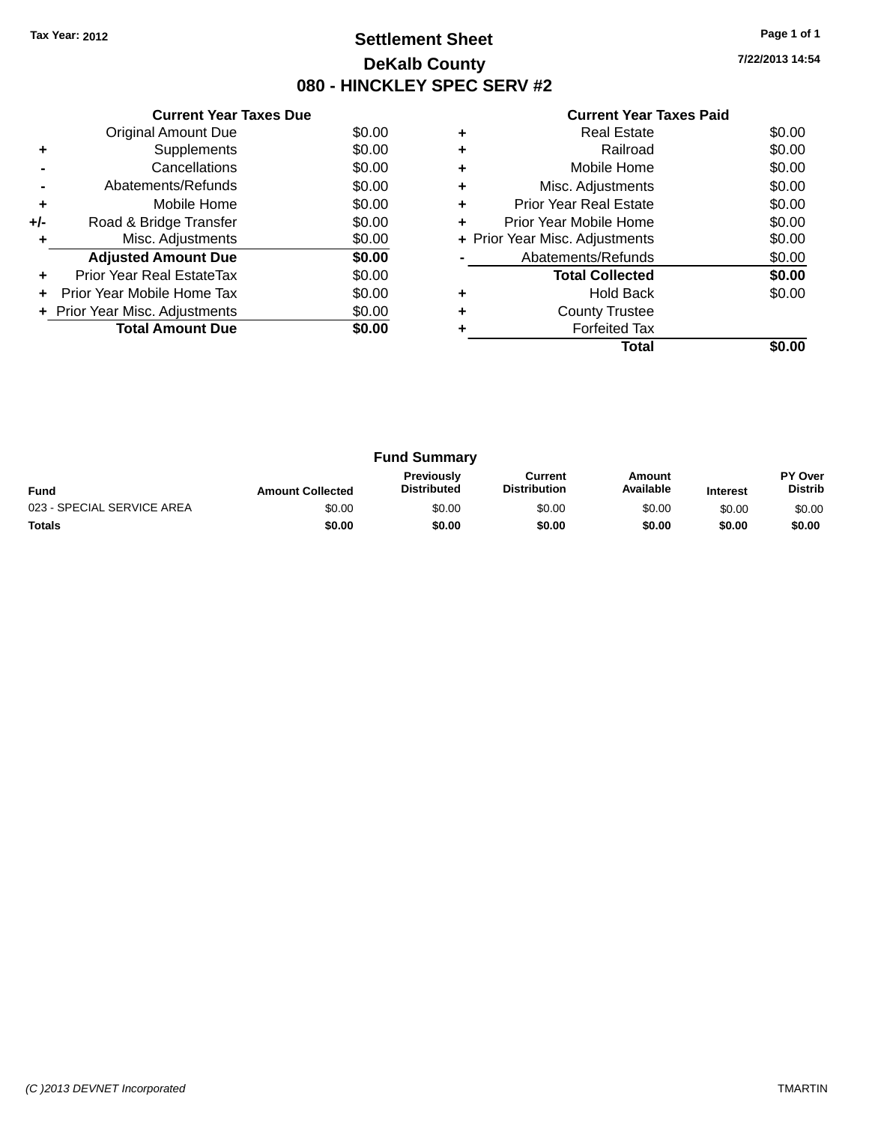### **Settlement Sheet Tax Year: 2012 Page 1 of 1 DeKalb County 080 - HINCKLEY SPEC SERV #2**

**7/22/2013 14:54**

| <b>Current Year Taxes Paid</b> |  |  |  |
|--------------------------------|--|--|--|
|--------------------------------|--|--|--|

|     | <b>Current Year Taxes Due</b>  |        |  |  |  |  |  |
|-----|--------------------------------|--------|--|--|--|--|--|
|     | Original Amount Due<br>\$0.00  |        |  |  |  |  |  |
| ٠   | Supplements                    | \$0.00 |  |  |  |  |  |
|     | Cancellations                  | \$0.00 |  |  |  |  |  |
|     | Abatements/Refunds             | \$0.00 |  |  |  |  |  |
| ٠   | Mobile Home                    | \$0.00 |  |  |  |  |  |
| +/- | Road & Bridge Transfer         | \$0.00 |  |  |  |  |  |
| ٠   | Misc. Adjustments              | \$0.00 |  |  |  |  |  |
|     | <b>Adjusted Amount Due</b>     | \$0.00 |  |  |  |  |  |
| ٠   | Prior Year Real EstateTax      | \$0.00 |  |  |  |  |  |
| ÷   | Prior Year Mobile Home Tax     | \$0.00 |  |  |  |  |  |
|     | + Prior Year Misc. Adjustments | \$0.00 |  |  |  |  |  |
|     | <b>Total Amount Due</b>        | \$0.00 |  |  |  |  |  |
|     |                                |        |  |  |  |  |  |

|   | <b>Forfeited Tax</b><br>Total  |        |
|---|--------------------------------|--------|
|   | <b>County Trustee</b>          |        |
| ٠ | <b>Hold Back</b>               | \$0.00 |
|   | <b>Total Collected</b>         | \$0.00 |
|   | Abatements/Refunds             | \$0.00 |
|   | + Prior Year Misc. Adjustments | \$0.00 |
| ٠ | Prior Year Mobile Home         | \$0.00 |
| ٠ | <b>Prior Year Real Estate</b>  | \$0.00 |
| ٠ | Misc. Adjustments              | \$0.00 |
| ٠ | Mobile Home                    | \$0.00 |
| ٠ | Railroad                       | \$0.00 |
|   | <b>Real Estate</b>             | \$0.00 |

| <b>Fund Summary</b>        |                         |                                         |                                |                     |                 |                                  |
|----------------------------|-------------------------|-----------------------------------------|--------------------------------|---------------------|-----------------|----------------------------------|
| <b>Fund</b>                | <b>Amount Collected</b> | <b>Previously</b><br><b>Distributed</b> | Current<br><b>Distribution</b> | Amount<br>Available | <b>Interest</b> | <b>PY Over</b><br><b>Distrib</b> |
| 023 - SPECIAL SERVICE AREA | \$0.00                  | \$0.00                                  | \$0.00                         | \$0.00              | \$0.00          | \$0.00                           |
| <b>Totals</b>              | \$0.00                  | \$0.00                                  | \$0.00                         | \$0.00              | \$0.00          | \$0.00                           |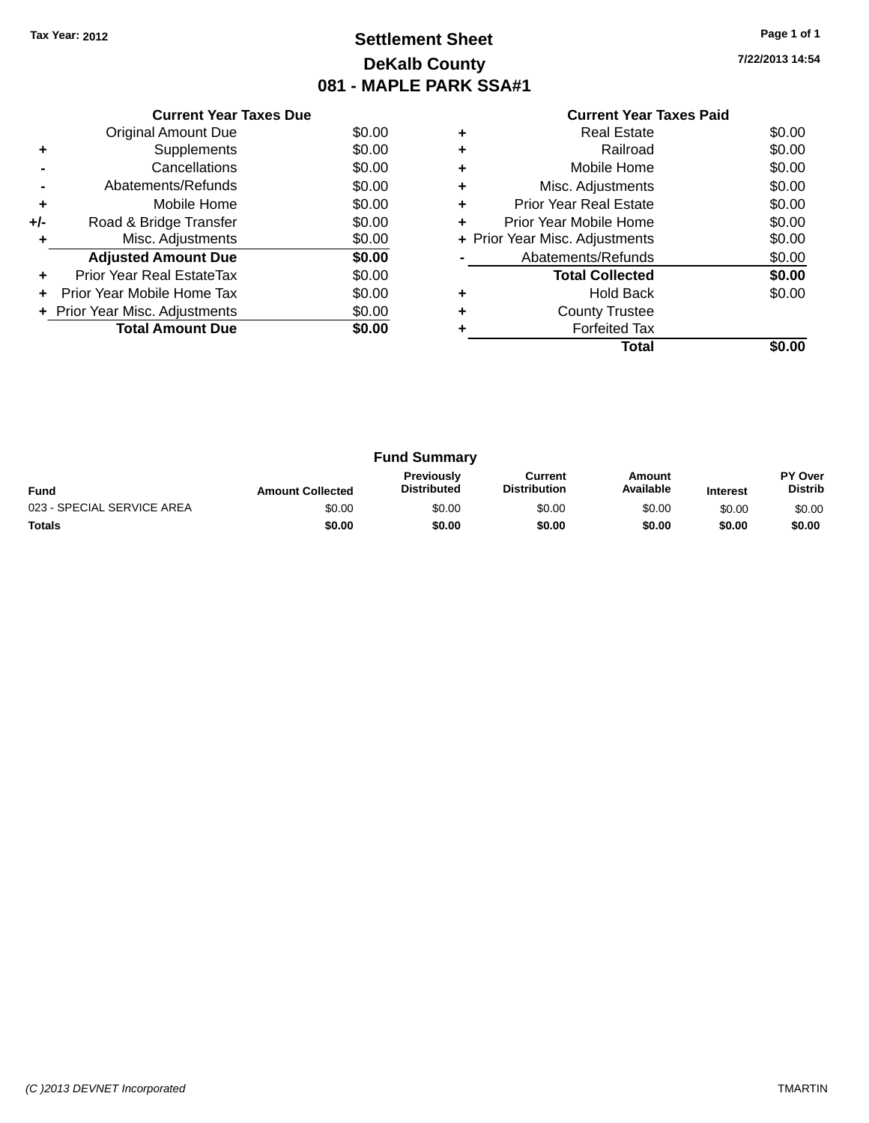### **Settlement Sheet Tax Year: 2012 Page 1 of 1 DeKalb County 081 - MAPLE PARK SSA#1**

**7/22/2013 14:54**

|     | <b>Current Year Taxes Due</b>  |        |
|-----|--------------------------------|--------|
|     | <b>Original Amount Due</b>     | \$0.00 |
| ٠   | Supplements                    | \$0.00 |
|     | Cancellations                  | \$0.00 |
|     | Abatements/Refunds             | \$0.00 |
| ٠   | Mobile Home                    | \$0.00 |
| +/- | Road & Bridge Transfer         | \$0.00 |
| ٠   | Misc. Adjustments              | \$0.00 |
|     | <b>Adjusted Amount Due</b>     | \$0.00 |
| ٠   | Prior Year Real EstateTax      | \$0.00 |
| ÷   | Prior Year Mobile Home Tax     | \$0.00 |
|     | + Prior Year Misc. Adjustments | \$0.00 |
|     | <b>Total Amount Due</b>        | \$0.00 |
|     |                                |        |

|   | <b>Real Estate</b>             | \$0.00 |
|---|--------------------------------|--------|
| ٠ | Railroad                       | \$0.00 |
| ٠ | Mobile Home                    | \$0.00 |
| ٠ | Misc. Adjustments              | \$0.00 |
| ٠ | Prior Year Real Estate         | \$0.00 |
|   | Prior Year Mobile Home         | \$0.00 |
|   | + Prior Year Misc. Adjustments | \$0.00 |
|   | Abatements/Refunds             | \$0.00 |
|   | <b>Total Collected</b>         | \$0.00 |
|   | <b>Hold Back</b>               | \$0.00 |
|   | <b>County Trustee</b>          |        |
|   | <b>Forfeited Tax</b>           |        |
|   | Total                          |        |

| <b>Fund Summary</b>        |                         |                                         |                                |                     |                 |                           |
|----------------------------|-------------------------|-----------------------------------------|--------------------------------|---------------------|-----------------|---------------------------|
| <b>Fund</b>                | <b>Amount Collected</b> | <b>Previously</b><br><b>Distributed</b> | Current<br><b>Distribution</b> | Amount<br>Available | <b>Interest</b> | PY Over<br><b>Distrib</b> |
| 023 - SPECIAL SERVICE AREA | \$0.00                  | \$0.00                                  | \$0.00                         | \$0.00              | \$0.00          | \$0.00                    |
| <b>Totals</b>              | \$0.00                  | \$0.00                                  | \$0.00                         | \$0.00              | \$0.00          | \$0.00                    |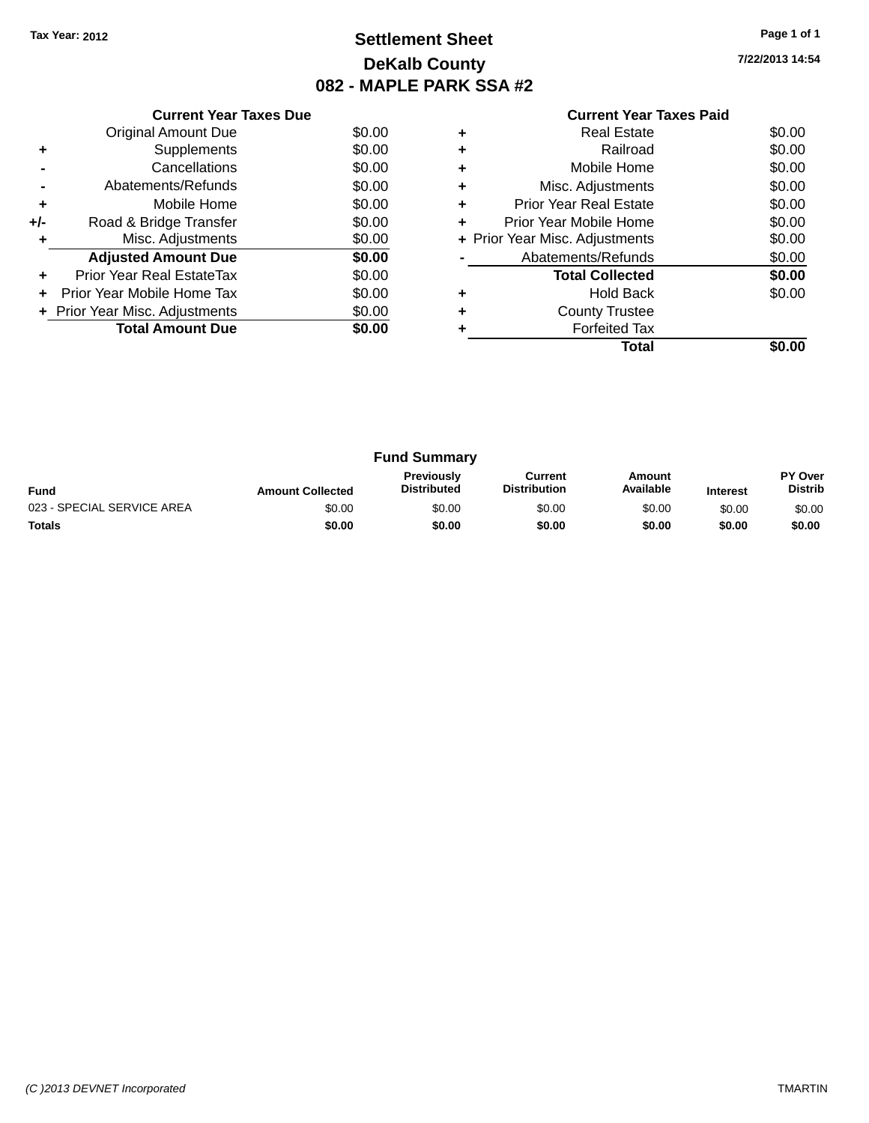### **Settlement Sheet Tax Year: 2012 Page 1 of 1 DeKalb County 082 - MAPLE PARK SSA #2**

**7/22/2013 14:54**

|     | <b>Current Year Taxes Due</b>  |        |
|-----|--------------------------------|--------|
|     | <b>Original Amount Due</b>     | \$0.00 |
| ٠   | Supplements                    | \$0.00 |
|     | Cancellations                  | \$0.00 |
|     | Abatements/Refunds             | \$0.00 |
| ٠   | Mobile Home                    | \$0.00 |
| +/- | Road & Bridge Transfer         | \$0.00 |
|     | Misc. Adjustments              | \$0.00 |
|     | <b>Adjusted Amount Due</b>     | \$0.00 |
|     | Prior Year Real EstateTax      | \$0.00 |
|     | Prior Year Mobile Home Tax     | \$0.00 |
|     | + Prior Year Misc. Adjustments | \$0.00 |
|     | <b>Total Amount Due</b>        | \$0.00 |
|     |                                |        |

|   | Real Estate                    | \$0.00 |
|---|--------------------------------|--------|
| ٠ | Railroad                       | \$0.00 |
| ٠ | Mobile Home                    | \$0.00 |
| ٠ | Misc. Adjustments              | \$0.00 |
| ٠ | <b>Prior Year Real Estate</b>  | \$0.00 |
| ٠ | Prior Year Mobile Home         | \$0.00 |
|   | + Prior Year Misc. Adjustments | \$0.00 |
|   | Abatements/Refunds             | \$0.00 |
|   | <b>Total Collected</b>         | \$0.00 |
|   | <b>Hold Back</b>               | \$0.00 |
| ٠ | <b>County Trustee</b>          |        |
|   | <b>Forfeited Tax</b>           |        |
|   | Total                          |        |

| <b>Fund Summary</b>        |                         |                                         |                                |                     |                 |                           |
|----------------------------|-------------------------|-----------------------------------------|--------------------------------|---------------------|-----------------|---------------------------|
| <b>Fund</b>                | <b>Amount Collected</b> | <b>Previously</b><br><b>Distributed</b> | Current<br><b>Distribution</b> | Amount<br>Available | <b>Interest</b> | PY Over<br><b>Distrib</b> |
| 023 - SPECIAL SERVICE AREA | \$0.00                  | \$0.00                                  | \$0.00                         | \$0.00              | \$0.00          | \$0.00                    |
| <b>Totals</b>              | \$0.00                  | \$0.00                                  | \$0.00                         | \$0.00              | \$0.00          | \$0.00                    |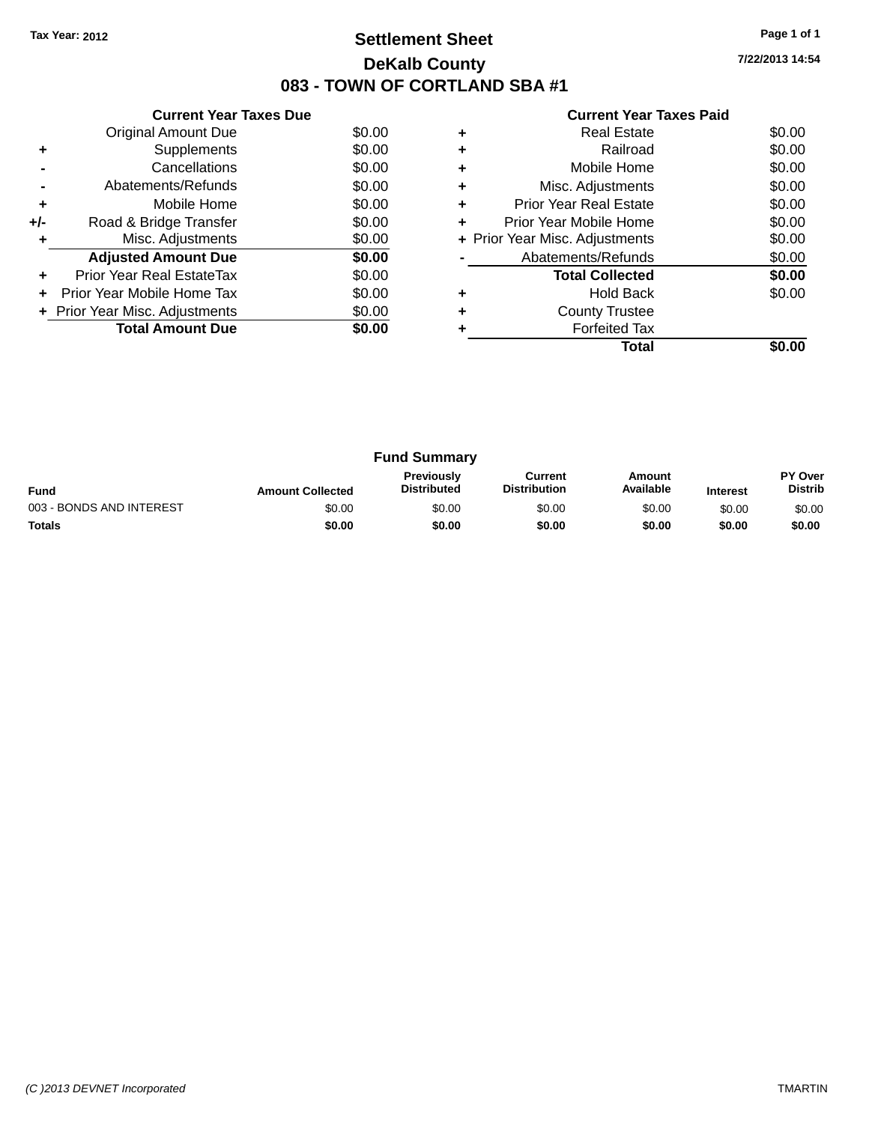### **Settlement Sheet Tax Year: 2012 Page 1 of 1 DeKalb County 083 - TOWN OF CORTLAND SBA #1**

**7/22/2013 14:54**

| <b>Current Year Taxes Paid</b> |  |  |  |
|--------------------------------|--|--|--|
|--------------------------------|--|--|--|

|     | <b>Current Year Taxes Due</b>  |        |
|-----|--------------------------------|--------|
|     | Original Amount Due            | \$0.00 |
| ٠   | Supplements                    | \$0.00 |
|     | Cancellations                  | \$0.00 |
|     | Abatements/Refunds             | \$0.00 |
| ٠   | Mobile Home                    | \$0.00 |
| +/- | Road & Bridge Transfer         | \$0.00 |
|     | Misc. Adjustments              | \$0.00 |
|     | <b>Adjusted Amount Due</b>     | \$0.00 |
| ٠   | Prior Year Real EstateTax      | \$0.00 |
|     | Prior Year Mobile Home Tax     | \$0.00 |
|     | + Prior Year Misc. Adjustments | \$0.00 |
|     | <b>Total Amount Due</b>        | \$0.00 |
|     |                                |        |

|   | <b>Real Estate</b>             | \$0.00 |
|---|--------------------------------|--------|
|   | Railroad                       | \$0.00 |
| ٠ | Mobile Home                    | \$0.00 |
| ٠ | Misc. Adjustments              | \$0.00 |
| ٠ | Prior Year Real Estate         | \$0.00 |
| ٠ | Prior Year Mobile Home         | \$0.00 |
|   | + Prior Year Misc. Adjustments | \$0.00 |
|   | Abatements/Refunds             | \$0.00 |
|   | <b>Total Collected</b>         | \$0.00 |
|   | <b>Hold Back</b>               | \$0.00 |
|   | <b>County Trustee</b>          |        |
|   | <b>Forfeited Tax</b>           |        |
|   | Total                          |        |

| <b>Fund Summary</b>      |                         |                                         |                                |                     |                 |                                  |
|--------------------------|-------------------------|-----------------------------------------|--------------------------------|---------------------|-----------------|----------------------------------|
| <b>Fund</b>              | <b>Amount Collected</b> | <b>Previously</b><br><b>Distributed</b> | Current<br><b>Distribution</b> | Amount<br>Available | <b>Interest</b> | <b>PY Over</b><br><b>Distrib</b> |
| 003 - BONDS AND INTEREST | \$0.00                  | \$0.00                                  | \$0.00                         | \$0.00              | \$0.00          | \$0.00                           |
| <b>Totals</b>            | \$0.00                  | \$0.00                                  | \$0.00                         | \$0.00              | \$0.00          | \$0.00                           |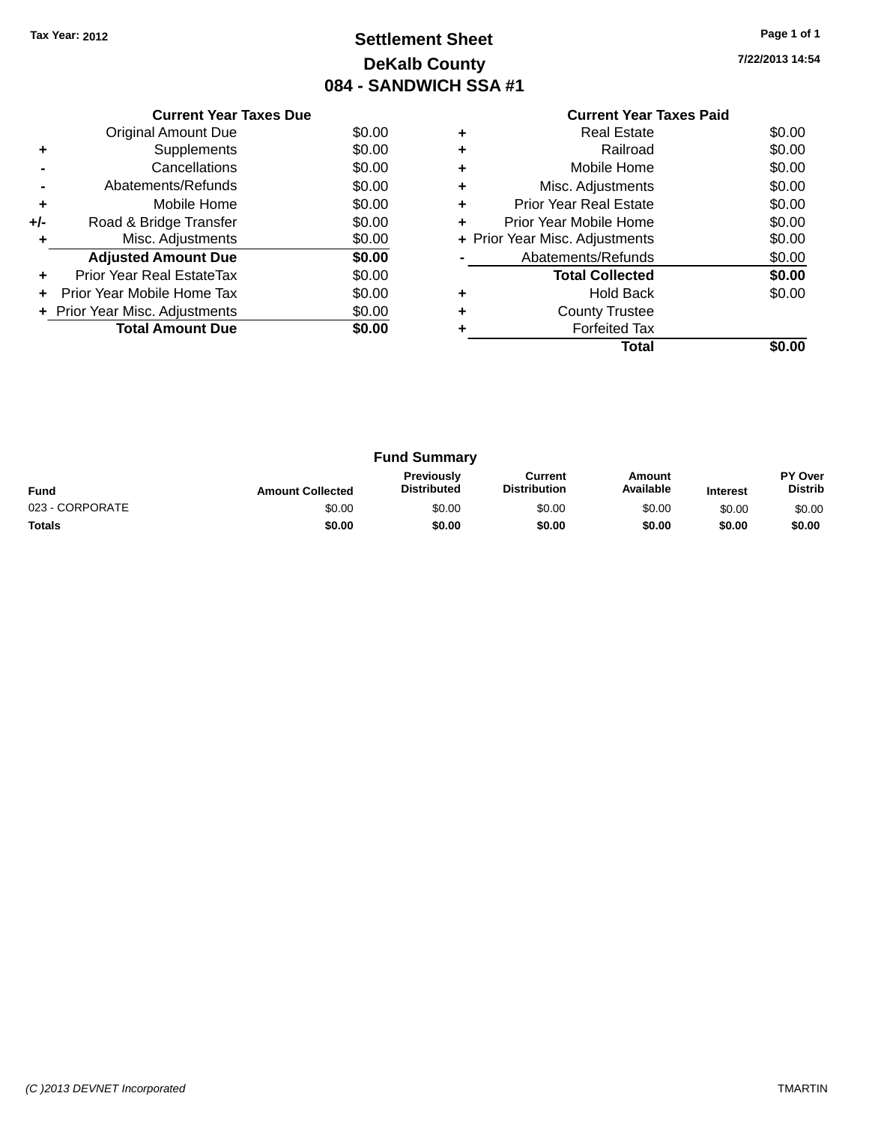### **Settlement Sheet Tax Year: 2012 Page 1 of 1 DeKalb County 084 - SANDWICH SSA #1**

**7/22/2013 14:54**

|     | <b>Current Year Taxes Due</b>  |        |  |  |  |  |
|-----|--------------------------------|--------|--|--|--|--|
|     | Original Amount Due            | \$0.00 |  |  |  |  |
| ٠   | Supplements                    | \$0.00 |  |  |  |  |
|     | Cancellations                  | \$0.00 |  |  |  |  |
|     | Abatements/Refunds             | \$0.00 |  |  |  |  |
| ٠   | Mobile Home                    | \$0.00 |  |  |  |  |
| +/- | Road & Bridge Transfer         | \$0.00 |  |  |  |  |
| ٠   | Misc. Adjustments<br>\$0.00    |        |  |  |  |  |
|     | <b>Adjusted Amount Due</b>     | \$0.00 |  |  |  |  |
| ٠   | Prior Year Real EstateTax      | \$0.00 |  |  |  |  |
| ÷   | Prior Year Mobile Home Tax     | \$0.00 |  |  |  |  |
|     | + Prior Year Misc. Adjustments | \$0.00 |  |  |  |  |
|     | <b>Total Amount Due</b>        | \$0.00 |  |  |  |  |
|     |                                |        |  |  |  |  |

### **Current Year Taxes Paid +** Real Estate \$0.00 **+** Railroad \$0.00 **+** Mobile Home \$0.00 **+** Misc. Adjustments \$0.00 **+** Prior Year Real Estate \$0.00

|           | Total                          | \$0.00 |
|-----------|--------------------------------|--------|
| ÷         | <b>Forfeited Tax</b>           |        |
| $\ddot{}$ | <b>County Trustee</b>          |        |
| ÷         | <b>Hold Back</b>               | \$0.00 |
|           | <b>Total Collected</b>         | \$0.00 |
|           | Abatements/Refunds             | \$0.00 |
|           | + Prior Year Misc. Adjustments | \$0.00 |
| $\ddot{}$ | Prior Year Mobile Home         | \$0.00 |

| <b>Fund Summary</b> |                         |                                         |                                |                     |                 |                                  |
|---------------------|-------------------------|-----------------------------------------|--------------------------------|---------------------|-----------------|----------------------------------|
| <b>Fund</b>         | <b>Amount Collected</b> | <b>Previously</b><br><b>Distributed</b> | Current<br><b>Distribution</b> | Amount<br>Available | <b>Interest</b> | <b>PY Over</b><br><b>Distrib</b> |
| 023 - CORPORATE     | \$0.00                  | \$0.00                                  | \$0.00                         | \$0.00              | \$0.00          | \$0.00                           |
| <b>Totals</b>       | \$0.00                  | \$0.00                                  | \$0.00                         | \$0.00              | \$0.00          | \$0.00                           |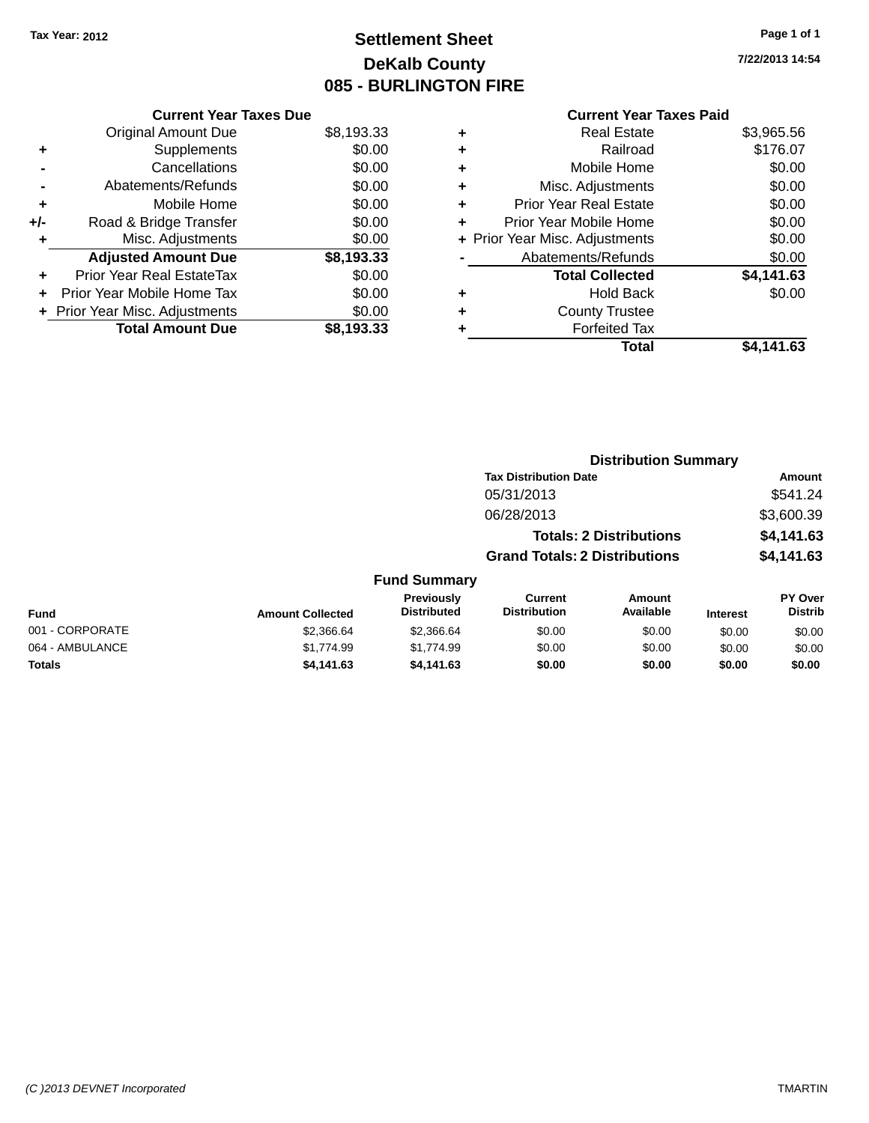### **Settlement Sheet Tax Year: 2012 Page 1 of 1 DeKalb County 085 - BURLINGTON FIRE**

**7/22/2013 14:54**

|     | <b>Current Year Taxes Due</b>  |            |
|-----|--------------------------------|------------|
|     | <b>Original Amount Due</b>     | \$8,193.33 |
| ٠   | Supplements                    | \$0.00     |
|     | Cancellations                  | \$0.00     |
|     | Abatements/Refunds             | \$0.00     |
| ٠   | Mobile Home                    | \$0.00     |
| +/- | Road & Bridge Transfer         | \$0.00     |
| ٠   | Misc. Adjustments              | \$0.00     |
|     | <b>Adjusted Amount Due</b>     | \$8,193.33 |
| ٠   | Prior Year Real EstateTax      | \$0.00     |
|     | Prior Year Mobile Home Tax     | \$0.00     |
|     | + Prior Year Misc. Adjustments | \$0.00     |
|     | <b>Total Amount Due</b>        | \$8.193.33 |
|     |                                |            |

| ٠ | <b>Real Estate</b>             | \$3,965.56 |
|---|--------------------------------|------------|
| ٠ | Railroad                       | \$176.07   |
| ٠ | Mobile Home                    | \$0.00     |
| ٠ | Misc. Adjustments              | \$0.00     |
| ٠ | <b>Prior Year Real Estate</b>  | \$0.00     |
| ٠ | Prior Year Mobile Home         | \$0.00     |
|   | + Prior Year Misc. Adjustments | \$0.00     |
|   | Abatements/Refunds             | \$0.00     |
|   | <b>Total Collected</b>         | \$4,141.63 |
| ٠ | <b>Hold Back</b>               | \$0.00     |
| ٠ | <b>County Trustee</b>          |            |
| ٠ | <b>Forfeited Tax</b>           |            |
|   | Total                          | \$4,141.63 |
|   |                                |            |

|                 |                         |                                  | <b>Distribution Summary</b>           |                                |                 |                                  |
|-----------------|-------------------------|----------------------------------|---------------------------------------|--------------------------------|-----------------|----------------------------------|
|                 |                         |                                  | <b>Tax Distribution Date</b>          |                                |                 | Amount                           |
|                 |                         |                                  | 05/31/2013                            |                                |                 | \$541.24                         |
|                 |                         |                                  | 06/28/2013                            |                                |                 | \$3,600.39                       |
|                 |                         |                                  |                                       | <b>Totals: 2 Distributions</b> |                 | \$4,141.63                       |
|                 |                         |                                  | <b>Grand Totals: 2 Distributions</b>  |                                |                 | \$4,141.63                       |
|                 |                         | <b>Fund Summary</b>              |                                       |                                |                 |                                  |
| <b>Fund</b>     | <b>Amount Collected</b> | Previously<br><b>Distributed</b> | <b>Current</b><br><b>Distribution</b> | Amount<br>Available            | <b>Interest</b> | <b>PY Over</b><br><b>Distrib</b> |
| 001 - CORPORATE | \$2,366.64              | \$2,366.64                       | \$0.00                                | \$0.00                         | \$0.00          | \$0.00                           |
| 064 - AMBULANCE | \$1,774.99              | \$1,774.99                       | \$0.00                                | \$0.00                         | \$0.00          | \$0.00                           |
| <b>Totals</b>   | \$4,141.63              | \$4,141.63                       | \$0.00                                | \$0.00                         | \$0.00          | \$0.00                           |
|                 |                         |                                  |                                       |                                |                 |                                  |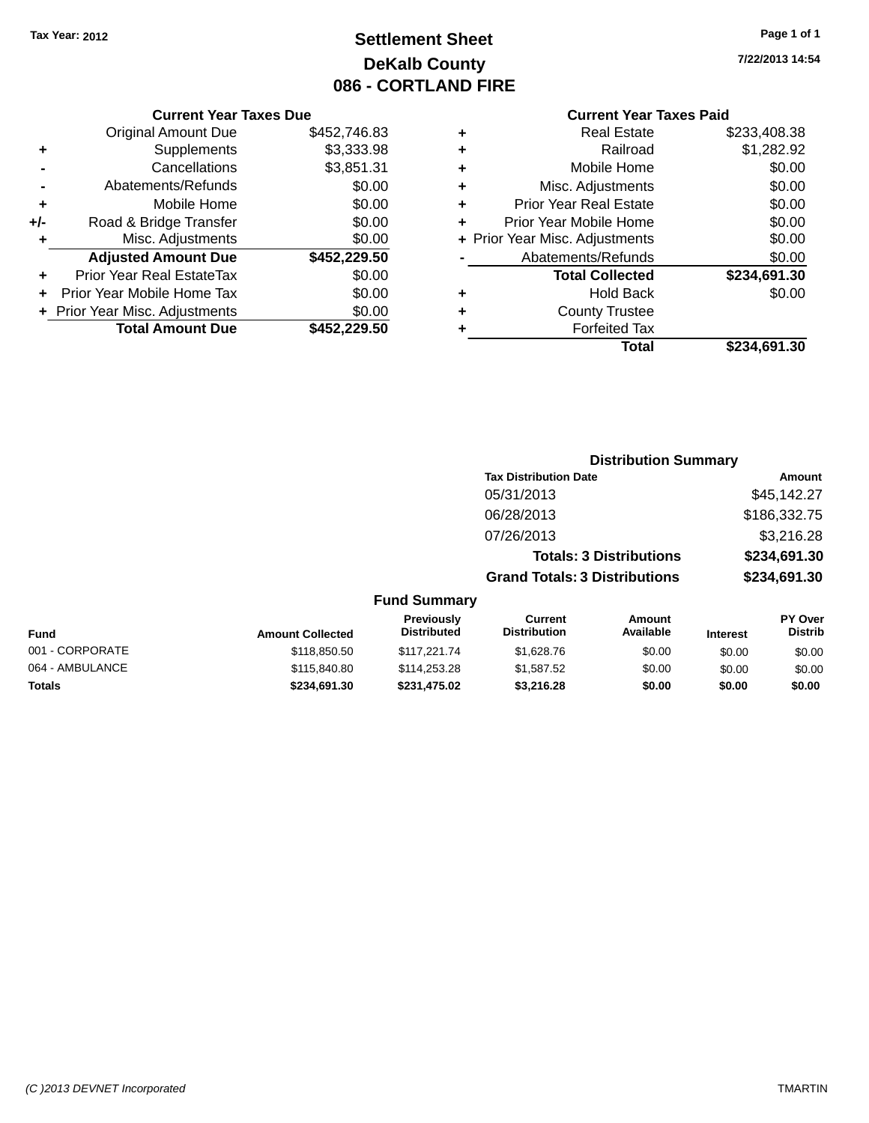### **Settlement Sheet Tax Year: 2012 Page 1 of 1 DeKalb County 086 - CORTLAND FIRE**

### **7/22/2013 14:54**

|     | <b>Current Year Taxes Due</b>  |              |
|-----|--------------------------------|--------------|
|     | <b>Original Amount Due</b>     | \$452,746.83 |
| ٠   | Supplements                    | \$3,333.98   |
|     | Cancellations                  | \$3,851.31   |
|     | Abatements/Refunds             | \$0.00       |
| ٠   | Mobile Home                    | \$0.00       |
| +/- | Road & Bridge Transfer         | \$0.00       |
|     | Misc. Adjustments              | \$0.00       |
|     | <b>Adjusted Amount Due</b>     | \$452,229.50 |
| ÷   | Prior Year Real EstateTax      | \$0.00       |
|     | Prior Year Mobile Home Tax     | \$0.00       |
|     | + Prior Year Misc. Adjustments | \$0.00       |
|     | <b>Total Amount Due</b>        | \$452.229.50 |

| ٠ | <b>Real Estate</b>             | \$233,408.38 |
|---|--------------------------------|--------------|
| ٠ | Railroad                       | \$1,282.92   |
| ٠ | Mobile Home                    | \$0.00       |
| ٠ | Misc. Adjustments              | \$0.00       |
| ٠ | <b>Prior Year Real Estate</b>  | \$0.00       |
| ÷ | Prior Year Mobile Home         | \$0.00       |
|   | + Prior Year Misc. Adjustments | \$0.00       |
|   | Abatements/Refunds             | \$0.00       |
|   | <b>Total Collected</b>         | \$234,691.30 |
| ٠ | <b>Hold Back</b>               | \$0.00       |
| ٠ | <b>County Trustee</b>          |              |
| ٠ | <b>Forfeited Tax</b>           |              |
|   | Total                          | \$234,691.30 |

|                     | <b>Distribution Summary</b>          |              |
|---------------------|--------------------------------------|--------------|
|                     | <b>Tax Distribution Date</b>         | Amount       |
|                     | 05/31/2013                           | \$45,142.27  |
|                     | 06/28/2013                           | \$186,332.75 |
|                     | 07/26/2013                           | \$3,216.28   |
|                     | <b>Totals: 3 Distributions</b>       | \$234,691.30 |
|                     | <b>Grand Totals: 3 Distributions</b> | \$234,691.30 |
| <b>Fund Summary</b> |                                      |              |

| Fund            | <b>Amount Collected</b> | <b>Previously</b><br><b>Distributed</b> | Current<br><b>Distribution</b> | Amount<br>Available | <b>Interest</b> | <b>PY Over</b><br><b>Distrib</b> |
|-----------------|-------------------------|-----------------------------------------|--------------------------------|---------------------|-----------------|----------------------------------|
| 001 - CORPORATE | \$118,850.50            | \$117.221.74                            | \$1,628,76                     | \$0.00              | \$0.00          | \$0.00                           |
| 064 - AMBULANCE | \$115,840.80            | \$114,253,28                            | \$1,587.52                     | \$0.00              | \$0.00          | \$0.00                           |
| <b>Totals</b>   | \$234.691.30            | \$231,475.02                            | \$3,216,28                     | \$0.00              | \$0.00          | \$0.00                           |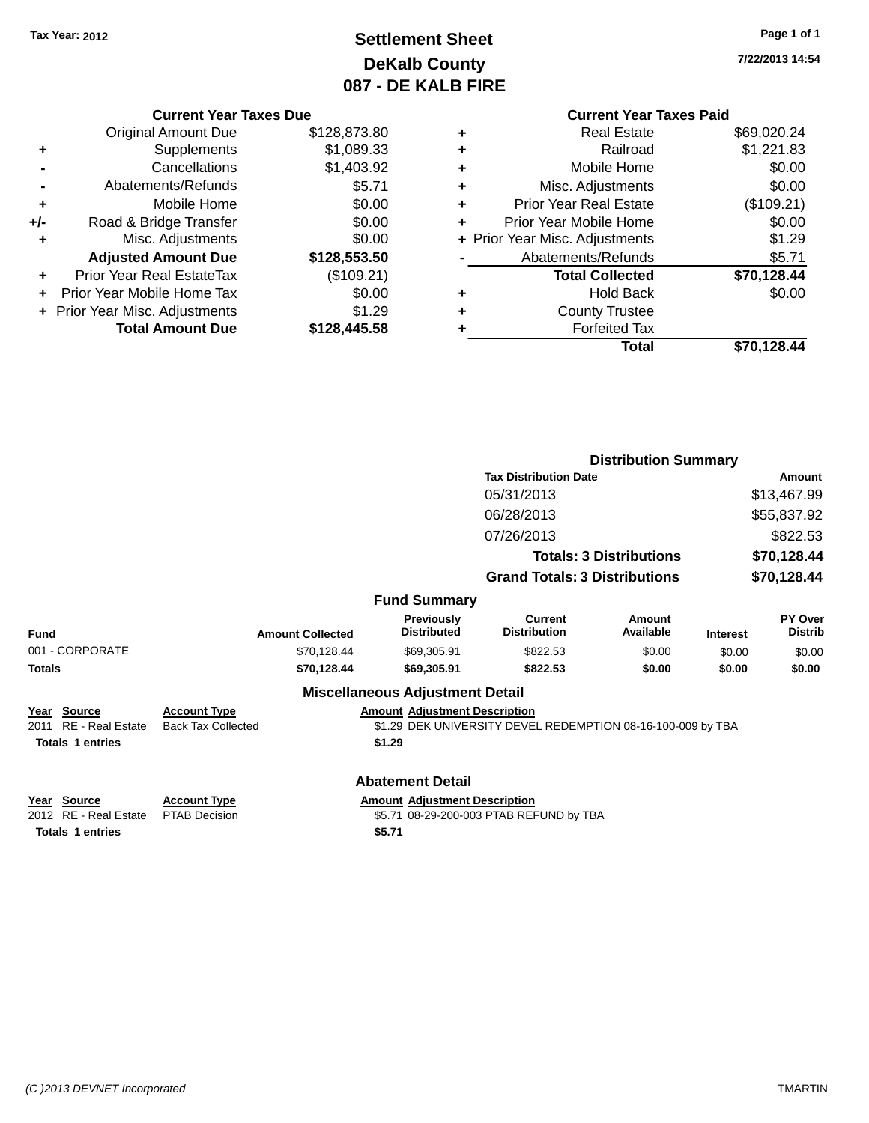## **Settlement Sheet Tax Year: 2012 Page 1 of 1 DeKalb County 087 - DE KALB FIRE**

**7/22/2013 14:54**

|       | <b>Current Year Taxes Due</b>    |              |
|-------|----------------------------------|--------------|
|       | <b>Original Amount Due</b>       | \$128,873.80 |
| ٠     | Supplements                      | \$1,089.33   |
|       | Cancellations                    | \$1,403.92   |
|       | Abatements/Refunds               | \$5.71       |
| ٠     | Mobile Home                      | \$0.00       |
| $+/-$ | Road & Bridge Transfer           | \$0.00       |
| ٠     | Misc. Adjustments                | \$0.00       |
|       | <b>Adjusted Amount Due</b>       | \$128,553.50 |
| ÷     | <b>Prior Year Real EstateTax</b> | (\$109.21)   |
|       | Prior Year Mobile Home Tax       | \$0.00       |
|       | + Prior Year Misc. Adjustments   | \$1.29       |
|       | <b>Total Amount Due</b>          | \$128,445.58 |

| ٠ | <b>Real Estate</b>             | \$69,020.24 |
|---|--------------------------------|-------------|
| ٠ | Railroad                       | \$1,221.83  |
| ٠ | Mobile Home                    | \$0.00      |
| ٠ | Misc. Adjustments              | \$0.00      |
| ٠ | <b>Prior Year Real Estate</b>  | (\$109.21)  |
| ٠ | Prior Year Mobile Home         | \$0.00      |
|   | + Prior Year Misc. Adjustments | \$1.29      |
|   | Abatements/Refunds             | \$5.71      |
|   | <b>Total Collected</b>         | \$70,128.44 |
| ٠ | <b>Hold Back</b>               | \$0.00      |
| ٠ | <b>County Trustee</b>          |             |
| ٠ | <b>Forfeited Tax</b>           |             |
|   |                                |             |
|   | Total                          | \$70,128.44 |

|                         |                           |                                         |                                                             | <b>Distribution Summary</b>    |                 |                           |
|-------------------------|---------------------------|-----------------------------------------|-------------------------------------------------------------|--------------------------------|-----------------|---------------------------|
|                         |                           |                                         |                                                             |                                |                 |                           |
|                         |                           |                                         | <b>Tax Distribution Date</b>                                |                                |                 | Amount                    |
|                         |                           |                                         | 05/31/2013                                                  |                                |                 | \$13,467.99               |
|                         |                           |                                         | 06/28/2013                                                  |                                |                 | \$55,837.92               |
|                         |                           |                                         | 07/26/2013                                                  |                                |                 | \$822.53                  |
|                         |                           |                                         |                                                             | <b>Totals: 3 Distributions</b> |                 | \$70,128.44               |
|                         |                           |                                         | <b>Grand Totals: 3 Distributions</b>                        |                                |                 | \$70,128.44               |
|                         |                           | <b>Fund Summary</b>                     |                                                             |                                |                 |                           |
| <b>Fund</b>             | <b>Amount Collected</b>   | <b>Previously</b><br><b>Distributed</b> | <b>Current</b><br><b>Distribution</b>                       | Amount<br>Available            | <b>Interest</b> | PY Over<br><b>Distrib</b> |
| 001 - CORPORATE         | \$70,128.44               | \$69,305.91                             | \$822.53                                                    | \$0.00                         | \$0.00          | \$0.00                    |
| <b>Totals</b>           | \$70,128.44               | \$69,305.91                             | \$822.53                                                    | \$0.00                         | \$0.00          | \$0.00                    |
|                         |                           | <b>Miscellaneous Adjustment Detail</b>  |                                                             |                                |                 |                           |
| Year Source             | <b>Account Type</b>       | <b>Amount Adjustment Description</b>    |                                                             |                                |                 |                           |
| 2011 RE - Real Estate   | <b>Back Tax Collected</b> |                                         | \$1.29 DEK UNIVERSITY DEVEL REDEMPTION 08-16-100-009 by TBA |                                |                 |                           |
| <b>Totals 1 entries</b> |                           | \$1.29                                  |                                                             |                                |                 |                           |
|                         |                           | <b>Abatement Detail</b>                 |                                                             |                                |                 |                           |
| <u>Year Source</u>      | <b>Account Type</b>       | <b>Amount Adjustment Description</b>    |                                                             |                                |                 |                           |
| 2012 RE - Real Estate   | <b>PTAB Decision</b>      |                                         | \$5.71 08-29-200-003 PTAB REFUND by TBA                     |                                |                 |                           |
| <b>Totals 1 entries</b> |                           | \$5.71                                  |                                                             |                                |                 |                           |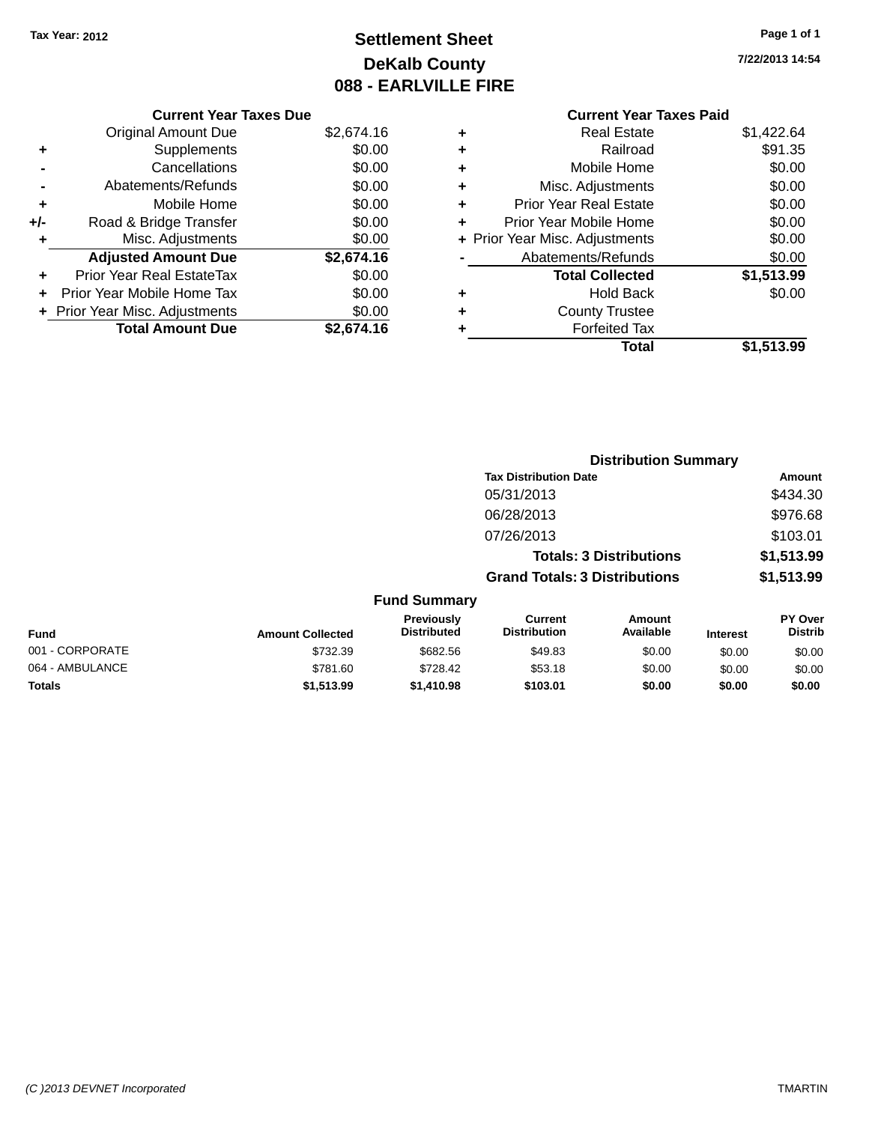## **Settlement Sheet Tax Year: 2012 Page 1 of 1 DeKalb County 088 - EARLVILLE FIRE**

**7/22/2013 14:54**

| <b>Current Year Taxes Due</b>  |            |
|--------------------------------|------------|
| <b>Original Amount Due</b>     | \$2,674.16 |
| Supplements                    | \$0.00     |
| Cancellations                  | \$0.00     |
| Abatements/Refunds             | \$0.00     |
| Mobile Home                    | \$0.00     |
| Road & Bridge Transfer         | \$0.00     |
| Misc. Adjustments              | \$0.00     |
| <b>Adjusted Amount Due</b>     | \$2,674.16 |
| Prior Year Real EstateTax      | \$0.00     |
| Prior Year Mobile Home Tax     | \$0.00     |
| + Prior Year Misc. Adjustments | \$0.00     |
| <b>Total Amount Due</b>        | \$2.674.16 |
|                                |            |

| ٠ | <b>Real Estate</b>             | \$1,422.64 |
|---|--------------------------------|------------|
| ٠ | Railroad                       | \$91.35    |
| ٠ | Mobile Home                    | \$0.00     |
| ٠ | Misc. Adjustments              | \$0.00     |
| ٠ | <b>Prior Year Real Estate</b>  | \$0.00     |
| ٠ | Prior Year Mobile Home         | \$0.00     |
|   | + Prior Year Misc. Adjustments | \$0.00     |
|   | Abatements/Refunds             | \$0.00     |
|   | <b>Total Collected</b>         | \$1,513.99 |
| ٠ | <b>Hold Back</b>               | \$0.00     |
| ٠ | <b>County Trustee</b>          |            |
| ٠ | <b>Forfeited Tax</b>           |            |
|   | Total                          | \$1,513.99 |
|   |                                |            |

|                 |                         |                                  |                                      | <b>Distribution Summary</b>    |                 |                           |
|-----------------|-------------------------|----------------------------------|--------------------------------------|--------------------------------|-----------------|---------------------------|
|                 |                         |                                  | <b>Tax Distribution Date</b>         |                                |                 | Amount                    |
|                 |                         |                                  | 05/31/2013                           |                                |                 | \$434.30                  |
|                 |                         |                                  | 06/28/2013                           |                                |                 | \$976.68                  |
|                 |                         |                                  | 07/26/2013                           |                                |                 | \$103.01                  |
|                 |                         |                                  |                                      | <b>Totals: 3 Distributions</b> |                 | \$1,513.99                |
|                 |                         |                                  | <b>Grand Totals: 3 Distributions</b> |                                |                 | \$1,513.99                |
|                 |                         | <b>Fund Summary</b>              |                                      |                                |                 |                           |
| <b>Fund</b>     | <b>Amount Collected</b> | Previously<br><b>Distributed</b> | Current<br><b>Distribution</b>       | Amount<br>Available            | <b>Interest</b> | PY Over<br><b>Distrib</b> |
| 001 - CORPORATE | \$732.39                | \$682.56                         | \$49.83                              | \$0.00                         | \$0.00          | \$0.00                    |
| 064 - AMBULANCE | \$781.60                | \$728.42                         | \$53.18                              | \$0.00                         | \$0.00          | \$0.00                    |
| <b>Totals</b>   | \$1,513.99              | \$1,410.98                       | \$103.01                             | \$0.00                         | \$0.00          | \$0.00                    |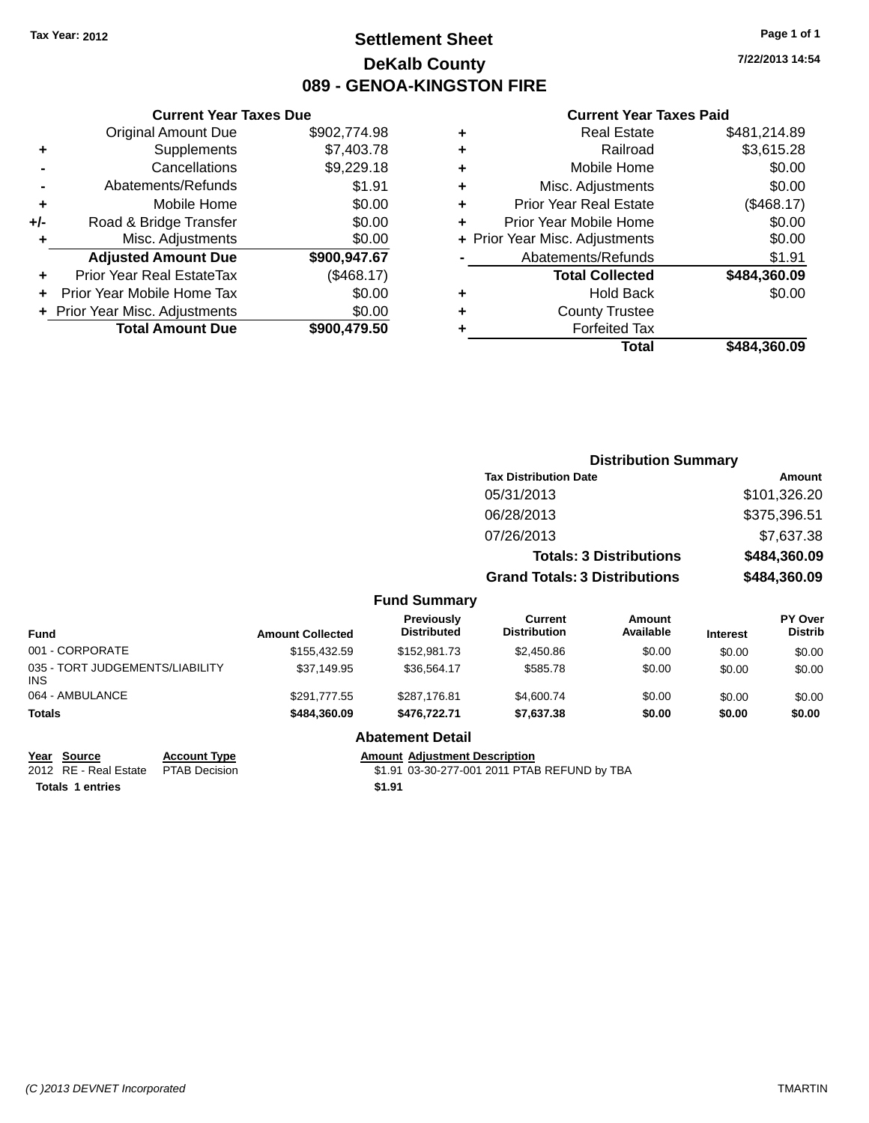### **Settlement Sheet Tax Year: 2012 Page 1 of 1 DeKalb County 089 - GENOA-KINGSTON FIRE**

**7/22/2013 14:54**

#### **Current Year Taxes Paid**

|     | <b>Current Year Taxes Due</b>  |              |  |  |  |  |
|-----|--------------------------------|--------------|--|--|--|--|
|     | <b>Original Amount Due</b>     | \$902,774.98 |  |  |  |  |
| ٠   | Supplements                    | \$7,403.78   |  |  |  |  |
|     | Cancellations                  | \$9,229.18   |  |  |  |  |
|     | Abatements/Refunds             | \$1.91       |  |  |  |  |
| ٠   | Mobile Home                    | \$0.00       |  |  |  |  |
| +/- | Road & Bridge Transfer         | \$0.00       |  |  |  |  |
| ٠   | Misc. Adjustments              | \$0.00       |  |  |  |  |
|     | <b>Adjusted Amount Due</b>     | \$900,947.67 |  |  |  |  |
| ٠   | Prior Year Real EstateTax      | (\$468.17)   |  |  |  |  |
|     | Prior Year Mobile Home Tax     | \$0.00       |  |  |  |  |
|     | + Prior Year Misc. Adjustments | \$0.00       |  |  |  |  |
|     | <b>Total Amount Due</b>        | \$900,479.50 |  |  |  |  |
|     |                                |              |  |  |  |  |

|   | <b>Real Estate</b>             | \$481,214.89 |
|---|--------------------------------|--------------|
| ٠ | Railroad                       | \$3,615.28   |
| ٠ | Mobile Home                    | \$0.00       |
| ٠ | Misc. Adjustments              | \$0.00       |
| ٠ | Prior Year Real Estate         | (\$468.17)   |
| ٠ | Prior Year Mobile Home         | \$0.00       |
|   | + Prior Year Misc. Adjustments | \$0.00       |
|   | Abatements/Refunds             | \$1.91       |
|   | <b>Total Collected</b>         | \$484,360.09 |
| ٠ | Hold Back                      | \$0.00       |
| ٠ | <b>County Trustee</b>          |              |
| ٠ | <b>Forfeited Tax</b>           |              |
|   | Total                          | \$484,360.09 |
|   |                                |              |

|                                         |                         |                                         | <b>Distribution Summary</b>           |                                |                 |                           |
|-----------------------------------------|-------------------------|-----------------------------------------|---------------------------------------|--------------------------------|-----------------|---------------------------|
|                                         |                         |                                         | <b>Tax Distribution Date</b>          |                                |                 | <b>Amount</b>             |
|                                         |                         |                                         | 05/31/2013                            |                                |                 | \$101,326.20              |
|                                         |                         |                                         | 06/28/2013                            |                                |                 | \$375,396.51              |
|                                         |                         |                                         | 07/26/2013                            |                                |                 | \$7,637.38                |
|                                         |                         |                                         |                                       | <b>Totals: 3 Distributions</b> |                 | \$484,360.09              |
|                                         |                         |                                         | <b>Grand Totals: 3 Distributions</b>  |                                |                 | \$484,360.09              |
|                                         |                         | <b>Fund Summary</b>                     |                                       |                                |                 |                           |
| <b>Fund</b>                             | <b>Amount Collected</b> | <b>Previously</b><br><b>Distributed</b> | <b>Current</b><br><b>Distribution</b> | Amount<br>Available            | <b>Interest</b> | PY Over<br><b>Distrib</b> |
| 001 - CORPORATE                         | \$155,432.59            | \$152,981.73                            | \$2,450.86                            | \$0.00                         | \$0.00          | \$0.00                    |
| 035 - TORT JUDGEMENTS/LIABILITY<br>INS. | \$37,149.95             | \$36,564.17                             | \$585.78                              | \$0.00                         | \$0.00          | \$0.00                    |
| 064 - AMBULANCE                         | \$291,777.55            | \$287,176.81                            | \$4,600.74                            | \$0.00                         | \$0.00          | \$0.00                    |
| Totals                                  | \$484,360.09            | \$476,722.71                            | \$7,637.38                            | \$0.00                         | \$0.00          | \$0.00                    |

**Year Source Account Type Account Type Amount Adjustment Description**<br>2012 RE - Real Estate PTAB Decision **1996 Amount 1997-001-2011** PTAE

**Abatement Detail**

\$1.91 03-30-277-001 2011 PTAB REFUND by TBA **Totals 1 entries \$1.91**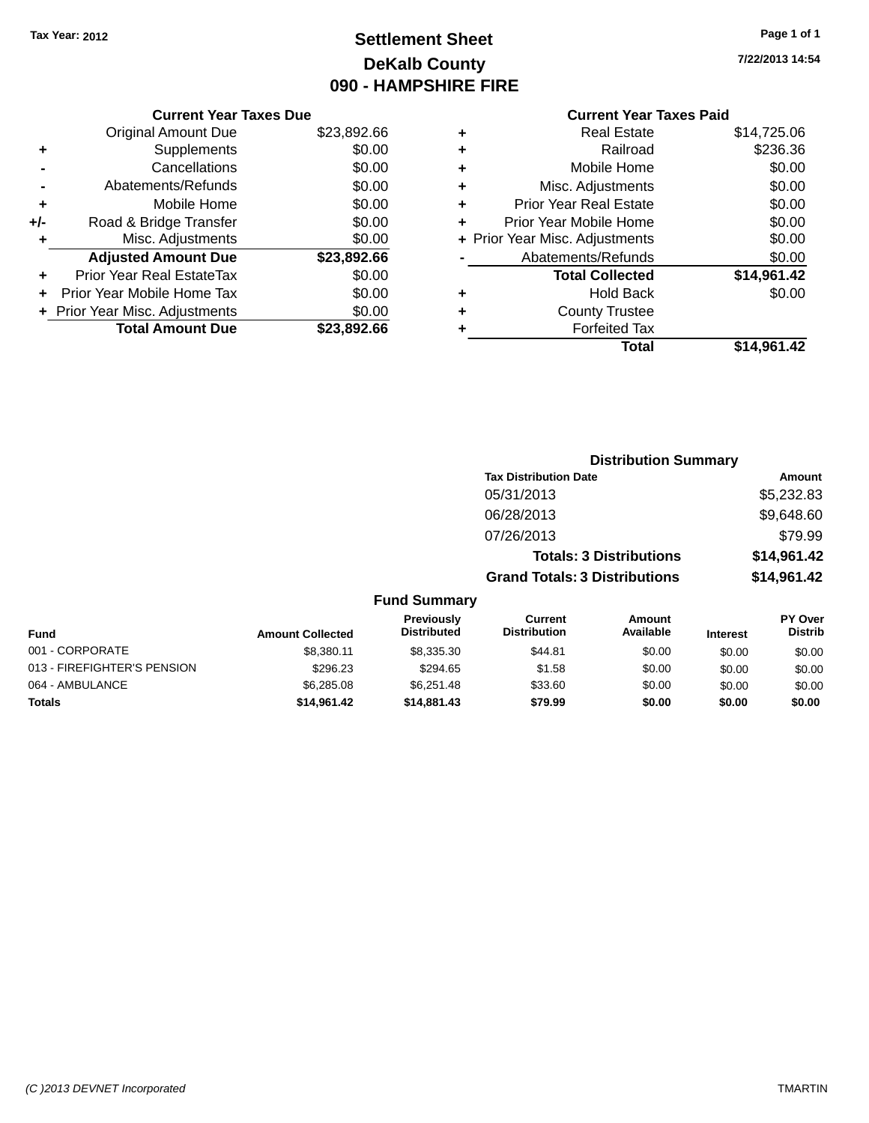### **Settlement Sheet Tax Year: 2012 Page 1 of 1 DeKalb County 090 - HAMPSHIRE FIRE**

**7/22/2013 14:54**

|     | <b>Current Year Taxes Due</b>  |             |
|-----|--------------------------------|-------------|
|     | <b>Original Amount Due</b>     | \$23,892.66 |
| ÷   | Supplements                    | \$0.00      |
|     | Cancellations                  | \$0.00      |
|     | Abatements/Refunds             | \$0.00      |
| ٠   | Mobile Home                    | \$0.00      |
| +/- | Road & Bridge Transfer         | \$0.00      |
|     | Misc. Adjustments              | \$0.00      |
|     | <b>Adjusted Amount Due</b>     | \$23,892.66 |
| ٠   | Prior Year Real EstateTax      | \$0.00      |
|     | Prior Year Mobile Home Tax     | \$0.00      |
|     | + Prior Year Misc. Adjustments | \$0.00      |
|     | <b>Total Amount Due</b>        | \$23,892.66 |
|     |                                |             |

|   | <b>Real Estate</b>             | \$14,725.06 |
|---|--------------------------------|-------------|
| ٠ | Railroad                       | \$236.36    |
| ٠ | Mobile Home                    | \$0.00      |
| ٠ | Misc. Adjustments              | \$0.00      |
| ٠ | <b>Prior Year Real Estate</b>  | \$0.00      |
| ÷ | Prior Year Mobile Home         | \$0.00      |
|   | + Prior Year Misc. Adjustments | \$0.00      |
|   | Abatements/Refunds             | \$0.00      |
|   | <b>Total Collected</b>         | \$14,961.42 |
| ٠ | Hold Back                      | \$0.00      |
| ٠ | <b>County Trustee</b>          |             |
| ٠ | <b>Forfeited Tax</b>           |             |
|   | Total                          | \$14,961.42 |
|   |                                |             |

|                                         |                                       | <b>Distribution Summary</b>    |                                                     |  |
|-----------------------------------------|---------------------------------------|--------------------------------|-----------------------------------------------------|--|
|                                         | <b>Tax Distribution Date</b>          |                                | Amount                                              |  |
|                                         | 05/31/2013                            |                                | \$5,232.83                                          |  |
|                                         | 06/28/2013                            |                                | \$9,648.60                                          |  |
|                                         | 07/26/2013                            |                                | \$79.99                                             |  |
|                                         |                                       | <b>Totals: 3 Distributions</b> | \$14,961.42                                         |  |
|                                         | <b>Grand Totals: 3 Distributions</b>  |                                | \$14,961.42                                         |  |
| <b>Fund Summary</b>                     |                                       |                                |                                                     |  |
| <b>Previously</b><br><b>Dictributad</b> | <b>Current</b><br><b>Distribution</b> | Amount<br>Availahla            | <b>PY Over</b><br><b>Dictrib</b><br>$1 - 1 - 1 - 1$ |  |

| <b>Fund</b>                 | <b>Amount Collected</b> | <b>Previously</b><br><b>Distributed</b> | uurrent<br><b>Distribution</b> | Amount<br>Available | <b>Interest</b> | <b>PT OVER</b><br><b>Distrib</b> |
|-----------------------------|-------------------------|-----------------------------------------|--------------------------------|---------------------|-----------------|----------------------------------|
| 001 - CORPORATE             | \$8.380.11              | \$8,335,30                              | \$44.81                        | \$0.00              | \$0.00          | \$0.00                           |
| 013 - FIREFIGHTER'S PENSION | \$296.23                | \$294.65                                | \$1.58                         | \$0.00              | \$0.00          | \$0.00                           |
| 064 - AMBULANCE             | \$6,285,08              | \$6.251.48                              | \$33.60                        | \$0.00              | \$0.00          | \$0.00                           |
| <b>Totals</b>               | \$14,961.42             | \$14,881,43                             | \$79.99                        | \$0.00              | \$0.00          | \$0.00                           |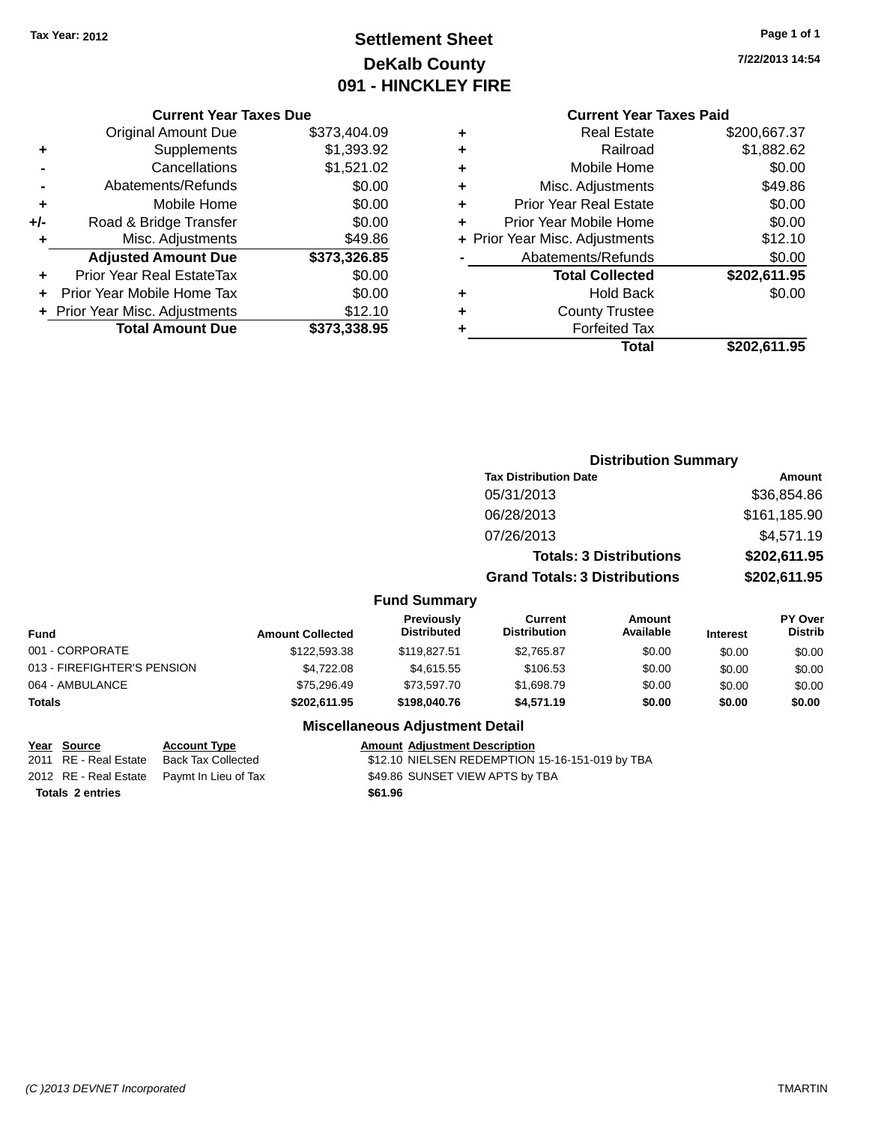## **Settlement Sheet Tax Year: 2012 Page 1 of 1 DeKalb County 091 - HINCKLEY FIRE**

**7/22/2013 14:54**

### **Current Year Taxes Paid**

|       | <b>Current Year Taxes Due</b>  |              |  |  |  |
|-------|--------------------------------|--------------|--|--|--|
|       | <b>Original Amount Due</b>     | \$373,404.09 |  |  |  |
| ٠     | Supplements                    | \$1,393.92   |  |  |  |
|       | Cancellations                  | \$1,521.02   |  |  |  |
|       | Abatements/Refunds             | \$0.00       |  |  |  |
| ٠     | Mobile Home                    | \$0.00       |  |  |  |
| $+/-$ | Road & Bridge Transfer         | \$0.00       |  |  |  |
| ٠     | Misc. Adjustments              | \$49.86      |  |  |  |
|       | <b>Adjusted Amount Due</b>     | \$373,326.85 |  |  |  |
| ÷     | Prior Year Real EstateTax      | \$0.00       |  |  |  |
|       | Prior Year Mobile Home Tax     | \$0.00       |  |  |  |
|       | + Prior Year Misc. Adjustments | \$12.10      |  |  |  |
|       | <b>Total Amount Due</b>        | \$373.338.95 |  |  |  |
|       |                                |              |  |  |  |

| ٠ | <b>Real Estate</b>             | \$200,667.37 |
|---|--------------------------------|--------------|
| ٠ | Railroad                       | \$1,882.62   |
| ٠ | Mobile Home                    | \$0.00       |
| ٠ | Misc. Adjustments              | \$49.86      |
| ٠ | <b>Prior Year Real Estate</b>  | \$0.00       |
| ÷ | Prior Year Mobile Home         | \$0.00       |
|   | + Prior Year Misc. Adjustments | \$12.10      |
|   | Abatements/Refunds             | \$0.00       |
|   | <b>Total Collected</b>         | \$202,611.95 |
| ٠ | <b>Hold Back</b>               | \$0.00       |
| ٠ | <b>County Trustee</b>          |              |
| ٠ | <b>Forfeited Tax</b>           |              |
|   | Total                          | \$202,611.95 |
|   |                                |              |

|                             |                         |                                  | <b>Distribution Summary</b>           |                                |                 |                           |
|-----------------------------|-------------------------|----------------------------------|---------------------------------------|--------------------------------|-----------------|---------------------------|
|                             |                         |                                  | <b>Tax Distribution Date</b>          |                                |                 | Amount                    |
|                             |                         |                                  | 05/31/2013                            |                                |                 | \$36,854.86               |
|                             |                         |                                  | 06/28/2013                            |                                |                 | \$161,185.90              |
|                             |                         |                                  | 07/26/2013                            |                                |                 | \$4,571.19                |
|                             |                         |                                  |                                       | <b>Totals: 3 Distributions</b> |                 | \$202,611.95              |
|                             |                         |                                  | <b>Grand Totals: 3 Distributions</b>  |                                |                 | \$202,611.95              |
|                             |                         | <b>Fund Summary</b>              |                                       |                                |                 |                           |
| <b>Fund</b>                 | <b>Amount Collected</b> | Previously<br><b>Distributed</b> | <b>Current</b><br><b>Distribution</b> | <b>Amount</b><br>Available     | <b>Interest</b> | PY Over<br><b>Distrib</b> |
| 001 - CORPORATE             | \$122,593.38            | \$119,827.51                     | \$2,765.87                            | \$0.00                         | \$0.00          | \$0.00                    |
| 013 - FIREFIGHTER'S PENSION | \$4,722.08              | \$4,615.55                       | \$106.53                              | \$0.00                         | \$0.00          | \$0.00                    |
| 064 - AMBULANCE             | \$75,296.49             | \$73,597.70                      | \$1,698.79                            | \$0.00                         | \$0.00          | \$0.00                    |
| <b>Totals</b>               | \$202,611.95            | \$198,040.76                     | \$4,571.19                            | \$0.00                         | \$0.00          | \$0.00                    |

### **Miscellaneous Adjustment Detail**

#### **Year** Source **Account Type Account Adjustment Description**

2011 RE - Real Estate Back Tax Collected \$12.10 NIELSEN REDEMPTION 15-16-151-019 by TBA 2012 RE - Real Estate Paymt In Lieu of Tax \$49.86 SUNSET VIEW APTS by TBA

*(C )2013 DEVNET Incorporated* TMARTIN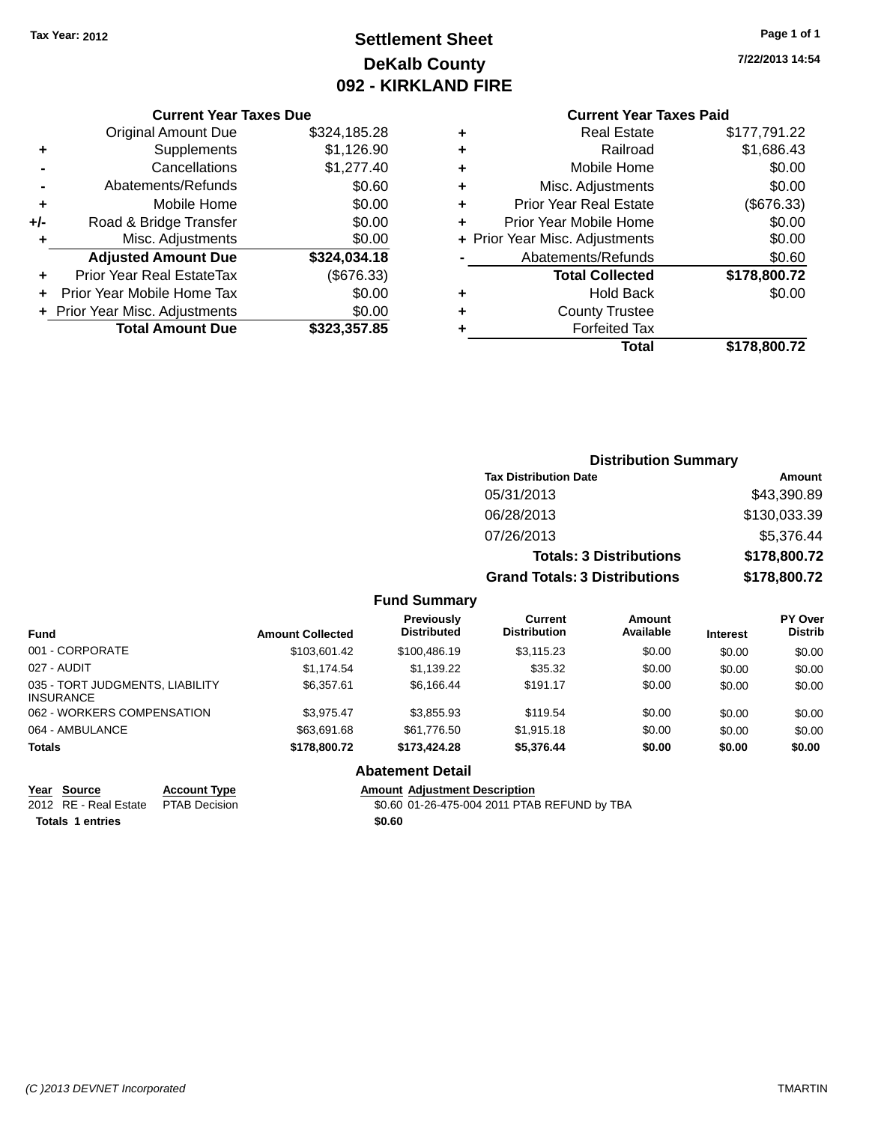### **Settlement Sheet Tax Year: 2012 Page 1 of 1 DeKalb County 092 - KIRKLAND FIRE**

**7/22/2013 14:54**

### **Current Year Taxes Due**

|       | <b>Original Amount Due</b>     | \$324,185.28 |
|-------|--------------------------------|--------------|
| ٠     | Supplements                    | \$1,126.90   |
|       | Cancellations                  | \$1,277.40   |
|       | Abatements/Refunds             | \$0.60       |
| ٠     | Mobile Home                    | \$0.00       |
| $+/-$ | Road & Bridge Transfer         | \$0.00       |
| ٠     | Misc. Adjustments              | \$0.00       |
|       | <b>Adjusted Amount Due</b>     | \$324,034.18 |
|       | Prior Year Real EstateTax      | (\$676.33)   |
|       | Prior Year Mobile Home Tax     | \$0.00       |
|       | + Prior Year Misc. Adjustments | \$0.00       |
|       | <b>Total Amount Due</b>        | \$323,357.85 |

### **Current Year Taxes Paid**

|   | Real Estate                    | \$177,791.22 |
|---|--------------------------------|--------------|
| ÷ | Railroad                       | \$1,686.43   |
| ٠ | Mobile Home                    | \$0.00       |
| ٠ | Misc. Adjustments              | \$0.00       |
| ٠ | <b>Prior Year Real Estate</b>  | (\$676.33)   |
| ٠ | Prior Year Mobile Home         | \$0.00       |
|   | + Prior Year Misc. Adjustments | \$0.00       |
|   | Abatements/Refunds             | \$0.60       |
|   | <b>Total Collected</b>         | \$178,800.72 |
| ٠ | <b>Hold Back</b>               | \$0.00       |
| ٠ | <b>County Trustee</b>          |              |
| ٠ | <b>Forfeited Tax</b>           |              |
|   | Total                          | \$178,800.72 |
|   |                                |              |

### **Distribution Summary Tax Distribution Date Amount** 05/31/2013 \$43,390.89 06/28/2013 \$130,033.39 07/26/2013 \$5,376.44 **Totals: 3 Distributions \$178,800.72 Grand Totals: 3 Distributions \$178,800.72**

#### **Fund Summary**

| <b>Fund</b>                                         | <b>Amount Collected</b> | Previously<br><b>Distributed</b> | <b>Current</b><br><b>Distribution</b> | Amount<br>Available | <b>Interest</b> | PY Over<br><b>Distrib</b> |
|-----------------------------------------------------|-------------------------|----------------------------------|---------------------------------------|---------------------|-----------------|---------------------------|
| 001 - CORPORATE                                     | \$103,601.42            | \$100.486.19                     | \$3,115.23                            | \$0.00              | \$0.00          | \$0.00                    |
| 027 - AUDIT                                         | \$1.174.54              | \$1,139.22                       | \$35.32                               | \$0.00              | \$0.00          | \$0.00                    |
| 035 - TORT JUDGMENTS, LIABILITY<br><b>INSURANCE</b> | \$6,357.61              | \$6,166.44                       | \$191.17                              | \$0.00              | \$0.00          | \$0.00                    |
| 062 - WORKERS COMPENSATION                          | \$3.975.47              | \$3.855.93                       | \$119.54                              | \$0.00              | \$0.00          | \$0.00                    |
| 064 - AMBULANCE                                     | \$63,691,68             | \$61,776.50                      | \$1,915.18                            | \$0.00              | \$0.00          | \$0.00                    |
| <b>Totals</b>                                       | \$178,800.72            | \$173,424,28                     | \$5,376.44                            | \$0.00              | \$0.00          | \$0.00                    |

### **Abatement Detail**

**Year** Source **Account Type Account Adjustment Description** 

2012 RE - Real Estate PTAB Decision \$0.60 01-26-475-004 2011 PTAB REFUND by TBA **Totals 1 entries \$0.60**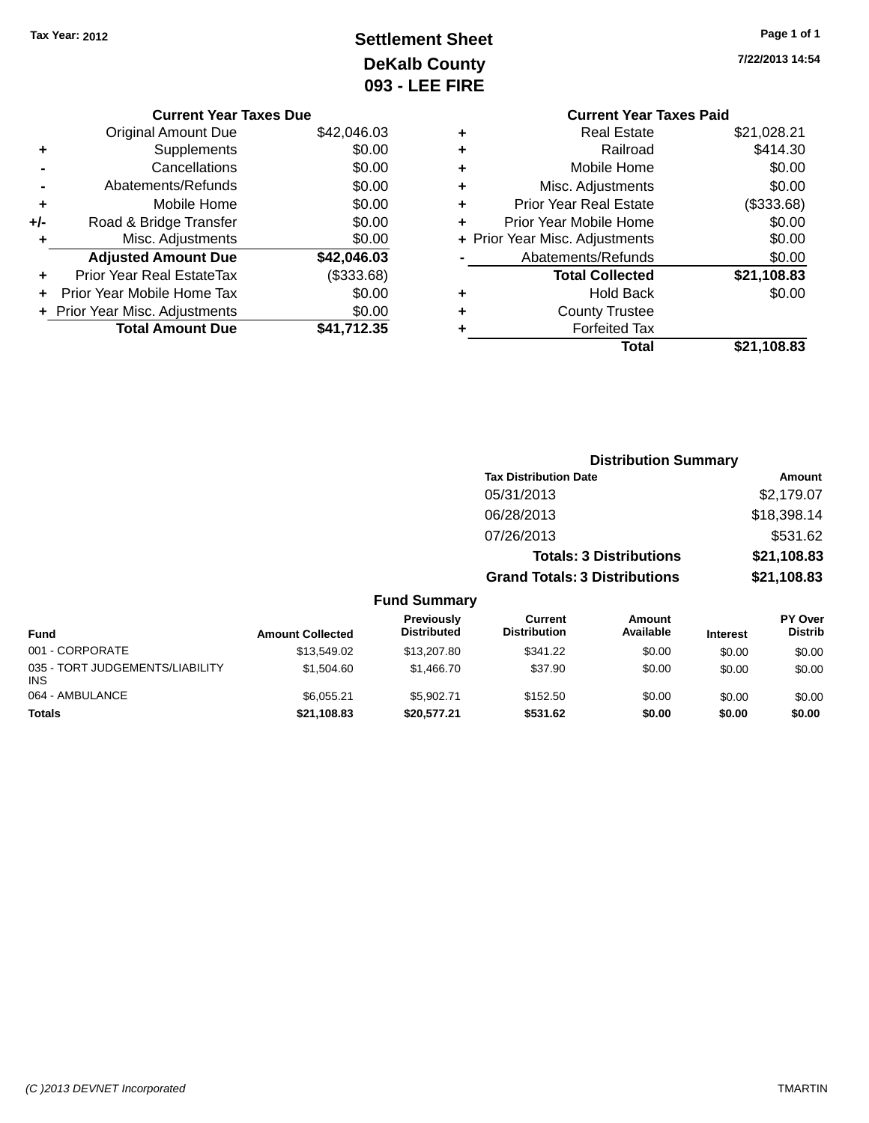## **Settlement Sheet Tax Year: 2012 Page 1 of 1 DeKalb County 093 - LEE FIRE**

| Page 1 of 1 |  |  |
|-------------|--|--|
|             |  |  |

**7/22/2013 14:54**

|   | <b>Current Year Taxes Paid</b> |             |
|---|--------------------------------|-------------|
| ٠ | <b>Real Estate</b>             | \$21,028.21 |
| ٠ | Railroad                       | \$414.30    |
| ٠ | Mobile Home                    | \$0.00      |
| ٠ | Misc. Adjustments              | \$0.00      |
| ٠ | Prior Year Real Estate         | (\$333.68)  |
| ٠ | Prior Year Mobile Home         | \$0.00      |
|   | + Prior Year Misc. Adjustments | \$0.00      |
|   | Abatements/Refunds             | \$0.00      |
|   | <b>Total Collected</b>         | \$21,108.83 |
| ٠ | <b>Hold Back</b>               | \$0.00      |
|   | <b>County Trustee</b>          |             |
|   | <b>Forfeited Tax</b>           |             |
|   | Total                          | \$21.108.83 |
|   |                                |             |

|     | <b>Current Year Taxes Due</b>  |             |
|-----|--------------------------------|-------------|
|     | <b>Original Amount Due</b>     | \$42,046.03 |
| ٠   | Supplements                    | \$0.00      |
|     | Cancellations                  | \$0.00      |
|     | Abatements/Refunds             | \$0.00      |
| ٠   | Mobile Home                    | \$0.00      |
| +/- | Road & Bridge Transfer         | \$0.00      |
| ٠   | Misc. Adjustments              | \$0.00      |
|     | <b>Adjusted Amount Due</b>     | \$42,046.03 |
| ٠   | Prior Year Real EstateTax      | (\$333.68)  |
|     | Prior Year Mobile Home Tax     | \$0.00      |
|     | + Prior Year Misc. Adjustments | \$0.00      |
|     | <b>Total Amount Due</b>        | \$41,712.35 |
|     |                                |             |

|                         |                                         | <b>Distribution Summary</b>           |                                |                 |                                  |  |
|-------------------------|-----------------------------------------|---------------------------------------|--------------------------------|-----------------|----------------------------------|--|
|                         |                                         | <b>Tax Distribution Date</b>          |                                |                 | Amount                           |  |
|                         |                                         | 05/31/2013                            |                                |                 | \$2,179.07                       |  |
|                         |                                         | 06/28/2013                            |                                |                 | \$18,398.14                      |  |
|                         |                                         | 07/26/2013                            |                                |                 | \$531.62                         |  |
|                         |                                         |                                       | <b>Totals: 3 Distributions</b> |                 | \$21,108.83                      |  |
|                         |                                         | <b>Grand Totals: 3 Distributions</b>  |                                |                 | \$21,108.83                      |  |
|                         | <b>Fund Summary</b>                     |                                       |                                |                 |                                  |  |
| <b>Amount Collected</b> | <b>Previously</b><br><b>Distributed</b> | <b>Current</b><br><b>Distribution</b> | Amount<br>Available            | <b>Interest</b> | <b>PY Over</b><br><b>Distrib</b> |  |
| \$1354902               | \$13,207,80                             | \$341.22                              | .SO 00                         | ደሰ ሰሰ           | ፍስ ሰሰ                            |  |

| <b>Fund</b>                                   | <b>Amount Collected</b> | <b>Previously</b><br><b>Distributed</b> | Current<br><b>Distribution</b> | Amount<br>Available | <b>Interest</b> | <b>PY Over</b><br><b>Distrib</b> |
|-----------------------------------------------|-------------------------|-----------------------------------------|--------------------------------|---------------------|-----------------|----------------------------------|
| 001 - CORPORATE                               | \$13,549.02             | \$13,207.80                             | \$341.22                       | \$0.00              | \$0.00          | \$0.00                           |
| 035 - TORT JUDGEMENTS/LIABILITY<br><b>INS</b> | \$1.504.60              | \$1,466.70                              | \$37.90                        | \$0.00              | \$0.00          | \$0.00                           |
| 064 - AMBULANCE                               | \$6.055.21              | \$5.902.71                              | \$152.50                       | \$0.00              | \$0.00          | \$0.00                           |
| <b>Totals</b>                                 | \$21,108.83             | \$20,577.21                             | \$531.62                       | \$0.00              | \$0.00          | \$0.00                           |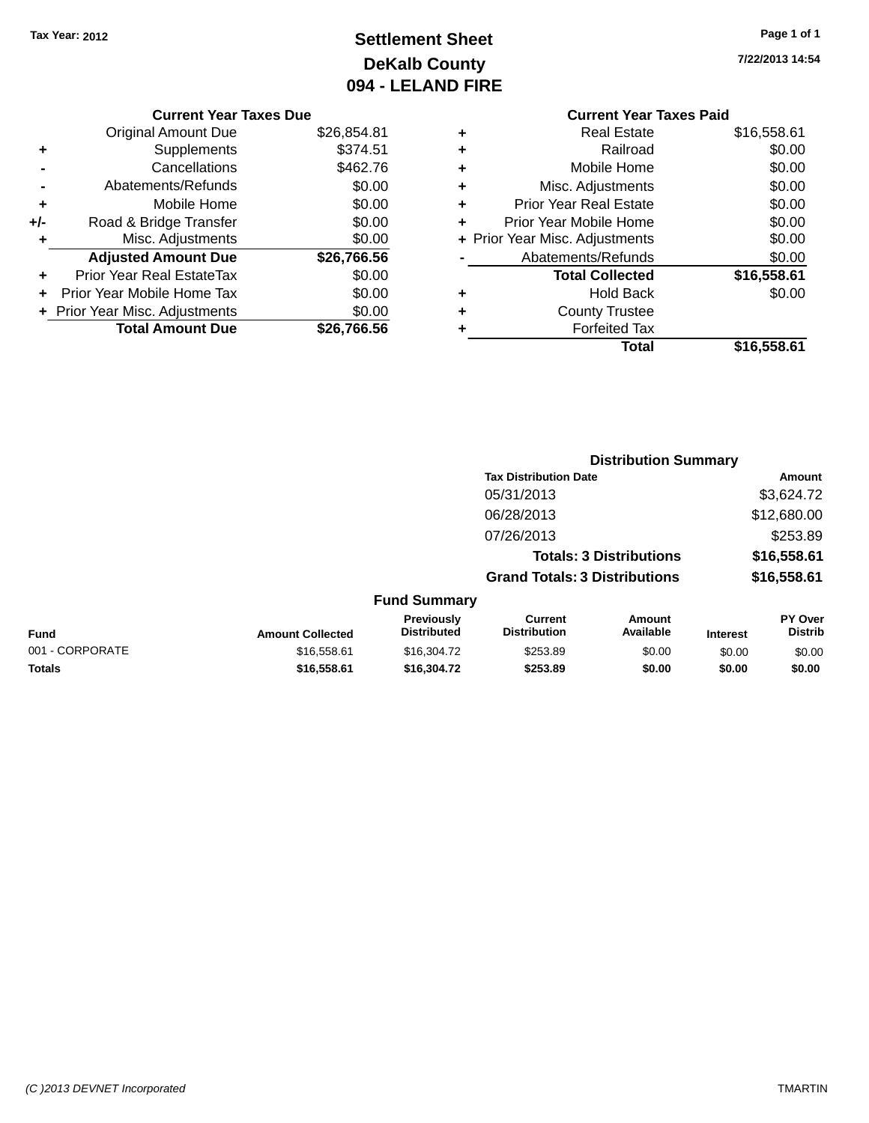## **Settlement Sheet Tax Year: 2012 Page 1 of 1 DeKalb County 094 - LELAND FIRE**

**7/22/2013 14:54**

### **Current Year Taxes Due**

|       | <b>Original Amount Due</b>       | \$26,854.81 |
|-------|----------------------------------|-------------|
|       | Supplements                      | \$374.51    |
|       | Cancellations                    | \$462.76    |
|       | Abatements/Refunds               | \$0.00      |
| ٠     | Mobile Home                      | \$0.00      |
| $+/-$ | Road & Bridge Transfer           | \$0.00      |
| ٠     | Misc. Adjustments                | \$0.00      |
|       | <b>Adjusted Amount Due</b>       | \$26,766.56 |
|       | <b>Prior Year Real EstateTax</b> | \$0.00      |
|       | Prior Year Mobile Home Tax       | \$0.00      |
|       | + Prior Year Misc. Adjustments   | \$0.00      |
|       | <b>Total Amount Due</b>          | \$26,766.56 |

### **Current Year Taxes Paid +** Real Estate \$16,558.61 **+** Railroad \$0.00 **+** Mobile Home \$0.00 **+** Misc. Adjustments \$0.00 **+** Prior Year Real Estate \$0.00 **+** Prior Year Mobile Home \$0.00 **+ Prior Year Misc. Adjustments**  $$0.00$ **-** Abatements/Refunds \$0.00 **Total Collected \$16,558.61 +** Hold Back \$0.00 **+** County Trustee **+** Forfeited Tax **Total \$16,558.61**

|                 |                         |                                  | <b>Distribution Summary</b>           |                                |                 |                           |
|-----------------|-------------------------|----------------------------------|---------------------------------------|--------------------------------|-----------------|---------------------------|
|                 |                         |                                  | <b>Tax Distribution Date</b>          |                                |                 | <b>Amount</b>             |
|                 |                         |                                  | 05/31/2013                            |                                |                 | \$3,624.72                |
|                 |                         |                                  | 06/28/2013                            |                                |                 | \$12,680.00               |
|                 |                         |                                  | 07/26/2013                            |                                |                 | \$253.89                  |
|                 |                         |                                  |                                       | <b>Totals: 3 Distributions</b> |                 | \$16,558.61               |
|                 |                         |                                  | <b>Grand Totals: 3 Distributions</b>  |                                |                 | \$16,558.61               |
|                 |                         | <b>Fund Summary</b>              |                                       |                                |                 |                           |
| <b>Fund</b>     | <b>Amount Collected</b> | Previously<br><b>Distributed</b> | <b>Current</b><br><b>Distribution</b> | Amount<br>Available            | <b>Interest</b> | PY Over<br><b>Distrib</b> |
| 001 - CORPORATE | \$16,558.61             | \$16,304.72                      | \$253.89                              | \$0.00                         | \$0.00          | \$0.00                    |
| <b>Totals</b>   | \$16,558.61             | \$16,304.72                      | \$253.89                              | \$0.00                         | \$0.00          | \$0.00                    |
|                 |                         |                                  |                                       |                                |                 |                           |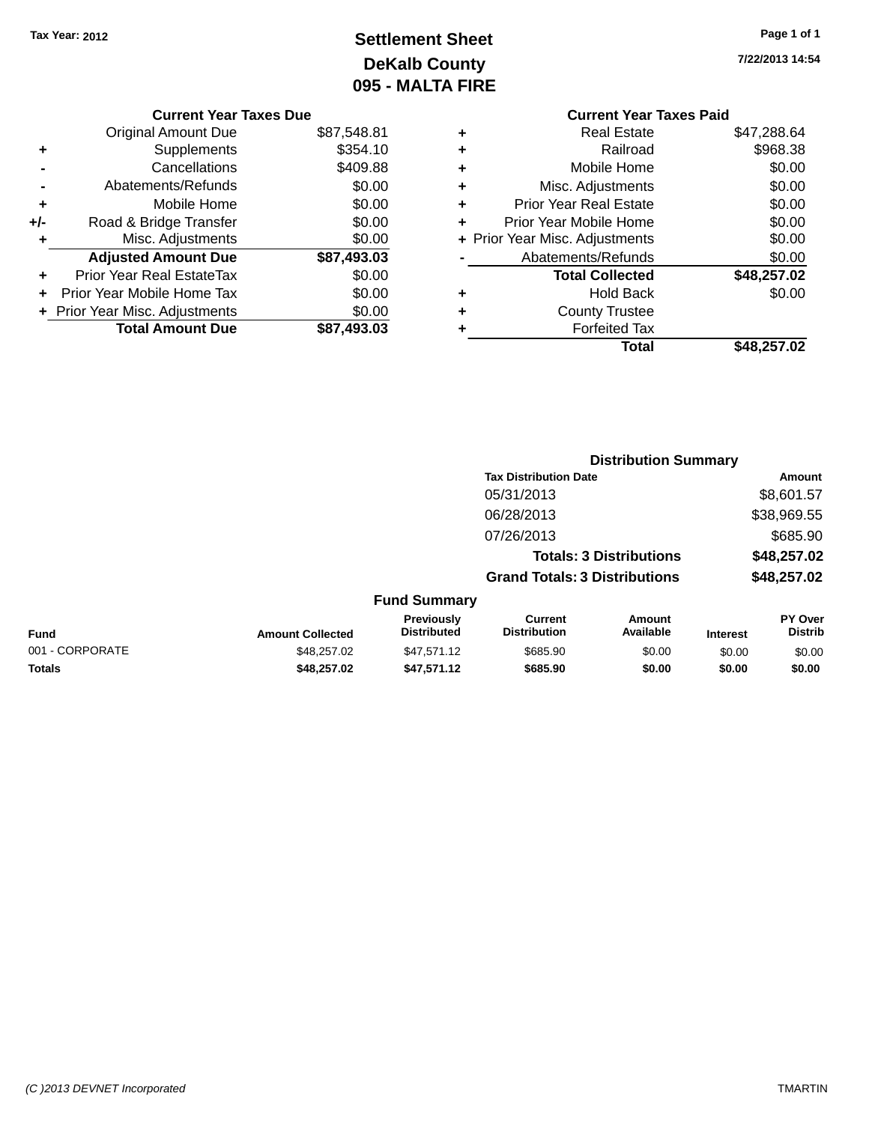## **Settlement Sheet Tax Year: 2012 Page 1 of 1 DeKalb County 095 - MALTA FIRE**

**7/22/2013 14:54**

| <b>Current Year Taxes Due</b>  |             |
|--------------------------------|-------------|
| <b>Original Amount Due</b>     | \$87,548.81 |
| Supplements                    | \$354.10    |
| Cancellations                  | \$409.88    |
| Abatements/Refunds             | \$0.00      |
| Mobile Home                    | \$0.00      |
| Road & Bridge Transfer         | \$0.00      |
| Misc. Adjustments              | \$0.00      |
| <b>Adjusted Amount Due</b>     | \$87,493.03 |
| Prior Year Real EstateTax      | \$0.00      |
|                                |             |
| Prior Year Mobile Home Tax     | \$0.00      |
| + Prior Year Misc. Adjustments | \$0.00      |
|                                |             |

|   | <b>Current Year Taxes Paid</b> |             |
|---|--------------------------------|-------------|
| ٠ | <b>Real Estate</b>             | \$47,288.64 |
| ٠ | Railroad                       | \$968.38    |
| ٠ | Mobile Home                    | \$0.00      |
| ٠ | Misc. Adjustments              | \$0.00      |
| ٠ | <b>Prior Year Real Estate</b>  | \$0.00      |
| ٠ | Prior Year Mobile Home         | \$0.00      |
|   | + Prior Year Misc. Adjustments | \$0.00      |
|   | Abatements/Refunds             | \$0.00      |
|   | <b>Total Collected</b>         | \$48,257.02 |
| ٠ | <b>Hold Back</b>               | \$0.00      |
|   | <b>County Trustee</b>          |             |
| ٠ | <b>Forfeited Tax</b>           |             |
|   | Total                          | \$48,257.02 |
|   |                                |             |

|                 |                         |                                         |                                       | <b>Distribution Summary</b>    |                 |                           |
|-----------------|-------------------------|-----------------------------------------|---------------------------------------|--------------------------------|-----------------|---------------------------|
|                 |                         |                                         | <b>Tax Distribution Date</b>          |                                |                 | <b>Amount</b>             |
|                 |                         |                                         | 05/31/2013                            |                                |                 | \$8,601.57                |
|                 |                         |                                         | 06/28/2013                            |                                |                 | \$38,969.55               |
|                 |                         |                                         | 07/26/2013                            |                                |                 | \$685.90                  |
|                 |                         |                                         |                                       | <b>Totals: 3 Distributions</b> |                 | \$48,257.02               |
|                 |                         |                                         | <b>Grand Totals: 3 Distributions</b>  |                                | \$48,257.02     |                           |
|                 |                         | <b>Fund Summary</b>                     |                                       |                                |                 |                           |
| <b>Fund</b>     | <b>Amount Collected</b> | <b>Previously</b><br><b>Distributed</b> | <b>Current</b><br><b>Distribution</b> | Amount<br>Available            | <b>Interest</b> | PY Over<br><b>Distrib</b> |
| 001 - CORPORATE | \$48,257.02             | \$47,571.12                             | \$685.90                              | \$0.00                         | \$0.00          | \$0.00                    |
| Totals          | \$48,257.02             | \$47,571.12                             | \$685.90                              | \$0.00                         | \$0.00          | \$0.00                    |
|                 |                         |                                         |                                       |                                |                 |                           |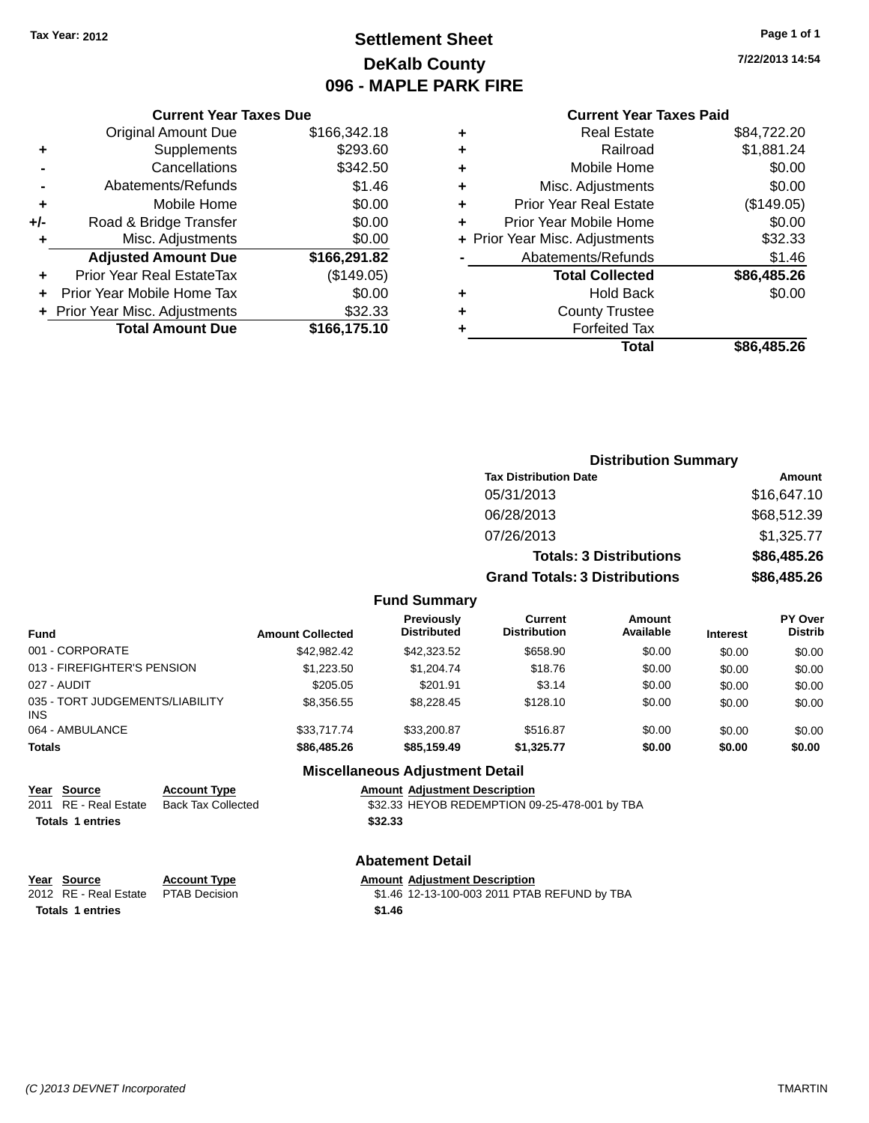### **Settlement Sheet Tax Year: 2012 Page 1 of 1 DeKalb County 096 - MAPLE PARK FIRE**

**7/22/2013 14:54**

|     | <b>Current Year Taxes Due</b>  |              |  |  |  |  |  |
|-----|--------------------------------|--------------|--|--|--|--|--|
|     | <b>Original Amount Due</b>     | \$166,342.18 |  |  |  |  |  |
| ٠   | Supplements                    | \$293.60     |  |  |  |  |  |
|     | Cancellations                  | \$342.50     |  |  |  |  |  |
|     | Abatements/Refunds             | \$1.46       |  |  |  |  |  |
| ٠   | Mobile Home                    | \$0.00       |  |  |  |  |  |
| +/- | Road & Bridge Transfer         | \$0.00       |  |  |  |  |  |
| ٠   | Misc. Adjustments              | \$0.00       |  |  |  |  |  |
|     | <b>Adjusted Amount Due</b>     | \$166,291.82 |  |  |  |  |  |
| ٠   | Prior Year Real EstateTax      | (\$149.05)   |  |  |  |  |  |
|     | Prior Year Mobile Home Tax     | \$0.00       |  |  |  |  |  |
|     | + Prior Year Misc. Adjustments | \$32.33      |  |  |  |  |  |
|     | <b>Total Amount Due</b>        | \$166,175.10 |  |  |  |  |  |
|     |                                |              |  |  |  |  |  |

### **Current Year Taxes Paid**

| ٠ | <b>Real Estate</b>             | \$84,722.20 |
|---|--------------------------------|-------------|
| ٠ | Railroad                       | \$1,881.24  |
| ٠ | Mobile Home                    | \$0.00      |
| ٠ | Misc. Adjustments              | \$0.00      |
| ٠ | <b>Prior Year Real Estate</b>  | (\$149.05)  |
| ٠ | Prior Year Mobile Home         | \$0.00      |
|   | + Prior Year Misc. Adjustments | \$32.33     |
|   | Abatements/Refunds             | \$1.46      |
|   | <b>Total Collected</b>         | \$86,485.26 |
| ٠ | <b>Hold Back</b>               | \$0.00      |
| ٠ | <b>County Trustee</b>          |             |
| ٠ | <b>Forfeited Tax</b>           |             |
|   | Total                          | \$86,485,26 |
|   |                                |             |

#### **Distribution Summary Tax Distribution Date Amount** 05/31/2013 \$16,647.10 06/28/2013 \$68,512.39 07/26/2013 \$1,325.77 **Totals: 3 Distributions \$86,485.26 Grand Totals: 3 Distributions \$86,485.26 Fund Summary PY Over Distrib Amount Available Current Distribution Previously**

| <b>Fund</b>                                   | <b>Amount Collected</b> | <b>Previously</b><br><b>Distributed</b> | Current<br><b>Distribution</b> | Amount<br>Available | <b>Interest</b> | <b>PY Over</b><br><b>Distrib</b> |
|-----------------------------------------------|-------------------------|-----------------------------------------|--------------------------------|---------------------|-----------------|----------------------------------|
| 001 - CORPORATE                               | \$42,982.42             | \$42,323.52                             | \$658.90                       | \$0.00              | \$0.00          | \$0.00                           |
| 013 - FIREFIGHTER'S PENSION                   | \$1,223.50              | \$1,204.74                              | \$18.76                        | \$0.00              | \$0.00          | \$0.00                           |
| 027 - AUDIT                                   | \$205.05                | \$201.91                                | \$3.14                         | \$0.00              | \$0.00          | \$0.00                           |
| 035 - TORT JUDGEMENTS/LIABILITY<br><b>INS</b> | \$8,356.55              | \$8,228,45                              | \$128.10                       | \$0.00              | \$0.00          | \$0.00                           |
| 064 - AMBULANCE                               | \$33,717,74             | \$33,200.87                             | \$516.87                       | \$0.00              | \$0.00          | \$0.00                           |
| Totals                                        | \$86,485,26             | \$85,159,49                             | \$1.325.77                     | \$0.00              | \$0.00          | \$0.00                           |
|                                               |                         | <b>Miscellaneous Adjustment Detail</b>  |                                |                     |                 |                                  |

### **Miscellaneous Adjustment Detail**

| <u>in the contract of the contract of the contract of the contract of the contract of the contract of the contract of the contract of the contract of the contract of the contract of the contract of the contract of the contra</u> | Year Source           | <b>Account Type</b> |         | <b>Amount Adiustment Description</b>          |
|--------------------------------------------------------------------------------------------------------------------------------------------------------------------------------------------------------------------------------------|-----------------------|---------------------|---------|-----------------------------------------------|
|                                                                                                                                                                                                                                      | 2011 RE - Real Estate | Back Tax Collected  |         | \$32.33 HEYOB REDEMPTION 09-25-478-001 by TBA |
|                                                                                                                                                                                                                                      | Totals 1 entries      |                     | \$32.33 |                                               |

#### **Abatement Detail**

#### **Year Source Account Type Amount Adjustment Description**

| 2012 RE - Real Estate PTAB Decision |        | \$1.46 12-13-100-003 2011 PTAB REFUND by TBA |  |
|-------------------------------------|--------|----------------------------------------------|--|
| Totals 1 entries                    | \$1.46 |                                              |  |

**Year Source**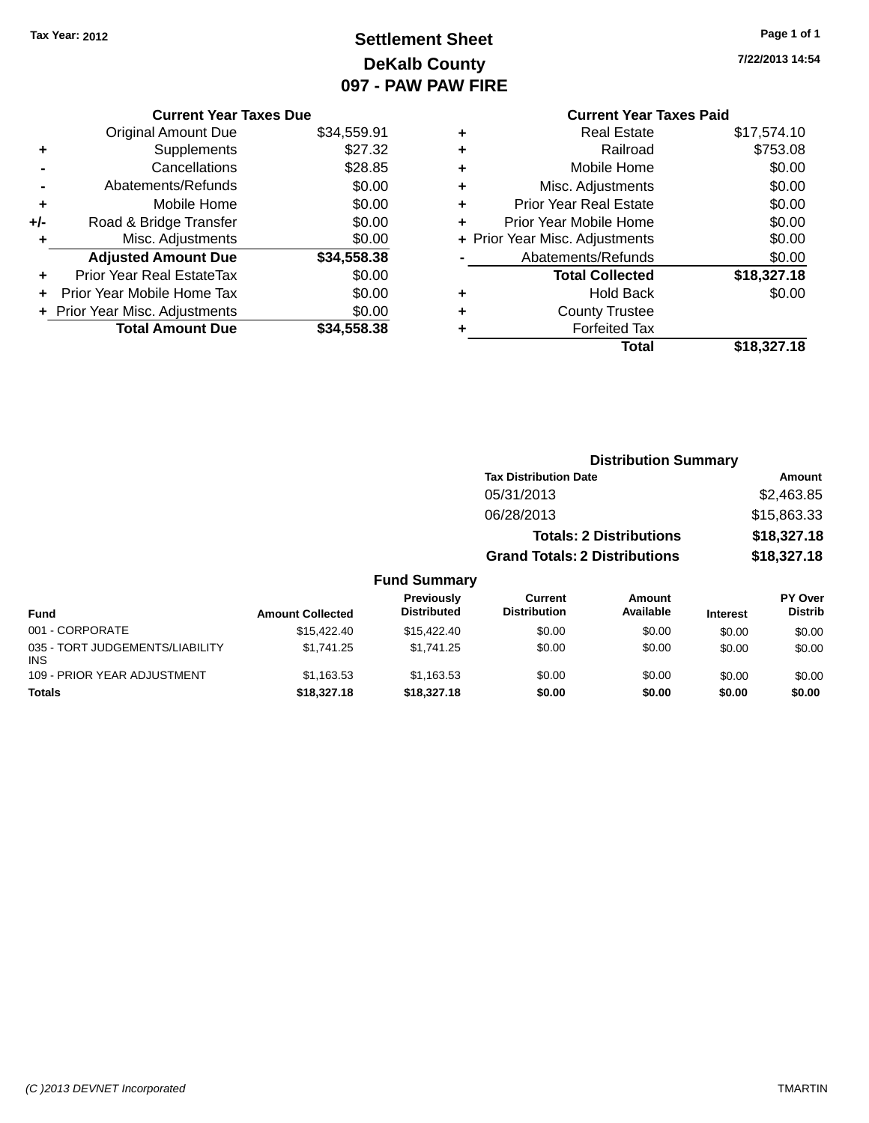### **Settlement Sheet Tax Year: 2012 Page 1 of 1 DeKalb County 097 - PAW PAW FIRE**

**7/22/2013 14:54**

|     | <b>Current Year Taxes Due</b>  |             |
|-----|--------------------------------|-------------|
|     | <b>Original Amount Due</b>     | \$34,559.91 |
| ٠   | Supplements                    | \$27.32     |
|     | Cancellations                  | \$28.85     |
|     | Abatements/Refunds             | \$0.00      |
| ٠   | Mobile Home                    | \$0.00      |
| +/- | Road & Bridge Transfer         | \$0.00      |
|     | Misc. Adjustments              | \$0.00      |
|     | <b>Adjusted Amount Due</b>     | \$34,558.38 |
| ٠   | Prior Year Real EstateTax      | \$0.00      |
|     | Prior Year Mobile Home Tax     | \$0.00      |
|     | + Prior Year Misc. Adjustments | \$0.00      |
|     | <b>Total Amount Due</b>        | \$34.558.38 |
|     |                                |             |

| ٠ | <b>Forfeited Tax</b>                |                       |
|---|-------------------------------------|-----------------------|
|   | <b>County Trustee</b>               |                       |
| ٠ | <b>Total Collected</b><br>Hold Back | \$18,327.18<br>\$0.00 |
|   | Abatements/Refunds                  | \$0.00                |
|   | + Prior Year Misc. Adjustments      | \$0.00                |
| ٠ | Prior Year Mobile Home              | \$0.00                |
| ٠ | <b>Prior Year Real Estate</b>       | \$0.00                |
| ٠ | Misc. Adjustments                   | \$0.00                |
| ٠ | Mobile Home                         | \$0.00                |
| ٠ | Railroad                            | \$753.08              |
| ÷ | <b>Real Estate</b>                  | \$17,574.10           |

|                                               |                         |                                  | <b>Distribution Summary</b>                                            |                     |                 |                           |
|-----------------------------------------------|-------------------------|----------------------------------|------------------------------------------------------------------------|---------------------|-----------------|---------------------------|
|                                               |                         |                                  | <b>Tax Distribution Date</b>                                           |                     |                 | Amount                    |
|                                               |                         |                                  | 05/31/2013                                                             |                     |                 | \$2,463.85                |
|                                               |                         |                                  | 06/28/2013                                                             |                     |                 | \$15,863.33               |
|                                               |                         |                                  | <b>Totals: 2 Distributions</b><br><b>Grand Totals: 2 Distributions</b> |                     |                 | \$18,327.18               |
|                                               |                         |                                  |                                                                        |                     | \$18,327.18     |                           |
|                                               |                         | <b>Fund Summary</b>              |                                                                        |                     |                 |                           |
| Fund                                          | <b>Amount Collected</b> | Previously<br><b>Distributed</b> | Current<br><b>Distribution</b>                                         | Amount<br>Available | <b>Interest</b> | PY Over<br><b>Distrib</b> |
| 001 - CORPORATE                               | \$15,422.40             | \$15,422.40                      | \$0.00                                                                 | \$0.00              | \$0.00          | \$0.00                    |
| 035 - TORT JUDGEMENTS/LIABILITY<br><b>INS</b> | \$1,741.25              | \$1,741.25                       | \$0.00                                                                 | \$0.00              | \$0.00          | \$0.00                    |
| 109 - PRIOR YEAR ADJUSTMENT                   | \$1,163.53              | \$1,163.53                       | \$0.00                                                                 | \$0.00              | \$0.00          | \$0.00                    |
| <b>Totals</b>                                 | \$18,327.18             | \$18,327.18                      | \$0.00                                                                 | \$0.00              | \$0.00          | \$0.00                    |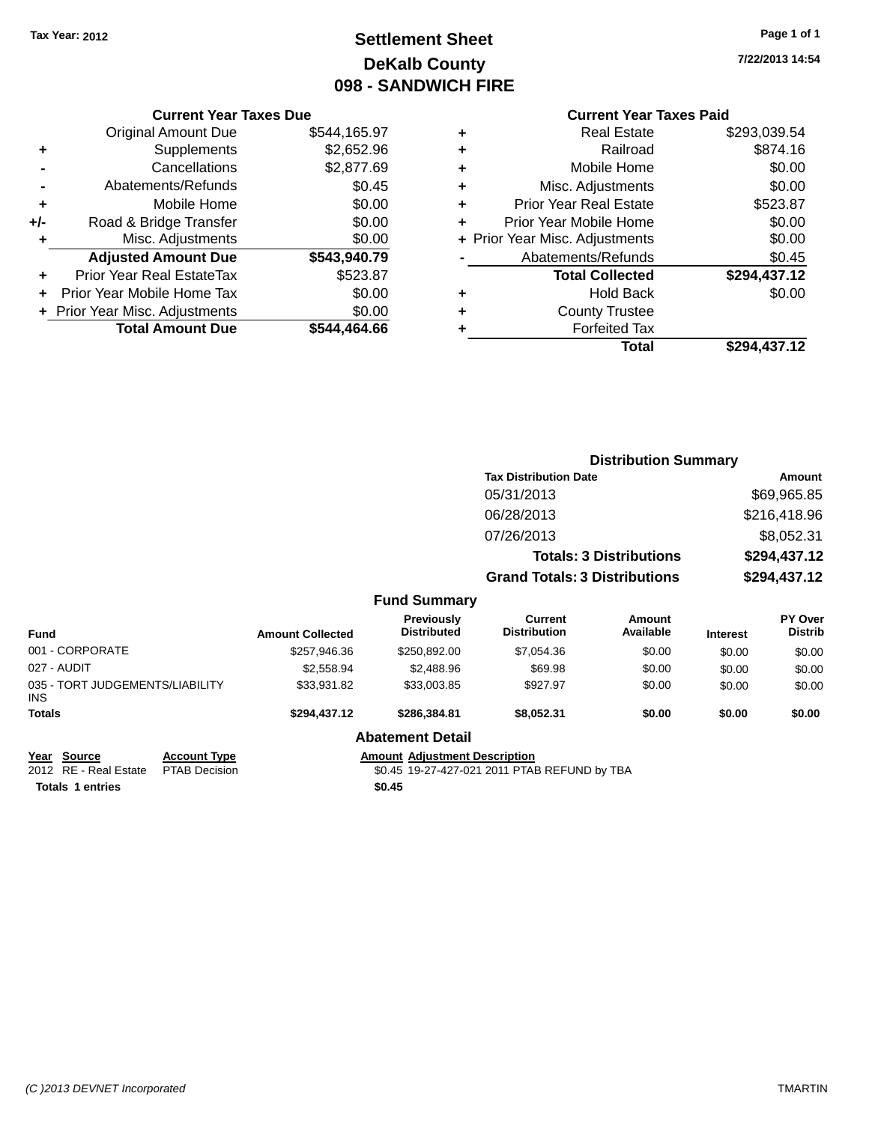### **Settlement Sheet Tax Year: 2012 Page 1 of 1 DeKalb County 098 - SANDWICH FIRE**

**7/22/2013 14:54**

### **Current Year Taxes Paid**

|     | <b>Current Year Taxes Due</b>    |              |
|-----|----------------------------------|--------------|
|     | <b>Original Amount Due</b>       | \$544,165.97 |
| ٠   | Supplements                      | \$2,652.96   |
|     | Cancellations                    | \$2,877.69   |
| -   | Abatements/Refunds               | \$0.45       |
| ٠   | Mobile Home                      | \$0.00       |
| +/- | Road & Bridge Transfer           | \$0.00       |
| ٠   | Misc. Adjustments                | \$0.00       |
|     | <b>Adjusted Amount Due</b>       | \$543,940.79 |
| ٠   | <b>Prior Year Real EstateTax</b> | \$523.87     |
|     | Prior Year Mobile Home Tax       | \$0.00       |
|     | + Prior Year Misc. Adjustments   | \$0.00       |
|     | <b>Total Amount Due</b>          | \$544.464.66 |
|     |                                  |              |

| ٠ | <b>Real Estate</b>             | \$293,039.54 |
|---|--------------------------------|--------------|
| ٠ | Railroad                       | \$874.16     |
| ٠ | Mobile Home                    | \$0.00       |
| ٠ | Misc. Adjustments              | \$0.00       |
| ٠ | <b>Prior Year Real Estate</b>  | \$523.87     |
| ٠ | Prior Year Mobile Home         | \$0.00       |
|   | + Prior Year Misc. Adjustments | \$0.00       |
|   | Abatements/Refunds             | \$0.45       |
|   | <b>Total Collected</b>         | \$294,437.12 |
| ٠ | <b>Hold Back</b>               | \$0.00       |
|   |                                |              |
| ٠ | <b>County Trustee</b>          |              |
| ٠ | <b>Forfeited Tax</b>           |              |
|   | Total                          | \$294,437.12 |

|                                                |                                      |                         |                                      | <b>Distribution Summary</b>                  |                                |                 |                           |
|------------------------------------------------|--------------------------------------|-------------------------|--------------------------------------|----------------------------------------------|--------------------------------|-----------------|---------------------------|
|                                                |                                      |                         |                                      | <b>Tax Distribution Date</b>                 |                                |                 | <b>Amount</b>             |
|                                                |                                      |                         |                                      | 05/31/2013                                   |                                |                 | \$69,965.85               |
|                                                |                                      |                         |                                      | 06/28/2013                                   |                                | \$216,418.96    |                           |
|                                                |                                      |                         |                                      | 07/26/2013                                   |                                | \$8,052.31      |                           |
|                                                |                                      |                         |                                      |                                              | <b>Totals: 3 Distributions</b> |                 | \$294,437.12              |
|                                                |                                      |                         |                                      | <b>Grand Totals: 3 Distributions</b>         |                                | \$294,437.12    |                           |
|                                                |                                      |                         | <b>Fund Summary</b>                  |                                              |                                |                 |                           |
| <b>Fund</b>                                    |                                      | <b>Amount Collected</b> | Previously<br><b>Distributed</b>     | <b>Current</b><br><b>Distribution</b>        | <b>Amount</b><br>Available     | <b>Interest</b> | PY Over<br><b>Distrib</b> |
| 001 - CORPORATE                                |                                      | \$257,946.36            | \$250,892.00                         | \$7,054.36                                   | \$0.00                         | \$0.00          | \$0.00                    |
| 027 - AUDIT                                    |                                      | \$2,558.94              | \$2,488.96                           | \$69.98                                      | \$0.00                         | \$0.00          | \$0.00                    |
| 035 - TORT JUDGEMENTS/LIABILITY<br>INS.        |                                      | \$33,931.82             | \$33,003.85                          | \$927.97                                     | \$0.00                         | \$0.00          | \$0.00                    |
| Totals                                         |                                      | \$294,437.12            | \$286,384.81                         | \$8,052.31                                   | \$0.00                         | \$0.00          | \$0.00                    |
|                                                |                                      |                         | <b>Abatement Detail</b>              |                                              |                                |                 |                           |
| <b>Source</b><br>Year<br>2012 RE - Real Estate | <b>Account Type</b><br>PTAB Decision |                         | <b>Amount Adjustment Description</b> | \$0.45 19-27-427-021 2011 PTAB REFUND by TBA |                                |                 |                           |

**Totals 1 entries \$0.45**

\$0.45 19-27-427-021 2011 PTAB REFUND by TBA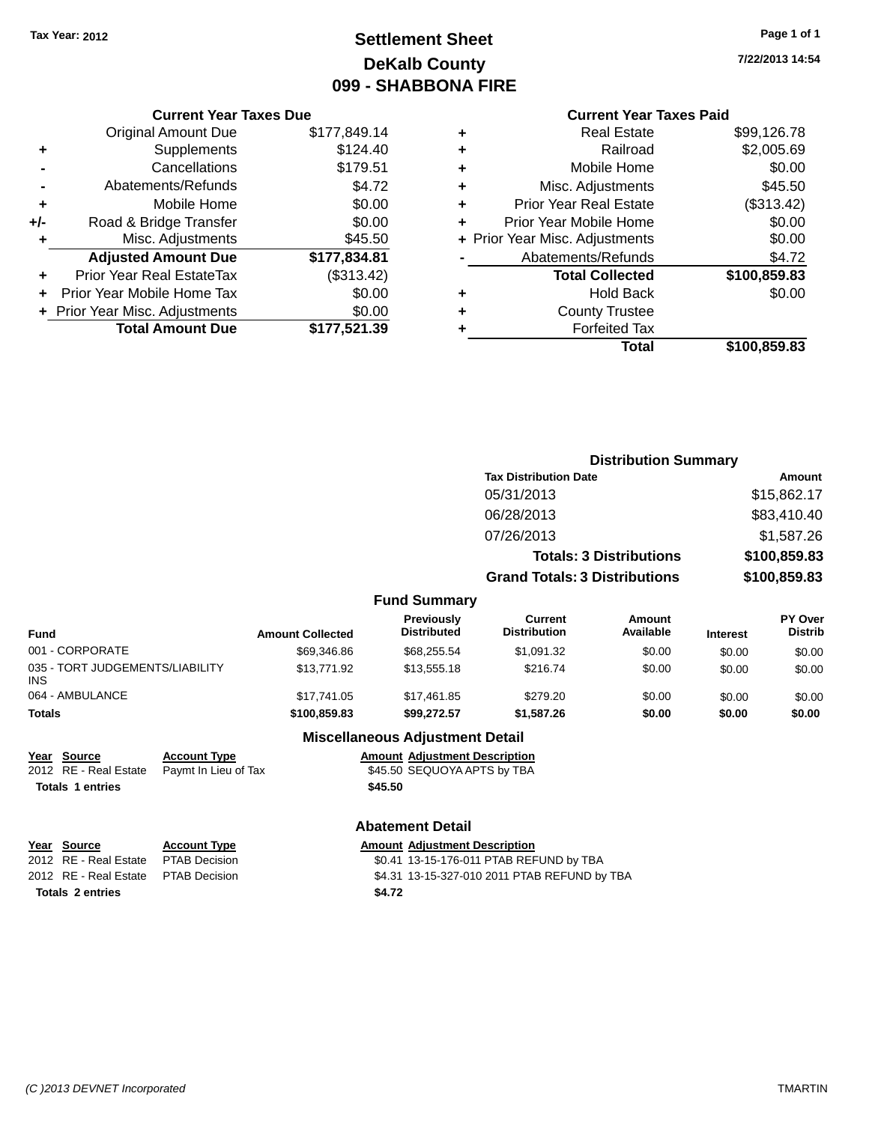### **Settlement Sheet Tax Year: 2012 Page 1 of 1 DeKalb County 099 - SHABBONA FIRE**

**7/22/2013 14:54**

|     | <b>Current Year Taxes Due</b>  |              |
|-----|--------------------------------|--------------|
|     | <b>Original Amount Due</b>     | \$177,849.14 |
| ٠   | Supplements                    | \$124.40     |
|     | Cancellations                  | \$179.51     |
|     | Abatements/Refunds             | \$4.72       |
| ٠   | Mobile Home                    | \$0.00       |
| +/- | Road & Bridge Transfer         | \$0.00       |
|     | Misc. Adjustments              | \$45.50      |
|     | <b>Adjusted Amount Due</b>     | \$177,834.81 |
|     | Prior Year Real EstateTax      | (\$313.42)   |
|     | Prior Year Mobile Home Tax     | \$0.00       |
|     | + Prior Year Misc. Adjustments | \$0.00       |
|     | <b>Total Amount Due</b>        | \$177,521.39 |
|     |                                |              |

| \$99,126.78  |  |
|--------------|--|
| \$2,005.69   |  |
| \$0.00       |  |
| \$45.50      |  |
| (\$313.42)   |  |
| \$0.00       |  |
| \$0.00       |  |
| \$4.72       |  |
| \$100,859.83 |  |
| \$0.00       |  |
|              |  |
|              |  |
| \$100,859.83 |  |
|              |  |

|                                         |                         |                                  | <b>Distribution Summary</b>           |                                |                 |                                  |
|-----------------------------------------|-------------------------|----------------------------------|---------------------------------------|--------------------------------|-----------------|----------------------------------|
|                                         |                         |                                  | <b>Tax Distribution Date</b>          |                                |                 | Amount                           |
|                                         |                         |                                  | 05/31/2013                            |                                |                 | \$15,862.17                      |
|                                         |                         |                                  | 06/28/2013                            |                                |                 | \$83,410.40                      |
|                                         |                         |                                  | 07/26/2013                            |                                |                 | \$1,587.26                       |
|                                         |                         |                                  |                                       | <b>Totals: 3 Distributions</b> |                 | \$100,859.83                     |
|                                         |                         |                                  | <b>Grand Totals: 3 Distributions</b>  |                                | \$100,859.83    |                                  |
|                                         |                         | <b>Fund Summary</b>              |                                       |                                |                 |                                  |
| <b>Fund</b>                             | <b>Amount Collected</b> | Previously<br><b>Distributed</b> | <b>Current</b><br><b>Distribution</b> | <b>Amount</b><br>Available     | <b>Interest</b> | <b>PY Over</b><br><b>Distrib</b> |
| 001 - CORPORATE                         | \$69,346.86             | \$68,255.54                      | \$1,091.32                            | \$0.00                         | \$0.00          | \$0.00                           |
| 035 - TORT JUDGEMENTS/LIABILITY<br>INS. | \$13,771.92             | \$13,555.18                      | \$216.74                              | \$0.00                         | \$0.00          | \$0.00                           |
| 064 - AMBULANCE                         | \$17,741.05             | \$17,461.85                      | \$279.20                              | \$0.00                         | \$0.00          | \$0.00                           |
| <b>Totals</b>                           | \$100,859.83            | \$99,272.57                      | \$1,587.26                            | \$0.00                         | \$0.00          | \$0.00                           |

#### **Miscellaneous Adjustment Detail**

| Year Source             | <b>Account Type</b>                        |         | <b>Amount Adjustment Description</b> |
|-------------------------|--------------------------------------------|---------|--------------------------------------|
|                         | 2012 RE - Real Estate Paymt In Lieu of Tax |         | \$45.50 SEQUOYA APTS by TBA          |
| <b>Totals 1 entries</b> |                                            | \$45.50 |                                      |

#### **Abatement Detail**

| Year Source                         | <b>Account Type</b> |        | <b>Amount Adjustment Description</b>         |
|-------------------------------------|---------------------|--------|----------------------------------------------|
| 2012 RE - Real Estate               | PTAB Decision       |        | \$0.41 13-15-176-011 PTAB REFUND by TBA      |
| 2012 RE - Real Estate PTAB Decision |                     |        | \$4.31 13-15-327-010 2011 PTAB REFUND by TBA |
| <b>Totals 2 entries</b>             |                     | \$4.72 |                                              |
|                                     |                     |        |                                              |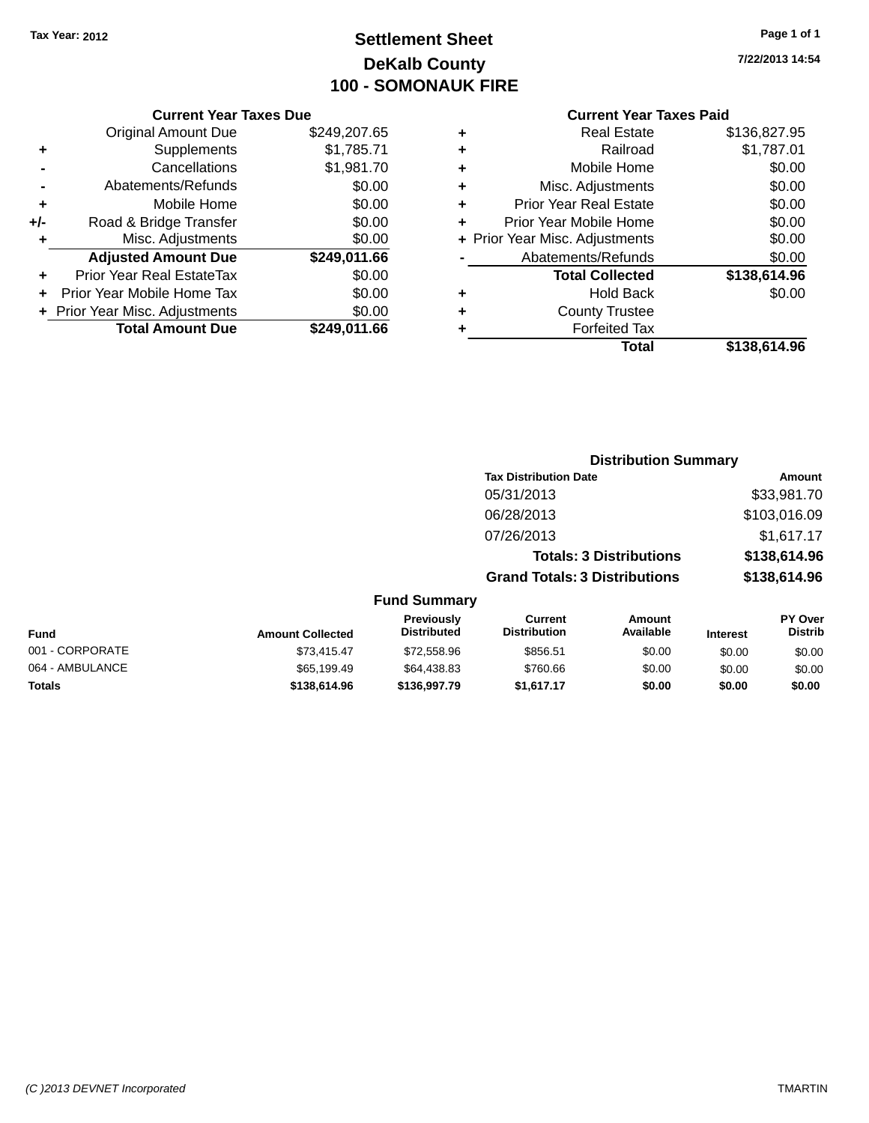### **Settlement Sheet Tax Year: 2012 Page 1 of 1 DeKalb County 100 - SOMONAUK FIRE**

**7/22/2013 14:54**

|     | <b>Current Year Taxes Due</b>  |              |
|-----|--------------------------------|--------------|
|     | <b>Original Amount Due</b>     | \$249,207.65 |
| ٠   | Supplements                    | \$1,785.71   |
|     | Cancellations                  | \$1,981.70   |
|     | Abatements/Refunds             | \$0.00       |
| ٠   | Mobile Home                    | \$0.00       |
| +/- | Road & Bridge Transfer         | \$0.00       |
|     | Misc. Adjustments              | \$0.00       |
|     | <b>Adjusted Amount Due</b>     | \$249,011.66 |
| ٠   | Prior Year Real EstateTax      | \$0.00       |
|     | Prior Year Mobile Home Tax     | \$0.00       |
|     | + Prior Year Misc. Adjustments | \$0.00       |
|     | <b>Total Amount Due</b>        | \$249.011.66 |
|     |                                |              |

|   | Real Estate                    | \$136,827,95 |
|---|--------------------------------|--------------|
| ٠ | Railroad                       | \$1,787.01   |
| ٠ | Mobile Home                    | \$0.00       |
| ٠ | Misc. Adjustments              | \$0.00       |
| ٠ | <b>Prior Year Real Estate</b>  | \$0.00       |
| ٠ | Prior Year Mobile Home         | \$0.00       |
|   | + Prior Year Misc. Adjustments | \$0.00       |
|   | Abatements/Refunds             | \$0.00       |
|   | <b>Total Collected</b>         | \$138,614.96 |
| ٠ | <b>Hold Back</b>               | \$0.00       |
| ٠ | <b>County Trustee</b>          |              |
| ٠ | <b>Forfeited Tax</b>           |              |
|   | Total                          | \$138,614.96 |
|   |                                |              |

|                     |                                      | <b>Distribution Summary</b>    |                |
|---------------------|--------------------------------------|--------------------------------|----------------|
|                     | <b>Tax Distribution Date</b>         |                                | Amount         |
|                     | 05/31/2013                           |                                | \$33,981.70    |
|                     | 06/28/2013                           |                                | \$103,016.09   |
|                     | 07/26/2013                           |                                | \$1,617.17     |
|                     |                                      | <b>Totals: 3 Distributions</b> | \$138,614.96   |
|                     | <b>Grand Totals: 3 Distributions</b> |                                | \$138,614.96   |
| <b>Fund Summary</b> |                                      |                                |                |
| Previously          | $C$ urrent                           | Amount                         | <b>PY Over</b> |

| <b>Fund</b>     | <b>Amount Collected</b> | <b>Previously</b><br><b>Distributed</b> | Current<br><b>Distribution</b> | Amount<br>Available | <b>Interest</b> | PY Over<br><b>Distrib</b> |
|-----------------|-------------------------|-----------------------------------------|--------------------------------|---------------------|-----------------|---------------------------|
| 001 - CORPORATE | \$73.415.47             | \$72.558.96                             | \$856.51                       | \$0.00              | \$0.00          | \$0.00                    |
| 064 - AMBULANCE | \$65,199.49             | \$64,438.83                             | \$760.66                       | \$0.00              | \$0.00          | \$0.00                    |
| <b>Totals</b>   | \$138,614.96            | \$136,997.79                            | \$1.617.17                     | \$0.00              | \$0.00          | \$0.00                    |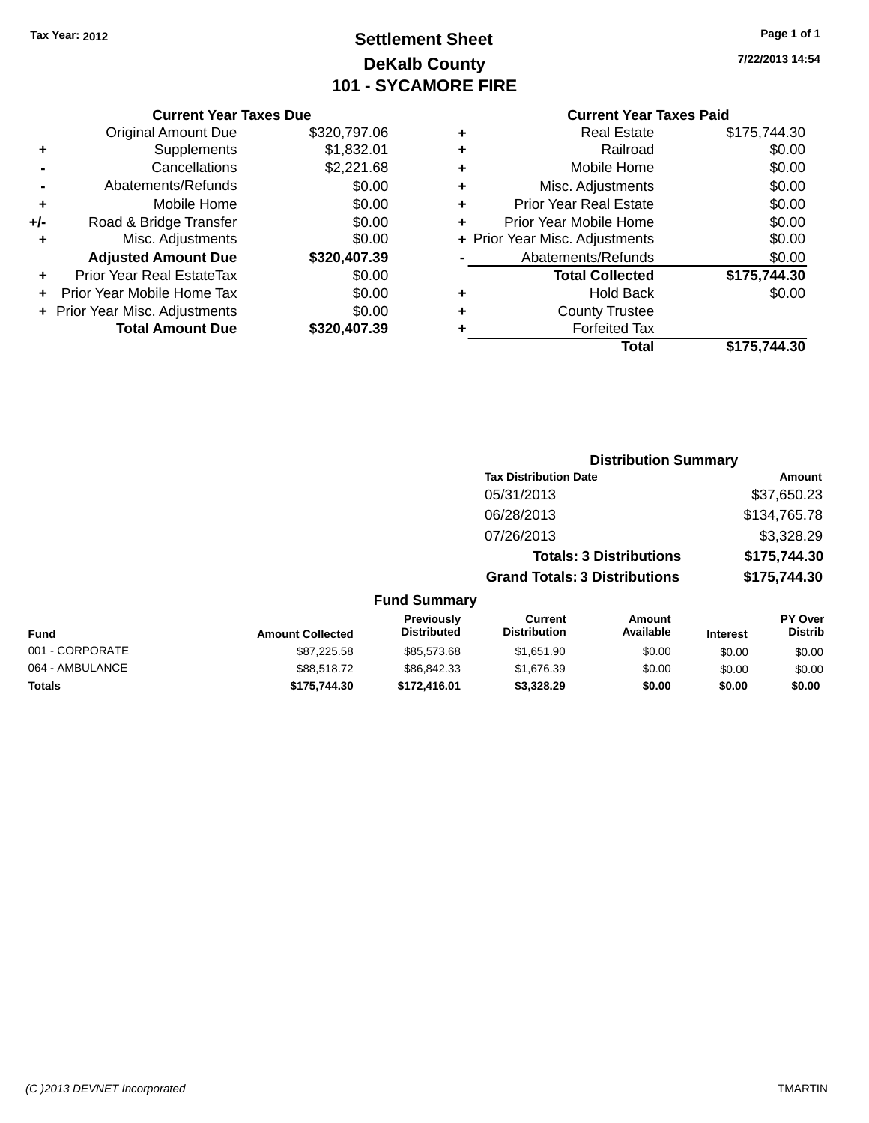## **Settlement Sheet Tax Year: 2012 Page 1 of 1 DeKalb County 101 - SYCAMORE FIRE**

**7/22/2013 14:54**

|     | <b>Current Year Taxes Due</b>  |              |
|-----|--------------------------------|--------------|
|     | <b>Original Amount Due</b>     | \$320,797.06 |
| ٠   | Supplements                    | \$1,832.01   |
|     | Cancellations                  | \$2,221.68   |
|     | Abatements/Refunds             | \$0.00       |
| ٠   | Mobile Home                    | \$0.00       |
| +/- | Road & Bridge Transfer         | \$0.00       |
| ٠   | Misc. Adjustments              | \$0.00       |
|     | <b>Adjusted Amount Due</b>     | \$320,407.39 |
| ÷   | Prior Year Real EstateTax      | \$0.00       |
|     | Prior Year Mobile Home Tax     | \$0.00       |
|     | + Prior Year Misc. Adjustments | \$0.00       |
|     | <b>Total Amount Due</b>        | \$320,407.39 |
|     |                                |              |

|   | <b>Current Year Taxes Paid</b> |              |  |  |  |
|---|--------------------------------|--------------|--|--|--|
| ٠ | <b>Real Estate</b>             | \$175,744.30 |  |  |  |
| ٠ | Railroad                       | \$0.00       |  |  |  |
| ٠ | Mobile Home                    | \$0.00       |  |  |  |
| ٠ | Misc. Adjustments              | \$0.00       |  |  |  |
| ٠ | <b>Prior Year Real Estate</b>  | \$0.00       |  |  |  |
| ٠ | Prior Year Mobile Home         | \$0.00       |  |  |  |
|   | + Prior Year Misc. Adjustments | \$0.00       |  |  |  |
|   | Abatements/Refunds             | \$0.00       |  |  |  |
|   | <b>Total Collected</b>         | \$175,744.30 |  |  |  |
| ٠ | <b>Hold Back</b>               | \$0.00       |  |  |  |
| ٠ | <b>County Trustee</b>          |              |  |  |  |
| ٠ | <b>Forfeited Tax</b>           |              |  |  |  |
|   | Total                          | \$175.744.30 |  |  |  |
|   |                                |              |  |  |  |

|        |                                         |                                       | <b>Distribution Summary</b>    |                 |                                  |
|--------|-----------------------------------------|---------------------------------------|--------------------------------|-----------------|----------------------------------|
|        |                                         | <b>Tax Distribution Date</b>          |                                |                 | Amount                           |
|        |                                         | 05/31/2013                            |                                |                 | \$37,650.23                      |
|        |                                         | 06/28/2013                            |                                |                 | \$134,765.78                     |
|        |                                         | 07/26/2013                            |                                |                 | \$3,328.29                       |
|        |                                         |                                       | <b>Totals: 3 Distributions</b> |                 | \$175,744.30                     |
|        |                                         | <b>Grand Totals: 3 Distributions</b>  |                                |                 | \$175,744.30                     |
|        | <b>Fund Summary</b>                     |                                       |                                |                 |                                  |
| lected | <b>Previously</b><br><b>Distributed</b> | <b>Current</b><br><b>Distribution</b> | Amount<br>Available            | <b>Interest</b> | <b>PY Over</b><br><b>Distrib</b> |

| Fund            | <b>Amount Collected</b> | <b>Previously</b><br><b>Distributed</b> | Current<br><b>Distribution</b> | Amount<br>Available | <b>Interest</b> | <b>PY Over</b><br><b>Distrib</b> |
|-----------------|-------------------------|-----------------------------------------|--------------------------------|---------------------|-----------------|----------------------------------|
| 001 - CORPORATE | \$87,225.58             | \$85,573,68                             | \$1.651.90                     | \$0.00              | \$0.00          | \$0.00                           |
| 064 - AMBULANCE | \$88,518,72             | \$86.842.33                             | \$1.676.39                     | \$0.00              | \$0.00          | \$0.00                           |
| <b>Totals</b>   | \$175,744.30            | \$172,416.01                            | \$3.328.29                     | \$0.00              | \$0.00          | \$0.00                           |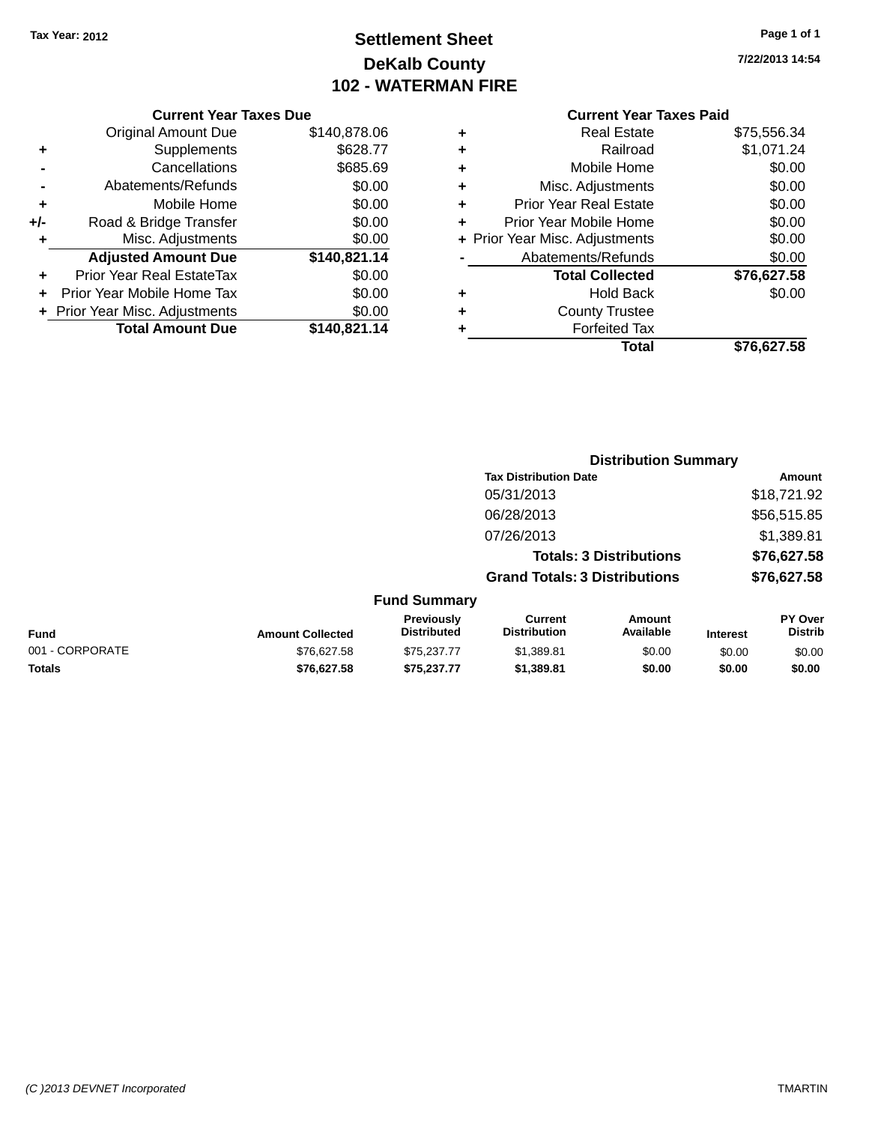### **Settlement Sheet Tax Year: 2012 Page 1 of 1 DeKalb County 102 - WATERMAN FIRE**

**7/22/2013 14:54**

#### **Current Year Taxes Due**

|     | <b>Original Amount Due</b>       | \$140,878.06 |
|-----|----------------------------------|--------------|
| ٠   | Supplements                      | \$628.77     |
|     | Cancellations                    | \$685.69     |
|     | Abatements/Refunds               | \$0.00       |
| ٠   | Mobile Home                      | \$0.00       |
| +/- | Road & Bridge Transfer           | \$0.00       |
| ٠   | Misc. Adjustments                | \$0.00       |
|     | <b>Adjusted Amount Due</b>       | \$140,821.14 |
|     | <b>Prior Year Real EstateTax</b> | \$0.00       |
|     | Prior Year Mobile Home Tax       | \$0.00       |
|     | + Prior Year Misc. Adjustments   | \$0.00       |
|     | <b>Total Amount Due</b>          | \$140,821.14 |

| ٠ | <b>Real Estate</b>             | \$75,556.34 |
|---|--------------------------------|-------------|
| ٠ | Railroad                       | \$1,071.24  |
| ٠ | Mobile Home                    | \$0.00      |
| ٠ | Misc. Adjustments              | \$0.00      |
| ٠ | <b>Prior Year Real Estate</b>  | \$0.00      |
| ٠ | Prior Year Mobile Home         | \$0.00      |
|   | + Prior Year Misc. Adjustments | \$0.00      |
|   | Abatements/Refunds             | \$0.00      |
|   | <b>Total Collected</b>         | \$76,627.58 |
| ٠ | <b>Hold Back</b>               | \$0.00      |
| ٠ | <b>County Trustee</b>          |             |
| ٠ | <b>Forfeited Tax</b>           |             |
|   | Total                          | \$76,627.58 |
|   |                                |             |

|                 |                                         |                                      | <b>Distribution Summary</b>    |                 |                                  |
|-----------------|-----------------------------------------|--------------------------------------|--------------------------------|-----------------|----------------------------------|
|                 |                                         | <b>Tax Distribution Date</b>         |                                |                 | Amount                           |
|                 |                                         | 05/31/2013                           |                                |                 | \$18,721.92                      |
|                 |                                         | 06/28/2013                           |                                |                 | \$56,515.85                      |
|                 |                                         | 07/26/2013                           |                                |                 | \$1,389.81                       |
|                 |                                         |                                      | <b>Totals: 3 Distributions</b> |                 | \$76,627.58                      |
|                 |                                         | <b>Grand Totals: 3 Distributions</b> |                                |                 | \$76,627.58                      |
|                 | <b>Fund Summary</b>                     |                                      |                                |                 |                                  |
| mount Collected | <b>Previously</b><br><b>Distributed</b> | Current<br><b>Distribution</b>       | Amount<br>Available            | <b>Interest</b> | <b>PY Over</b><br><b>Distrib</b> |

| <b>Fund</b>     | <b>Amount Collected</b> | <b>Previously</b><br><b>Distributed</b> | Current<br><b>Distribution</b> | Amount<br>Available | <b>Interest</b> | <b>PY Over</b><br>Distrib |
|-----------------|-------------------------|-----------------------------------------|--------------------------------|---------------------|-----------------|---------------------------|
| 001 - CORPORATE | \$76.627.58             | \$75,237,77                             | \$1.389.81                     | \$0.00              | \$0.00          | \$0.00                    |
| <b>Totals</b>   | \$76.627.58             | \$75.237.77                             | \$1.389.81                     | \$0.00              | \$0.00          | \$0.00                    |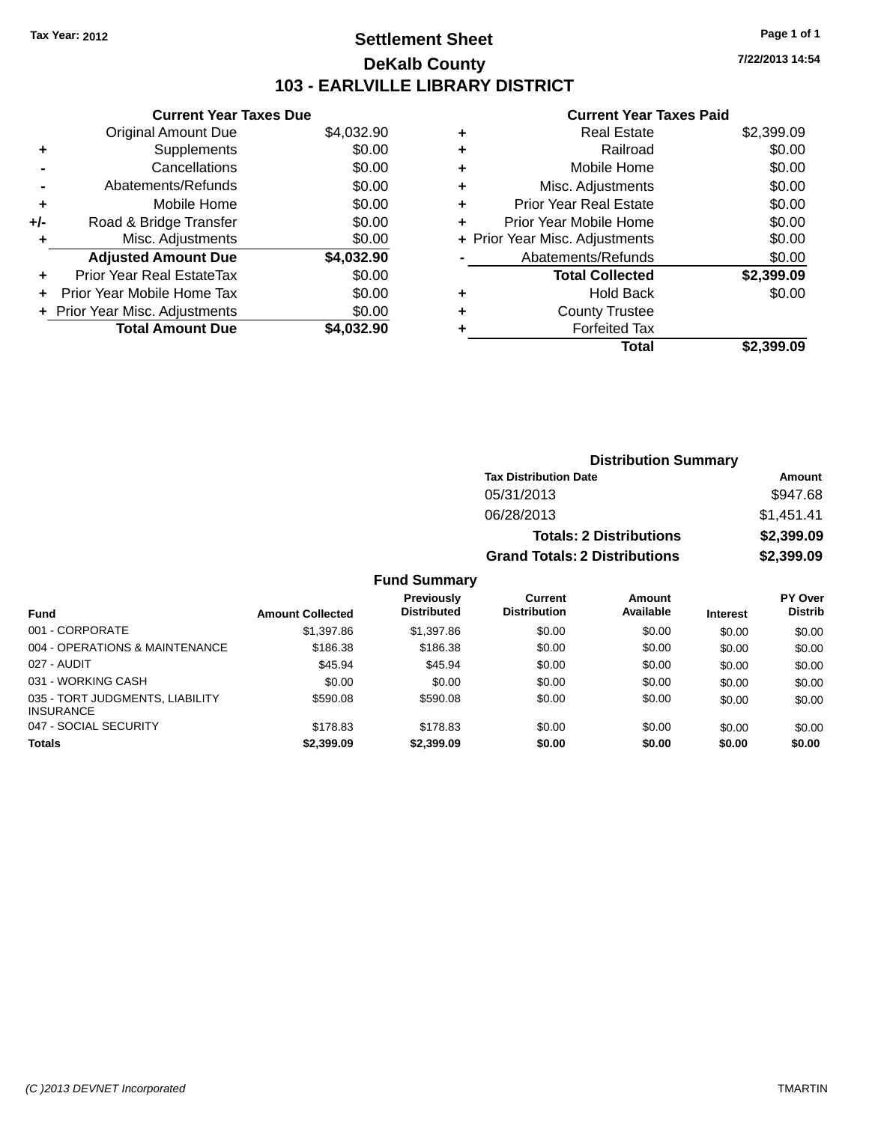### **Settlement Sheet Tax Year: 2012 Page 1 of 1 DeKalb County 103 - EARLVILLE LIBRARY DISTRICT**

**7/22/2013 14:54**

### **Current Year Taxes Paid**

|     | <b>Current Year Taxes Due</b>  |            |
|-----|--------------------------------|------------|
|     | <b>Original Amount Due</b>     | \$4,032.90 |
| ٠   | Supplements                    | \$0.00     |
|     | Cancellations                  | \$0.00     |
|     | Abatements/Refunds             | \$0.00     |
| ÷   | Mobile Home                    | \$0.00     |
| +/- | Road & Bridge Transfer         | \$0.00     |
| ٠   | Misc. Adjustments              | \$0.00     |
|     | <b>Adjusted Amount Due</b>     | \$4,032.90 |
| ٠   | Prior Year Real EstateTax      | \$0.00     |
|     | Prior Year Mobile Home Tax     | \$0.00     |
|     | + Prior Year Misc. Adjustments | \$0.00     |
|     | <b>Total Amount Due</b>        | \$4.032.90 |
|     |                                |            |

|   | <b>Real Estate</b>             | \$2,399.09 |
|---|--------------------------------|------------|
| ٠ | Railroad                       | \$0.00     |
| ٠ | Mobile Home                    | \$0.00     |
| ٠ | Misc. Adjustments              | \$0.00     |
| ٠ | <b>Prior Year Real Estate</b>  | \$0.00     |
| ٠ | Prior Year Mobile Home         | \$0.00     |
|   | + Prior Year Misc. Adjustments | \$0.00     |
|   | Abatements/Refunds             | \$0.00     |
|   | <b>Total Collected</b>         | \$2,399.09 |
| ٠ | <b>Hold Back</b>               | \$0.00     |
|   | <b>County Trustee</b>          |            |
| ٠ | <b>Forfeited Tax</b>           |            |
|   | Total                          | \$2.399.09 |
|   |                                |            |

| <b>Distribution Summary</b>          |            |  |  |  |
|--------------------------------------|------------|--|--|--|
| <b>Tax Distribution Date</b>         | Amount     |  |  |  |
| 05/31/2013                           | \$947.68   |  |  |  |
| 06/28/2013                           | \$1,451.41 |  |  |  |
| <b>Totals: 2 Distributions</b>       | \$2,399.09 |  |  |  |
| <b>Grand Totals: 2 Distributions</b> | \$2,399.09 |  |  |  |

### **Fund Summary**

| <b>Fund</b>                                         | <b>Amount Collected</b> | <b>Previously</b><br><b>Distributed</b> | Current<br><b>Distribution</b> | Amount<br>Available | <b>Interest</b> | <b>PY Over</b><br><b>Distrib</b> |
|-----------------------------------------------------|-------------------------|-----------------------------------------|--------------------------------|---------------------|-----------------|----------------------------------|
| 001 - CORPORATE                                     | \$1,397.86              | \$1,397.86                              | \$0.00                         | \$0.00              | \$0.00          | \$0.00                           |
| 004 - OPERATIONS & MAINTENANCE                      | \$186.38                | \$186.38                                | \$0.00                         | \$0.00              | \$0.00          | \$0.00                           |
| 027 - AUDIT                                         | \$45.94                 | \$45.94                                 | \$0.00                         | \$0.00              | \$0.00          | \$0.00                           |
| 031 - WORKING CASH                                  | \$0.00                  | \$0.00                                  | \$0.00                         | \$0.00              | \$0.00          | \$0.00                           |
| 035 - TORT JUDGMENTS, LIABILITY<br><b>INSURANCE</b> | \$590.08                | \$590.08                                | \$0.00                         | \$0.00              | \$0.00          | \$0.00                           |
| 047 - SOCIAL SECURITY                               | \$178.83                | \$178.83                                | \$0.00                         | \$0.00              | \$0.00          | \$0.00                           |
| <b>Totals</b>                                       | \$2,399.09              | \$2,399.09                              | \$0.00                         | \$0.00              | \$0.00          | \$0.00                           |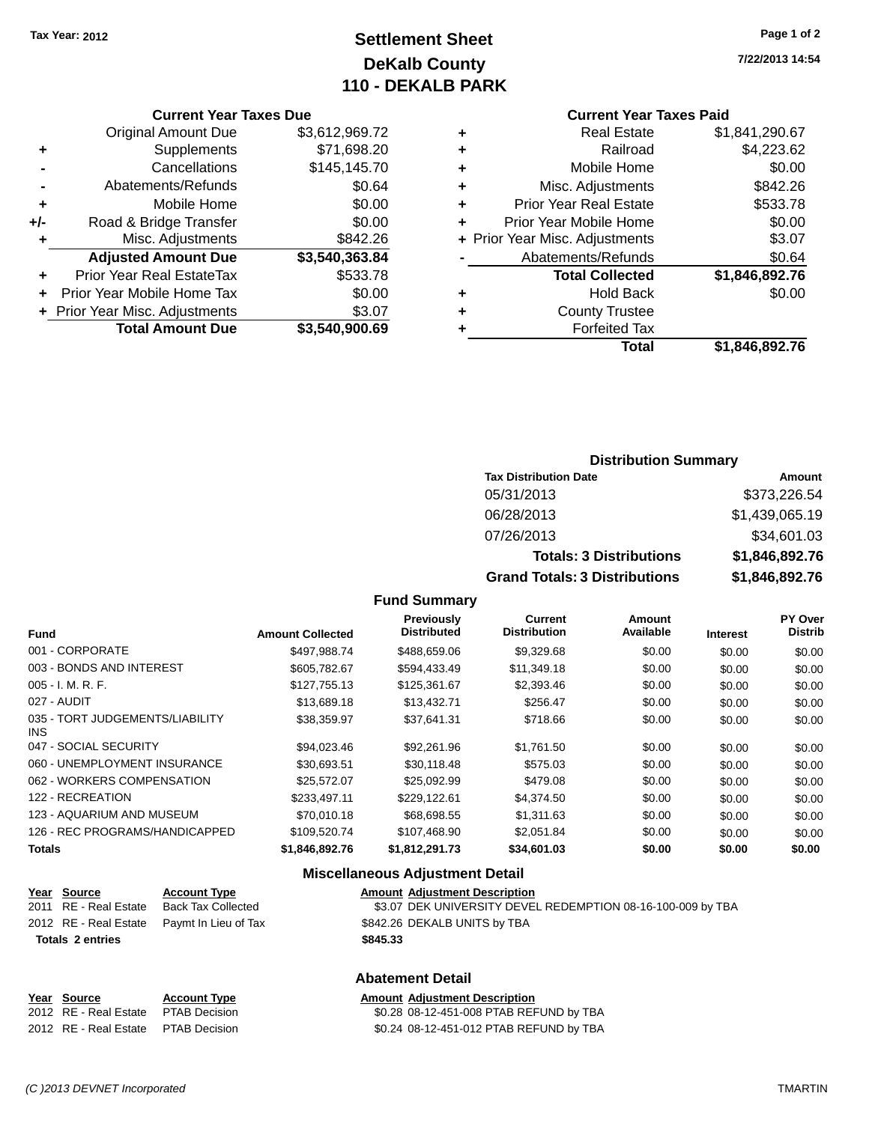### **Settlement Sheet Tax Year: 2012 Page 1 of 2 DeKalb County 110 - DEKALB PARK**

**7/22/2013 14:54**

| <b>Current Year Taxes Due</b> |  |  |  |
|-------------------------------|--|--|--|
|-------------------------------|--|--|--|

|       | <b>Original Amount Due</b>       | \$3,612,969.72 |
|-------|----------------------------------|----------------|
| ٠     | Supplements                      | \$71,698.20    |
|       | Cancellations                    | \$145,145.70   |
|       | Abatements/Refunds               | \$0.64         |
| ٠     | Mobile Home                      | \$0.00         |
| $+/-$ | Road & Bridge Transfer           | \$0.00         |
| ٠     | Misc. Adjustments                | \$842.26       |
|       | <b>Adjusted Amount Due</b>       | \$3,540,363.84 |
| ÷     | <b>Prior Year Real EstateTax</b> | \$533.78       |
|       | Prior Year Mobile Home Tax       | \$0.00         |
|       | + Prior Year Misc. Adjustments   | \$3.07         |
|       | <b>Total Amount Due</b>          | \$3,540,900.69 |

### **Current Year Taxes Paid**

| ٠ | <b>Real Estate</b>             | \$1,841,290.67 |
|---|--------------------------------|----------------|
| ٠ | Railroad                       | \$4,223.62     |
| ٠ | Mobile Home                    | \$0.00         |
| ٠ | Misc. Adjustments              | \$842.26       |
| ٠ | <b>Prior Year Real Estate</b>  | \$533.78       |
| ٠ | Prior Year Mobile Home         | \$0.00         |
|   | + Prior Year Misc. Adjustments | \$3.07         |
|   | Abatements/Refunds             | \$0.64         |
|   | <b>Total Collected</b>         | \$1,846,892.76 |
| ٠ | <b>Hold Back</b>               | \$0.00         |
| ٠ | <b>County Trustee</b>          |                |
| ٠ | <b>Forfeited Tax</b>           |                |
|   | Total                          | \$1,846,892.76 |
|   |                                |                |

### **Distribution Summary**

| <b>Tax Distribution Date</b>         | Amount         |
|--------------------------------------|----------------|
| 05/31/2013                           | \$373,226.54   |
| 06/28/2013                           | \$1,439,065.19 |
| 07/26/2013                           | \$34,601.03    |
| <b>Totals: 3 Distributions</b>       | \$1,846,892.76 |
| <b>Grand Totals: 3 Distributions</b> | \$1,846,892.76 |

#### **Fund Summary**

| <b>Fund</b>                             | <b>Amount Collected</b> | <b>Previously</b><br><b>Distributed</b> | Current<br><b>Distribution</b> | Amount<br>Available | <b>Interest</b> | PY Over<br><b>Distrib</b> |
|-----------------------------------------|-------------------------|-----------------------------------------|--------------------------------|---------------------|-----------------|---------------------------|
| 001 - CORPORATE                         | \$497.988.74            | \$488,659.06                            | \$9,329.68                     | \$0.00              | \$0.00          | \$0.00                    |
| 003 - BONDS AND INTEREST                | \$605.782.67            | \$594.433.49                            | \$11,349.18                    | \$0.00              | \$0.00          | \$0.00                    |
| $005 - I. M. R. F.$                     | \$127,755.13            | \$125,361.67                            | \$2,393.46                     | \$0.00              | \$0.00          | \$0.00                    |
| 027 - AUDIT                             | \$13,689.18             | \$13,432.71                             | \$256.47                       | \$0.00              | \$0.00          | \$0.00                    |
| 035 - TORT JUDGEMENTS/LIABILITY<br>INS. | \$38,359.97             | \$37,641.31                             | \$718.66                       | \$0.00              | \$0.00          | \$0.00                    |
| 047 - SOCIAL SECURITY                   | \$94.023.46             | \$92,261.96                             | \$1.761.50                     | \$0.00              | \$0.00          | \$0.00                    |
| 060 - UNEMPLOYMENT INSURANCE            | \$30.693.51             | \$30,118.48                             | \$575.03                       | \$0.00              | \$0.00          | \$0.00                    |
| 062 - WORKERS COMPENSATION              | \$25,572.07             | \$25.092.99                             | \$479.08                       | \$0.00              | \$0.00          | \$0.00                    |
| 122 - RECREATION                        | \$233,497.11            | \$229,122.61                            | \$4,374.50                     | \$0.00              | \$0.00          | \$0.00                    |
| 123 - AQUARIUM AND MUSEUM               | \$70,010.18             | \$68,698.55                             | \$1,311,63                     | \$0.00              | \$0.00          | \$0.00                    |
| 126 - REC PROGRAMS/HANDICAPPED          | \$109.520.74            | \$107.468.90                            | \$2.051.84                     | \$0.00              | \$0.00          | \$0.00                    |
| <b>Totals</b>                           | \$1.846.892.76          | \$1.812.291.73                          | \$34,601.03                    | \$0.00              | \$0.00          | \$0.00                    |

### **Miscellaneous Adjustment Detail**

| <u>Year Source</u>      | <b>Account Type</b>                        | <b>Amount Adjustment Description</b>                        |
|-------------------------|--------------------------------------------|-------------------------------------------------------------|
| 2011 RE - Real Estate   | <b>Back Tax Collected</b>                  | \$3.07 DEK UNIVERSITY DEVEL REDEMPTION 08-16-100-009 by TBA |
|                         | 2012 RE - Real Estate Paymt In Lieu of Tax | \$842.26 DEKALB UNITS by TBA                                |
| <b>Totals 2 entries</b> |                                            | \$845.33                                                    |
|                         |                                            |                                                             |
|                         |                                            |                                                             |

### **Abatement Detail**

| Year Source                         | <b>Account Type</b> | <b>Amount Adiustment Description</b>    |
|-------------------------------------|---------------------|-----------------------------------------|
| 2012 RE - Real Estate PTAB Decision |                     | \$0.28 08-12-451-008 PTAB REFUND by TBA |
| 2012 RE - Real Estate PTAB Decision |                     | \$0.24 08-12-451-012 PTAB REFUND by TBA |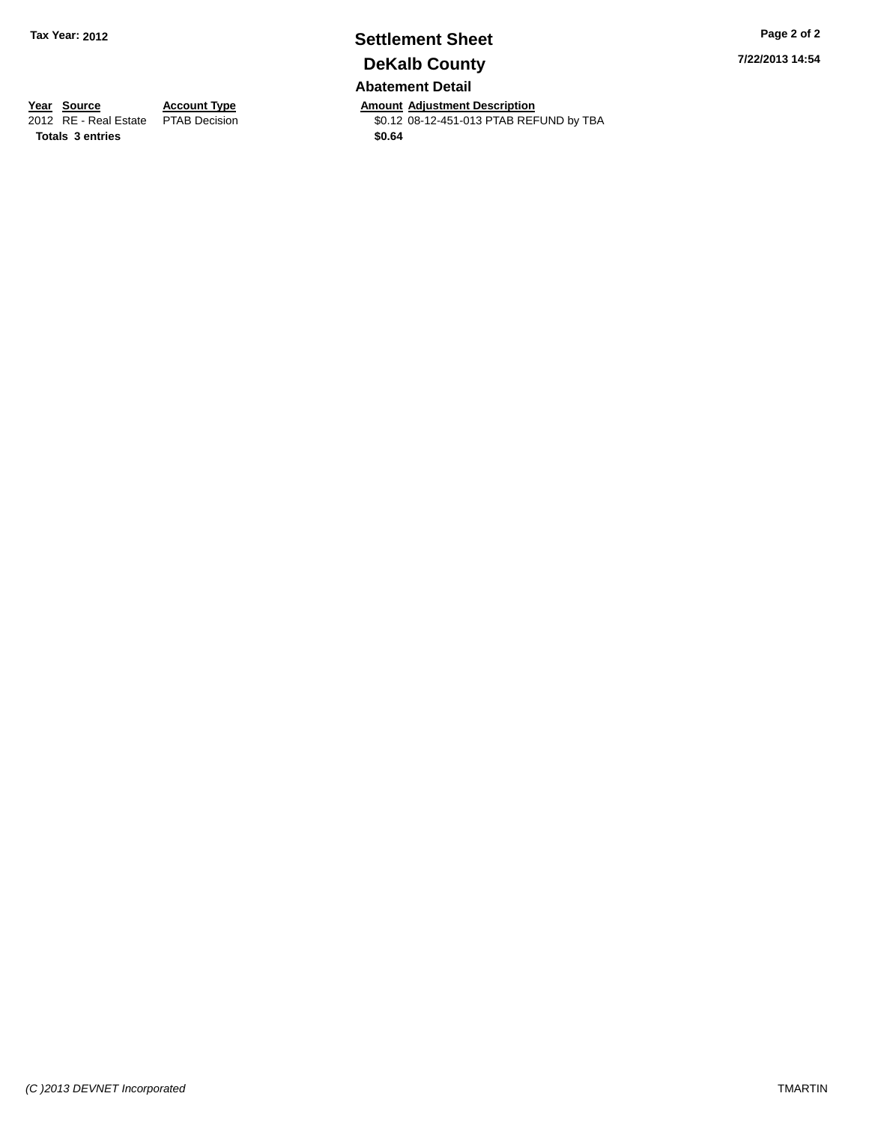## **Settlement Sheet Tax Year: 2012 Page 2 of 2 DeKalb County**

**Abatement Detail**

**Year Source Account Type Anneurs Amount Adjustment Description**<br>
2012 RE - Real Estate PTAB Decision **Amount 2012** 08-12-451-013 PTAB REF \$0.12 08-12-451-013 PTAB REFUND by TBA **7/22/2013 14:54**

**Totals 3 entries \$0.64**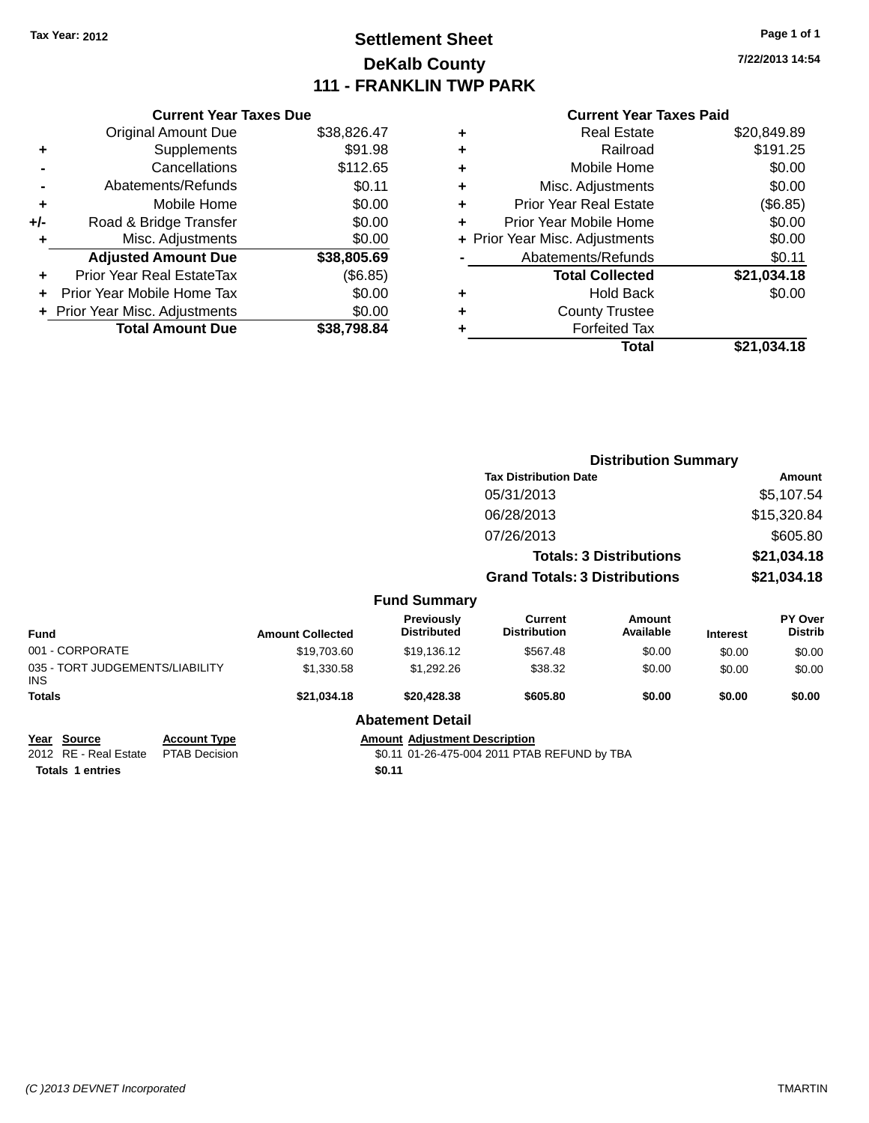### **Settlement Sheet Tax Year: 2012 Page 1 of 1 DeKalb County 111 - FRANKLIN TWP PARK**

**7/22/2013 14:54**

#### **Current Year Taxes Paid**

| <b>Current Year Taxes Due</b>          |             |  |  |  |  |  |
|----------------------------------------|-------------|--|--|--|--|--|
| <b>Original Amount Due</b>             | \$38,826.47 |  |  |  |  |  |
| Supplements                            | \$91.98     |  |  |  |  |  |
| Cancellations                          | \$112.65    |  |  |  |  |  |
| Abatements/Refunds                     | \$0.11      |  |  |  |  |  |
| Mobile Home                            | \$0.00      |  |  |  |  |  |
| Road & Bridge Transfer<br>+/-          |             |  |  |  |  |  |
| Misc. Adjustments                      | \$0.00      |  |  |  |  |  |
| <b>Adjusted Amount Due</b>             | \$38,805.69 |  |  |  |  |  |
| Prior Year Real EstateTax              | (\$6.85)    |  |  |  |  |  |
| \$0.00<br>Prior Year Mobile Home Tax   |             |  |  |  |  |  |
| \$0.00<br>Prior Year Misc. Adjustments |             |  |  |  |  |  |
| <b>Total Amount Due</b>                | \$38.798.84 |  |  |  |  |  |
|                                        |             |  |  |  |  |  |

|   | <b>Real Estate</b>             | \$20,849.89 |
|---|--------------------------------|-------------|
| ٠ | Railroad                       | \$191.25    |
| ٠ | Mobile Home                    | \$0.00      |
| ٠ | Misc. Adjustments              | \$0.00      |
| ٠ | <b>Prior Year Real Estate</b>  | (\$6.85)    |
| ٠ | Prior Year Mobile Home         | \$0.00      |
|   | + Prior Year Misc. Adjustments | \$0.00      |
|   | Abatements/Refunds             | \$0.11      |
|   | <b>Total Collected</b>         | \$21,034.18 |
| ٠ | Hold Back                      | \$0.00      |
| ٠ | <b>County Trustee</b>          |             |
|   | <b>Forfeited Tax</b>           |             |
|   | Total                          | \$21,034.18 |
|   |                                |             |

|                                                 |                         |                                  | <b>Distribution Summary</b>           |                                |                 |                           |
|-------------------------------------------------|-------------------------|----------------------------------|---------------------------------------|--------------------------------|-----------------|---------------------------|
|                                                 |                         |                                  | <b>Tax Distribution Date</b>          |                                |                 | Amount                    |
|                                                 |                         |                                  | 05/31/2013                            |                                |                 | \$5,107.54                |
|                                                 |                         |                                  | 06/28/2013                            |                                |                 | \$15,320.84               |
|                                                 |                         |                                  | 07/26/2013                            |                                |                 | \$605.80                  |
|                                                 |                         |                                  |                                       | <b>Totals: 3 Distributions</b> |                 | \$21,034.18               |
|                                                 |                         |                                  | <b>Grand Totals: 3 Distributions</b>  |                                |                 | \$21,034.18               |
|                                                 |                         | <b>Fund Summary</b>              |                                       |                                |                 |                           |
| <b>Fund</b>                                     | <b>Amount Collected</b> | Previously<br><b>Distributed</b> | <b>Current</b><br><b>Distribution</b> | Amount<br>Available            | <b>Interest</b> | PY Over<br><b>Distrib</b> |
| 001 - CORPORATE                                 | \$19,703.60             | \$19,136.12                      | \$567.48                              | \$0.00                         | \$0.00          | \$0.00                    |
| 035 - TORT JUDGEMENTS/LIABILITY<br><b>INS</b>   | \$1,330.58              | \$1,292.26                       | \$38.32                               | \$0.00                         | \$0.00          | \$0.00                    |
| <b>Totals</b>                                   | \$21,034.18             | \$20,428.38                      | \$605.80                              | \$0.00                         | \$0.00          | \$0.00                    |
|                                                 |                         | <b>Abatement Detail</b>          |                                       |                                |                 |                           |
| $\mathbf{v}$ and $\mathbf{v}$<br>$\blacksquare$ |                         | .                                |                                       |                                |                 |                           |

**Totals 1 entries \$0.11**

**Year Source Account Type Account Type Amount Adjustment Description**<br>2012 RE - Real Estate PTAB Decision **Amount 1998** 11 01-26-475-004 2011 PTAE \$0.11 01-26-475-004 2011 PTAB REFUND by TBA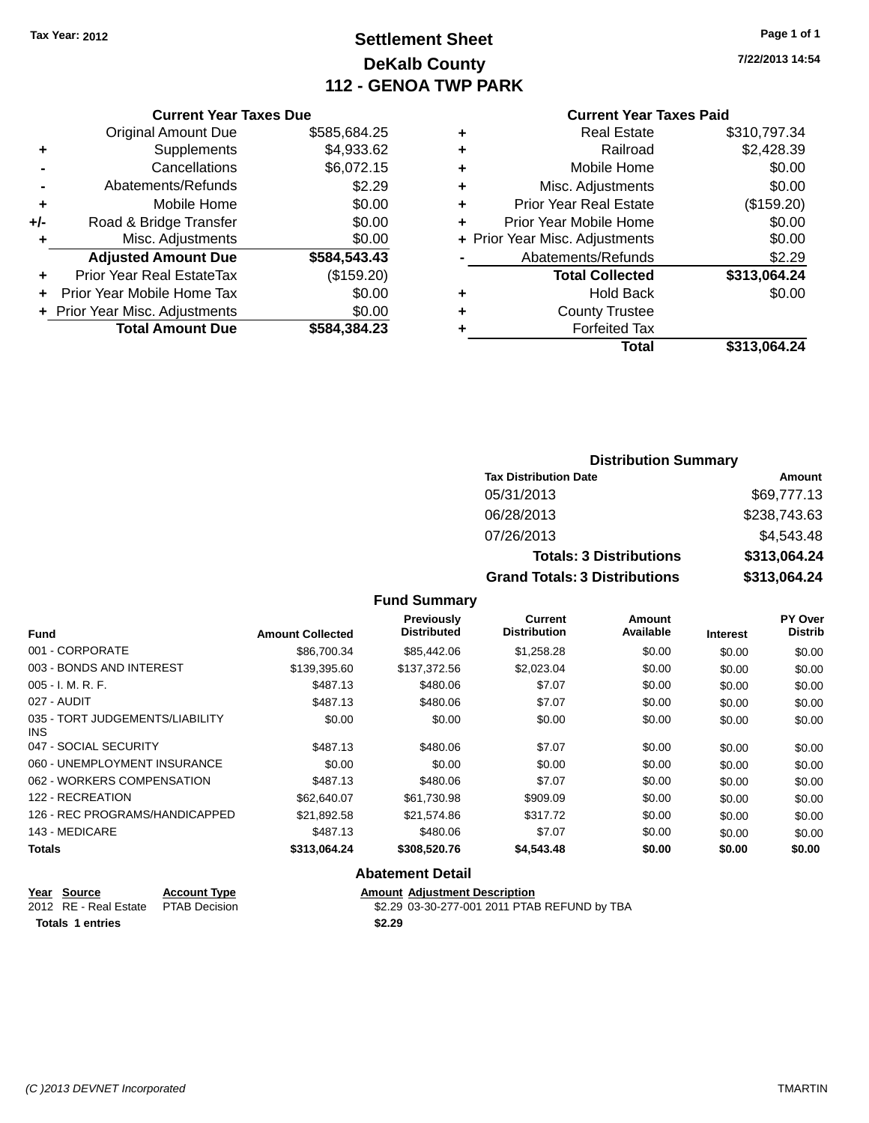### **Settlement Sheet Tax Year: 2012 Page 1 of 1 DeKalb County 112 - GENOA TWP PARK**

**7/22/2013 14:54**

#### **Current Year Taxes Paid**

|     | <b>Current Year Taxes Due</b>  |              |  |
|-----|--------------------------------|--------------|--|
|     | <b>Original Amount Due</b>     | \$585,684.25 |  |
| ٠   | Supplements                    | \$4,933.62   |  |
|     | Cancellations                  | \$6,072.15   |  |
|     | Abatements/Refunds             | \$2.29       |  |
| ٠   | Mobile Home                    | \$0.00       |  |
| +/- | Road & Bridge Transfer         | \$0.00       |  |
| ٠   | Misc. Adjustments              | \$0.00       |  |
|     | <b>Adjusted Amount Due</b>     | \$584,543.43 |  |
| ٠   | Prior Year Real EstateTax      | (\$159.20)   |  |
|     | Prior Year Mobile Home Tax     | \$0.00       |  |
|     | + Prior Year Misc. Adjustments | \$0.00       |  |
|     | <b>Total Amount Due</b>        | \$584,384.23 |  |
|     |                                |              |  |

|   | <b>Real Estate</b>             | \$310,797.34 |
|---|--------------------------------|--------------|
| ٠ | Railroad                       | \$2,428.39   |
| ٠ | Mobile Home                    | \$0.00       |
| ÷ | Misc. Adjustments              | \$0.00       |
| ٠ | <b>Prior Year Real Estate</b>  | (\$159.20)   |
| ÷ | Prior Year Mobile Home         | \$0.00       |
|   | + Prior Year Misc. Adjustments | \$0.00       |
|   | Abatements/Refunds             | \$2.29       |
|   | <b>Total Collected</b>         | \$313,064.24 |
| ٠ | <b>Hold Back</b>               | \$0.00       |
| ٠ | <b>County Trustee</b>          |              |
| ٠ | <b>Forfeited Tax</b>           |              |
|   | Total                          | \$313,064.24 |
|   |                                |              |

### **Distribution Summary Tax Distribution Date Amount** 05/31/2013 \$69,777.13 06/28/2013 \$238,743.63 07/26/2013 \$4,543.48 **Totals: 3 Distributions \$313,064.24 Grand Totals: 3 Distributions \$313,064.24**

#### **Fund Summary**

| <b>Fund</b>                             | <b>Amount Collected</b> | <b>Previously</b><br><b>Distributed</b> | <b>Current</b><br><b>Distribution</b> | Amount<br>Available | <b>Interest</b> | PY Over<br><b>Distrib</b> |
|-----------------------------------------|-------------------------|-----------------------------------------|---------------------------------------|---------------------|-----------------|---------------------------|
| 001 - CORPORATE                         | \$86,700.34             | \$85,442.06                             | \$1,258.28                            | \$0.00              | \$0.00          | \$0.00                    |
| 003 - BONDS AND INTEREST                | \$139,395.60            | \$137,372.56                            | \$2,023.04                            | \$0.00              | \$0.00          | \$0.00                    |
| $005 - I. M. R. F.$                     | \$487.13                | \$480.06                                | \$7.07                                | \$0.00              | \$0.00          | \$0.00                    |
| 027 - AUDIT                             | \$487.13                | \$480.06                                | \$7.07                                | \$0.00              | \$0.00          | \$0.00                    |
| 035 - TORT JUDGEMENTS/LIABILITY<br>INS. | \$0.00                  | \$0.00                                  | \$0.00                                | \$0.00              | \$0.00          | \$0.00                    |
| 047 - SOCIAL SECURITY                   | \$487.13                | \$480.06                                | \$7.07                                | \$0.00              | \$0.00          | \$0.00                    |
| 060 - UNEMPLOYMENT INSURANCE            | \$0.00                  | \$0.00                                  | \$0.00                                | \$0.00              | \$0.00          | \$0.00                    |
| 062 - WORKERS COMPENSATION              | \$487.13                | \$480.06                                | \$7.07                                | \$0.00              | \$0.00          | \$0.00                    |
| 122 - RECREATION                        | \$62,640.07             | \$61,730.98                             | \$909.09                              | \$0.00              | \$0.00          | \$0.00                    |
| 126 - REC PROGRAMS/HANDICAPPED          | \$21.892.58             | \$21.574.86                             | \$317.72                              | \$0.00              | \$0.00          | \$0.00                    |
| 143 - MEDICARE                          | \$487.13                | \$480.06                                | \$7.07                                | \$0.00              | \$0.00          | \$0.00                    |
| <b>Totals</b>                           | \$313,064.24            | \$308,520.76                            | \$4,543.48                            | \$0.00              | \$0.00          | \$0.00                    |

#### **Abatement Detail**

| Year Source                         | <b>Account Type</b> |        | <b>Amount Adiustment Description</b>         |
|-------------------------------------|---------------------|--------|----------------------------------------------|
| 2012 RE - Real Estate PTAB Decision |                     |        | \$2.29 03-30-277-001 2011 PTAB REFUND by TBA |
| <b>Totals 1 entries</b>             |                     | \$2.29 |                                              |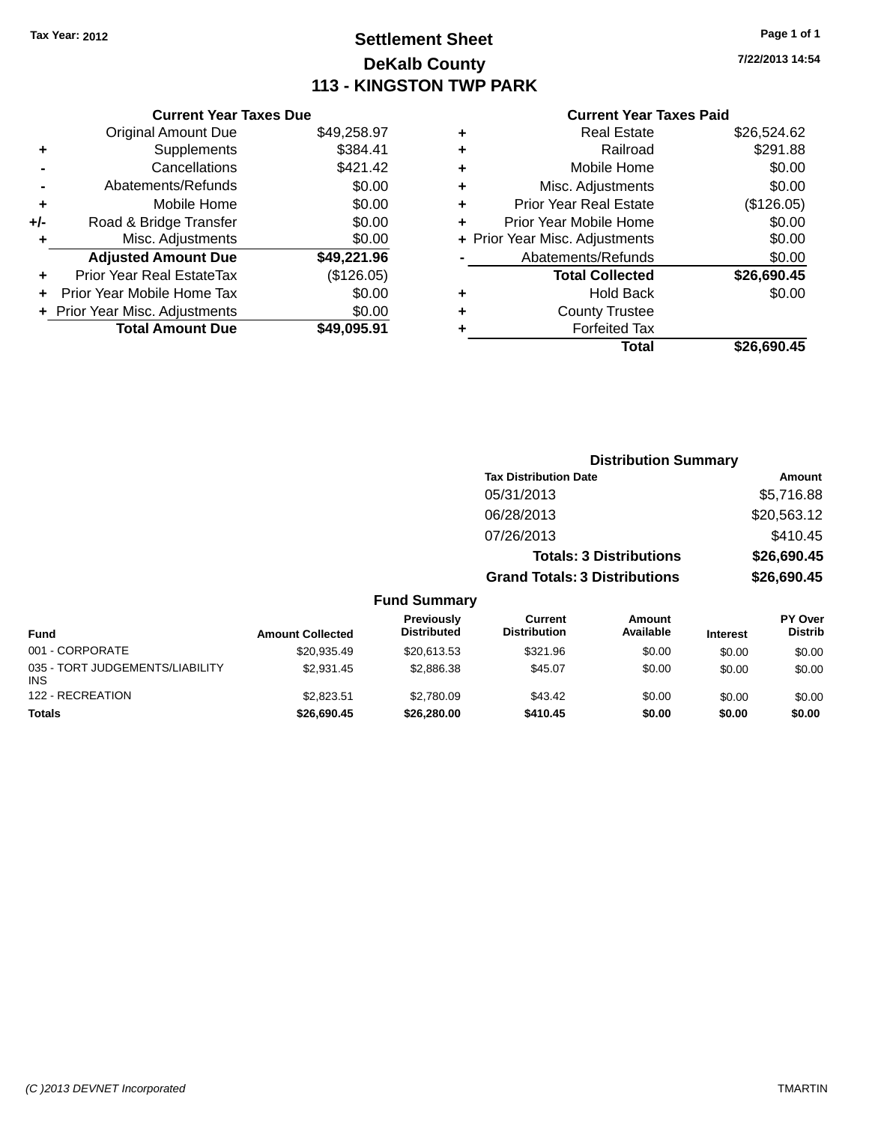### **Settlement Sheet Tax Year: 2012 Page 1 of 1 DeKalb County 113 - KINGSTON TWP PARK**

**7/22/2013 14:54**

|       | <b>Current Year Taxes Due</b>            |             |  |  |  |  |  |
|-------|------------------------------------------|-------------|--|--|--|--|--|
|       | <b>Original Amount Due</b>               | \$49,258.97 |  |  |  |  |  |
| ٠     | Supplements                              | \$384.41    |  |  |  |  |  |
|       | Cancellations                            | \$421.42    |  |  |  |  |  |
|       | Abatements/Refunds                       | \$0.00      |  |  |  |  |  |
| ٠     | Mobile Home                              | \$0.00      |  |  |  |  |  |
| $+/-$ | Road & Bridge Transfer                   | \$0.00      |  |  |  |  |  |
|       | Misc. Adjustments                        | \$0.00      |  |  |  |  |  |
|       | <b>Adjusted Amount Due</b>               | \$49,221.96 |  |  |  |  |  |
| ÷     | Prior Year Real EstateTax                | (\$126.05)  |  |  |  |  |  |
|       | \$0.00<br>Prior Year Mobile Home Tax     |             |  |  |  |  |  |
|       | \$0.00<br>+ Prior Year Misc. Adjustments |             |  |  |  |  |  |
|       | <b>Total Amount Due</b>                  | \$49.095.91 |  |  |  |  |  |
|       |                                          |             |  |  |  |  |  |

| ٠ | <b>Real Estate</b>             | \$26,524.62 |
|---|--------------------------------|-------------|
| ٠ | Railroad                       | \$291.88    |
| ٠ | Mobile Home                    | \$0.00      |
| ٠ | Misc. Adjustments              | \$0.00      |
| ٠ | <b>Prior Year Real Estate</b>  | (\$126.05)  |
| ٠ | Prior Year Mobile Home         | \$0.00      |
|   | + Prior Year Misc. Adjustments | \$0.00      |
|   | Abatements/Refunds             | \$0.00      |
|   | <b>Total Collected</b>         | \$26,690.45 |
| ٠ | Hold Back                      | \$0.00      |
|   | <b>County Trustee</b>          |             |
| ٠ | <b>Forfeited Tax</b>           |             |
|   | Total                          | \$26,690.45 |
|   |                                |             |

|                     |                                      | <b>Distribution Summary</b>    |                |
|---------------------|--------------------------------------|--------------------------------|----------------|
|                     | <b>Tax Distribution Date</b>         |                                | Amount         |
|                     | 05/31/2013                           |                                | \$5,716.88     |
|                     | 06/28/2013                           |                                | \$20,563.12    |
|                     | 07/26/2013                           |                                | \$410.45       |
|                     |                                      | <b>Totals: 3 Distributions</b> | \$26,690.45    |
|                     | <b>Grand Totals: 3 Distributions</b> |                                | \$26,690.45    |
| <b>Fund Summary</b> |                                      |                                |                |
| Previously          | Current                              | Amount                         | <b>PY Over</b> |

| <b>Fund Summary</b> |  |  |
|---------------------|--|--|
|                     |  |  |

| <b>Fund</b>                                   | <b>Amount Collected</b> | <b>Previously</b><br><b>Distributed</b> | Current<br><b>Distribution</b> | Amount<br>Available | <b>Interest</b> | <b>PY Over</b><br><b>Distrib</b> |
|-----------------------------------------------|-------------------------|-----------------------------------------|--------------------------------|---------------------|-----------------|----------------------------------|
| 001 - CORPORATE                               | \$20,935.49             | \$20.613.53                             | \$321.96                       | \$0.00              | \$0.00          | \$0.00                           |
| 035 - TORT JUDGEMENTS/LIABILITY<br><b>INS</b> | \$2.931.45              | \$2,886.38                              | \$45.07                        | \$0.00              | \$0.00          | \$0.00                           |
| 122 - RECREATION                              | \$2.823.51              | \$2,780.09                              | \$43.42                        | \$0.00              | \$0.00          | \$0.00                           |
| <b>Totals</b>                                 | \$26,690.45             | \$26,280.00                             | \$410.45                       | \$0.00              | \$0.00          | \$0.00                           |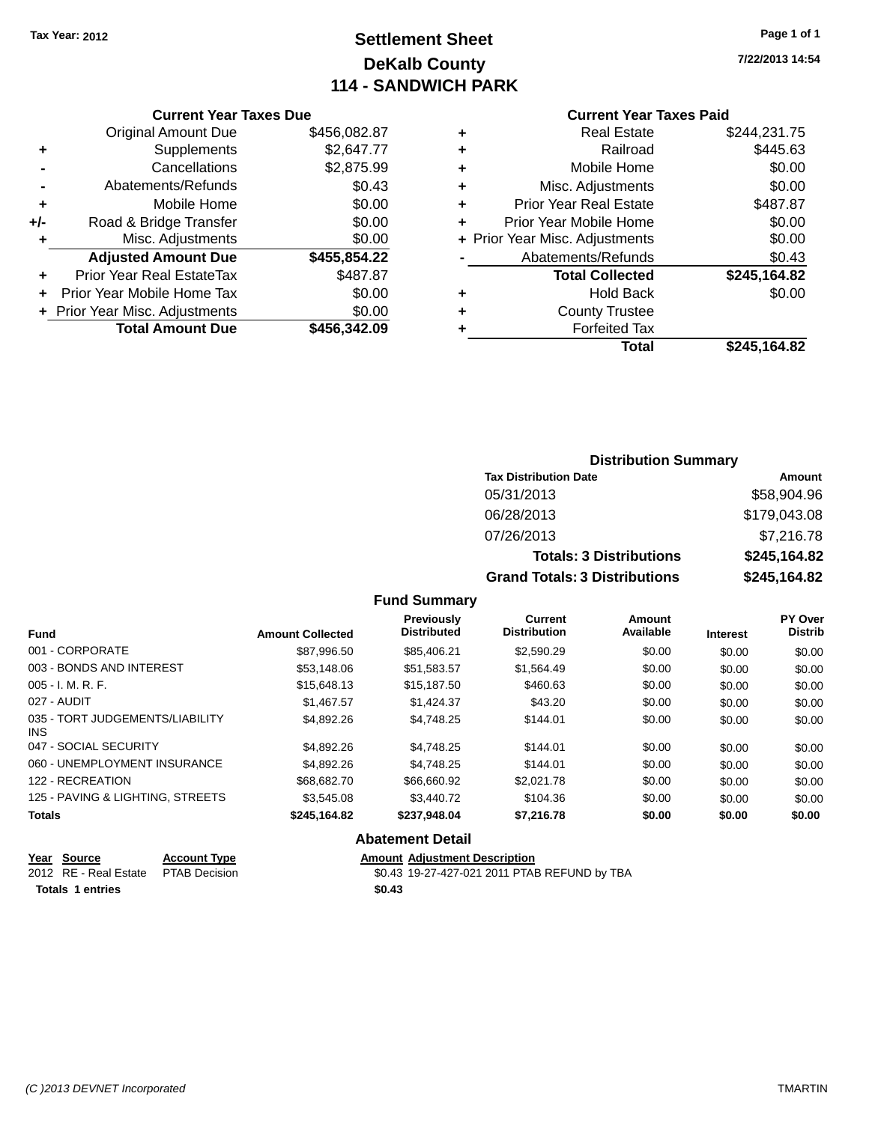### **Settlement Sheet Tax Year: 2012 Page 1 of 1 DeKalb County 114 - SANDWICH PARK**

**7/22/2013 14:54**

#### **Current Year Taxes Paid**

|     | <b>Current Year Taxes Due</b>              |              |  |  |  |  |
|-----|--------------------------------------------|--------------|--|--|--|--|
|     | \$456,082.87<br><b>Original Amount Due</b> |              |  |  |  |  |
| ٠   | Supplements                                | \$2,647.77   |  |  |  |  |
|     | Cancellations                              | \$2,875.99   |  |  |  |  |
|     | Abatements/Refunds                         | \$0.43       |  |  |  |  |
| ÷   | Mobile Home                                | \$0.00       |  |  |  |  |
| +/- | Road & Bridge Transfer                     | \$0.00       |  |  |  |  |
| ٠   | Misc. Adjustments                          | \$0.00       |  |  |  |  |
|     | <b>Adjusted Amount Due</b>                 | \$455,854.22 |  |  |  |  |
| ٠   | Prior Year Real EstateTax                  | \$487.87     |  |  |  |  |
|     | Prior Year Mobile Home Tax                 | \$0.00       |  |  |  |  |
|     | + Prior Year Misc. Adjustments             | \$0.00       |  |  |  |  |
|     | <b>Total Amount Due</b>                    | \$456.342.09 |  |  |  |  |
|     |                                            |              |  |  |  |  |

| ٠ | <b>Real Estate</b>             | \$244,231.75 |
|---|--------------------------------|--------------|
| ٠ | Railroad                       | \$445.63     |
| ٠ | Mobile Home                    | \$0.00       |
| ٠ | Misc. Adjustments              | \$0.00       |
| ٠ | <b>Prior Year Real Estate</b>  | \$487.87     |
| ÷ | Prior Year Mobile Home         | \$0.00       |
|   | + Prior Year Misc. Adjustments | \$0.00       |
|   | Abatements/Refunds             | \$0.43       |
|   | <b>Total Collected</b>         | \$245,164.82 |
| ٠ | Hold Back                      | \$0.00       |
| ٠ | <b>County Trustee</b>          |              |
| ٠ | <b>Forfeited Tax</b>           |              |
|   | <b>Total</b>                   | \$245,164.82 |
|   |                                |              |

| <b>Distribution Summary</b>          |              |  |  |  |  |
|--------------------------------------|--------------|--|--|--|--|
| <b>Tax Distribution Date</b>         | Amount       |  |  |  |  |
| 05/31/2013                           | \$58,904.96  |  |  |  |  |
| 06/28/2013                           | \$179,043.08 |  |  |  |  |
| 07/26/2013                           | \$7,216.78   |  |  |  |  |
| <b>Totals: 3 Distributions</b>       | \$245,164.82 |  |  |  |  |
| <b>Grand Totals: 3 Distributions</b> | \$245,164.82 |  |  |  |  |

### **Fund Summary**

| <b>Fund</b>                             | <b>Amount Collected</b> | Previously<br><b>Distributed</b> | Current<br><b>Distribution</b> | Amount<br>Available | <b>Interest</b> | PY Over<br><b>Distrib</b> |
|-----------------------------------------|-------------------------|----------------------------------|--------------------------------|---------------------|-----------------|---------------------------|
| 001 - CORPORATE                         | \$87.996.50             | \$85,406.21                      | \$2,590.29                     | \$0.00              | \$0.00          | \$0.00                    |
| 003 - BONDS AND INTEREST                | \$53,148,06             | \$51,583.57                      | \$1.564.49                     | \$0.00              | \$0.00          | \$0.00                    |
| $005 - I. M. R. F.$                     | \$15,648.13             | \$15,187.50                      | \$460.63                       | \$0.00              | \$0.00          | \$0.00                    |
| 027 - AUDIT                             | \$1.467.57              | \$1.424.37                       | \$43.20                        | \$0.00              | \$0.00          | \$0.00                    |
| 035 - TORT JUDGEMENTS/LIABILITY<br>INS. | \$4.892.26              | \$4.748.25                       | \$144.01                       | \$0.00              | \$0.00          | \$0.00                    |
| 047 - SOCIAL SECURITY                   | \$4,892.26              | \$4.748.25                       | \$144.01                       | \$0.00              | \$0.00          | \$0.00                    |
| 060 - UNEMPLOYMENT INSURANCE            | \$4,892.26              | \$4.748.25                       | \$144.01                       | \$0.00              | \$0.00          | \$0.00                    |
| 122 - RECREATION                        | \$68,682.70             | \$66,660.92                      | \$2,021.78                     | \$0.00              | \$0.00          | \$0.00                    |
| 125 - PAVING & LIGHTING, STREETS        | \$3,545,08              | \$3,440.72                       | \$104.36                       | \$0.00              | \$0.00          | \$0.00                    |
| <b>Totals</b>                           | \$245,164.82            | \$237.948.04                     | \$7,216.78                     | \$0.00              | \$0.00          | \$0.00                    |

#### **Abatement Detail**

| Year Source                         | <b>Account Type</b> |        | <b>Amount Adjustment Description</b>         |
|-------------------------------------|---------------------|--------|----------------------------------------------|
| 2012 RE - Real Estate PTAB Decision |                     |        | \$0.43 19-27-427-021 2011 PTAB REFUND by TBA |
| <b>Totals 1 entries</b>             |                     | \$0.43 |                                              |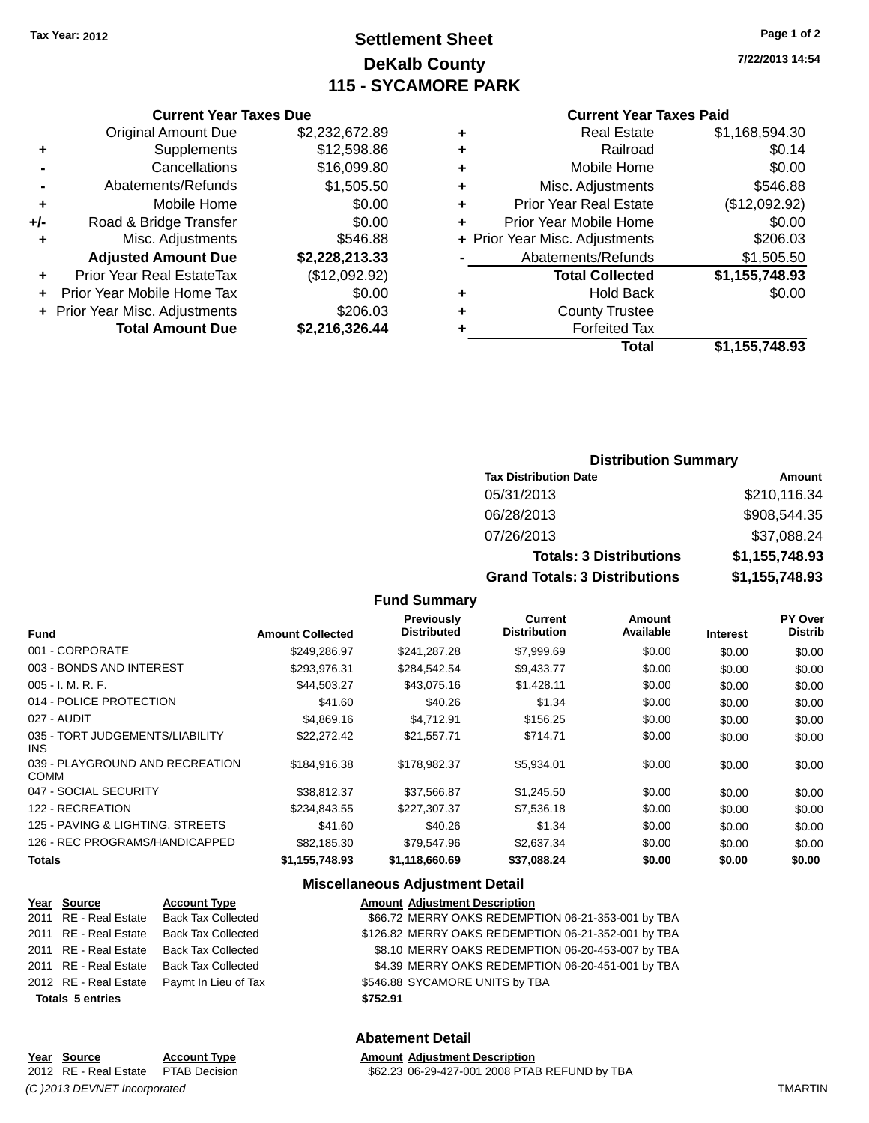## **Settlement Sheet Tax Year: 2012 Page 1 of 2 DeKalb County 115 - SYCAMORE PARK**

**7/22/2013 14:54**

#### **Current Year Taxes Paid**

| ٠ | <b>Real Estate</b>             | \$1,168,594.30 |
|---|--------------------------------|----------------|
| ٠ | Railroad                       | \$0.14         |
| ٠ | Mobile Home                    | \$0.00         |
| ٠ | Misc. Adjustments              | \$546.88       |
| ٠ | <b>Prior Year Real Estate</b>  | (\$12,092.92)  |
| ٠ | Prior Year Mobile Home         | \$0.00         |
|   | + Prior Year Misc. Adjustments | \$206.03       |
|   | Abatements/Refunds             | \$1,505.50     |
|   | <b>Total Collected</b>         | \$1,155,748.93 |
| ٠ | <b>Hold Back</b>               | \$0.00         |
| ٠ | <b>County Trustee</b>          |                |
|   | <b>Forfeited Tax</b>           |                |
|   | Total                          | \$1,155,748.93 |
|   |                                |                |

|     | <b>Current Year Taxes Due</b>    |                |
|-----|----------------------------------|----------------|
|     | <b>Original Amount Due</b>       | \$2,232,672.89 |
| ٠   | Supplements                      | \$12,598.86    |
|     | Cancellations                    | \$16,099.80    |
|     | Abatements/Refunds               | \$1,505.50     |
| ٠   | Mobile Home                      | \$0.00         |
| +/- | Road & Bridge Transfer           | \$0.00         |
| ٠   | Misc. Adjustments                | \$546.88       |
|     | <b>Adjusted Amount Due</b>       | \$2,228,213.33 |
|     | <b>Prior Year Real EstateTax</b> | (\$12,092.92)  |
| ÷   | Prior Year Mobile Home Tax       | \$0.00         |
|     | + Prior Year Misc. Adjustments   | \$206.03       |
|     | <b>Total Amount Due</b>          | \$2,216,326.44 |

#### **Distribution Summary**

| <b>Tax Distribution Date</b>         | Amount         |
|--------------------------------------|----------------|
| 05/31/2013                           | \$210,116.34   |
| 06/28/2013                           | \$908,544.35   |
| 07/26/2013                           | \$37,088.24    |
| <b>Totals: 3 Distributions</b>       | \$1,155,748.93 |
| <b>Grand Totals: 3 Distributions</b> | \$1,155,748.93 |

#### **Fund Summary**

| <b>Fund</b>                                    | <b>Amount Collected</b> | <b>Previously</b><br><b>Distributed</b> | <b>Current</b><br><b>Distribution</b> | Amount<br>Available | <b>Interest</b> | PY Over<br><b>Distrib</b> |
|------------------------------------------------|-------------------------|-----------------------------------------|---------------------------------------|---------------------|-----------------|---------------------------|
| 001 - CORPORATE                                | \$249,286.97            | \$241,287.28                            | \$7,999.69                            | \$0.00              | \$0.00          | \$0.00                    |
| 003 - BONDS AND INTEREST                       | \$293,976.31            | \$284,542.54                            | \$9,433.77                            | \$0.00              | \$0.00          | \$0.00                    |
| $005 - I. M. R. F.$                            | \$44,503.27             | \$43,075.16                             | \$1,428.11                            | \$0.00              | \$0.00          | \$0.00                    |
| 014 - POLICE PROTECTION                        | \$41.60                 | \$40.26                                 | \$1.34                                | \$0.00              | \$0.00          | \$0.00                    |
| 027 - AUDIT                                    | \$4,869.16              | \$4.712.91                              | \$156.25                              | \$0.00              | \$0.00          | \$0.00                    |
| 035 - TORT JUDGEMENTS/LIABILITY<br>INS.        | \$22,272.42             | \$21,557.71                             | \$714.71                              | \$0.00              | \$0.00          | \$0.00                    |
| 039 - PLAYGROUND AND RECREATION<br><b>COMM</b> | \$184,916.38            | \$178,982.37                            | \$5,934.01                            | \$0.00              | \$0.00          | \$0.00                    |
| 047 - SOCIAL SECURITY                          | \$38.812.37             | \$37,566.87                             | \$1,245.50                            | \$0.00              | \$0.00          | \$0.00                    |
| 122 - RECREATION                               | \$234.843.55            | \$227,307,37                            | \$7,536.18                            | \$0.00              | \$0.00          | \$0.00                    |
| 125 - PAVING & LIGHTING, STREETS               | \$41.60                 | \$40.26                                 | \$1.34                                | \$0.00              | \$0.00          | \$0.00                    |
| 126 - REC PROGRAMS/HANDICAPPED                 | \$82,185.30             | \$79,547.96                             | \$2,637.34                            | \$0.00              | \$0.00          | \$0.00                    |
| <b>Totals</b>                                  | \$1,155,748.93          | \$1,118,660.69                          | \$37,088.24                           | \$0.00              | \$0.00          | \$0.00                    |

#### **Miscellaneous Adjustment Detail**

| Year Source             | <b>Account Type</b>       | <b>Amount Adjustment Description</b>                |
|-------------------------|---------------------------|-----------------------------------------------------|
| 2011 RE - Real Estate   | <b>Back Tax Collected</b> | \$66.72 MERRY OAKS REDEMPTION 06-21-353-001 by TBA  |
| 2011 RE - Real Estate   | <b>Back Tax Collected</b> | \$126.82 MERRY OAKS REDEMPTION 06-21-352-001 by TBA |
| 2011 RE - Real Estate   | <b>Back Tax Collected</b> | \$8.10 MERRY OAKS REDEMPTION 06-20-453-007 by TBA   |
| 2011 RE - Real Estate   | <b>Back Tax Collected</b> | \$4.39 MERRY OAKS REDEMPTION 06-20-451-001 by TBA   |
| 2012 RE - Real Estate   | Paymt In Lieu of Tax      | \$546.88 SYCAMORE UNITS by TBA                      |
| <b>Totals 5 entries</b> |                           | \$752.91                                            |
|                         |                           |                                                     |

| Year Source                 | <b>Account Type</b>                 | <b>Amount Adiustment Description</b>          |                |
|-----------------------------|-------------------------------------|-----------------------------------------------|----------------|
|                             | 2012 RE - Real Estate PTAB Decision | \$62.23 06-29-427-001 2008 PTAB REFUND by TBA |                |
| (C)2013 DEVNET Incorporated |                                     |                                               | <b>TMARTIN</b> |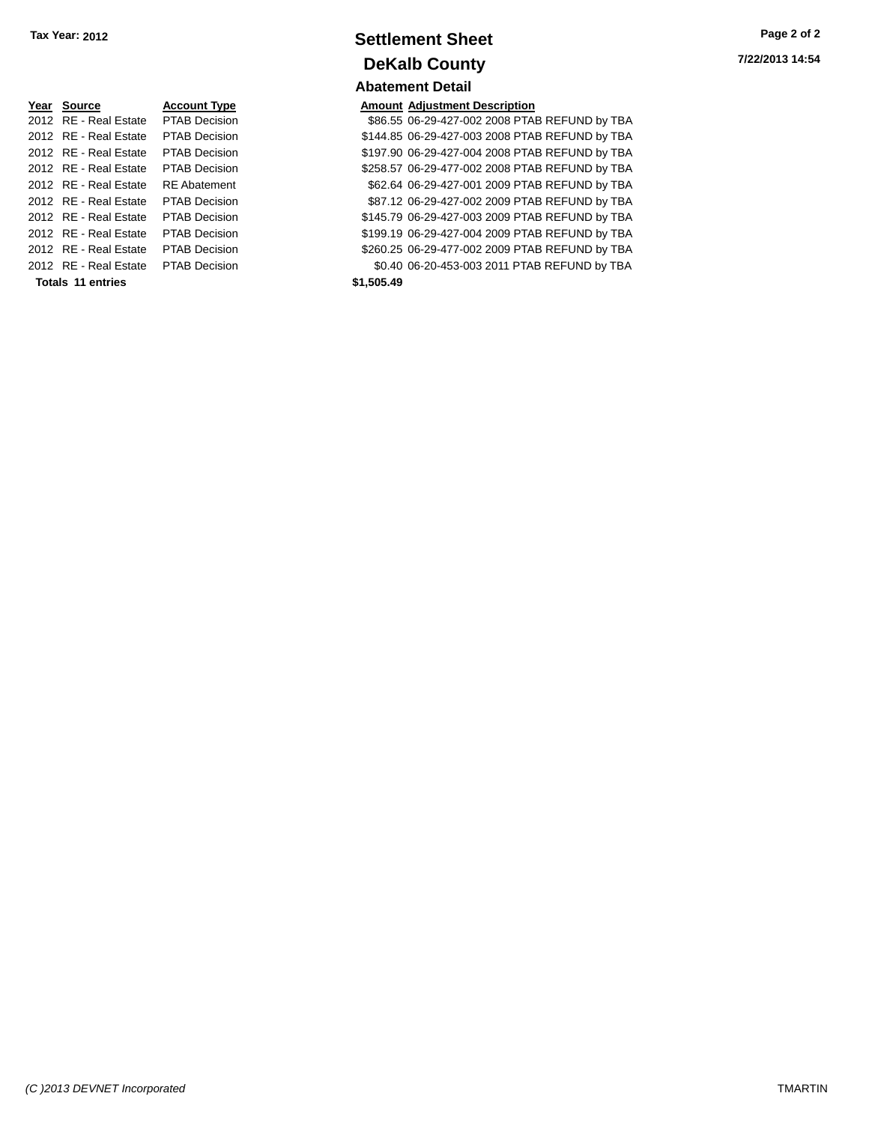| Year Source              | <b>Account Type</b>  | Amount     |
|--------------------------|----------------------|------------|
| 2012 RE - Real Estate    | <b>PTAB Decision</b> | \$86.55    |
| 2012 RE - Real Estate    | <b>PTAB Decision</b> | \$144.85   |
| 2012 RE - Real Estate    | <b>PTAB Decision</b> | \$197.90   |
| 2012 RE - Real Estate    | <b>PTAB Decision</b> | \$258.57   |
| 2012 RE - Real Estate    | <b>RE</b> Abatement  | \$62.64    |
| 2012 RE - Real Estate    | <b>PTAB Decision</b> | \$87.12    |
| 2012 RE - Real Estate    | <b>PTAB Decision</b> | \$145.79   |
| 2012 RE - Real Estate    | <b>PTAB Decision</b> | \$199.19   |
| 2012 RE - Real Estate    | <b>PTAB Decision</b> | \$260.25   |
| 2012 RE - Real Estate    | <b>PTAB Decision</b> | \$0.40     |
| <b>Totals 11 entries</b> |                      | \$1.505.49 |

### **Settlement Sheet Tax Year: 2012 Page 2 of 2 DeKalb County Abatement Detail**

#### **Amount Adjustment Description**

\$86.55 06-29-427-002 2008 PTAB REFUND by TBA \$144.85 06-29-427-003 2008 PTAB REFUND by TBA \$197.90 06-29-427-004 2008 PTAB REFUND by TBA \$258.57 06-29-477-002 2008 PTAB REFUND by TBA \$62.64 06-29-427-001 2009 PTAB REFUND by TBA \$87.12 06-29-427-002 2009 PTAB REFUND by TBA \$145.79 06-29-427-003 2009 PTAB REFUND by TBA \$199.19 06-29-427-004 2009 PTAB REFUND by TBA \$260.25 06-29-477-002 2009 PTAB REFUND by TBA \$0.40 06-20-453-003 2011 PTAB REFUND by TBA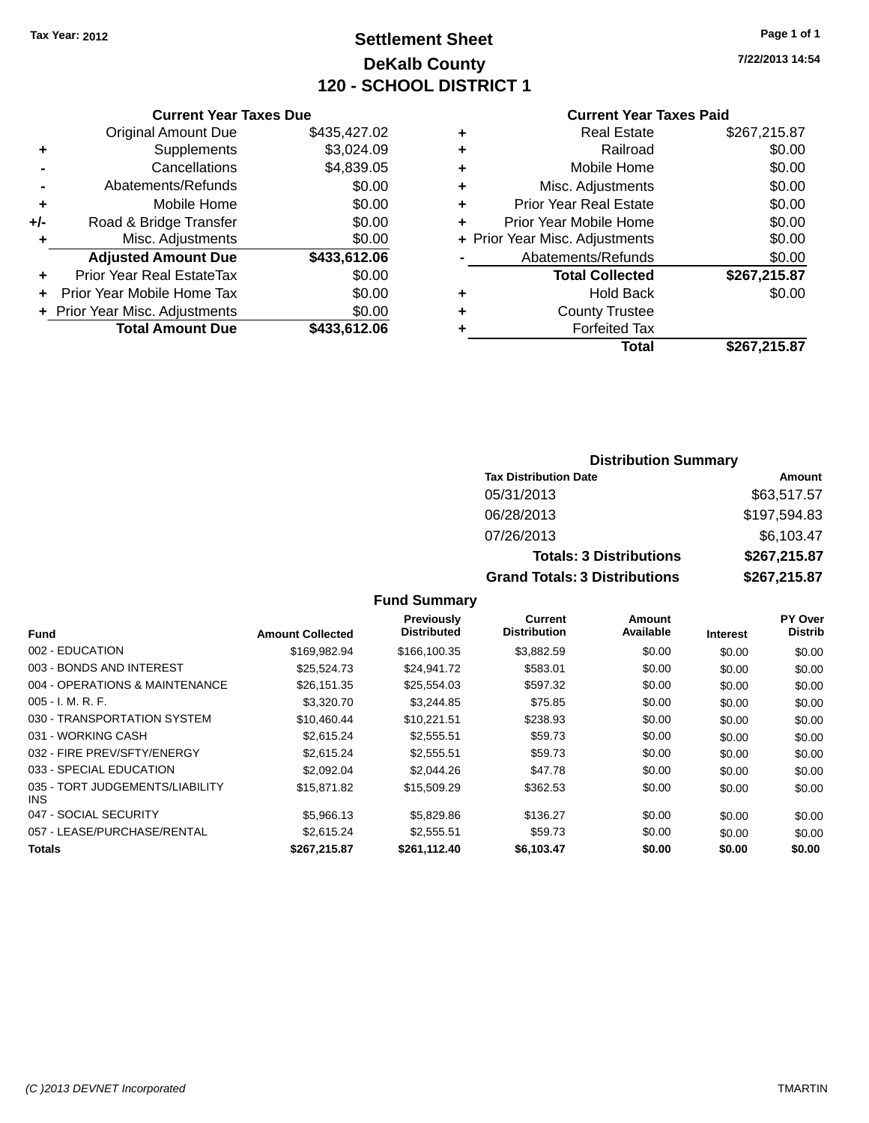## **Settlement Sheet Tax Year: 2012 Page 1 of 1 DeKalb County 120 - SCHOOL DISTRICT 1**

**7/22/2013 14:54**

#### **Current Year Taxes Paid**

|       | <b>Current Year Taxes Due</b>  |              |
|-------|--------------------------------|--------------|
|       | <b>Original Amount Due</b>     | \$435,427.02 |
| ٠     | Supplements                    | \$3,024.09   |
|       | Cancellations                  | \$4,839.05   |
|       | Abatements/Refunds             | \$0.00       |
| ٠     | Mobile Home                    | \$0.00       |
| $+/-$ | Road & Bridge Transfer         | \$0.00       |
|       | Misc. Adjustments              | \$0.00       |
|       | <b>Adjusted Amount Due</b>     | \$433,612.06 |
| ٠     | Prior Year Real EstateTax      | \$0.00       |
|       | Prior Year Mobile Home Tax     | \$0.00       |
|       | + Prior Year Misc. Adjustments | \$0.00       |
|       | <b>Total Amount Due</b>        | \$433,612.06 |
|       |                                |              |

| ٠ | <b>Real Estate</b>             | \$267,215.87 |
|---|--------------------------------|--------------|
| ٠ | Railroad                       | \$0.00       |
| ٠ | Mobile Home                    | \$0.00       |
| ٠ | Misc. Adjustments              | \$0.00       |
| ٠ | <b>Prior Year Real Estate</b>  | \$0.00       |
| ٠ | Prior Year Mobile Home         | \$0.00       |
|   | + Prior Year Misc. Adjustments | \$0.00       |
|   | Abatements/Refunds             | \$0.00       |
|   | <b>Total Collected</b>         | \$267,215.87 |
| ٠ | Hold Back                      | \$0.00       |
| ٠ | <b>County Trustee</b>          |              |
|   | <b>Forfeited Tax</b>           |              |
|   | Total                          | \$267,215.87 |
|   |                                |              |

### **Distribution Summary Tax Distribution Date Amount** 05/31/2013 \$63,517.57 06/28/2013 \$197,594.83 07/26/2013 \$6,103.47 **Totals: 3 Distributions \$267,215.87 Grand Totals: 3 Distributions \$267,215.87**

| Fund                                    | <b>Amount Collected</b> | <b>Previously</b><br><b>Distributed</b> | <b>Current</b><br><b>Distribution</b> | Amount<br>Available | <b>Interest</b> | PY Over<br><b>Distrib</b> |
|-----------------------------------------|-------------------------|-----------------------------------------|---------------------------------------|---------------------|-----------------|---------------------------|
| 002 - EDUCATION                         | \$169,982.94            | \$166,100.35                            | \$3,882.59                            | \$0.00              | \$0.00          | \$0.00                    |
| 003 - BONDS AND INTEREST                | \$25,524.73             | \$24,941.72                             | \$583.01                              | \$0.00              | \$0.00          | \$0.00                    |
| 004 - OPERATIONS & MAINTENANCE          | \$26,151.35             | \$25,554.03                             | \$597.32                              | \$0.00              | \$0.00          | \$0.00                    |
| $005 - I. M. R. F.$                     | \$3,320,70              | \$3.244.85                              | \$75.85                               | \$0.00              | \$0.00          | \$0.00                    |
| 030 - TRANSPORTATION SYSTEM             | \$10.460.44             | \$10.221.51                             | \$238.93                              | \$0.00              | \$0.00          | \$0.00                    |
| 031 - WORKING CASH                      | \$2,615.24              | \$2,555.51                              | \$59.73                               | \$0.00              | \$0.00          | \$0.00                    |
| 032 - FIRE PREV/SFTY/ENERGY             | \$2,615.24              | \$2,555.51                              | \$59.73                               | \$0.00              | \$0.00          | \$0.00                    |
| 033 - SPECIAL EDUCATION                 | \$2,092.04              | \$2,044.26                              | \$47.78                               | \$0.00              | \$0.00          | \$0.00                    |
| 035 - TORT JUDGEMENTS/LIABILITY<br>INS. | \$15,871.82             | \$15,509.29                             | \$362.53                              | \$0.00              | \$0.00          | \$0.00                    |
| 047 - SOCIAL SECURITY                   | \$5,966.13              | \$5,829.86                              | \$136.27                              | \$0.00              | \$0.00          | \$0.00                    |
| 057 - LEASE/PURCHASE/RENTAL             | \$2,615.24              | \$2,555.51                              | \$59.73                               | \$0.00              | \$0.00          | \$0.00                    |
| <b>Totals</b>                           | \$267.215.87            | \$261,112.40                            | \$6.103.47                            | \$0.00              | \$0.00          | \$0.00                    |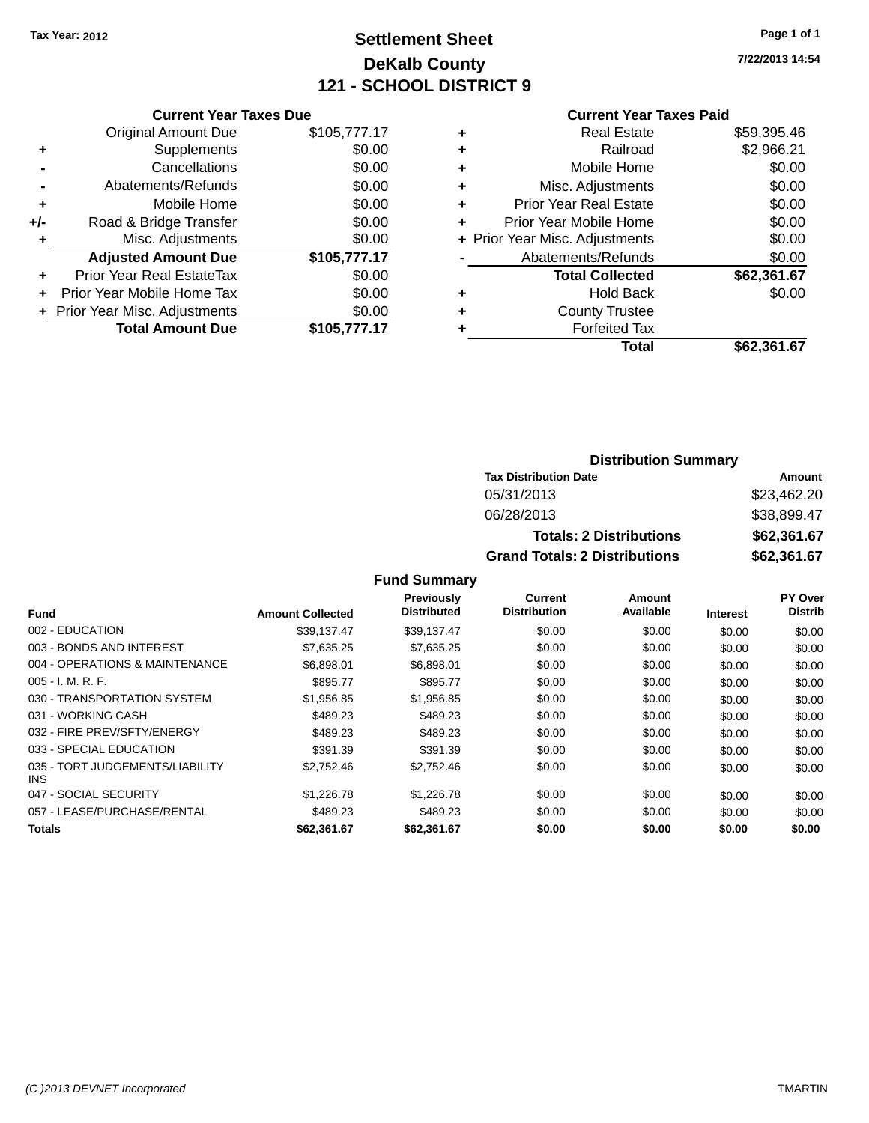## **Settlement Sheet Tax Year: 2012 Page 1 of 1 DeKalb County 121 - SCHOOL DISTRICT 9**

**7/22/2013 14:54**

|     | <b>Current Year Taxes Due</b>    |              |  |  |  |
|-----|----------------------------------|--------------|--|--|--|
|     | Original Amount Due              | \$105,777.17 |  |  |  |
| ٠   | Supplements                      | \$0.00       |  |  |  |
|     | Cancellations                    | \$0.00       |  |  |  |
|     | Abatements/Refunds               | \$0.00       |  |  |  |
| ٠   | Mobile Home                      | \$0.00       |  |  |  |
| +/- | Road & Bridge Transfer           | \$0.00       |  |  |  |
| ٠   | Misc. Adjustments                | \$0.00       |  |  |  |
|     | <b>Adjusted Amount Due</b>       | \$105,777.17 |  |  |  |
|     | <b>Prior Year Real EstateTax</b> | \$0.00       |  |  |  |
| ÷   | Prior Year Mobile Home Tax       | \$0.00       |  |  |  |
|     | + Prior Year Misc. Adjustments   | \$0.00       |  |  |  |
|     | <b>Total Amount Due</b>          | \$105,777.17 |  |  |  |
|     |                                  |              |  |  |  |

#### **Current Year Taxes Paid**

| ٠ | Real Estate                    | \$59,395.46 |
|---|--------------------------------|-------------|
| ٠ | Railroad                       | \$2,966.21  |
| ٠ | Mobile Home                    | \$0.00      |
| ٠ | Misc. Adjustments              | \$0.00      |
| ٠ | <b>Prior Year Real Estate</b>  | \$0.00      |
| ٠ | Prior Year Mobile Home         | \$0.00      |
|   | + Prior Year Misc. Adjustments | \$0.00      |
|   | Abatements/Refunds             | \$0.00      |
|   | <b>Total Collected</b>         | \$62,361.67 |
| ٠ | Hold Back                      | \$0.00      |
| ٠ | <b>County Trustee</b>          |             |
| ٠ | <b>Forfeited Tax</b>           |             |
|   | Total                          | \$62,361.67 |
|   |                                |             |

#### **Distribution Summary Tax Distribution Date Amount** 05/31/2013 \$23,462.20 06/28/2013 \$38,899.47 **Totals: 2 Distributions \$62,361.67 Grand Totals: 2 Distributions \$62,361.67**

|                                         |                         | Previously         | Current             | Amount    |                 | PY Over        |
|-----------------------------------------|-------------------------|--------------------|---------------------|-----------|-----------------|----------------|
| <b>Fund</b>                             | <b>Amount Collected</b> | <b>Distributed</b> | <b>Distribution</b> | Available | <b>Interest</b> | <b>Distrib</b> |
| 002 - EDUCATION                         | \$39.137.47             | \$39.137.47        | \$0.00              | \$0.00    | \$0.00          | \$0.00         |
| 003 - BONDS AND INTEREST                | \$7,635.25              | \$7,635.25         | \$0.00              | \$0.00    | \$0.00          | \$0.00         |
| 004 - OPERATIONS & MAINTENANCE          | \$6.898.01              | \$6.898.01         | \$0.00              | \$0.00    | \$0.00          | \$0.00         |
| $005 - I. M. R. F.$                     | \$895.77                | \$895.77           | \$0.00              | \$0.00    | \$0.00          | \$0.00         |
| 030 - TRANSPORTATION SYSTEM             | \$1,956.85              | \$1,956.85         | \$0.00              | \$0.00    | \$0.00          | \$0.00         |
| 031 - WORKING CASH                      | \$489.23                | \$489.23           | \$0.00              | \$0.00    | \$0.00          | \$0.00         |
| 032 - FIRE PREV/SFTY/ENERGY             | \$489.23                | \$489.23           | \$0.00              | \$0.00    | \$0.00          | \$0.00         |
| 033 - SPECIAL EDUCATION                 | \$391.39                | \$391.39           | \$0.00              | \$0.00    | \$0.00          | \$0.00         |
| 035 - TORT JUDGEMENTS/LIABILITY<br>INS. | \$2,752.46              | \$2,752.46         | \$0.00              | \$0.00    | \$0.00          | \$0.00         |
| 047 - SOCIAL SECURITY                   | \$1,226.78              | \$1,226.78         | \$0.00              | \$0.00    | \$0.00          | \$0.00         |
| 057 - LEASE/PURCHASE/RENTAL             | \$489.23                | \$489.23           | \$0.00              | \$0.00    | \$0.00          | \$0.00         |
| <b>Totals</b>                           | \$62.361.67             | \$62,361,67        | \$0.00              | \$0.00    | \$0.00          | \$0.00         |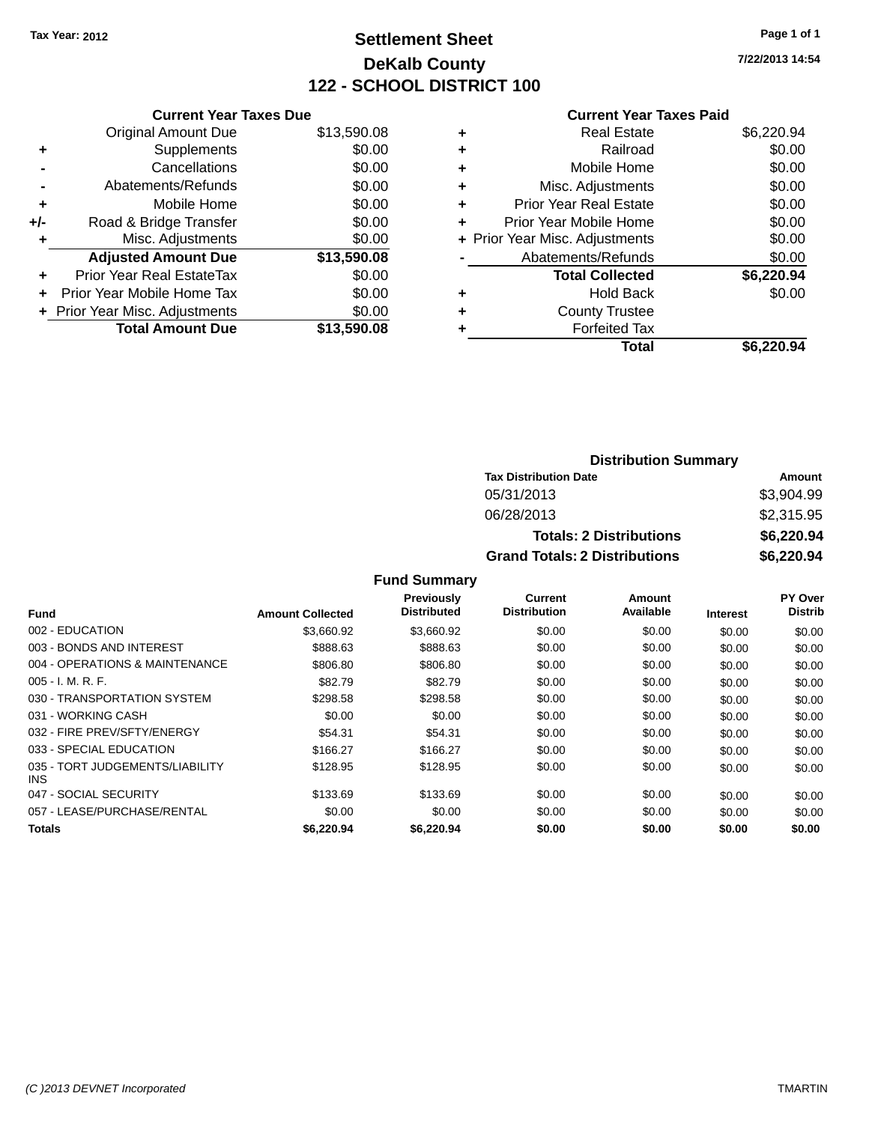## **Settlement Sheet Tax Year: 2012 Page 1 of 1 DeKalb County 122 - SCHOOL DISTRICT 100**

**7/22/2013 14:54**

#### **Current Year Taxes Paid**

|     | <b>Current Year Taxes Due</b>  |             |
|-----|--------------------------------|-------------|
|     | <b>Original Amount Due</b>     | \$13,590.08 |
| ٠   | Supplements                    | \$0.00      |
|     | Cancellations                  | \$0.00      |
|     | Abatements/Refunds             | \$0.00      |
| ٠   | Mobile Home                    | \$0.00      |
| +/- | Road & Bridge Transfer         | \$0.00      |
| ٠   | Misc. Adjustments              | \$0.00      |
|     | <b>Adjusted Amount Due</b>     | \$13,590.08 |
| ÷   | Prior Year Real EstateTax      | \$0.00      |
| ÷   | Prior Year Mobile Home Tax     | \$0.00      |
|     | + Prior Year Misc. Adjustments | \$0.00      |
|     | <b>Total Amount Due</b>        | \$13,590.08 |
|     |                                |             |

| \$6,220.94 |
|------------|
| \$0.00     |
| \$0.00     |
| \$0.00     |
| \$0.00     |
| \$0.00     |
| \$0.00     |
| \$0.00     |
| \$6,220.94 |
| \$0.00     |
|            |
|            |
| \$6.220.94 |
|            |

| <b>Distribution Summary</b>          |            |  |  |  |
|--------------------------------------|------------|--|--|--|
| <b>Tax Distribution Date</b>         | Amount     |  |  |  |
| 05/31/2013                           | \$3,904.99 |  |  |  |
| 06/28/2013                           | \$2,315.95 |  |  |  |
| <b>Totals: 2 Distributions</b>       | \$6,220.94 |  |  |  |
| <b>Grand Totals: 2 Distributions</b> | \$6,220.94 |  |  |  |

|                                         |                         | Previously         | Current             | Amount    |                 | PY Over        |
|-----------------------------------------|-------------------------|--------------------|---------------------|-----------|-----------------|----------------|
| <b>Fund</b>                             | <b>Amount Collected</b> | <b>Distributed</b> | <b>Distribution</b> | Available | <b>Interest</b> | <b>Distrib</b> |
| 002 - EDUCATION                         | \$3.660.92              | \$3,660.92         | \$0.00              | \$0.00    | \$0.00          | \$0.00         |
| 003 - BONDS AND INTEREST                | \$888.63                | \$888.63           | \$0.00              | \$0.00    | \$0.00          | \$0.00         |
| 004 - OPERATIONS & MAINTENANCE          | \$806.80                | \$806.80           | \$0.00              | \$0.00    | \$0.00          | \$0.00         |
| $005 - I. M. R. F.$                     | \$82.79                 | \$82.79            | \$0.00              | \$0.00    | \$0.00          | \$0.00         |
| 030 - TRANSPORTATION SYSTEM             | \$298.58                | \$298.58           | \$0.00              | \$0.00    | \$0.00          | \$0.00         |
| 031 - WORKING CASH                      | \$0.00                  | \$0.00             | \$0.00              | \$0.00    | \$0.00          | \$0.00         |
| 032 - FIRE PREV/SFTY/ENERGY             | \$54.31                 | \$54.31            | \$0.00              | \$0.00    | \$0.00          | \$0.00         |
| 033 - SPECIAL EDUCATION                 | \$166.27                | \$166.27           | \$0.00              | \$0.00    | \$0.00          | \$0.00         |
| 035 - TORT JUDGEMENTS/LIABILITY<br>INS. | \$128.95                | \$128.95           | \$0.00              | \$0.00    | \$0.00          | \$0.00         |
| 047 - SOCIAL SECURITY                   | \$133.69                | \$133.69           | \$0.00              | \$0.00    | \$0.00          | \$0.00         |
| 057 - LEASE/PURCHASE/RENTAL             | \$0.00                  | \$0.00             | \$0.00              | \$0.00    | \$0.00          | \$0.00         |
| <b>Totals</b>                           | \$6,220,94              | \$6,220,94         | \$0.00              | \$0.00    | \$0.00          | \$0.00         |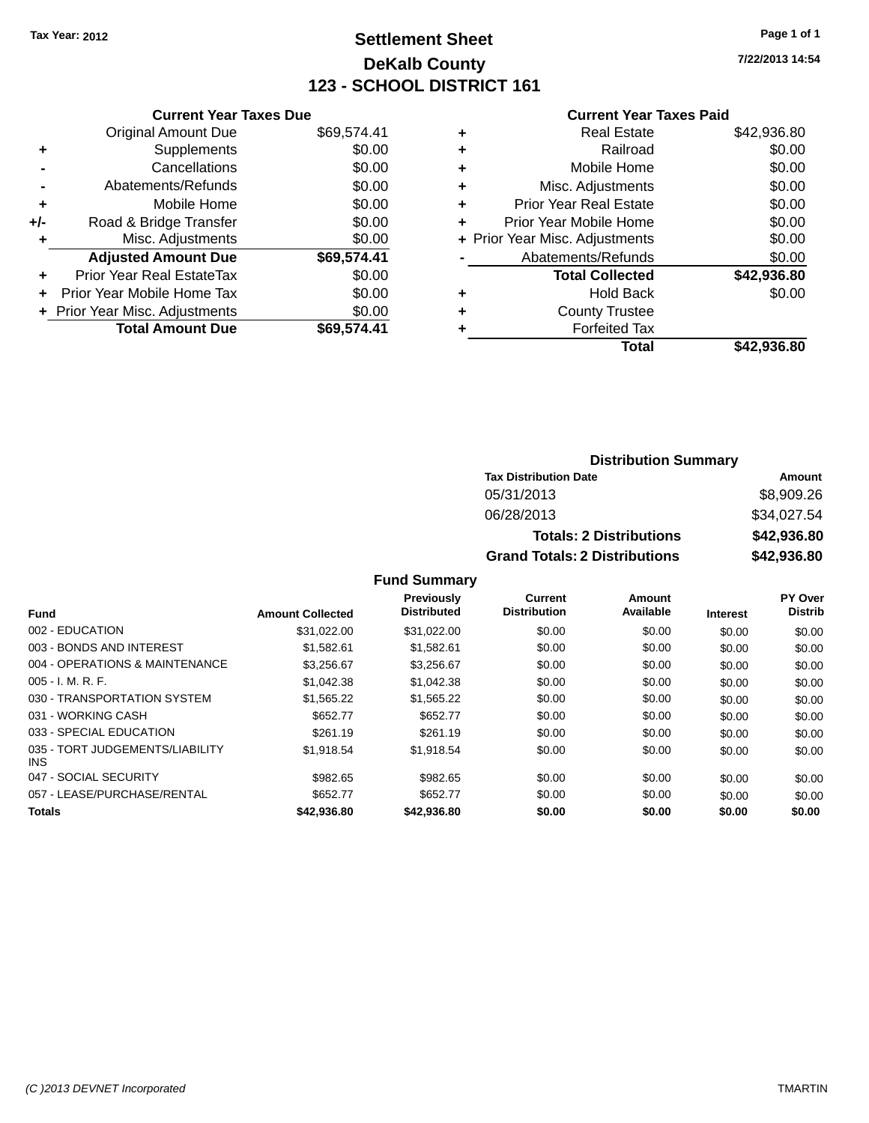## **Settlement Sheet Tax Year: 2012 Page 1 of 1 DeKalb County 123 - SCHOOL DISTRICT 161**

**7/22/2013 14:54**

#### **Current Year Taxes Paid**

|     | <b>Current Year Taxes Due</b>  |             |
|-----|--------------------------------|-------------|
|     | <b>Original Amount Due</b>     | \$69,574.41 |
| ٠   | Supplements                    | \$0.00      |
|     | Cancellations                  | \$0.00      |
|     | Abatements/Refunds             | \$0.00      |
| ٠   | Mobile Home                    | \$0.00      |
| +/- | Road & Bridge Transfer         | \$0.00      |
|     | Misc. Adjustments              | \$0.00      |
|     | <b>Adjusted Amount Due</b>     | \$69,574.41 |
| ÷   | Prior Year Real EstateTax      | \$0.00      |
|     | Prior Year Mobile Home Tax     | \$0.00      |
|     | + Prior Year Misc. Adjustments | \$0.00      |
|     | <b>Total Amount Due</b>        | \$69.574.41 |
|     |                                |             |

| ٠ | <b>Real Estate</b>             | \$42,936.80 |
|---|--------------------------------|-------------|
| ٠ | Railroad                       | \$0.00      |
| ٠ | Mobile Home                    | \$0.00      |
| ٠ | Misc. Adjustments              | \$0.00      |
| ٠ | <b>Prior Year Real Estate</b>  | \$0.00      |
| ٠ | Prior Year Mobile Home         | \$0.00      |
|   | + Prior Year Misc. Adjustments | \$0.00      |
|   | Abatements/Refunds             | \$0.00      |
|   | <b>Total Collected</b>         | \$42,936.80 |
| ٠ | <b>Hold Back</b>               | \$0.00      |
| ٠ | <b>County Trustee</b>          |             |
| ٠ | <b>Forfeited Tax</b>           |             |
|   | Total                          | \$42,936.80 |
|   |                                |             |

#### **Distribution Summary Tax Distribution Date Amount** 05/31/2013 \$8,909.26 06/28/2013 \$34,027.54 **Totals: 2 Distributions \$42,936.80 Grand Totals: 2 Distributions \$42,936.80**

|                                         |                         | Previously<br><b>Distributed</b> | <b>Current</b><br><b>Distribution</b> | Amount<br>Available |                 | PY Over<br><b>Distrib</b> |
|-----------------------------------------|-------------------------|----------------------------------|---------------------------------------|---------------------|-----------------|---------------------------|
| <b>Fund</b>                             | <b>Amount Collected</b> |                                  |                                       |                     | <b>Interest</b> |                           |
| 002 - EDUCATION                         | \$31.022.00             | \$31,022.00                      | \$0.00                                | \$0.00              | \$0.00          | \$0.00                    |
| 003 - BONDS AND INTEREST                | \$1.582.61              | \$1,582.61                       | \$0.00                                | \$0.00              | \$0.00          | \$0.00                    |
| 004 - OPERATIONS & MAINTENANCE          | \$3.256.67              | \$3.256.67                       | \$0.00                                | \$0.00              | \$0.00          | \$0.00                    |
| $005 - I. M. R. F.$                     | \$1.042.38              | \$1.042.38                       | \$0.00                                | \$0.00              | \$0.00          | \$0.00                    |
| 030 - TRANSPORTATION SYSTEM             | \$1,565.22              | \$1,565.22                       | \$0.00                                | \$0.00              | \$0.00          | \$0.00                    |
| 031 - WORKING CASH                      | \$652.77                | \$652.77                         | \$0.00                                | \$0.00              | \$0.00          | \$0.00                    |
| 033 - SPECIAL EDUCATION                 | \$261.19                | \$261.19                         | \$0.00                                | \$0.00              | \$0.00          | \$0.00                    |
| 035 - TORT JUDGEMENTS/LIABILITY<br>INS. | \$1,918.54              | \$1,918.54                       | \$0.00                                | \$0.00              | \$0.00          | \$0.00                    |
| 047 - SOCIAL SECURITY                   | \$982.65                | \$982.65                         | \$0.00                                | \$0.00              | \$0.00          | \$0.00                    |
| 057 - LEASE/PURCHASE/RENTAL             | \$652.77                | \$652.77                         | \$0.00                                | \$0.00              | \$0.00          | \$0.00                    |
| <b>Totals</b>                           | \$42,936.80             | \$42,936.80                      | \$0.00                                | \$0.00              | \$0.00          | \$0.00                    |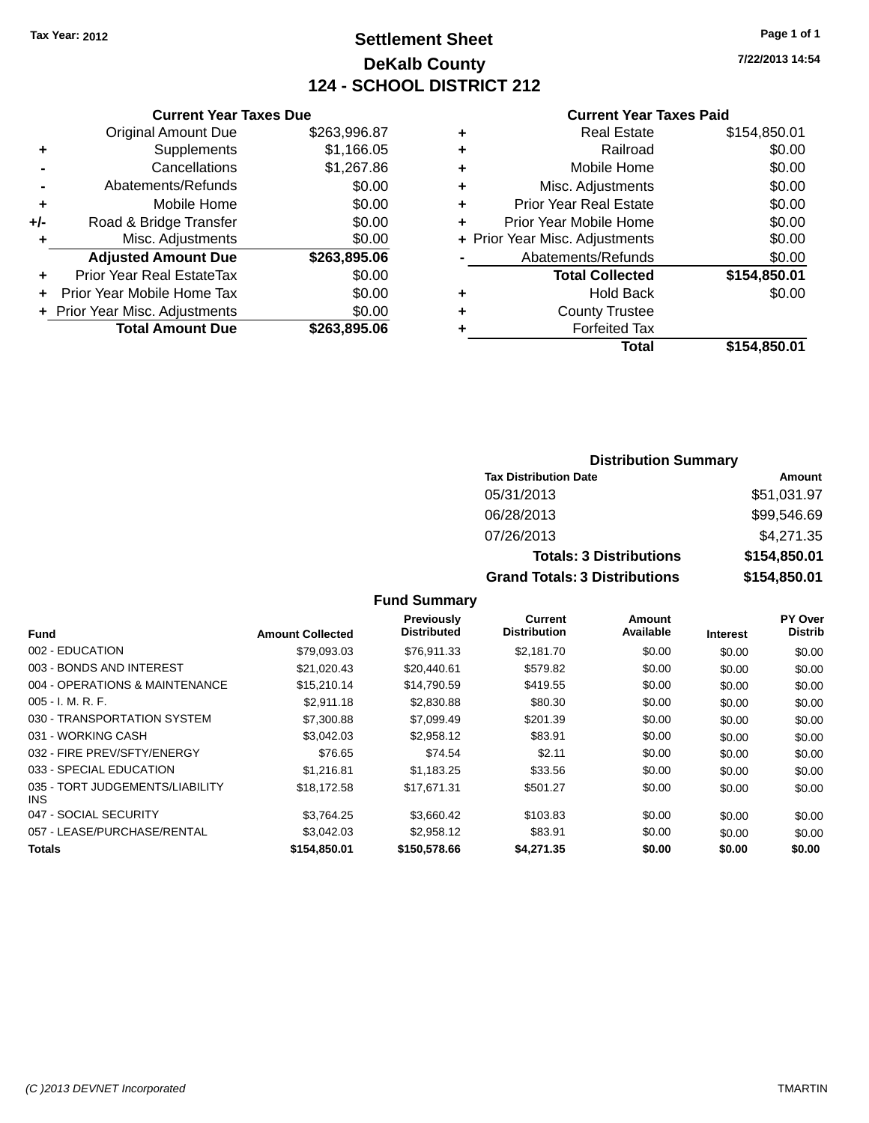## **Settlement Sheet Tax Year: 2012 Page 1 of 1 DeKalb County 124 - SCHOOL DISTRICT 212**

**7/22/2013 14:54**

#### **Current Year Taxes Paid**

|       | <b>Current Year Taxes Due</b>  |              |
|-------|--------------------------------|--------------|
|       | <b>Original Amount Due</b>     | \$263,996.87 |
| ٠     | Supplements                    | \$1,166.05   |
|       | Cancellations                  | \$1,267.86   |
|       | Abatements/Refunds             | \$0.00       |
| ٠     | Mobile Home                    | \$0.00       |
| $+/-$ | Road & Bridge Transfer         | \$0.00       |
| ÷     | Misc. Adjustments              | \$0.00       |
|       | <b>Adjusted Amount Due</b>     | \$263,895.06 |
| ٠     | Prior Year Real EstateTax      | \$0.00       |
|       | Prior Year Mobile Home Tax     | \$0.00       |
|       | + Prior Year Misc. Adjustments | \$0.00       |
|       | <b>Total Amount Due</b>        | \$263,895.06 |
|       |                                |              |

|   | <b>Real Estate</b>             | \$154,850.01 |
|---|--------------------------------|--------------|
| ٠ | Railroad                       | \$0.00       |
| ٠ | Mobile Home                    | \$0.00       |
| ٠ | Misc. Adjustments              | \$0.00       |
| ٠ | Prior Year Real Estate         | \$0.00       |
| ٠ | Prior Year Mobile Home         | \$0.00       |
|   | + Prior Year Misc. Adjustments | \$0.00       |
|   | Abatements/Refunds             | \$0.00       |
|   | <b>Total Collected</b>         | \$154,850.01 |
| ٠ | <b>Hold Back</b>               | \$0.00       |
| ٠ | <b>County Trustee</b>          |              |
| ٠ | <b>Forfeited Tax</b>           |              |
|   | Total                          | \$154,850.01 |
|   |                                |              |

### **Distribution Summary Tax Distribution Date Amount** 05/31/2013 \$51,031.97 06/28/2013 \$99,546.69 07/26/2013 \$4,271.35 **Totals: 3 Distributions \$154,850.01 Grand Totals: 3 Distributions \$154,850.01**

| Fund                                    | <b>Amount Collected</b> | <b>Previously</b><br><b>Distributed</b> | <b>Current</b><br><b>Distribution</b> | Amount<br>Available | <b>Interest</b> | PY Over<br><b>Distrib</b> |
|-----------------------------------------|-------------------------|-----------------------------------------|---------------------------------------|---------------------|-----------------|---------------------------|
| 002 - EDUCATION                         | \$79,093.03             | \$76,911.33                             | \$2,181.70                            | \$0.00              | \$0.00          | \$0.00                    |
| 003 - BONDS AND INTEREST                | \$21,020.43             | \$20,440.61                             | \$579.82                              | \$0.00              | \$0.00          | \$0.00                    |
| 004 - OPERATIONS & MAINTENANCE          | \$15,210.14             | \$14,790.59                             | \$419.55                              | \$0.00              | \$0.00          | \$0.00                    |
| $005 - I. M. R. F.$                     | \$2.911.18              | \$2,830.88                              | \$80.30                               | \$0.00              | \$0.00          | \$0.00                    |
| 030 - TRANSPORTATION SYSTEM             | \$7,300.88              | \$7,099.49                              | \$201.39                              | \$0.00              | \$0.00          | \$0.00                    |
| 031 - WORKING CASH                      | \$3,042.03              | \$2,958.12                              | \$83.91                               | \$0.00              | \$0.00          | \$0.00                    |
| 032 - FIRE PREV/SFTY/ENERGY             | \$76.65                 | \$74.54                                 | \$2.11                                | \$0.00              | \$0.00          | \$0.00                    |
| 033 - SPECIAL EDUCATION                 | \$1.216.81              | \$1.183.25                              | \$33.56                               | \$0.00              | \$0.00          | \$0.00                    |
| 035 - TORT JUDGEMENTS/LIABILITY<br>INS. | \$18,172.58             | \$17.671.31                             | \$501.27                              | \$0.00              | \$0.00          | \$0.00                    |
| 047 - SOCIAL SECURITY                   | \$3.764.25              | \$3.660.42                              | \$103.83                              | \$0.00              | \$0.00          | \$0.00                    |
| 057 - LEASE/PURCHASE/RENTAL             | \$3.042.03              | \$2,958.12                              | \$83.91                               | \$0.00              | \$0.00          | \$0.00                    |
| <b>Totals</b>                           | \$154,850,01            | \$150,578.66                            | \$4,271.35                            | \$0.00              | \$0.00          | \$0.00                    |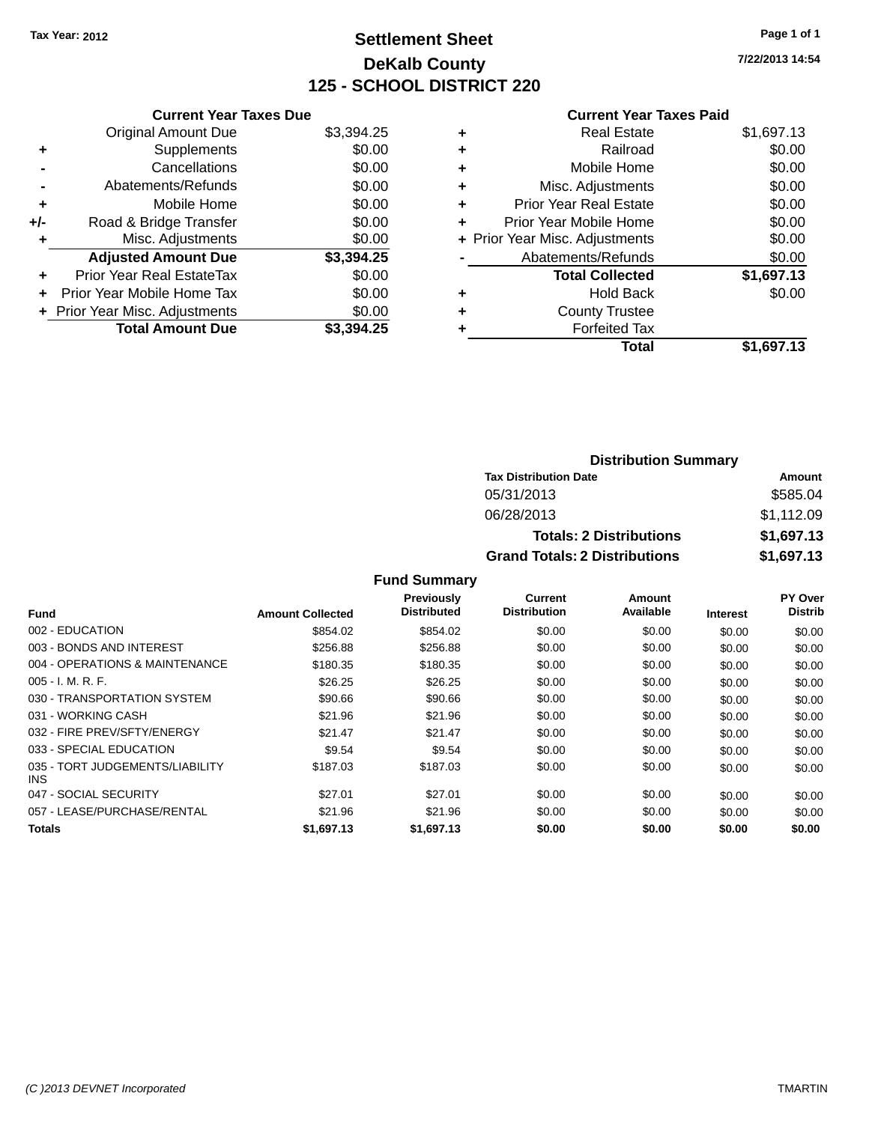## **Settlement Sheet Tax Year: 2012 Page 1 of 1 DeKalb County 125 - SCHOOL DISTRICT 220**

**7/22/2013 14:54**

#### **Current Year Taxes Paid**

| <b>Current Year Taxes Due</b> |                                |
|-------------------------------|--------------------------------|
| <b>Original Amount Due</b>    | \$3,394.25                     |
| Supplements                   | \$0.00                         |
| Cancellations                 | \$0.00                         |
| Abatements/Refunds            | \$0.00                         |
| Mobile Home                   | \$0.00                         |
| Road & Bridge Transfer        | \$0.00                         |
| Misc. Adjustments             | \$0.00                         |
| <b>Adjusted Amount Due</b>    | \$3,394.25                     |
| Prior Year Real EstateTax     | \$0.00                         |
| Prior Year Mobile Home Tax    | \$0.00                         |
|                               | \$0.00                         |
| <b>Total Amount Due</b>       | \$3.394.25                     |
|                               | + Prior Year Misc. Adjustments |

| ٠ | <b>Real Estate</b>             | \$1,697.13 |
|---|--------------------------------|------------|
| ٠ | Railroad                       | \$0.00     |
| ٠ | Mobile Home                    | \$0.00     |
| ٠ | Misc. Adjustments              | \$0.00     |
| ٠ | <b>Prior Year Real Estate</b>  | \$0.00     |
| ٠ | Prior Year Mobile Home         | \$0.00     |
|   | + Prior Year Misc. Adjustments | \$0.00     |
|   | Abatements/Refunds             | \$0.00     |
|   | <b>Total Collected</b>         | \$1,697.13 |
| ٠ | <b>Hold Back</b>               | \$0.00     |
| ٠ | <b>County Trustee</b>          |            |
| ٠ | <b>Forfeited Tax</b>           |            |
|   | Total                          | \$1,697.13 |
|   |                                |            |

| <b>Distribution Summary</b>          |            |  |  |  |  |
|--------------------------------------|------------|--|--|--|--|
| <b>Tax Distribution Date</b>         | Amount     |  |  |  |  |
| 05/31/2013                           | \$585.04   |  |  |  |  |
| 06/28/2013                           | \$1,112.09 |  |  |  |  |
| <b>Totals: 2 Distributions</b>       | \$1,697.13 |  |  |  |  |
| <b>Grand Totals: 2 Distributions</b> | \$1,697.13 |  |  |  |  |

|                                         |                         | Previously         | Current             | Amount    |                 | <b>PY Over</b> |
|-----------------------------------------|-------------------------|--------------------|---------------------|-----------|-----------------|----------------|
| Fund                                    | <b>Amount Collected</b> | <b>Distributed</b> | <b>Distribution</b> | Available | <b>Interest</b> | <b>Distrib</b> |
| 002 - EDUCATION                         | \$854.02                | \$854.02           | \$0.00              | \$0.00    | \$0.00          | \$0.00         |
| 003 - BONDS AND INTEREST                | \$256.88                | \$256.88           | \$0.00              | \$0.00    | \$0.00          | \$0.00         |
| 004 - OPERATIONS & MAINTENANCE          | \$180.35                | \$180.35           | \$0.00              | \$0.00    | \$0.00          | \$0.00         |
| $005 - I. M. R. F.$                     | \$26.25                 | \$26.25            | \$0.00              | \$0.00    | \$0.00          | \$0.00         |
| 030 - TRANSPORTATION SYSTEM             | \$90.66                 | \$90.66            | \$0.00              | \$0.00    | \$0.00          | \$0.00         |
| 031 - WORKING CASH                      | \$21.96                 | \$21.96            | \$0.00              | \$0.00    | \$0.00          | \$0.00         |
| 032 - FIRE PREV/SFTY/ENERGY             | \$21.47                 | \$21.47            | \$0.00              | \$0.00    | \$0.00          | \$0.00         |
| 033 - SPECIAL EDUCATION                 | \$9.54                  | \$9.54             | \$0.00              | \$0.00    | \$0.00          | \$0.00         |
| 035 - TORT JUDGEMENTS/LIABILITY<br>INS. | \$187.03                | \$187.03           | \$0.00              | \$0.00    | \$0.00          | \$0.00         |
| 047 - SOCIAL SECURITY                   | \$27.01                 | \$27.01            | \$0.00              | \$0.00    | \$0.00          | \$0.00         |
| 057 - LEASE/PURCHASE/RENTAL             | \$21.96                 | \$21.96            | \$0.00              | \$0.00    | \$0.00          | \$0.00         |
| <b>Totals</b>                           | \$1.697.13              | \$1.697.13         | \$0.00              | \$0.00    | \$0.00          | \$0.00         |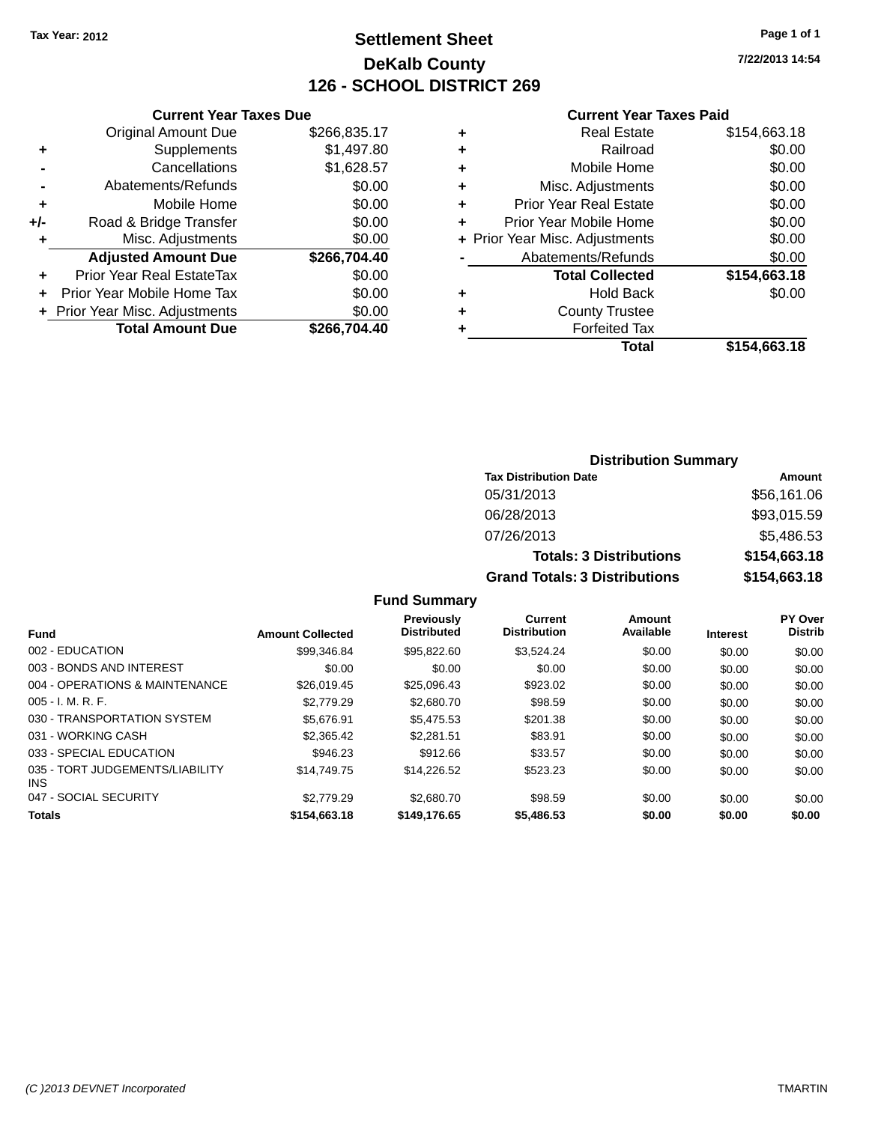## **Settlement Sheet Tax Year: 2012 Page 1 of 1 DeKalb County 126 - SCHOOL DISTRICT 269**

**7/22/2013 14:54**

#### **Current Year Taxes Paid**

|     | <b>Current Year Taxes Due</b>  |              |  |  |  |  |
|-----|--------------------------------|--------------|--|--|--|--|
|     | <b>Original Amount Due</b>     | \$266,835.17 |  |  |  |  |
| ٠   | Supplements                    | \$1,497.80   |  |  |  |  |
|     | \$1,628.57<br>Cancellations    |              |  |  |  |  |
|     | Abatements/Refunds             | \$0.00       |  |  |  |  |
| ٠   | Mobile Home                    | \$0.00       |  |  |  |  |
| +/- | Road & Bridge Transfer         | \$0.00       |  |  |  |  |
| ٠   | Misc. Adjustments              | \$0.00       |  |  |  |  |
|     | <b>Adjusted Amount Due</b>     | \$266,704.40 |  |  |  |  |
| ٠   | Prior Year Real EstateTax      | \$0.00       |  |  |  |  |
| ÷   | Prior Year Mobile Home Tax     | \$0.00       |  |  |  |  |
|     | + Prior Year Misc. Adjustments | \$0.00       |  |  |  |  |
|     | <b>Total Amount Due</b>        | \$266,704.40 |  |  |  |  |

| ٠ | <b>Real Estate</b>             | \$154,663.18 |
|---|--------------------------------|--------------|
| ٠ | Railroad                       | \$0.00       |
| ٠ | Mobile Home                    | \$0.00       |
| ٠ | Misc. Adjustments              | \$0.00       |
| ٠ | <b>Prior Year Real Estate</b>  | \$0.00       |
| ٠ | Prior Year Mobile Home         | \$0.00       |
|   | + Prior Year Misc. Adjustments | \$0.00       |
|   | Abatements/Refunds             | \$0.00       |
|   | <b>Total Collected</b>         | \$154,663.18 |
| ٠ | <b>Hold Back</b>               | \$0.00       |
| ٠ | <b>County Trustee</b>          |              |
|   | <b>Forfeited Tax</b>           |              |
|   | Total                          | \$154,663.18 |
|   |                                |              |

### **Distribution Summary Tax Distribution Date Amount** 05/31/2013 \$56,161.06 06/28/2013 \$93,015.59 07/26/2013 \$5,486.53 **Totals: 3 Distributions \$154,663.18 Grand Totals: 3 Distributions \$154,663.18**

| <b>Fund</b>                             | <b>Amount Collected</b> | <b>Previously</b><br><b>Distributed</b> | Current<br><b>Distribution</b> | Amount<br>Available | <b>Interest</b> | <b>PY Over</b><br><b>Distrib</b> |
|-----------------------------------------|-------------------------|-----------------------------------------|--------------------------------|---------------------|-----------------|----------------------------------|
|                                         |                         |                                         |                                |                     |                 |                                  |
| 002 - EDUCATION                         | \$99,346.84             | \$95,822.60                             | \$3,524.24                     | \$0.00              | \$0.00          | \$0.00                           |
| 003 - BONDS AND INTEREST                | \$0.00                  | \$0.00                                  | \$0.00                         | \$0.00              | \$0.00          | \$0.00                           |
| 004 - OPERATIONS & MAINTENANCE          | \$26,019.45             | \$25,096.43                             | \$923.02                       | \$0.00              | \$0.00          | \$0.00                           |
| $005 - I. M. R. F.$                     | \$2,779.29              | \$2,680.70                              | \$98.59                        | \$0.00              | \$0.00          | \$0.00                           |
| 030 - TRANSPORTATION SYSTEM             | \$5.676.91              | \$5,475.53                              | \$201.38                       | \$0.00              | \$0.00          | \$0.00                           |
| 031 - WORKING CASH                      | \$2,365.42              | \$2.281.51                              | \$83.91                        | \$0.00              | \$0.00          | \$0.00                           |
| 033 - SPECIAL EDUCATION                 | \$946.23                | \$912.66                                | \$33.57                        | \$0.00              | \$0.00          | \$0.00                           |
| 035 - TORT JUDGEMENTS/LIABILITY<br>INS. | \$14,749.75             | \$14.226.52                             | \$523.23                       | \$0.00              | \$0.00          | \$0.00                           |
| 047 - SOCIAL SECURITY                   | \$2,779.29              | \$2,680.70                              | \$98.59                        | \$0.00              | \$0.00          | \$0.00                           |
| <b>Totals</b>                           | \$154,663,18            | \$149,176.65                            | \$5,486.53                     | \$0.00              | \$0.00          | \$0.00                           |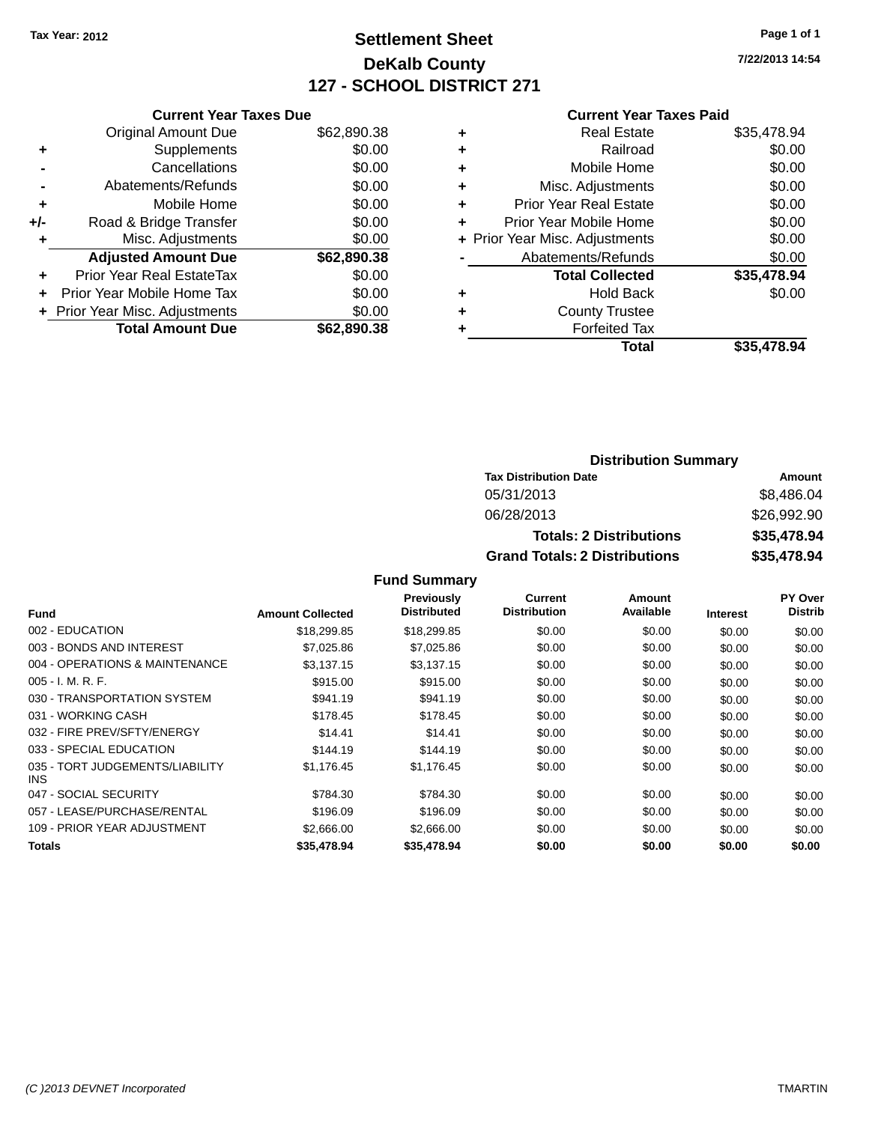## **Settlement Sheet Tax Year: 2012 Page 1 of 1 DeKalb County 127 - SCHOOL DISTRICT 271**

**7/22/2013 14:54**

#### **Current Year Taxes Paid**

|     | <b>Current Year Taxes Due</b>  |             |  |  |  |  |
|-----|--------------------------------|-------------|--|--|--|--|
|     | <b>Original Amount Due</b>     | \$62,890.38 |  |  |  |  |
| ٠   | Supplements                    | \$0.00      |  |  |  |  |
|     | Cancellations                  | \$0.00      |  |  |  |  |
|     | Abatements/Refunds             | \$0.00      |  |  |  |  |
| ٠   | Mobile Home                    | \$0.00      |  |  |  |  |
| +/- | Road & Bridge Transfer         | \$0.00      |  |  |  |  |
| ٠   | Misc. Adjustments              | \$0.00      |  |  |  |  |
|     | <b>Adjusted Amount Due</b>     | \$62,890.38 |  |  |  |  |
| ÷   | Prior Year Real EstateTax      | \$0.00      |  |  |  |  |
|     | Prior Year Mobile Home Tax     | \$0.00      |  |  |  |  |
|     | + Prior Year Misc. Adjustments | \$0.00      |  |  |  |  |
|     | <b>Total Amount Due</b>        | \$62.890.38 |  |  |  |  |
|     |                                |             |  |  |  |  |

| ٠ | <b>Real Estate</b>             | \$35,478.94 |
|---|--------------------------------|-------------|
| ٠ | Railroad                       | \$0.00      |
| ٠ | Mobile Home                    | \$0.00      |
| ٠ | Misc. Adjustments              | \$0.00      |
| ٠ | <b>Prior Year Real Estate</b>  | \$0.00      |
| ٠ | Prior Year Mobile Home         | \$0.00      |
|   | + Prior Year Misc. Adjustments | \$0.00      |
|   | Abatements/Refunds             | \$0.00      |
|   | <b>Total Collected</b>         | \$35,478.94 |
| ٠ | <b>Hold Back</b>               | \$0.00      |
| ٠ | <b>County Trustee</b>          |             |
| ٠ | <b>Forfeited Tax</b>           |             |
|   | Total                          | \$35,478.94 |
|   |                                |             |

#### **Distribution Summary Tax Distribution Date Amount** 05/31/2013 \$8,486.04 06/28/2013 \$26,992.90 **Totals: 2 Distributions \$35,478.94 Grand Totals: 2 Distributions \$35,478.94**

|                                         |                         | <b>Previously</b>  | <b>Current</b>      | Amount    |                 | <b>PY Over</b> |
|-----------------------------------------|-------------------------|--------------------|---------------------|-----------|-----------------|----------------|
| <b>Fund</b>                             | <b>Amount Collected</b> | <b>Distributed</b> | <b>Distribution</b> | Available | <b>Interest</b> | <b>Distrib</b> |
| 002 - EDUCATION                         | \$18,299.85             | \$18,299.85        | \$0.00              | \$0.00    | \$0.00          | \$0.00         |
| 003 - BONDS AND INTEREST                | \$7,025.86              | \$7,025.86         | \$0.00              | \$0.00    | \$0.00          | \$0.00         |
| 004 - OPERATIONS & MAINTENANCE          | \$3,137.15              | \$3,137.15         | \$0.00              | \$0.00    | \$0.00          | \$0.00         |
| $005 - I. M. R. F.$                     | \$915.00                | \$915.00           | \$0.00              | \$0.00    | \$0.00          | \$0.00         |
| 030 - TRANSPORTATION SYSTEM             | \$941.19                | \$941.19           | \$0.00              | \$0.00    | \$0.00          | \$0.00         |
| 031 - WORKING CASH                      | \$178.45                | \$178.45           | \$0.00              | \$0.00    | \$0.00          | \$0.00         |
| 032 - FIRE PREV/SFTY/ENERGY             | \$14.41                 | \$14.41            | \$0.00              | \$0.00    | \$0.00          | \$0.00         |
| 033 - SPECIAL EDUCATION                 | \$144.19                | \$144.19           | \$0.00              | \$0.00    | \$0.00          | \$0.00         |
| 035 - TORT JUDGEMENTS/LIABILITY<br>INS. | \$1,176.45              | \$1,176.45         | \$0.00              | \$0.00    | \$0.00          | \$0.00         |
| 047 - SOCIAL SECURITY                   | \$784.30                | \$784.30           | \$0.00              | \$0.00    | \$0.00          | \$0.00         |
| 057 - LEASE/PURCHASE/RENTAL             | \$196.09                | \$196.09           | \$0.00              | \$0.00    | \$0.00          | \$0.00         |
| 109 - PRIOR YEAR ADJUSTMENT             | \$2,666,00              | \$2,666,00         | \$0.00              | \$0.00    | \$0.00          | \$0.00         |
| <b>Totals</b>                           | \$35,478.94             | \$35,478.94        | \$0.00              | \$0.00    | \$0.00          | \$0.00         |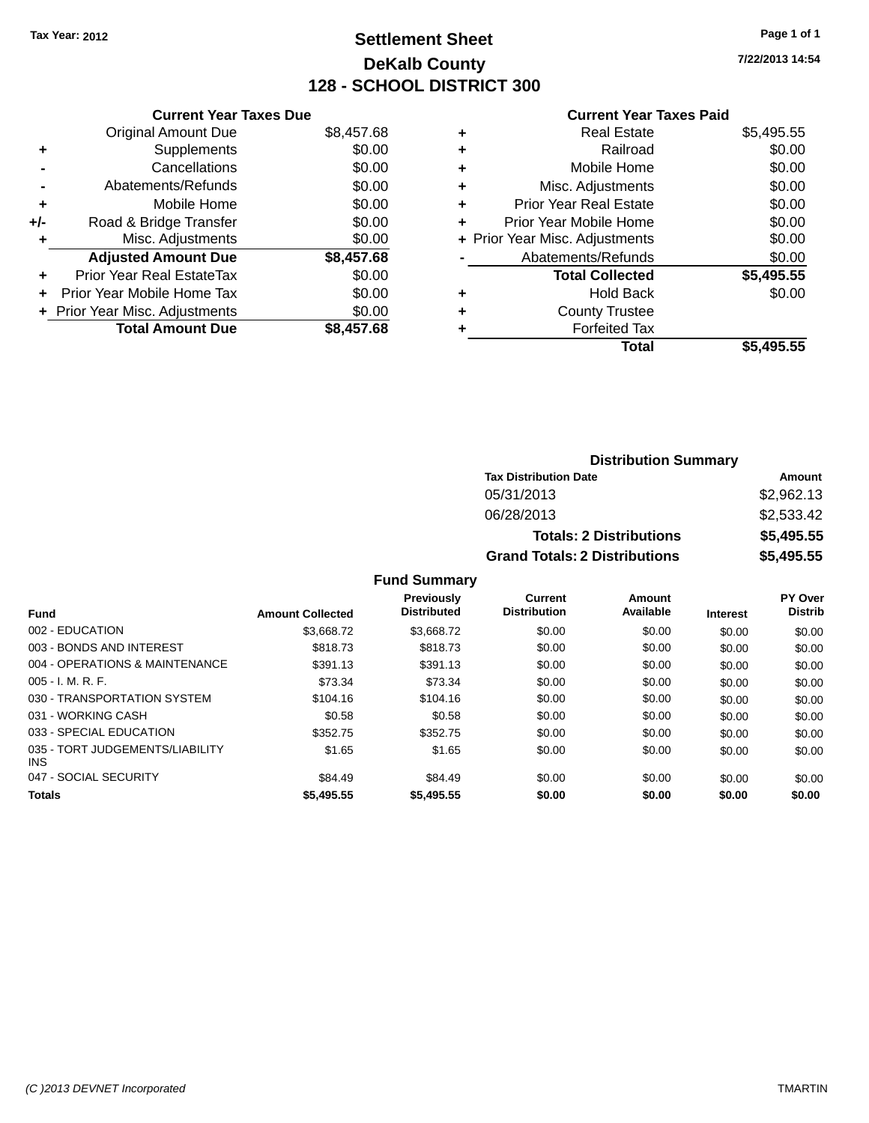## **Settlement Sheet Tax Year: 2012 Page 1 of 1 DeKalb County 128 - SCHOOL DISTRICT 300**

**7/22/2013 14:54**

|     | <b>Current Year Taxes Due</b>  |            |
|-----|--------------------------------|------------|
|     | <b>Original Amount Due</b>     | \$8,457.68 |
|     | Supplements                    | \$0.00     |
|     | Cancellations                  | \$0.00     |
|     | Abatements/Refunds             | \$0.00     |
| ٠   | Mobile Home                    | \$0.00     |
| +/- | Road & Bridge Transfer         | \$0.00     |
|     | Misc. Adjustments              | \$0.00     |
|     | <b>Adjusted Amount Due</b>     | \$8,457.68 |
| ÷   | Prior Year Real EstateTax      | \$0.00     |
| ÷   | Prior Year Mobile Home Tax     | \$0.00     |
|     | + Prior Year Misc. Adjustments | \$0.00     |
|     | <b>Total Amount Due</b>        | \$8.457.68 |
|     |                                |            |

#### **Current Year Taxes Paid**

| <b>Real Estate</b>            | \$5,495.55                     |
|-------------------------------|--------------------------------|
| Railroad                      | \$0.00                         |
| Mobile Home                   | \$0.00                         |
| Misc. Adjustments             | \$0.00                         |
| <b>Prior Year Real Estate</b> | \$0.00                         |
| Prior Year Mobile Home        | \$0.00                         |
|                               | \$0.00                         |
| Abatements/Refunds            | \$0.00                         |
| <b>Total Collected</b>        | \$5,495.55                     |
| <b>Hold Back</b>              | \$0.00                         |
| <b>County Trustee</b>         |                                |
| <b>Forfeited Tax</b>          |                                |
| Total                         | \$5,495.55                     |
|                               | + Prior Year Misc. Adjustments |

### **Distribution Summary Tax Distribution Date Amount** 05/31/2013 \$2,962.13 06/28/2013 \$2,533.42 **Totals: 2 Distributions \$5,495.55 Grand Totals: 2 Distributions \$5,495.55**

|                                               |                         | Previously         | <b>Current</b>      | Amount    |                 | PY Over        |
|-----------------------------------------------|-------------------------|--------------------|---------------------|-----------|-----------------|----------------|
| <b>Fund</b>                                   | <b>Amount Collected</b> | <b>Distributed</b> | <b>Distribution</b> | Available | <b>Interest</b> | <b>Distrib</b> |
| 002 - EDUCATION                               | \$3,668,72              | \$3.668.72         | \$0.00              | \$0.00    | \$0.00          | \$0.00         |
| 003 - BONDS AND INTEREST                      | \$818.73                | \$818.73           | \$0.00              | \$0.00    | \$0.00          | \$0.00         |
| 004 - OPERATIONS & MAINTENANCE                | \$391.13                | \$391.13           | \$0.00              | \$0.00    | \$0.00          | \$0.00         |
| $005 - I. M. R. F.$                           | \$73.34                 | \$73.34            | \$0.00              | \$0.00    | \$0.00          | \$0.00         |
| 030 - TRANSPORTATION SYSTEM                   | \$104.16                | \$104.16           | \$0.00              | \$0.00    | \$0.00          | \$0.00         |
| 031 - WORKING CASH                            | \$0.58                  | \$0.58             | \$0.00              | \$0.00    | \$0.00          | \$0.00         |
| 033 - SPECIAL EDUCATION                       | \$352.75                | \$352.75           | \$0.00              | \$0.00    | \$0.00          | \$0.00         |
| 035 - TORT JUDGEMENTS/LIABILITY<br><b>INS</b> | \$1.65                  | \$1.65             | \$0.00              | \$0.00    | \$0.00          | \$0.00         |
| 047 - SOCIAL SECURITY                         | \$84.49                 | \$84.49            | \$0.00              | \$0.00    | \$0.00          | \$0.00         |
| <b>Totals</b>                                 | \$5,495.55              | \$5,495.55         | \$0.00              | \$0.00    | \$0.00          | \$0.00         |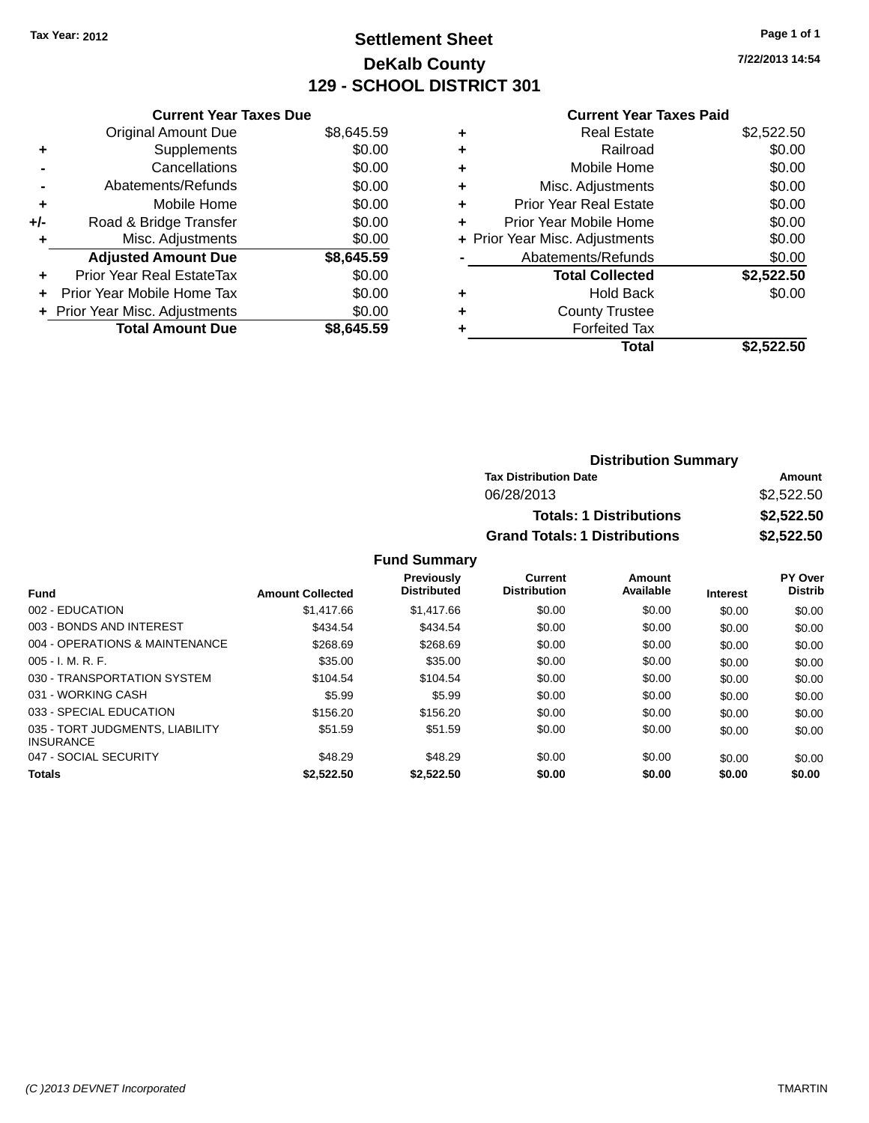## **Settlement Sheet Tax Year: 2012 Page 1 of 1 DeKalb County 129 - SCHOOL DISTRICT 301**

**7/22/2013 14:54**

#### **Current Year Taxes Paid**

|     | <b>Current Year Taxes Due</b>            |            |  |  |  |  |
|-----|------------------------------------------|------------|--|--|--|--|
|     | <b>Original Amount Due</b>               | \$8,645.59 |  |  |  |  |
| ٠   | Supplements                              | \$0.00     |  |  |  |  |
|     | Cancellations                            | \$0.00     |  |  |  |  |
|     | Abatements/Refunds                       | \$0.00     |  |  |  |  |
| ٠   | Mobile Home                              | \$0.00     |  |  |  |  |
| +/- | Road & Bridge Transfer                   | \$0.00     |  |  |  |  |
|     | Misc. Adjustments                        | \$0.00     |  |  |  |  |
|     | <b>Adjusted Amount Due</b>               | \$8,645.59 |  |  |  |  |
| ÷   | Prior Year Real EstateTax                | \$0.00     |  |  |  |  |
| ÷   | Prior Year Mobile Home Tax               | \$0.00     |  |  |  |  |
|     | \$0.00<br>+ Prior Year Misc. Adjustments |            |  |  |  |  |
|     | <b>Total Amount Due</b>                  | \$8.645.59 |  |  |  |  |

|   | <b>Real Estate</b>             | \$2,522.50 |
|---|--------------------------------|------------|
| ÷ | Railroad                       | \$0.00     |
| ٠ | Mobile Home                    | \$0.00     |
| ٠ | Misc. Adjustments              | \$0.00     |
| ٠ | <b>Prior Year Real Estate</b>  | \$0.00     |
| ٠ | Prior Year Mobile Home         | \$0.00     |
|   | + Prior Year Misc. Adjustments | \$0.00     |
|   | Abatements/Refunds             | \$0.00     |
|   | <b>Total Collected</b>         | \$2,522.50 |
| ٠ | <b>Hold Back</b>               | \$0.00     |
| ٠ | <b>County Trustee</b>          |            |
| ٠ | <b>Forfeited Tax</b>           |            |
|   | Total                          | \$2,522.50 |
|   |                                |            |

| <b>Distribution Summary</b>          |            |  |  |  |
|--------------------------------------|------------|--|--|--|
| <b>Tax Distribution Date</b>         | Amount     |  |  |  |
| 06/28/2013                           | \$2,522.50 |  |  |  |
| <b>Totals: 1 Distributions</b>       | \$2,522.50 |  |  |  |
| <b>Grand Totals: 1 Distributions</b> | \$2,522.50 |  |  |  |

| <b>Fund</b>                                         | <b>Amount Collected</b> | <b>Previously</b><br><b>Distributed</b> | Current<br><b>Distribution</b> | Amount<br>Available | <b>Interest</b> | <b>PY Over</b><br><b>Distrib</b> |
|-----------------------------------------------------|-------------------------|-----------------------------------------|--------------------------------|---------------------|-----------------|----------------------------------|
| 002 - EDUCATION                                     | \$1,417.66              | \$1,417.66                              | \$0.00                         | \$0.00              | \$0.00          | \$0.00                           |
| 003 - BONDS AND INTEREST                            | \$434.54                | \$434.54                                | \$0.00                         | \$0.00              | \$0.00          | \$0.00                           |
| 004 - OPERATIONS & MAINTENANCE                      | \$268.69                | \$268.69                                | \$0.00                         | \$0.00              | \$0.00          | \$0.00                           |
| $005 - I. M. R. F.$                                 | \$35.00                 | \$35.00                                 | \$0.00                         | \$0.00              | \$0.00          | \$0.00                           |
| 030 - TRANSPORTATION SYSTEM                         | \$104.54                | \$104.54                                | \$0.00                         | \$0.00              | \$0.00          | \$0.00                           |
| 031 - WORKING CASH                                  | \$5.99                  | \$5.99                                  | \$0.00                         | \$0.00              | \$0.00          | \$0.00                           |
| 033 - SPECIAL EDUCATION                             | \$156.20                | \$156.20                                | \$0.00                         | \$0.00              | \$0.00          | \$0.00                           |
| 035 - TORT JUDGMENTS, LIABILITY<br><b>INSURANCE</b> | \$51.59                 | \$51.59                                 | \$0.00                         | \$0.00              | \$0.00          | \$0.00                           |
| 047 - SOCIAL SECURITY                               | \$48.29                 | \$48.29                                 | \$0.00                         | \$0.00              | \$0.00          | \$0.00                           |
| <b>Totals</b>                                       | \$2.522.50              | \$2.522.50                              | \$0.00                         | \$0.00              | \$0.00          | \$0.00                           |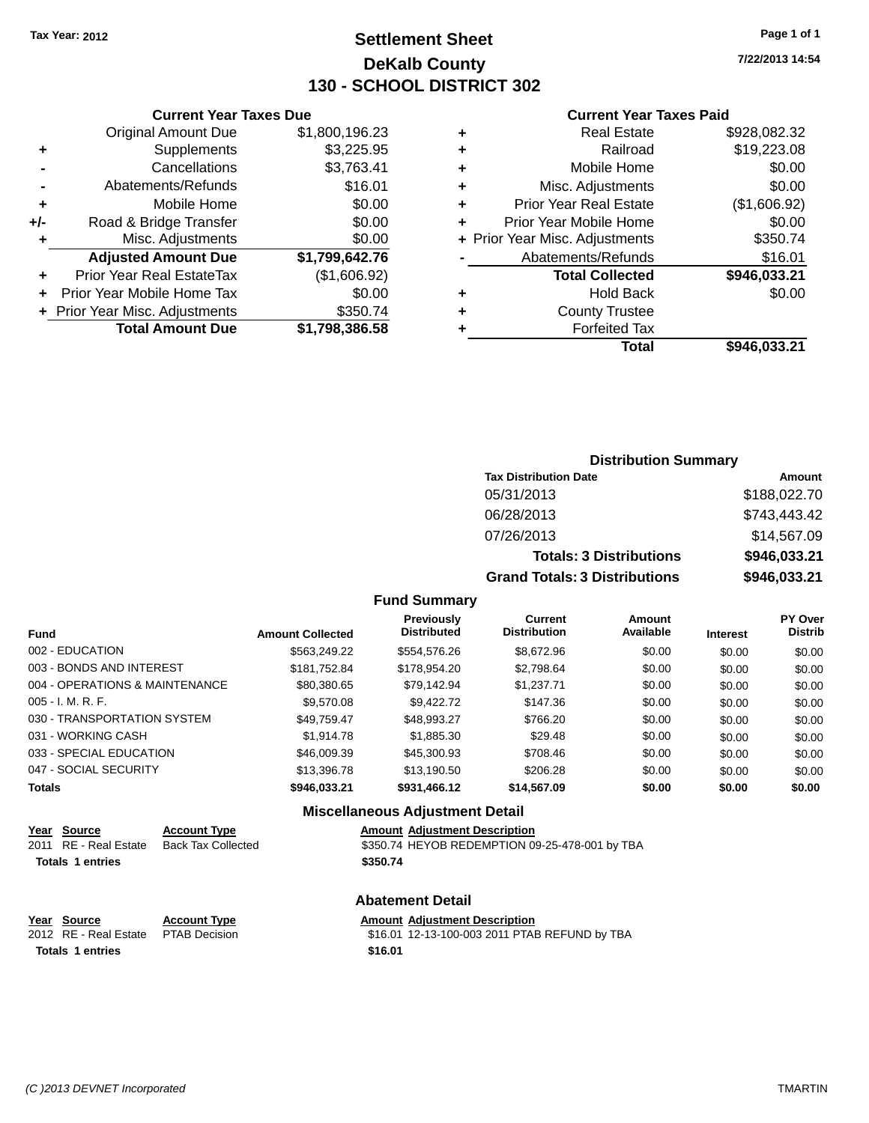**Original Amount Due** 

**Adjusted Amount Due** 

**Total Amount Due** 

**+** Supplements **-** Cancellations **-** Abatements/Refunds **+** Mobile Home **+/-** Road & Bridge Transfer **+** Misc. Adjustments

**+** Prior Year Real EstateTax **+** Prior Year Mobile Home Tax **+ Prior Year Misc. Adjustments** 

## **Settlement Sheet Tax Year: 2012 Page 1 of 1 DeKalb County 130 - SCHOOL DISTRICT 302**

**7/22/2013 14:54**

**Total \$946,033.21**

#### **Current Year Taxes Paid**

| <b>Current Year Taxes Due</b> |                |   | <b>Current Year Taxes Paid</b> |              |  |
|-------------------------------|----------------|---|--------------------------------|--------------|--|
| ่<br>เl Amount Due            | \$1,800,196.23 | ٠ | <b>Real Estate</b>             | \$928,082.32 |  |
| Supplements                   | \$3,225.95     | ٠ | Railroad                       | \$19,223.08  |  |
| Cancellations                 | \$3,763.41     | ٠ | Mobile Home                    | \$0.00       |  |
| าents/Refunds                 | \$16.01        | ٠ | Misc. Adjustments              | \$0.00       |  |
| Mobile Home                   | \$0.00         | ÷ | <b>Prior Year Real Estate</b>  | (\$1,606.92) |  |
| ridge Transfer                | \$0.00         | ÷ | Prior Year Mobile Home         | \$0.00       |  |
| . Adjustments                 | \$0.00         |   | + Prior Year Misc. Adjustments | \$350.74     |  |
| <b>Amount Due</b>             | \$1,799,642.76 |   | Abatements/Refunds             | \$16.01      |  |
| leal EstateTax≀               | (\$1,606.92)   |   | <b>Total Collected</b>         | \$946,033.21 |  |
| bile Home Tax                 | \$0.00         | ٠ | <b>Hold Back</b>               | \$0.00       |  |
| . Adjustments                 | \$350.74       | ÷ | <b>County Trustee</b>          |              |  |
| <b>Amount Due</b>             | \$1,798,386.58 |   | <b>Forfeited Tax</b>           |              |  |
|                               |                |   | Total                          | \$946.033.21 |  |

### **Distribution Summary Tax Distribution Date Amount** 05/31/2013 \$188,022.70 06/28/2013 \$743,443.42 07/26/2013 \$14,567.09 **Totals: 3 Distributions \$946,033.21 Grand Totals: 3 Distributions \$946,033.21**

#### **Fund Summary**

| <b>Fund</b>                    | <b>Amount Collected</b> | Previously<br><b>Distributed</b> | Current<br><b>Distribution</b> | Amount<br>Available | <b>Interest</b> | <b>PY Over</b><br><b>Distrib</b> |
|--------------------------------|-------------------------|----------------------------------|--------------------------------|---------------------|-----------------|----------------------------------|
| 002 - EDUCATION                | \$563.249.22            | \$554,576.26                     | \$8,672.96                     | \$0.00              | \$0.00          | \$0.00                           |
| 003 - BONDS AND INTEREST       | \$181,752.84            | \$178,954.20                     | \$2,798.64                     | \$0.00              | \$0.00          | \$0.00                           |
| 004 - OPERATIONS & MAINTENANCE | \$80,380.65             | \$79,142.94                      | \$1.237.71                     | \$0.00              | \$0.00          | \$0.00                           |
| $005 - I. M. R. F.$            | \$9,570.08              | \$9.422.72                       | \$147.36                       | \$0.00              | \$0.00          | \$0.00                           |
| 030 - TRANSPORTATION SYSTEM    | \$49.759.47             | \$48,993.27                      | \$766.20                       | \$0.00              | \$0.00          | \$0.00                           |
| 031 - WORKING CASH             | \$1,914.78              | \$1,885.30                       | \$29.48                        | \$0.00              | \$0.00          | \$0.00                           |
| 033 - SPECIAL EDUCATION        | \$46,009.39             | \$45,300.93                      | \$708.46                       | \$0.00              | \$0.00          | \$0.00                           |
| 047 - SOCIAL SECURITY          | \$13,396.78             | \$13,190.50                      | \$206.28                       | \$0.00              | \$0.00          | \$0.00                           |
| <b>Totals</b>                  | \$946.033.21            | \$931,466.12                     | \$14,567.09                    | \$0.00              | \$0.00          | \$0.00                           |

#### **Miscellaneous Adjustment Detail**

| <u>Year Source</u>      | <b>Account Type</b> | <b>Amount Adjustment Description</b>           |
|-------------------------|---------------------|------------------------------------------------|
| 2011 RE - Real Estate   | Back Tax Collected  | \$350.74 HEYOB REDEMPTION 09-25-478-001 by TBA |
| <b>Totals 1 entries</b> |                     | \$350.74                                       |
|                         |                     | <b>Abatement Detail</b>                        |

| Year Source                         | <b>Account Type</b> | <b>Amount Adjustment Description</b>          |
|-------------------------------------|---------------------|-----------------------------------------------|
| 2012 RE - Real Estate PTAB Decision |                     | \$16.01 12-13-100-003 2011 PTAB REFUND by TBA |
| <b>Totals 1 entries</b>             |                     | \$16.01                                       |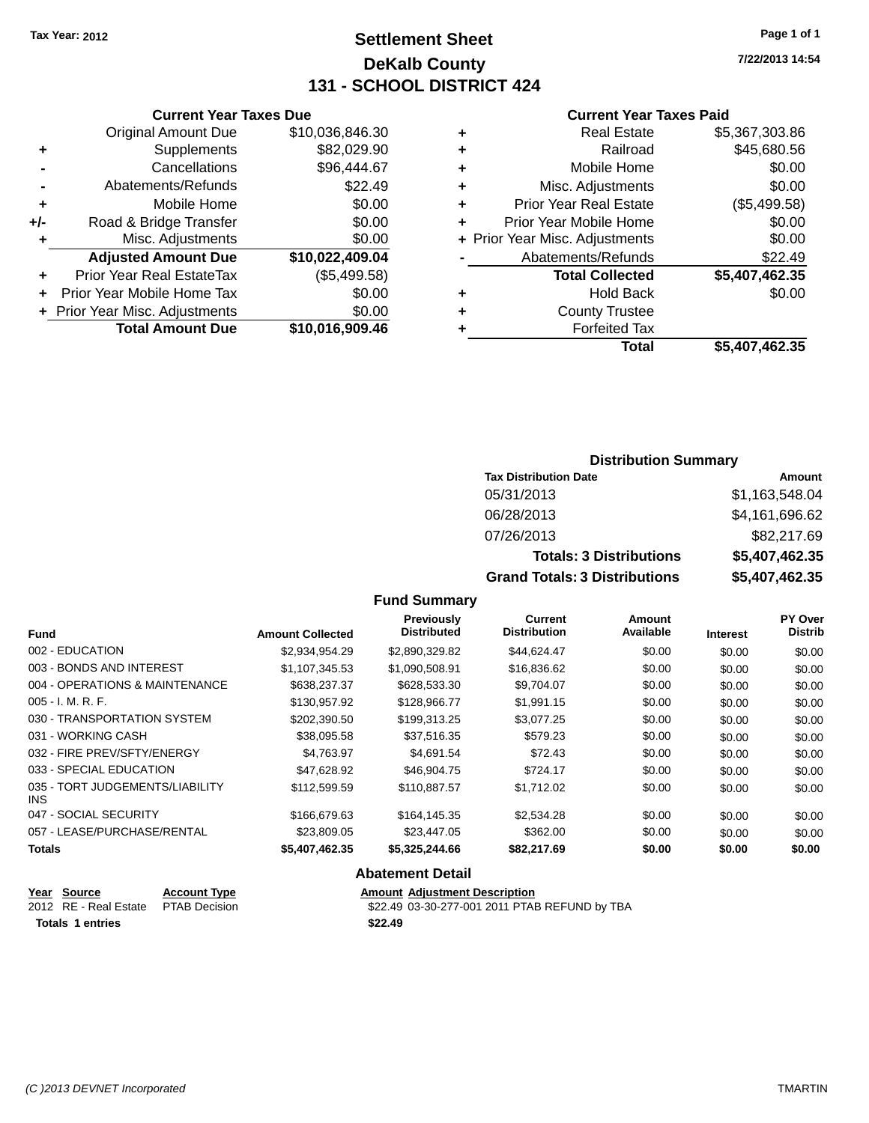**Original Amount Due** 

**Adjusted Amount Due** 

**Total Amount Due** 

**+** Supplements **-** Cancellations **-** Abatements/Refunds  $+$  Mobile Home **+/-** Road & Bridge Transfer **+** Misc. Adjustments

**+** Prior Year Real EstateTax **+** Prior Year Mobile Home Tax **+** Prior Year Misc. Adjustments

## **Settlement Sheet Tax Year: 2012 Page 1 of 1 DeKalb County 131 - SCHOOL DISTRICT 424**

**7/22/2013 14:54**

#### **Current Year Taxes Paid**

| <b>Current Year Taxes Due</b> |                 |   | <b>Current Year Taxes Paid</b> |                |
|-------------------------------|-----------------|---|--------------------------------|----------------|
| ıl Amount Due                 | \$10,036,846.30 | ٠ | <b>Real Estate</b>             | \$5,367,303.86 |
| Supplements                   | \$82,029.90     | ٠ | Railroad                       | \$45,680.56    |
| Cancellations                 | \$96,444.67     | ٠ | Mobile Home                    | \$0.00         |
| ents/Refunds                  | \$22.49         | ÷ | Misc. Adjustments              | \$0.00         |
| Mobile Home                   | \$0.00          | ÷ | <b>Prior Year Real Estate</b>  | (\$5,499.58)   |
| ridge Transfer                | \$0.00          | ÷ | Prior Year Mobile Home         | \$0.00         |
| . Adjustments                 | \$0.00          |   | + Prior Year Misc. Adjustments | \$0.00         |
| <b>Amount Due</b>             | \$10,022,409.04 |   | Abatements/Refunds             | \$22.49        |
| eal EstateTax:                | (\$5,499.58)    |   | <b>Total Collected</b>         | \$5,407,462.35 |
| pile Home Tax                 | \$0.00          | ÷ | <b>Hold Back</b>               | \$0.00         |
| . Adjustments                 | \$0.00          | ٠ | <b>County Trustee</b>          |                |
| <b>Amount Due</b>             | \$10,016,909.46 |   | <b>Forfeited Tax</b>           |                |
|                               |                 |   | Total                          | \$5,407,462,35 |

## **Total \$5,407,462.35**

#### **Distribution Summary Tax Distribution Date Amount** 05/31/2013 \$1,163,548.04 06/28/2013 \$4,161,696.62 07/26/2013 \$82,217.69 **Totals: 3 Distributions \$5,407,462.35 Grand Totals: 3 Distributions \$5,407,462.35**

#### **Fund Summary**

| <b>Fund</b>                             | <b>Amount Collected</b> | Previously<br><b>Distributed</b> | <b>Current</b><br><b>Distribution</b> | Amount<br>Available | <b>Interest</b> | PY Over<br><b>Distrib</b> |
|-----------------------------------------|-------------------------|----------------------------------|---------------------------------------|---------------------|-----------------|---------------------------|
| 002 - EDUCATION                         | \$2,934,954.29          | \$2,890,329.82                   | \$44,624.47                           | \$0.00              | \$0.00          | \$0.00                    |
| 003 - BONDS AND INTEREST                | \$1.107.345.53          | \$1,090,508.91                   | \$16,836.62                           | \$0.00              | \$0.00          | \$0.00                    |
| 004 - OPERATIONS & MAINTENANCE          | \$638,237.37            | \$628,533.30                     | \$9,704.07                            | \$0.00              | \$0.00          | \$0.00                    |
| $005 - I. M. R. F.$                     | \$130,957.92            | \$128,966.77                     | \$1,991.15                            | \$0.00              | \$0.00          | \$0.00                    |
| 030 - TRANSPORTATION SYSTEM             | \$202,390.50            | \$199,313.25                     | \$3,077.25                            | \$0.00              | \$0.00          | \$0.00                    |
| 031 - WORKING CASH                      | \$38,095.58             | \$37,516.35                      | \$579.23                              | \$0.00              | \$0.00          | \$0.00                    |
| 032 - FIRE PREV/SFTY/ENERGY             | \$4,763.97              | \$4,691.54                       | \$72.43                               | \$0.00              | \$0.00          | \$0.00                    |
| 033 - SPECIAL EDUCATION                 | \$47.628.92             | \$46,904.75                      | \$724.17                              | \$0.00              | \$0.00          | \$0.00                    |
| 035 - TORT JUDGEMENTS/LIABILITY<br>INS. | \$112,599.59            | \$110.887.57                     | \$1.712.02                            | \$0.00              | \$0.00          | \$0.00                    |
| 047 - SOCIAL SECURITY                   | \$166,679,63            | \$164,145.35                     | \$2,534.28                            | \$0.00              | \$0.00          | \$0.00                    |
| 057 - LEASE/PURCHASE/RENTAL             | \$23,809.05             | \$23,447.05                      | \$362.00                              | \$0.00              | \$0.00          | \$0.00                    |
| <b>Totals</b>                           | \$5,407,462.35          | \$5,325,244.66                   | \$82,217.69                           | \$0.00              | \$0.00          | \$0.00                    |

| Year Source           | <b>Account Type</b>  |         | <b>Amount Adjustment Description</b>          |
|-----------------------|----------------------|---------|-----------------------------------------------|
| 2012 RE - Real Estate | <b>PTAB Decision</b> |         | \$22.49 03-30-277-001 2011 PTAB REFUND by TBA |
| Totals 1 entries      |                      | \$22.49 |                                               |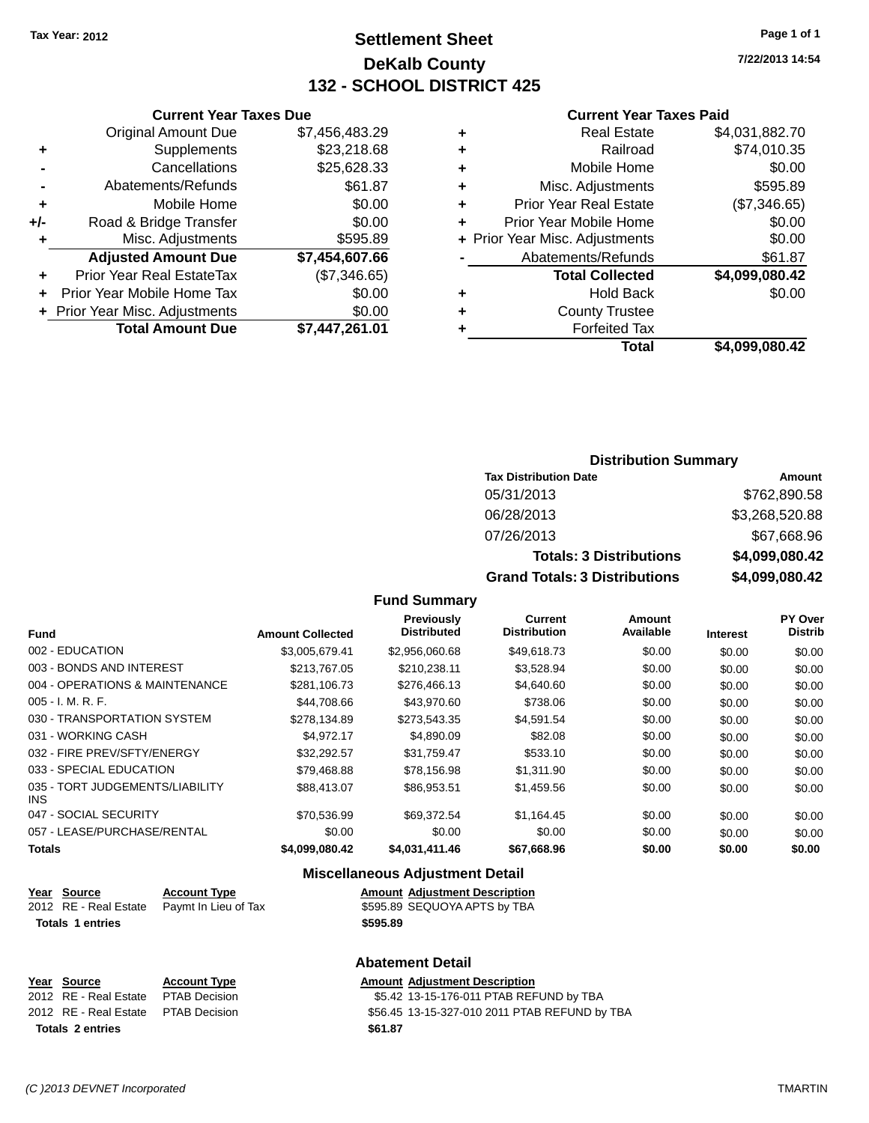## **Settlement Sheet Tax Year: 2012 Page 1 of 1 DeKalb County 132 - SCHOOL DISTRICT 425**

**7/22/2013 14:54**

#### **Current Year Taxes Paid**

| ٠ | <b>Real Estate</b>             | \$4,031,882.70 |
|---|--------------------------------|----------------|
| ٠ | Railroad                       | \$74,010.35    |
| ٠ | Mobile Home                    | \$0.00         |
| ٠ | Misc. Adjustments              | \$595.89       |
| ٠ | <b>Prior Year Real Estate</b>  | (\$7,346.65)   |
| ٠ | Prior Year Mobile Home         | \$0.00         |
|   | + Prior Year Misc. Adjustments | \$0.00         |
|   | Abatements/Refunds             | \$61.87        |
|   | <b>Total Collected</b>         | \$4,099,080.42 |
| ٠ | Hold Back                      | \$0.00         |
| ٠ | <b>County Trustee</b>          |                |
|   | <b>Forfeited Tax</b>           |                |
|   | Total                          | \$4.099.080.42 |

|     | <b>Current Year Taxes Due</b>  |                |
|-----|--------------------------------|----------------|
|     | <b>Original Amount Due</b>     | \$7,456,483.29 |
| ٠   | Supplements                    | \$23,218.68    |
|     | Cancellations                  | \$25,628.33    |
|     | Abatements/Refunds             | \$61.87        |
| ٠   | Mobile Home                    | \$0.00         |
| +/- | Road & Bridge Transfer         | \$0.00         |
| ٠   | Misc. Adjustments              | \$595.89       |
|     | <b>Adjusted Amount Due</b>     | \$7,454,607.66 |
| ٠   | Prior Year Real EstateTax      | (\$7,346.65)   |
| ٠   | Prior Year Mobile Home Tax     | \$0.00         |
|     | + Prior Year Misc. Adjustments | \$0.00         |
|     | <b>Total Amount Due</b>        | \$7,447,261.01 |

| <b>Distribution Summary</b>  |                |  |
|------------------------------|----------------|--|
| <b>Tax Distribution Date</b> | Amount         |  |
| 05/31/2013                   | \$762,890.58   |  |
| 06/28/2013                   | \$3.268.520.88 |  |

07/26/2013 \$67,668.96

**Totals: 3 Distributions \$4,099,080.42 Grand Totals: 3 Distributions \$4,099,080.42**

#### **Fund Summary**

| <b>Fund</b>                                   | <b>Amount Collected</b> | Previously<br><b>Distributed</b> | <b>Current</b><br><b>Distribution</b> | <b>Amount</b><br>Available | <b>Interest</b> | PY Over<br><b>Distrib</b> |
|-----------------------------------------------|-------------------------|----------------------------------|---------------------------------------|----------------------------|-----------------|---------------------------|
| 002 - EDUCATION                               | \$3,005,679.41          | \$2,956,060.68                   | \$49,618.73                           | \$0.00                     | \$0.00          | \$0.00                    |
| 003 - BONDS AND INTEREST                      | \$213,767.05            | \$210,238.11                     | \$3,528.94                            | \$0.00                     | \$0.00          | \$0.00                    |
| 004 - OPERATIONS & MAINTENANCE                | \$281,106.73            | \$276,466.13                     | \$4,640.60                            | \$0.00                     | \$0.00          | \$0.00                    |
| $005 - I. M. R. F.$                           | \$44.708.66             | \$43,970.60                      | \$738.06                              | \$0.00                     | \$0.00          | \$0.00                    |
| 030 - TRANSPORTATION SYSTEM                   | \$278,134.89            | \$273,543.35                     | \$4,591.54                            | \$0.00                     | \$0.00          | \$0.00                    |
| 031 - WORKING CASH                            | \$4.972.17              | \$4,890.09                       | \$82.08                               | \$0.00                     | \$0.00          | \$0.00                    |
| 032 - FIRE PREV/SFTY/ENERGY                   | \$32.292.57             | \$31,759.47                      | \$533.10                              | \$0.00                     | \$0.00          | \$0.00                    |
| 033 - SPECIAL EDUCATION                       | \$79.468.88             | \$78.156.98                      | \$1,311.90                            | \$0.00                     | \$0.00          | \$0.00                    |
| 035 - TORT JUDGEMENTS/LIABILITY<br><b>INS</b> | \$88.413.07             | \$86,953.51                      | \$1,459.56                            | \$0.00                     | \$0.00          | \$0.00                    |
| 047 - SOCIAL SECURITY                         | \$70.536.99             | \$69.372.54                      | \$1.164.45                            | \$0.00                     | \$0.00          | \$0.00                    |
| 057 - LEASE/PURCHASE/RENTAL                   | \$0.00                  | \$0.00                           | \$0.00                                | \$0.00                     | \$0.00          | \$0.00                    |
| <b>Totals</b>                                 | \$4.099.080.42          | \$4,031,411.46                   | \$67.668.96                           | \$0.00                     | \$0.00          | \$0.00                    |

#### **Miscellaneous Adjustment Detail**

| <u>Year Source</u>      | <b>Account Type</b>                        |          | <b>Amount Adiustment Description</b> |
|-------------------------|--------------------------------------------|----------|--------------------------------------|
|                         | 2012 RE - Real Estate Paymt In Lieu of Tax |          | \$595.89 SEQUOYA APTS by TBA         |
| <b>Totals 1 entries</b> |                                            | \$595.89 |                                      |

| Year Source                         | <b>Account Type</b> | <b>Amount Adiustment Description</b>          |
|-------------------------------------|---------------------|-----------------------------------------------|
| 2012 RE - Real Estate PTAB Decision |                     | \$5.42 13-15-176-011 PTAB REFUND by TBA       |
| 2012 RE - Real Estate PTAB Decision |                     | \$56.45 13-15-327-010 2011 PTAB REFUND by TBA |
| <b>Totals 2 entries</b>             |                     | \$61.87                                       |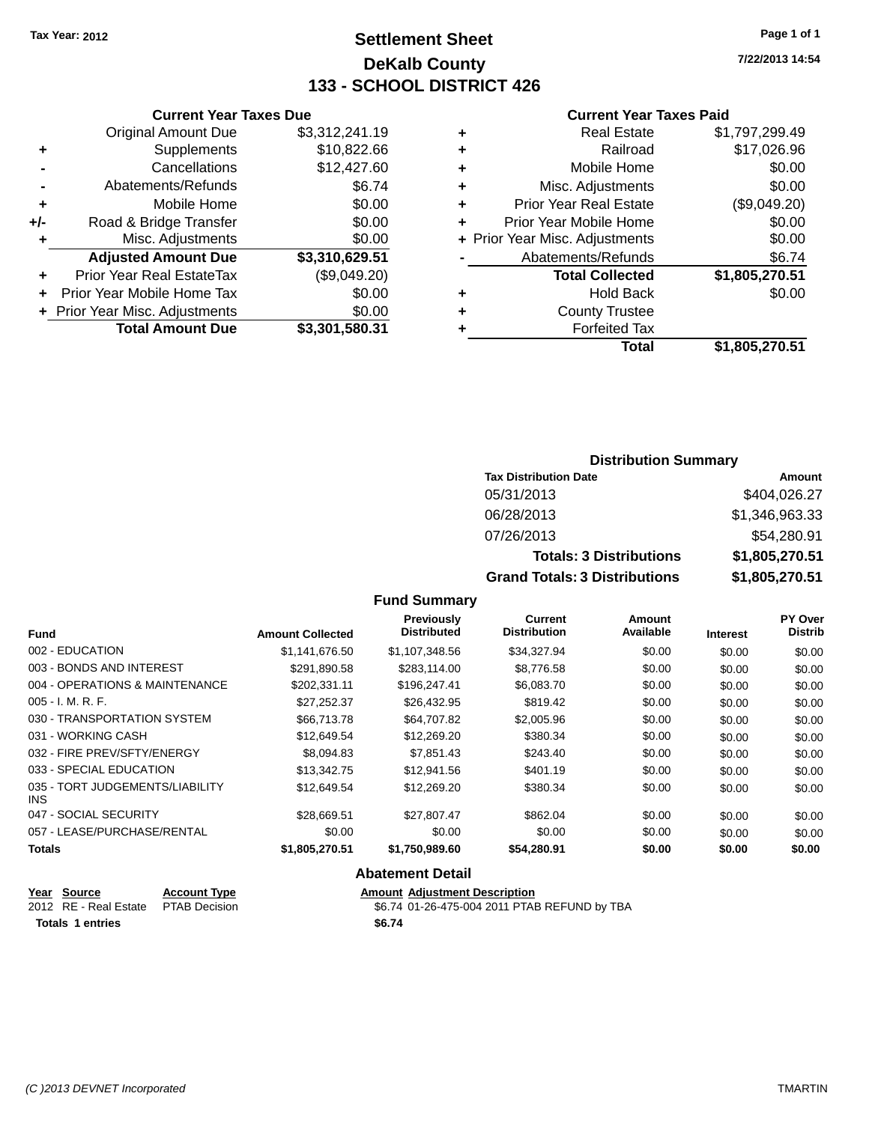## **Settlement Sheet Tax Year: 2012 Page 1 of 1 DeKalb County 133 - SCHOOL DISTRICT 426**

**7/22/2013 14:54**

#### **Current Year Taxes Paid**

|     | <b>Original Amount Due</b>       | \$3,312,241.19 | ٠     |
|-----|----------------------------------|----------------|-------|
|     | Supplements                      | \$10,822.66    | ٠     |
|     | Cancellations                    | \$12,427.60    | ٠     |
|     | Abatements/Refunds               | \$6.74         | ٠     |
|     | Mobile Home                      | \$0.00         | ٠     |
| +/- | Road & Bridge Transfer           | \$0.00         | ٠     |
|     | Misc. Adjustments                | \$0.00         | + Pri |
|     | <b>Adjusted Amount Due</b>       | \$3,310,629.51 |       |
|     | <b>Prior Year Real EstateTax</b> | (\$9,049.20)   |       |
|     | Prior Year Mobile Home Tax       | \$0.00         | ٠     |
|     | + Prior Year Misc. Adjustments   | \$0.00         | ٠     |
|     | <b>Total Amount Due</b>          | \$3,301,580.31 |       |
|     |                                  |                |       |

**Current Year Taxes Due**

| ٠ | <b>Real Estate</b>             | \$1,797,299.49 |
|---|--------------------------------|----------------|
| ٠ | Railroad                       | \$17,026.96    |
| ٠ | Mobile Home                    | \$0.00         |
| ٠ | Misc. Adjustments              | \$0.00         |
| ٠ | <b>Prior Year Real Estate</b>  | (\$9,049.20)   |
| ÷ | Prior Year Mobile Home         | \$0.00         |
|   | + Prior Year Misc. Adjustments | \$0.00         |
|   | Abatements/Refunds             | \$6.74         |
|   | <b>Total Collected</b>         | \$1,805,270.51 |
| ٠ | <b>Hold Back</b>               | \$0.00         |
| ٠ | <b>County Trustee</b>          |                |
| ٠ | <b>Forfeited Tax</b>           |                |
|   | Total                          | \$1,805,270.51 |
|   |                                |                |

#### **Distribution Summary Tax Distribution Date Amount** 05/31/2013 \$404,026.27 06/28/2013 \$1,346,963.33 07/26/2013 \$54,280.91 **Totals: 3 Distributions \$1,805,270.51 Grand Totals: 3 Distributions \$1,805,270.51**

#### **Fund Summary**

| <b>Fund</b>                                   | <b>Amount Collected</b> | Previously<br><b>Distributed</b> | <b>Current</b><br><b>Distribution</b> | <b>Amount</b><br>Available | <b>Interest</b> | PY Over<br><b>Distrib</b> |
|-----------------------------------------------|-------------------------|----------------------------------|---------------------------------------|----------------------------|-----------------|---------------------------|
| 002 - EDUCATION                               | \$1.141.676.50          | \$1,107,348.56                   | \$34,327.94                           | \$0.00                     | \$0.00          | \$0.00                    |
| 003 - BONDS AND INTEREST                      | \$291.890.58            | \$283.114.00                     | \$8.776.58                            | \$0.00                     | \$0.00          | \$0.00                    |
| 004 - OPERATIONS & MAINTENANCE                | \$202.331.11            | \$196,247.41                     | \$6,083.70                            | \$0.00                     | \$0.00          | \$0.00                    |
| $005 - I. M. R. F.$                           | \$27.252.37             | \$26,432.95                      | \$819.42                              | \$0.00                     | \$0.00          | \$0.00                    |
| 030 - TRANSPORTATION SYSTEM                   | \$66,713,78             | \$64,707.82                      | \$2,005.96                            | \$0.00                     | \$0.00          | \$0.00                    |
| 031 - WORKING CASH                            | \$12,649.54             | \$12,269.20                      | \$380.34                              | \$0.00                     | \$0.00          | \$0.00                    |
| 032 - FIRE PREV/SFTY/ENERGY                   | \$8,094.83              | \$7.851.43                       | \$243.40                              | \$0.00                     | \$0.00          | \$0.00                    |
| 033 - SPECIAL EDUCATION                       | \$13,342.75             | \$12.941.56                      | \$401.19                              | \$0.00                     | \$0.00          | \$0.00                    |
| 035 - TORT JUDGEMENTS/LIABILITY<br><b>INS</b> | \$12.649.54             | \$12,269.20                      | \$380.34                              | \$0.00                     | \$0.00          | \$0.00                    |
| 047 - SOCIAL SECURITY                         | \$28,669.51             | \$27.807.47                      | \$862.04                              | \$0.00                     | \$0.00          | \$0.00                    |
| 057 - LEASE/PURCHASE/RENTAL                   | \$0.00                  | \$0.00                           | \$0.00                                | \$0.00                     | \$0.00          | \$0.00                    |
| <b>Totals</b>                                 | \$1,805,270.51          | \$1,750,989.60                   | \$54,280.91                           | \$0.00                     | \$0.00          | \$0.00                    |

| Year Source           | <b>Account Type</b>  | <b>Amount Adjustment Description</b>         |
|-----------------------|----------------------|----------------------------------------------|
| 2012 RE - Real Estate | <b>PTAB Decision</b> | \$6.74 01-26-475-004 2011 PTAB REFUND by TBA |
| Totals 1 entries      |                      | \$6.74                                       |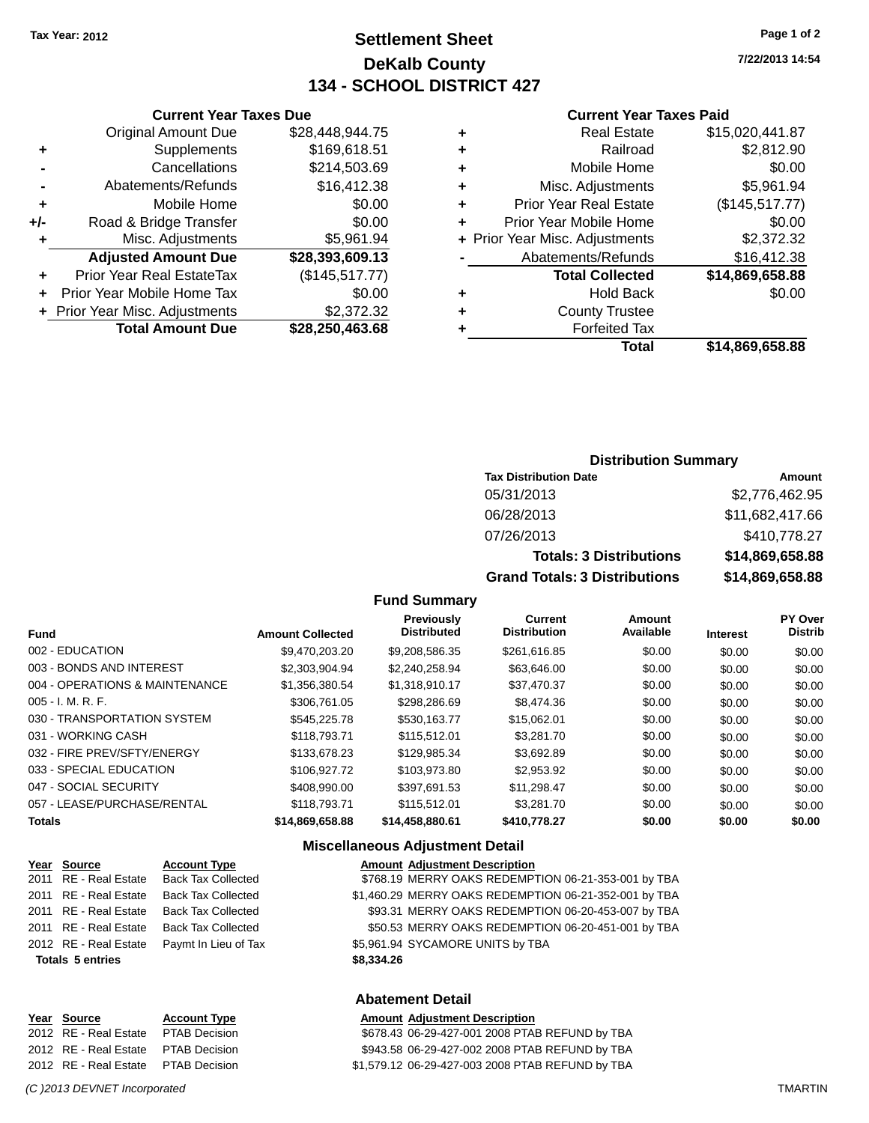## **Settlement Sheet Tax Year: 2012 Page 1 of 2 DeKalb County 134 - SCHOOL DISTRICT 427**

**7/22/2013 14:54**

#### **Current Year Taxes Paid**

|   | <b>Real Estate</b>             | \$15,020,441.87 |
|---|--------------------------------|-----------------|
| ٠ | Railroad                       | \$2,812.90      |
| ٠ | Mobile Home                    | \$0.00          |
| ٠ | Misc. Adjustments              | \$5,961.94      |
| ٠ | <b>Prior Year Real Estate</b>  | (\$145,517.77)  |
| ٠ | Prior Year Mobile Home         | \$0.00          |
|   | + Prior Year Misc. Adjustments | \$2,372.32      |
|   | Abatements/Refunds             | \$16,412.38     |
|   | <b>Total Collected</b>         | \$14,869,658.88 |
| ٠ | <b>Hold Back</b>               | \$0.00          |
| ٠ | <b>County Trustee</b>          |                 |
|   | <b>Forfeited Tax</b>           |                 |
|   | Total                          | \$14.869.658.88 |

|     | <b>Original Amount Due</b>     | \$28,448,944.75 |
|-----|--------------------------------|-----------------|
| ٠   | Supplements                    | \$169,618.51    |
|     | Cancellations                  | \$214,503.69    |
|     | Abatements/Refunds             | \$16,412.38     |
| ٠   | Mobile Home                    | \$0.00          |
| +/- | Road & Bridge Transfer         | \$0.00          |
| ٠   | Misc. Adjustments              | \$5,961.94      |
|     | <b>Adjusted Amount Due</b>     | \$28,393,609.13 |
| ٠   | Prior Year Real EstateTax      | (\$145,517.77)  |
|     | Prior Year Mobile Home Tax     | \$0.00          |
|     | + Prior Year Misc. Adjustments | \$2,372.32      |
|     | <b>Total Amount Due</b>        | \$28,250,463.68 |

**Current Year Taxes Due**

#### **Distribution Summary**

| <b>Tax Distribution Date</b>         | Amount          |
|--------------------------------------|-----------------|
| 05/31/2013                           | \$2,776,462.95  |
| 06/28/2013                           | \$11,682,417.66 |
| 07/26/2013                           | \$410,778.27    |
| <b>Totals: 3 Distributions</b>       | \$14,869,658.88 |
| <b>Grand Totals: 3 Distributions</b> | \$14,869,658.88 |

#### **Fund Summary**

| <b>Fund</b>                    | <b>Amount Collected</b> | <b>Previously</b><br><b>Distributed</b> | <b>Current</b><br><b>Distribution</b> | <b>Amount</b><br>Available | <b>Interest</b> | <b>PY Over</b><br><b>Distrib</b> |
|--------------------------------|-------------------------|-----------------------------------------|---------------------------------------|----------------------------|-----------------|----------------------------------|
| 002 - EDUCATION                | \$9.470.203.20          | \$9,208,586.35                          | \$261.616.85                          | \$0.00                     | \$0.00          | \$0.00                           |
| 003 - BONDS AND INTEREST       | \$2.303.904.94          | \$2.240.258.94                          | \$63,646,00                           | \$0.00                     | \$0.00          | \$0.00                           |
| 004 - OPERATIONS & MAINTENANCE | \$1,356,380.54          | \$1,318,910.17                          | \$37,470.37                           | \$0.00                     | \$0.00          | \$0.00                           |
| $005 - I. M. R. F.$            | \$306,761.05            | \$298,286.69                            | \$8,474.36                            | \$0.00                     | \$0.00          | \$0.00                           |
| 030 - TRANSPORTATION SYSTEM    | \$545,225.78            | \$530.163.77                            | \$15,062.01                           | \$0.00                     | \$0.00          | \$0.00                           |
| 031 - WORKING CASH             | \$118,793,71            | \$115,512.01                            | \$3,281.70                            | \$0.00                     | \$0.00          | \$0.00                           |
| 032 - FIRE PREV/SFTY/ENERGY    | \$133,678.23            | \$129,985.34                            | \$3,692.89                            | \$0.00                     | \$0.00          | \$0.00                           |
| 033 - SPECIAL EDUCATION        | \$106,927.72            | \$103.973.80                            | \$2,953.92                            | \$0.00                     | \$0.00          | \$0.00                           |
| 047 - SOCIAL SECURITY          | \$408,990.00            | \$397.691.53                            | \$11,298.47                           | \$0.00                     | \$0.00          | \$0.00                           |
| 057 - LEASE/PURCHASE/RENTAL    | \$118,793,71            | \$115,512.01                            | \$3,281.70                            | \$0.00                     | \$0.00          | \$0.00                           |
| <b>Totals</b>                  | \$14.869.658.88         | \$14.458.880.61                         | \$410,778.27                          | \$0.00                     | \$0.00          | \$0.00                           |

#### **Miscellaneous Adjustment Detail**

| Year Source             | <b>Account Type</b>       |            | <b>Amount Adjustment Description</b>                  |
|-------------------------|---------------------------|------------|-------------------------------------------------------|
| 2011 RE - Real Estate   | <b>Back Tax Collected</b> |            | \$768.19 MERRY OAKS REDEMPTION 06-21-353-001 by TBA   |
| 2011 RE - Real Estate   | Back Tax Collected        |            | \$1,460.29 MERRY OAKS REDEMPTION 06-21-352-001 by TBA |
| 2011 RE - Real Estate   | <b>Back Tax Collected</b> |            | \$93.31 MERRY OAKS REDEMPTION 06-20-453-007 by TBA    |
| 2011 RE - Real Estate   | <b>Back Tax Collected</b> |            | \$50.53 MERRY OAKS REDEMPTION 06-20-451-001 by TBA    |
| 2012 RE - Real Estate   | Paymt In Lieu of Tax      |            | \$5,961.94 SYCAMORE UNITS by TBA                      |
| <b>Totals 5 entries</b> |                           | \$8,334.26 |                                                       |
|                         |                           |            |                                                       |

#### **Abatement Detail**

|  | <b>Amount Adjustment Description</b>             |
|--|--------------------------------------------------|
|  | \$678.43 06-29-427-001 2008 PTAB REFUND by TBA   |
|  | \$943.58 06-29-427-002 2008 PTAB REFUND by TBA   |
|  | \$1,579.12 06-29-427-003 2008 PTAB REFUND by TBA |

#### *(C )2013 DEVNET Incorporated* TMARTIN

**Year Source Account Type** 2012 RE - Real Estate PTAB Decision 2012 RE - Real Estate PTAB Decision 2012 RE - Real Estate PTAB Decision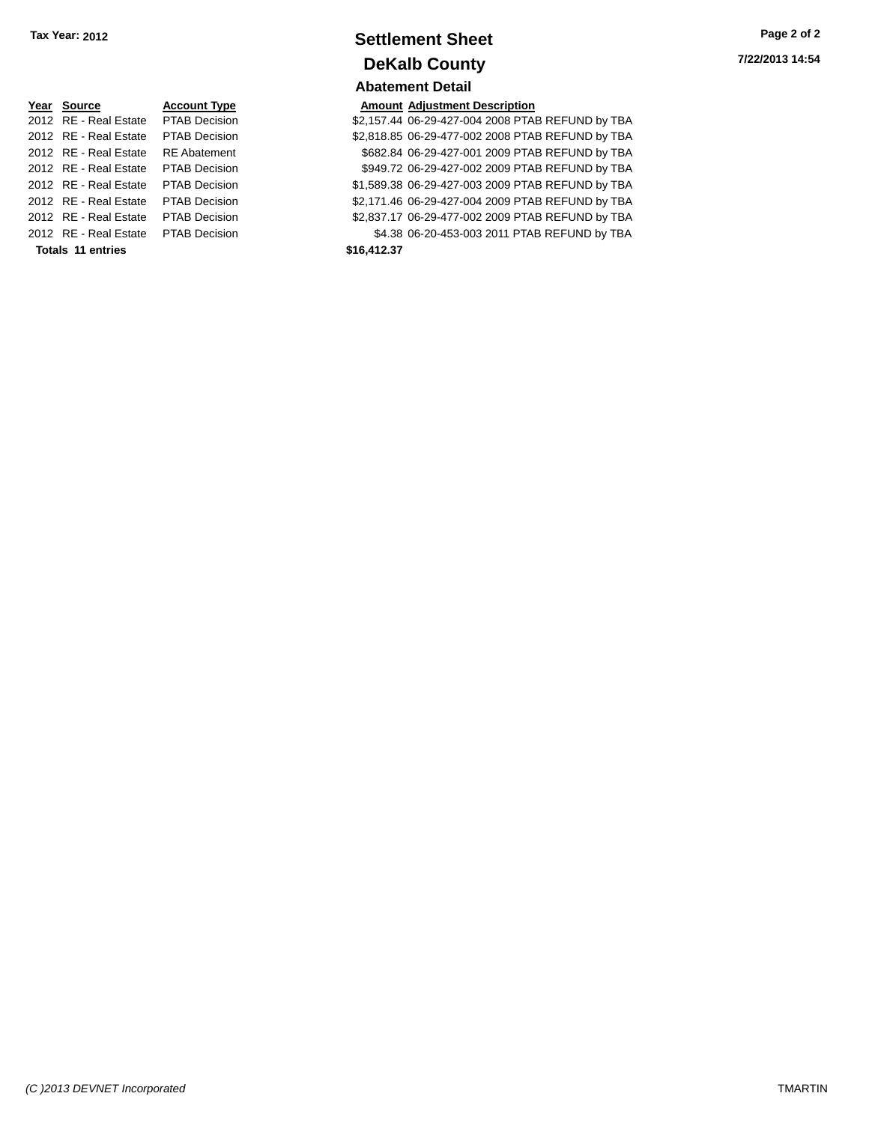| Tax Year: 2012 | <b>Settlement Sheet</b> | Page 2 of 2     |
|----------------|-------------------------|-----------------|
|                | <b>DeKalb County</b>    | 7/22/2013 14:54 |
|                | <b>Abatement Detail</b> |                 |

| Page 2 of 2     |  |  |
|-----------------|--|--|
| 7/22/2013 14:54 |  |  |

| Year Source           | <b>Account Type</b>  | Amount      |
|-----------------------|----------------------|-------------|
| 2012 RE - Real Estate | <b>PTAB Decision</b> | \$2,157.44  |
| 2012 RE - Real Estate | <b>PTAB Decision</b> | \$2,818.85  |
| 2012 RE - Real Estate | <b>RE</b> Abatement  | \$682.84    |
| 2012 RE - Real Estate | <b>PTAB Decision</b> | \$949.72    |
| 2012 RE - Real Estate | <b>PTAB Decision</b> | \$1,589.38  |
| 2012 RE - Real Estate | <b>PTAB Decision</b> | \$2,171.46  |
| 2012 RE - Real Estate | <b>PTAB Decision</b> | \$2,837.17  |
| 2012 RE - Real Estate | <b>PTAB Decision</b> | \$4.38      |
| Totals 11 entries     |                      | \$16,412.37 |

#### **PE Reading Source Amount Adjustment Description** 001 **32,157.44 06-29-427-004 2008 PTAB REFUND by TBA** 2,818.85 06-29-477-002 2008 PTAB REFUND by TBA 2012 8682.84 06-29-427-001 2009 PTAB REFUND by TBA

2012 06-29-427-002 2009 PTAB REFUND by TBA 2012 **2012 Real Estate Ptate Ptate Ptate Ptate Ptate Ptate Ptate Ptate Ptate Ptate Ptate Ptate Ptate Ptate Ptate Pta** 01 **\$2,171.46 06-29-427-004 2009 PTAB REFUND by TBA** 2,837.17 06-29-477-002 2009 PTAB REFUND by TBA 2012 **2012 REAL ESTATE PTAB REAL ESTATE PTAB** REFUND by TBA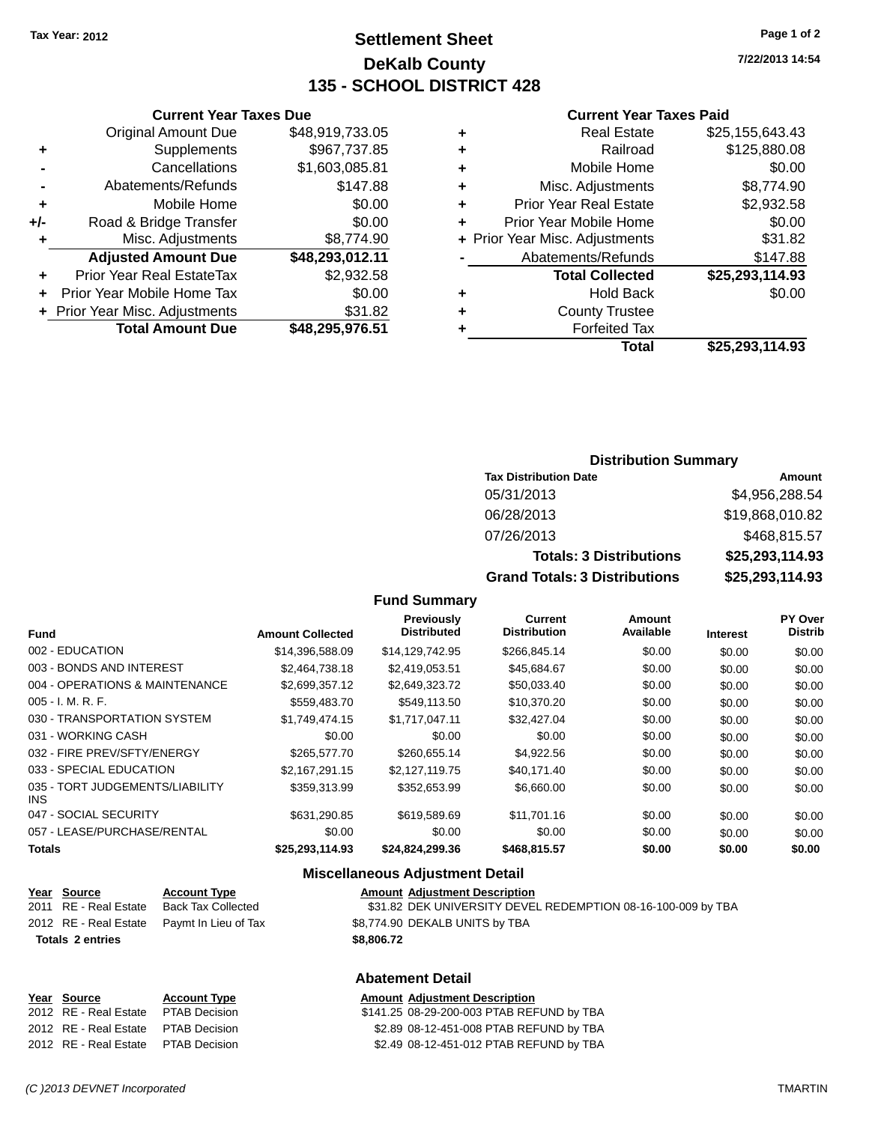## **Settlement Sheet Tax Year: 2012 Page 1 of 2 DeKalb County 135 - SCHOOL DISTRICT 428**

**7/22/2013 14:54**

#### **Current Year Taxes Paid**

|   | Total                          | \$25,293,114.93 |
|---|--------------------------------|-----------------|
| ٠ | <b>Forfeited Tax</b>           |                 |
| ٠ | <b>County Trustee</b>          |                 |
| ٠ | <b>Hold Back</b>               | \$0.00          |
|   | <b>Total Collected</b>         | \$25,293,114.93 |
|   | Abatements/Refunds             | \$147.88        |
|   | + Prior Year Misc. Adjustments | \$31.82         |
| ٠ | Prior Year Mobile Home         | \$0.00          |
| ٠ | <b>Prior Year Real Estate</b>  | \$2,932.58      |
| ÷ | Misc. Adjustments              | \$8,774.90      |
| ٠ | Mobile Home                    | \$0.00          |
| ٠ | Railroad                       | \$125,880.08    |
| ٠ | <b>Real Estate</b>             | \$25,155,643.43 |
|   |                                |                 |

|     | <b>Current Year Taxes Due</b>  |                 |
|-----|--------------------------------|-----------------|
|     | <b>Original Amount Due</b>     | \$48,919,733.05 |
| ٠   | Supplements                    | \$967,737.85    |
|     | Cancellations                  | \$1,603,085.81  |
|     | Abatements/Refunds             | \$147.88        |
| ٠   | Mobile Home                    | \$0.00          |
| +/- | Road & Bridge Transfer         | \$0.00          |
| ٠   | Misc. Adjustments              | \$8,774.90      |
|     | <b>Adjusted Amount Due</b>     | \$48,293,012.11 |
| ٠   | Prior Year Real EstateTax      | \$2,932.58      |
|     | Prior Year Mobile Home Tax     | \$0.00          |
|     | + Prior Year Misc. Adjustments | \$31.82         |
|     | <b>Total Amount Due</b>        | \$48,295,976.51 |
|     |                                |                 |

#### **Distribution Summary**

| <b>Tax Distribution Date</b>         | Amount          |
|--------------------------------------|-----------------|
| 05/31/2013                           | \$4,956,288.54  |
| 06/28/2013                           | \$19,868,010.82 |
| 07/26/2013                           | \$468,815.57    |
| <b>Totals: 3 Distributions</b>       | \$25,293,114.93 |
| <b>Grand Totals: 3 Distributions</b> | \$25,293,114.93 |

#### **Fund Summary**

| Fund                                          | <b>Amount Collected</b> | Previously<br><b>Distributed</b> | <b>Current</b><br><b>Distribution</b> | <b>Amount</b><br>Available | <b>Interest</b> | PY Over<br><b>Distrib</b> |
|-----------------------------------------------|-------------------------|----------------------------------|---------------------------------------|----------------------------|-----------------|---------------------------|
| 002 - EDUCATION                               | \$14,396,588.09         | \$14,129,742.95                  | \$266,845.14                          | \$0.00                     | \$0.00          | \$0.00                    |
| 003 - BONDS AND INTEREST                      | \$2,464,738.18          | \$2,419,053.51                   | \$45,684.67                           | \$0.00                     | \$0.00          | \$0.00                    |
| 004 - OPERATIONS & MAINTENANCE                | \$2,699,357.12          | \$2,649,323.72                   | \$50,033.40                           | \$0.00                     | \$0.00          | \$0.00                    |
| $005 - I. M. R. F.$                           | \$559,483.70            | \$549.113.50                     | \$10,370.20                           | \$0.00                     | \$0.00          | \$0.00                    |
| 030 - TRANSPORTATION SYSTEM                   | \$1,749,474.15          | \$1,717,047.11                   | \$32,427.04                           | \$0.00                     | \$0.00          | \$0.00                    |
| 031 - WORKING CASH                            | \$0.00                  | \$0.00                           | \$0.00                                | \$0.00                     | \$0.00          | \$0.00                    |
| 032 - FIRE PREV/SFTY/ENERGY                   | \$265,577.70            | \$260.655.14                     | \$4,922.56                            | \$0.00                     | \$0.00          | \$0.00                    |
| 033 - SPECIAL EDUCATION                       | \$2.167.291.15          | \$2.127.119.75                   | \$40,171.40                           | \$0.00                     | \$0.00          | \$0.00                    |
| 035 - TORT JUDGEMENTS/LIABILITY<br><b>INS</b> | \$359,313.99            | \$352,653.99                     | \$6,660.00                            | \$0.00                     | \$0.00          | \$0.00                    |
| 047 - SOCIAL SECURITY                         | \$631.290.85            | \$619,589.69                     | \$11,701.16                           | \$0.00                     | \$0.00          | \$0.00                    |
| 057 - LEASE/PURCHASE/RENTAL                   | \$0.00                  | \$0.00                           | \$0.00                                | \$0.00                     | \$0.00          | \$0.00                    |
| <b>Totals</b>                                 | \$25,293,114.93         | \$24.824.299.36                  | \$468.815.57                          | \$0.00                     | \$0.00          | \$0.00                    |

#### **Miscellaneous Adjustment Detail**

| Year Source             | <b>Account Type</b>                        | <b>Amount Adjustment Description</b>                         |
|-------------------------|--------------------------------------------|--------------------------------------------------------------|
| 2011 RE - Real Estate   | Back Tax Collected                         | \$31.82 DEK UNIVERSITY DEVEL REDEMPTION 08-16-100-009 by TBA |
|                         | 2012 RE - Real Estate Paymt In Lieu of Tax | \$8,774.90 DEKALB UNITS by TBA                               |
| <b>Totals 2 entries</b> |                                            | \$8,806.72                                                   |
|                         |                                            |                                                              |
|                         |                                            | <b>Abatement Detail</b>                                      |

# **Year Source Account Type Amount Adjustment Description**<br>2012 RE - Real Estate PTAB Decision **Amount 2008-29-200-003 PTAB REF**

\$141.25 08-29-200-003 PTAB REFUND by TBA 2012 RE - Real Estate PTAB Decision \$2.89 08-12-451-008 PTAB REFUND by TBA 2012 RE - Real Estate PTAB Decision \$2.49 08-12-451-012 PTAB REFUND by TBA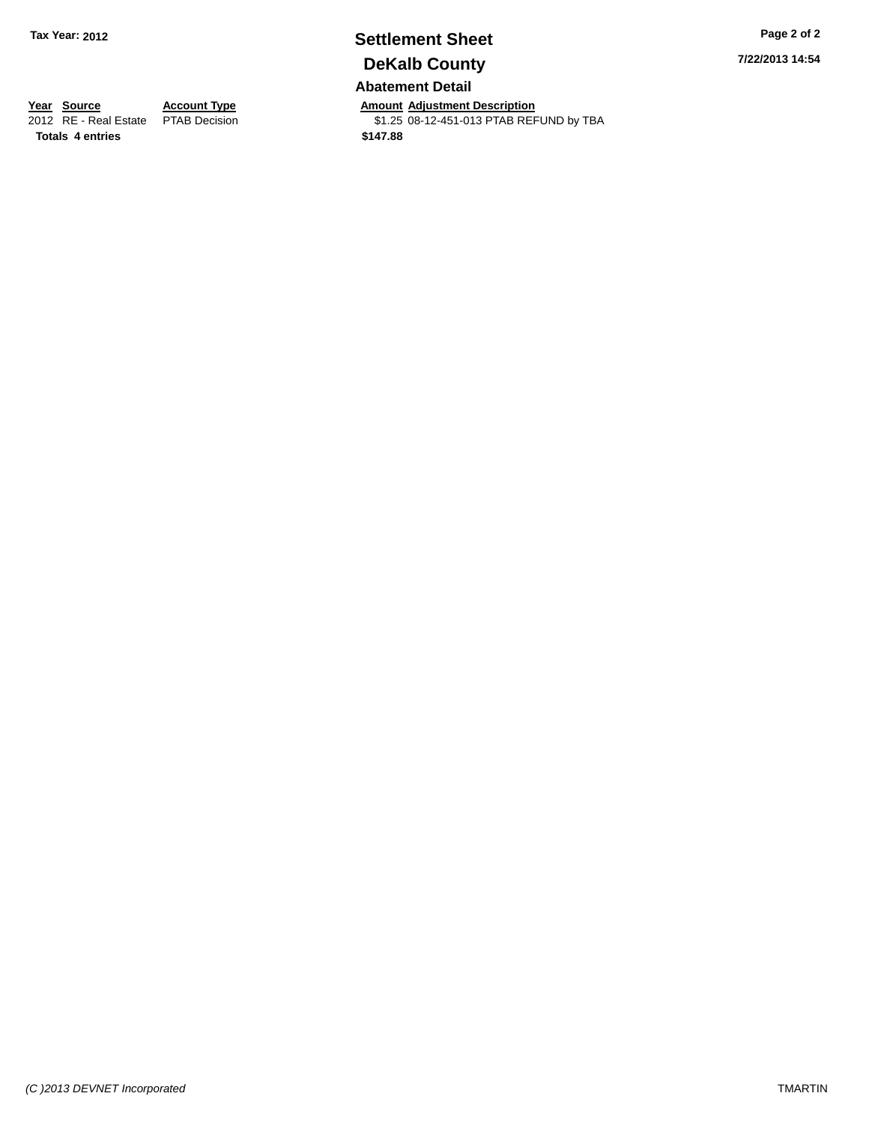## **Settlement Sheet Tax Year: 2012 Page 2 of 2 DeKalb County**

**Abatement Detail**

**Year Source Account Type Annount Adjustment Description**<br>2012 RE - Real Estate PTAB Decision **Amount Adjustment Description** \$1.25 08-12-451-013 PTAB REFUND by TBA **7/22/2013 14:54**

**Totals 4 entries \$147.88**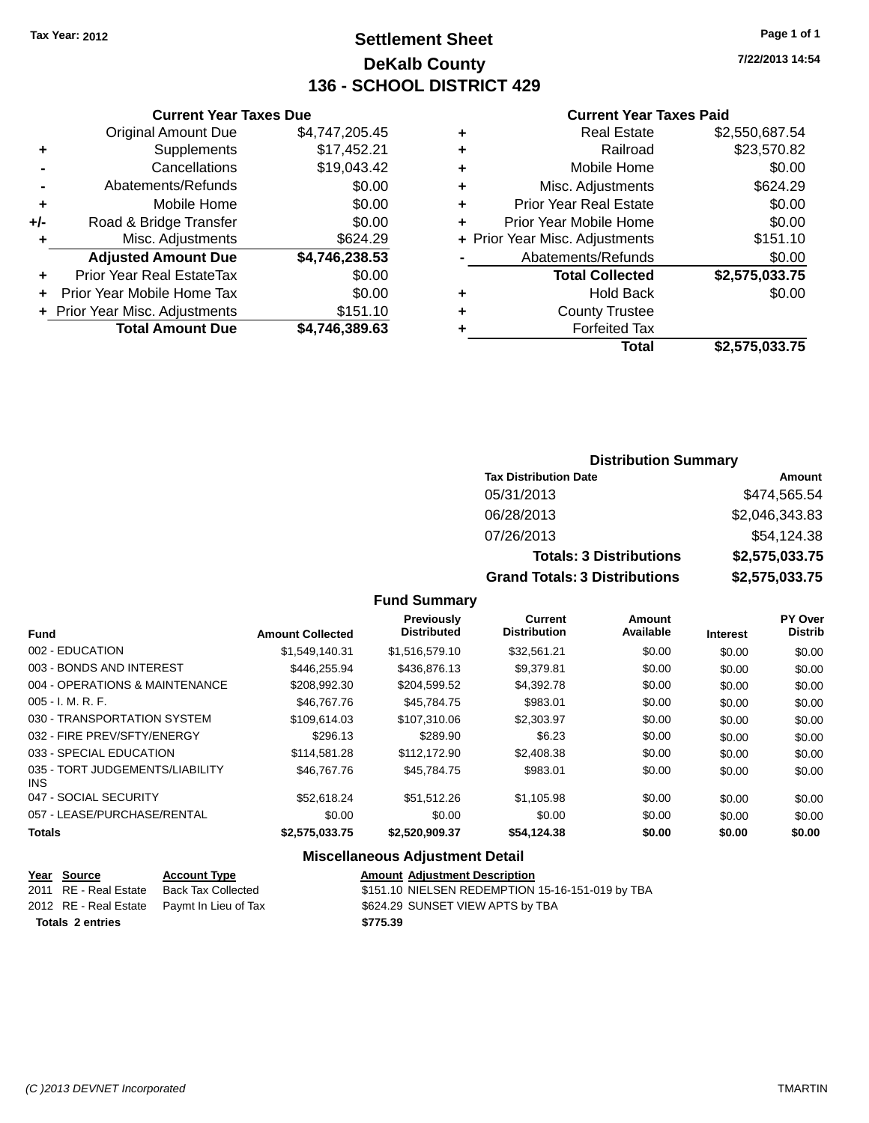## **Settlement Sheet Tax Year: 2012 Page 1 of 1 DeKalb County 136 - SCHOOL DISTRICT 429**

**7/22/2013 14:54**

#### **Current Year Taxes Paid**

|     | <b>Original Amount Due</b>       | \$4,747,205.45 |
|-----|----------------------------------|----------------|
| ٠   | Supplements                      | \$17,452.21    |
|     | Cancellations                    | \$19,043.42    |
|     | Abatements/Refunds               | \$0.00         |
| ÷   | Mobile Home                      | \$0.00         |
| +/- | Road & Bridge Transfer           | \$0.00         |
| ٠   | Misc. Adjustments                | \$624.29       |
|     | <b>Adjusted Amount Due</b>       | \$4,746,238.53 |
| ÷   | <b>Prior Year Real EstateTax</b> | \$0.00         |
| ÷   | Prior Year Mobile Home Tax       | \$0.00         |
|     | + Prior Year Misc. Adjustments   | \$151.10       |
|     | <b>Total Amount Due</b>          | \$4,746,389.63 |
|     |                                  |                |

**Current Year Taxes Due**

| <b>Real Estate</b>            | \$2,550,687.54                 |
|-------------------------------|--------------------------------|
| Railroad                      | \$23,570.82                    |
| Mobile Home                   | \$0.00                         |
| Misc. Adjustments             | \$624.29                       |
| <b>Prior Year Real Estate</b> | \$0.00                         |
| Prior Year Mobile Home        | \$0.00                         |
|                               | \$151.10                       |
| Abatements/Refunds            | \$0.00                         |
| <b>Total Collected</b>        | \$2,575,033.75                 |
| <b>Hold Back</b>              | \$0.00                         |
| <b>County Trustee</b>         |                                |
| <b>Forfeited Tax</b>          |                                |
| Total                         | \$2,575,033.75                 |
|                               | + Prior Year Misc. Adjustments |

#### **Distribution Summary Tax Distribution Date Amount** 05/31/2013 \$474,565.54 06/28/2013 \$2,046,343.83 07/26/2013 \$54,124.38 **Totals: 3 Distributions \$2,575,033.75 Grand Totals: 3 Distributions \$2,575,033.75**

#### **Fund Summary**

| <b>Fund</b>                             | <b>Amount Collected</b> | <b>Previously</b><br><b>Distributed</b> | <b>Current</b><br><b>Distribution</b> | Amount<br>Available | <b>Interest</b> | PY Over<br><b>Distrib</b> |
|-----------------------------------------|-------------------------|-----------------------------------------|---------------------------------------|---------------------|-----------------|---------------------------|
| 002 - EDUCATION                         | \$1,549,140.31          | \$1,516,579.10                          | \$32.561.21                           | \$0.00              | \$0.00          | \$0.00                    |
| 003 - BONDS AND INTEREST                | \$446,255.94            | \$436,876.13                            | \$9,379.81                            | \$0.00              | \$0.00          | \$0.00                    |
| 004 - OPERATIONS & MAINTENANCE          | \$208,992.30            | \$204,599.52                            | \$4,392.78                            | \$0.00              | \$0.00          | \$0.00                    |
| $005 - I. M. R. F.$                     | \$46,767,76             | \$45.784.75                             | \$983.01                              | \$0.00              | \$0.00          | \$0.00                    |
| 030 - TRANSPORTATION SYSTEM             | \$109.614.03            | \$107.310.06                            | \$2,303.97                            | \$0.00              | \$0.00          | \$0.00                    |
| 032 - FIRE PREV/SFTY/ENERGY             | \$296.13                | \$289.90                                | \$6.23                                | \$0.00              | \$0.00          | \$0.00                    |
| 033 - SPECIAL EDUCATION                 | \$114.581.28            | \$112,172.90                            | \$2,408.38                            | \$0.00              | \$0.00          | \$0.00                    |
| 035 - TORT JUDGEMENTS/LIABILITY<br>INS. | \$46,767,76             | \$45.784.75                             | \$983.01                              | \$0.00              | \$0.00          | \$0.00                    |
| 047 - SOCIAL SECURITY                   | \$52.618.24             | \$51.512.26                             | \$1.105.98                            | \$0.00              | \$0.00          | \$0.00                    |
| 057 - LEASE/PURCHASE/RENTAL             | \$0.00                  | \$0.00                                  | \$0.00                                | \$0.00              | \$0.00          | \$0.00                    |
| Totals                                  | \$2,575,033,75          | \$2,520,909.37                          | \$54.124.38                           | \$0.00              | \$0.00          | \$0.00                    |

#### **Miscellaneous Adjustment Detail**

| Year Source             | <b>Account Type</b>                        | <b>Amount Adiustment Description</b>             |
|-------------------------|--------------------------------------------|--------------------------------------------------|
| 2011 RE - Real Estate   | Back Tax Collected                         | \$151.10 NIELSEN REDEMPTION 15-16-151-019 by TBA |
|                         | 2012 RE - Real Estate Paymt In Lieu of Tax | \$624.29 SUNSET VIEW APTS by TBA                 |
| <b>Totals 2 entries</b> |                                            | \$775.39                                         |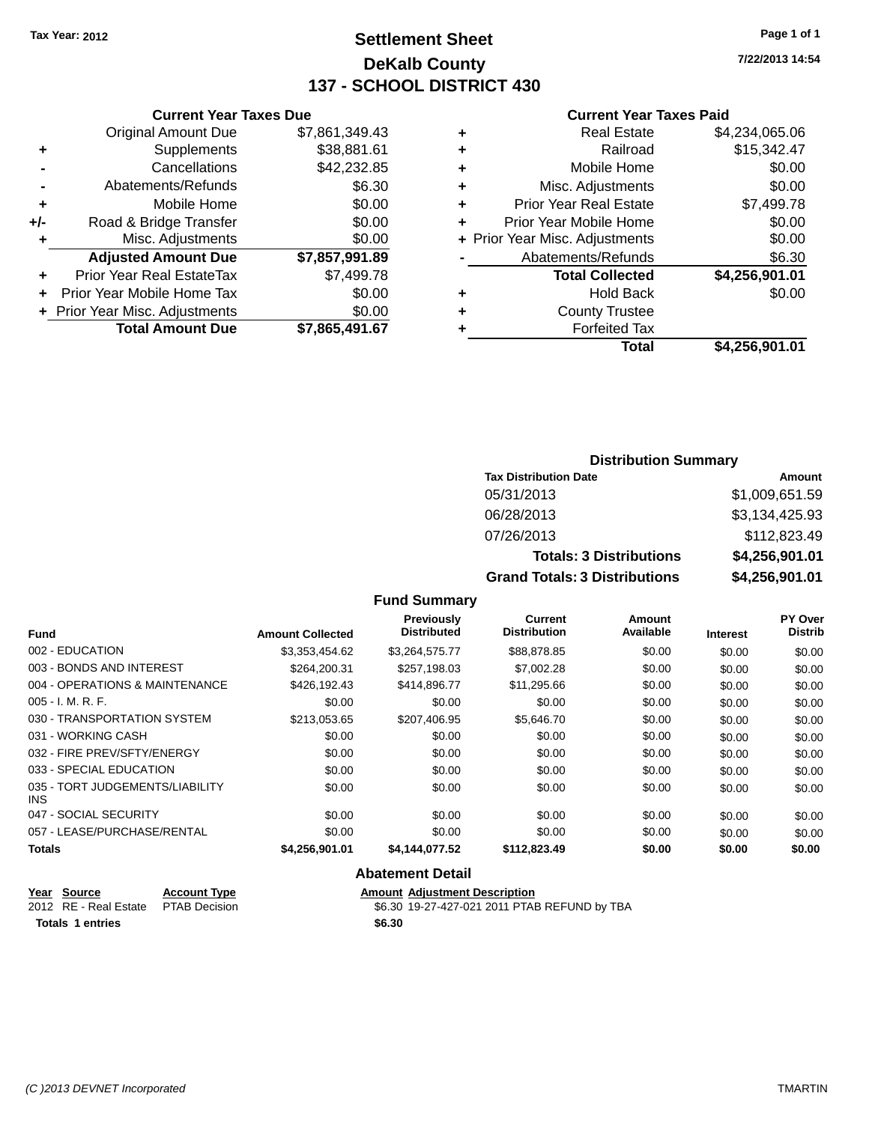## **Settlement Sheet Tax Year: 2012 Page 1 of 1 DeKalb County 137 - SCHOOL DISTRICT 430**

**7/22/2013 14:54**

#### **Current Year Taxes Paid**

|     | <b>Original Amount Due</b>     | \$7,861,349.43 |
|-----|--------------------------------|----------------|
| ٠   | Supplements                    | \$38,881.61    |
|     | Cancellations                  | \$42,232.85    |
|     | Abatements/Refunds             | \$6.30         |
| ٠   | Mobile Home                    | \$0.00         |
| +/- | Road & Bridge Transfer         | \$0.00         |
| ٠   | Misc. Adjustments              | \$0.00         |
|     | <b>Adjusted Amount Due</b>     | \$7,857,991.89 |
| ٠   | Prior Year Real EstateTax      | \$7,499.78     |
| ÷   | Prior Year Mobile Home Tax     | \$0.00         |
|     | + Prior Year Misc. Adjustments | \$0.00         |
|     | <b>Total Amount Due</b>        | \$7,865,491.67 |
|     |                                |                |

**Current Year Taxes Due**

| ٠ | <b>Real Estate</b>             | \$4,234,065.06 |
|---|--------------------------------|----------------|
| ٠ | Railroad                       | \$15,342.47    |
| ٠ | Mobile Home                    | \$0.00         |
| ٠ | Misc. Adjustments              | \$0.00         |
| ٠ | <b>Prior Year Real Estate</b>  | \$7,499.78     |
| ÷ | Prior Year Mobile Home         | \$0.00         |
|   | + Prior Year Misc. Adjustments | \$0.00         |
|   | Abatements/Refunds             | \$6.30         |
|   | <b>Total Collected</b>         | \$4,256,901.01 |
| ٠ | <b>Hold Back</b>               | \$0.00         |
| ٠ | <b>County Trustee</b>          |                |
| ٠ | <b>Forfeited Tax</b>           |                |
|   | Total                          | \$4,256,901.01 |
|   |                                |                |

#### **Distribution Summary Tax Distribution Date Amount** 05/31/2013 \$1,009,651.59 06/28/2013 \$3,134,425.93 07/26/2013 \$112,823.49 **Totals: 3 Distributions \$4,256,901.01 Grand Totals: 3 Distributions \$4,256,901.01**

#### **Fund Summary**

| <b>Fund</b>                             | <b>Amount Collected</b> | <b>Previously</b><br><b>Distributed</b> | <b>Current</b><br><b>Distribution</b> | <b>Amount</b><br>Available | <b>Interest</b> | PY Over<br><b>Distrib</b> |
|-----------------------------------------|-------------------------|-----------------------------------------|---------------------------------------|----------------------------|-----------------|---------------------------|
| 002 - EDUCATION                         | \$3,353,454.62          | \$3,264,575.77                          | \$88,878.85                           | \$0.00                     | \$0.00          | \$0.00                    |
| 003 - BONDS AND INTEREST                | \$264,200.31            | \$257.198.03                            | \$7,002.28                            | \$0.00                     | \$0.00          | \$0.00                    |
| 004 - OPERATIONS & MAINTENANCE          | \$426,192.43            | \$414,896.77                            | \$11,295.66                           | \$0.00                     | \$0.00          | \$0.00                    |
| $005 - I. M. R. F.$                     | \$0.00                  | \$0.00                                  | \$0.00                                | \$0.00                     | \$0.00          | \$0.00                    |
| 030 - TRANSPORTATION SYSTEM             | \$213,053.65            | \$207,406.95                            | \$5,646.70                            | \$0.00                     | \$0.00          | \$0.00                    |
| 031 - WORKING CASH                      | \$0.00                  | \$0.00                                  | \$0.00                                | \$0.00                     | \$0.00          | \$0.00                    |
| 032 - FIRE PREV/SFTY/ENERGY             | \$0.00                  | \$0.00                                  | \$0.00                                | \$0.00                     | \$0.00          | \$0.00                    |
| 033 - SPECIAL EDUCATION                 | \$0.00                  | \$0.00                                  | \$0.00                                | \$0.00                     | \$0.00          | \$0.00                    |
| 035 - TORT JUDGEMENTS/LIABILITY<br>INS. | \$0.00                  | \$0.00                                  | \$0.00                                | \$0.00                     | \$0.00          | \$0.00                    |
| 047 - SOCIAL SECURITY                   | \$0.00                  | \$0.00                                  | \$0.00                                | \$0.00                     | \$0.00          | \$0.00                    |
| 057 - LEASE/PURCHASE/RENTAL             | \$0.00                  | \$0.00                                  | \$0.00                                | \$0.00                     | \$0.00          | \$0.00                    |
| <b>Totals</b>                           | \$4,256,901.01          | \$4,144,077.52                          | \$112,823.49                          | \$0.00                     | \$0.00          | \$0.00                    |

| Year Source           | <b>Account Type</b>  |        | <b>Amount Adiustment Description</b>         |
|-----------------------|----------------------|--------|----------------------------------------------|
| 2012 RE - Real Estate | <b>PTAB Decision</b> |        | \$6.30 19-27-427-021 2011 PTAB REFUND by TBA |
| Totals 1 entries      |                      | \$6.30 |                                              |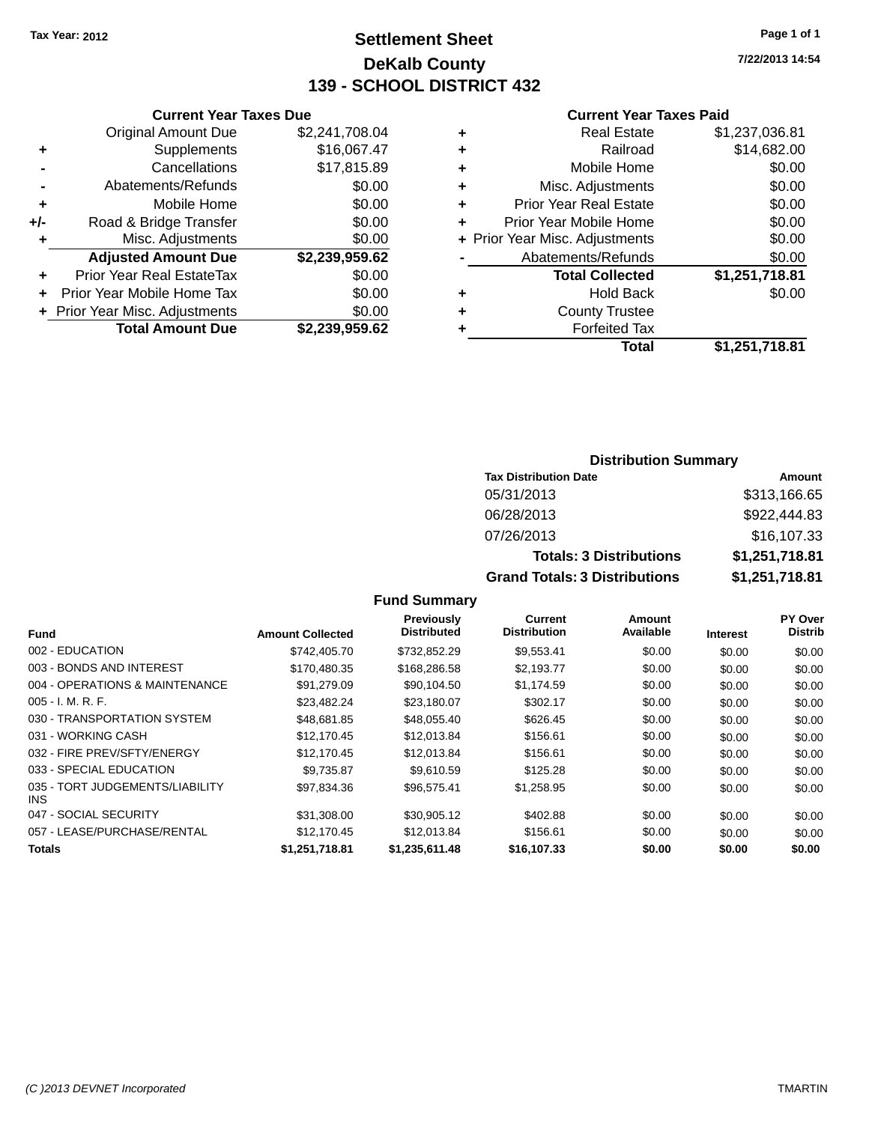## **Settlement Sheet Tax Year: 2012 Page 1 of 1 DeKalb County 139 - SCHOOL DISTRICT 432**

**7/22/2013 14:54**

#### **Current Year Taxes Paid**

|       | <b>Current Year Taxes Due</b>  |                |  |  |  |  |
|-------|--------------------------------|----------------|--|--|--|--|
|       | <b>Original Amount Due</b>     | \$2,241,708.04 |  |  |  |  |
| ٠     | Supplements                    | \$16,067.47    |  |  |  |  |
|       | \$17,815.89<br>Cancellations   |                |  |  |  |  |
|       | Abatements/Refunds             | \$0.00         |  |  |  |  |
| ٠     | Mobile Home                    | \$0.00         |  |  |  |  |
| $+/-$ | Road & Bridge Transfer         | \$0.00         |  |  |  |  |
| ٠     | Misc. Adjustments              | \$0.00         |  |  |  |  |
|       | <b>Adjusted Amount Due</b>     | \$2,239,959.62 |  |  |  |  |
|       | Prior Year Real EstateTax      | \$0.00         |  |  |  |  |
|       | Prior Year Mobile Home Tax     | \$0.00         |  |  |  |  |
|       | + Prior Year Misc. Adjustments | \$0.00         |  |  |  |  |
|       | <b>Total Amount Due</b>        | \$2,239,959.62 |  |  |  |  |

|   | <b>Real Estate</b>             | \$1,237,036.81 |
|---|--------------------------------|----------------|
| ٠ | Railroad                       | \$14,682.00    |
| ٠ | Mobile Home                    | \$0.00         |
| ٠ | Misc. Adjustments              | \$0.00         |
| ٠ | <b>Prior Year Real Estate</b>  | \$0.00         |
| ٠ | Prior Year Mobile Home         | \$0.00         |
|   | + Prior Year Misc. Adjustments | \$0.00         |
|   | Abatements/Refunds             | \$0.00         |
|   | <b>Total Collected</b>         | \$1,251,718.81 |
| ٠ | <b>Hold Back</b>               | \$0.00         |
| ٠ | <b>County Trustee</b>          |                |
| ٠ | <b>Forfeited Tax</b>           |                |
|   | Total                          | \$1,251,718.81 |
|   |                                |                |

#### **Distribution Summary Tax Distribution Date Amount** 05/31/2013 \$313,166.65 06/28/2013 \$922,444.83 07/26/2013 \$16,107.33 **Totals: 3 Distributions \$1,251,718.81 Grand Totals: 3 Distributions \$1,251,718.81**

| <b>Fund</b>                                   | <b>Amount Collected</b> | <b>Previously</b><br><b>Distributed</b> | <b>Current</b><br><b>Distribution</b> | Amount<br>Available | <b>Interest</b> | PY Over<br><b>Distrib</b> |
|-----------------------------------------------|-------------------------|-----------------------------------------|---------------------------------------|---------------------|-----------------|---------------------------|
| 002 - EDUCATION                               | \$742,405.70            | \$732,852.29                            | \$9,553.41                            | \$0.00              | \$0.00          | \$0.00                    |
| 003 - BONDS AND INTEREST                      | \$170.480.35            | \$168,286.58                            | \$2,193.77                            | \$0.00              | \$0.00          | \$0.00                    |
| 004 - OPERATIONS & MAINTENANCE                | \$91,279.09             | \$90,104.50                             | \$1,174.59                            | \$0.00              | \$0.00          | \$0.00                    |
| $005 - I. M. R. F.$                           | \$23,482.24             | \$23.180.07                             | \$302.17                              | \$0.00              | \$0.00          | \$0.00                    |
| 030 - TRANSPORTATION SYSTEM                   | \$48,681.85             | \$48.055.40                             | \$626.45                              | \$0.00              | \$0.00          | \$0.00                    |
| 031 - WORKING CASH                            | \$12,170.45             | \$12,013.84                             | \$156.61                              | \$0.00              | \$0.00          | \$0.00                    |
| 032 - FIRE PREV/SFTY/ENERGY                   | \$12,170.45             | \$12,013.84                             | \$156.61                              | \$0.00              | \$0.00          | \$0.00                    |
| 033 - SPECIAL EDUCATION                       | \$9.735.87              | \$9.610.59                              | \$125.28                              | \$0.00              | \$0.00          | \$0.00                    |
| 035 - TORT JUDGEMENTS/LIABILITY<br><b>INS</b> | \$97.834.36             | \$96,575.41                             | \$1,258.95                            | \$0.00              | \$0.00          | \$0.00                    |
| 047 - SOCIAL SECURITY                         | \$31,308.00             | \$30,905.12                             | \$402.88                              | \$0.00              | \$0.00          | \$0.00                    |
| 057 - LEASE/PURCHASE/RENTAL                   | \$12,170.45             | \$12,013.84                             | \$156.61                              | \$0.00              | \$0.00          | \$0.00                    |
| <b>Totals</b>                                 | \$1,251,718.81          | \$1,235,611.48                          | \$16,107.33                           | \$0.00              | \$0.00          | \$0.00                    |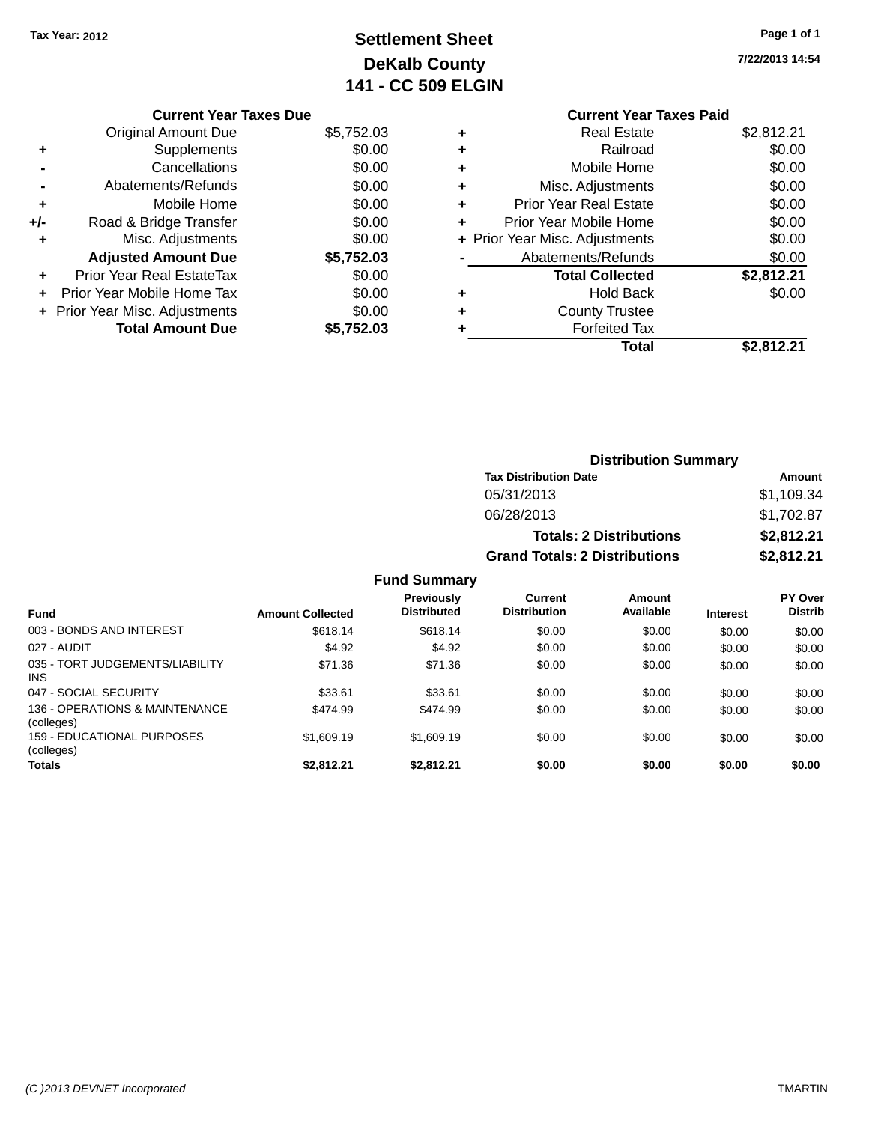## **Settlement Sheet Tax Year: 2012 Page 1 of 1 DeKalb County 141 - CC 509 ELGIN**

**7/22/2013 14:54**

#### **Current Year Taxes Due** Original Amount Due \$5,752.03 **+** Supplements \$0.00 **-** Cancellations \$0.00 **-** Abatements/Refunds \$0.00 **+** Mobile Home \$0.00 **+/-** Road & Bridge Transfer \$0.00 **+** Misc. Adjustments \$0.00 **Adjusted Amount Due \$5,752.03 +** Prior Year Real EstateTax \$0.00 **+** Prior Year Mobile Home Tax \$0.00 **+ Prior Year Misc. Adjustments**  $$0.00$ **Total Amount Due \$5,752.03**

#### **Current Year Taxes Paid +** Real Estate \$2,812.21 **+** Railroad \$0.00 **+** Mobile Home \$0.00 **+** Misc. Adjustments \$0.00 **+** Prior Year Real Estate \$0.00 **Prior Year Mobile Home**

|           | Total                          | \$2,812.21 |
|-----------|--------------------------------|------------|
|           | <b>Forfeited Tax</b>           |            |
| $\ddot{}$ | <b>County Trustee</b>          |            |
| $\ddot{}$ | <b>Hold Back</b>               | \$0.00     |
|           | <b>Total Collected</b>         | \$2,812.21 |
|           | Abatements/Refunds             | \$0.00     |
|           | + Prior Year Misc. Adjustments | \$0.00     |
|           | PIIOI TEAL MODIE HOTHE         | JU.UU      |

#### **Distribution Summary Tax Distribution Date Amount** 05/31/2013 \$1,109.34 06/28/2013 \$1,702.87 **Totals: 2 Distributions \$2,812.21 Grand Totals: 2 Distributions \$2,812.21**

| <b>Fund</b>                                  | <b>Amount Collected</b> | <b>Previously</b><br><b>Distributed</b> | Current<br><b>Distribution</b> | Amount<br>Available | <b>Interest</b> | PY Over<br><b>Distrib</b> |
|----------------------------------------------|-------------------------|-----------------------------------------|--------------------------------|---------------------|-----------------|---------------------------|
| 003 - BONDS AND INTEREST                     | \$618.14                | \$618.14                                | \$0.00                         | \$0.00              | \$0.00          | \$0.00                    |
| 027 - AUDIT                                  | \$4.92                  | \$4.92                                  | \$0.00                         | \$0.00              | \$0.00          | \$0.00                    |
| 035 - TORT JUDGEMENTS/LIABILITY<br>INS.      | \$71.36                 | \$71.36                                 | \$0.00                         | \$0.00              | \$0.00          | \$0.00                    |
| 047 - SOCIAL SECURITY                        | \$33.61                 | \$33.61                                 | \$0.00                         | \$0.00              | \$0.00          | \$0.00                    |
| 136 - OPERATIONS & MAINTENANCE<br>(colleges) | \$474.99                | \$474.99                                | \$0.00                         | \$0.00              | \$0.00          | \$0.00                    |
| 159 - EDUCATIONAL PURPOSES<br>(colleges)     | \$1,609.19              | \$1,609.19                              | \$0.00                         | \$0.00              | \$0.00          | \$0.00                    |
| <b>Totals</b>                                | \$2,812.21              | \$2,812.21                              | \$0.00                         | \$0.00              | \$0.00          | \$0.00                    |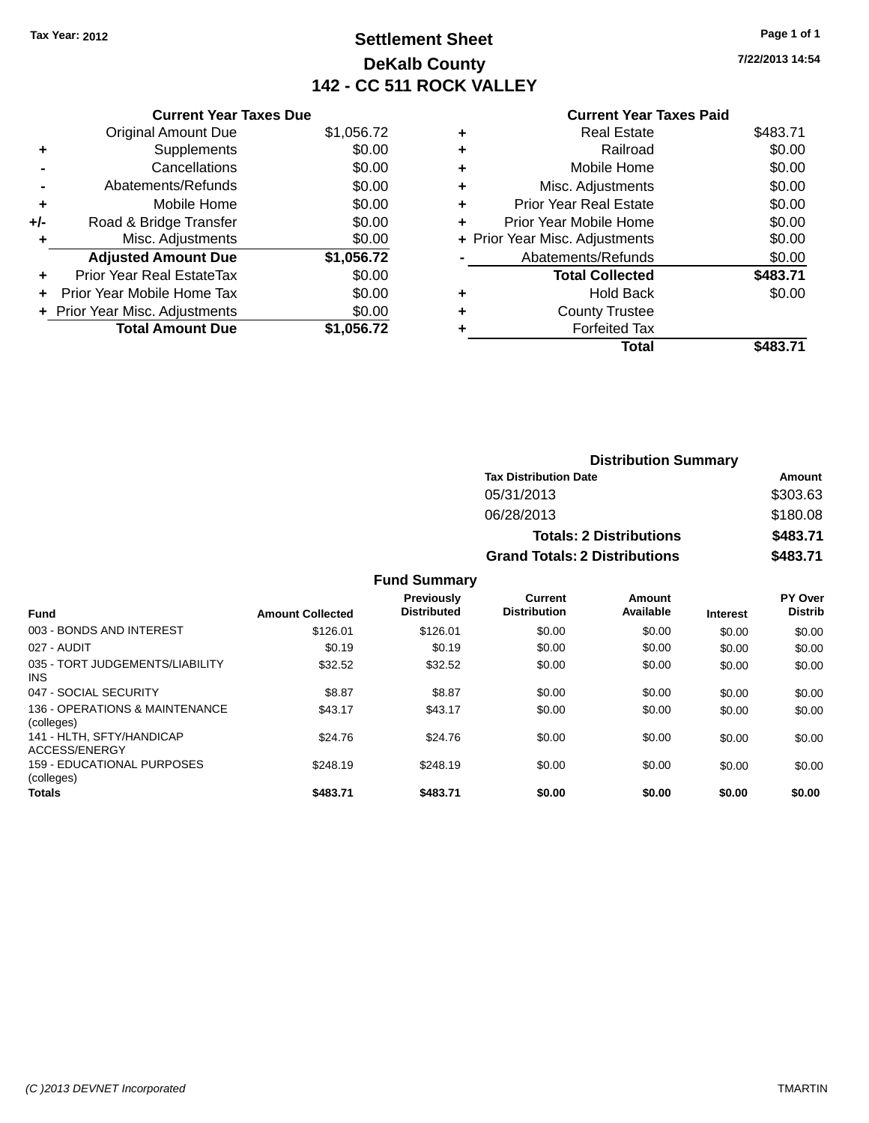## **Settlement Sheet Tax Year: 2012 Page 1 of 1 DeKalb County 142 - CC 511 ROCK VALLEY**

**7/22/2013 14:54**

#### **Current Year Taxes Paid**

|     | <b>Current Year Taxes Due</b> |            |
|-----|-------------------------------|------------|
|     | <b>Original Amount Due</b>    | \$1,056.72 |
| ٠   | Supplements                   | \$0.00     |
|     | Cancellations                 | \$0.00     |
|     | Abatements/Refunds            | \$0.00     |
| ٠   | Mobile Home                   | \$0.00     |
| +/- | Road & Bridge Transfer        | \$0.00     |
|     | Misc. Adjustments             | \$0.00     |
|     | <b>Adjusted Amount Due</b>    | \$1,056.72 |
| ÷   | Prior Year Real EstateTax     | \$0.00     |
|     | Prior Year Mobile Home Tax    | \$0.00     |
|     | Prior Year Misc. Adjustments  | \$0.00     |
|     | <b>Total Amount Due</b>       | \$1.056.72 |

| ٠ | <b>Real Estate</b>             | \$483.71 |
|---|--------------------------------|----------|
| ٠ | Railroad                       | \$0.00   |
| ٠ | Mobile Home                    | \$0.00   |
| ٠ | Misc. Adjustments              | \$0.00   |
| ٠ | <b>Prior Year Real Estate</b>  | \$0.00   |
|   | Prior Year Mobile Home         | \$0.00   |
|   | + Prior Year Misc. Adjustments | \$0.00   |
|   | Abatements/Refunds             | \$0.00   |
|   | <b>Total Collected</b>         | \$483.71 |
| ٠ | Hold Back                      | \$0.00   |
|   | <b>County Trustee</b>          |          |
| ٠ | <b>Forfeited Tax</b>           |          |
|   | Total                          | \$483.71 |
|   |                                |          |

| <b>Distribution Summary</b>          |          |  |  |  |
|--------------------------------------|----------|--|--|--|
| <b>Tax Distribution Date</b>         | Amount   |  |  |  |
| 05/31/2013                           | \$303.63 |  |  |  |
| 06/28/2013                           | \$180.08 |  |  |  |
| <b>Totals: 2 Distributions</b>       | \$483.71 |  |  |  |
| <b>Grand Totals: 2 Distributions</b> | \$483.71 |  |  |  |

| <b>Fund</b>                                  | <b>Amount Collected</b> | <b>Previously</b><br><b>Distributed</b> | Current<br><b>Distribution</b> | Amount<br>Available | <b>Interest</b> | PY Over<br><b>Distrib</b> |
|----------------------------------------------|-------------------------|-----------------------------------------|--------------------------------|---------------------|-----------------|---------------------------|
| 003 - BONDS AND INTEREST                     | \$126.01                | \$126.01                                | \$0.00                         | \$0.00              | \$0.00          | \$0.00                    |
| 027 - AUDIT                                  | \$0.19                  | \$0.19                                  | \$0.00                         | \$0.00              | \$0.00          | \$0.00                    |
| 035 - TORT JUDGEMENTS/LIABILITY<br>INS.      | \$32.52                 | \$32.52                                 | \$0.00                         | \$0.00              | \$0.00          | \$0.00                    |
| 047 - SOCIAL SECURITY                        | \$8.87                  | \$8.87                                  | \$0.00                         | \$0.00              | \$0.00          | \$0.00                    |
| 136 - OPERATIONS & MAINTENANCE<br>(colleges) | \$43.17                 | \$43.17                                 | \$0.00                         | \$0.00              | \$0.00          | \$0.00                    |
| 141 - HLTH. SFTY/HANDICAP<br>ACCESS/ENERGY   | \$24.76                 | \$24.76                                 | \$0.00                         | \$0.00              | \$0.00          | \$0.00                    |
| 159 - EDUCATIONAL PURPOSES<br>(colleges)     | \$248.19                | \$248.19                                | \$0.00                         | \$0.00              | \$0.00          | \$0.00                    |
| <b>Totals</b>                                | \$483.71                | \$483.71                                | \$0.00                         | \$0.00              | \$0.00          | \$0.00                    |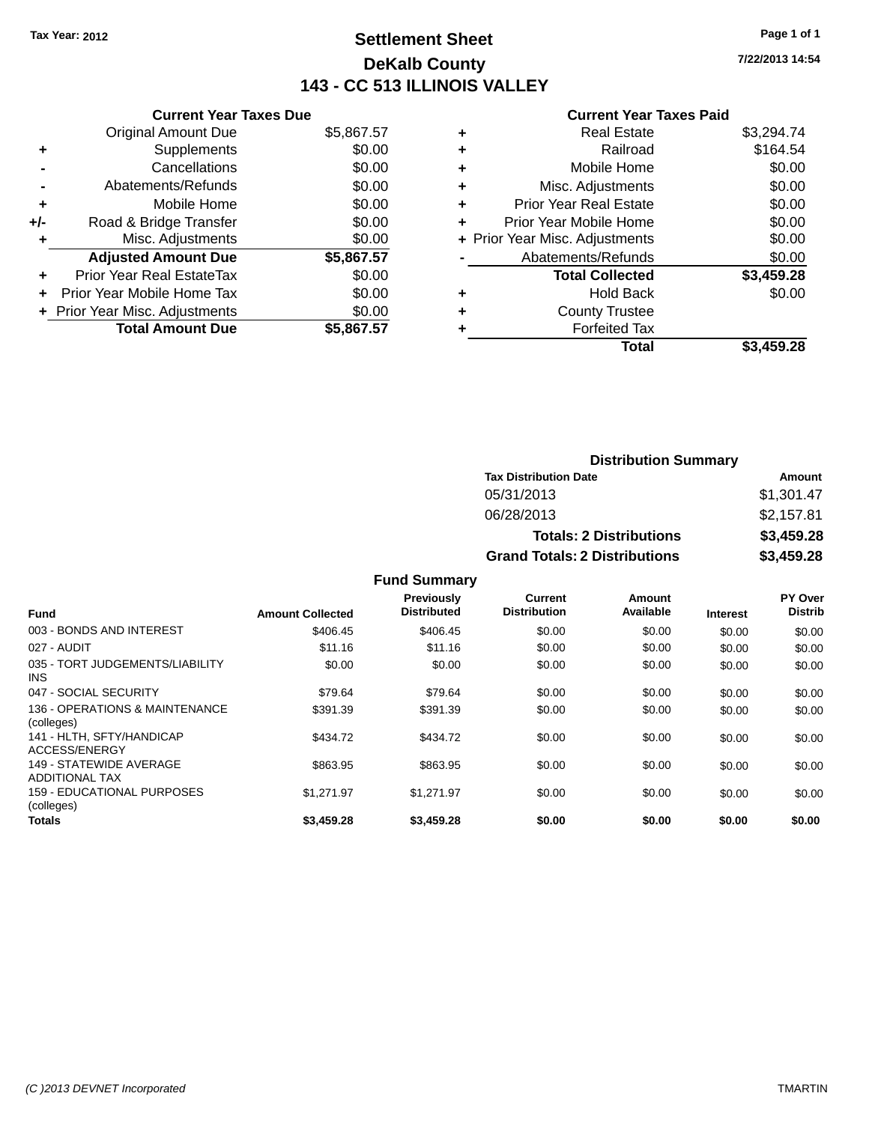## **Settlement Sheet Tax Year: 2012 Page 1 of 1 DeKalb County 143 - CC 513 ILLINOIS VALLEY**

**7/22/2013 14:54**

#### **Current Year Taxes Paid**

|       | <b>Current Year Taxes Due</b>  |            |  |  |  |  |
|-------|--------------------------------|------------|--|--|--|--|
|       | <b>Original Amount Due</b>     | \$5,867.57 |  |  |  |  |
| ٠     | Supplements                    | \$0.00     |  |  |  |  |
|       | \$0.00<br>Cancellations        |            |  |  |  |  |
|       | Abatements/Refunds             | \$0.00     |  |  |  |  |
| ÷     | Mobile Home                    | \$0.00     |  |  |  |  |
| $+/-$ | Road & Bridge Transfer         | \$0.00     |  |  |  |  |
|       | Misc. Adjustments              | \$0.00     |  |  |  |  |
|       | <b>Adjusted Amount Due</b>     | \$5,867.57 |  |  |  |  |
| ÷     | Prior Year Real EstateTax      | \$0.00     |  |  |  |  |
|       | Prior Year Mobile Home Tax     | \$0.00     |  |  |  |  |
|       | + Prior Year Misc. Adjustments | \$0.00     |  |  |  |  |
|       | <b>Total Amount Due</b>        | \$5,867.57 |  |  |  |  |
|       |                                |            |  |  |  |  |

| \$164.54   |
|------------|
| \$0.00     |
| \$0.00     |
| \$0.00     |
| \$0.00     |
| \$0.00     |
| \$0.00     |
| \$3,459.28 |
| \$0.00     |
|            |
|            |
| \$3,459.28 |
|            |

| <b>Distribution Summary</b>          |            |  |  |  |
|--------------------------------------|------------|--|--|--|
| <b>Tax Distribution Date</b>         | Amount     |  |  |  |
| 05/31/2013                           | \$1,301.47 |  |  |  |
| 06/28/2013                           | \$2,157.81 |  |  |  |
| <b>Totals: 2 Distributions</b>       | \$3,459.28 |  |  |  |
| <b>Grand Totals: 2 Distributions</b> | \$3,459.28 |  |  |  |

| <b>Fund</b>                                      | <b>Amount Collected</b> | Previously<br><b>Distributed</b> | <b>Current</b><br><b>Distribution</b> | Amount<br>Available | <b>Interest</b> | PY Over<br><b>Distrib</b> |
|--------------------------------------------------|-------------------------|----------------------------------|---------------------------------------|---------------------|-----------------|---------------------------|
| 003 - BONDS AND INTEREST                         | \$406.45                | \$406.45                         | \$0.00                                | \$0.00              | \$0.00          | \$0.00                    |
| 027 - AUDIT                                      | \$11.16                 | \$11.16                          | \$0.00                                | \$0.00              | \$0.00          | \$0.00                    |
| 035 - TORT JUDGEMENTS/LIABILITY<br>INS.          | \$0.00                  | \$0.00                           | \$0.00                                | \$0.00              | \$0.00          | \$0.00                    |
| 047 - SOCIAL SECURITY                            | \$79.64                 | \$79.64                          | \$0.00                                | \$0.00              | \$0.00          | \$0.00                    |
| 136 - OPERATIONS & MAINTENANCE<br>(colleges)     | \$391.39                | \$391.39                         | \$0.00                                | \$0.00              | \$0.00          | \$0.00                    |
| 141 - HLTH, SFTY/HANDICAP<br>ACCESS/ENERGY       | \$434.72                | \$434.72                         | \$0.00                                | \$0.00              | \$0.00          | \$0.00                    |
| 149 - STATEWIDE AVERAGE<br><b>ADDITIONAL TAX</b> | \$863.95                | \$863.95                         | \$0.00                                | \$0.00              | \$0.00          | \$0.00                    |
| 159 - EDUCATIONAL PURPOSES<br>(colleges)         | \$1.271.97              | \$1.271.97                       | \$0.00                                | \$0.00              | \$0.00          | \$0.00                    |
| <b>Totals</b>                                    | \$3,459.28              | \$3,459.28                       | \$0.00                                | \$0.00              | \$0.00          | \$0.00                    |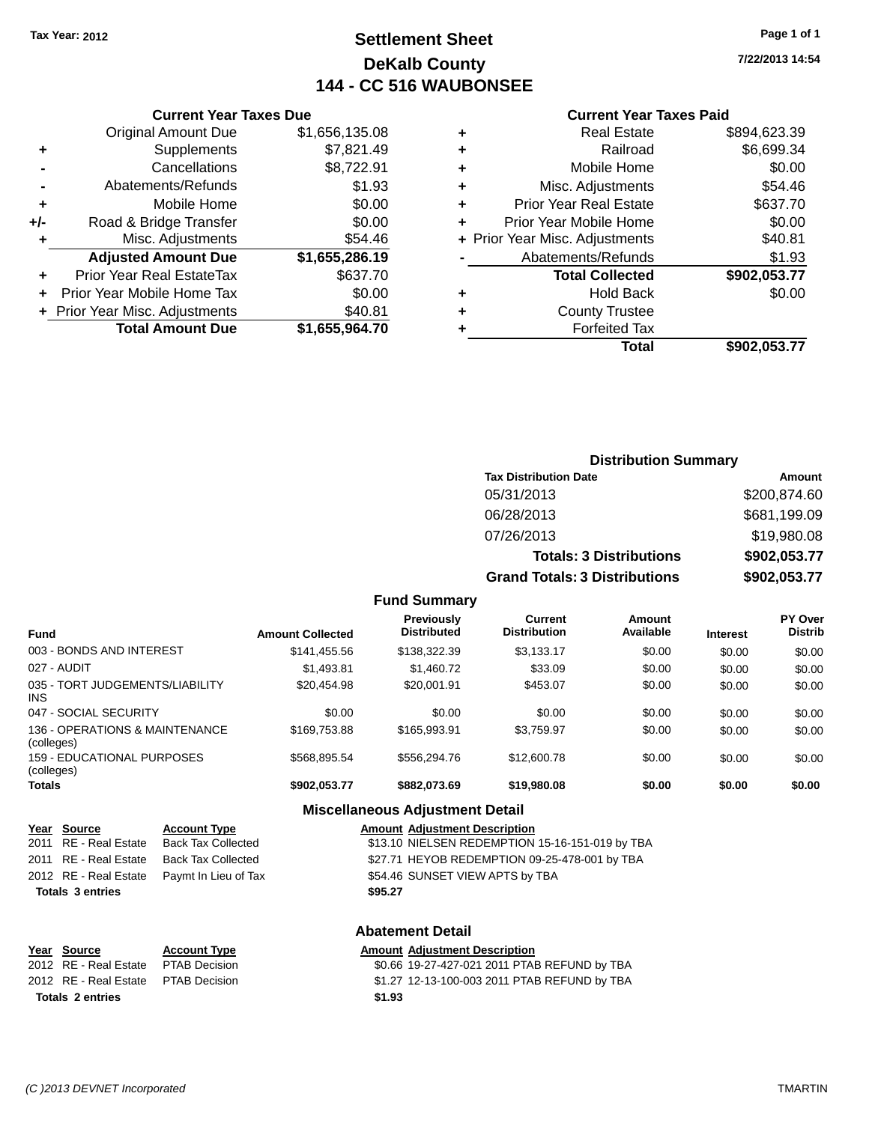## **Settlement Sheet Tax Year: 2012 Page 1 of 1 DeKalb County 144 - CC 516 WAUBONSEE**

**7/22/2013 14:54**

#### **Current Year Taxes Paid**

|     | <b>Current Year Taxes Due</b>  |                |       |
|-----|--------------------------------|----------------|-------|
|     | <b>Original Amount Due</b>     | \$1,656,135.08 | ٠     |
|     | Supplements                    | \$7,821.49     | ٠     |
|     | Cancellations                  | \$8,722.91     | ٠     |
|     | Abatements/Refunds             | \$1.93         | ٠     |
|     | Mobile Home                    | \$0.00         | ٠     |
| +/- | Road & Bridge Transfer         | \$0.00         | ٠     |
|     | Misc. Adjustments              | \$54.46        | + Pri |
|     | <b>Adjusted Amount Due</b>     | \$1,655,286.19 |       |
|     | Prior Year Real EstateTax      | \$637.70       |       |
|     | Prior Year Mobile Home Tax     | \$0.00         | ٠     |
|     | + Prior Year Misc. Adjustments | \$40.81        | ٠     |
|     | <b>Total Amount Due</b>        | \$1,655,964.70 |       |
|     |                                |                |       |

| ٠ | <b>Real Estate</b>             | \$894,623.39 |
|---|--------------------------------|--------------|
| ٠ | Railroad                       | \$6,699.34   |
| ٠ | Mobile Home                    | \$0.00       |
| ٠ | Misc. Adjustments              | \$54.46      |
| ٠ | <b>Prior Year Real Estate</b>  | \$637.70     |
| ٠ | Prior Year Mobile Home         | \$0.00       |
|   | + Prior Year Misc. Adjustments | \$40.81      |
|   | Abatements/Refunds             | \$1.93       |
|   | <b>Total Collected</b>         | \$902,053.77 |
| ٠ | <b>Hold Back</b>               | \$0.00       |
| ٠ | <b>County Trustee</b>          |              |
| ٠ | <b>Forfeited Tax</b>           |              |
|   | Total                          | \$902,053.77 |
|   |                                |              |

### **Distribution Summary Tax Distribution Date Amount** 05/31/2013 \$200,874.60 06/28/2013 \$681,199.09 07/26/2013 \$19,980.08 **Totals: 3 Distributions \$902,053.77 Grand Totals: 3 Distributions \$902,053.77**

#### **Fund Summary**

| Fund                                         | <b>Amount Collected</b> | Previously<br><b>Distributed</b> | <b>Current</b><br><b>Distribution</b> | <b>Amount</b><br>Available | <b>Interest</b> | <b>PY Over</b><br><b>Distrib</b> |
|----------------------------------------------|-------------------------|----------------------------------|---------------------------------------|----------------------------|-----------------|----------------------------------|
| 003 - BONDS AND INTEREST                     | \$141,455.56            | \$138,322.39                     | \$3,133.17                            | \$0.00                     | \$0.00          | \$0.00                           |
| 027 - AUDIT                                  | \$1,493.81              | \$1,460.72                       | \$33.09                               | \$0.00                     | \$0.00          | \$0.00                           |
| 035 - TORT JUDGEMENTS/LIABILITY<br>INS.      | \$20.454.98             | \$20,001.91                      | \$453.07                              | \$0.00                     | \$0.00          | \$0.00                           |
| 047 - SOCIAL SECURITY                        | \$0.00                  | \$0.00                           | \$0.00                                | \$0.00                     | \$0.00          | \$0.00                           |
| 136 - OPERATIONS & MAINTENANCE<br>(colleges) | \$169,753.88            | \$165,993.91                     | \$3,759.97                            | \$0.00                     | \$0.00          | \$0.00                           |
| 159 - EDUCATIONAL PURPOSES<br>(colleges)     | \$568.895.54            | \$556,294.76                     | \$12,600.78                           | \$0.00                     | \$0.00          | \$0.00                           |
| <b>Totals</b>                                | \$902,053.77            | \$882,073.69                     | \$19,980.08                           | \$0.00                     | \$0.00          | \$0.00                           |

#### **Miscellaneous Adjustment Detail**

| Year Source             | <b>Account Type</b>                        | <b>Amount Adjustment Description</b>            |
|-------------------------|--------------------------------------------|-------------------------------------------------|
| 2011 RE - Real Estate   | Back Tax Collected                         | \$13.10 NIELSEN REDEMPTION 15-16-151-019 by TBA |
|                         | 2011 RE - Real Estate Back Tax Collected   | \$27.71 HEYOB REDEMPTION 09-25-478-001 by TBA   |
|                         | 2012 RE - Real Estate Paymt In Lieu of Tax | \$54.46 SUNSET VIEW APTS by TBA                 |
| <b>Totals 3 entries</b> |                                            | \$95.27                                         |

| Year Source                          | <b>Account Type</b> |        | <b>Amount Adjustment Description</b>         |
|--------------------------------------|---------------------|--------|----------------------------------------------|
| 2012 RE - Real Estate                | PTAB Decision       |        | \$0.66 19-27-427-021 2011 PTAB REFUND by TBA |
| 2012 RE - Real Estate  PTAB Decision |                     |        | \$1.27 12-13-100-003 2011 PTAB REFUND by TBA |
| <b>Totals 2 entries</b>              |                     | \$1.93 |                                              |
|                                      |                     |        |                                              |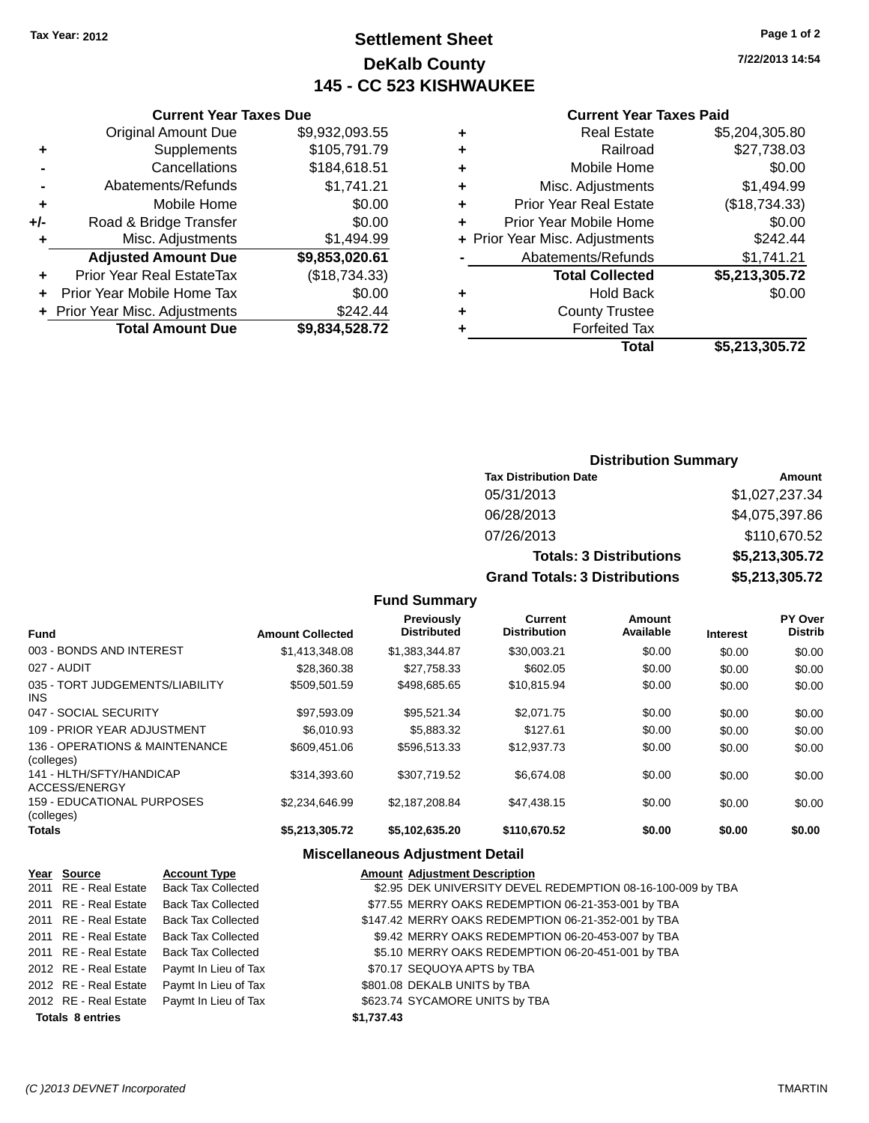**Original Amount Due** 

**Adjusted Amount Due** 

**Total Amount Due** 

**+** Supplements **-** Cancellations **-** Abatements/Refunds  $+$  Mobile Home **+/-** Road & Bridge Transfer **+** Misc. Adjustments

**+** Prior Year Real EstateTax **+** Prior Year Mobile Home Tax **+ Prior Year Misc. Adjustments** 

## **Settlement Sheet Tax Year: 2012 Page 1 of 2 DeKalb County 145 - CC 523 KISHWAUKEE**

**7/22/2013 14:54**

**+** Prior Year Mobile Home \$0.00 **+** Prior Year Misc. Adjustments \$242.44 **-** Abatements/Refunds \$1,741.21 **Total Collected \$5,213,305.72**

**+** Hold Back \$0.00

**+** Real Estate \$5,204,305.80 **+** Railroad \$27,738.03 **+** Mobile Home \$0.00 \$1,494.99 **+** Prior Year Real Estate (\$18,734.33)

#### **Current Year Taxes Paid**

| <b>Current Year Taxes Due</b> |                |   | <b>Current Year Taxe</b>       |
|-------------------------------|----------------|---|--------------------------------|
| ่<br>เl Amount Due            | \$9,932,093.55 | ٠ | <b>Real Estate</b>             |
| Supplements                   | \$105,791.79   | ÷ | Railroad                       |
| Cancellations                 | \$184,618.51   | ٠ | Mobile Home                    |
| าents/Refunds                 | \$1,741.21     | ٠ | Misc. Adjustments              |
| Mobile Home                   | \$0.00         | ÷ | <b>Prior Year Real Estate</b>  |
| ridge Transfer                | \$0.00         | ÷ | Prior Year Mobile Home         |
| . Adjustments                 | \$1,494.99     |   | + Prior Year Misc. Adjustments |
| <b>Amount Due</b>             | \$9,853,020.61 |   | Abatements/Refunds             |
| leal EstateTax≀               | (\$18,734.33)  |   | <b>Total Collected</b>         |
| bile Home Tax                 | \$0.00         | ÷ | <b>Hold Back</b>               |
| . Adjustments                 | \$242.44       | ٠ | <b>County Trustee</b>          |
| <b>Amount Due</b>             | \$9,834,528.72 |   | <b>Forfeited Tax</b>           |
|                               |                |   | Total                          |

# **Total \$5,213,305.72**

| <b>Distribution Summary</b>          |                |  |  |  |
|--------------------------------------|----------------|--|--|--|
| <b>Tax Distribution Date</b>         | Amount         |  |  |  |
| 05/31/2013                           | \$1,027,237.34 |  |  |  |
| 06/28/2013                           | \$4,075,397.86 |  |  |  |
| 07/26/2013                           | \$110,670.52   |  |  |  |
| <b>Totals: 3 Distributions</b>       | \$5,213,305.72 |  |  |  |
| <b>Grand Totals: 3 Distributions</b> | \$5,213,305.72 |  |  |  |

#### **Fund Summary**

| <b>Fund</b>                                  | <b>Amount Collected</b> | <b>Previously</b><br><b>Distributed</b> | Current<br><b>Distribution</b> | Amount<br>Available | <b>Interest</b> | <b>PY Over</b><br><b>Distrib</b> |
|----------------------------------------------|-------------------------|-----------------------------------------|--------------------------------|---------------------|-----------------|----------------------------------|
| 003 - BONDS AND INTEREST                     | \$1,413,348.08          | \$1,383,344.87                          | \$30,003.21                    | \$0.00              | \$0.00          | \$0.00                           |
| 027 - AUDIT                                  | \$28,360.38             | \$27.758.33                             | \$602.05                       | \$0.00              | \$0.00          | \$0.00                           |
| 035 - TORT JUDGEMENTS/LIABILITY<br>INS.      | \$509.501.59            | \$498.685.65                            | \$10.815.94                    | \$0.00              | \$0.00          | \$0.00                           |
| 047 - SOCIAL SECURITY                        | \$97.593.09             | \$95.521.34                             | \$2,071.75                     | \$0.00              | \$0.00          | \$0.00                           |
| 109 - PRIOR YEAR ADJUSTMENT                  | \$6,010.93              | \$5,883,32                              | \$127.61                       | \$0.00              | \$0.00          | \$0.00                           |
| 136 - OPERATIONS & MAINTENANCE<br>(colleges) | \$609.451.06            | \$596.513.33                            | \$12,937.73                    | \$0.00              | \$0.00          | \$0.00                           |
| 141 - HLTH/SFTY/HANDICAP<br>ACCESS/ENERGY    | \$314.393.60            | \$307.719.52                            | \$6.674.08                     | \$0.00              | \$0.00          | \$0.00                           |
| 159 - EDUCATIONAL PURPOSES<br>(colleges)     | \$2.234.646.99          | \$2.187.208.84                          | \$47,438.15                    | \$0.00              | \$0.00          | \$0.00                           |
| <b>Totals</b>                                | \$5,213,305.72          | \$5,102,635.20                          | \$110,670.52                   | \$0.00              | \$0.00          | \$0.00                           |

#### **Miscellaneous Adjustment Detail**

|                         | Year Source           | <b>Account Type</b>                        | <b>Amount Adjustment Description</b>                        |
|-------------------------|-----------------------|--------------------------------------------|-------------------------------------------------------------|
|                         | 2011 RE - Real Estate | <b>Back Tax Collected</b>                  | \$2.95 DEK UNIVERSITY DEVEL REDEMPTION 08-16-100-009 by TBA |
|                         | 2011 RE - Real Estate | <b>Back Tax Collected</b>                  | \$77.55 MERRY OAKS REDEMPTION 06-21-353-001 by TBA          |
|                         | 2011 RE - Real Estate | <b>Back Tax Collected</b>                  | \$147.42 MERRY OAKS REDEMPTION 06-21-352-001 by TBA         |
|                         | 2011 RE - Real Estate | <b>Back Tax Collected</b>                  | \$9.42 MERRY OAKS REDEMPTION 06-20-453-007 by TBA           |
|                         | 2011 RE - Real Estate | <b>Back Tax Collected</b>                  | \$5.10 MERRY OAKS REDEMPTION 06-20-451-001 by TBA           |
|                         | 2012 RE - Real Estate | Paymt In Lieu of Tax                       | \$70.17 SEQUOYA APTS by TBA                                 |
|                         | 2012 RE - Real Estate | Paymt In Lieu of Tax                       | \$801.08 DEKALB UNITS by TBA                                |
|                         |                       | 2012 RE - Real Estate Paymt In Lieu of Tax | \$623.74 SYCAMORE UNITS by TBA                              |
| <b>Totals 8 entries</b> |                       |                                            | \$1,737.43                                                  |

#### *(C )2013 DEVNET Incorporated* TMARTIN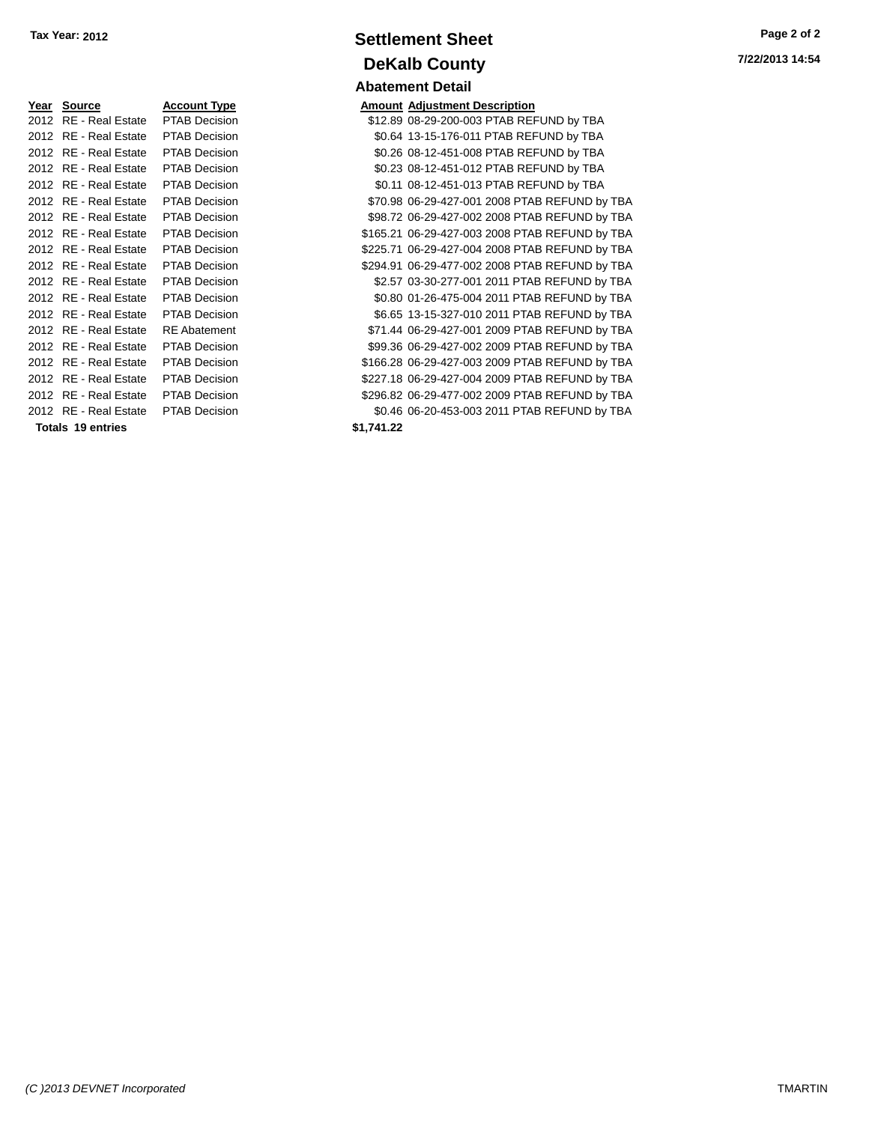| Year Source Account Type            |                      |            | <b>Amount Adjustment Description</b> |
|-------------------------------------|----------------------|------------|--------------------------------------|
| 2012 RE - Real Estate PTAB Decision |                      |            | \$12.89 08-29-200-003 PTAB REI       |
| 2012 RE - Real Estate PTAB Decision |                      |            | \$0.64 13-15-176-011 PTAB REF        |
| 2012 RE - Real Estate               | <b>PTAB Decision</b> |            | \$0.26 08-12-451-008 PTAB REI        |
| 2012 RE - Real Estate               | <b>PTAB Decision</b> |            | \$0.23 08-12-451-012 PTAB REI        |
| 2012 RE - Real Estate               | <b>PTAB Decision</b> |            | \$0.11 08-12-451-013 PTAB REI        |
| 2012 RE - Real Estate               | <b>PTAB Decision</b> |            | \$70.98 06-29-427-001 2008 PTA       |
| 2012 RE - Real Estate               | <b>PTAB Decision</b> |            | \$98.72 06-29-427-002 2008 PTA       |
| 2012 RE - Real Estate               | <b>PTAB Decision</b> |            | \$165.21 06-29-427-003 2008 PTA      |
| 2012 RE - Real Estate               | <b>PTAB Decision</b> |            | \$225.71 06-29-427-004 2008 PTA      |
| 2012 RE - Real Estate               | <b>PTAB Decision</b> |            | \$294.91 06-29-477-002 2008 PTA      |
| 2012 RE - Real Estate               | PTAB Decision        |            | \$2.57 03-30-277-001 2011 PTA        |
| 2012 RE - Real Estate               | <b>PTAB Decision</b> |            | \$0.80 01-26-475-004 2011 PTA        |
| 2012 RE - Real Estate               | <b>PTAB Decision</b> |            | \$6.65 13-15-327-010 2011 PTA        |
| 2012 RE - Real Estate               | <b>RE</b> Abatement  |            | \$71.44 06-29-427-001 2009 PTA       |
| 2012 RE - Real Estate PTAB Decision |                      |            | \$99.36 06-29-427-002 2009 PTA       |
| 2012 RE - Real Estate               | <b>PTAB Decision</b> |            | \$166.28 06-29-427-003 2009 PTA      |
| 2012 RE - Real Estate               | PTAB Decision        |            | \$227.18 06-29-427-004 2009 PTA      |
| 2012 RE - Real Estate PTAB Decision |                      |            | \$296.82 06-29-477-002 2009 PTA      |
| 2012 RE - Real Estate PTAB Decision |                      |            | \$0.46 06-20-453-003 2011 PTA        |
| Totals 19 entries                   |                      | \$1,741.22 |                                      |

## **Settlement Sheet Tax Year: 2012 Page 2 of 2 DeKalb County Abatement Detail**

| Year Source              | <b>Account Type</b>  | <b>Amount Adjustment Description</b>           |
|--------------------------|----------------------|------------------------------------------------|
| 2012 RE - Real Estate    | <b>PTAB Decision</b> | \$12.89 08-29-200-003 PTAB REFUND by TBA       |
| 2012 RE - Real Estate    | <b>PTAB Decision</b> | \$0.64 13-15-176-011 PTAB REFUND by TBA        |
| 2012 RE - Real Estate    | <b>PTAB Decision</b> | \$0.26 08-12-451-008 PTAB REFUND by TBA        |
| 2012 RE - Real Estate    | <b>PTAB Decision</b> | \$0.23 08-12-451-012 PTAB REFUND by TBA        |
| 2012 RE - Real Estate    | <b>PTAB Decision</b> | \$0.11 08-12-451-013 PTAB REFUND by TBA        |
| 2012 RE - Real Estate    | <b>PTAB Decision</b> | \$70.98 06-29-427-001 2008 PTAB REFUND by TBA  |
| 2012 RE - Real Estate    | <b>PTAB Decision</b> | \$98.72 06-29-427-002 2008 PTAB REFUND by TBA  |
| 2012 RE - Real Estate    | <b>PTAB Decision</b> | \$165.21 06-29-427-003 2008 PTAB REFUND by TBA |
| 2012 RE - Real Estate    | <b>PTAB Decision</b> | \$225.71 06-29-427-004 2008 PTAB REFUND by TBA |
| 2012 RE - Real Estate    | <b>PTAB Decision</b> | \$294.91 06-29-477-002 2008 PTAB REFUND by TBA |
| 2012 RE - Real Estate    | <b>PTAB Decision</b> | \$2.57 03-30-277-001 2011 PTAB REFUND by TBA   |
| 2012 RE - Real Estate    | <b>PTAB Decision</b> | \$0.80 01-26-475-004 2011 PTAB REFUND by TBA   |
| 2012 RE - Real Estate    | <b>PTAB Decision</b> | \$6.65 13-15-327-010 2011 PTAB REFUND by TBA   |
| 2012 RE - Real Estate    | <b>RE</b> Abatement  | \$71.44 06-29-427-001 2009 PTAB REFUND by TBA  |
| 2012 RE - Real Estate    | <b>PTAB Decision</b> | \$99.36 06-29-427-002 2009 PTAB REFUND by TBA  |
| 2012 RE - Real Estate    | <b>PTAB Decision</b> | \$166.28 06-29-427-003 2009 PTAB REFUND by TBA |
| 2012 RE - Real Estate    | <b>PTAB Decision</b> | \$227.18 06-29-427-004 2009 PTAB REFUND by TBA |
| 2012 RE - Real Estate    | <b>PTAB Decision</b> | \$296.82 06-29-477-002 2009 PTAB REFUND by TBA |
| 2012 RE - Real Estate    | <b>PTAB Decision</b> | \$0.46 06-20-453-003 2011 PTAB REFUND by TBA   |
| <b>Totals 19 entries</b> |                      | \$1,741.22                                     |
|                          |                      |                                                |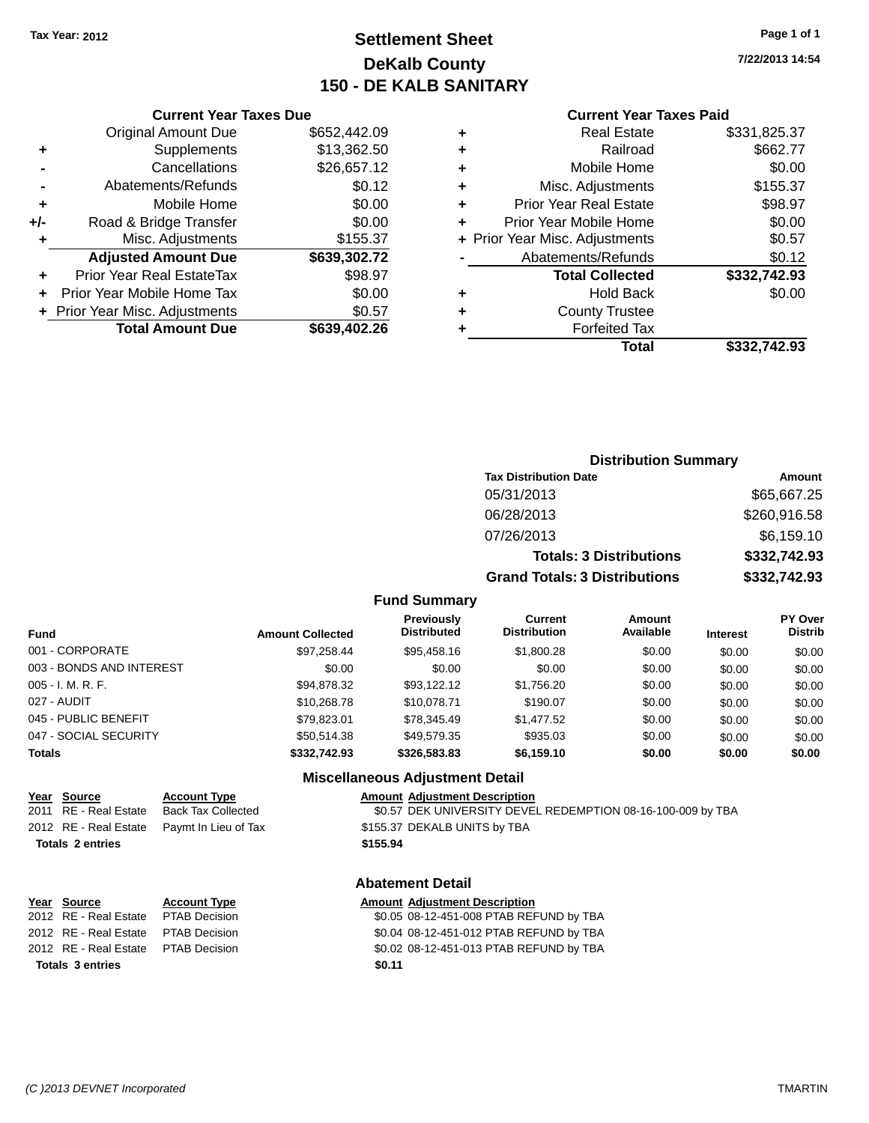## **Settlement Sheet Tax Year: 2012 Page 1 of 1 DeKalb County 150 - DE KALB SANITARY**

**7/22/2013 14:54**

|     | <b>Current Year Taxes Due</b>  |              |
|-----|--------------------------------|--------------|
|     | <b>Original Amount Due</b>     | \$652,442.09 |
| ٠   | Supplements                    | \$13,362.50  |
|     | Cancellations                  | \$26,657.12  |
|     | Abatements/Refunds             | \$0.12       |
| ٠   | Mobile Home                    | \$0.00       |
| +/- | Road & Bridge Transfer         | \$0.00       |
| ٠   | Misc. Adjustments              | \$155.37     |
|     | <b>Adjusted Amount Due</b>     | \$639,302.72 |
| ٠   | Prior Year Real EstateTax      | \$98.97      |
|     | Prior Year Mobile Home Tax     | \$0.00       |
|     | + Prior Year Misc. Adjustments | \$0.57       |
|     | <b>Total Amount Due</b>        | \$639,402.26 |
|     |                                |              |

#### **Current Year Taxes Paid**

| ٠ | <b>Real Estate</b>             | \$331,825.37 |
|---|--------------------------------|--------------|
| ٠ | Railroad                       | \$662.77     |
| ٠ | Mobile Home                    | \$0.00       |
| ٠ | Misc. Adjustments              | \$155.37     |
| ٠ | <b>Prior Year Real Estate</b>  | \$98.97      |
| ٠ | Prior Year Mobile Home         | \$0.00       |
|   | + Prior Year Misc. Adjustments | \$0.57       |
|   | Abatements/Refunds             | \$0.12       |
|   | <b>Total Collected</b>         | \$332,742.93 |
| ٠ | <b>Hold Back</b>               | \$0.00       |
| ٠ | <b>County Trustee</b>          |              |
| ٠ | <b>Forfeited Tax</b>           |              |
|   | Total                          | \$332,742.93 |
|   |                                |              |

### **Distribution Summary Tax Distribution Date Amount** 05/31/2013 \$65,667.25 06/28/2013 \$260,916.58 07/26/2013 \$6,159.10 **Totals: 3 Distributions \$332,742.93 Grand Totals: 3 Distributions \$332,742.93**

#### **Fund Summary**

| <b>Fund</b>              | <b>Amount Collected</b> | <b>Previously</b><br><b>Distributed</b> | <b>Current</b><br><b>Distribution</b> | Amount<br>Available | <b>Interest</b> | <b>PY Over</b><br><b>Distrib</b> |
|--------------------------|-------------------------|-----------------------------------------|---------------------------------------|---------------------|-----------------|----------------------------------|
| 001 - CORPORATE          | \$97.258.44             | \$95.458.16                             | \$1,800.28                            | \$0.00              | \$0.00          | \$0.00                           |
| 003 - BONDS AND INTEREST | \$0.00                  | \$0.00                                  | \$0.00                                | \$0.00              | \$0.00          | \$0.00                           |
| 005 - I. M. R. F.        | \$94,878.32             | \$93.122.12                             | \$1,756.20                            | \$0.00              | \$0.00          | \$0.00                           |
| 027 - AUDIT              | \$10,268.78             | \$10,078.71                             | \$190.07                              | \$0.00              | \$0.00          | \$0.00                           |
| 045 - PUBLIC BENEFIT     | \$79.823.01             | \$78,345.49                             | \$1,477.52                            | \$0.00              | \$0.00          | \$0.00                           |
| 047 - SOCIAL SECURITY    | \$50.514.38             | \$49,579.35                             | \$935.03                              | \$0.00              | \$0.00          | \$0.00                           |
| <b>Totals</b>            | \$332,742.93            | \$326,583,83                            | \$6,159.10                            | \$0.00              | \$0.00          | \$0.00                           |

#### **Miscellaneous Adjustment Detail**

## **Year Source Account Type Amount Adjustment Description**

2011 RE - Real Estate Back Tax Collected \$0.57 DEK UNIVERSITY DEVEL REDEMPTION 08-16-100-009 by TBA 2012 RE - Real Estate Paymt In Lieu of Tax \$155.37 DEKALB UNITS by TBA **Totals 2 entries \$155.94**

#### **Abatement Detail**

#### **Year Source Account Type Amount Adjustment Description** 2012 RE - Real Estate PTAB Decision \$0.05 08-12-451-008 PTAB REFUND by TBA 2012 RE - Real Estate PTAB Decision \$0.04 08-12-451-012 PTAB REFUND by TBA

2012 RE - Real Estate PTAB Decision \$0.02 08-12-451-013 PTAB REFUND by TBA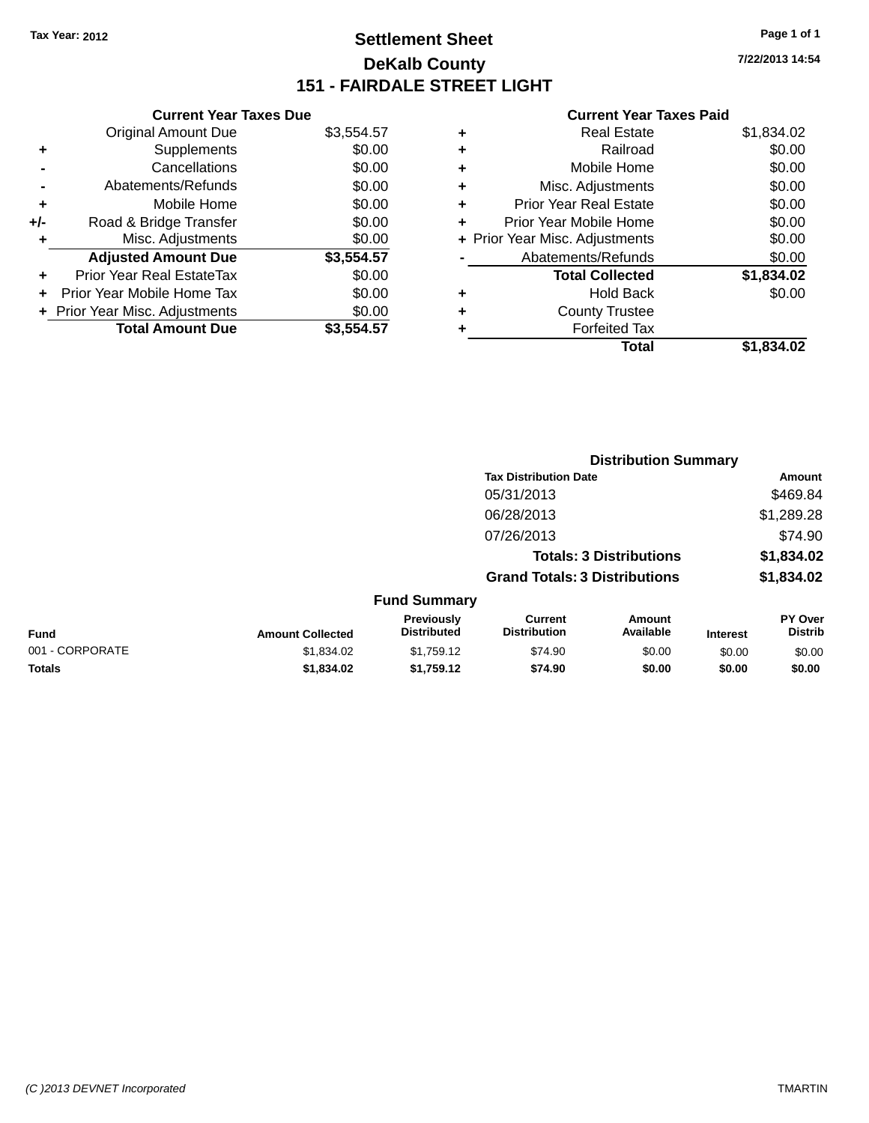## **Settlement Sheet Tax Year: 2012 Page 1 of 1 DeKalb County 151 - FAIRDALE STREET LIGHT**

**7/22/2013 14:54**

#### **Current Year Taxes Paid**

|     | <b>Current Year Taxes Due</b>  |            |  |  |
|-----|--------------------------------|------------|--|--|
|     | <b>Original Amount Due</b>     | \$3,554.57 |  |  |
| ٠   | Supplements                    | \$0.00     |  |  |
|     | Cancellations                  | \$0.00     |  |  |
|     | Abatements/Refunds             | \$0.00     |  |  |
| ÷   | Mobile Home                    | \$0.00     |  |  |
| +/- | Road & Bridge Transfer         | \$0.00     |  |  |
|     | \$0.00<br>Misc. Adjustments    |            |  |  |
|     | <b>Adjusted Amount Due</b>     | \$3,554.57 |  |  |
| ٠   | Prior Year Real EstateTax      | \$0.00     |  |  |
|     | Prior Year Mobile Home Tax     | \$0.00     |  |  |
|     | + Prior Year Misc. Adjustments | \$0.00     |  |  |
|     | <b>Total Amount Due</b>        | \$3,554.57 |  |  |
|     |                                |            |  |  |

|   | <b>Real Estate</b>             | \$1,834.02 |
|---|--------------------------------|------------|
| ٠ | Railroad                       | \$0.00     |
| ٠ | Mobile Home                    | \$0.00     |
| ٠ | Misc. Adjustments              | \$0.00     |
| ٠ | <b>Prior Year Real Estate</b>  | \$0.00     |
| ÷ | Prior Year Mobile Home         | \$0.00     |
|   | + Prior Year Misc. Adjustments | \$0.00     |
|   | Abatements/Refunds             | \$0.00     |
|   | <b>Total Collected</b>         | \$1,834.02 |
| ٠ | <b>Hold Back</b>               | \$0.00     |
| ٠ | <b>County Trustee</b>          |            |
| ٠ | <b>Forfeited Tax</b>           |            |
|   | Total                          | \$1,834.02 |
|   |                                |            |

|                 |                         |                                         |                                       | <b>Distribution Summary</b>    |                 |                           |
|-----------------|-------------------------|-----------------------------------------|---------------------------------------|--------------------------------|-----------------|---------------------------|
|                 |                         |                                         | <b>Tax Distribution Date</b>          |                                |                 | <b>Amount</b>             |
|                 |                         |                                         | 05/31/2013                            |                                |                 | \$469.84                  |
|                 |                         |                                         | 06/28/2013                            |                                |                 | \$1,289.28                |
|                 |                         |                                         | 07/26/2013                            |                                |                 | \$74.90                   |
|                 |                         |                                         |                                       | <b>Totals: 3 Distributions</b> |                 | \$1,834.02                |
|                 |                         |                                         | <b>Grand Totals: 3 Distributions</b>  |                                |                 | \$1,834.02                |
|                 |                         | <b>Fund Summary</b>                     |                                       |                                |                 |                           |
| <b>Fund</b>     | <b>Amount Collected</b> | <b>Previously</b><br><b>Distributed</b> | <b>Current</b><br><b>Distribution</b> | Amount<br>Available            | <b>Interest</b> | PY Over<br><b>Distrib</b> |
| 001 - CORPORATE | \$1,834.02              | \$1,759.12                              | \$74.90                               | \$0.00                         | \$0.00          | \$0.00                    |
| <b>Totals</b>   | \$1,834.02              | \$1,759.12                              | \$74.90                               | \$0.00                         | \$0.00          | \$0.00                    |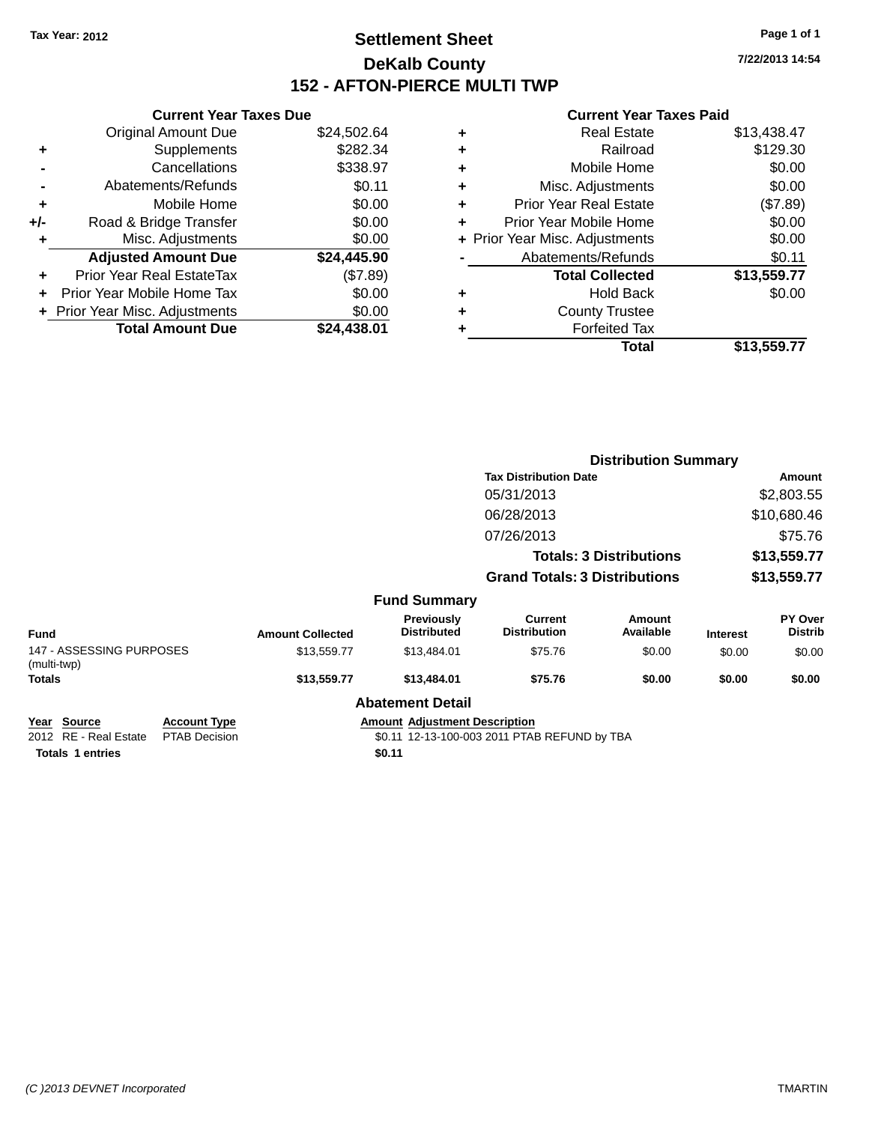## **Settlement Sheet Tax Year: 2012 Page 1 of 1 DeKalb County 152 - AFTON-PIERCE MULTI TWP**

**7/22/2013 14:54**

#### **Current Year Taxes Paid**

|     | <b>Current Year Taxes Due</b>  |             |
|-----|--------------------------------|-------------|
|     | <b>Original Amount Due</b>     | \$24,502.64 |
| ٠   | Supplements                    | \$282.34    |
|     | Cancellations                  | \$338.97    |
|     | Abatements/Refunds             | \$0.11      |
| ٠   | Mobile Home                    | \$0.00      |
| +/- | Road & Bridge Transfer         | \$0.00      |
| ٠   | Misc. Adjustments              | \$0.00      |
|     | <b>Adjusted Amount Due</b>     | \$24,445.90 |
| ٠   | Prior Year Real EstateTax      | (\$7.89)    |
|     | Prior Year Mobile Home Tax     | \$0.00      |
|     | + Prior Year Misc. Adjustments | \$0.00      |
|     | <b>Total Amount Due</b>        | \$24.438.01 |
|     |                                |             |

| ٠ | <b>Real Estate</b>             | \$13,438.47 |
|---|--------------------------------|-------------|
| ٠ | Railroad                       | \$129.30    |
| ٠ | Mobile Home                    | \$0.00      |
| ٠ | Misc. Adjustments              | \$0.00      |
| ٠ | Prior Year Real Estate         | (\$7.89)    |
| ٠ | Prior Year Mobile Home         | \$0.00      |
|   | + Prior Year Misc. Adjustments | \$0.00      |
|   | Abatements/Refunds             | \$0.11      |
|   | <b>Total Collected</b>         | \$13,559.77 |
| ٠ | <b>Hold Back</b>               | \$0.00      |
| ٠ | <b>County Trustee</b>          |             |
| ٠ | <b>Forfeited Tax</b>           |             |
|   | Total                          | \$13,559.77 |
|   |                                |             |

|                                              |                         |                                      | <b>Distribution Summary</b>           |                                |                 |                           |
|----------------------------------------------|-------------------------|--------------------------------------|---------------------------------------|--------------------------------|-----------------|---------------------------|
|                                              |                         |                                      | <b>Tax Distribution Date</b>          |                                |                 | <b>Amount</b>             |
|                                              |                         |                                      | 05/31/2013                            |                                |                 | \$2,803.55                |
|                                              |                         |                                      | 06/28/2013                            |                                |                 | \$10,680.46               |
|                                              |                         |                                      | 07/26/2013                            |                                |                 | \$75.76                   |
|                                              |                         |                                      |                                       | <b>Totals: 3 Distributions</b> |                 | \$13,559.77               |
|                                              |                         |                                      | <b>Grand Totals: 3 Distributions</b>  |                                |                 | \$13,559.77               |
|                                              |                         | <b>Fund Summary</b>                  |                                       |                                |                 |                           |
| <b>Fund</b>                                  | <b>Amount Collected</b> | Previously<br><b>Distributed</b>     | <b>Current</b><br><b>Distribution</b> | Amount<br>Available            | <b>Interest</b> | PY Over<br><b>Distrib</b> |
| 147 - ASSESSING PURPOSES<br>(multi-twp)      | \$13,559.77             | \$13,484.01                          | \$75.76                               | \$0.00                         | \$0.00          | \$0.00                    |
| <b>Totals</b>                                | \$13,559.77             | \$13,484.01                          | \$75.76                               | \$0.00                         | \$0.00          | \$0.00                    |
|                                              |                         | <b>Abatement Detail</b>              |                                       |                                |                 |                           |
| <b>Source</b><br><b>Account Type</b><br>Year |                         | <b>Amount Adjustment Description</b> |                                       |                                |                 |                           |

## 2012 RE - Real Estate PTAB Decision \$0.11 12-13-100-003 2011 PTAB REFUND by TBA

**Totals** 1 entries \$0.11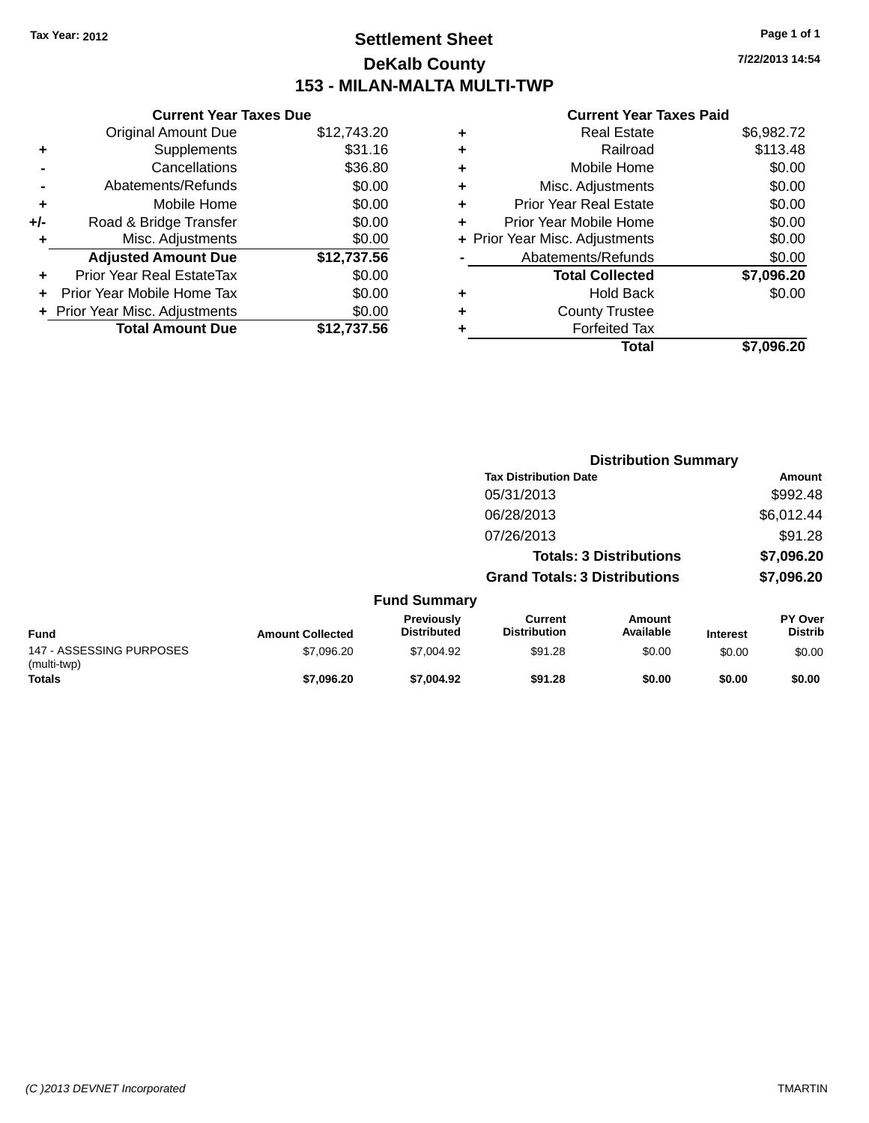## **Settlement Sheet Tax Year: 2012 Page 1 of 1 DeKalb County 153 - MILAN-MALTA MULTI-TWP**

**Current Year Taxes Due** Original Amount Due \$12,743.20 **+** Supplements \$31.16 **-** Cancellations \$36.80 **-** Abatements/Refunds \$0.00 **+** Mobile Home \$0.00 **+/-** Road & Bridge Transfer \$0.00 **+** Misc. Adjustments \$0.00 **Adjusted Amount Due \$12,737.56 +** Prior Year Real EstateTax \$0.00 **+** Prior Year Mobile Home Tax \$0.00 **+ Prior Year Misc. Adjustments**  $$0.00$ **Total Amount Due \$12,737.56**

#### **Current Year Taxes Paid**

| ٠ | <b>Real Estate</b>             | \$6,982.72 |
|---|--------------------------------|------------|
| ٠ | Railroad                       | \$113.48   |
| ٠ | Mobile Home                    | \$0.00     |
| ٠ | Misc. Adjustments              | \$0.00     |
| ٠ | <b>Prior Year Real Estate</b>  | \$0.00     |
| ٠ | Prior Year Mobile Home         | \$0.00     |
|   | + Prior Year Misc. Adjustments | \$0.00     |
|   | Abatements/Refunds             | \$0.00     |
|   | <b>Total Collected</b>         | \$7,096.20 |
| ٠ | <b>Hold Back</b>               | \$0.00     |
| ٠ | <b>County Trustee</b>          |            |
|   | <b>Forfeited Tax</b>           |            |
|   | Total                          | \$7,096.20 |
|   |                                |            |

**Distribution Summary**

|                                         |                         |                                  |                                       | <b>PISUIMULIOII VUIIIIIIII</b> |                 |                                  |
|-----------------------------------------|-------------------------|----------------------------------|---------------------------------------|--------------------------------|-----------------|----------------------------------|
|                                         |                         |                                  | <b>Tax Distribution Date</b>          |                                |                 | <b>Amount</b>                    |
|                                         |                         |                                  | 05/31/2013                            |                                |                 | \$992.48                         |
|                                         |                         |                                  | 06/28/2013                            |                                |                 | \$6,012.44                       |
|                                         |                         |                                  | 07/26/2013                            |                                |                 | \$91.28                          |
|                                         |                         |                                  |                                       | <b>Totals: 3 Distributions</b> |                 | \$7,096.20                       |
|                                         |                         |                                  | <b>Grand Totals: 3 Distributions</b>  |                                |                 | \$7,096.20                       |
|                                         |                         | <b>Fund Summary</b>              |                                       |                                |                 |                                  |
| <b>Fund</b>                             | <b>Amount Collected</b> | Previously<br><b>Distributed</b> | <b>Current</b><br><b>Distribution</b> | <b>Amount</b><br>Available     | <b>Interest</b> | <b>PY Over</b><br><b>Distrib</b> |
| 147 - ASSESSING PURPOSES<br>(multi-twp) | \$7,096.20              | \$7,004.92                       | \$91.28                               | \$0.00                         | \$0.00          | \$0.00                           |
| Totals                                  | \$7.096.20              | \$7,004.92                       | \$91.28                               | \$0.00                         | \$0.00          | \$0.00                           |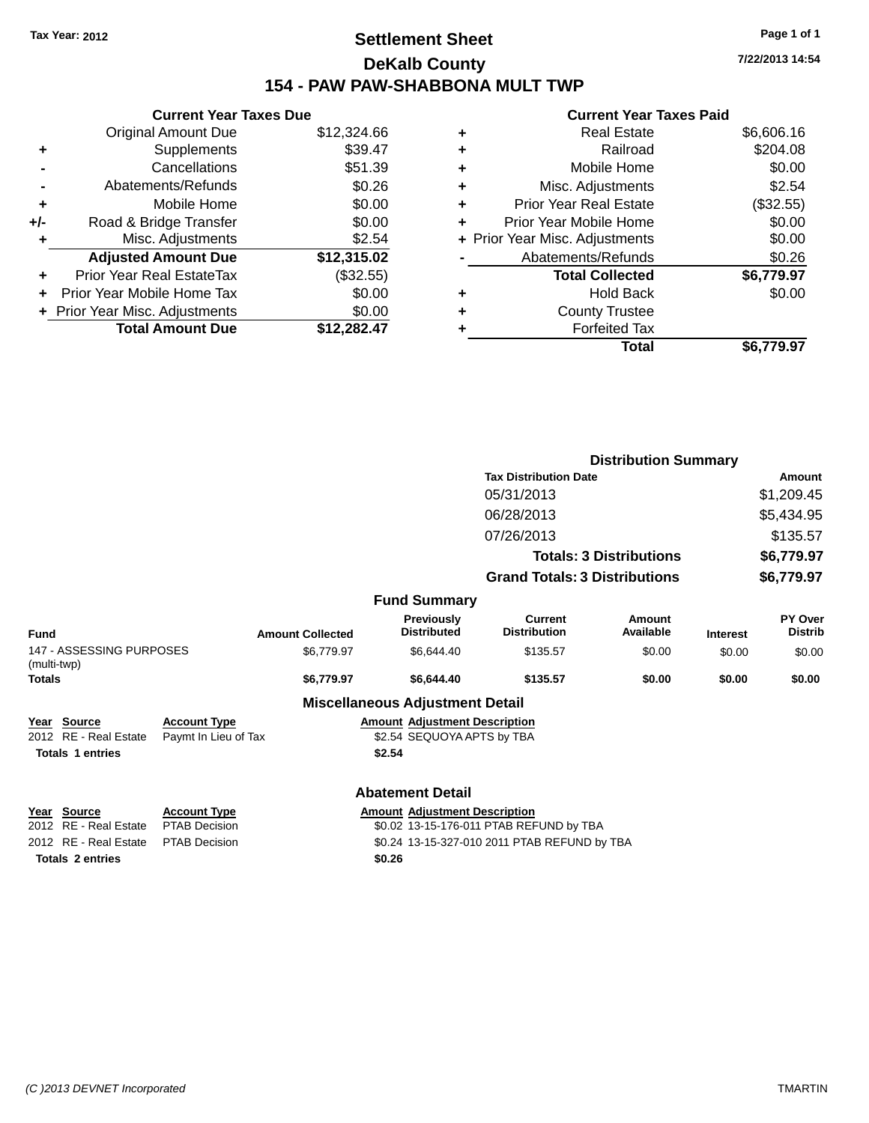## **Settlement Sheet Tax Year: 2012 Page 1 of 1 DeKalb County 154 - PAW PAW-SHABBONA MULT TWP**

|     | <b>Current Year Taxes Due</b>  |             |  |  |  |  |  |
|-----|--------------------------------|-------------|--|--|--|--|--|
|     | <b>Original Amount Due</b>     | \$12,324.66 |  |  |  |  |  |
| ٠   | Supplements                    | \$39.47     |  |  |  |  |  |
|     | Cancellations                  | \$51.39     |  |  |  |  |  |
|     | Abatements/Refunds             | \$0.26      |  |  |  |  |  |
| ٠   | Mobile Home                    | \$0.00      |  |  |  |  |  |
| +/- | Road & Bridge Transfer         | \$0.00      |  |  |  |  |  |
| ٠   | Misc. Adjustments              | \$2.54      |  |  |  |  |  |
|     | <b>Adjusted Amount Due</b>     | \$12,315.02 |  |  |  |  |  |
| ÷   | Prior Year Real EstateTax      | (\$32.55)   |  |  |  |  |  |
|     | Prior Year Mobile Home Tax     | \$0.00      |  |  |  |  |  |
|     | + Prior Year Misc. Adjustments | \$0.00      |  |  |  |  |  |
|     | <b>Total Amount Due</b>        | \$12,282.47 |  |  |  |  |  |

#### **Current Year Taxes Paid**

| ٠ | <b>Real Estate</b>             | \$6,606.16 |
|---|--------------------------------|------------|
| ٠ | Railroad                       | \$204.08   |
| ٠ | Mobile Home                    | \$0.00     |
| ٠ | Misc. Adjustments              | \$2.54     |
| ٠ | Prior Year Real Estate         | (\$32.55)  |
| ÷ | Prior Year Mobile Home         | \$0.00     |
|   | + Prior Year Misc. Adjustments | \$0.00     |
|   | Abatements/Refunds             | \$0.26     |
|   | <b>Total Collected</b>         | \$6,779.97 |
| ٠ | <b>Hold Back</b>               | \$0.00     |
| ٠ | <b>County Trustee</b>          |            |
| ٠ | <b>Forfeited Tax</b>           |            |
|   | Total                          | \$6.779.97 |
|   |                                |            |

|                                         |                      |                         |                                        |                                       | <b>Distribution Summary</b> |                 |                           |
|-----------------------------------------|----------------------|-------------------------|----------------------------------------|---------------------------------------|-----------------------------|-----------------|---------------------------|
|                                         |                      |                         |                                        | <b>Tax Distribution Date</b>          |                             |                 | Amount                    |
|                                         |                      |                         |                                        | 05/31/2013                            |                             |                 | \$1,209.45                |
|                                         |                      |                         |                                        | 06/28/2013                            |                             |                 | \$5,434.95                |
|                                         |                      |                         |                                        | 07/26/2013                            |                             |                 | \$135.57                  |
|                                         |                      |                         | <b>Totals: 3 Distributions</b>         |                                       |                             |                 | \$6,779.97                |
|                                         |                      |                         |                                        | <b>Grand Totals: 3 Distributions</b>  |                             |                 | \$6,779.97                |
|                                         |                      |                         | <b>Fund Summary</b>                    |                                       |                             |                 |                           |
| <b>Fund</b>                             |                      | <b>Amount Collected</b> | Previously<br><b>Distributed</b>       | <b>Current</b><br><b>Distribution</b> | <b>Amount</b><br>Available  | <b>Interest</b> | PY Over<br><b>Distrib</b> |
| 147 - ASSESSING PURPOSES<br>(multi-twp) |                      | \$6,779.97              | \$6,644.40                             | \$135.57                              | \$0.00                      | \$0.00          | \$0.00                    |
| <b>Totals</b>                           |                      | \$6,779.97              | \$6,644.40                             | \$135.57                              | \$0.00                      | \$0.00          | \$0.00                    |
|                                         |                      |                         | <b>Miscellaneous Adjustment Detail</b> |                                       |                             |                 |                           |
| <b>Source</b><br>Year                   | <b>Account Type</b>  |                         | <b>Amount Adjustment Description</b>   |                                       |                             |                 |                           |
| 2012 RE - Real Estate                   | Paymt In Lieu of Tax |                         | \$2.54 SEQUOYA APTS by TBA             |                                       |                             |                 |                           |
| <b>Totals 1 entries</b>                 |                      |                         | \$2.54                                 |                                       |                             |                 |                           |
|                                         |                      |                         |                                        |                                       |                             |                 |                           |

**Totals 2 entries \$0.26**

**Abatement Detail**

**Year** Source **Account Type Account Adjustment Description** 

2012 RE - Real Estate PTAB Decision \$0.02 13-15-176-011 PTAB REFUND by TBA 2012 RE - Real Estate PTAB Decision \$0.24 13-15-327-010 2011 PTAB REFUND by TBA **7/22/2013 14:54**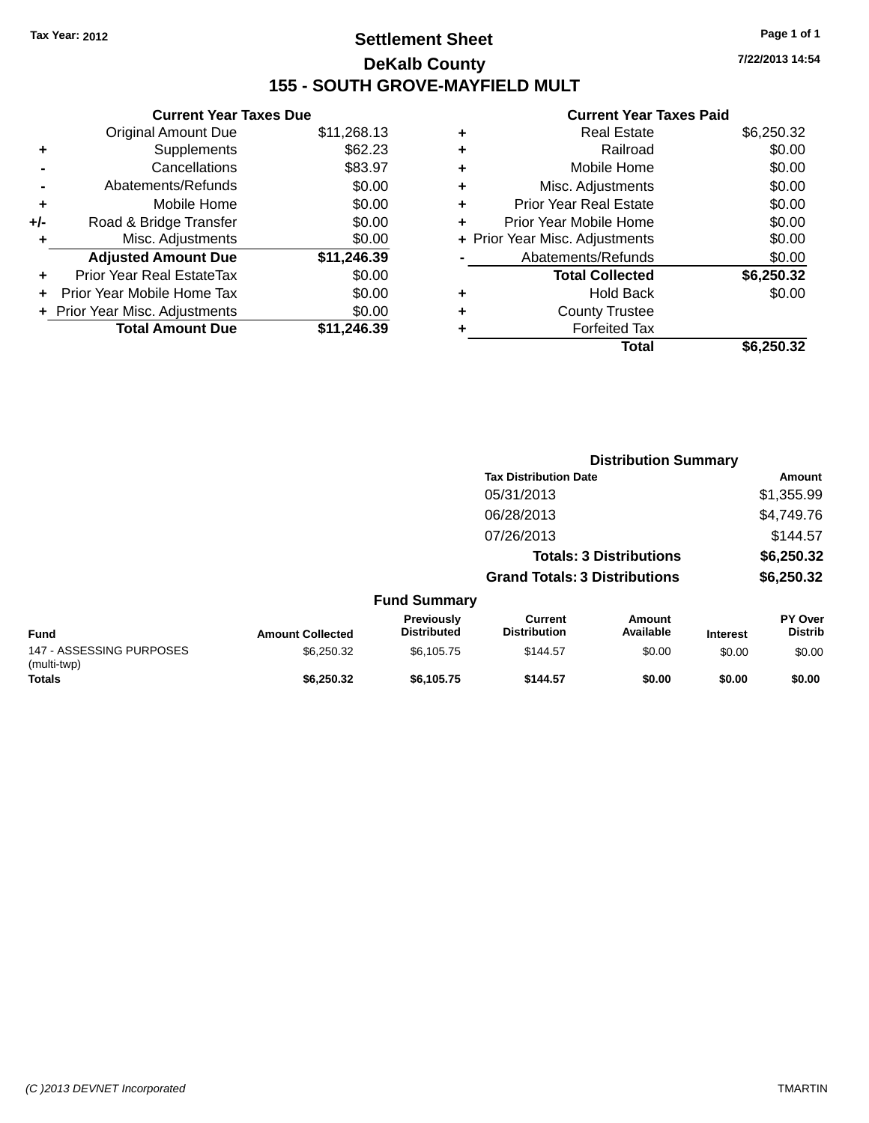## **Settlement Sheet Tax Year: 2012 Page 1 of 1 DeKalb County 155 - SOUTH GROVE-MAYFIELD MULT**

**7/22/2013 14:54**

#### **Current Year Taxes Paid**

|       | <b>Current Year Taxes Due</b>  |             |
|-------|--------------------------------|-------------|
|       | <b>Original Amount Due</b>     | \$11,268.13 |
| ٠     | Supplements                    | \$62.23     |
|       | Cancellations                  | \$83.97     |
|       | Abatements/Refunds             | \$0.00      |
| ٠     | Mobile Home                    | \$0.00      |
| $+/-$ | Road & Bridge Transfer         | \$0.00      |
| ٠     | Misc. Adjustments              | \$0.00      |
|       | <b>Adjusted Amount Due</b>     | \$11,246.39 |
| ٠     | Prior Year Real EstateTax      | \$0.00      |
|       | Prior Year Mobile Home Tax     | \$0.00      |
|       | + Prior Year Misc. Adjustments | \$0.00      |
|       | <b>Total Amount Due</b>        | \$11,246,39 |
|       |                                |             |

|   | <b>Real Estate</b>             | \$6,250.32 |
|---|--------------------------------|------------|
| ٠ | Railroad                       | \$0.00     |
| ٠ | Mobile Home                    | \$0.00     |
| ٠ | Misc. Adjustments              | \$0.00     |
| ٠ | <b>Prior Year Real Estate</b>  | \$0.00     |
|   | Prior Year Mobile Home         | \$0.00     |
|   | + Prior Year Misc. Adjustments | \$0.00     |
|   | Abatements/Refunds             | \$0.00     |
|   | <b>Total Collected</b>         | \$6,250.32 |
| ٠ | <b>Hold Back</b>               | \$0.00     |
| ٠ | <b>County Trustee</b>          |            |
|   | <b>Forfeited Tax</b>           |            |
|   | Total                          | \$6,250.32 |
|   |                                |            |

|                                         |                         |                                  |                                       | <b>Distribution Summary</b>    |                 |                           |
|-----------------------------------------|-------------------------|----------------------------------|---------------------------------------|--------------------------------|-----------------|---------------------------|
|                                         |                         |                                  | <b>Tax Distribution Date</b>          |                                |                 | Amount                    |
|                                         |                         |                                  | 05/31/2013                            |                                |                 | \$1,355.99                |
|                                         |                         |                                  | 06/28/2013                            |                                |                 | \$4,749.76                |
|                                         |                         |                                  | 07/26/2013                            |                                |                 | \$144.57                  |
|                                         |                         |                                  |                                       | <b>Totals: 3 Distributions</b> |                 | \$6,250.32                |
|                                         |                         |                                  | <b>Grand Totals: 3 Distributions</b>  |                                |                 | \$6,250.32                |
|                                         |                         | <b>Fund Summary</b>              |                                       |                                |                 |                           |
| Fund                                    | <b>Amount Collected</b> | Previously<br><b>Distributed</b> | <b>Current</b><br><b>Distribution</b> | <b>Amount</b><br>Available     | <b>Interest</b> | PY Over<br><b>Distrib</b> |
| 147 - ASSESSING PURPOSES<br>(multi-twp) | \$6,250.32              | \$6,105.75                       | \$144.57                              | \$0.00                         | \$0.00          | \$0.00                    |
| <b>Totals</b>                           | \$6,250.32              | \$6.105.75                       | \$144.57                              | \$0.00                         | \$0.00          | \$0.00                    |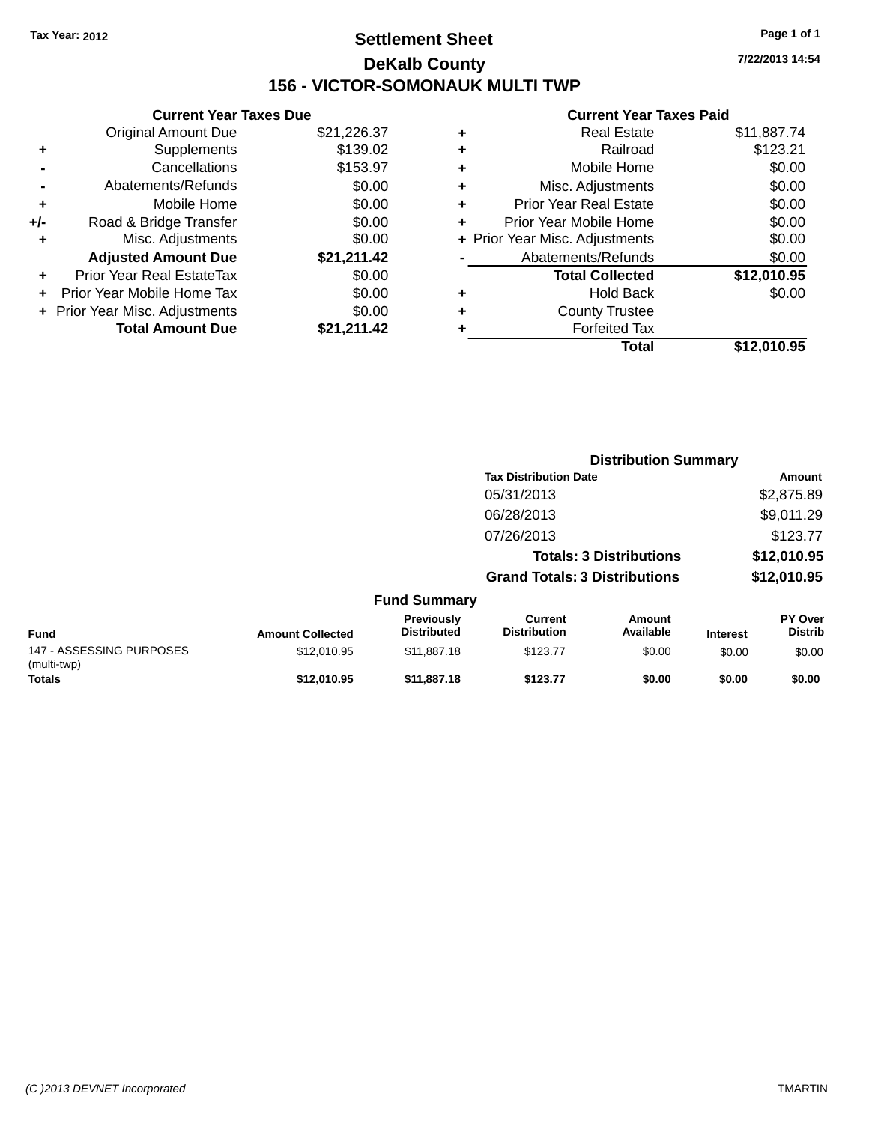## **Settlement Sheet Tax Year: 2012 Page 1 of 1 DeKalb County 156 - VICTOR-SOMONAUK MULTI TWP**

**7/22/2013 14:54**

#### **Current Year Taxes Paid**

|     | <b>Current Year Taxes Due</b>  |             |  |  |  |  |  |
|-----|--------------------------------|-------------|--|--|--|--|--|
|     | <b>Original Amount Due</b>     | \$21,226.37 |  |  |  |  |  |
| ٠   | Supplements                    | \$139.02    |  |  |  |  |  |
|     | Cancellations                  | \$153.97    |  |  |  |  |  |
|     | Abatements/Refunds             | \$0.00      |  |  |  |  |  |
| ٠   | Mobile Home                    | \$0.00      |  |  |  |  |  |
| +/- | Road & Bridge Transfer         | \$0.00      |  |  |  |  |  |
| ٠   | Misc. Adjustments              |             |  |  |  |  |  |
|     | <b>Adjusted Amount Due</b>     | \$21,211.42 |  |  |  |  |  |
| ÷   | Prior Year Real EstateTax      | \$0.00      |  |  |  |  |  |
| ÷   | Prior Year Mobile Home Tax     | \$0.00      |  |  |  |  |  |
|     | + Prior Year Misc. Adjustments | \$0.00      |  |  |  |  |  |
|     | <b>Total Amount Due</b>        | \$21,211.42 |  |  |  |  |  |

|   | <b>Real Estate</b>             | \$11,887.74 |
|---|--------------------------------|-------------|
| ٠ | Railroad                       | \$123.21    |
| ٠ | Mobile Home                    | \$0.00      |
| ٠ | Misc. Adjustments              | \$0.00      |
| ٠ | <b>Prior Year Real Estate</b>  | \$0.00      |
| ÷ | Prior Year Mobile Home         | \$0.00      |
|   | + Prior Year Misc. Adjustments | \$0.00      |
|   | Abatements/Refunds             | \$0.00      |
|   | <b>Total Collected</b>         | \$12,010.95 |
| ٠ | <b>Hold Back</b>               | \$0.00      |
| ٠ | <b>County Trustee</b>          |             |
| ٠ | <b>Forfeited Tax</b>           |             |
|   | Total                          | \$12,010.95 |
|   |                                |             |

|                                         |                         |                                  |                                                                        | <b>Distribution Summary</b> |                            |                                  |
|-----------------------------------------|-------------------------|----------------------------------|------------------------------------------------------------------------|-----------------------------|----------------------------|----------------------------------|
|                                         |                         |                                  | <b>Tax Distribution Date</b><br>05/31/2013                             |                             | Amount<br>\$2,875.89       |                                  |
|                                         |                         |                                  |                                                                        |                             |                            |                                  |
|                                         |                         |                                  | 06/28/2013                                                             |                             |                            | \$9,011.29                       |
|                                         |                         |                                  | 07/26/2013                                                             |                             |                            | \$123.77                         |
|                                         |                         |                                  | <b>Totals: 3 Distributions</b><br><b>Grand Totals: 3 Distributions</b> |                             | \$12,010.95<br>\$12,010.95 |                                  |
|                                         |                         |                                  |                                                                        |                             |                            |                                  |
|                                         |                         | <b>Fund Summary</b>              |                                                                        |                             |                            |                                  |
| Fund                                    | <b>Amount Collected</b> | Previously<br><b>Distributed</b> | Current<br><b>Distribution</b>                                         | <b>Amount</b><br>Available  | <b>Interest</b>            | <b>PY Over</b><br><b>Distrib</b> |
| 147 - ASSESSING PURPOSES<br>(multi-twp) | \$12,010.95             | \$11,887.18                      | \$123.77                                                               | \$0.00                      | \$0.00                     | \$0.00                           |
| <b>Totals</b>                           | \$12,010.95             | \$11,887.18                      | \$123.77                                                               | \$0.00                      | \$0.00                     | \$0.00                           |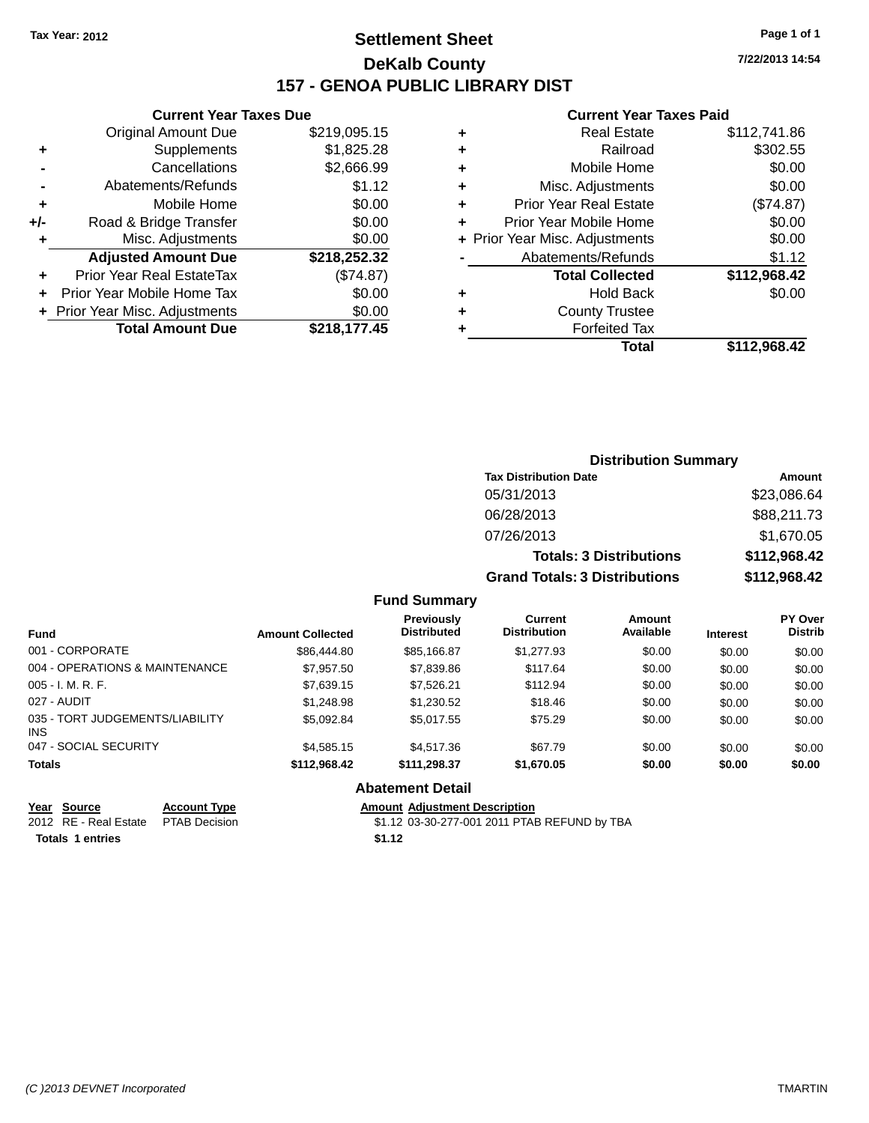### **Settlement Sheet Tax Year: 2012 Page 1 of 1 DeKalb County 157 - GENOA PUBLIC LIBRARY DIST**

**7/22/2013 14:54**

#### **Current Year Taxes Paid**

|       | <b>Current Year Taxes Due</b> |              |  |  |  |
|-------|-------------------------------|--------------|--|--|--|
|       | <b>Original Amount Due</b>    | \$219,095.15 |  |  |  |
| ٠     | Supplements                   | \$1,825.28   |  |  |  |
|       | Cancellations                 | \$2,666.99   |  |  |  |
|       | Abatements/Refunds            | \$1.12       |  |  |  |
| ٠     | Mobile Home                   | \$0.00       |  |  |  |
| $+/-$ | Road & Bridge Transfer        | \$0.00       |  |  |  |
| ٠     | Misc. Adjustments             | \$0.00       |  |  |  |
|       | <b>Adjusted Amount Due</b>    | \$218,252.32 |  |  |  |
|       | Prior Year Real EstateTax     | (\$74.87)    |  |  |  |
|       | Prior Year Mobile Home Tax    | \$0.00       |  |  |  |
|       | Prior Year Misc. Adjustments  | \$0.00       |  |  |  |
|       | <b>Total Amount Due</b>       | \$218,177.45 |  |  |  |
|       |                               |              |  |  |  |

| <b>Real Estate</b>             | \$112,741.86 |
|--------------------------------|--------------|
| Railroad                       | \$302.55     |
| Mobile Home                    | \$0.00       |
| Misc. Adjustments              | \$0.00       |
| <b>Prior Year Real Estate</b>  | (\$74.87)    |
| Prior Year Mobile Home         | \$0.00       |
| + Prior Year Misc. Adjustments | \$0.00       |
| Abatements/Refunds             | \$1.12       |
| <b>Total Collected</b>         | \$112,968.42 |
| <b>Hold Back</b>               | \$0.00       |
| <b>County Trustee</b>          |              |
| <b>Forfeited Tax</b>           |              |
| Total                          | \$112,968.42 |
|                                |              |

| <b>Distribution Summary</b>          |              |
|--------------------------------------|--------------|
| <b>Tax Distribution Date</b>         | Amount       |
| 05/31/2013                           | \$23,086.64  |
| 06/28/2013                           | \$88,211.73  |
| 07/26/2013                           | \$1,670.05   |
| <b>Totals: 3 Distributions</b>       | \$112,968.42 |
| <b>Grand Totals: 3 Distributions</b> | \$112,968.42 |

#### **Fund Summary**

| <b>Fund</b>                            | <b>Amount Collected</b> | <b>Previously</b><br><b>Distributed</b> | Current<br><b>Distribution</b> | Amount<br>Available | <b>Interest</b> | <b>PY Over</b><br><b>Distrib</b> |
|----------------------------------------|-------------------------|-----------------------------------------|--------------------------------|---------------------|-----------------|----------------------------------|
| 001 - CORPORATE                        | \$86,444.80             | \$85.166.87                             | \$1,277.93                     | \$0.00              | \$0.00          | \$0.00                           |
| 004 - OPERATIONS & MAINTENANCE         | \$7,957.50              | \$7,839.86                              | \$117.64                       | \$0.00              | \$0.00          | \$0.00                           |
| $005 - I. M. R. F.$                    | \$7,639.15              | \$7,526.21                              | \$112.94                       | \$0.00              | \$0.00          | \$0.00                           |
| 027 - AUDIT                            | \$1,248.98              | \$1,230.52                              | \$18.46                        | \$0.00              | \$0.00          | \$0.00                           |
| 035 - TORT JUDGEMENTS/LIABILITY<br>INS | \$5.092.84              | \$5,017.55                              | \$75.29                        | \$0.00              | \$0.00          | \$0.00                           |
| 047 - SOCIAL SECURITY                  | \$4,585.15              | \$4.517.36                              | \$67.79                        | \$0.00              | \$0.00          | \$0.00                           |
| <b>Totals</b>                          | \$112.968.42            | \$111.298.37                            | \$1,670.05                     | \$0.00              | \$0.00          | \$0.00                           |

#### **Abatement Detail**

# **<u>Year Source</u> <b>Account Type Amount Adjustment Description**<br>2012 RE - Real Estate PTAB Decision \$1.12 03-30-277-001 2011 PTAE

\$1.12 03-30-277-001 2011 PTAB REFUND by TBA

**Totals 1 entries \$1.12**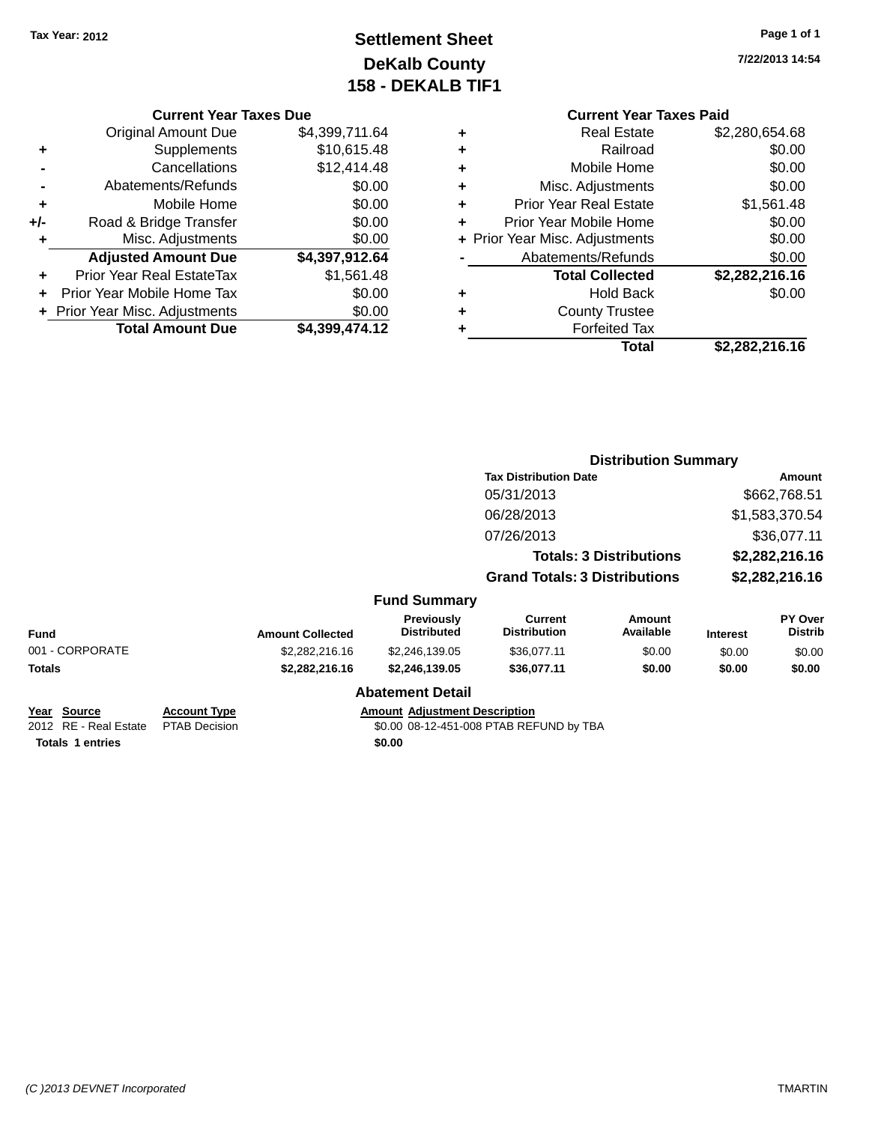## **Settlement Sheet Tax Year: 2012 Page 1 of 1 DeKalb County 158 - DEKALB TIF1**

**7/22/2013 14:54**

#### **Current Year Taxes Due**

|       | <b>Original Amount Due</b>       | \$4,399,711.64 |
|-------|----------------------------------|----------------|
| ٠     | Supplements                      | \$10,615.48    |
|       | Cancellations                    | \$12,414.48    |
|       | Abatements/Refunds               | \$0.00         |
| ٠     | Mobile Home                      | \$0.00         |
| $+/-$ | Road & Bridge Transfer           | \$0.00         |
| ٠     | Misc. Adjustments                | \$0.00         |
|       | <b>Adjusted Amount Due</b>       | \$4,397,912.64 |
|       | <b>Prior Year Real EstateTax</b> | \$1,561.48     |
|       | Prior Year Mobile Home Tax       | \$0.00         |
|       | + Prior Year Misc. Adjustments   | \$0.00         |
|       | <b>Total Amount Due</b>          | \$4.399.474.12 |

#### **Current Year Taxes Paid +** Real Estate \$2,280,654.68 <sup>+</sup> Railroad \$0.00<br>
<sup>+</sup> Mobile Home \$0.00 **+** Mobile Home

|   | Total                          | \$2,282,216.16 |
|---|--------------------------------|----------------|
| ٠ | <b>Forfeited Tax</b>           |                |
| ÷ | <b>County Trustee</b>          |                |
| ٠ | <b>Hold Back</b>               | \$0.00         |
|   | <b>Total Collected</b>         | \$2,282,216.16 |
|   | Abatements/Refunds             | \$0.00         |
|   | + Prior Year Misc. Adjustments | \$0.00         |
| ÷ | Prior Year Mobile Home         | \$0.00         |
| ÷ | <b>Prior Year Real Estate</b>  | \$1,561.48     |
| ٠ | Misc. Adjustments              | \$0.00         |
|   |                                |                |

|                                              |                                             |                         |                                         | <b>Distribution Summary</b>             |                                |                 |                                  |
|----------------------------------------------|---------------------------------------------|-------------------------|-----------------------------------------|-----------------------------------------|--------------------------------|-----------------|----------------------------------|
|                                              |                                             |                         |                                         | <b>Tax Distribution Date</b>            |                                |                 | Amount                           |
|                                              |                                             |                         |                                         | 05/31/2013                              |                                |                 | \$662,768.51                     |
|                                              |                                             |                         |                                         | 06/28/2013                              |                                |                 | \$1,583,370.54                   |
|                                              |                                             |                         |                                         | 07/26/2013                              |                                |                 | \$36,077.11                      |
|                                              |                                             |                         |                                         |                                         | <b>Totals: 3 Distributions</b> |                 | \$2,282,216.16                   |
|                                              |                                             |                         |                                         | <b>Grand Totals: 3 Distributions</b>    |                                |                 | \$2,282,216.16                   |
|                                              |                                             |                         | <b>Fund Summary</b>                     |                                         |                                |                 |                                  |
| <b>Fund</b>                                  |                                             | <b>Amount Collected</b> | <b>Previously</b><br><b>Distributed</b> | <b>Current</b><br><b>Distribution</b>   | <b>Amount</b><br>Available     | <b>Interest</b> | <b>PY Over</b><br><b>Distrib</b> |
| 001 - CORPORATE                              |                                             | \$2,282,216.16          | \$2,246,139.05                          | \$36,077.11                             | \$0.00                         | \$0.00          | \$0.00                           |
| <b>Totals</b>                                |                                             | \$2,282,216.16          | \$2,246,139.05                          | \$36,077.11                             | \$0.00                         | \$0.00          | \$0.00                           |
|                                              |                                             |                         | <b>Abatement Detail</b>                 |                                         |                                |                 |                                  |
| <u> Year Source</u><br>2012 RE - Real Estate | <b>Account Type</b><br><b>PTAB Decision</b> |                         | <b>Amount Adjustment Description</b>    | \$0.00 08-12-451-008 PTAB REFUND by TBA |                                |                 |                                  |

**Totals 1 entries \$0.00**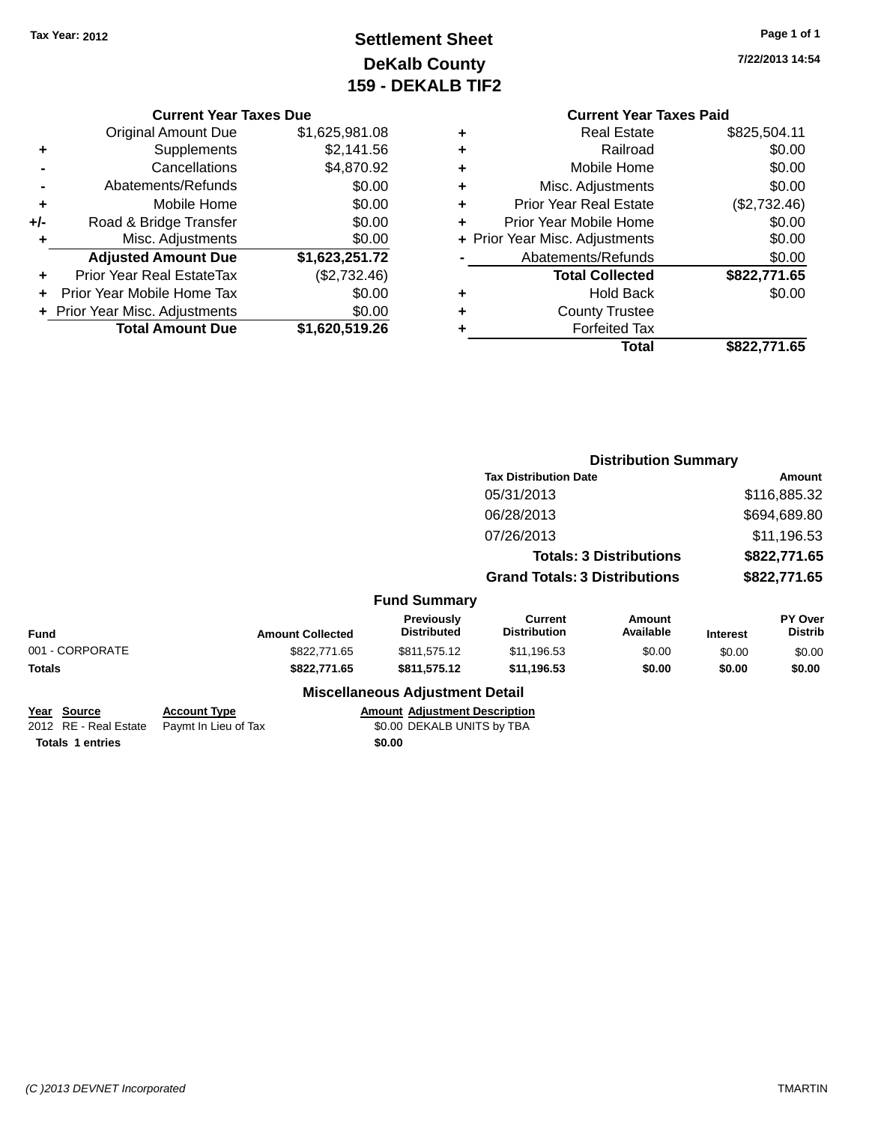## **Settlement Sheet Tax Year: 2012 Page 1 of 1 DeKalb County 159 - DEKALB TIF2**

**7/22/2013 14:54**

#### **Current Year Taxes Due**

|       | <b>Total Amount Due</b>          | \$1,620,519.26 |
|-------|----------------------------------|----------------|
|       | + Prior Year Misc. Adjustments   | \$0.00         |
|       | Prior Year Mobile Home Tax       | \$0.00         |
| ٠     | <b>Prior Year Real EstateTax</b> | (\$2,732.46)   |
|       | <b>Adjusted Amount Due</b>       | \$1,623,251.72 |
|       | Misc. Adjustments                | \$0.00         |
| $+/-$ | Road & Bridge Transfer           | \$0.00         |
| ٠     | Mobile Home                      | \$0.00         |
|       | Abatements/Refunds               | \$0.00         |
|       | Cancellations                    | \$4,870.92     |
| ٠     | Supplements                      | \$2,141.56     |
|       | <b>Original Amount Due</b>       | \$1,625,981.08 |
|       |                                  |                |

|   | <b>Real Estate</b>             | \$825,504.11 |
|---|--------------------------------|--------------|
| ٠ | Railroad                       | \$0.00       |
| ٠ | Mobile Home                    | \$0.00       |
| ٠ | Misc. Adjustments              | \$0.00       |
| ٠ | <b>Prior Year Real Estate</b>  | (\$2,732.46) |
| ٠ | Prior Year Mobile Home         | \$0.00       |
|   | + Prior Year Misc. Adjustments | \$0.00       |
|   | Abatements/Refunds             | \$0.00       |
|   | <b>Total Collected</b>         | \$822,771.65 |
| ٠ | <b>Hold Back</b>               | \$0.00       |
| ٠ | <b>County Trustee</b>          |              |
|   | <b>Forfeited Tax</b>           |              |
|   | Total                          | \$822,771.65 |
|   |                                |              |

|                 |              |                         |                                        | <b>Distribution Summary</b>           |                                |                 |                                  |
|-----------------|--------------|-------------------------|----------------------------------------|---------------------------------------|--------------------------------|-----------------|----------------------------------|
|                 |              |                         |                                        | <b>Tax Distribution Date</b>          |                                |                 | Amount                           |
|                 |              |                         |                                        | 05/31/2013                            |                                |                 | \$116,885.32                     |
|                 |              |                         |                                        | 06/28/2013                            |                                |                 | \$694,689.80                     |
|                 |              |                         |                                        | 07/26/2013                            |                                |                 | \$11,196.53                      |
|                 |              |                         |                                        |                                       | <b>Totals: 3 Distributions</b> |                 | \$822,771.65                     |
|                 |              |                         |                                        | <b>Grand Totals: 3 Distributions</b>  |                                |                 | \$822,771.65                     |
|                 |              |                         | <b>Fund Summary</b>                    |                                       |                                |                 |                                  |
| <b>Fund</b>     |              | <b>Amount Collected</b> | Previously<br><b>Distributed</b>       | <b>Current</b><br><b>Distribution</b> | <b>Amount</b><br>Available     | <b>Interest</b> | <b>PY Over</b><br><b>Distrib</b> |
| 001 - CORPORATE |              | \$822,771.65            | \$811,575.12                           | \$11,196.53                           | \$0.00                         | \$0.00          | \$0.00                           |
| Totals          |              | \$822,771.65            | \$811,575.12                           | \$11,196.53                           | \$0.00                         | \$0.00          | \$0.00                           |
|                 |              |                         | <b>Miscellaneous Adjustment Detail</b> |                                       |                                |                 |                                  |
| Voor Source     | Account Type |                         | Amount Adjustment Description          |                                       |                                |                 |                                  |

| Year Source                                | <b>Account Type</b> | <b>Amount Adjustment Description</b> |
|--------------------------------------------|---------------------|--------------------------------------|
| 2012 RE - Real Estate Paymt In Lieu of Tax |                     | \$0.00 DEKALB UNITS by TBA           |
| <b>Totals 1 entries</b>                    |                     | \$0.00                               |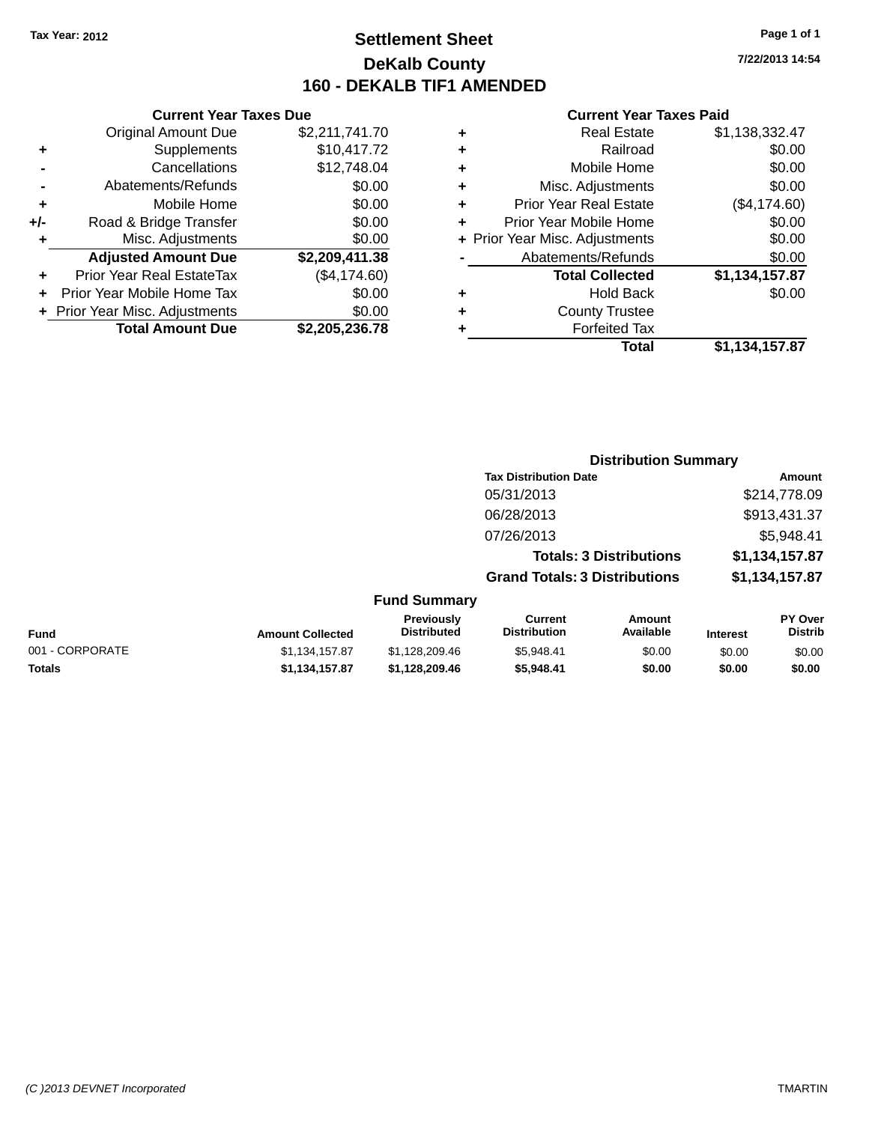### **Settlement Sheet Tax Year: 2012 Page 1 of 1 DeKalb County 160 - DEKALB TIF1 AMENDED**

**7/22/2013 14:54**

#### **Current Year Taxes Paid**

|     | <b>Current Year Taxes Due</b>    |                |     |
|-----|----------------------------------|----------------|-----|
|     | <b>Original Amount Due</b>       | \$2,211,741.70 |     |
|     | Supplements                      | \$10,417.72    | ٠   |
|     | Cancellations                    | \$12,748.04    |     |
|     | Abatements/Refunds               | \$0.00         |     |
|     | Mobile Home                      | \$0.00         |     |
| +/- | Road & Bridge Transfer           | \$0.00         |     |
|     | Misc. Adjustments                | \$0.00         | + P |
|     | <b>Adjusted Amount Due</b>       | \$2,209,411.38 |     |
|     | <b>Prior Year Real EstateTax</b> | (\$4,174.60)   |     |
|     | Prior Year Mobile Home Tax       | \$0.00         |     |
|     | + Prior Year Misc. Adjustments   | \$0.00         |     |
|     | <b>Total Amount Due</b>          | \$2,205,236.78 |     |

|   | <b>Real Estate</b>             | \$1,138,332.47 |
|---|--------------------------------|----------------|
| ٠ | Railroad                       | \$0.00         |
| ٠ | Mobile Home                    | \$0.00         |
| ٠ | Misc. Adjustments              | \$0.00         |
| ٠ | <b>Prior Year Real Estate</b>  | (\$4,174.60)   |
| ٠ | Prior Year Mobile Home         | \$0.00         |
|   | + Prior Year Misc. Adjustments | \$0.00         |
|   | Abatements/Refunds             | \$0.00         |
|   | <b>Total Collected</b>         | \$1,134,157.87 |
| ٠ | <b>Hold Back</b>               | \$0.00         |
| ٠ | <b>County Trustee</b>          |                |
| ٠ | <b>Forfeited Tax</b>           |                |
|   | Total                          | \$1,134,157.87 |
|   |                                |                |

|                 |                         |                                  |                                       | <b>Distribution Summary</b>    |                 |                           |
|-----------------|-------------------------|----------------------------------|---------------------------------------|--------------------------------|-----------------|---------------------------|
|                 |                         |                                  | <b>Tax Distribution Date</b>          |                                |                 | Amount                    |
|                 |                         |                                  | 05/31/2013                            |                                |                 | \$214,778.09              |
|                 |                         |                                  | 06/28/2013                            |                                |                 | \$913,431.37              |
|                 |                         |                                  | 07/26/2013                            |                                |                 | \$5,948.41                |
|                 |                         |                                  |                                       | <b>Totals: 3 Distributions</b> |                 | \$1,134,157.87            |
|                 |                         |                                  | <b>Grand Totals: 3 Distributions</b>  |                                |                 | \$1,134,157.87            |
|                 |                         | <b>Fund Summary</b>              |                                       |                                |                 |                           |
| <b>Fund</b>     | <b>Amount Collected</b> | Previously<br><b>Distributed</b> | <b>Current</b><br><b>Distribution</b> | <b>Amount</b><br>Available     | <b>Interest</b> | PY Over<br><b>Distrib</b> |
| 001 - CORPORATE | \$1,134,157.87          | \$1,128,209.46                   | \$5,948.41                            | \$0.00                         | \$0.00          | \$0.00                    |
| <b>Totals</b>   | \$1,134,157.87          | \$1,128,209.46                   | \$5,948.41                            | \$0.00                         | \$0.00          | \$0.00                    |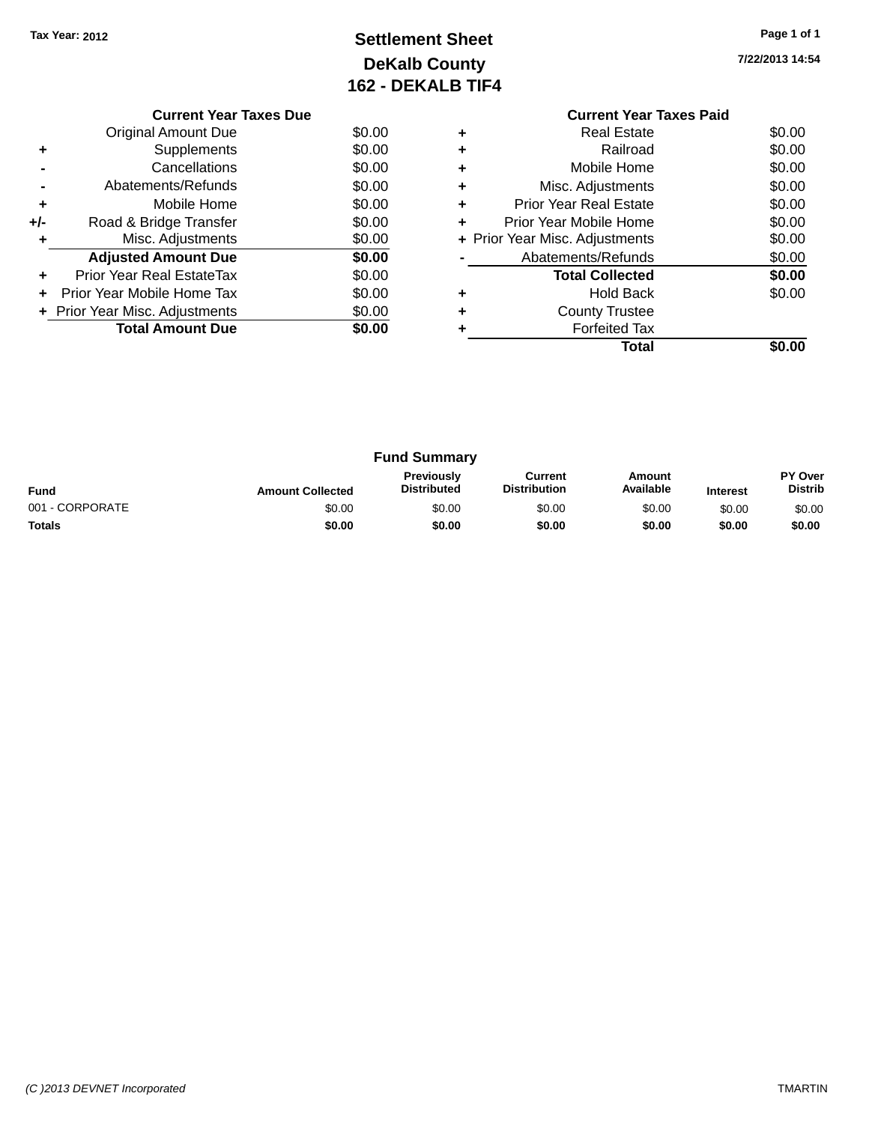## **Settlement Sheet Tax Year: 2012 Page 1 of 1 DeKalb County 162 - DEKALB TIF4**

**7/22/2013 14:54**

|     | <b>Current Year Taxes Due</b>     |        |
|-----|-----------------------------------|--------|
|     | Original Amount Due               | \$0.00 |
| ٠   | Supplements                       | \$0.00 |
|     | Cancellations                     | \$0.00 |
|     | Abatements/Refunds                | \$0.00 |
| ٠   | Mobile Home                       | \$0.00 |
| +/- | Road & Bridge Transfer            | \$0.00 |
| ٠   | Misc. Adjustments                 | \$0.00 |
|     | <b>Adjusted Amount Due</b>        | \$0.00 |
| ÷   | Prior Year Real EstateTax         | \$0.00 |
| ÷   | <b>Prior Year Mobile Home Tax</b> | \$0.00 |
|     | + Prior Year Misc. Adjustments    | \$0.00 |
|     | <b>Total Amount Due</b>           | \$0.00 |
|     |                                   |        |

#### **Current Year Taxes Paid +** Real Estate \$0.00 **+** Railroad \$0.00 **+** Mobile Home \$0.00 **+** Misc. Adjustments \$0.00 **+** Prior Year Real Estate \$0.00 **+** Prior Year Mobile Home \$0.00 **+ Prior Year Misc. Adjustments**  $$0.00$ **-** Abatements/Refunds \$0.00 **Total Collected \$0.00 +** Hold Back \$0.00

**Total \$0.00**

**+** County Trustee **+** Forfeited Tax

|                 |                         | <b>Fund Summary</b>              |                                |                            |                 |                                  |
|-----------------|-------------------------|----------------------------------|--------------------------------|----------------------------|-----------------|----------------------------------|
| <b>Fund</b>     | <b>Amount Collected</b> | Previously<br><b>Distributed</b> | Current<br><b>Distribution</b> | <b>Amount</b><br>Available | <b>Interest</b> | <b>PY Over</b><br><b>Distrib</b> |
| 001 - CORPORATE | \$0.00                  | \$0.00                           | \$0.00                         | \$0.00                     | \$0.00          | \$0.00                           |
| <b>Totals</b>   | \$0.00                  | \$0.00                           | \$0.00                         | \$0.00                     | \$0.00          | \$0.00                           |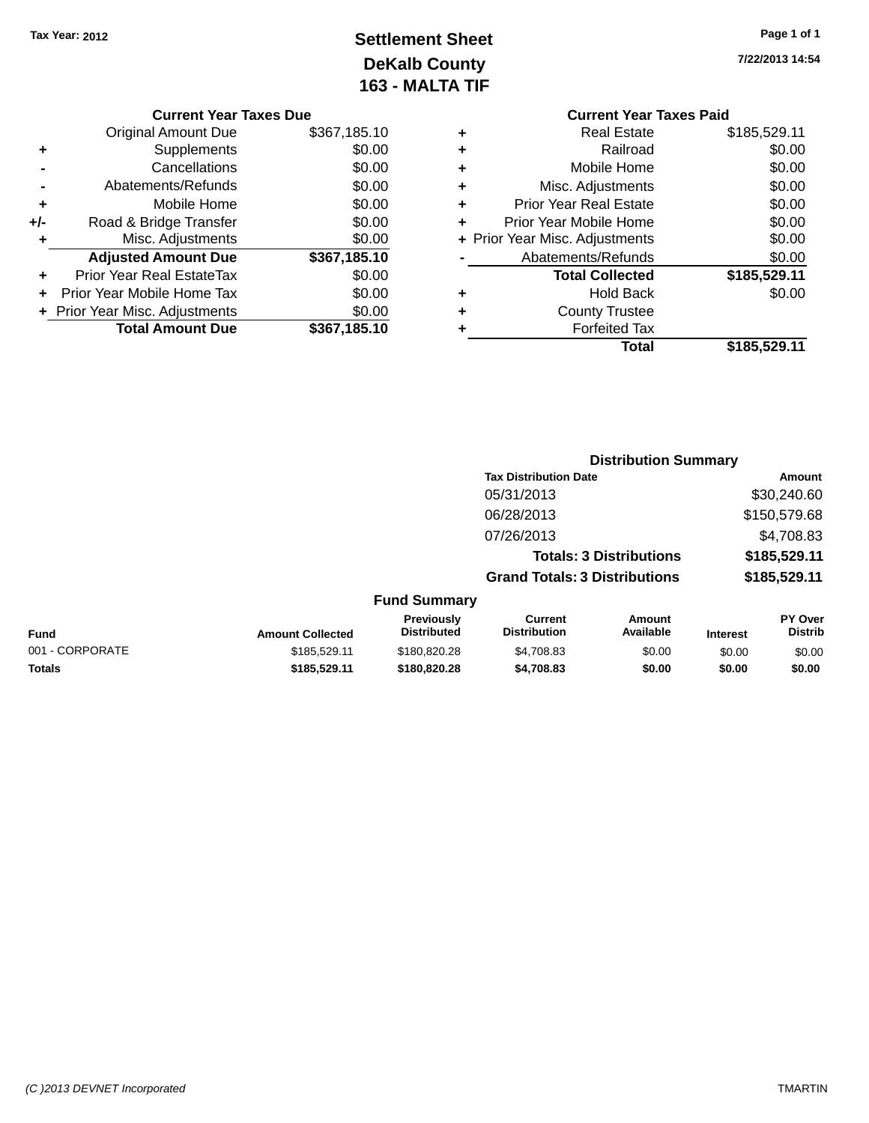## **Settlement Sheet Tax Year: 2012 Page 1 of 1 DeKalb County 163 - MALTA TIF**

|  | <b>Current Year Taxes Due</b> |  |  |  |
|--|-------------------------------|--|--|--|
|--|-------------------------------|--|--|--|

|     | <b>Original Amount Due</b>     | \$367,185.10 |
|-----|--------------------------------|--------------|
| ٠   | Supplements                    | \$0.00       |
|     | Cancellations                  | \$0.00       |
|     | Abatements/Refunds             | \$0.00       |
| ÷   | Mobile Home                    | \$0.00       |
| +/- | Road & Bridge Transfer         | \$0.00       |
| ٠   | Misc. Adjustments              | \$0.00       |
|     | <b>Adjusted Amount Due</b>     | \$367,185.10 |
| ÷   | Prior Year Real EstateTax      | \$0.00       |
|     | Prior Year Mobile Home Tax     | \$0.00       |
|     | + Prior Year Misc. Adjustments | \$0.00       |
|     |                                |              |
|     | <b>Total Amount Due</b>        | \$367,185.10 |

|   | <b>Current Year Taxes Paid</b> |              |
|---|--------------------------------|--------------|
| ٠ | <b>Real Estate</b>             | \$185,529.11 |
|   | Railroad                       | \$0.00       |
| ٠ | Mobile Home                    | \$0.00       |
|   | Misc. Adjustments              | \$0.00       |
| ٠ | <b>Prior Year Real Estate</b>  | \$0.00       |
|   | Prior Year Mobile Home         | \$0.00       |
|   | + Prior Year Misc. Adjustments | \$0.00       |
|   | Abatements/Refunds             | \$0.00       |
|   | <b>Total Collected</b>         | \$185,529.11 |
|   | Hold Back                      | \$0.00       |
|   | <b>County Trustee</b>          |              |
|   | <b>Forfeited Tax</b>           |              |
|   | Total                          | \$185,529.11 |
|   |                                |              |

|                 |                         |                                         |                                       | <b>Distribution Summary</b>    |                 |                           |
|-----------------|-------------------------|-----------------------------------------|---------------------------------------|--------------------------------|-----------------|---------------------------|
|                 |                         |                                         | <b>Tax Distribution Date</b>          |                                |                 | <b>Amount</b>             |
|                 |                         |                                         | 05/31/2013                            |                                |                 | \$30,240.60               |
|                 |                         |                                         | 06/28/2013                            |                                |                 | \$150,579.68              |
|                 |                         |                                         | 07/26/2013                            |                                |                 | \$4,708.83                |
|                 |                         |                                         |                                       | <b>Totals: 3 Distributions</b> |                 | \$185,529.11              |
|                 |                         |                                         | <b>Grand Totals: 3 Distributions</b>  |                                |                 | \$185,529.11              |
|                 |                         | <b>Fund Summary</b>                     |                                       |                                |                 |                           |
| Fund            | <b>Amount Collected</b> | <b>Previously</b><br><b>Distributed</b> | <b>Current</b><br><b>Distribution</b> | Amount<br>Available            | <b>Interest</b> | PY Over<br><b>Distrib</b> |
| 001 - CORPORATE | \$185,529.11            | \$180,820,28                            | \$4,708.83                            | \$0.00                         | \$0.00          | \$0.00                    |
| <b>Totals</b>   | \$185,529.11            | \$180,820.28                            | \$4,708.83                            | \$0.00                         | \$0.00          | \$0.00                    |
|                 |                         |                                         |                                       |                                |                 |                           |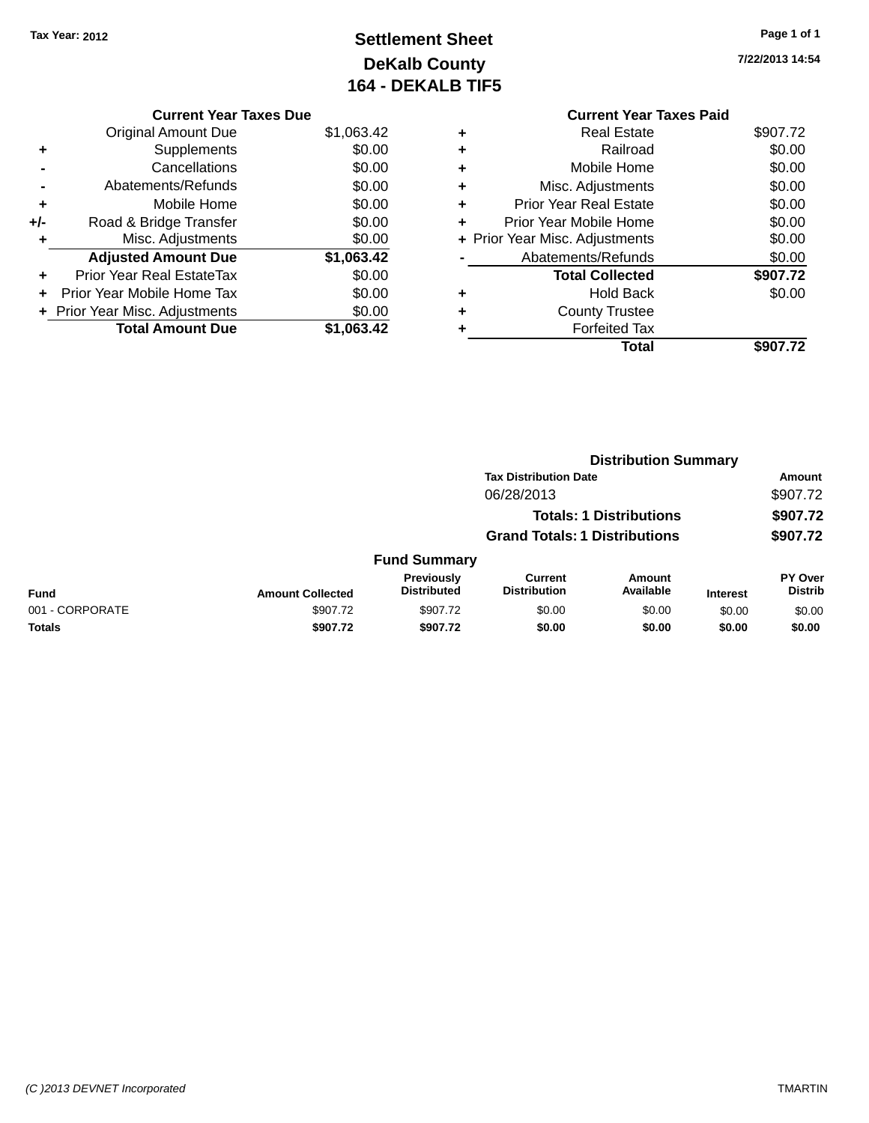## **Settlement Sheet Tax Year: 2012 Page 1 of 1 DeKalb County 164 - DEKALB TIF5**

| <b>Current Year Taxes Paid</b> |                                |
|--------------------------------|--------------------------------|
| Real Estate                    | \$907.72                       |
| Railroad                       | \$0.00                         |
| Mobile Home                    | \$0.00                         |
| Misc. Adjustments              | \$0.00                         |
| <b>Prior Year Real Estate</b>  | \$0.00                         |
| Prior Year Mobile Home         | \$0.00                         |
|                                | \$0.00                         |
| Abatements/Refunds             | \$0.00                         |
| <b>Total Collected</b>         | \$907.72                       |
| <b>Hold Back</b>               | \$0.00                         |
| <b>County Trustee</b>          |                                |
| <b>Forfeited Tax</b>           |                                |
| Total                          | \$907.72                       |
|                                | + Prior Year Misc. Adjustments |

|     | <b>Current Year Taxes Due</b>  |            |
|-----|--------------------------------|------------|
|     | <b>Original Amount Due</b>     | \$1,063.42 |
| ٠   | Supplements                    | \$0.00     |
|     | Cancellations                  | \$0.00     |
|     | Abatements/Refunds             | \$0.00     |
| ٠   | Mobile Home                    | \$0.00     |
| +/- | Road & Bridge Transfer         | \$0.00     |
| ٠   | Misc. Adjustments              | \$0.00     |
|     | <b>Adjusted Amount Due</b>     | \$1,063.42 |
| ٠   | Prior Year Real EstateTax      | \$0.00     |
|     | Prior Year Mobile Home Tax     | \$0.00     |
|     | + Prior Year Misc. Adjustments | \$0.00     |
|     | <b>Total Amount Due</b>        | \$1,063.42 |
|     |                                |            |

|                 |                         |                                  |                                       | <b>Distribution Summary</b>    |                 |                                  |
|-----------------|-------------------------|----------------------------------|---------------------------------------|--------------------------------|-----------------|----------------------------------|
|                 |                         |                                  | <b>Tax Distribution Date</b>          |                                |                 | Amount                           |
|                 |                         |                                  | 06/28/2013                            |                                |                 | \$907.72                         |
|                 |                         |                                  |                                       | <b>Totals: 1 Distributions</b> |                 | \$907.72                         |
|                 |                         |                                  | <b>Grand Totals: 1 Distributions</b>  |                                |                 | \$907.72                         |
|                 |                         | <b>Fund Summary</b>              |                                       |                                |                 |                                  |
| <b>Fund</b>     | <b>Amount Collected</b> | Previously<br><b>Distributed</b> | <b>Current</b><br><b>Distribution</b> | <b>Amount</b><br>Available     | <b>Interest</b> | <b>PY Over</b><br><b>Distrib</b> |
| 001 - CORPORATE | \$907.72                | \$907.72                         | \$0.00                                | \$0.00                         | \$0.00          | \$0.00                           |
| <b>Totals</b>   | \$907.72                | \$907.72                         | \$0.00                                | \$0.00                         | \$0.00          | \$0.00                           |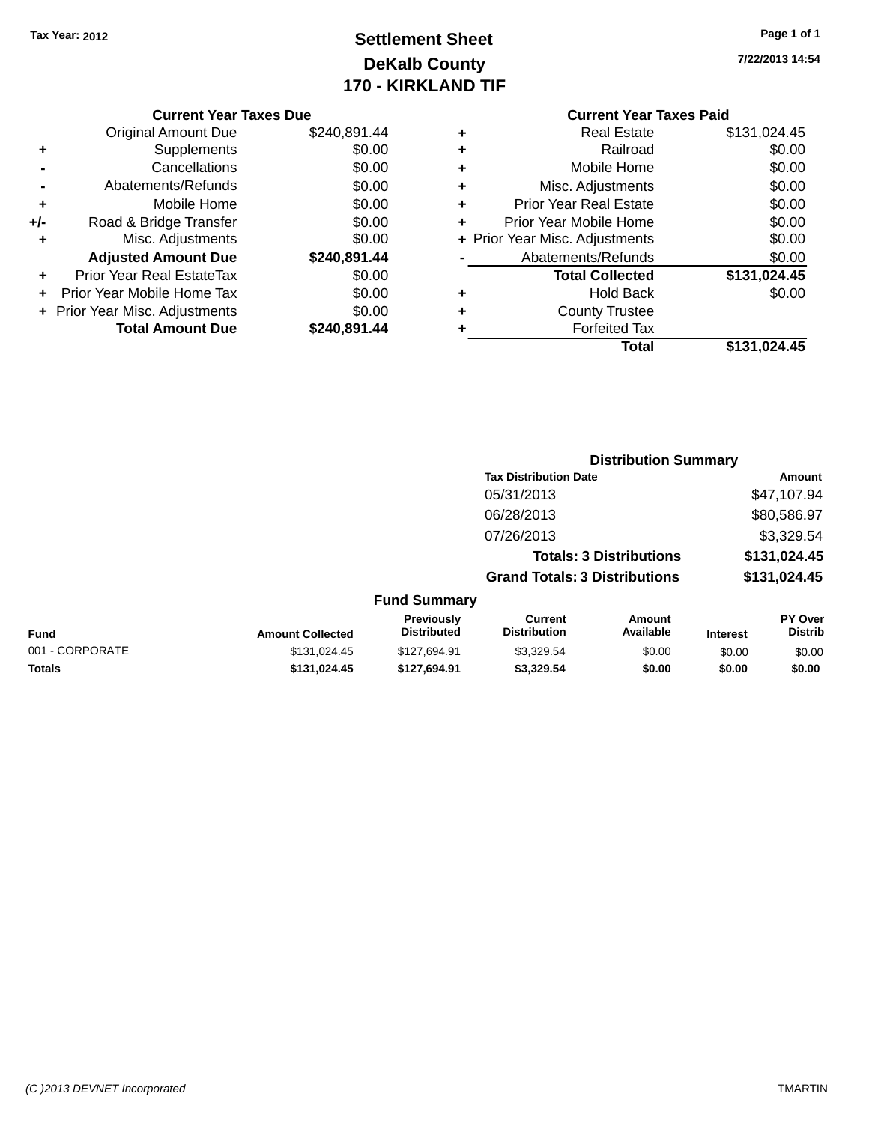## **Settlement Sheet Tax Year: 2012 Page 1 of 1 DeKalb County 170 - KIRKLAND TIF**

**7/22/2013 14:54**

|  | <b>Current Year Taxes Due</b> |  |  |  |
|--|-------------------------------|--|--|--|
|--|-------------------------------|--|--|--|

|     | <b>Original Amount Due</b>     | \$240,891.44 |
|-----|--------------------------------|--------------|
| ٠   | Supplements                    | \$0.00       |
|     | Cancellations                  | \$0.00       |
|     | Abatements/Refunds             | \$0.00       |
| ٠   | Mobile Home                    | \$0.00       |
| +/- | Road & Bridge Transfer         | \$0.00       |
| ٠   | Misc. Adjustments              | \$0.00       |
|     | <b>Adjusted Amount Due</b>     | \$240,891.44 |
| ÷   | Prior Year Real EstateTax      | \$0.00       |
|     | Prior Year Mobile Home Tax     | \$0.00       |
|     | + Prior Year Misc. Adjustments | \$0.00       |
|     | <b>Total Amount Due</b>        | \$240,891.44 |

## **Current Year Taxes Paid +** Real Estate \$131,024.45

|   | <b>Total Collected</b>         | \$131,024.45 |
|---|--------------------------------|--------------|
|   | Abatements/Refunds             | \$0.00       |
|   | + Prior Year Misc. Adjustments | \$0.00       |
|   | Prior Year Mobile Home         | \$0.00       |
| ٠ | <b>Prior Year Real Estate</b>  | \$0.00       |
| ٠ | Misc. Adjustments              | \$0.00       |
| ÷ | Mobile Home                    | \$0.00       |
|   | Railroad                       | \$0.00       |

|                         |                                  | <b>Distribution Summary</b>          |                                |                 |                                  |
|-------------------------|----------------------------------|--------------------------------------|--------------------------------|-----------------|----------------------------------|
|                         |                                  | <b>Tax Distribution Date</b>         |                                |                 | Amount                           |
|                         |                                  | 05/31/2013                           |                                |                 | \$47,107.94                      |
|                         |                                  | 06/28/2013                           |                                |                 | \$80,586.97                      |
|                         |                                  | 07/26/2013                           |                                |                 | \$3,329.54                       |
|                         |                                  |                                      | <b>Totals: 3 Distributions</b> |                 | \$131,024.45                     |
|                         |                                  | <b>Grand Totals: 3 Distributions</b> |                                |                 | \$131,024.45                     |
|                         | <b>Fund Summary</b>              |                                      |                                |                 |                                  |
| <b>Amount Collected</b> | Previously<br><b>Distributed</b> | Current<br><b>Distribution</b>       | Amount<br>Available            | <b>Interest</b> | <b>PY Over</b><br><b>Distrib</b> |
| 0.12404041              | 0.4270104                        | 0.200E1                              | 0000                           | $\sim$ $\sim$   | $\sim$ $\sim$                    |

| Fund            | <b>Amount Collected</b> | <b>Previousiv</b><br><b>Distributed</b> | Current<br><b>Distribution</b> | Amount<br>Available | <b>Interest</b> | <b>PY OVER</b><br>Distrib |
|-----------------|-------------------------|-----------------------------------------|--------------------------------|---------------------|-----------------|---------------------------|
| 001 - CORPORATE | \$131.024.45            | \$127.694.91                            | \$3.329.54                     | \$0.00              | \$0.00          | \$0.00                    |
| Totals          | \$131.024.45            | \$127.694.91                            | \$3,329.54                     | \$0.00              | \$0.00          | \$0.00                    |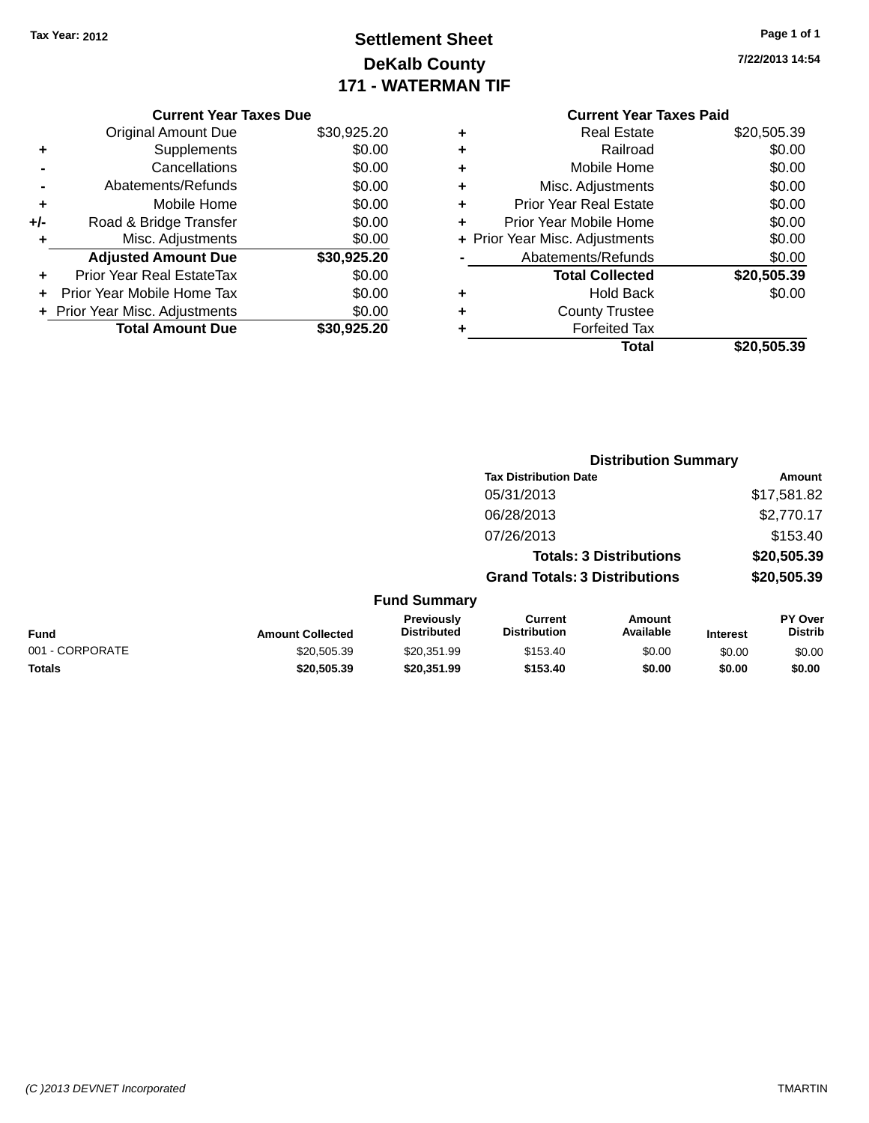## **Settlement Sheet Tax Year: 2012 Page 1 of 1 DeKalb County 171 - WATERMAN TIF**

|  |  |  | Page 1 of 1 |  |
|--|--|--|-------------|--|
|  |  |  |             |  |

**7/22/2013 14:54**

| <b>Current Year Taxes Due</b>  |             |
|--------------------------------|-------------|
| <b>Original Amount Due</b>     | \$30,925.20 |
| Supplements                    | \$0.00      |
| Cancellations                  | \$0.00      |
| Abatements/Refunds             | \$0.00      |
| Mobile Home                    | \$0.00      |
| Road & Bridge Transfer         | \$0.00      |
| Misc. Adjustments              | \$0.00      |
| <b>Adjusted Amount Due</b>     | \$30,925.20 |
| Prior Year Real EstateTax      | \$0.00      |
| Prior Year Mobile Home Tax     | \$0.00      |
| + Prior Year Misc. Adjustments | \$0.00      |
| <b>Total Amount Due</b>        | \$30,925.20 |
|                                |             |

#### **Current Year Taxes Paid**

| ٠ | <b>Real Estate</b>             | \$20,505.39 |
|---|--------------------------------|-------------|
| ٠ | Railroad                       | \$0.00      |
| ٠ | Mobile Home                    | \$0.00      |
| ٠ | Misc. Adjustments              | \$0.00      |
| ٠ | <b>Prior Year Real Estate</b>  | \$0.00      |
| ٠ | Prior Year Mobile Home         | \$0.00      |
|   | + Prior Year Misc. Adjustments | \$0.00      |
|   | Abatements/Refunds             | \$0.00      |
|   | <b>Total Collected</b>         | \$20,505.39 |
| ٠ | <b>Hold Back</b>               | \$0.00      |
| ٠ | <b>County Trustee</b>          |             |
| ٠ | <b>Forfeited Tax</b>           |             |
|   | Total                          | \$20,505.39 |
|   |                                |             |

|                 |                         |                                  |                                       | <b>Distribution Summary</b>    |                 |                           |
|-----------------|-------------------------|----------------------------------|---------------------------------------|--------------------------------|-----------------|---------------------------|
|                 |                         |                                  | <b>Tax Distribution Date</b>          |                                |                 | Amount                    |
|                 |                         |                                  | 05/31/2013                            |                                |                 | \$17,581.82               |
|                 |                         |                                  | 06/28/2013                            |                                |                 | \$2,770.17                |
|                 |                         |                                  | 07/26/2013                            |                                |                 | \$153.40                  |
|                 |                         |                                  |                                       | <b>Totals: 3 Distributions</b> |                 | \$20,505.39               |
|                 |                         |                                  | <b>Grand Totals: 3 Distributions</b>  |                                |                 | \$20,505.39               |
|                 |                         | <b>Fund Summary</b>              |                                       |                                |                 |                           |
| <b>Fund</b>     | <b>Amount Collected</b> | Previously<br><b>Distributed</b> | <b>Current</b><br><b>Distribution</b> | Amount<br>Available            | <b>Interest</b> | PY Over<br><b>Distrib</b> |
| 001 - CORPORATE | \$20,505.39             | \$20,351.99                      | \$153.40                              | \$0.00                         | \$0.00          | \$0.00                    |
| <b>Totals</b>   | \$20,505.39             | \$20,351.99                      | \$153.40                              | \$0.00                         | \$0.00          | \$0.00                    |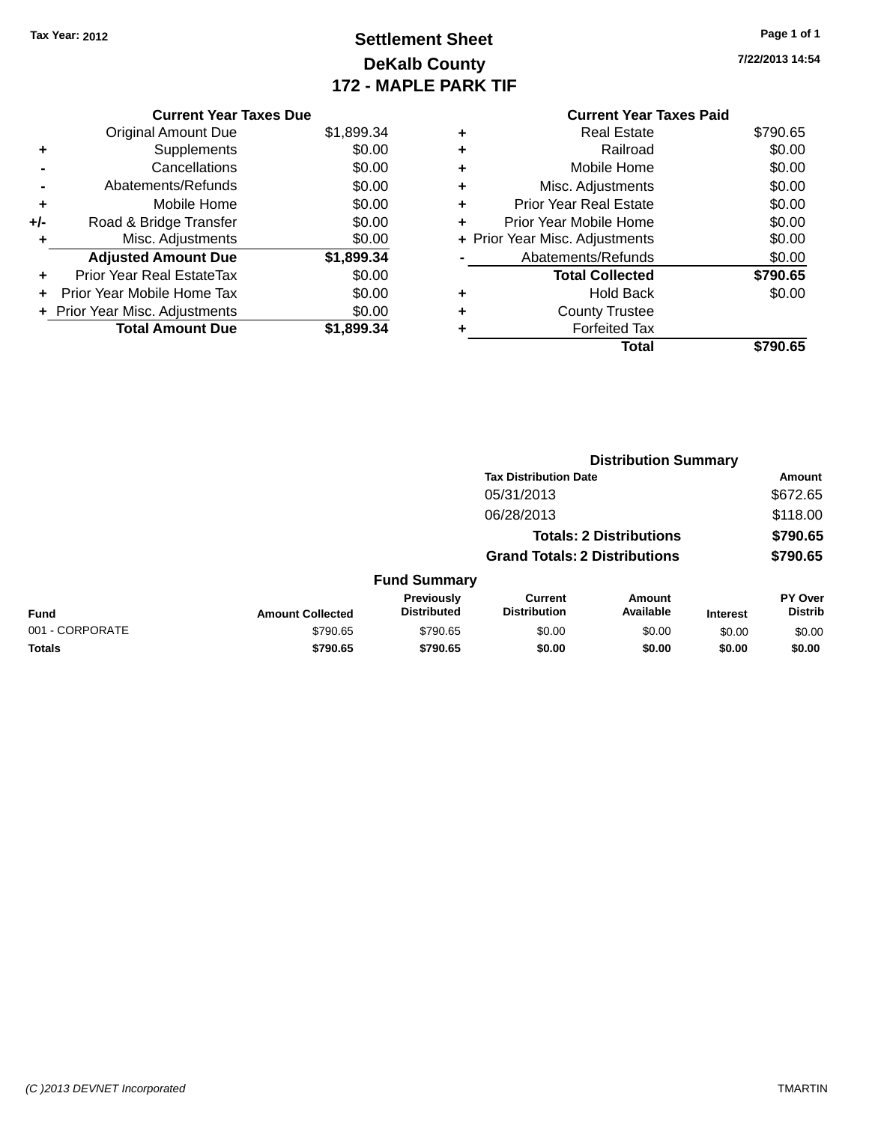**Current Year Taxes Due** Original Amount Due \$1,899.34

**Adjusted Amount Due \$1,899.34**

**Total Amount Due \$1,899.34**

**+** Supplements \$0.00 **-** Cancellations \$0.00 **-** Abatements/Refunds \$0.00 **+** Mobile Home \$0.00 **+/-** Road & Bridge Transfer \$0.00 **+** Misc. Adjustments \$0.00

**+** Prior Year Real EstateTax \$0.00 **+** Prior Year Mobile Home Tax \$0.00 **+ Prior Year Misc. Adjustments**  $$0.00$ 

## **Settlement Sheet Tax Year: 2012 Page 1 of 1 DeKalb County 172 - MAPLE PARK TIF**

**7/22/2013 14:54**

|   | <b>Current Year Taxes Paid</b> |          |
|---|--------------------------------|----------|
| ٠ | <b>Real Estate</b>             | \$790.65 |
| ٠ | Railroad                       | \$0.00   |
| ٠ | Mobile Home                    | \$0.00   |
| ÷ | Misc. Adjustments              | \$0.00   |
| ٠ | <b>Prior Year Real Estate</b>  | \$0.00   |
| ÷ | Prior Year Mobile Home         | \$0.00   |
|   | + Prior Year Misc. Adjustments | \$0.00   |
|   | Abatements/Refunds             | \$0.00   |
|   | <b>Total Collected</b>         | \$790.65 |
| ٠ | <b>Hold Back</b>               | \$0.00   |
| ٠ | <b>County Trustee</b>          |          |
| ٠ | <b>Forfeited Tax</b>           |          |
|   | Total                          | \$790.65 |

|                 |                         |                                  |                                       | <b>Distribution Summary</b>    |                 |                           |
|-----------------|-------------------------|----------------------------------|---------------------------------------|--------------------------------|-----------------|---------------------------|
|                 |                         |                                  | <b>Tax Distribution Date</b>          |                                |                 | Amount                    |
|                 |                         |                                  | 05/31/2013                            |                                |                 | \$672.65                  |
|                 |                         |                                  | 06/28/2013                            |                                |                 | \$118.00                  |
|                 |                         |                                  |                                       | <b>Totals: 2 Distributions</b> |                 | \$790.65                  |
|                 |                         |                                  | <b>Grand Totals: 2 Distributions</b>  |                                |                 | \$790.65                  |
|                 |                         | <b>Fund Summary</b>              |                                       |                                |                 |                           |
| <b>Fund</b>     | <b>Amount Collected</b> | Previously<br><b>Distributed</b> | <b>Current</b><br><b>Distribution</b> | <b>Amount</b><br>Available     | <b>Interest</b> | PY Over<br><b>Distrib</b> |
| 001 - CORPORATE | \$790.65                | \$790.65                         | \$0.00                                | \$0.00                         | \$0.00          | \$0.00                    |
| <b>Totals</b>   | \$790.65                | \$790.65                         | \$0.00                                | \$0.00                         | \$0.00          | \$0.00                    |
|                 |                         |                                  |                                       |                                |                 |                           |

#### *(C )2013 DEVNET Incorporated* TMARTIN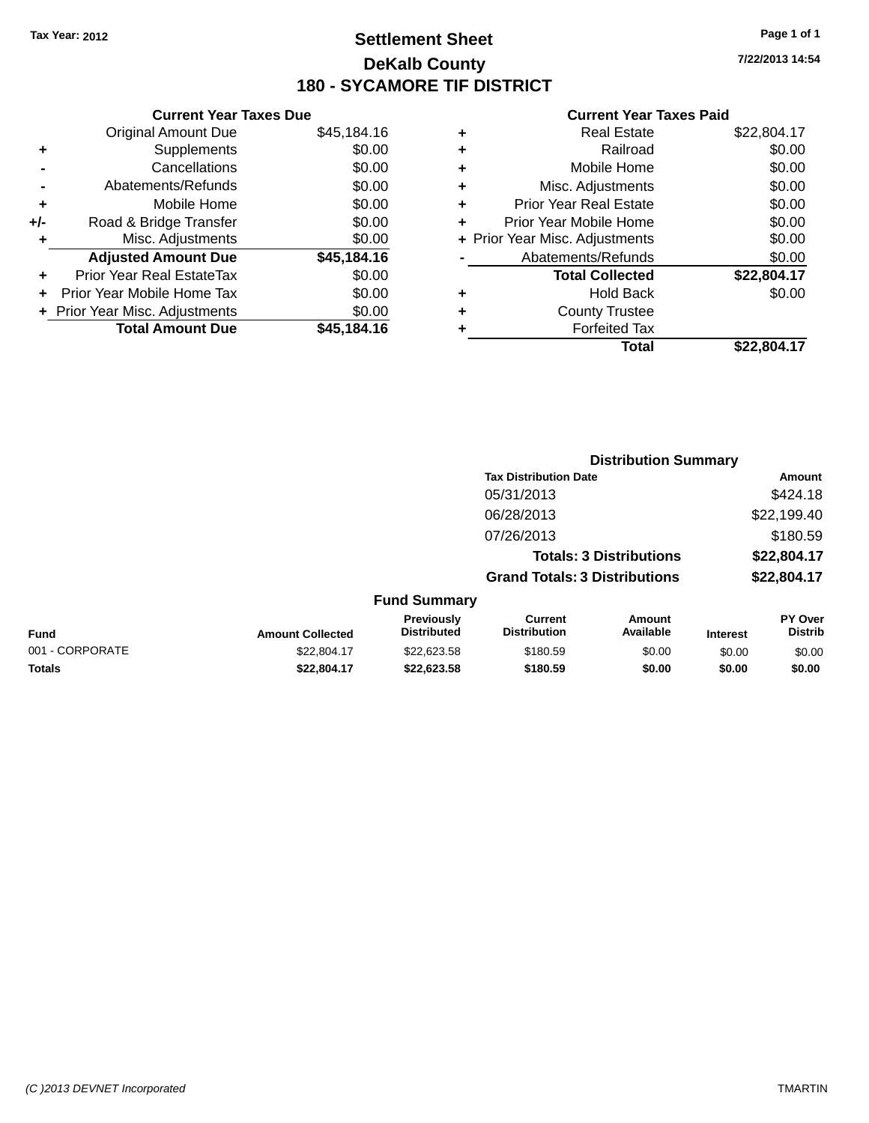### **Settlement Sheet Tax Year: 2012 Page 1 of 1 DeKalb County 180 - SYCAMORE TIF DISTRICT**

**7/22/2013 14:54**

|       | <b>Current Year Taxes Due</b>  |             |
|-------|--------------------------------|-------------|
|       | <b>Original Amount Due</b>     | \$45,184.16 |
| ٠     | Supplements                    | \$0.00      |
|       | Cancellations                  | \$0.00      |
|       | Abatements/Refunds             | \$0.00      |
| ٠     | Mobile Home                    | \$0.00      |
| $+/-$ | Road & Bridge Transfer         | \$0.00      |
| ÷     | Misc. Adjustments              | \$0.00      |
|       | <b>Adjusted Amount Due</b>     | \$45,184.16 |
| ٠     | Prior Year Real EstateTax      | \$0.00      |
|       | Prior Year Mobile Home Tax     | \$0.00      |
|       | + Prior Year Misc. Adjustments | \$0.00      |
|       | <b>Total Amount Due</b>        | \$45,184.16 |
|       |                                |             |

|   | <b>Real Estate</b>             | \$22,804.17 |
|---|--------------------------------|-------------|
| ٠ | Railroad                       | \$0.00      |
| ٠ | Mobile Home                    | \$0.00      |
| ٠ | Misc. Adjustments              | \$0.00      |
| ٠ | <b>Prior Year Real Estate</b>  | \$0.00      |
| ÷ | Prior Year Mobile Home         | \$0.00      |
|   | + Prior Year Misc. Adjustments | \$0.00      |
|   | Abatements/Refunds             | \$0.00      |
|   | <b>Total Collected</b>         | \$22,804.17 |
| ٠ | <b>Hold Back</b>               | \$0.00      |
| ٠ | <b>County Trustee</b>          |             |
| ٠ | <b>Forfeited Tax</b>           |             |
|   | Total                          | \$22,804.17 |
|   |                                |             |

|                 |                         |                                  |                                       | <b>Distribution Summary</b>    |                 |                           |
|-----------------|-------------------------|----------------------------------|---------------------------------------|--------------------------------|-----------------|---------------------------|
|                 |                         |                                  | <b>Tax Distribution Date</b>          |                                |                 | Amount                    |
|                 |                         |                                  | 05/31/2013                            |                                |                 | \$424.18                  |
|                 |                         |                                  | 06/28/2013                            |                                |                 | \$22,199.40               |
|                 |                         |                                  | 07/26/2013                            |                                |                 | \$180.59                  |
|                 |                         |                                  |                                       | <b>Totals: 3 Distributions</b> |                 | \$22,804.17               |
|                 |                         |                                  | <b>Grand Totals: 3 Distributions</b>  |                                |                 | \$22,804.17               |
|                 |                         | <b>Fund Summary</b>              |                                       |                                |                 |                           |
| <b>Fund</b>     | <b>Amount Collected</b> | Previously<br><b>Distributed</b> | <b>Current</b><br><b>Distribution</b> | Amount<br>Available            | <b>Interest</b> | PY Over<br><b>Distrib</b> |
| 001 - CORPORATE | \$22,804.17             | \$22,623.58                      | \$180.59                              | \$0.00                         | \$0.00          | \$0.00                    |
| <b>Totals</b>   | \$22.804.17             | \$22,623.58                      | \$180.59                              | \$0.00                         | \$0.00          | \$0.00                    |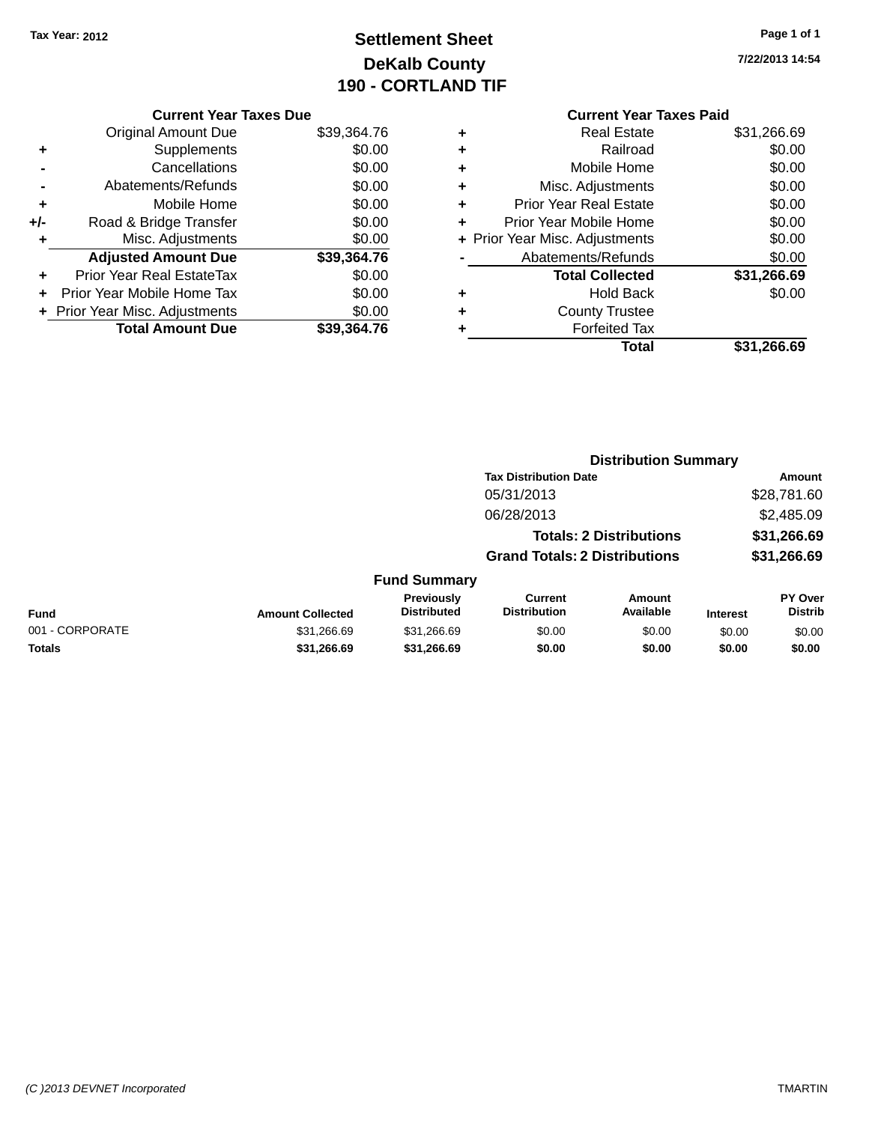## **Settlement Sheet Tax Year: 2012 Page 1 of 1 DeKalb County 190 - CORTLAND TIF**

**7/22/2013 14:54**

|     | <b>Current Year Taxes Due</b>  |             |  |  |  |
|-----|--------------------------------|-------------|--|--|--|
|     | <b>Original Amount Due</b>     | \$39,364.76 |  |  |  |
| ٠   | Supplements                    | \$0.00      |  |  |  |
|     | Cancellations                  | \$0.00      |  |  |  |
|     | Abatements/Refunds             | \$0.00      |  |  |  |
| ٠   | Mobile Home                    | \$0.00      |  |  |  |
| +/- | Road & Bridge Transfer         | \$0.00      |  |  |  |
| ٠   | Misc. Adjustments              | \$0.00      |  |  |  |
|     | <b>Adjusted Amount Due</b>     | \$39,364.76 |  |  |  |
|     | Prior Year Real EstateTax      | \$0.00      |  |  |  |
| ÷   | Prior Year Mobile Home Tax     | \$0.00      |  |  |  |
|     | + Prior Year Misc. Adjustments | \$0.00      |  |  |  |
|     | <b>Total Amount Due</b>        | \$39,364.76 |  |  |  |
|     |                                |             |  |  |  |

#### **Current Year Taxes Paid +** Real Estate \$31,266.69 **+** Railroad \$0.00

|   | Total                          | \$31,266.69 |
|---|--------------------------------|-------------|
|   | <b>Forfeited Tax</b>           |             |
| ٠ | <b>County Trustee</b>          |             |
| ٠ | <b>Hold Back</b>               | \$0.00      |
|   | <b>Total Collected</b>         | \$31,266.69 |
|   | Abatements/Refunds             | \$0.00      |
|   | + Prior Year Misc. Adjustments | \$0.00      |
| ÷ | Prior Year Mobile Home         | \$0.00      |
| ٠ | <b>Prior Year Real Estate</b>  | \$0.00      |
| ٠ | Misc. Adjustments              | \$0.00      |
| ÷ | Mobile Home                    | \$0.00      |
|   | .                              | ៴៴.៴៴       |

|                 |                         |                                         |                                       | <b>Distribution Summary</b>    |                 |                           |
|-----------------|-------------------------|-----------------------------------------|---------------------------------------|--------------------------------|-----------------|---------------------------|
|                 |                         |                                         | <b>Tax Distribution Date</b>          |                                |                 | Amount                    |
|                 |                         |                                         | 05/31/2013                            |                                |                 | \$28,781.60               |
|                 |                         |                                         | 06/28/2013                            |                                |                 | \$2,485.09                |
|                 |                         |                                         |                                       | <b>Totals: 2 Distributions</b> |                 | \$31,266.69               |
|                 |                         |                                         | <b>Grand Totals: 2 Distributions</b>  |                                |                 | \$31,266.69               |
|                 |                         | <b>Fund Summary</b>                     |                                       |                                |                 |                           |
| <b>Fund</b>     | <b>Amount Collected</b> | <b>Previously</b><br><b>Distributed</b> | <b>Current</b><br><b>Distribution</b> | Amount<br>Available            | <b>Interest</b> | PY Over<br><b>Distrib</b> |
| 001 - CORPORATE | \$31,266.69             | \$31,266.69                             | \$0.00                                | \$0.00                         | \$0.00          | \$0.00                    |
| <b>Totals</b>   | \$31,266.69             | \$31,266.69                             | \$0.00                                | \$0.00                         | \$0.00          | \$0.00                    |
|                 |                         |                                         |                                       |                                |                 |                           |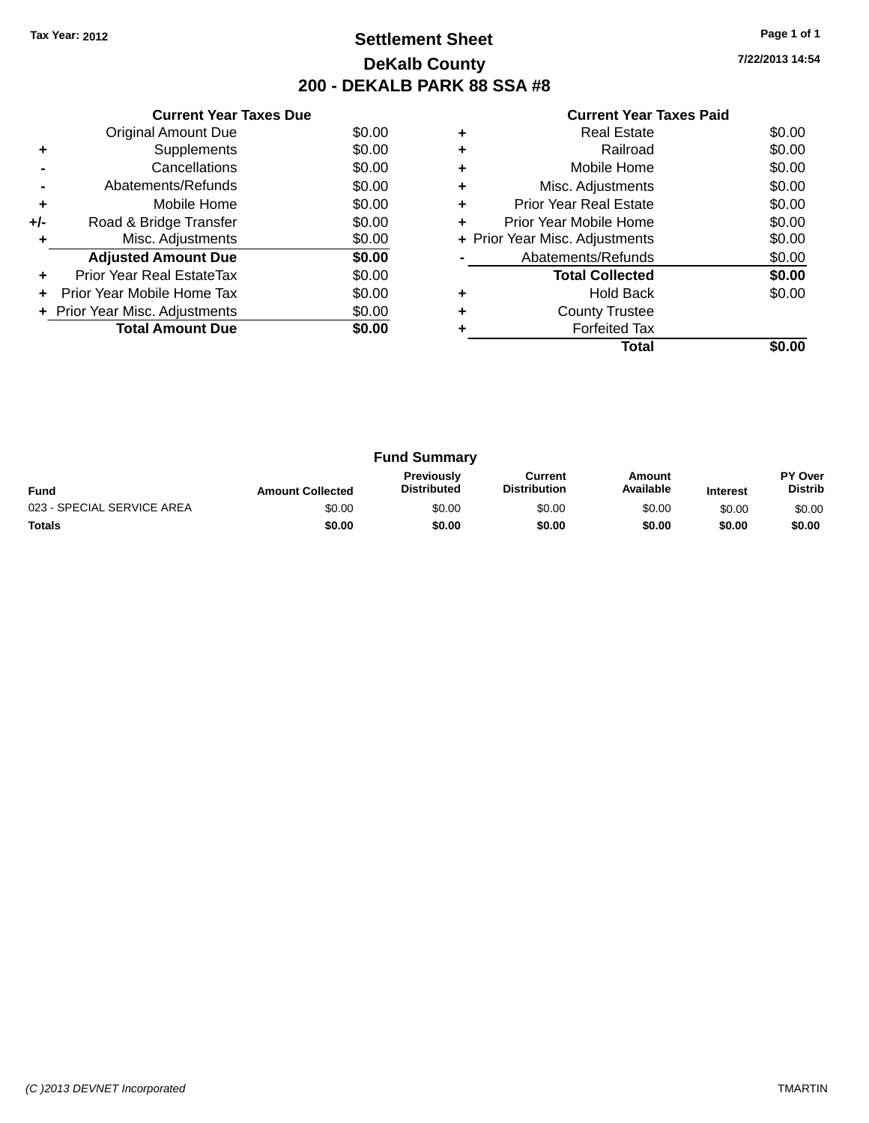### **Settlement Sheet Tax Year: 2012 Page 1 of 1 DeKalb County 200 - DEKALB PARK 88 SSA #8**

**7/22/2013 14:54**

|     | <b>Current Year Taxes Due</b>  |        |  |  |  |  |
|-----|--------------------------------|--------|--|--|--|--|
|     | Original Amount Due            | \$0.00 |  |  |  |  |
| ٠   | Supplements                    | \$0.00 |  |  |  |  |
|     | Cancellations                  | \$0.00 |  |  |  |  |
|     | Abatements/Refunds             | \$0.00 |  |  |  |  |
| ٠   | Mobile Home                    | \$0.00 |  |  |  |  |
| +/- | Road & Bridge Transfer         | \$0.00 |  |  |  |  |
|     | Misc. Adjustments              | \$0.00 |  |  |  |  |
|     | <b>Adjusted Amount Due</b>     | \$0.00 |  |  |  |  |
|     | Prior Year Real EstateTax      | \$0.00 |  |  |  |  |
|     | Prior Year Mobile Home Tax     | \$0.00 |  |  |  |  |
|     | + Prior Year Misc. Adjustments | \$0.00 |  |  |  |  |
|     | <b>Total Amount Due</b>        | \$0.00 |  |  |  |  |
|     |                                |        |  |  |  |  |

|   | <b>Real Estate</b>             | \$0.00 |
|---|--------------------------------|--------|
| ÷ | Railroad                       | \$0.00 |
| ٠ | Mobile Home                    | \$0.00 |
| ٠ | Misc. Adjustments              | \$0.00 |
| ٠ | <b>Prior Year Real Estate</b>  | \$0.00 |
|   | Prior Year Mobile Home         | \$0.00 |
|   | + Prior Year Misc. Adjustments | \$0.00 |
|   | Abatements/Refunds             | \$0.00 |
|   | <b>Total Collected</b>         | \$0.00 |
| ٠ | <b>Hold Back</b>               | \$0.00 |
| ٠ | <b>County Trustee</b>          |        |
|   | <b>Forfeited Tax</b>           |        |
|   | Total                          |        |

| <b>Fund Summary</b>        |                         |                                         |                                |                     |                 |                           |
|----------------------------|-------------------------|-----------------------------------------|--------------------------------|---------------------|-----------------|---------------------------|
| <b>Fund</b>                | <b>Amount Collected</b> | <b>Previously</b><br><b>Distributed</b> | Current<br><b>Distribution</b> | Amount<br>Available | <b>Interest</b> | PY Over<br><b>Distrib</b> |
| 023 - SPECIAL SERVICE AREA | \$0.00                  | \$0.00                                  | \$0.00                         | \$0.00              | \$0.00          | \$0.00                    |
| <b>Totals</b>              | \$0.00                  | \$0.00                                  | \$0.00                         | \$0.00              | \$0.00          | \$0.00                    |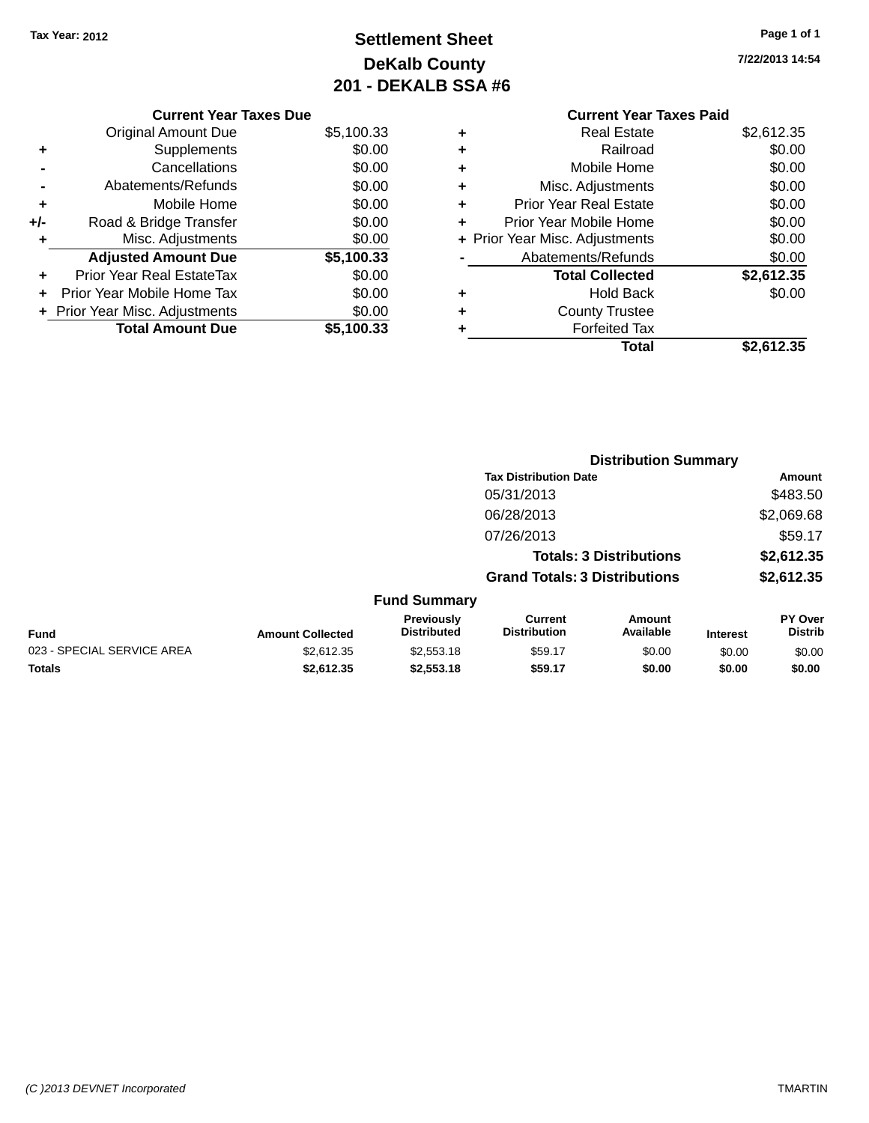**Current Year Taxes Due** Original Amount Due \$5,100.33

**Adjusted Amount Due \$5,100.33**

**Total Amount Due \$5,100.33**

**+** Supplements \$0.00 **-** Cancellations \$0.00 **-** Abatements/Refunds \$0.00 **+** Mobile Home \$0.00 **+/-** Road & Bridge Transfer \$0.00 **+** Misc. Adjustments \$0.00

**+** Prior Year Real EstateTax \$0.00 **+** Prior Year Mobile Home Tax \$0.00 **+** Prior Year Misc. Adjustments  $$0.00$ 

## **Settlement Sheet Tax Year: 2012 Page 1 of 1 DeKalb County 201 - DEKALB SSA #6**

**7/22/2013 14:54**

#### **Current Year Taxes Paid +** Real Estate \$2,612.35 **+** Railroad \$0.00 **+** Mobile Home \$0.00 **+** Misc. Adjustments \$0.00 **+** Prior Year Real Estate \$0.00 **+** Prior Year Mobile Home \$0.00 **+** Prior Year Misc. Adjustments  $$0.00$ Abatements/Refunds \$0.00 **Total Collected \$2,612.35 +** Hold Back \$0.00 **+** County Trustee **+** Forfeited Tax **Total \$2,612.35**

**Distribution Summary**

|                            |                         |                                  | <b>Tax Distribution Date</b>          |                                |                 | Amount                           |
|----------------------------|-------------------------|----------------------------------|---------------------------------------|--------------------------------|-----------------|----------------------------------|
|                            |                         |                                  | 05/31/2013                            |                                |                 | \$483.50                         |
|                            |                         |                                  | 06/28/2013                            |                                |                 | \$2,069.68                       |
|                            |                         |                                  | 07/26/2013                            |                                |                 | \$59.17                          |
|                            |                         |                                  |                                       | <b>Totals: 3 Distributions</b> |                 | \$2,612.35                       |
|                            |                         |                                  | <b>Grand Totals: 3 Distributions</b>  |                                |                 | \$2,612.35                       |
|                            |                         | <b>Fund Summary</b>              |                                       |                                |                 |                                  |
| Fund                       | <b>Amount Collected</b> | Previously<br><b>Distributed</b> | <b>Current</b><br><b>Distribution</b> | Amount<br>Available            | <b>Interest</b> | <b>PY Over</b><br><b>Distrib</b> |
| 023 - SPECIAL SERVICE AREA | \$2,612.35              | \$2,553.18                       | \$59.17                               | \$0.00                         | \$0.00          | \$0.00                           |
| <b>Totals</b>              | \$2.612.35              | \$2,553.18                       | \$59.17                               | \$0.00                         | \$0.00          | \$0.00                           |

#### *(C )2013 DEVNET Incorporated* TMARTIN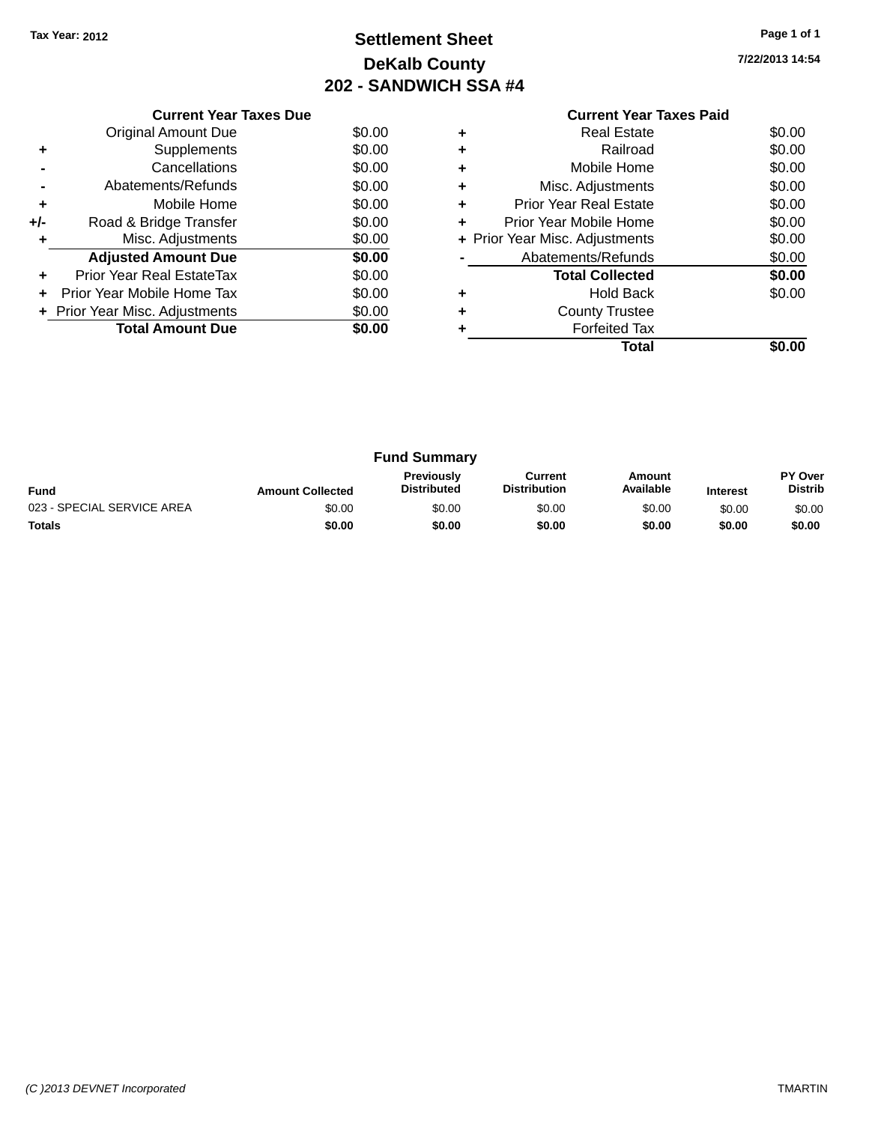## **Settlement Sheet Tax Year: 2012 Page 1 of 1 DeKalb County 202 - SANDWICH SSA #4**

| <b>Current Year Taxes Paid</b> |  |  |
|--------------------------------|--|--|

|     | <b>Current Year Taxes Due</b>  |        |  |  |  |  |
|-----|--------------------------------|--------|--|--|--|--|
|     | \$0.00<br>Original Amount Due  |        |  |  |  |  |
| ٠   | Supplements                    | \$0.00 |  |  |  |  |
|     | Cancellations                  | \$0.00 |  |  |  |  |
|     | Abatements/Refunds             | \$0.00 |  |  |  |  |
| ٠   | Mobile Home                    | \$0.00 |  |  |  |  |
| +/- | Road & Bridge Transfer         | \$0.00 |  |  |  |  |
| ٠   | Misc. Adjustments              | \$0.00 |  |  |  |  |
|     | <b>Adjusted Amount Due</b>     | \$0.00 |  |  |  |  |
| ٠   | Prior Year Real EstateTax      | \$0.00 |  |  |  |  |
|     | Prior Year Mobile Home Tax     | \$0.00 |  |  |  |  |
|     | + Prior Year Misc. Adjustments | \$0.00 |  |  |  |  |
|     | <b>Total Amount Due</b>        | \$0.00 |  |  |  |  |
|     |                                |        |  |  |  |  |

|   | <b>Real Estate</b>             | \$0.00 |
|---|--------------------------------|--------|
| ٠ | Railroad                       | \$0.00 |
| ٠ | Mobile Home                    | \$0.00 |
| ٠ | Misc. Adjustments              | \$0.00 |
| ٠ | <b>Prior Year Real Estate</b>  | \$0.00 |
| ٠ | Prior Year Mobile Home         | \$0.00 |
|   | + Prior Year Misc. Adjustments | \$0.00 |
|   | Abatements/Refunds             | \$0.00 |
|   | <b>Total Collected</b>         | \$0.00 |
| ٠ | Hold Back                      | \$0.00 |
| ٠ | <b>County Trustee</b>          |        |
|   | <b>Forfeited Tax</b>           |        |
|   | Total                          |        |

| <b>Fund Summary</b>        |                         |                                         |                                |                     |                 |                           |
|----------------------------|-------------------------|-----------------------------------------|--------------------------------|---------------------|-----------------|---------------------------|
| <b>Fund</b>                | <b>Amount Collected</b> | <b>Previously</b><br><b>Distributed</b> | Current<br><b>Distribution</b> | Amount<br>Available | <b>Interest</b> | PY Over<br><b>Distrib</b> |
| 023 - SPECIAL SERVICE AREA | \$0.00                  | \$0.00                                  | \$0.00                         | \$0.00              | \$0.00          | \$0.00                    |
| <b>Totals</b>              | \$0.00                  | \$0.00                                  | \$0.00                         | \$0.00              | \$0.00          | \$0.00                    |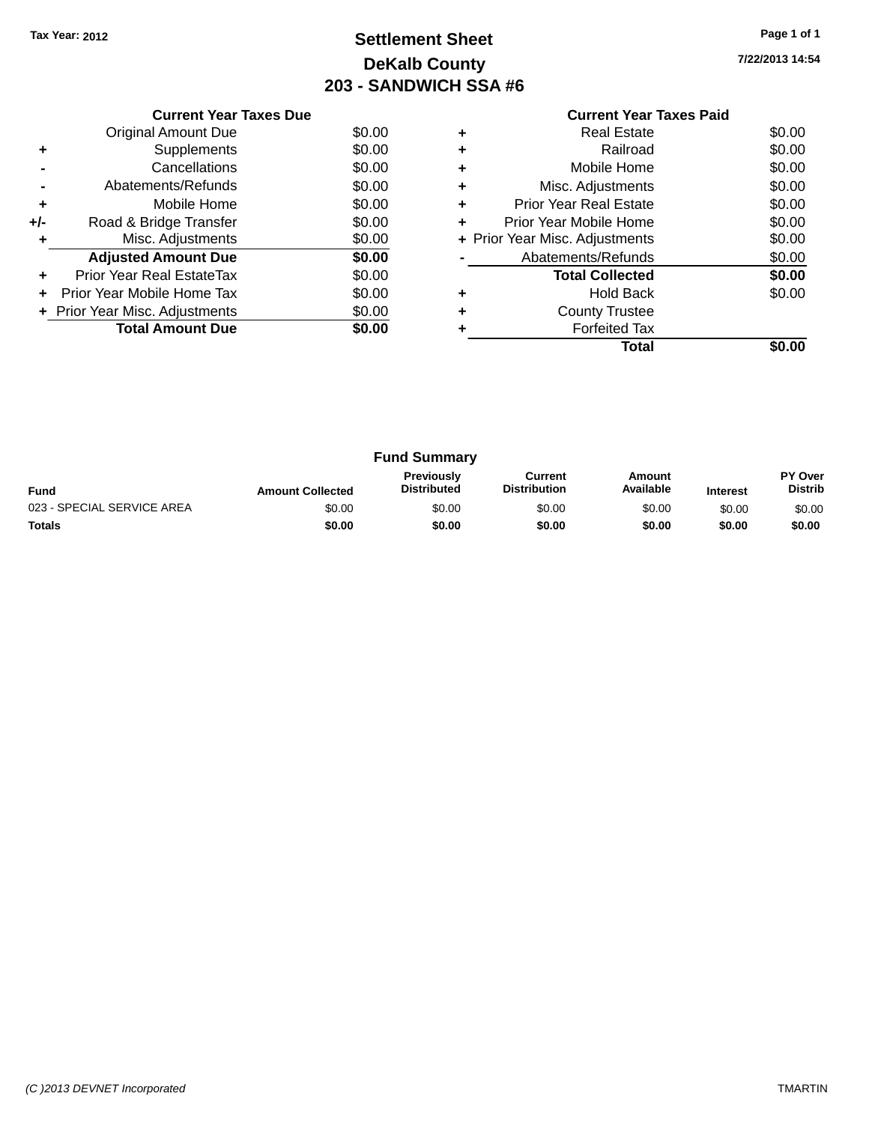## **Settlement Sheet Tax Year: 2012 Page 1 of 1 DeKalb County 203 - SANDWICH SSA #6**

| Current Year Taxes Paid |  |  |
|-------------------------|--|--|
|                         |  |  |

|     | <b>Current Year Taxes Due</b>  |        |
|-----|--------------------------------|--------|
|     | Original Amount Due            | \$0.00 |
| ٠   | Supplements                    | \$0.00 |
|     | Cancellations                  | \$0.00 |
|     | Abatements/Refunds             | \$0.00 |
| ٠   | Mobile Home                    | \$0.00 |
| +/- | Road & Bridge Transfer         | \$0.00 |
| ٠   | Misc. Adjustments              | \$0.00 |
|     | <b>Adjusted Amount Due</b>     | \$0.00 |
| ٠   | Prior Year Real EstateTax      | \$0.00 |
| ÷   | Prior Year Mobile Home Tax     | \$0.00 |
|     | + Prior Year Misc. Adjustments | \$0.00 |
|     | <b>Total Amount Due</b>        | \$0.00 |
|     |                                |        |

| ٠ | <b>Real Estate</b>             | \$0.00 |
|---|--------------------------------|--------|
| ٠ | Railroad                       | \$0.00 |
| ٠ | Mobile Home                    | \$0.00 |
| ٠ | Misc. Adjustments              | \$0.00 |
| ٠ | <b>Prior Year Real Estate</b>  | \$0.00 |
| ٠ | Prior Year Mobile Home         | \$0.00 |
|   | + Prior Year Misc. Adjustments | \$0.00 |
|   | Abatements/Refunds             | \$0.00 |
|   | <b>Total Collected</b>         | \$0.00 |
| ٠ | <b>Hold Back</b>               | \$0.00 |
| ٠ | <b>County Trustee</b>          |        |
|   | <b>Forfeited Tax</b>           |        |
|   | Total                          |        |

|                            |                         | <b>Fund Summary</b>                     |                                |                     |                 |                           |
|----------------------------|-------------------------|-----------------------------------------|--------------------------------|---------------------|-----------------|---------------------------|
| <b>Fund</b>                | <b>Amount Collected</b> | <b>Previously</b><br><b>Distributed</b> | Current<br><b>Distribution</b> | Amount<br>Available | <b>Interest</b> | PY Over<br><b>Distrib</b> |
| 023 - SPECIAL SERVICE AREA | \$0.00                  | \$0.00                                  | \$0.00                         | \$0.00              | \$0.00          | \$0.00                    |
| <b>Totals</b>              | \$0.00                  | \$0.00                                  | \$0.00                         | \$0.00              | \$0.00          | \$0.00                    |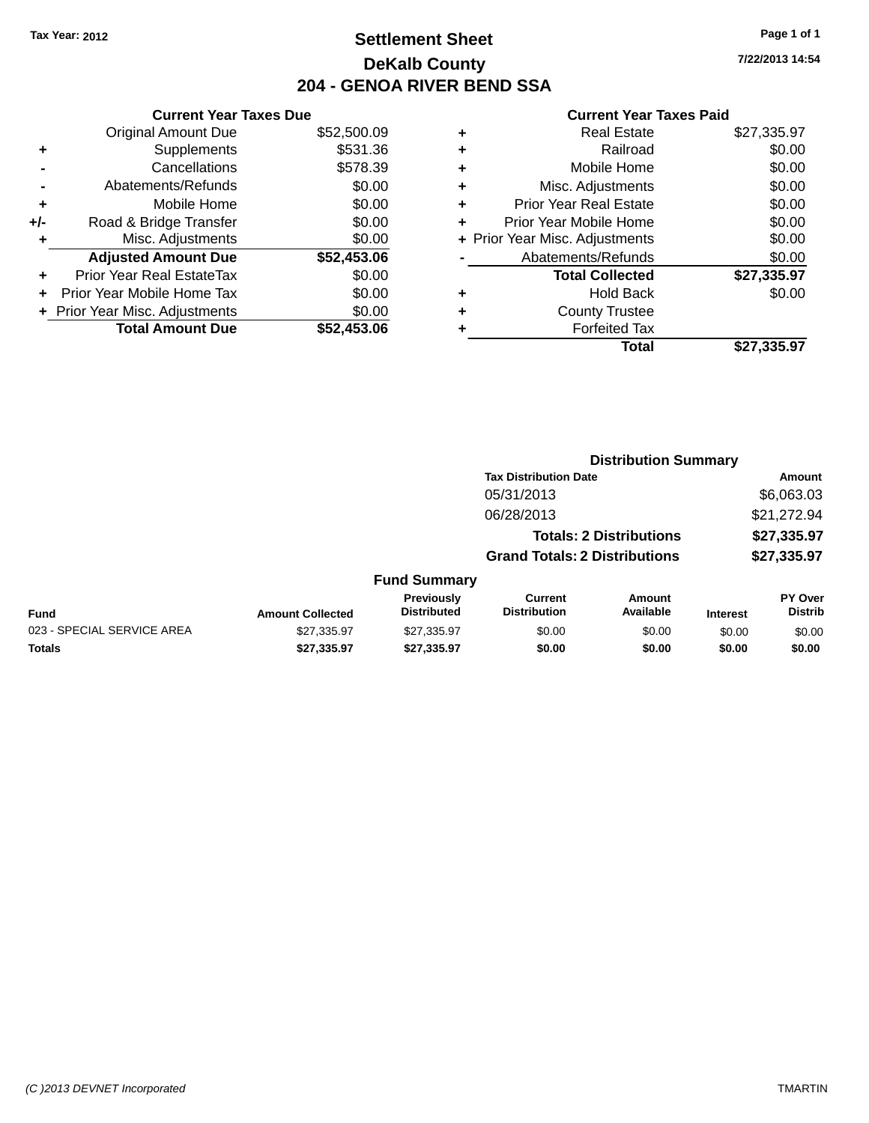### **Settlement Sheet Tax Year: 2012 Page 1 of 1 DeKalb County 204 - GENOA RIVER BEND SSA**

**7/22/2013 14:54**

|       | <b>Current Year Taxes Due</b> |             |
|-------|-------------------------------|-------------|
|       | <b>Original Amount Due</b>    | \$52,500.09 |
| ٠     | Supplements                   | \$531.36    |
|       | Cancellations                 | \$578.39    |
|       | Abatements/Refunds            | \$0.00      |
| ٠     | Mobile Home                   | \$0.00      |
| $+/-$ | Road & Bridge Transfer        | \$0.00      |
| ٠     | Misc. Adjustments             | \$0.00      |
|       | <b>Adjusted Amount Due</b>    | \$52,453.06 |
| ÷     | Prior Year Real EstateTax     | \$0.00      |
|       | Prior Year Mobile Home Tax    | \$0.00      |
|       | Prior Year Misc. Adjustments  | \$0.00      |
|       | <b>Total Amount Due</b>       | \$52,453,06 |

| ٠ | <b>Real Estate</b>             | \$27,335.97 |
|---|--------------------------------|-------------|
| ٠ | Railroad                       | \$0.00      |
| ٠ | Mobile Home                    | \$0.00      |
| ٠ | Misc. Adjustments              | \$0.00      |
| ٠ | <b>Prior Year Real Estate</b>  | \$0.00      |
| ٠ | Prior Year Mobile Home         | \$0.00      |
|   | + Prior Year Misc. Adjustments | \$0.00      |
|   | Abatements/Refunds             | \$0.00      |
|   | <b>Total Collected</b>         | \$27,335.97 |
| ٠ | <b>Hold Back</b>               | \$0.00      |
| ٠ | <b>County Trustee</b>          |             |
| ٠ | <b>Forfeited Tax</b>           |             |
|   | Total                          | \$27,335.97 |
|   |                                |             |

|                            |                         |                                         |                                       | <b>Distribution Summary</b>    |                 |                           |
|----------------------------|-------------------------|-----------------------------------------|---------------------------------------|--------------------------------|-----------------|---------------------------|
|                            |                         |                                         | <b>Tax Distribution Date</b>          |                                |                 | <b>Amount</b>             |
|                            |                         |                                         | 05/31/2013                            |                                |                 | \$6,063.03                |
|                            |                         |                                         | 06/28/2013                            |                                |                 | \$21,272.94               |
|                            |                         |                                         |                                       | <b>Totals: 2 Distributions</b> |                 | \$27,335.97               |
|                            |                         |                                         | <b>Grand Totals: 2 Distributions</b>  |                                |                 | \$27,335.97               |
|                            |                         | <b>Fund Summary</b>                     |                                       |                                |                 |                           |
| <b>Fund</b>                | <b>Amount Collected</b> | <b>Previously</b><br><b>Distributed</b> | <b>Current</b><br><b>Distribution</b> | Amount<br>Available            | <b>Interest</b> | PY Over<br><b>Distrib</b> |
| 023 - SPECIAL SERVICE AREA | \$27,335.97             | \$27,335.97                             | \$0.00                                | \$0.00                         | \$0.00          | \$0.00                    |
| <b>Totals</b>              | \$27,335.97             | \$27,335.97                             | \$0.00                                | \$0.00                         | \$0.00          | \$0.00                    |
|                            |                         |                                         |                                       |                                |                 |                           |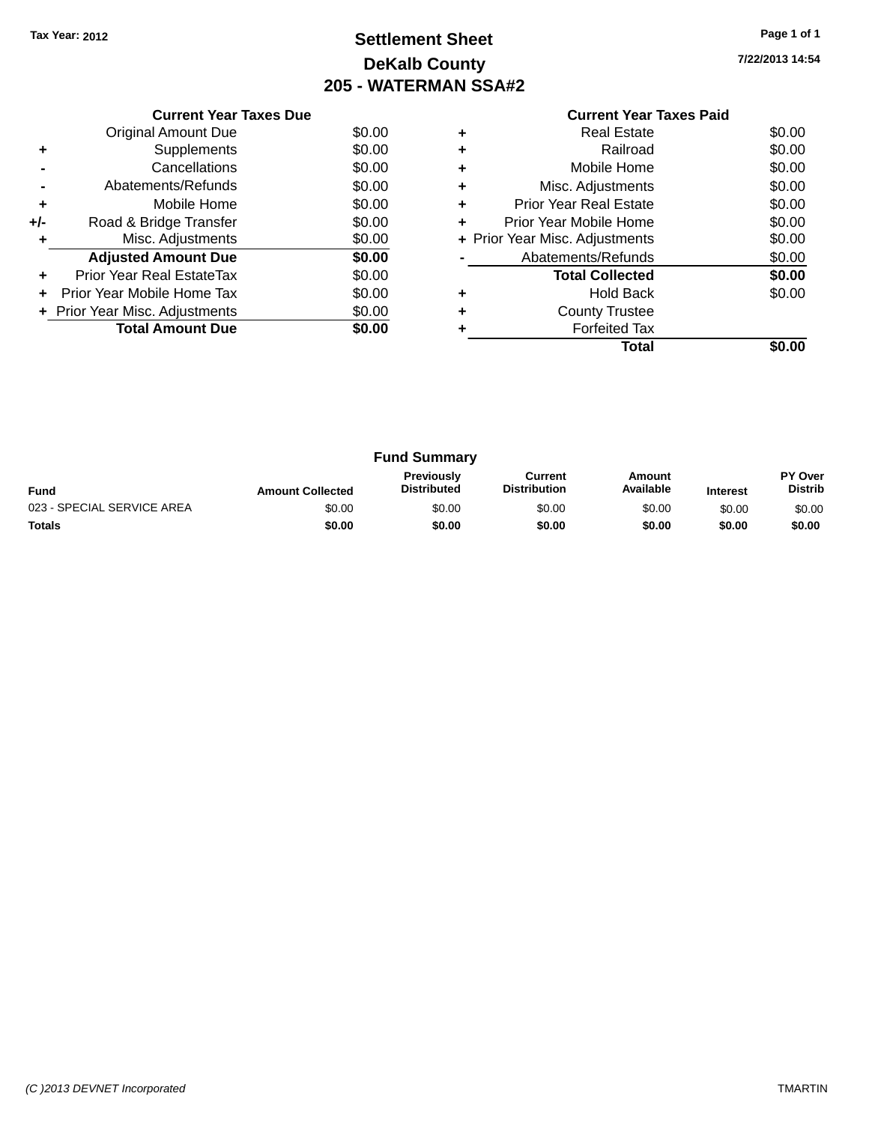## **Settlement Sheet Tax Year: 2012 Page 1 of 1 DeKalb County 205 - WATERMAN SSA#2**

**7/22/2013 14:54**

|     | <b>Current Year Taxes Due</b>  |        |
|-----|--------------------------------|--------|
|     | <b>Original Amount Due</b>     | \$0.00 |
| ٠   | Supplements                    | \$0.00 |
|     | Cancellations                  | \$0.00 |
|     | Abatements/Refunds             | \$0.00 |
| ٠   | Mobile Home                    | \$0.00 |
| +/- | Road & Bridge Transfer         | \$0.00 |
| ٠   | Misc. Adjustments              | \$0.00 |
|     | <b>Adjusted Amount Due</b>     | \$0.00 |
| ٠   | Prior Year Real EstateTax      | \$0.00 |
|     | Prior Year Mobile Home Tax     | \$0.00 |
|     | + Prior Year Misc. Adjustments | \$0.00 |
|     | <b>Total Amount Due</b>        | \$0.00 |
|     |                                |        |

|   | <b>Real Estate</b>             | \$0.00 |
|---|--------------------------------|--------|
|   | Railroad                       | \$0.00 |
|   | Mobile Home                    | \$0.00 |
| ٠ | Misc. Adjustments              | \$0.00 |
| ٠ | Prior Year Real Estate         | \$0.00 |
| ٠ | Prior Year Mobile Home         | \$0.00 |
|   | + Prior Year Misc. Adjustments | \$0.00 |
|   | Abatements/Refunds             | \$0.00 |
|   | <b>Total Collected</b>         | \$0.00 |
|   | <b>Hold Back</b>               | \$0.00 |
|   | <b>County Trustee</b>          |        |
|   | <b>Forfeited Tax</b>           |        |
|   | Total                          |        |

| <b>Fund Summary</b>        |                         |                                         |                                |                     |                 |                                  |
|----------------------------|-------------------------|-----------------------------------------|--------------------------------|---------------------|-----------------|----------------------------------|
| <b>Fund</b>                | <b>Amount Collected</b> | <b>Previously</b><br><b>Distributed</b> | Current<br><b>Distribution</b> | Amount<br>Available | <b>Interest</b> | <b>PY Over</b><br><b>Distrib</b> |
| 023 - SPECIAL SERVICE AREA | \$0.00                  | \$0.00                                  | \$0.00                         | \$0.00              | \$0.00          | \$0.00                           |
| <b>Totals</b>              | \$0.00                  | \$0.00                                  | \$0.00                         | \$0.00              | \$0.00          | \$0.00                           |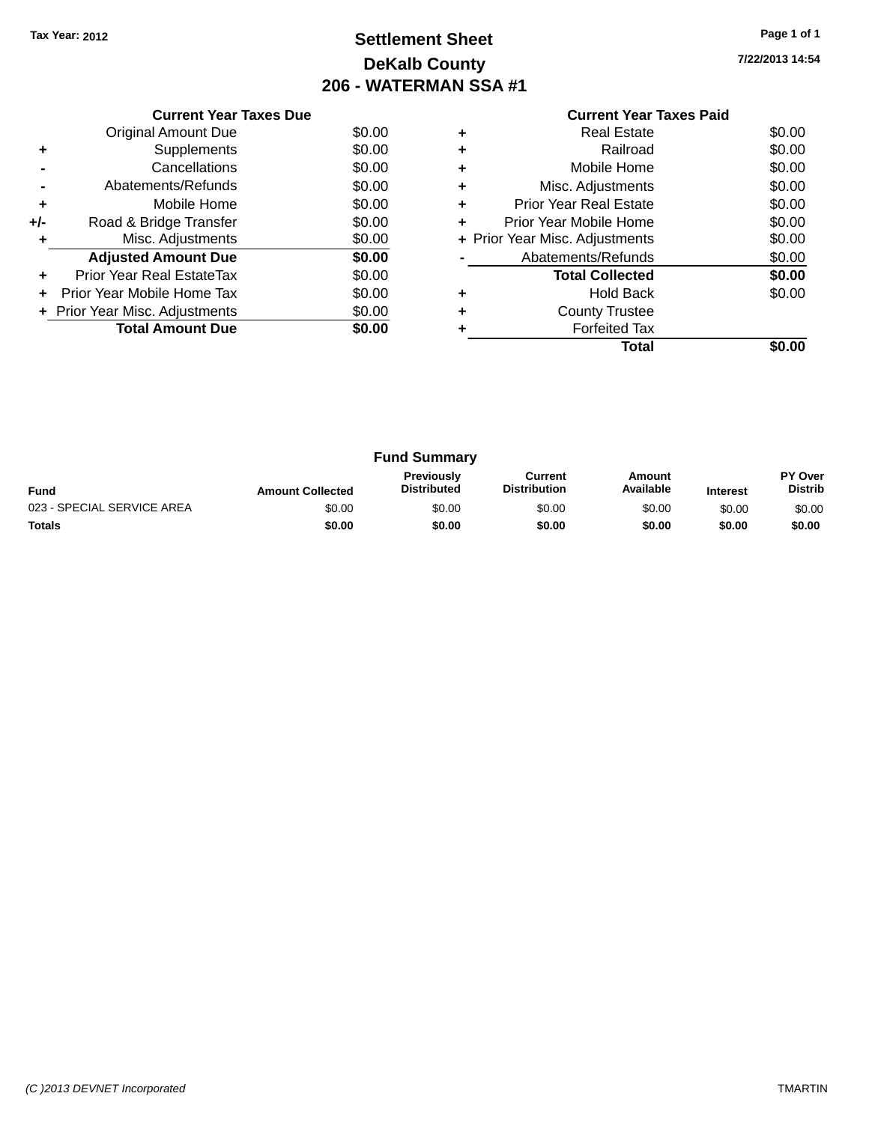## **Settlement Sheet Tax Year: 2012 Page 1 of 1 DeKalb County 206 - WATERMAN SSA #1**

**7/22/2013 14:54**

|     | <b>Current Year Taxes Due</b>  |        |
|-----|--------------------------------|--------|
|     | <b>Original Amount Due</b>     | \$0.00 |
| ٠   | Supplements                    | \$0.00 |
|     | Cancellations                  | \$0.00 |
|     | Abatements/Refunds             | \$0.00 |
| ٠   | Mobile Home                    | \$0.00 |
| +/- | Road & Bridge Transfer         | \$0.00 |
| ٠   | Misc. Adjustments              | \$0.00 |
|     | <b>Adjusted Amount Due</b>     | \$0.00 |
|     | Prior Year Real EstateTax      | \$0.00 |
| ÷   | Prior Year Mobile Home Tax     | \$0.00 |
|     | + Prior Year Misc. Adjustments | \$0.00 |
|     | <b>Total Amount Due</b>        | \$0.00 |
|     |                                |        |

#### **Current Year Taxes Paid +** Real Estate \$0.00

|   | Total                          |        |
|---|--------------------------------|--------|
|   | Forfeited Tax                  |        |
| ٠ | <b>County Trustee</b>          |        |
| ٠ | <b>Hold Back</b>               | \$0.00 |
|   | <b>Total Collected</b>         | \$0.00 |
|   | Abatements/Refunds             | \$0.00 |
|   | + Prior Year Misc. Adjustments | \$0.00 |
| ÷ | Prior Year Mobile Home         | \$0.00 |
| ٠ | Prior Year Real Estate         | \$0.00 |
| ٠ | Misc. Adjustments              | \$0.00 |
| ٠ | Mobile Home                    | \$0.00 |
| ÷ | Railroad                       | \$0.00 |
| Ŧ | NGAI CSIAIG                    | JU.UU  |

|                            |                         | <b>Fund Summary</b>                     |                                |                     |                 |                           |
|----------------------------|-------------------------|-----------------------------------------|--------------------------------|---------------------|-----------------|---------------------------|
| <b>Fund</b>                | <b>Amount Collected</b> | <b>Previously</b><br><b>Distributed</b> | Current<br><b>Distribution</b> | Amount<br>Available | <b>Interest</b> | PY Over<br><b>Distrib</b> |
| 023 - SPECIAL SERVICE AREA | \$0.00                  | \$0.00                                  | \$0.00                         | \$0.00              | \$0.00          | \$0.00                    |
| <b>Totals</b>              | \$0.00                  | \$0.00                                  | \$0.00                         | \$0.00              | \$0.00          | \$0.00                    |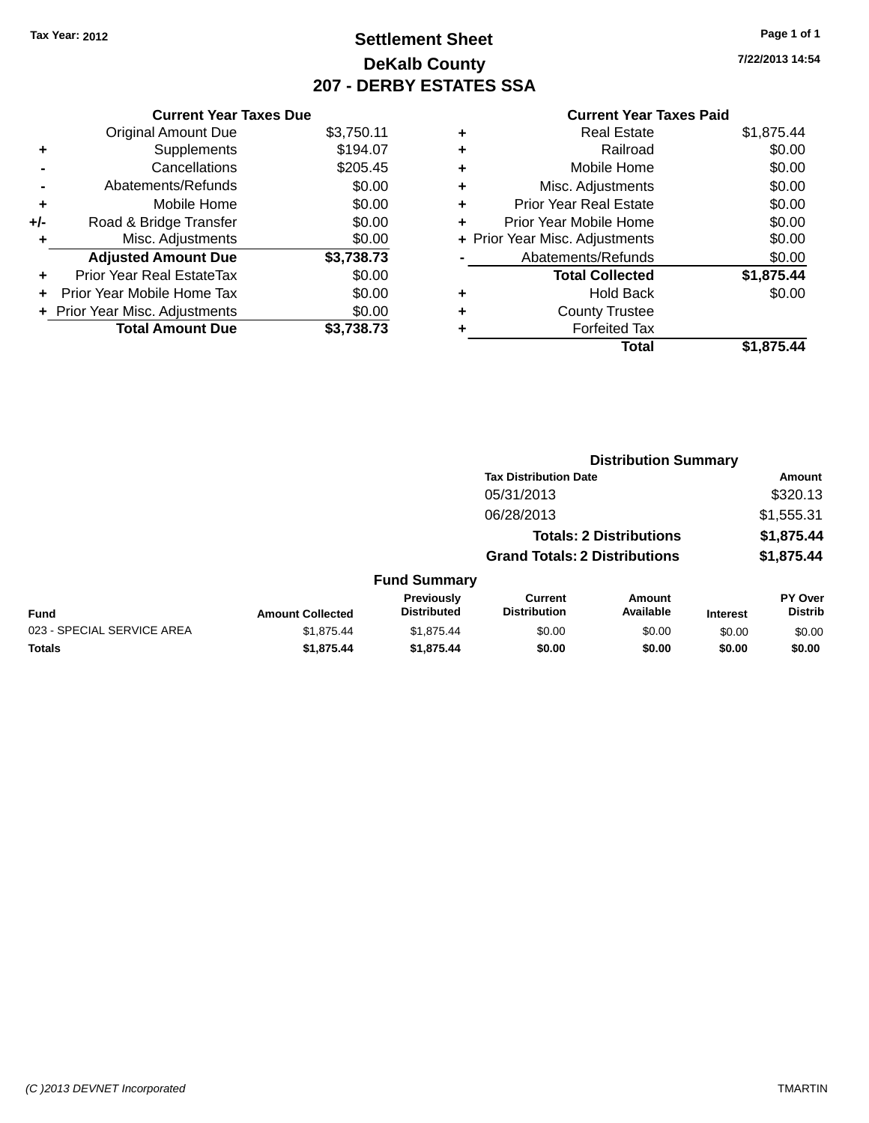### **Settlement Sheet Tax Year: 2012 Page 1 of 1 DeKalb County 207 - DERBY ESTATES SSA**

**7/22/2013 14:54**

| <b>Current Year Taxes Due</b> |                                |
|-------------------------------|--------------------------------|
| <b>Original Amount Due</b>    | \$3,750.11                     |
| Supplements                   | \$194.07                       |
| Cancellations                 | \$205.45                       |
| Abatements/Refunds            | \$0.00                         |
| Mobile Home                   | \$0.00                         |
| Road & Bridge Transfer        | \$0.00                         |
| Misc. Adjustments             | \$0.00                         |
| <b>Adjusted Amount Due</b>    | \$3,738.73                     |
| Prior Year Real EstateTax     | \$0.00                         |
| Prior Year Mobile Home Tax    | \$0.00                         |
|                               | \$0.00                         |
| <b>Total Amount Due</b>       | \$3.738.73                     |
|                               | + Prior Year Misc. Adjustments |

| ٠ | <b>Real Estate</b>             | \$1,875.44 |
|---|--------------------------------|------------|
| ٠ | Railroad                       | \$0.00     |
| ٠ | Mobile Home                    | \$0.00     |
| ٠ | Misc. Adjustments              | \$0.00     |
| ٠ | <b>Prior Year Real Estate</b>  | \$0.00     |
| ٠ | Prior Year Mobile Home         | \$0.00     |
|   | + Prior Year Misc. Adjustments | \$0.00     |
|   | Abatements/Refunds             | \$0.00     |
|   | <b>Total Collected</b>         | \$1,875.44 |
| ٠ | <b>Hold Back</b>               | \$0.00     |
| ٠ | <b>County Trustee</b>          |            |
|   | <b>Forfeited Tax</b>           |            |
|   | Total                          | \$1.875.44 |
|   |                                |            |

|                            |                         |                                  | <b>Distribution Summary</b>           |                                |                 |                           |  |
|----------------------------|-------------------------|----------------------------------|---------------------------------------|--------------------------------|-----------------|---------------------------|--|
|                            |                         |                                  | <b>Tax Distribution Date</b>          |                                |                 | <b>Amount</b>             |  |
|                            |                         |                                  | 05/31/2013                            |                                |                 | \$320.13                  |  |
|                            |                         |                                  | 06/28/2013                            |                                |                 | \$1,555.31                |  |
|                            |                         |                                  |                                       | <b>Totals: 2 Distributions</b> |                 | \$1,875.44                |  |
|                            |                         |                                  | <b>Grand Totals: 2 Distributions</b>  |                                |                 | \$1,875.44                |  |
|                            |                         | <b>Fund Summary</b>              |                                       |                                |                 |                           |  |
| <b>Fund</b>                | <b>Amount Collected</b> | Previously<br><b>Distributed</b> | <b>Current</b><br><b>Distribution</b> | Amount<br>Available            | <b>Interest</b> | PY Over<br><b>Distrib</b> |  |
| 023 - SPECIAL SERVICE AREA | \$1,875.44              | \$1,875.44                       | \$0.00                                | \$0.00                         | \$0.00          | \$0.00                    |  |
| <b>Totals</b>              | \$1,875.44              | \$1,875.44                       | \$0.00                                | \$0.00                         | \$0.00          | \$0.00                    |  |
|                            |                         |                                  |                                       |                                |                 |                           |  |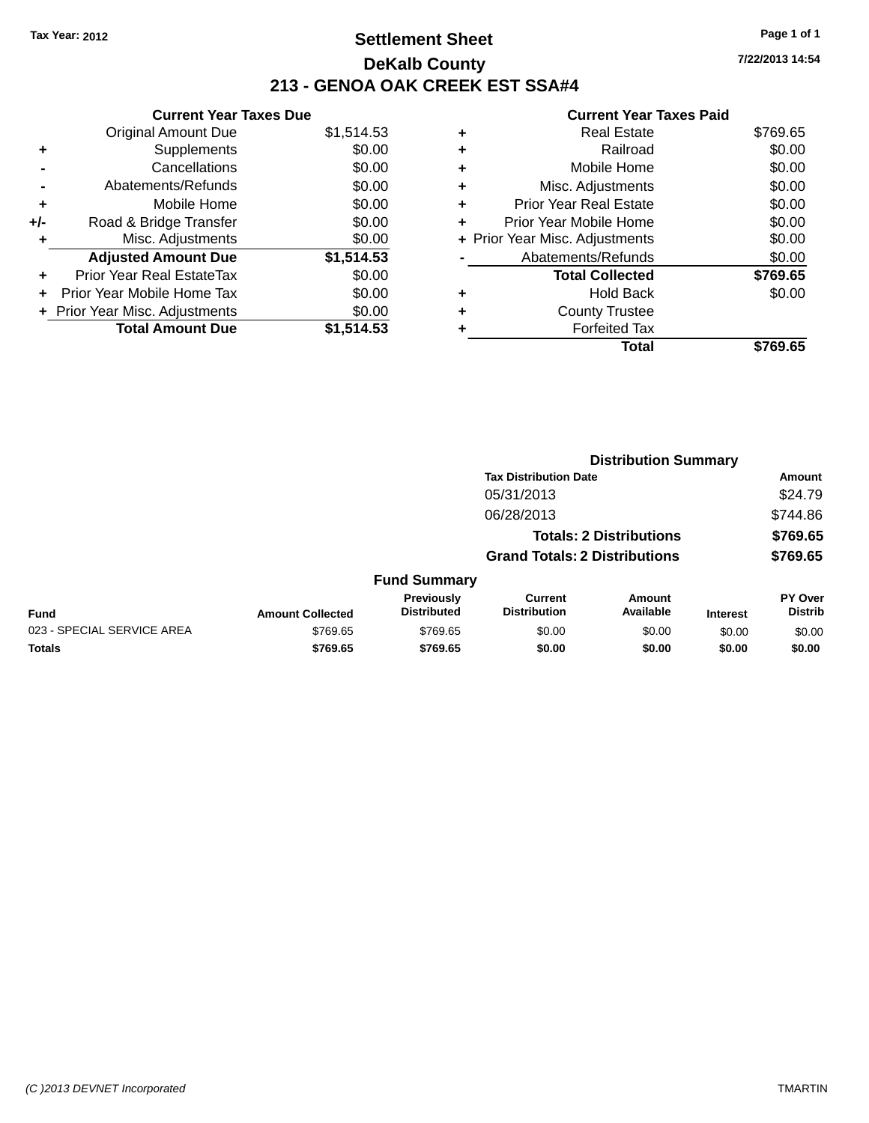### **Settlement Sheet Tax Year: 2012 Page 1 of 1 DeKalb County 213 - GENOA OAK CREEK EST SSA#4**

**Current Year Taxes Due** Original Amount Due \$1,514.53 **+** Supplements \$0.00 **-** Cancellations \$0.00 **-** Abatements/Refunds \$0.00 **+** Mobile Home \$0.00 **+/-** Road & Bridge Transfer \$0.00 **+** Misc. Adjustments \$0.00 **Adjusted Amount Due \$1,514.53 +** Prior Year Real EstateTax \$0.00 **+** Prior Year Mobile Home Tax \$0.00 **+ Prior Year Misc. Adjustments**  $$0.00$ **Total Amount Due \$1,514.53**

#### **Current Year Taxes Paid**

|   | <b>Real Estate</b>             | \$769.65 |
|---|--------------------------------|----------|
| ٠ | Railroad                       | \$0.00   |
| ٠ | Mobile Home                    | \$0.00   |
| ٠ | Misc. Adjustments              | \$0.00   |
| ٠ | <b>Prior Year Real Estate</b>  | \$0.00   |
| ٠ | Prior Year Mobile Home         | \$0.00   |
|   | + Prior Year Misc. Adjustments | \$0.00   |
|   | Abatements/Refunds             | \$0.00   |
|   | <b>Total Collected</b>         | \$769.65 |
| ٠ | <b>Hold Back</b>               | \$0.00   |
| ٠ | <b>County Trustee</b>          |          |
|   | <b>Forfeited Tax</b>           |          |
|   | Total                          | \$769.65 |
|   |                                |          |

|                            |                         |                                  |                                       | <b>Distribution Summary</b>    |                 |                                  |
|----------------------------|-------------------------|----------------------------------|---------------------------------------|--------------------------------|-----------------|----------------------------------|
|                            |                         |                                  | <b>Tax Distribution Date</b>          |                                |                 | <b>Amount</b>                    |
|                            |                         |                                  | 05/31/2013                            |                                |                 | \$24.79                          |
|                            |                         |                                  | 06/28/2013                            |                                |                 | \$744.86                         |
|                            |                         |                                  |                                       | <b>Totals: 2 Distributions</b> |                 | \$769.65                         |
|                            |                         |                                  | <b>Grand Totals: 2 Distributions</b>  |                                |                 | \$769.65                         |
|                            |                         | <b>Fund Summary</b>              |                                       |                                |                 |                                  |
| Fund                       | <b>Amount Collected</b> | Previously<br><b>Distributed</b> | <b>Current</b><br><b>Distribution</b> | Amount<br>Available            | <b>Interest</b> | <b>PY Over</b><br><b>Distrib</b> |
| 023 - SPECIAL SERVICE AREA | \$769.65                | \$769.65                         | \$0.00                                | \$0.00                         | \$0.00          | \$0.00                           |
| Totals                     | \$769.65                | \$769.65                         | \$0.00                                | \$0.00                         | \$0.00          | \$0.00                           |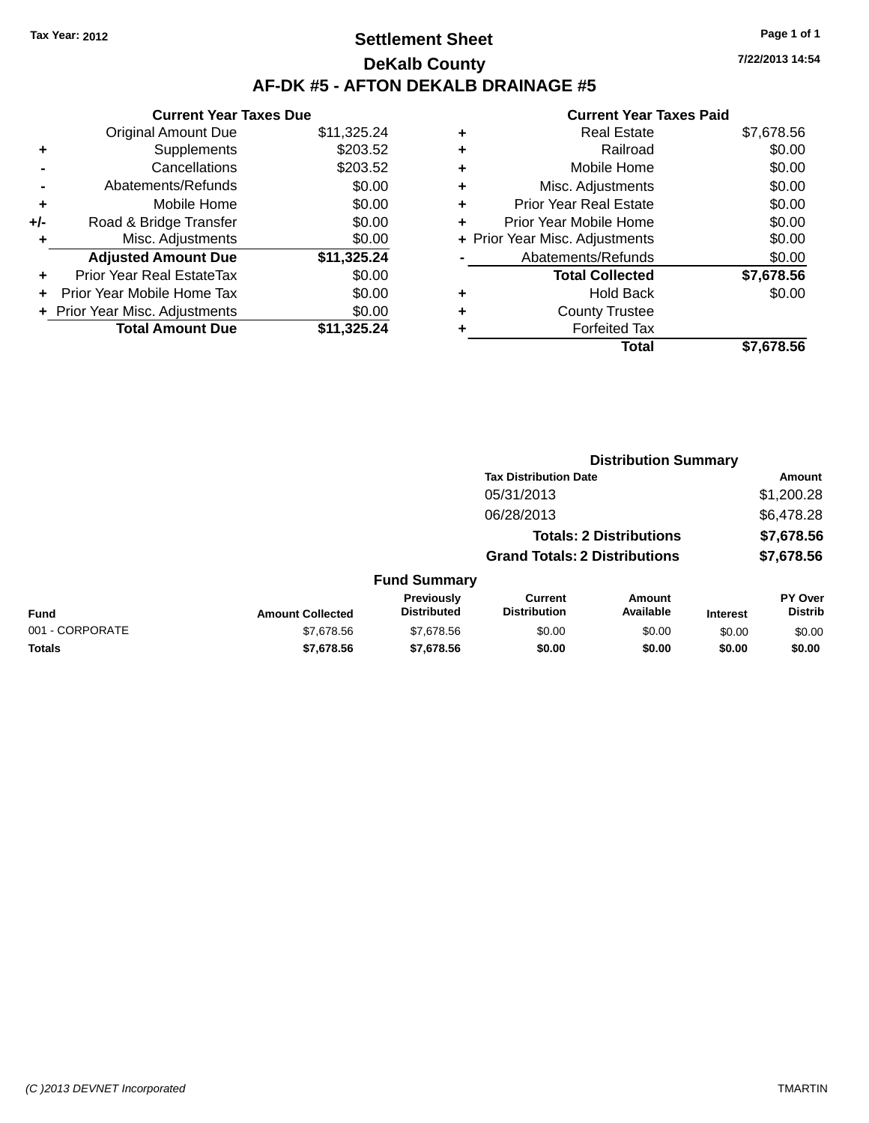**+** Misc. Adjustments

### **Settlement Sheet Tax Year: 2012 Page 1 of 1 DeKalb County AF-DK #5 - AFTON DEKALB DRAINAGE #5**

**Current Year Taxes Due** Original Amount Due \$11,325.24 **+** Supplements \$203.52 **-** Cancellations \$203.52 **-** Abatements/Refunds \$0.00 **+** Mobile Home \$0.00 **+/-** Road & Bridge Transfer \$0.00<br> **+** Misc. Adjustments \$0.00

**Adjusted Amount Due \$11,325.24**

**Total Amount Due \$11,325.24**

**+** Prior Year Real EstateTax \$0.00 **+** Prior Year Mobile Home Tax \$0.00 **+ Prior Year Misc. Adjustments**  $$0.00$ 

|   | <b>Current Year Taxes Paid</b> |            |
|---|--------------------------------|------------|
|   | <b>Real Estate</b>             | \$7,678.56 |
| ٠ | Railroad                       | \$0.00     |
| ٠ | Mobile Home                    | \$0.00     |
| ٠ | Misc. Adjustments              | \$0.00     |
| ٠ | Prior Year Real Estate         | \$0.00     |
| ٠ | Prior Year Mobile Home         | \$0.00     |
|   | + Prior Year Misc. Adjustments | \$0.00     |
|   | Abatements/Refunds             | \$0.00     |
|   | <b>Total Collected</b>         | \$7,678.56 |
|   | <b>Hold Back</b>               | \$0.00     |
|   | <b>County Trustee</b>          |            |
|   | <b>Forfeited Tax</b>           |            |
|   | Total                          | \$7.678.56 |

**Distribution Summary**

|                 |                         |                                         | <b>Tax Distribution Date</b>          |                                |                 | Amount                           |
|-----------------|-------------------------|-----------------------------------------|---------------------------------------|--------------------------------|-----------------|----------------------------------|
|                 |                         |                                         | 05/31/2013                            |                                |                 | \$1,200.28                       |
|                 |                         |                                         | 06/28/2013                            |                                |                 | \$6,478.28                       |
|                 |                         |                                         |                                       | <b>Totals: 2 Distributions</b> |                 | \$7,678.56                       |
|                 |                         |                                         | <b>Grand Totals: 2 Distributions</b>  |                                |                 | \$7,678.56                       |
|                 |                         | <b>Fund Summary</b>                     |                                       |                                |                 |                                  |
| <b>Fund</b>     | <b>Amount Collected</b> | <b>Previously</b><br><b>Distributed</b> | <b>Current</b><br><b>Distribution</b> | Amount<br>Available            | <b>Interest</b> | <b>PY Over</b><br><b>Distrib</b> |
| 001 - CORPORATE | \$7,678.56              | \$7,678.56                              | \$0.00                                | \$0.00                         | \$0.00          | \$0.00                           |
| <b>Totals</b>   | \$7,678.56              | \$7,678.56                              | \$0.00                                | \$0.00                         | \$0.00          | \$0.00                           |
|                 |                         |                                         |                                       |                                |                 |                                  |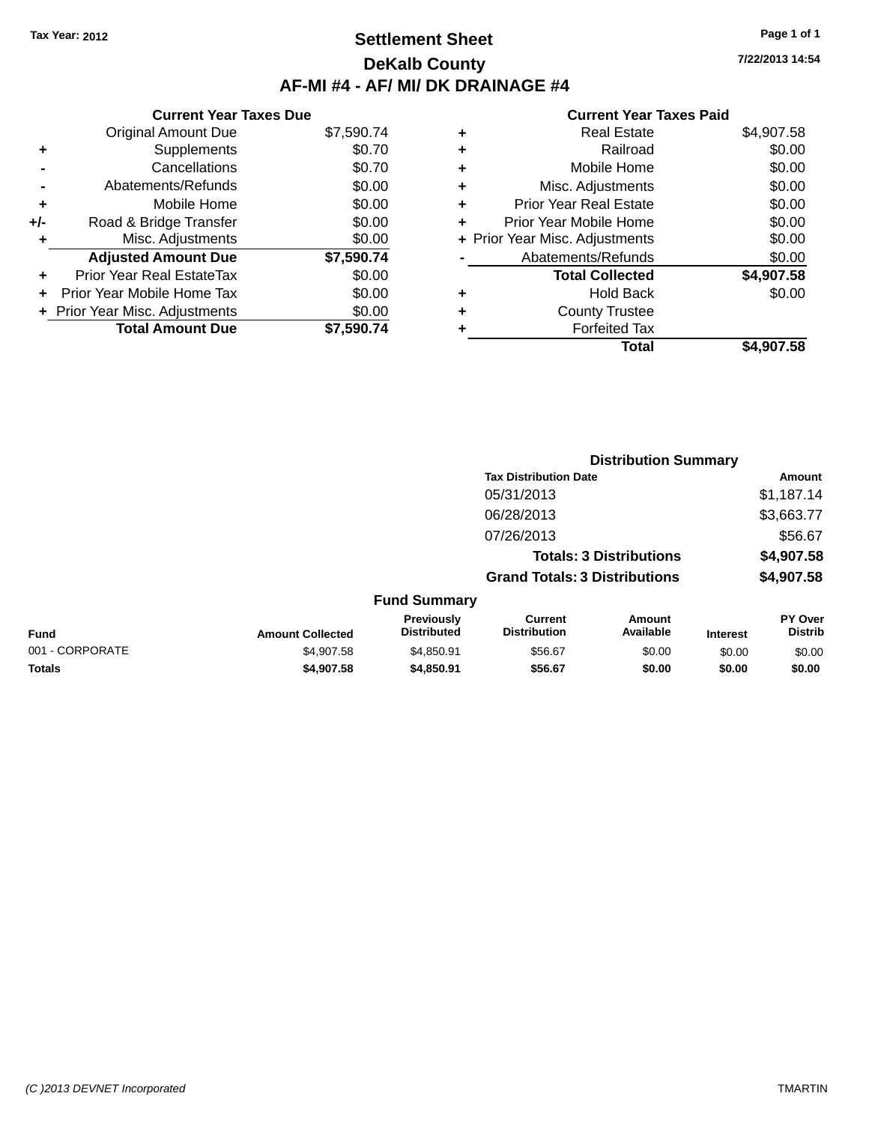### **Settlement Sheet Tax Year: 2012 Page 1 of 1 DeKalb County AF-MI #4 - AF/ MI/ DK DRAINAGE #4**

|     | <b>Current Year Taxes Due</b>  |            |
|-----|--------------------------------|------------|
|     | <b>Original Amount Due</b>     | \$7,590.74 |
| ٠   | Supplements                    | \$0.70     |
|     | Cancellations                  | \$0.70     |
|     | Abatements/Refunds             | \$0.00     |
| ٠   | Mobile Home                    | \$0.00     |
| +/- | Road & Bridge Transfer         | \$0.00     |
| ٠   | Misc. Adjustments              | \$0.00     |
|     | <b>Adjusted Amount Due</b>     | \$7,590.74 |
| ٠   | Prior Year Real EstateTax      | \$0.00     |
|     | Prior Year Mobile Home Tax     | \$0.00     |
|     | + Prior Year Misc. Adjustments | \$0.00     |
|     | <b>Total Amount Due</b>        | \$7.590.74 |
|     |                                |            |

#### **Current Year Taxes Paid +** Real Estate \$4,907.58 **+** Railroad \$0.00 **+** Mobile Home \$0.00 **+** Misc. Adjustments \$0.00 **+** Prior Year Real Estate \$0.00 **+** Prior Year Mobile Home \$0.00<br> **+** Prior Year Misc. Adjustments \$0.00 **+** Prior Year Misc. Adjustments

|   | Total                  | \$4,907.58 |
|---|------------------------|------------|
| ٠ | <b>Forfeited Tax</b>   |            |
| ٠ | <b>County Trustee</b>  |            |
| ٠ | <b>Hold Back</b>       | \$0.00     |
|   | <b>Total Collected</b> | \$4,907.58 |
|   | Abatements/Refunds     | \$0.00     |

|              |                                  | <b>Distribution Summary</b>          |                                |         |                                  |
|--------------|----------------------------------|--------------------------------------|--------------------------------|---------|----------------------------------|
|              |                                  | <b>Tax Distribution Date</b>         |                                |         | Amount                           |
|              |                                  | 05/31/2013                           |                                |         | \$1,187.14                       |
|              |                                  | 06/28/2013                           |                                |         | \$3,663.77                       |
|              |                                  | 07/26/2013                           |                                |         | \$56.67                          |
|              |                                  |                                      | <b>Totals: 3 Distributions</b> |         | \$4,907.58                       |
|              |                                  | <b>Grand Totals: 3 Distributions</b> |                                |         | \$4,907.58                       |
|              | <b>Fund Summary</b>              |                                      |                                |         |                                  |
| st Colloctod | <b>Previously</b><br>Distributed | Current<br><b>Distribution</b>       | Amount<br>Available            | Intract | <b>PY Over</b><br><b>Distrib</b> |

| <b>Fund</b>     | <b>Amount Collected</b> | <b>Previously</b><br><b>Distributed</b> | Current<br><b>Distribution</b> | Amount<br>Available | <b>Interest</b> | <b>PY Over</b><br><b>Distrib</b> |
|-----------------|-------------------------|-----------------------------------------|--------------------------------|---------------------|-----------------|----------------------------------|
| 001 - CORPORATE | \$4.907.58              | \$4.850.91                              | \$56.67                        | \$0.00              | \$0.00          | \$0.00                           |
| <b>Totals</b>   | \$4,907.58              | \$4,850.91                              | \$56.67                        | \$0.00              | \$0.00          | \$0.00                           |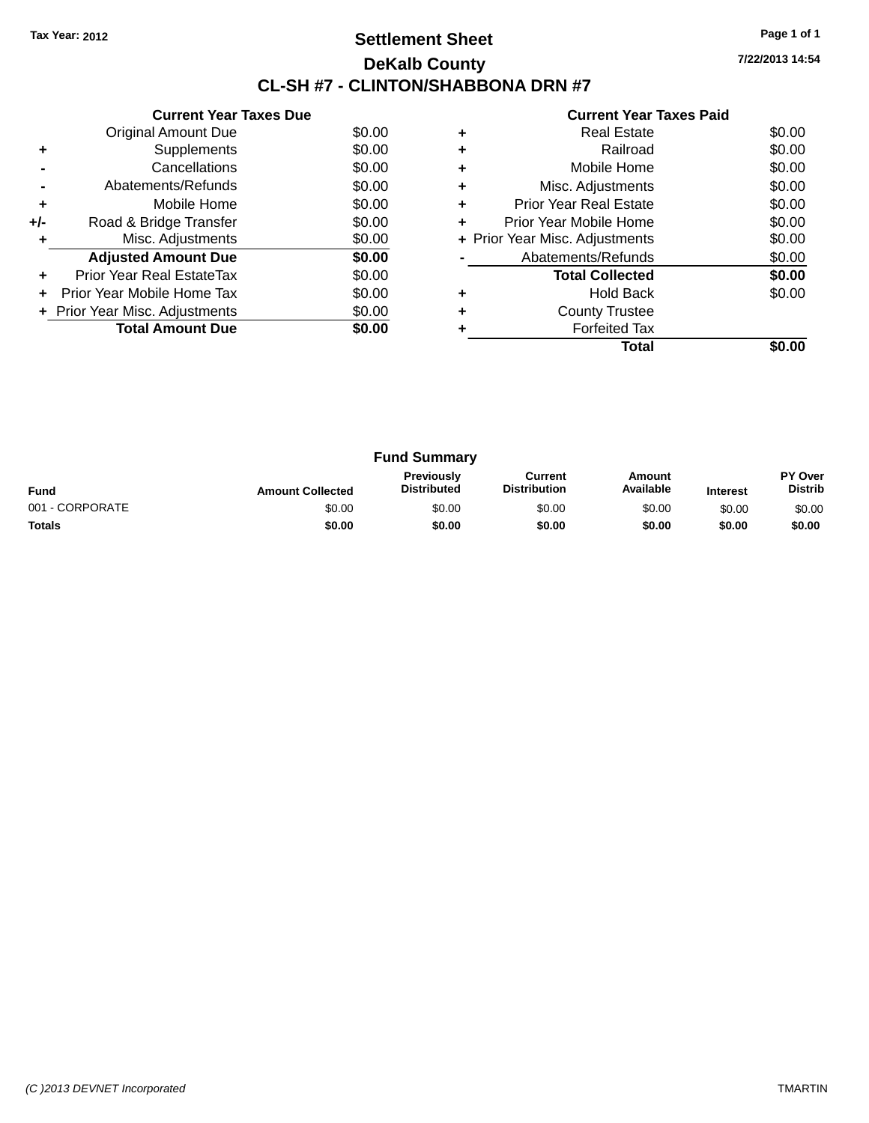### **Settlement Sheet Tax Year: 2012 Page 1 of 1 DeKalb County CL-SH #7 - CLINTON/SHABBONA DRN #7**

| <b>Current Year Taxes Paid</b> |
|--------------------------------|
|--------------------------------|

|       | <b>Current Year Taxes Due</b>  |        |
|-------|--------------------------------|--------|
|       | Original Amount Due            | \$0.00 |
|       | Supplements                    | \$0.00 |
|       | Cancellations                  | \$0.00 |
|       | Abatements/Refunds             | \$0.00 |
| ٠     | Mobile Home                    | \$0.00 |
| $+/-$ | Road & Bridge Transfer         | \$0.00 |
| ٠     | Misc. Adjustments              | \$0.00 |
|       | <b>Adjusted Amount Due</b>     | \$0.00 |
|       | Prior Year Real EstateTax      | \$0.00 |
|       | Prior Year Mobile Home Tax     | \$0.00 |
|       | + Prior Year Misc. Adjustments | \$0.00 |
|       | <b>Total Amount Due</b>        | \$0.00 |
|       |                                |        |

|   | <b>Real Estate</b>             | \$0.00 |
|---|--------------------------------|--------|
| ٠ | Railroad                       | \$0.00 |
| ٠ | Mobile Home                    | \$0.00 |
| ٠ | Misc. Adjustments              | \$0.00 |
| ٠ | <b>Prior Year Real Estate</b>  | \$0.00 |
| ٠ | Prior Year Mobile Home         | \$0.00 |
|   | + Prior Year Misc. Adjustments | \$0.00 |
|   | Abatements/Refunds             | \$0.00 |
|   | <b>Total Collected</b>         | \$0.00 |
|   | <b>Hold Back</b>               | \$0.00 |
| ٠ | <b>County Trustee</b>          |        |
|   | <b>Forfeited Tax</b>           |        |
|   | Total                          |        |

| <b>Fund Summary</b> |                         |                                         |                                |                     |                 |                                  |
|---------------------|-------------------------|-----------------------------------------|--------------------------------|---------------------|-----------------|----------------------------------|
| <b>Fund</b>         | <b>Amount Collected</b> | <b>Previously</b><br><b>Distributed</b> | Current<br><b>Distribution</b> | Amount<br>Available | <b>Interest</b> | <b>PY Over</b><br><b>Distrib</b> |
| 001 - CORPORATE     | \$0.00                  | \$0.00                                  | \$0.00                         | \$0.00              | \$0.00          | \$0.00                           |
| <b>Totals</b>       | \$0.00                  | \$0.00                                  | \$0.00                         | \$0.00              | \$0.00          | \$0.00                           |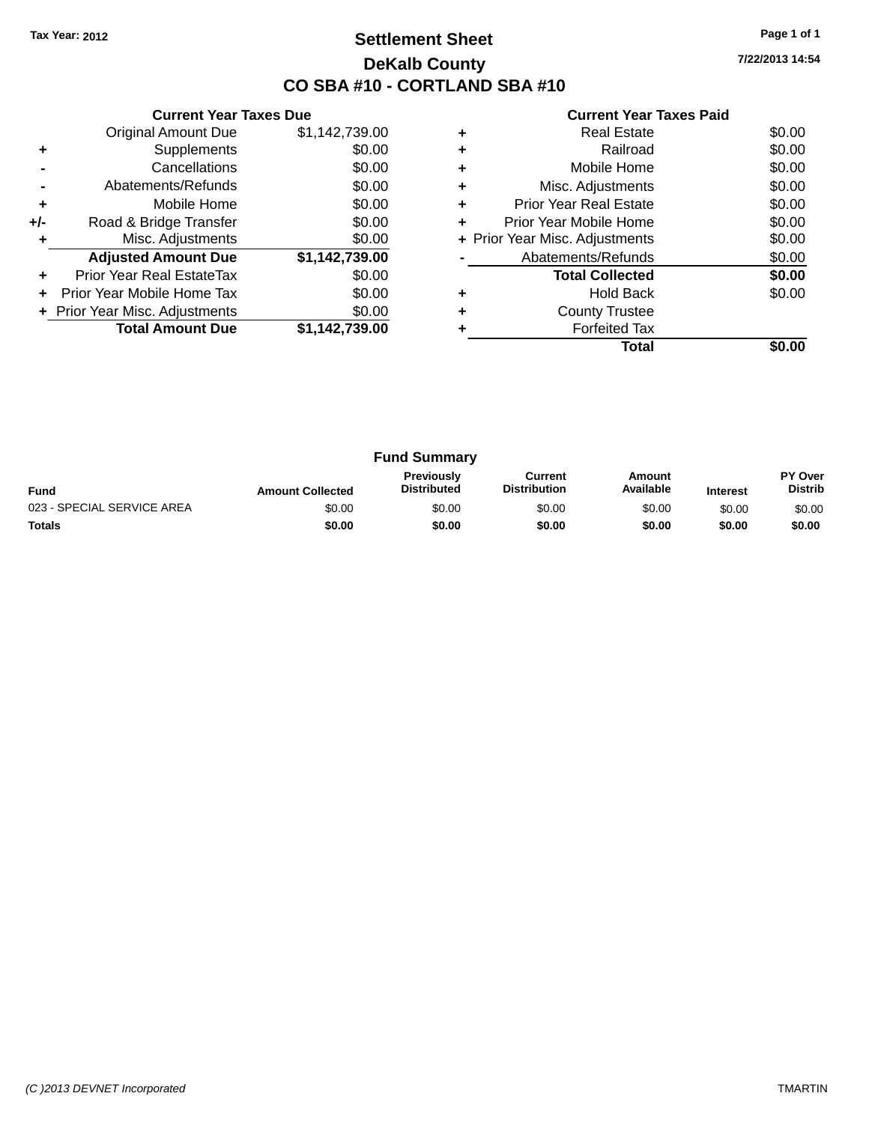### **Settlement Sheet Tax Year: 2012 Page 1 of 1 DeKalb County CO SBA #10 - CORTLAND SBA #10**

**7/22/2013 14:54**

|     | <b>Current Year Taxes Due</b>  |                |
|-----|--------------------------------|----------------|
|     | <b>Original Amount Due</b>     | \$1,142,739.00 |
| ٠   | Supplements                    | \$0.00         |
|     | Cancellations                  | \$0.00         |
|     | Abatements/Refunds             | \$0.00         |
| ٠   | Mobile Home                    | \$0.00         |
| +/- | Road & Bridge Transfer         | \$0.00         |
|     | Misc. Adjustments              | \$0.00         |
|     | <b>Adjusted Amount Due</b>     | \$1,142,739.00 |
| ٠   | Prior Year Real EstateTax      | \$0.00         |
|     | Prior Year Mobile Home Tax     | \$0.00         |
|     | + Prior Year Misc. Adjustments | \$0.00         |
|     | <b>Total Amount Due</b>        | \$1,142,739.00 |
|     |                                |                |

|   | Total                          |        |
|---|--------------------------------|--------|
|   | <b>Forfeited Tax</b>           |        |
|   | <b>County Trustee</b>          |        |
|   | <b>Hold Back</b>               | \$0.00 |
|   | <b>Total Collected</b>         | \$0.00 |
|   | Abatements/Refunds             | \$0.00 |
|   | + Prior Year Misc. Adjustments | \$0.00 |
| ٠ | Prior Year Mobile Home         | \$0.00 |
| ٠ | <b>Prior Year Real Estate</b>  | \$0.00 |
| ٠ | Misc. Adjustments              | \$0.00 |
|   | Mobile Home                    | \$0.00 |
|   | Railroad                       | \$0.00 |
|   | <b>Real Estate</b>             | \$0.00 |

| <b>Fund Summary</b>        |                         |                                  |                                |                     |                 |                           |
|----------------------------|-------------------------|----------------------------------|--------------------------------|---------------------|-----------------|---------------------------|
| <b>Fund</b>                | <b>Amount Collected</b> | Previously<br><b>Distributed</b> | Current<br><b>Distribution</b> | Amount<br>Available | <b>Interest</b> | PY Over<br><b>Distrib</b> |
| 023 - SPECIAL SERVICE AREA | \$0.00                  | \$0.00                           | \$0.00                         | \$0.00              | \$0.00          | \$0.00                    |
| <b>Totals</b>              | \$0.00                  | \$0.00                           | \$0.00                         | \$0.00              | \$0.00          | \$0.00                    |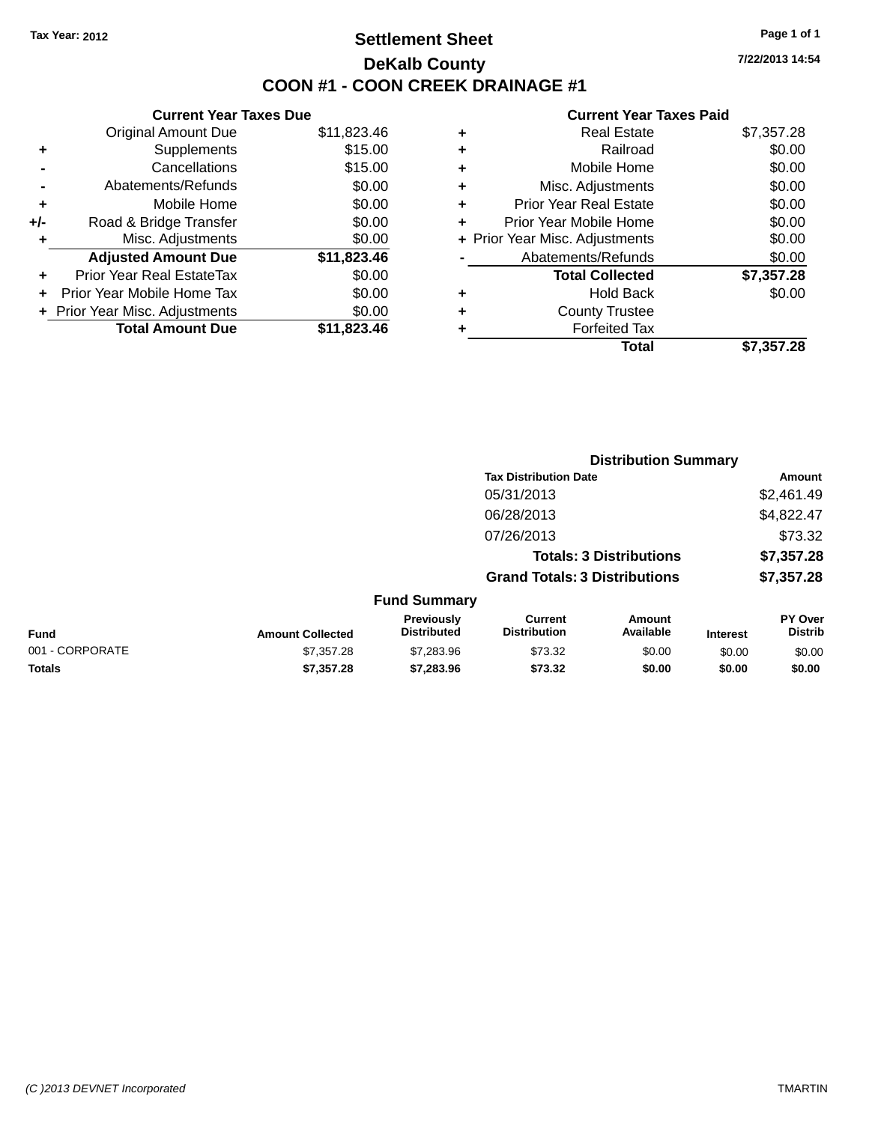### **Settlement Sheet Tax Year: 2012 Page 1 of 1 DeKalb County COON #1 - COON CREEK DRAINAGE #1**

**7/22/2013 14:54**

| <b>Original Amount Due</b>     | \$11,823.46                   |
|--------------------------------|-------------------------------|
| Supplements                    | \$15.00                       |
| Cancellations                  | \$15.00                       |
| Abatements/Refunds             | \$0.00                        |
| Mobile Home                    | \$0.00                        |
| Road & Bridge Transfer         | \$0.00                        |
| Misc. Adjustments              | \$0.00                        |
| <b>Adjusted Amount Due</b>     | \$11,823.46                   |
| Prior Year Real EstateTax      | \$0.00                        |
| Prior Year Mobile Home Tax     | \$0.00                        |
| + Prior Year Misc. Adjustments | \$0.00                        |
| <b>Total Amount Due</b>        | \$11,823,46                   |
|                                |                               |
|                                | <b>Current Year Taxes Due</b> |

|   | <b>Real Estate</b>             | \$7,357.28 |
|---|--------------------------------|------------|
| ٠ | Railroad                       | \$0.00     |
| ٠ | Mobile Home                    | \$0.00     |
| ٠ | Misc. Adjustments              | \$0.00     |
| ٠ | <b>Prior Year Real Estate</b>  | \$0.00     |
| ٠ | Prior Year Mobile Home         | \$0.00     |
|   | + Prior Year Misc. Adjustments | \$0.00     |
|   | Abatements/Refunds             | \$0.00     |
|   | <b>Total Collected</b>         | \$7,357.28 |
| ٠ | <b>Hold Back</b>               | \$0.00     |
| ٠ | <b>County Trustee</b>          |            |
|   | <b>Forfeited Tax</b>           |            |
|   | Total                          | \$7,357.28 |
|   |                                |            |

|                 |                         |                                  |                                       | <b>Distribution Summary</b>    |                 |                           |
|-----------------|-------------------------|----------------------------------|---------------------------------------|--------------------------------|-----------------|---------------------------|
|                 |                         |                                  | <b>Tax Distribution Date</b>          |                                |                 | Amount                    |
|                 |                         |                                  | 05/31/2013                            |                                |                 | \$2,461.49                |
|                 |                         |                                  | 06/28/2013                            |                                |                 | \$4,822.47                |
|                 |                         |                                  | 07/26/2013                            |                                |                 | \$73.32                   |
|                 |                         |                                  |                                       | <b>Totals: 3 Distributions</b> |                 | \$7,357.28                |
|                 |                         |                                  | <b>Grand Totals: 3 Distributions</b>  |                                |                 | \$7,357.28                |
|                 |                         | <b>Fund Summary</b>              |                                       |                                |                 |                           |
| <b>Fund</b>     | <b>Amount Collected</b> | Previously<br><b>Distributed</b> | <b>Current</b><br><b>Distribution</b> | Amount<br>Available            | <b>Interest</b> | PY Over<br><b>Distrib</b> |
| 001 - CORPORATE | \$7,357.28              | \$7,283.96                       | \$73.32                               | \$0.00                         | \$0.00          | \$0.00                    |
| <b>Totals</b>   | \$7,357.28              | \$7,283.96                       | \$73.32                               | \$0.00                         | \$0.00          | \$0.00                    |
|                 |                         |                                  |                                       |                                |                 |                           |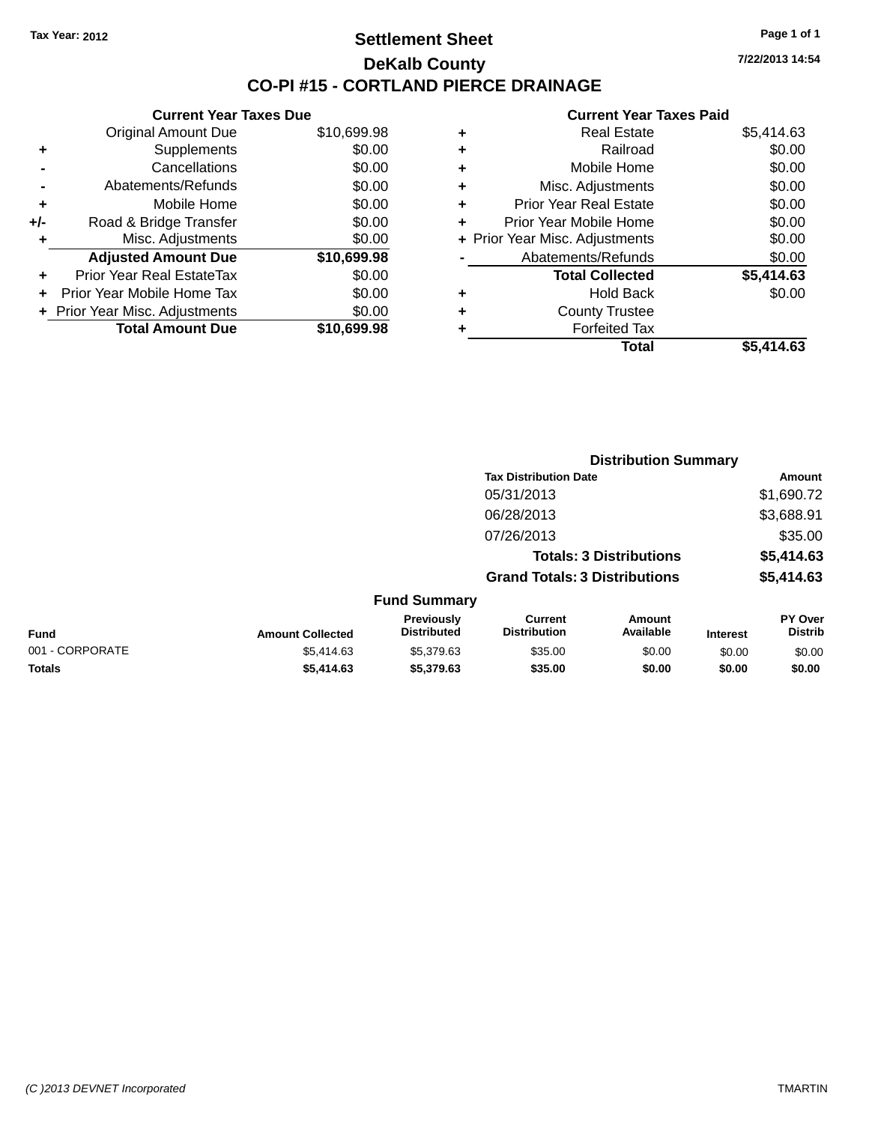#### **Settlement Sheet Tax Year: 2012 Page 1 of 1 DeKalb County CO-PI #15 - CORTLAND PIERCE DRAINAGE**

**7/22/2013 14:54**

|     | <b>Current Year Taxes Due</b>  |             |
|-----|--------------------------------|-------------|
|     | <b>Original Amount Due</b>     | \$10,699.98 |
| ÷   | Supplements                    | \$0.00      |
|     | Cancellations                  | \$0.00      |
|     | Abatements/Refunds             | \$0.00      |
| ÷   | Mobile Home                    | \$0.00      |
| +/- | Road & Bridge Transfer         | \$0.00      |
|     | Misc. Adjustments              | \$0.00      |
|     | <b>Adjusted Amount Due</b>     | \$10,699.98 |
| ÷   | Prior Year Real EstateTax      | \$0.00      |
|     | Prior Year Mobile Home Tax     | \$0.00      |
|     | + Prior Year Misc. Adjustments | \$0.00      |
|     | <b>Total Amount Due</b>        | \$10,699.98 |
|     |                                |             |

|   | <b>Real Estate</b>             | \$5,414.63 |
|---|--------------------------------|------------|
| ٠ | Railroad                       | \$0.00     |
| ٠ | Mobile Home                    | \$0.00     |
| ٠ | Misc. Adjustments              | \$0.00     |
| ٠ | <b>Prior Year Real Estate</b>  | \$0.00     |
| ٠ | Prior Year Mobile Home         | \$0.00     |
|   | + Prior Year Misc. Adjustments | \$0.00     |
|   | Abatements/Refunds             | \$0.00     |
|   | <b>Total Collected</b>         | \$5,414.63 |
| ٠ | <b>Hold Back</b>               | \$0.00     |
| ٠ | <b>County Trustee</b>          |            |
| ٠ | <b>Forfeited Tax</b>           |            |
|   | <b>Total</b>                   | \$5.414.63 |
|   |                                |            |

|                 |                         |                                  | <b>Distribution Summary</b>           |                                |                 |                           |
|-----------------|-------------------------|----------------------------------|---------------------------------------|--------------------------------|-----------------|---------------------------|
|                 |                         |                                  | <b>Tax Distribution Date</b>          |                                |                 | Amount                    |
|                 |                         |                                  | 05/31/2013                            |                                |                 | \$1,690.72                |
|                 |                         |                                  | 06/28/2013                            |                                |                 | \$3,688.91                |
|                 |                         |                                  | 07/26/2013                            |                                |                 | \$35.00                   |
|                 |                         |                                  |                                       | <b>Totals: 3 Distributions</b> |                 | \$5,414.63                |
|                 |                         |                                  | <b>Grand Totals: 3 Distributions</b>  |                                |                 | \$5,414.63                |
|                 |                         | <b>Fund Summary</b>              |                                       |                                |                 |                           |
| <b>Fund</b>     | <b>Amount Collected</b> | Previously<br><b>Distributed</b> | <b>Current</b><br><b>Distribution</b> | Amount<br>Available            | <b>Interest</b> | PY Over<br><b>Distrib</b> |
| 001 - CORPORATE | \$5,414.63              | \$5,379.63                       | \$35.00                               | \$0.00                         | \$0.00          | \$0.00                    |
| <b>Totals</b>   | \$5,414.63              | \$5,379.63                       | \$35.00                               | \$0.00                         | \$0.00          | \$0.00                    |
|                 |                         |                                  |                                       |                                |                 |                           |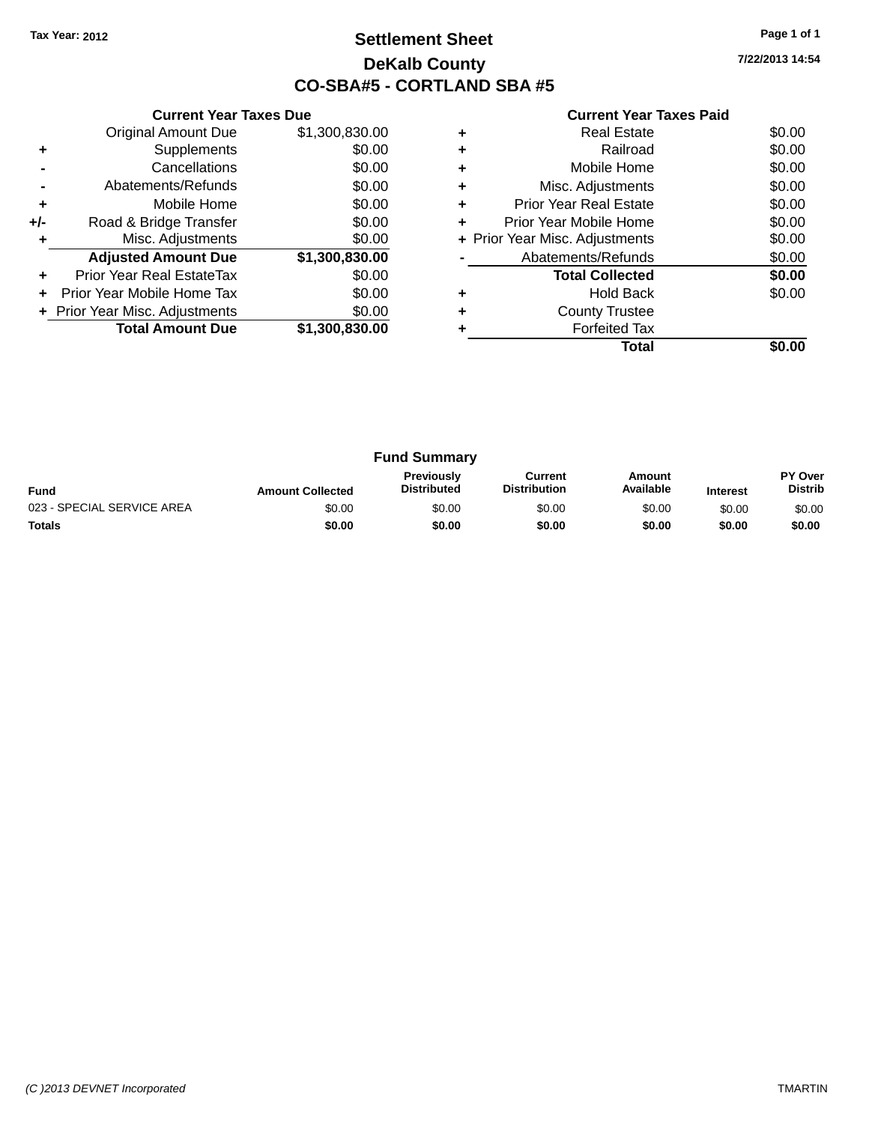### **Settlement Sheet Tax Year: 2012 Page 1 of 1 DeKalb County CO-SBA#5 - CORTLAND SBA #5**

**7/22/2013 14:54**

|     | <b>Current Year Taxes Due</b>     |                |
|-----|-----------------------------------|----------------|
|     | <b>Original Amount Due</b>        | \$1,300,830.00 |
|     | Supplements                       | \$0.00         |
|     | Cancellations                     | \$0.00         |
|     | Abatements/Refunds                | \$0.00         |
| ÷   | Mobile Home                       | \$0.00         |
| +/- | Road & Bridge Transfer            | \$0.00         |
|     | Misc. Adjustments                 | \$0.00         |
|     | <b>Adjusted Amount Due</b>        | \$1,300,830.00 |
| ٠   | Prior Year Real EstateTax         | \$0.00         |
|     | <b>Prior Year Mobile Home Tax</b> | \$0.00         |
|     | + Prior Year Misc. Adjustments    | \$0.00         |
|     | <b>Total Amount Due</b>           | \$1,300,830.00 |
|     |                                   |                |

| <b>Real Estate</b>            | \$0.00                         |
|-------------------------------|--------------------------------|
| Railroad                      | \$0.00                         |
| Mobile Home                   | \$0.00                         |
| Misc. Adjustments             | \$0.00                         |
| <b>Prior Year Real Estate</b> | \$0.00                         |
| Prior Year Mobile Home        | \$0.00                         |
|                               | \$0.00                         |
| Abatements/Refunds            | \$0.00                         |
| <b>Total Collected</b>        | \$0.00                         |
| <b>Hold Back</b>              | \$0.00                         |
| <b>County Trustee</b>         |                                |
| <b>Forfeited Tax</b>          |                                |
| Total                         |                                |
|                               | + Prior Year Misc. Adjustments |

|                            |                         | <b>Fund Summary</b>                     |                                |                     |                 |                           |
|----------------------------|-------------------------|-----------------------------------------|--------------------------------|---------------------|-----------------|---------------------------|
| <b>Fund</b>                | <b>Amount Collected</b> | <b>Previously</b><br><b>Distributed</b> | Current<br><b>Distribution</b> | Amount<br>Available | <b>Interest</b> | PY Over<br><b>Distrib</b> |
| 023 - SPECIAL SERVICE AREA | \$0.00                  | \$0.00                                  | \$0.00                         | \$0.00              | \$0.00          | \$0.00                    |
| <b>Totals</b>              | \$0.00                  | \$0.00                                  | \$0.00                         | \$0.00              | \$0.00          | \$0.00                    |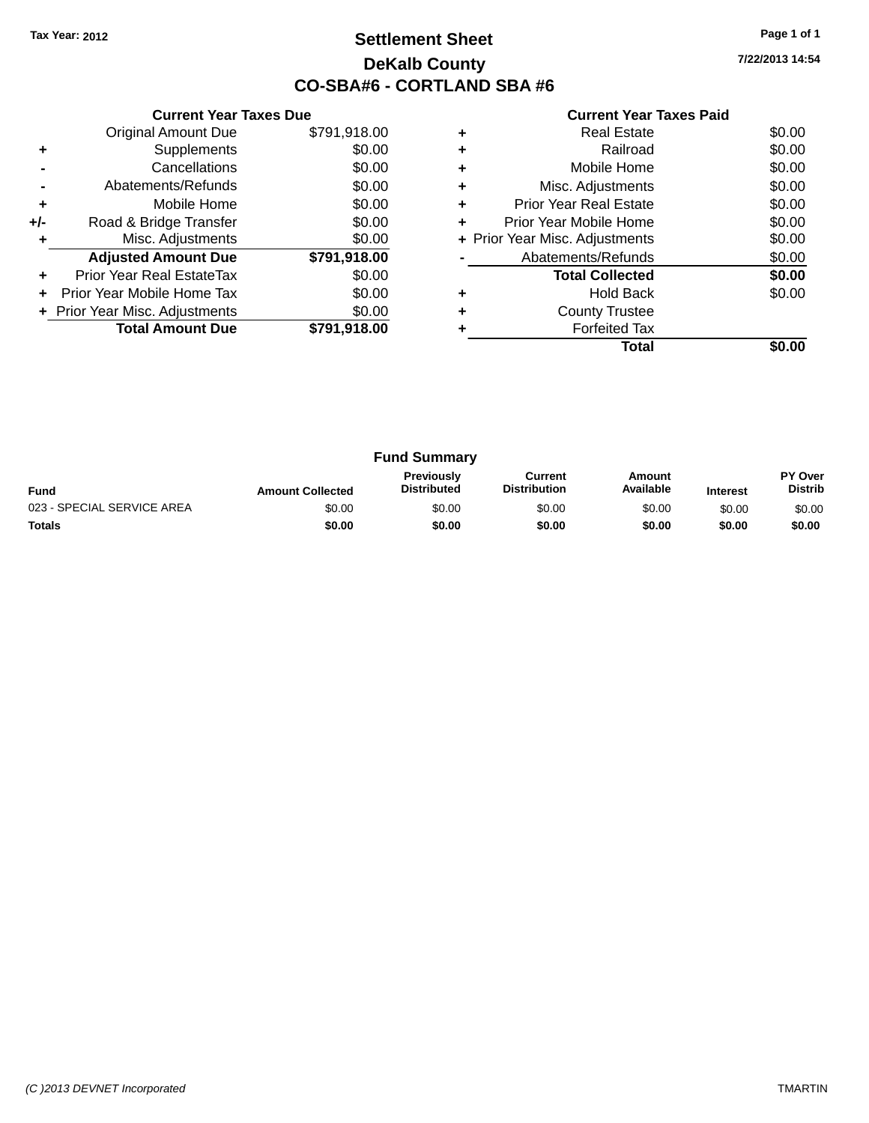### **Settlement Sheet Tax Year: 2012 Page 1 of 1 DeKalb County CO-SBA#6 - CORTLAND SBA #6**

**7/22/2013 14:54**

|     | <b>Current Year Taxes Due</b>  |              |
|-----|--------------------------------|--------------|
|     | <b>Original Amount Due</b>     | \$791,918.00 |
| ٠   | Supplements                    | \$0.00       |
|     | Cancellations                  | \$0.00       |
|     | Abatements/Refunds             | \$0.00       |
| ÷   | Mobile Home                    | \$0.00       |
| +/- | Road & Bridge Transfer         | \$0.00       |
| ٠   | Misc. Adjustments              | \$0.00       |
|     | <b>Adjusted Amount Due</b>     | \$791,918.00 |
| ٠   | Prior Year Real EstateTax      | \$0.00       |
| ÷   | Prior Year Mobile Home Tax     | \$0.00       |
|     | + Prior Year Misc. Adjustments | \$0.00       |
|     | <b>Total Amount Due</b>        | \$791,918.00 |
|     |                                |              |

|   | Real Estate                    | \$0.00 |
|---|--------------------------------|--------|
| ٠ | Railroad                       | \$0.00 |
| ٠ | Mobile Home                    | \$0.00 |
| ٠ | Misc. Adjustments              | \$0.00 |
| ٠ | <b>Prior Year Real Estate</b>  | \$0.00 |
| ٠ | Prior Year Mobile Home         | \$0.00 |
|   | + Prior Year Misc. Adjustments | \$0.00 |
|   | Abatements/Refunds             | \$0.00 |
|   | <b>Total Collected</b>         | \$0.00 |
|   | Hold Back                      | \$0.00 |
| ٠ | <b>County Trustee</b>          |        |
|   | <b>Forfeited Tax</b>           |        |
|   | Total                          |        |

|                            |                         | <b>Fund Summary</b>                     |                                |                     |                 |                                  |
|----------------------------|-------------------------|-----------------------------------------|--------------------------------|---------------------|-----------------|----------------------------------|
| <b>Fund</b>                | <b>Amount Collected</b> | <b>Previously</b><br><b>Distributed</b> | Current<br><b>Distribution</b> | Amount<br>Available | <b>Interest</b> | <b>PY Over</b><br><b>Distrib</b> |
| 023 - SPECIAL SERVICE AREA | \$0.00                  | \$0.00                                  | \$0.00                         | \$0.00              | \$0.00          | \$0.00                           |
| <b>Totals</b>              | \$0.00                  | \$0.00                                  | \$0.00                         | \$0.00              | \$0.00          | \$0.00                           |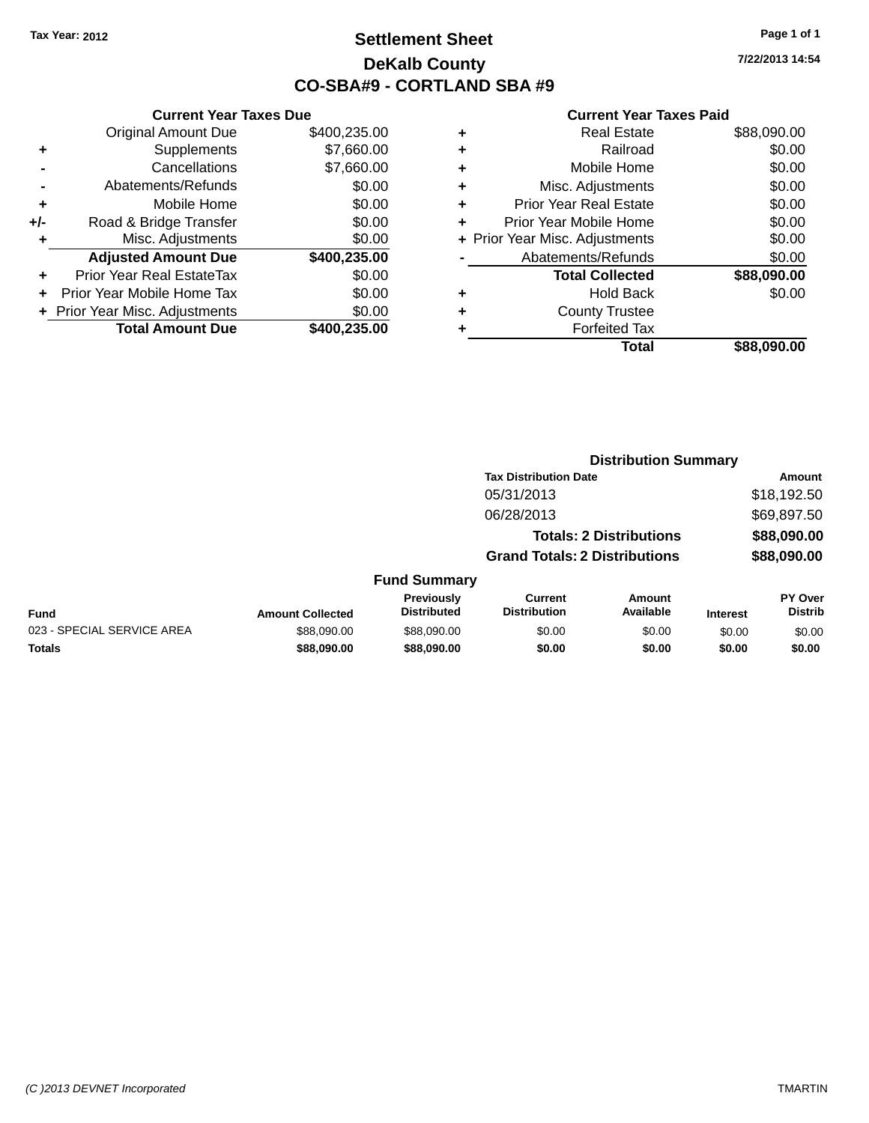### **Settlement Sheet Tax Year: 2012 Page 1 of 1 DeKalb County CO-SBA#9 - CORTLAND SBA #9**

**7/22/2013 14:54**

|     | <b>Current Year Taxes Due</b>    |              |        |
|-----|----------------------------------|--------------|--------|
|     | <b>Original Amount Due</b>       | \$400,235.00 | ٠      |
|     | Supplements                      | \$7,660.00   | ٠      |
|     | Cancellations                    | \$7,660.00   | ٠      |
|     | Abatements/Refunds               | \$0.00       | ٠      |
|     | Mobile Home                      | \$0.00       | ٠      |
| +/- | Road & Bridge Transfer           | \$0.00       | ٠      |
|     | Misc. Adjustments                | \$0.00       | + Prio |
|     | <b>Adjusted Amount Due</b>       | \$400,235.00 |        |
|     | <b>Prior Year Real EstateTax</b> | \$0.00       |        |
|     | Prior Year Mobile Home Tax       | \$0.00       | ٠      |
|     | + Prior Year Misc. Adjustments   | \$0.00       | ٠      |
|     | <b>Total Amount Due</b>          | \$400,235.00 |        |
|     |                                  |              |        |

|   | <b>Real Estate</b>             | \$88,090.00 |
|---|--------------------------------|-------------|
| ٠ | Railroad                       | \$0.00      |
| ٠ | Mobile Home                    | \$0.00      |
| ٠ | Misc. Adjustments              | \$0.00      |
| ٠ | <b>Prior Year Real Estate</b>  | \$0.00      |
| ٠ | Prior Year Mobile Home         | \$0.00      |
|   | + Prior Year Misc. Adjustments | \$0.00      |
|   | Abatements/Refunds             | \$0.00      |
|   | <b>Total Collected</b>         | \$88,090.00 |
| ٠ | <b>Hold Back</b>               | \$0.00      |
| ٠ | <b>County Trustee</b>          |             |
|   | <b>Forfeited Tax</b>           |             |
|   | Total                          | \$88,090.00 |
|   |                                |             |

|                            |                         |                                  | <b>Distribution Summary</b>           |                                |                 |                           |
|----------------------------|-------------------------|----------------------------------|---------------------------------------|--------------------------------|-----------------|---------------------------|
|                            |                         |                                  | <b>Tax Distribution Date</b>          |                                |                 | <b>Amount</b>             |
|                            |                         |                                  | 05/31/2013                            |                                |                 | \$18,192.50               |
|                            |                         |                                  | 06/28/2013                            |                                |                 | \$69,897.50               |
|                            |                         |                                  |                                       | <b>Totals: 2 Distributions</b> |                 | \$88,090.00               |
|                            |                         |                                  | <b>Grand Totals: 2 Distributions</b>  |                                |                 | \$88,090.00               |
|                            |                         | <b>Fund Summary</b>              |                                       |                                |                 |                           |
| Fund                       | <b>Amount Collected</b> | Previously<br><b>Distributed</b> | <b>Current</b><br><b>Distribution</b> | Amount<br>Available            | <b>Interest</b> | PY Over<br><b>Distrib</b> |
| 023 - SPECIAL SERVICE AREA | \$88,090,00             | \$88,090,00                      | \$0.00                                | \$0.00                         | \$0.00          | \$0.00                    |
| <b>Totals</b>              | \$88,090.00             | \$88,090.00                      | \$0.00                                | \$0.00                         | \$0.00          | \$0.00                    |
|                            |                         |                                  |                                       |                                |                 |                           |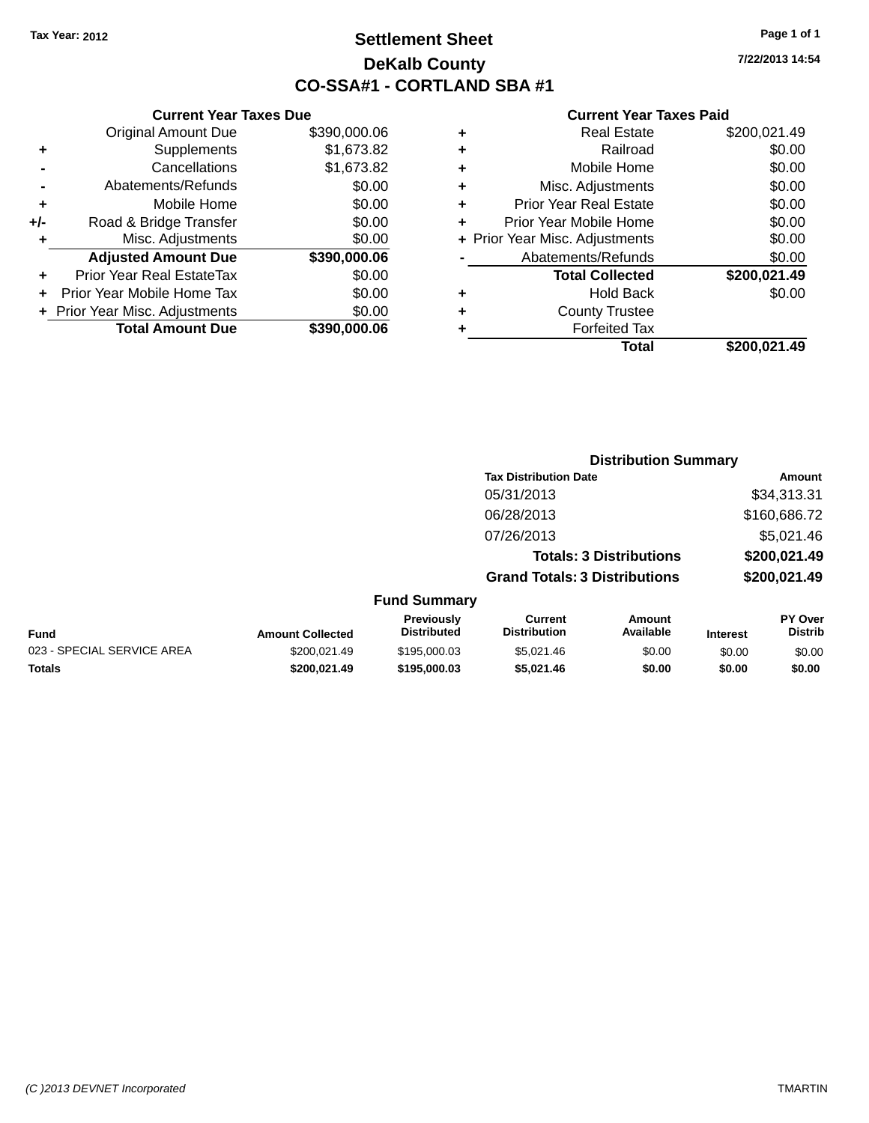### **Settlement Sheet Tax Year: 2012 Page 1 of 1 DeKalb County CO-SSA#1 - CORTLAND SBA #1**

**7/22/2013 14:54**

|   | Total                          | \$200.021.49 |
|---|--------------------------------|--------------|
|   | <b>Forfeited Tax</b>           |              |
| ٠ | <b>County Trustee</b>          |              |
| ٠ | <b>Hold Back</b>               | \$0.00       |
|   | <b>Total Collected</b>         | \$200,021.49 |
|   | Abatements/Refunds             | \$0.00       |
|   | + Prior Year Misc. Adjustments | \$0.00       |
| ٠ | Prior Year Mobile Home         | \$0.00       |
| ٠ | <b>Prior Year Real Estate</b>  | \$0.00       |
| ٠ | Misc. Adjustments              | \$0.00       |
| ٠ | Mobile Home                    | \$0.00       |
| ٠ | Railroad                       | \$0.00       |
|   | <b>Real Estate</b>             | \$200,021.49 |

|     | <b>Current Year Taxes Due</b>  |              |
|-----|--------------------------------|--------------|
|     | <b>Original Amount Due</b>     | \$390,000.06 |
| ٠   | Supplements                    | \$1,673.82   |
|     | Cancellations                  | \$1,673.82   |
|     | Abatements/Refunds             | \$0.00       |
| ٠   | Mobile Home                    | \$0.00       |
| +/- | Road & Bridge Transfer         | \$0.00       |
| ٠   | Misc. Adjustments              | \$0.00       |
|     | <b>Adjusted Amount Due</b>     | \$390,000.06 |
|     | Prior Year Real EstateTax      | \$0.00       |
|     | Prior Year Mobile Home Tax     | \$0.00       |
|     | + Prior Year Misc. Adjustments | \$0.00       |
|     | <b>Total Amount Due</b>        | \$390,000.06 |
|     |                                |              |

|                     |                                      | <b>Distribution Summary</b>    |                |
|---------------------|--------------------------------------|--------------------------------|----------------|
|                     | <b>Tax Distribution Date</b>         |                                | Amount         |
|                     | 05/31/2013                           |                                | \$34,313.31    |
|                     | 06/28/2013                           |                                | \$160,686.72   |
|                     | 07/26/2013                           |                                | \$5,021.46     |
|                     |                                      | <b>Totals: 3 Distributions</b> | \$200,021.49   |
|                     | <b>Grand Totals: 3 Distributions</b> |                                | \$200,021.49   |
| <b>Fund Summary</b> |                                      |                                |                |
| <b>Previously</b>   | Current                              | Amount                         | <b>PY Over</b> |

|                            |                         | Previouslv         | Current      | Amount    |          | <b>PY Over</b> |
|----------------------------|-------------------------|--------------------|--------------|-----------|----------|----------------|
| <b>Fund</b>                | <b>Amount Collected</b> | <b>Distributed</b> | Distribution | Available | Interest | Distrib        |
| 023 - SPECIAL SERVICE AREA | \$200.021.49            | \$195,000.03       | \$5.021.46   | \$0.00    | \$0.00   | \$0.00         |
| <b>Totals</b>              | \$200.021.49            | \$195,000.03       | \$5.021.46   | \$0.00    | \$0.00   | \$0.00         |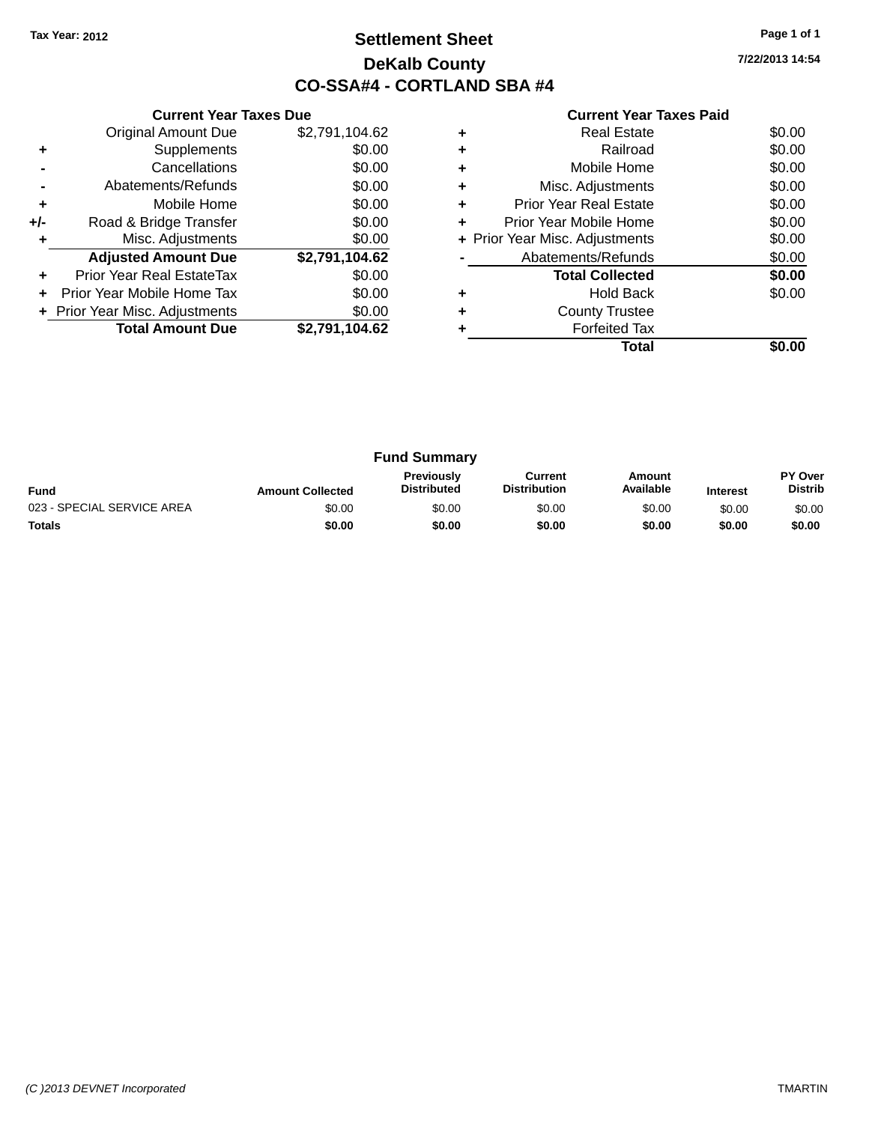### **Settlement Sheet Tax Year: 2012 Page 1 of 1 DeKalb County CO-SSA#4 - CORTLAND SBA #4**

| <b>Current Year Taxes Paid</b> |  |  |  |
|--------------------------------|--|--|--|
|--------------------------------|--|--|--|

|     | <b>Current Year Taxes Due</b>  |                |  |  |  |  |
|-----|--------------------------------|----------------|--|--|--|--|
|     | <b>Original Amount Due</b>     | \$2,791,104.62 |  |  |  |  |
| ٠   | Supplements                    | \$0.00         |  |  |  |  |
|     | Cancellations                  | \$0.00         |  |  |  |  |
|     | Abatements/Refunds             | \$0.00         |  |  |  |  |
| ٠   | Mobile Home                    | \$0.00         |  |  |  |  |
| +/- | Road & Bridge Transfer         | \$0.00         |  |  |  |  |
|     | Misc. Adjustments              | \$0.00         |  |  |  |  |
|     | <b>Adjusted Amount Due</b>     | \$2,791,104.62 |  |  |  |  |
|     | Prior Year Real EstateTax      | \$0.00         |  |  |  |  |
|     | Prior Year Mobile Home Tax     | \$0.00         |  |  |  |  |
|     | + Prior Year Misc. Adjustments | \$0.00         |  |  |  |  |
|     | <b>Total Amount Due</b>        | \$2,791,104.62 |  |  |  |  |
|     |                                |                |  |  |  |  |

| ٠ | Misc. Adjustments              | \$0.00<br>\$0.00 |
|---|--------------------------------|------------------|
| ٠ | Prior Year Real Estate         | \$0.00           |
| ٠ | Prior Year Mobile Home         | \$0.00           |
|   | + Prior Year Misc. Adjustments | \$0.00           |
|   | Abatements/Refunds             | \$0.00           |
|   | <b>Total Collected</b>         | \$0.00           |
|   | <b>Hold Back</b>               | \$0.00           |
| ٠ | <b>County Trustee</b>          |                  |
|   |                                |                  |
|   | <b>Forfeited Tax</b>           |                  |

| <b>Fund Summary</b>        |                         |                                         |                                |                     |                 |                           |
|----------------------------|-------------------------|-----------------------------------------|--------------------------------|---------------------|-----------------|---------------------------|
| <b>Fund</b>                | <b>Amount Collected</b> | <b>Previously</b><br><b>Distributed</b> | Current<br><b>Distribution</b> | Amount<br>Available | <b>Interest</b> | PY Over<br><b>Distrib</b> |
| 023 - SPECIAL SERVICE AREA | \$0.00                  | \$0.00                                  | \$0.00                         | \$0.00              | \$0.00          | \$0.00                    |
| <b>Totals</b>              | \$0.00                  | \$0.00                                  | \$0.00                         | \$0.00              | \$0.00          | \$0.00                    |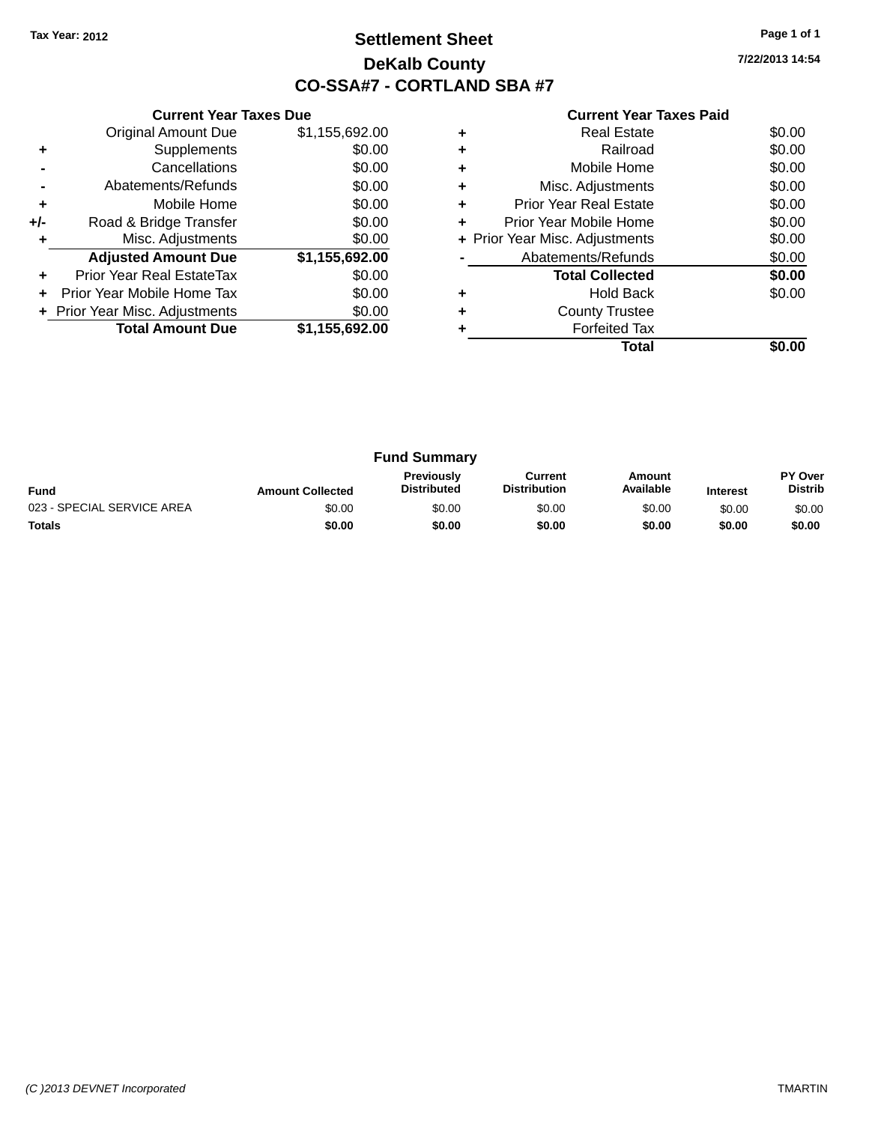### **Settlement Sheet Tax Year: 2012 Page 1 of 1 DeKalb County CO-SSA#7 - CORTLAND SBA #7**

**7/22/2013 14:54**

|     | <b>Current Year Taxes Due</b> |                |
|-----|-------------------------------|----------------|
|     | <b>Original Amount Due</b>    | \$1,155,692.00 |
| ٠   | Supplements                   | \$0.00         |
|     | Cancellations                 | \$0.00         |
|     | Abatements/Refunds            | \$0.00         |
| ٠   | Mobile Home                   | \$0.00         |
| +/- | Road & Bridge Transfer        | \$0.00         |
| ٠   | Misc. Adjustments             | \$0.00         |
|     | <b>Adjusted Amount Due</b>    | \$1,155,692.00 |
| ÷   | Prior Year Real EstateTax     | \$0.00         |
| ÷   | Prior Year Mobile Home Tax    | \$0.00         |
|     | Prior Year Misc. Adjustments  | \$0.00         |
|     | <b>Total Amount Due</b>       | \$1,155,692.00 |
|     |                               |                |

|   | <b>Real Estate</b>             | \$0.00 |
|---|--------------------------------|--------|
| ٠ | Railroad                       | \$0.00 |
| ٠ | Mobile Home                    | \$0.00 |
| ٠ | Misc. Adjustments              | \$0.00 |
| ٠ | <b>Prior Year Real Estate</b>  | \$0.00 |
| ٠ | Prior Year Mobile Home         | \$0.00 |
|   | + Prior Year Misc. Adjustments | \$0.00 |
|   | Abatements/Refunds             | \$0.00 |
|   | <b>Total Collected</b>         | \$0.00 |
|   | <b>Hold Back</b>               | \$0.00 |
| ٠ | <b>County Trustee</b>          |        |
|   | <b>Forfeited Tax</b>           |        |
|   | Total                          |        |

| <b>Fund Summary</b>        |                         |                                         |                                |                     |                 |                                  |
|----------------------------|-------------------------|-----------------------------------------|--------------------------------|---------------------|-----------------|----------------------------------|
| <b>Fund</b>                | <b>Amount Collected</b> | <b>Previously</b><br><b>Distributed</b> | Current<br><b>Distribution</b> | Amount<br>Available | <b>Interest</b> | <b>PY Over</b><br><b>Distrib</b> |
| 023 - SPECIAL SERVICE AREA | \$0.00                  | \$0.00                                  | \$0.00                         | \$0.00              | \$0.00          | \$0.00                           |
| <b>Totals</b>              | \$0.00                  | \$0.00                                  | \$0.00                         | \$0.00              | \$0.00          | \$0.00                           |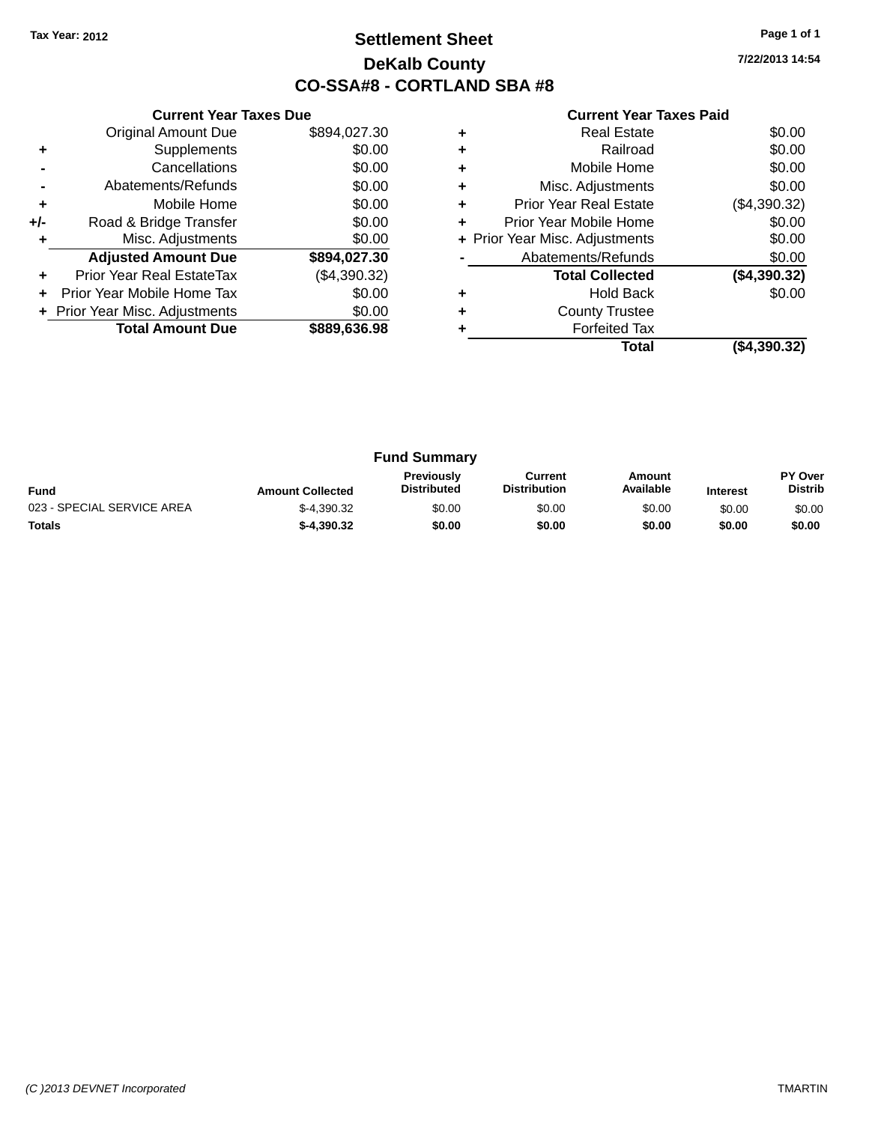### **Settlement Sheet Tax Year: 2012 Page 1 of 1 DeKalb County CO-SSA#8 - CORTLAND SBA #8**

**7/22/2013 14:54**

|     | <b>Current Year Taxes Due</b>  |              |
|-----|--------------------------------|--------------|
|     | <b>Original Amount Due</b>     | \$894,027.30 |
| ٠   | Supplements                    | \$0.00       |
|     | Cancellations                  | \$0.00       |
|     | Abatements/Refunds             | \$0.00       |
| ٠   | Mobile Home                    | \$0.00       |
| +/- | Road & Bridge Transfer         | \$0.00       |
|     | Misc. Adjustments              | \$0.00       |
|     | <b>Adjusted Amount Due</b>     | \$894,027.30 |
| ٠   | Prior Year Real EstateTax      | (\$4,390.32) |
|     | Prior Year Mobile Home Tax     | \$0.00       |
|     | + Prior Year Misc. Adjustments | \$0.00       |
|     | <b>Total Amount Due</b>        | \$889,636.98 |
|     |                                |              |

|   | Total                          | (\$4,390.32) |
|---|--------------------------------|--------------|
|   | <b>Forfeited Tax</b>           |              |
| ٠ | <b>County Trustee</b>          |              |
| ٠ | <b>Hold Back</b>               | \$0.00       |
|   | <b>Total Collected</b>         | (\$4,390.32) |
|   | Abatements/Refunds             | \$0.00       |
|   | + Prior Year Misc. Adjustments | \$0.00       |
| ٠ | Prior Year Mobile Home         | \$0.00       |
| ٠ | <b>Prior Year Real Estate</b>  | (\$4,390.32) |
| ٠ | Misc. Adjustments              | \$0.00       |
| ٠ | Mobile Home                    | \$0.00       |
| ٠ | Railroad                       | \$0.00       |
| ٠ | Real Estate                    | \$0.00       |
|   |                                |              |

| <b>Fund Summary</b>        |                         |                                         |                                |                     |                 |                                  |
|----------------------------|-------------------------|-----------------------------------------|--------------------------------|---------------------|-----------------|----------------------------------|
| <b>Fund</b>                | <b>Amount Collected</b> | <b>Previously</b><br><b>Distributed</b> | Current<br><b>Distribution</b> | Amount<br>Available | <b>Interest</b> | <b>PY Over</b><br><b>Distrib</b> |
| 023 - SPECIAL SERVICE AREA | $$-4.390.32$            | \$0.00                                  | \$0.00                         | \$0.00              | \$0.00          | \$0.00                           |
| <b>Totals</b>              | $$-4.390.32$            | \$0.00                                  | \$0.00                         | \$0.00              | \$0.00          | \$0.00                           |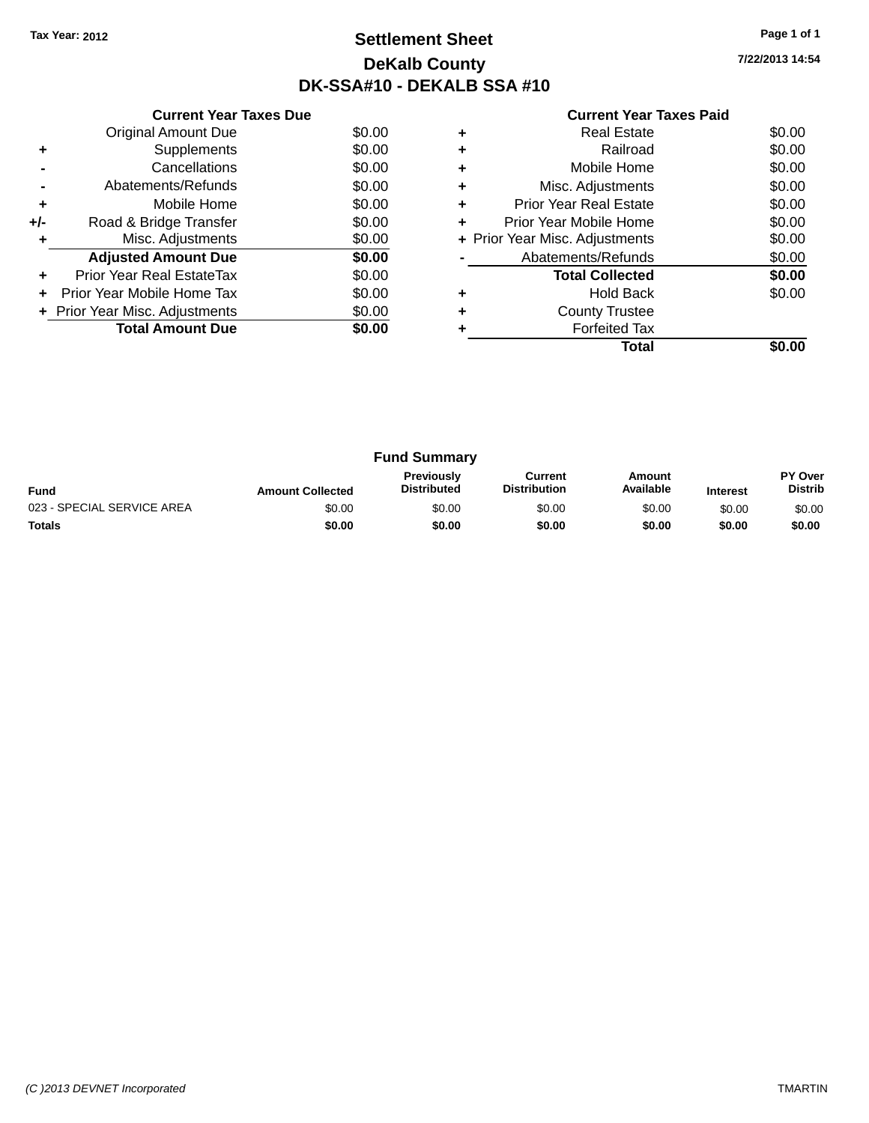### **Settlement Sheet Tax Year: 2012 Page 1 of 1 DeKalb County DK-SSA#10 - DEKALB SSA #10**

**7/22/2013 14:54**

| <b>Current Year Taxes Due</b> |                                |        |  |  |  |
|-------------------------------|--------------------------------|--------|--|--|--|
|                               | <b>Original Amount Due</b>     | \$0.00 |  |  |  |
| ٠                             | Supplements                    | \$0.00 |  |  |  |
|                               | Cancellations                  | \$0.00 |  |  |  |
|                               | Abatements/Refunds             | \$0.00 |  |  |  |
| ٠                             | \$0.00<br>Mobile Home          |        |  |  |  |
| +/-                           | Road & Bridge Transfer         | \$0.00 |  |  |  |
| ٠                             | Misc. Adjustments              | \$0.00 |  |  |  |
|                               | <b>Adjusted Amount Due</b>     | \$0.00 |  |  |  |
| ٠                             | Prior Year Real EstateTax      | \$0.00 |  |  |  |
|                               | Prior Year Mobile Home Tax     | \$0.00 |  |  |  |
|                               | + Prior Year Misc. Adjustments | \$0.00 |  |  |  |
|                               | <b>Total Amount Due</b>        | \$0.00 |  |  |  |
|                               |                                |        |  |  |  |

|   | <b>Real Estate</b>             | \$0.00 |  |  |
|---|--------------------------------|--------|--|--|
| ٠ | Railroad                       | \$0.00 |  |  |
| ٠ | Mobile Home                    |        |  |  |
| ٠ | Misc. Adjustments              |        |  |  |
| ٠ | <b>Prior Year Real Estate</b>  |        |  |  |
| ٠ | Prior Year Mobile Home         |        |  |  |
|   | + Prior Year Misc. Adjustments |        |  |  |
|   | Abatements/Refunds             | \$0.00 |  |  |
|   | <b>Total Collected</b>         | \$0.00 |  |  |
|   | <b>Hold Back</b>               | \$0.00 |  |  |
| ٠ | <b>County Trustee</b>          |        |  |  |
|   | <b>Forfeited Tax</b>           |        |  |  |
|   | Total                          |        |  |  |

| <b>Fund Summary</b>        |                         |                                         |                                |                     |                 |                           |
|----------------------------|-------------------------|-----------------------------------------|--------------------------------|---------------------|-----------------|---------------------------|
| <b>Fund</b>                | <b>Amount Collected</b> | <b>Previously</b><br><b>Distributed</b> | Current<br><b>Distribution</b> | Amount<br>Available | <b>Interest</b> | PY Over<br><b>Distrib</b> |
| 023 - SPECIAL SERVICE AREA | \$0.00                  | \$0.00                                  | \$0.00                         | \$0.00              | \$0.00          | \$0.00                    |
| <b>Totals</b>              | \$0.00                  | \$0.00                                  | \$0.00                         | \$0.00              | \$0.00          | \$0.00                    |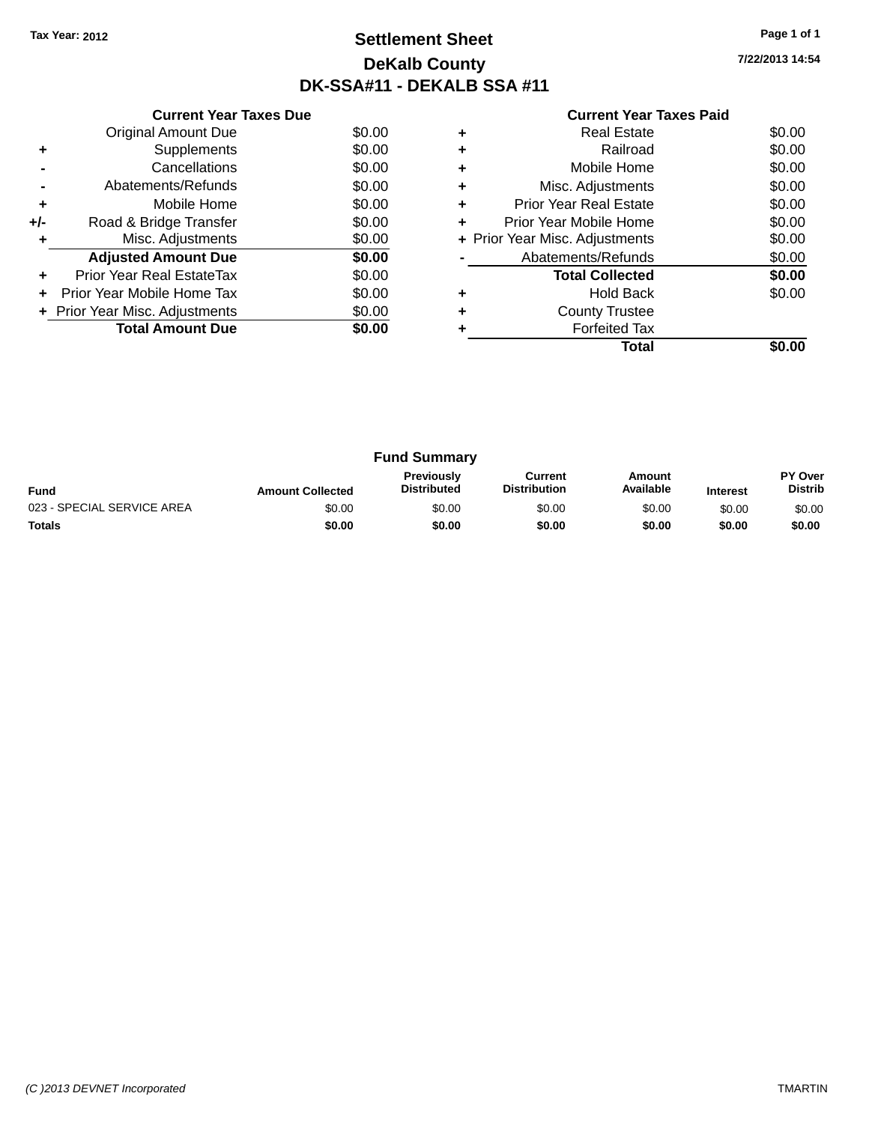### **Settlement Sheet Tax Year: 2012 Page 1 of 1 DeKalb County DK-SSA#11 - DEKALB SSA #11**

**7/22/2013 14:54**

|     | <b>Current Year Taxes Due</b>        |        |  |  |  |  |
|-----|--------------------------------------|--------|--|--|--|--|
|     | <b>Original Amount Due</b><br>\$0.00 |        |  |  |  |  |
| ٠   | Supplements                          | \$0.00 |  |  |  |  |
|     | \$0.00<br>Cancellations              |        |  |  |  |  |
|     | \$0.00<br>Abatements/Refunds         |        |  |  |  |  |
| ٠   | \$0.00<br>Mobile Home                |        |  |  |  |  |
| +/- | Road & Bridge Transfer               | \$0.00 |  |  |  |  |
| ٠   | Misc. Adjustments                    | \$0.00 |  |  |  |  |
|     | <b>Adjusted Amount Due</b>           | \$0.00 |  |  |  |  |
| ٠   | Prior Year Real EstateTax            | \$0.00 |  |  |  |  |
| ÷   | Prior Year Mobile Home Tax           | \$0.00 |  |  |  |  |
|     | + Prior Year Misc. Adjustments       | \$0.00 |  |  |  |  |
|     | <b>Total Amount Due</b>              | \$0.00 |  |  |  |  |
|     |                                      |        |  |  |  |  |

|   | Real Estate                    | \$0.00 |  |  |
|---|--------------------------------|--------|--|--|
|   | Railroad                       | \$0.00 |  |  |
| ٠ | Mobile Home                    | \$0.00 |  |  |
| ٠ | Misc. Adjustments              |        |  |  |
| ٠ | <b>Prior Year Real Estate</b>  |        |  |  |
| ٠ | Prior Year Mobile Home         | \$0.00 |  |  |
|   | + Prior Year Misc. Adjustments | \$0.00 |  |  |
|   | Abatements/Refunds             | \$0.00 |  |  |
|   | <b>Total Collected</b>         | \$0.00 |  |  |
| ٠ | <b>Hold Back</b>               | \$0.00 |  |  |
|   | <b>County Trustee</b>          |        |  |  |
|   | <b>Forfeited Tax</b>           |        |  |  |
|   | Total                          |        |  |  |

| <b>Fund Summary</b>        |                         |                                         |                                |                     |                 |                                  |
|----------------------------|-------------------------|-----------------------------------------|--------------------------------|---------------------|-----------------|----------------------------------|
| <b>Fund</b>                | <b>Amount Collected</b> | <b>Previously</b><br><b>Distributed</b> | Current<br><b>Distribution</b> | Amount<br>Available | <b>Interest</b> | <b>PY Over</b><br><b>Distrib</b> |
| 023 - SPECIAL SERVICE AREA | \$0.00                  | \$0.00                                  | \$0.00                         | \$0.00              | \$0.00          | \$0.00                           |
| <b>Totals</b>              | \$0.00                  | \$0.00                                  | \$0.00                         | \$0.00              | \$0.00          | \$0.00                           |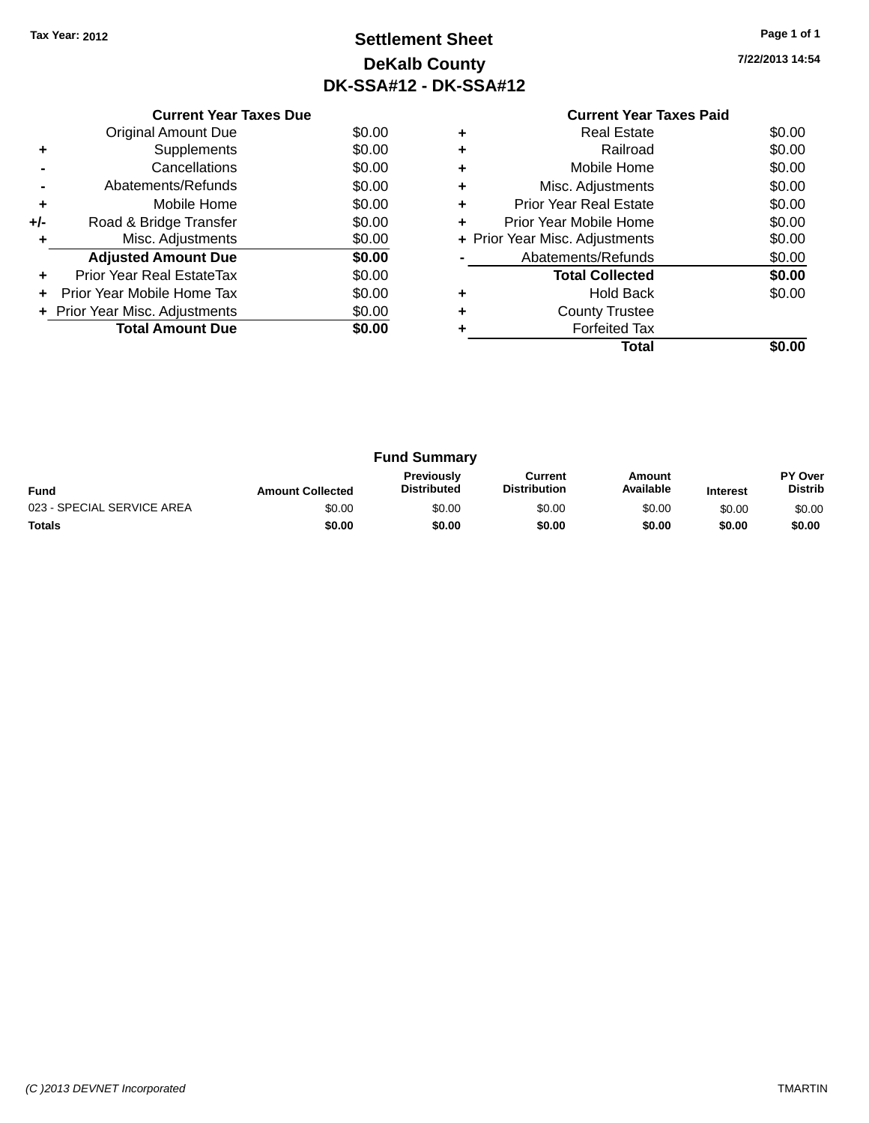# **Settlement Sheet Tax Year: 2012 Page 1 of 1 DeKalb County DK-SSA#12 - DK-SSA#12**

**7/22/2013 14:54**

|           | <b>Current Year Taxes Paid</b> |        |  |
|-----------|--------------------------------|--------|--|
| ÷         | <b>Real Estate</b>             | \$0.00 |  |
| $\ddot{}$ | Railroad                       | \$0.00 |  |
| ÷         | Mobile Home                    | \$0.00 |  |
| ÷         | Misc. Adjustments              | \$0.00 |  |
| <b>JL</b> | <b>Prior Vear Real Fetate</b>  | ቁስ ስስ  |  |

| Original Amount Due            | \$0.00 |
|--------------------------------|--------|
| Supplements                    | \$0.00 |
| Cancellations                  | \$0.00 |
| Abatements/Refunds             | \$0.00 |
| Mobile Home                    | \$0.00 |
| Road & Bridge Transfer         | \$0.00 |
| Misc. Adjustments              | \$0.00 |
| <b>Adjusted Amount Due</b>     | \$0.00 |
| Prior Year Real EstateTax      | \$0.00 |
| Prior Year Mobile Home Tax     | \$0.00 |
| + Prior Year Misc. Adjustments | \$0.00 |
| <b>Total Amount Due</b>        | \$0.00 |
|                                |        |

**Current Year Taxes Due**

|           | Total                          |        |
|-----------|--------------------------------|--------|
|           | <b>Forfeited Tax</b>           |        |
| ÷         | <b>County Trustee</b>          |        |
|           | <b>Hold Back</b>               | \$0.00 |
|           | <b>Total Collected</b>         | \$0.00 |
|           | Abatements/Refunds             | \$0.00 |
|           | + Prior Year Misc. Adjustments | \$0.00 |
| ÷         | Prior Year Mobile Home         | \$0.00 |
| ÷         | <b>Prior Year Real Estate</b>  | \$0.00 |
| $\ddot{}$ | Misc. Adjustments              | \$0.00 |
| ÷         | Mobile Home                    | \$0.00 |

|                            |                         | <b>Fund Summary</b>                     |                                |                     |                 |                           |
|----------------------------|-------------------------|-----------------------------------------|--------------------------------|---------------------|-----------------|---------------------------|
| <b>Fund</b>                | <b>Amount Collected</b> | <b>Previously</b><br><b>Distributed</b> | Current<br><b>Distribution</b> | Amount<br>Available | <b>Interest</b> | PY Over<br><b>Distrib</b> |
| 023 - SPECIAL SERVICE AREA | \$0.00                  | \$0.00                                  | \$0.00                         | \$0.00              | \$0.00          | \$0.00                    |
| <b>Totals</b>              | \$0.00                  | \$0.00                                  | \$0.00                         | \$0.00              | \$0.00          | \$0.00                    |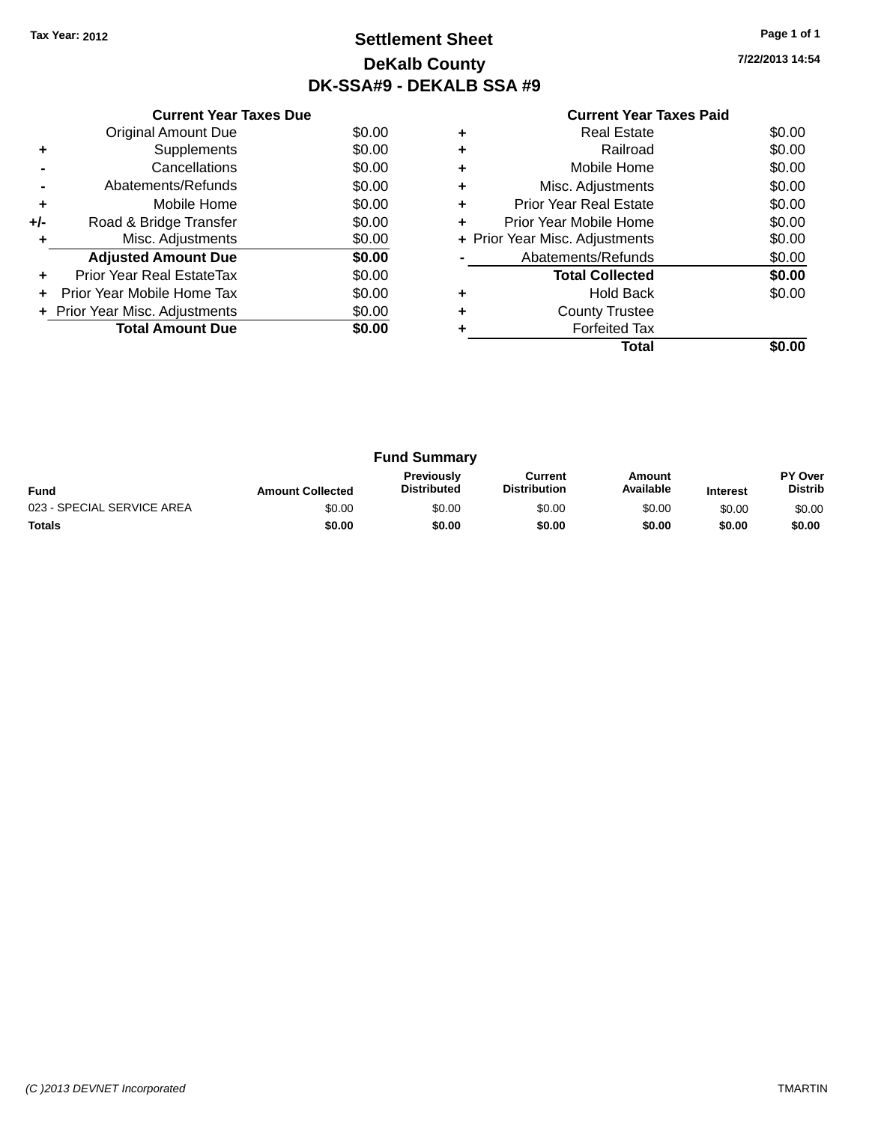# **Settlement Sheet Tax Year: 2012 Page 1 of 1 DeKalb County DK-SSA#9 - DEKALB SSA #9**

**7/22/2013 14:54**

|     | <b>Current Year Taxes Due</b>  |        |
|-----|--------------------------------|--------|
|     | <b>Original Amount Due</b>     | \$0.00 |
|     | Supplements                    | \$0.00 |
|     | Cancellations                  | \$0.00 |
|     | Abatements/Refunds             | \$0.00 |
| ٠   | Mobile Home                    | \$0.00 |
| +/- | Road & Bridge Transfer         | \$0.00 |
|     | Misc. Adjustments              | \$0.00 |
|     | <b>Adjusted Amount Due</b>     | \$0.00 |
|     | Prior Year Real EstateTax      | \$0.00 |
|     | Prior Year Mobile Home Tax     | \$0.00 |
|     | + Prior Year Misc. Adjustments | \$0.00 |
|     | <b>Total Amount Due</b>        | \$0.00 |
|     |                                |        |

|   | Real Estate                    | \$0.00 |
|---|--------------------------------|--------|
| ÷ | Railroad                       | \$0.00 |
| ٠ | Mobile Home                    | \$0.00 |
| ٠ | Misc. Adjustments              | \$0.00 |
| ٠ | <b>Prior Year Real Estate</b>  | \$0.00 |
| ٠ | Prior Year Mobile Home         | \$0.00 |
|   | + Prior Year Misc. Adjustments | \$0.00 |
|   | Abatements/Refunds             | \$0.00 |
|   | <b>Total Collected</b>         | \$0.00 |
| ٠ | Hold Back                      | \$0.00 |
| ٠ | <b>County Trustee</b>          |        |
|   | <b>Forfeited Tax</b>           |        |
|   | Total                          |        |

|                            |                         | <b>Fund Summary</b>                     |                                |                     |                 |                           |
|----------------------------|-------------------------|-----------------------------------------|--------------------------------|---------------------|-----------------|---------------------------|
| Fund                       | <b>Amount Collected</b> | <b>Previously</b><br><b>Distributed</b> | Current<br><b>Distribution</b> | Amount<br>Available | <b>Interest</b> | PY Over<br><b>Distrib</b> |
| 023 - SPECIAL SERVICE AREA | \$0.00                  | \$0.00                                  | \$0.00                         | \$0.00              | \$0.00          | \$0.00                    |
| <b>Totals</b>              | \$0.00                  | \$0.00                                  | \$0.00                         | \$0.00              | \$0.00          | \$0.00                    |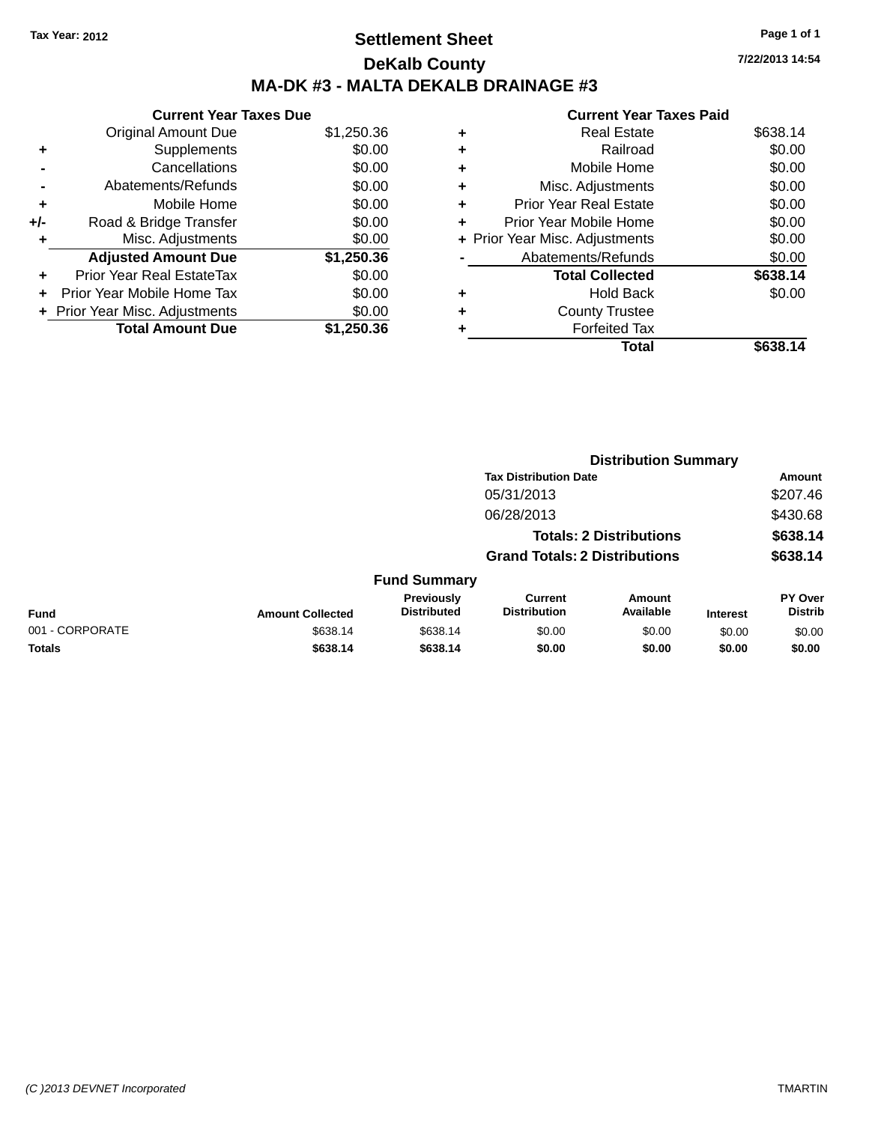# **Settlement Sheet Tax Year: 2012 Page 1 of 1 DeKalb County MA-DK #3 - MALTA DEKALB DRAINAGE #3**

|     | <b>Current Year Taxes Due</b>  |            |
|-----|--------------------------------|------------|
|     | <b>Original Amount Due</b>     | \$1,250.36 |
| ٠   | Supplements                    | \$0.00     |
|     | Cancellations                  | \$0.00     |
|     | Abatements/Refunds             | \$0.00     |
| ÷   | Mobile Home                    | \$0.00     |
| +/- | Road & Bridge Transfer         | \$0.00     |
| ٠   | Misc. Adjustments              | \$0.00     |
|     | <b>Adjusted Amount Due</b>     | \$1,250.36 |
| ÷   | Prior Year Real EstateTax      | \$0.00     |
| ٠   | Prior Year Mobile Home Tax     | \$0.00     |
|     | + Prior Year Misc. Adjustments | \$0.00     |
|     | <b>Total Amount Due</b>        | \$1.250.36 |

| <b>Current Year Taxes Paid</b> |
|--------------------------------|
| \$638.14                       |
| \$0.00                         |
| \$0.00                         |
| \$0.00                         |
| \$0.00                         |
| \$0.00                         |
| \$0.00                         |
| \$0.00                         |
| \$638.14                       |
| \$0.00                         |
|                                |
|                                |
|                                |
|                                |

|                 |                         |                                  |                                       | <b>Distribution Summary</b>    |                 |                           |
|-----------------|-------------------------|----------------------------------|---------------------------------------|--------------------------------|-----------------|---------------------------|
|                 |                         |                                  | <b>Tax Distribution Date</b>          |                                |                 | <b>Amount</b>             |
|                 |                         |                                  | 05/31/2013                            |                                |                 | \$207.46                  |
|                 |                         |                                  | 06/28/2013                            |                                |                 | \$430.68                  |
|                 |                         |                                  |                                       | <b>Totals: 2 Distributions</b> |                 | \$638.14                  |
|                 |                         |                                  | <b>Grand Totals: 2 Distributions</b>  |                                |                 | \$638.14                  |
|                 |                         | <b>Fund Summary</b>              |                                       |                                |                 |                           |
| <b>Fund</b>     | <b>Amount Collected</b> | Previously<br><b>Distributed</b> | <b>Current</b><br><b>Distribution</b> | Amount<br>Available            | <b>Interest</b> | PY Over<br><b>Distrib</b> |
| 001 - CORPORATE | \$638.14                | \$638.14                         | \$0.00                                | \$0.00                         | \$0.00          | \$0.00                    |
| <b>Totals</b>   | \$638.14                | \$638.14                         | \$0.00                                | \$0.00                         | \$0.00          | \$0.00                    |
|                 |                         |                                  |                                       |                                |                 |                           |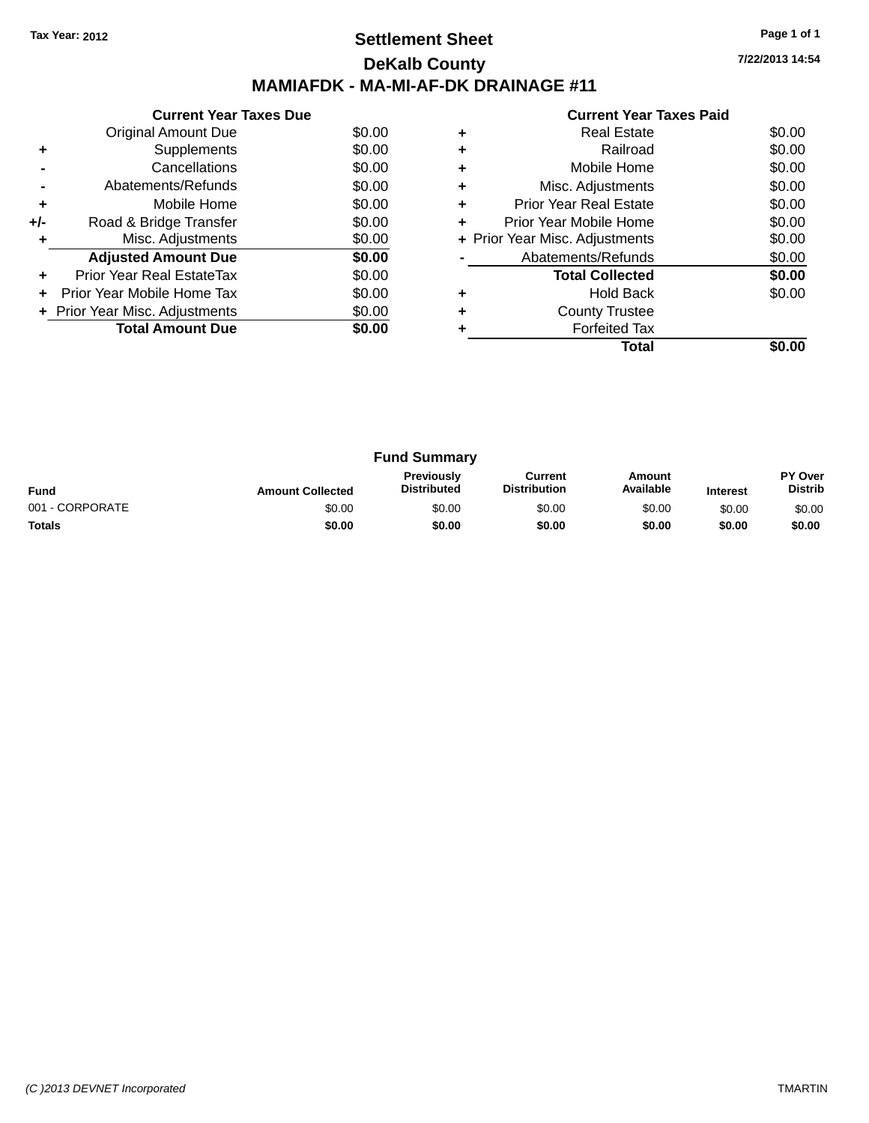### **Settlement Sheet Tax Year: 2012 Page 1 of 1 DeKalb County MAMIAFDK - MA-MI-AF-DK DRAINAGE #11**

|       | <b>Current Year Taxes Due</b>  |        |
|-------|--------------------------------|--------|
|       | Original Amount Due            | \$0.00 |
|       | Supplements                    | \$0.00 |
|       | Cancellations                  | \$0.00 |
|       | Abatements/Refunds             | \$0.00 |
| ÷     | Mobile Home                    | \$0.00 |
| $+/-$ | Road & Bridge Transfer         | \$0.00 |
| ٠     | Misc. Adjustments              | \$0.00 |
|       | <b>Adjusted Amount Due</b>     | \$0.00 |
| ÷     | Prior Year Real EstateTax      | \$0.00 |
|       | Prior Year Mobile Home Tax     | \$0.00 |
|       | + Prior Year Misc. Adjustments | \$0.00 |
|       | <b>Total Amount Due</b>        | \$0.00 |
|       |                                |        |

|   | <b>Current Year Taxes Paid</b> |        |
|---|--------------------------------|--------|
| ٠ | Real Estate                    | \$0.00 |
| ٠ | Railroad                       | \$0.00 |
|   | Mobile Home                    | \$0.00 |
| ٠ | Misc. Adjustments              | \$0.00 |
| ٠ | <b>Prior Year Real Estate</b>  | \$0.00 |
| ÷ | Prior Year Mobile Home         | \$0.00 |
|   | + Prior Year Misc. Adjustments | \$0.00 |
|   | Abatements/Refunds             | \$0.00 |
|   | <b>Total Collected</b>         | \$0.00 |
|   | Hold Back                      | \$0.00 |
|   | <b>County Trustee</b>          |        |
|   | <b>Forfeited Tax</b>           |        |
|   | Total                          |        |

| <b>Fund Summary</b> |                         |                                         |                                |                     |                 |                                  |
|---------------------|-------------------------|-----------------------------------------|--------------------------------|---------------------|-----------------|----------------------------------|
| <b>Fund</b>         | <b>Amount Collected</b> | <b>Previously</b><br><b>Distributed</b> | Current<br><b>Distribution</b> | Amount<br>Available | <b>Interest</b> | <b>PY Over</b><br><b>Distrib</b> |
| 001 - CORPORATE     | \$0.00                  | \$0.00                                  | \$0.00                         | \$0.00              | \$0.00          | \$0.00                           |
| <b>Totals</b>       | \$0.00                  | \$0.00                                  | \$0.00                         | \$0.00              | \$0.00          | \$0.00                           |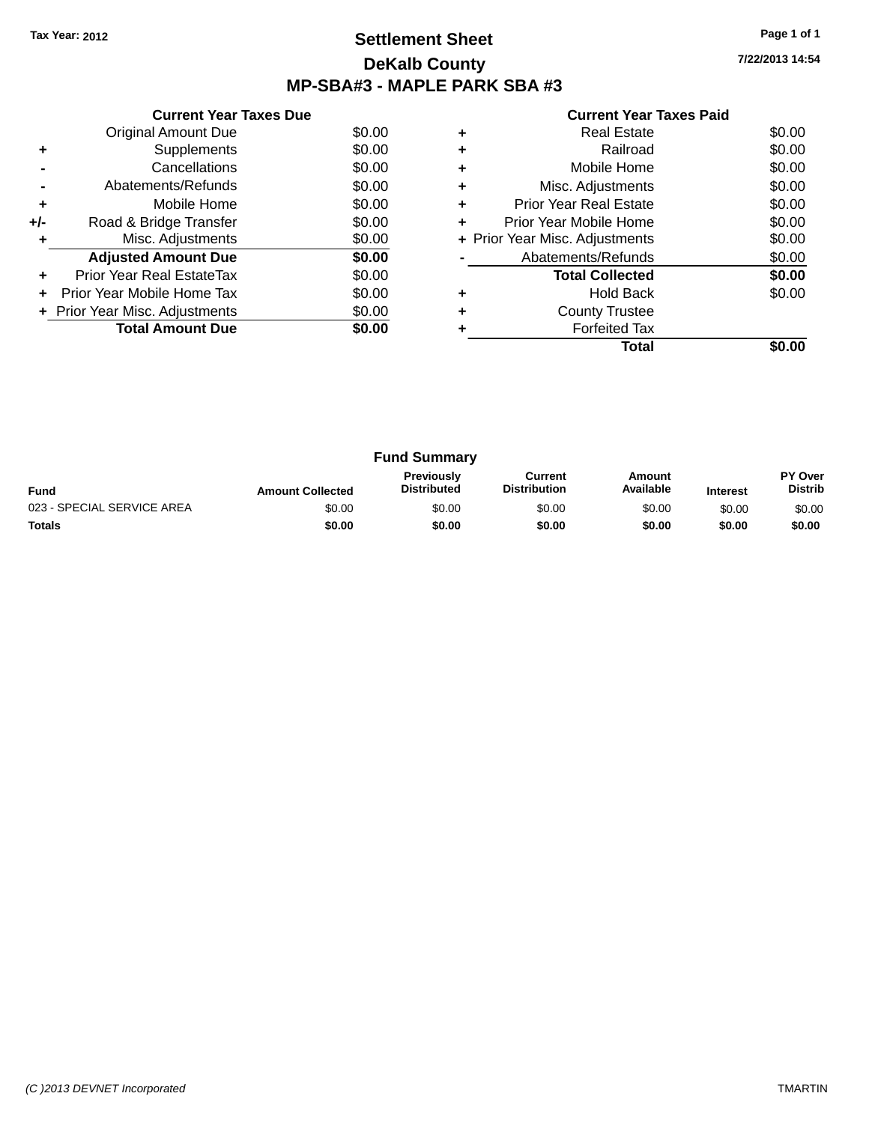### **Settlement Sheet Tax Year: 2012 Page 1 of 1 DeKalb County MP-SBA#3 - MAPLE PARK SBA #3**

| <b>Current Year Taxes Paid</b> |  |  |  |
|--------------------------------|--|--|--|
|--------------------------------|--|--|--|

|     | <b>Current Year Taxes Due</b>  |        |
|-----|--------------------------------|--------|
|     | Original Amount Due            | \$0.00 |
| ٠   | Supplements                    | \$0.00 |
|     | Cancellations                  | \$0.00 |
|     | Abatements/Refunds             | \$0.00 |
| ٠   | Mobile Home                    | \$0.00 |
| +/- | Road & Bridge Transfer         | \$0.00 |
| ٠   | Misc. Adjustments              | \$0.00 |
|     | <b>Adjusted Amount Due</b>     | \$0.00 |
| ٠   | Prior Year Real EstateTax      | \$0.00 |
|     | Prior Year Mobile Home Tax     | \$0.00 |
|     | + Prior Year Misc. Adjustments | \$0.00 |
|     | <b>Total Amount Due</b>        | \$0.00 |
|     |                                |        |

|   | <b>Real Estate</b>             | \$0.00 |
|---|--------------------------------|--------|
| ٠ | Railroad                       | \$0.00 |
| ٠ | Mobile Home                    | \$0.00 |
| ٠ | Misc. Adjustments              | \$0.00 |
| ٠ | Prior Year Real Estate         | \$0.00 |
| ٠ | Prior Year Mobile Home         | \$0.00 |
|   | + Prior Year Misc. Adjustments | \$0.00 |
|   | Abatements/Refunds             | \$0.00 |
|   | <b>Total Collected</b>         | \$0.00 |
| ٠ | <b>Hold Back</b>               | \$0.00 |
| ٠ | <b>County Trustee</b>          |        |
|   | <b>Forfeited Tax</b>           |        |
|   | Total                          |        |

| <b>Fund Summary</b>        |                         |                                  |                                |                     |                 |                                  |
|----------------------------|-------------------------|----------------------------------|--------------------------------|---------------------|-----------------|----------------------------------|
| <b>Fund</b>                | <b>Amount Collected</b> | Previously<br><b>Distributed</b> | Current<br><b>Distribution</b> | Amount<br>Available | <b>Interest</b> | <b>PY Over</b><br><b>Distrib</b> |
| 023 - SPECIAL SERVICE AREA | \$0.00                  | \$0.00                           | \$0.00                         | \$0.00              | \$0.00          | \$0.00                           |
| <b>Totals</b>              | \$0.00                  | \$0.00                           | \$0.00                         | \$0.00              | \$0.00          | \$0.00                           |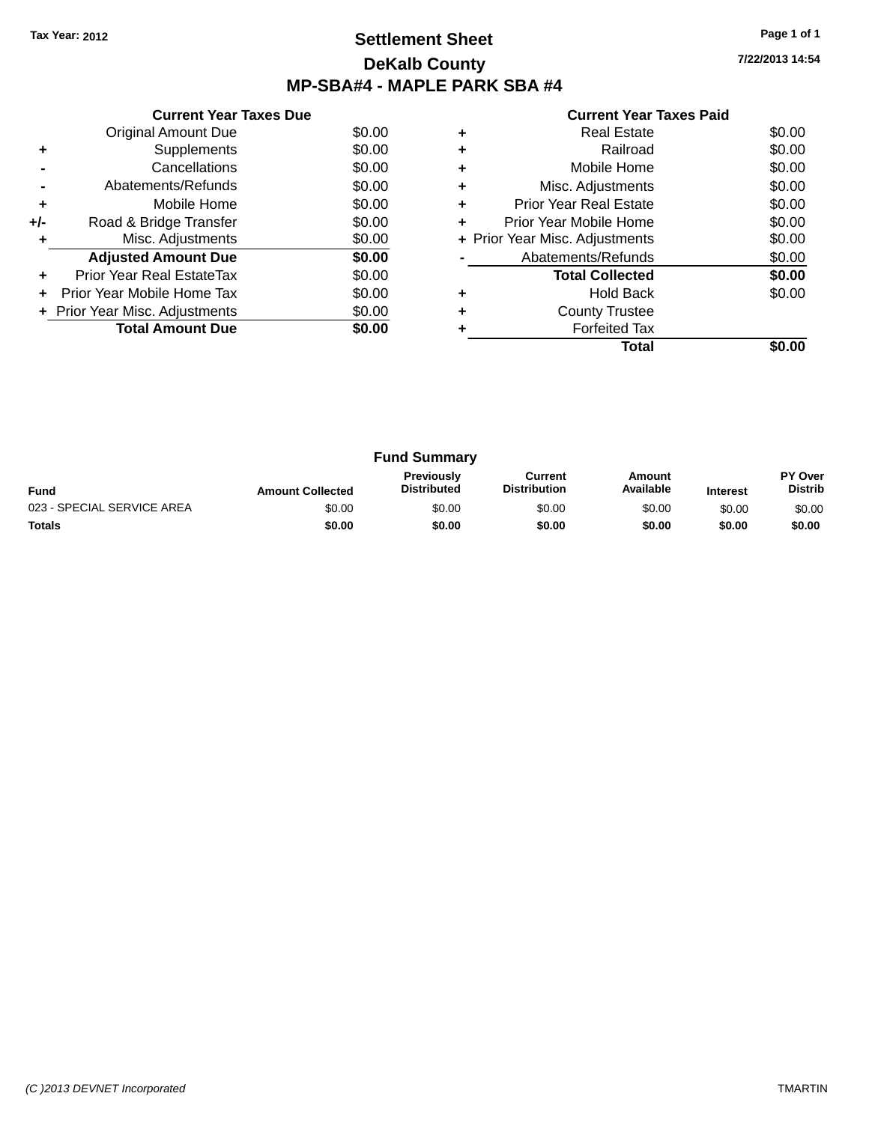### **Settlement Sheet Tax Year: 2012 Page 1 of 1 DeKalb County MP-SBA#4 - MAPLE PARK SBA #4**

**7/22/2013 14:54**

|     | <b>Current Year Taxes Due</b>  |        |  |  |  |  |
|-----|--------------------------------|--------|--|--|--|--|
|     | <b>Original Amount Due</b>     | \$0.00 |  |  |  |  |
|     | Supplements                    | \$0.00 |  |  |  |  |
|     | Cancellations                  | \$0.00 |  |  |  |  |
|     | Abatements/Refunds             | \$0.00 |  |  |  |  |
| ٠   | Mobile Home                    | \$0.00 |  |  |  |  |
| +/- | Road & Bridge Transfer         | \$0.00 |  |  |  |  |
| ٠   | Misc. Adjustments              | \$0.00 |  |  |  |  |
|     | <b>Adjusted Amount Due</b>     | \$0.00 |  |  |  |  |
| ÷   | Prior Year Real EstateTax      | \$0.00 |  |  |  |  |
| ٠   | Prior Year Mobile Home Tax     | \$0.00 |  |  |  |  |
|     | + Prior Year Misc. Adjustments | \$0.00 |  |  |  |  |
|     | <b>Total Amount Due</b>        | \$0.00 |  |  |  |  |
|     |                                |        |  |  |  |  |

|   | <b>Real Estate</b>             | \$0.00 |
|---|--------------------------------|--------|
| ٠ | Railroad                       | \$0.00 |
| ٠ | Mobile Home                    | \$0.00 |
| ٠ | Misc. Adjustments              | \$0.00 |
| ٠ | <b>Prior Year Real Estate</b>  | \$0.00 |
| ٠ | Prior Year Mobile Home         | \$0.00 |
|   | + Prior Year Misc. Adjustments | \$0.00 |
|   | Abatements/Refunds             | \$0.00 |
|   | <b>Total Collected</b>         | \$0.00 |
| ٠ | <b>Hold Back</b>               | \$0.00 |
| ٠ | <b>County Trustee</b>          |        |
|   | <b>Forfeited Tax</b>           |        |
|   | Total                          |        |

| <b>Fund Summary</b>        |                         |                                         |                                |                     |                 |                           |
|----------------------------|-------------------------|-----------------------------------------|--------------------------------|---------------------|-----------------|---------------------------|
| <b>Fund</b>                | <b>Amount Collected</b> | <b>Previously</b><br><b>Distributed</b> | Current<br><b>Distribution</b> | Amount<br>Available | <b>Interest</b> | PY Over<br><b>Distrib</b> |
| 023 - SPECIAL SERVICE AREA | \$0.00                  | \$0.00                                  | \$0.00                         | \$0.00              | \$0.00          | \$0.00                    |
| <b>Totals</b>              | \$0.00                  | \$0.00                                  | \$0.00                         | \$0.00              | \$0.00          | \$0.00                    |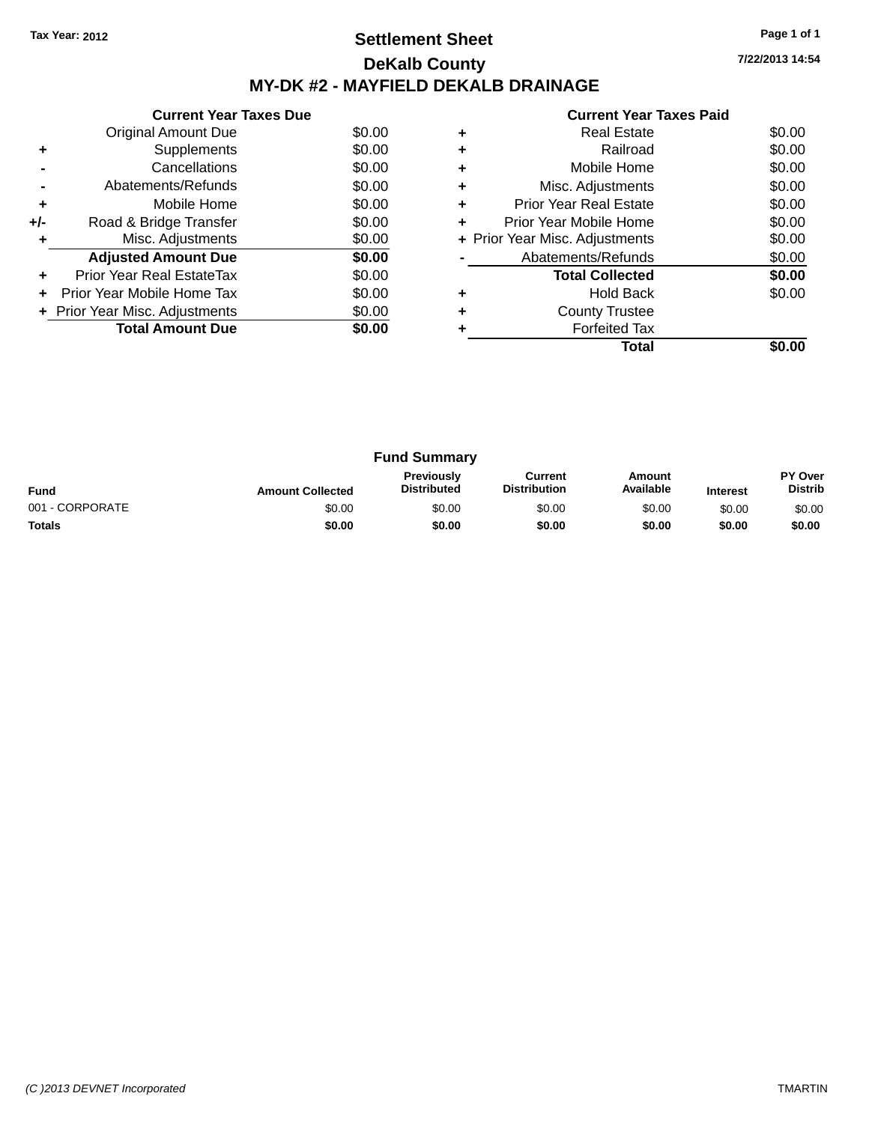### **Settlement Sheet Tax Year: 2012 Page 1 of 1 DeKalb County MY-DK #2 - MAYFIELD DEKALB DRAINAGE**

**7/22/2013 14:54**

|     | <b>Current Year Taxes Due</b>  |        |  |  |  |  |  |
|-----|--------------------------------|--------|--|--|--|--|--|
|     | Original Amount Due            | \$0.00 |  |  |  |  |  |
| ÷   | Supplements                    | \$0.00 |  |  |  |  |  |
|     | Cancellations                  | \$0.00 |  |  |  |  |  |
|     | Abatements/Refunds             | \$0.00 |  |  |  |  |  |
| ٠   | Mobile Home                    | \$0.00 |  |  |  |  |  |
| +/- | Road & Bridge Transfer         | \$0.00 |  |  |  |  |  |
|     | Misc. Adjustments              | \$0.00 |  |  |  |  |  |
|     | <b>Adjusted Amount Due</b>     | \$0.00 |  |  |  |  |  |
|     | Prior Year Real EstateTax      | \$0.00 |  |  |  |  |  |
|     | Prior Year Mobile Home Tax     | \$0.00 |  |  |  |  |  |
|     | + Prior Year Misc. Adjustments | \$0.00 |  |  |  |  |  |
|     | <b>Total Amount Due</b>        | SO.OO  |  |  |  |  |  |
|     |                                |        |  |  |  |  |  |

|   | Total                          |        |
|---|--------------------------------|--------|
|   | <b>Forfeited Tax</b>           |        |
| ٠ | <b>County Trustee</b>          |        |
|   | <b>Hold Back</b>               | \$0.00 |
|   | <b>Total Collected</b>         | \$0.00 |
|   | Abatements/Refunds             | \$0.00 |
|   | + Prior Year Misc. Adjustments | \$0.00 |
| ٠ | Prior Year Mobile Home         | \$0.00 |
| ٠ | <b>Prior Year Real Estate</b>  | \$0.00 |
|   | Misc. Adjustments              | \$0.00 |
| ٠ | Mobile Home                    | \$0.00 |
|   | Railroad                       | \$0.00 |
|   | <b>Real Estate</b>             | \$0.00 |
|   |                                |        |

| <b>Fund Summary</b> |                         |                                         |                                |                     |                 |                           |
|---------------------|-------------------------|-----------------------------------------|--------------------------------|---------------------|-----------------|---------------------------|
| <b>Fund</b>         | <b>Amount Collected</b> | <b>Previously</b><br><b>Distributed</b> | Current<br><b>Distribution</b> | Amount<br>Available | <b>Interest</b> | PY Over<br><b>Distrib</b> |
| 001 - CORPORATE     | \$0.00                  | \$0.00                                  | \$0.00                         | \$0.00              | \$0.00          | \$0.00                    |
| <b>Totals</b>       | \$0.00                  | \$0.00                                  | \$0.00                         | \$0.00              | \$0.00          | \$0.00                    |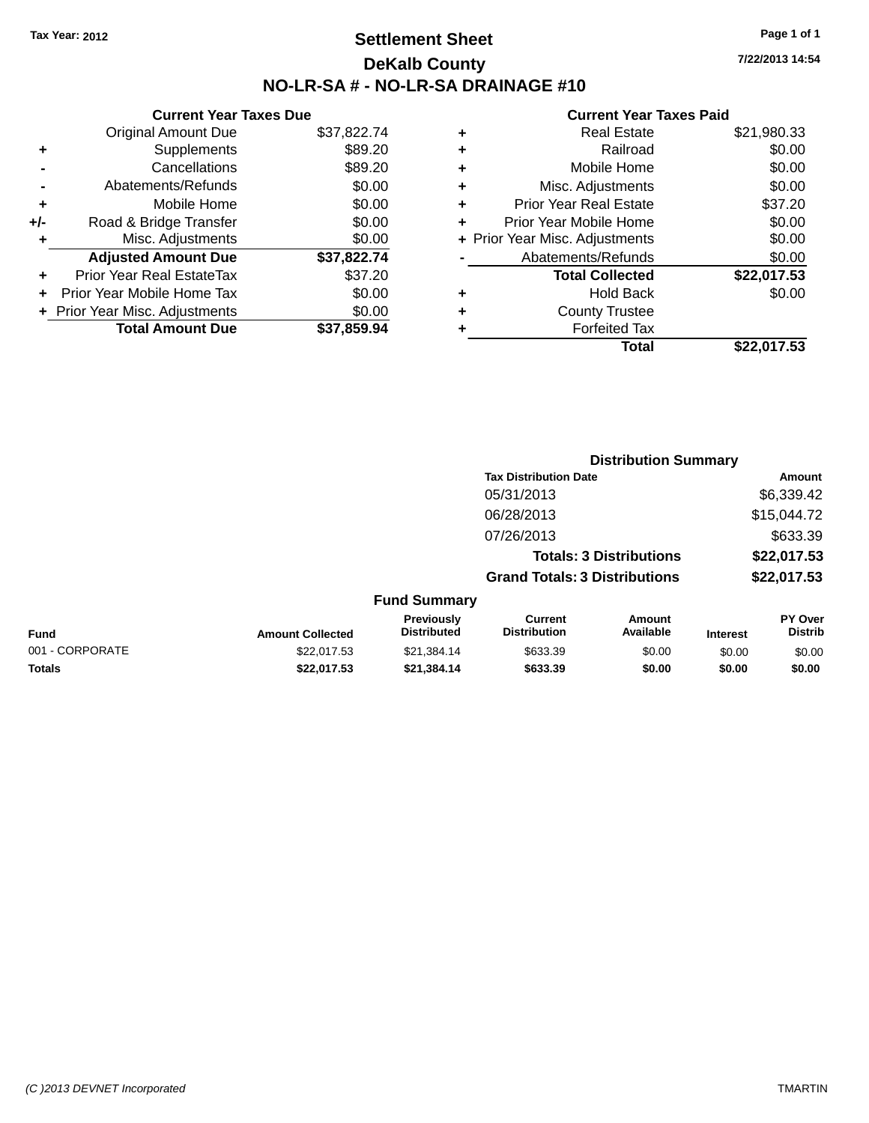### **Settlement Sheet Tax Year: 2012 Page 1 of 1 DeKalb County NO-LR-SA # - NO-LR-SA DRAINAGE #10**

**7/22/2013 14:54**

#### **Current Year Taxes Paid**

|       | <b>Current Year Taxes Due</b>  |             |
|-------|--------------------------------|-------------|
|       | <b>Original Amount Due</b>     | \$37,822.74 |
| ٠     | Supplements                    | \$89.20     |
|       | Cancellations                  | \$89.20     |
|       | Abatements/Refunds             | \$0.00      |
| ÷     | Mobile Home                    | \$0.00      |
| $+/-$ | Road & Bridge Transfer         | \$0.00      |
|       | Misc. Adjustments              | \$0.00      |
|       | <b>Adjusted Amount Due</b>     | \$37,822.74 |
| ٠     | Prior Year Real EstateTax      | \$37.20     |
|       | Prior Year Mobile Home Tax     | \$0.00      |
|       | + Prior Year Misc. Adjustments | \$0.00      |
|       | <b>Total Amount Due</b>        | \$37.859.94 |
|       |                                |             |

|   | Total                          | \$22,017.53 |
|---|--------------------------------|-------------|
|   | <b>Forfeited Tax</b>           |             |
| ٠ | <b>County Trustee</b>          |             |
| ٠ | <b>Hold Back</b>               | \$0.00      |
|   | <b>Total Collected</b>         | \$22,017.53 |
|   | Abatements/Refunds             | \$0.00      |
|   | + Prior Year Misc. Adjustments | \$0.00      |
| ٠ | Prior Year Mobile Home         | \$0.00      |
| ÷ | <b>Prior Year Real Estate</b>  | \$37.20     |
| ٠ | Misc. Adjustments              | \$0.00      |
| ٠ | Mobile Home                    | \$0.00      |
| ٠ | Railroad                       | \$0.00      |
| ٠ | <b>Real Estate</b>             | \$21,980.33 |
|   |                                |             |

|                 |                         |                                  |                                       | <b>Distribution Summary</b>    |                 |                           |
|-----------------|-------------------------|----------------------------------|---------------------------------------|--------------------------------|-----------------|---------------------------|
|                 |                         |                                  | <b>Tax Distribution Date</b>          |                                |                 | Amount                    |
|                 |                         |                                  | 05/31/2013                            |                                |                 | \$6,339.42                |
|                 |                         |                                  | 06/28/2013                            |                                |                 | \$15,044.72               |
|                 |                         |                                  | 07/26/2013                            |                                |                 | \$633.39                  |
|                 |                         |                                  |                                       | <b>Totals: 3 Distributions</b> |                 | \$22,017.53               |
|                 |                         |                                  | <b>Grand Totals: 3 Distributions</b>  |                                |                 | \$22,017.53               |
|                 |                         | <b>Fund Summary</b>              |                                       |                                |                 |                           |
| <b>Fund</b>     | <b>Amount Collected</b> | Previously<br><b>Distributed</b> | <b>Current</b><br><b>Distribution</b> | <b>Amount</b><br>Available     | <b>Interest</b> | PY Over<br><b>Distrib</b> |
| 001 - CORPORATE | \$22,017.53             | \$21.384.14                      | \$633.39                              | \$0.00                         | \$0.00          | \$0.00                    |
|                 |                         |                                  |                                       |                                |                 |                           |

**Totals \$22,017.53 \$21,384.14 \$633.39 \$0.00 \$0.00 \$0.00**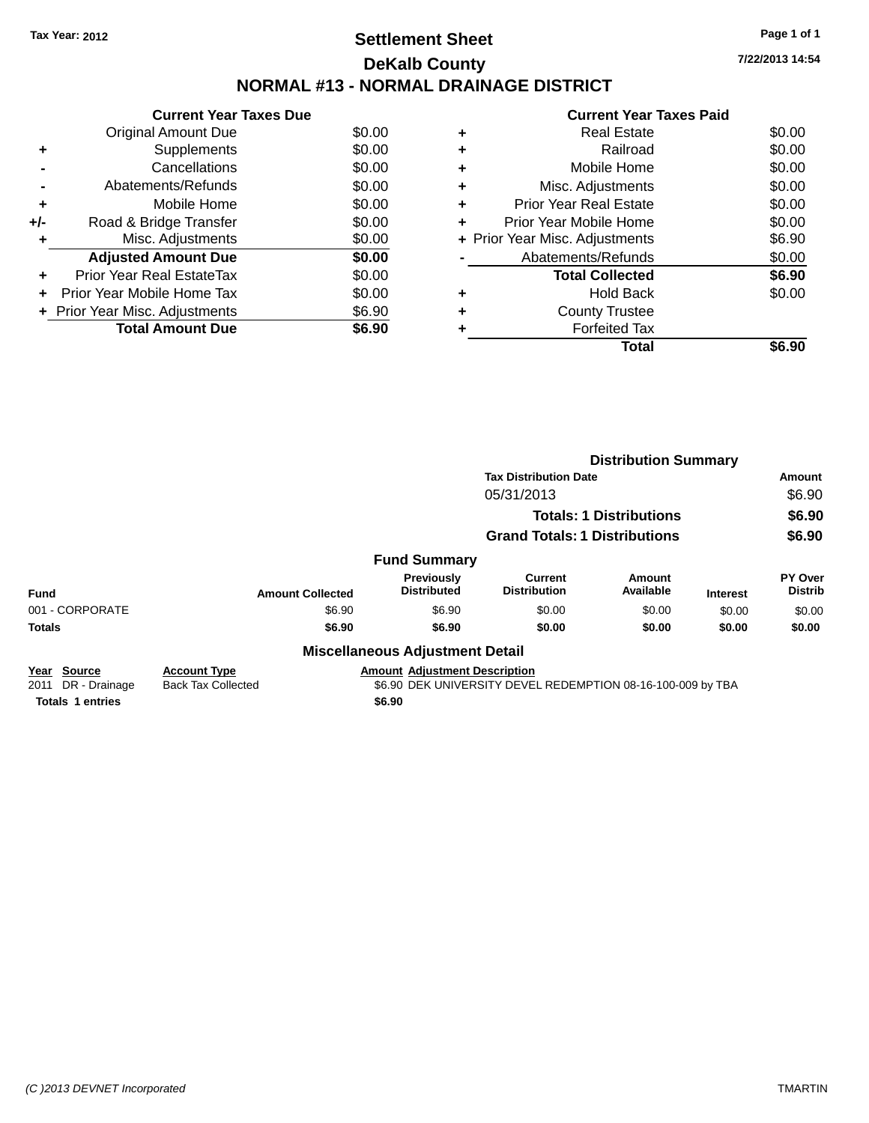# **Settlement Sheet Tax Year: 2012 Page 1 of 1 DeKalb County NORMAL #13 - NORMAL DRAINAGE DISTRICT**

**Current Year Taxes Due** Original Amount Due \$0.00 **+** Supplements \$0.00 **-** Cancellations \$0.00 **-** Abatements/Refunds \$0.00 **+** Mobile Home \$0.00 **+/-** Road & Bridge Transfer \$0.00 **+** Misc. Adjustments \$0.00 **Adjusted Amount Due \$0.00 +** Prior Year Real EstateTax \$0.00 **+** Prior Year Mobile Home Tax \$0.00 **+ Prior Year Misc. Adjustments**  $$6.90$ **Total Amount Due \$6.90**

#### **+** Real Estate \$0.00 **+** Railroad \$0.00 **+** Mobile Home \$0.00 **+** Misc. Adjustments \$0.00 **+** Prior Year Real Estate \$0.00 **+** Prior Year Mobile Home \$0.00<br> **+ Prior Year Misc, Adjustments** \$6.90 **+** Prior Year Misc. Adjustments \$6.90

|   | Total                          | \$6.90 |
|---|--------------------------------|--------|
| ٠ | <b>Forfeited Tax</b>           |        |
| ٠ | <b>County Trustee</b>          |        |
| ٠ | <b>Hold Back</b>               | \$0.00 |
|   | <b>Total Collected</b>         | \$6.90 |
|   | Abatements/Refunds             | \$0.00 |
|   | + Prior Year Misc. Adjustments | \$6.90 |

|                         |                           |                                        | <b>Distribution Summary</b><br><b>Tax Distribution Date</b> |                                |                 |                                  |
|-------------------------|---------------------------|----------------------------------------|-------------------------------------------------------------|--------------------------------|-----------------|----------------------------------|
|                         |                           |                                        |                                                             |                                |                 | Amount                           |
|                         |                           |                                        | 05/31/2013                                                  |                                |                 | \$6.90                           |
|                         |                           |                                        |                                                             | <b>Totals: 1 Distributions</b> |                 | \$6.90                           |
|                         |                           |                                        | <b>Grand Totals: 1 Distributions</b>                        |                                |                 | \$6.90                           |
|                         |                           | <b>Fund Summary</b>                    |                                                             |                                |                 |                                  |
| <b>Fund</b>             | <b>Amount Collected</b>   | Previously<br><b>Distributed</b>       | <b>Current</b><br><b>Distribution</b>                       | Amount<br>Available            | <b>Interest</b> | <b>PY Over</b><br><b>Distrib</b> |
| 001 - CORPORATE         | \$6.90                    | \$6.90                                 | \$0.00                                                      | \$0.00                         | \$0.00          | \$0.00                           |
| <b>Totals</b>           | \$6.90                    | \$6.90                                 | \$0.00                                                      | \$0.00                         | \$0.00          | \$0.00                           |
|                         |                           | <b>Miscellaneous Adjustment Detail</b> |                                                             |                                |                 |                                  |
| Source<br>Year          | <b>Account Type</b>       | <b>Amount Adjustment Description</b>   |                                                             |                                |                 |                                  |
| DR - Drainage<br>2011   | <b>Back Tax Collected</b> |                                        | \$6.90 DEK UNIVERSITY DEVEL REDEMPTION 08-16-100-009 by TBA |                                |                 |                                  |
| <b>Totals 1 entries</b> |                           | \$6.90                                 |                                                             |                                |                 |                                  |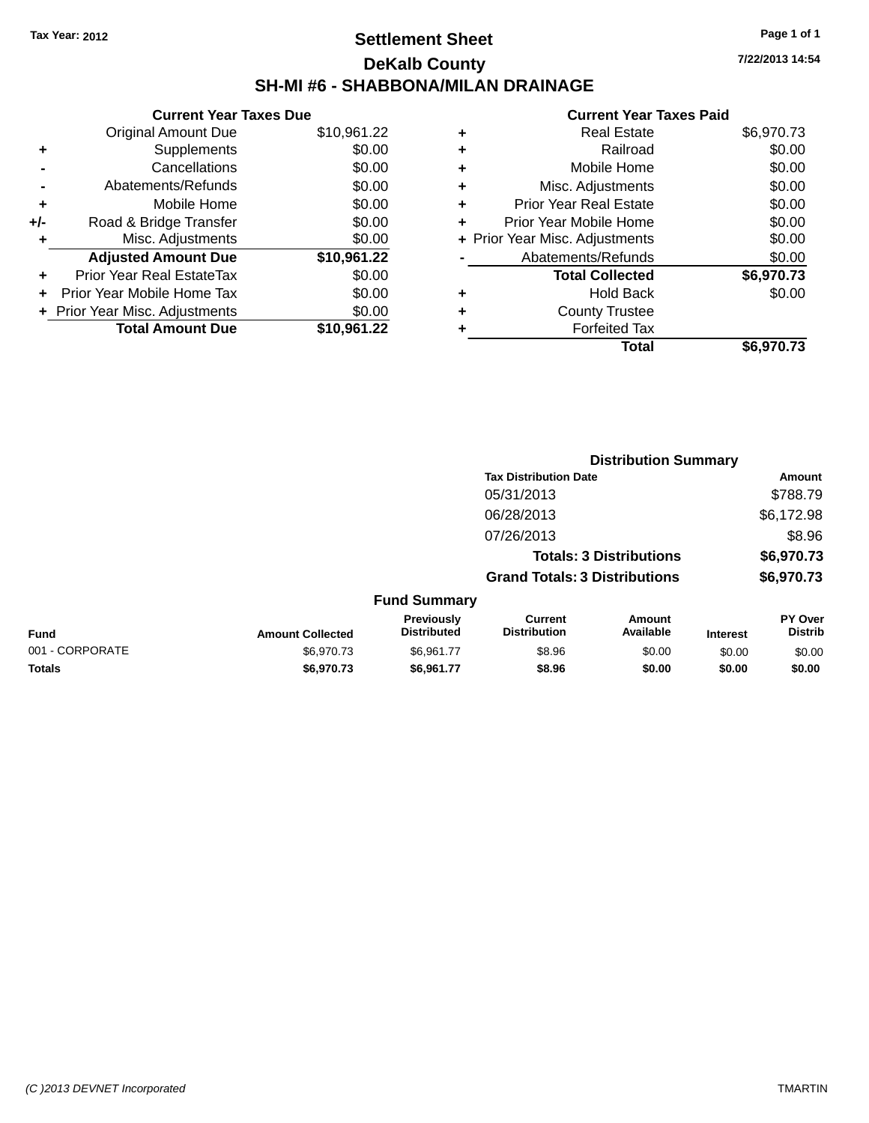### **Settlement Sheet Tax Year: 2012 Page 1 of 1 DeKalb County SH-MI #6 - SHABBONA/MILAN DRAINAGE**

| <b>Current Year Taxes Due</b> |                                |
|-------------------------------|--------------------------------|
| <b>Original Amount Due</b>    | \$10,961.22                    |
| Supplements                   | \$0.00                         |
| Cancellations                 | \$0.00                         |
| Abatements/Refunds            | \$0.00                         |
| Mobile Home                   | \$0.00                         |
| Road & Bridge Transfer        | \$0.00                         |
| Misc. Adjustments             | \$0.00                         |
| <b>Adjusted Amount Due</b>    | \$10,961.22                    |
| Prior Year Real EstateTax     | \$0.00                         |
| Prior Year Mobile Home Tax    | \$0.00                         |
|                               | \$0.00                         |
| <b>Total Amount Due</b>       | \$10,961.22                    |
|                               | + Prior Year Misc. Adjustments |

|   | <b>Real Estate</b>             | \$6,970.73 |
|---|--------------------------------|------------|
| ٠ | Railroad                       | \$0.00     |
| ٠ | Mobile Home                    | \$0.00     |
| ٠ | Misc. Adjustments              | \$0.00     |
| ٠ | <b>Prior Year Real Estate</b>  | \$0.00     |
| ÷ | Prior Year Mobile Home         | \$0.00     |
|   | + Prior Year Misc. Adjustments | \$0.00     |
|   | Abatements/Refunds             | \$0.00     |
|   | <b>Total Collected</b>         | \$6,970.73 |
| ٠ | Hold Back                      | \$0.00     |
| ٠ | <b>County Trustee</b>          |            |
|   | <b>Forfeited Tax</b>           |            |
|   | Total                          | \$6,970.73 |
|   |                                |            |

|                 |                         |                                         |                                       | <b>Distribution Summary</b>    |                 |                           |
|-----------------|-------------------------|-----------------------------------------|---------------------------------------|--------------------------------|-----------------|---------------------------|
|                 |                         |                                         | <b>Tax Distribution Date</b>          |                                |                 | Amount                    |
|                 |                         |                                         | 05/31/2013                            |                                |                 | \$788.79                  |
|                 |                         |                                         | 06/28/2013                            |                                |                 | \$6,172.98                |
|                 |                         |                                         | 07/26/2013                            |                                |                 | \$8.96                    |
|                 |                         |                                         |                                       | <b>Totals: 3 Distributions</b> |                 | \$6,970.73                |
|                 |                         |                                         | <b>Grand Totals: 3 Distributions</b>  |                                |                 | \$6,970.73                |
|                 |                         | <b>Fund Summary</b>                     |                                       |                                |                 |                           |
| Fund            | <b>Amount Collected</b> | <b>Previously</b><br><b>Distributed</b> | <b>Current</b><br><b>Distribution</b> | Amount<br>Available            | <b>Interest</b> | PY Over<br><b>Distrib</b> |
| 001 - CORPORATE | \$6,970.73              | \$6,961.77                              | \$8.96                                | \$0.00                         | \$0.00          | \$0.00                    |
| <b>Totals</b>   | \$6,970.73              | \$6,961.77                              | \$8.96                                | \$0.00                         | \$0.00          | \$0.00                    |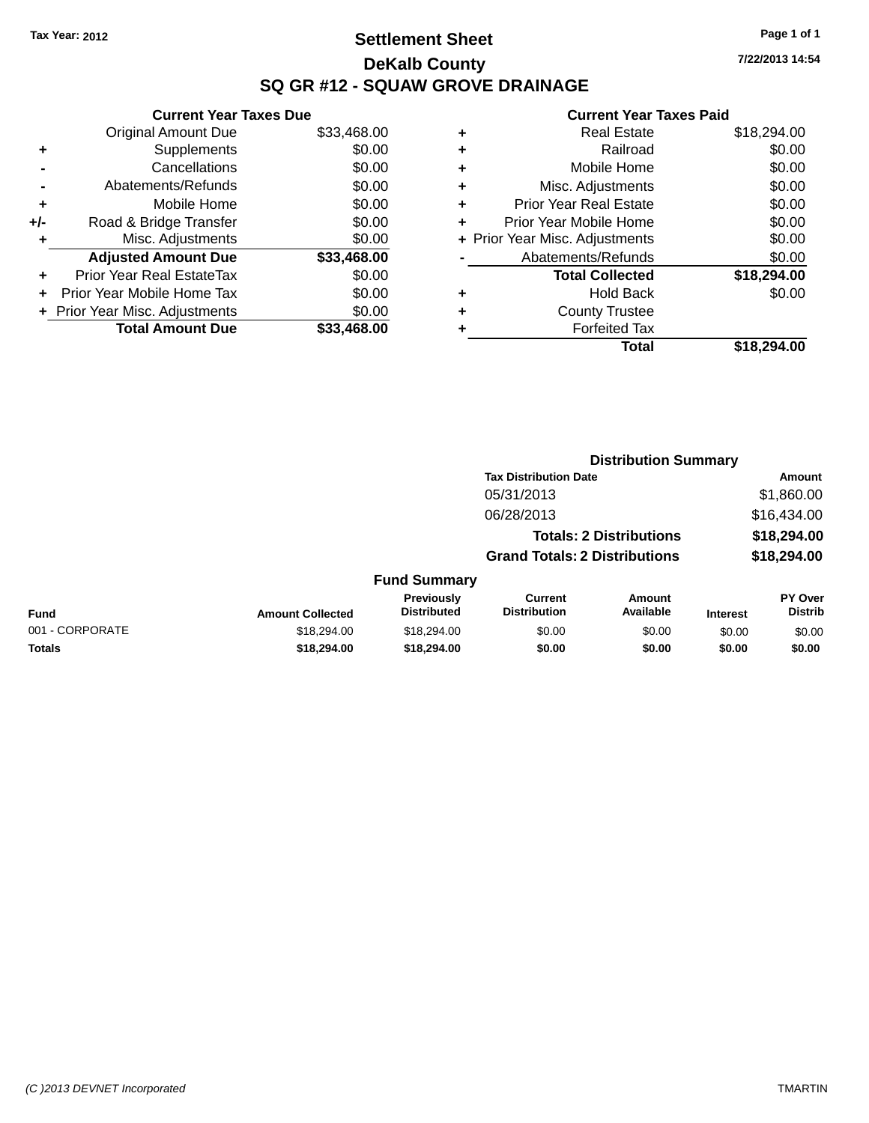### **Settlement Sheet Tax Year: 2012 Page 1 of 1 DeKalb County SQ GR #12 - SQUAW GROVE DRAINAGE**

**7/22/2013 14:54**

|       | <b>Current Year Taxes Due</b>  |             |
|-------|--------------------------------|-------------|
|       | <b>Original Amount Due</b>     | \$33,468.00 |
| ٠     | Supplements                    | \$0.00      |
|       | Cancellations                  | \$0.00      |
|       | Abatements/Refunds             | \$0.00      |
| ٠     | Mobile Home                    | \$0.00      |
| $+/-$ | Road & Bridge Transfer         | \$0.00      |
|       | Misc. Adjustments              | \$0.00      |
|       | <b>Adjusted Amount Due</b>     | \$33,468,00 |
| ÷     | Prior Year Real EstateTax      | \$0.00      |
| ٠     | Prior Year Mobile Home Tax     | \$0.00      |
|       | + Prior Year Misc. Adjustments | \$0.00      |
|       | <b>Total Amount Due</b>        | \$33.468.00 |
|       |                                |             |

| ٠ | <b>Real Estate</b>             | \$18,294.00 |
|---|--------------------------------|-------------|
| ٠ | Railroad                       | \$0.00      |
| ٠ | Mobile Home                    | \$0.00      |
| ٠ | Misc. Adjustments              | \$0.00      |
| ٠ | <b>Prior Year Real Estate</b>  | \$0.00      |
| ٠ | Prior Year Mobile Home         | \$0.00      |
|   | + Prior Year Misc. Adjustments | \$0.00      |
|   | Abatements/Refunds             | \$0.00      |
|   | <b>Total Collected</b>         | \$18,294.00 |
| ٠ | <b>Hold Back</b>               | \$0.00      |
| ٠ | <b>County Trustee</b>          |             |
| ٠ | <b>Forfeited Tax</b>           |             |
|   | Total                          | \$18,294.00 |
|   |                                |             |

|                 |                         |                                         | <b>Distribution Summary</b>           |                                |                 |                           |
|-----------------|-------------------------|-----------------------------------------|---------------------------------------|--------------------------------|-----------------|---------------------------|
|                 |                         |                                         | <b>Tax Distribution Date</b>          |                                |                 | <b>Amount</b>             |
|                 |                         |                                         | 05/31/2013                            |                                |                 | \$1,860.00                |
|                 |                         |                                         | 06/28/2013                            |                                |                 | \$16,434.00               |
|                 |                         |                                         |                                       | <b>Totals: 2 Distributions</b> |                 | \$18,294.00               |
|                 |                         |                                         | <b>Grand Totals: 2 Distributions</b>  |                                |                 | \$18,294.00               |
|                 |                         | <b>Fund Summary</b>                     |                                       |                                |                 |                           |
| Fund            | <b>Amount Collected</b> | <b>Previously</b><br><b>Distributed</b> | <b>Current</b><br><b>Distribution</b> | Amount<br>Available            | <b>Interest</b> | PY Over<br><b>Distrib</b> |
| 001 - CORPORATE | \$18,294.00             | \$18,294.00                             | \$0.00                                | \$0.00                         | \$0.00          | \$0.00                    |
| <b>Totals</b>   | \$18,294.00             | \$18,294.00                             | \$0.00                                | \$0.00                         | \$0.00          | \$0.00                    |
|                 |                         |                                         |                                       |                                |                 |                           |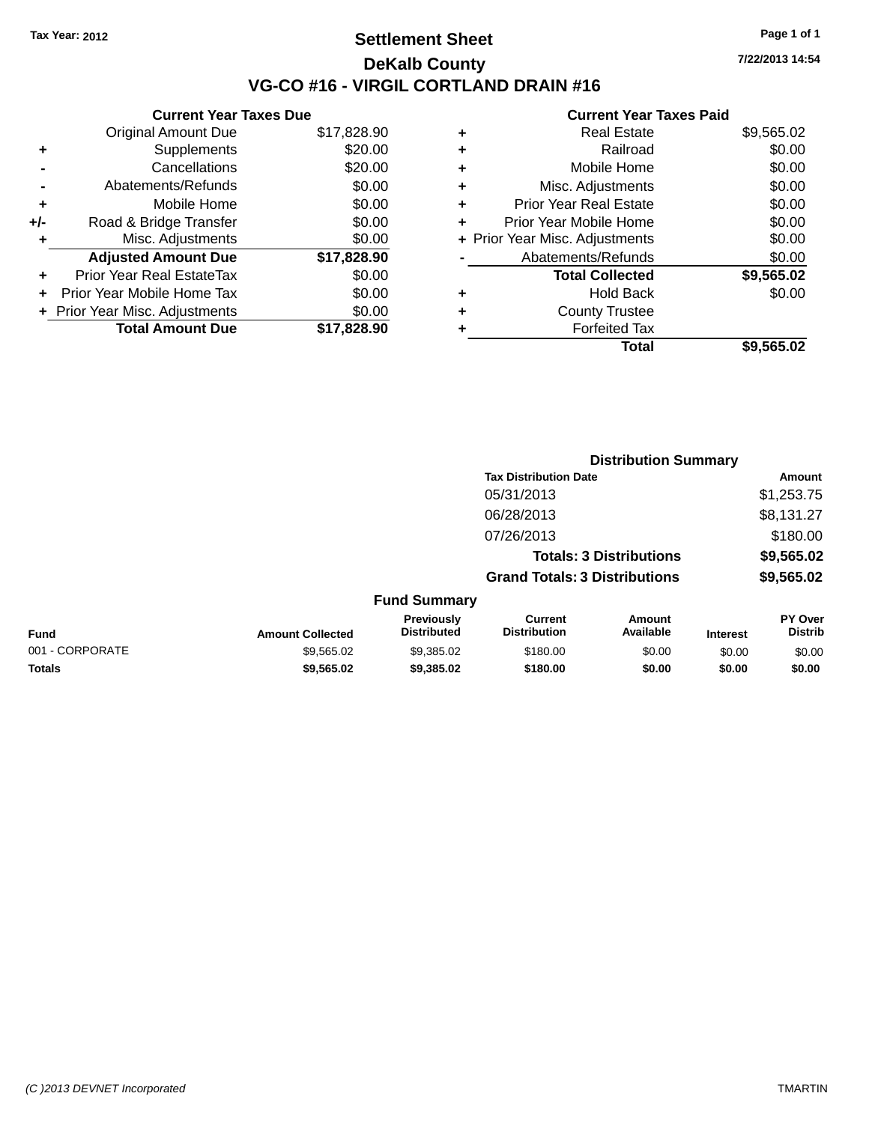### **Settlement Sheet Tax Year: 2012 Page 1 of 1 DeKalb County VG-CO #16 - VIRGIL CORTLAND DRAIN #16**

**7/22/2013 14:54**

|       | <b>Current Year Taxes Due</b>  |             |
|-------|--------------------------------|-------------|
|       | <b>Original Amount Due</b>     | \$17,828.90 |
| ٠     | Supplements                    | \$20.00     |
|       | Cancellations                  | \$20.00     |
|       | Abatements/Refunds             | \$0.00      |
| ÷     | Mobile Home                    | \$0.00      |
| $+/-$ | Road & Bridge Transfer         | \$0.00      |
|       | Misc. Adjustments              | \$0.00      |
|       | <b>Adjusted Amount Due</b>     | \$17,828.90 |
| ٠     | Prior Year Real EstateTax      | \$0.00      |
|       | Prior Year Mobile Home Tax     | \$0.00      |
|       | + Prior Year Misc. Adjustments | \$0.00      |
|       | <b>Total Amount Due</b>        | \$17,828.90 |
|       |                                |             |

| ٠ | <b>Real Estate</b>             | \$9,565.02 |
|---|--------------------------------|------------|
| ٠ | Railroad                       | \$0.00     |
| ٠ | Mobile Home                    | \$0.00     |
| ٠ | Misc. Adjustments              | \$0.00     |
| ٠ | <b>Prior Year Real Estate</b>  | \$0.00     |
| ÷ | Prior Year Mobile Home         | \$0.00     |
|   | + Prior Year Misc. Adjustments | \$0.00     |
|   | Abatements/Refunds             | \$0.00     |
|   | <b>Total Collected</b>         | \$9,565.02 |
| ٠ | <b>Hold Back</b>               | \$0.00     |
| ٠ | <b>County Trustee</b>          |            |
| ٠ | <b>Forfeited Tax</b>           |            |
|   | Total                          | \$9,565.02 |
|   |                                |            |

|                 |                         |                                  | <b>Distribution Summary</b>           |                                |                 |                           |
|-----------------|-------------------------|----------------------------------|---------------------------------------|--------------------------------|-----------------|---------------------------|
|                 |                         |                                  | <b>Tax Distribution Date</b>          |                                |                 | <b>Amount</b>             |
|                 |                         |                                  | 05/31/2013                            |                                |                 | \$1,253.75                |
|                 |                         |                                  | 06/28/2013                            |                                |                 | \$8,131.27                |
|                 |                         |                                  | 07/26/2013                            |                                |                 | \$180.00                  |
|                 |                         |                                  |                                       | <b>Totals: 3 Distributions</b> |                 | \$9,565.02                |
|                 |                         |                                  | <b>Grand Totals: 3 Distributions</b>  |                                |                 | \$9,565.02                |
|                 |                         | <b>Fund Summary</b>              |                                       |                                |                 |                           |
| Fund            | <b>Amount Collected</b> | Previously<br><b>Distributed</b> | <b>Current</b><br><b>Distribution</b> | Amount<br>Available            | <b>Interest</b> | PY Over<br><b>Distrib</b> |
| 001 - CORPORATE | \$9,565.02              | \$9,385.02                       | \$180.00                              | \$0.00                         | \$0.00          | \$0.00                    |
| <b>Totals</b>   | \$9,565.02              | \$9,385.02                       | \$180.00                              | \$0.00                         | \$0.00          | \$0.00                    |
|                 |                         |                                  |                                       |                                |                 |                           |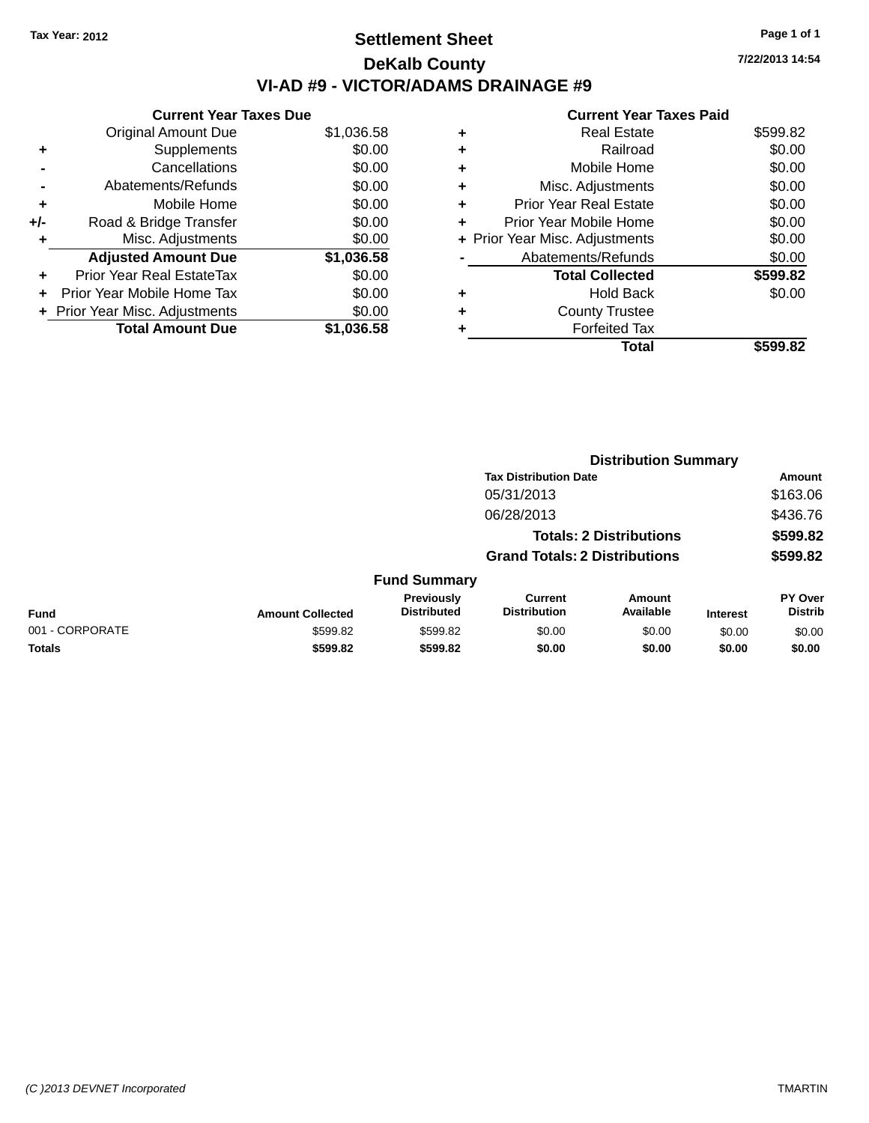### **Settlement Sheet Tax Year: 2012 Page 1 of 1 DeKalb County VI-AD #9 - VICTOR/ADAMS DRAINAGE #9**

|     | <b>Current Year Taxes Due</b> |            |  |  |  |  |
|-----|-------------------------------|------------|--|--|--|--|
|     | <b>Original Amount Due</b>    | \$1,036.58 |  |  |  |  |
| ٠   | Supplements                   | \$0.00     |  |  |  |  |
|     | Cancellations                 | \$0.00     |  |  |  |  |
|     | Abatements/Refunds            | \$0.00     |  |  |  |  |
| ٠   | Mobile Home                   | \$0.00     |  |  |  |  |
| +/- | Road & Bridge Transfer        | \$0.00     |  |  |  |  |
| ٠   | Misc. Adjustments             | \$0.00     |  |  |  |  |
|     | <b>Adjusted Amount Due</b>    | \$1,036.58 |  |  |  |  |
| ٠   | Prior Year Real EstateTax     | \$0.00     |  |  |  |  |
|     | Prior Year Mobile Home Tax    | \$0.00     |  |  |  |  |
|     | Prior Year Misc. Adjustments  | \$0.00     |  |  |  |  |
|     | <b>Total Amount Due</b>       | \$1,036.58 |  |  |  |  |

|   | Real Estate                    | \$599.82 |
|---|--------------------------------|----------|
| ٠ | Railroad                       | \$0.00   |
| ٠ | Mobile Home                    | \$0.00   |
| ٠ | Misc. Adjustments              | \$0.00   |
| ٠ | <b>Prior Year Real Estate</b>  | \$0.00   |
| ٠ | Prior Year Mobile Home         | \$0.00   |
|   | + Prior Year Misc. Adjustments | \$0.00   |
|   | Abatements/Refunds             | \$0.00   |
|   | <b>Total Collected</b>         | \$599.82 |
| ٠ | Hold Back                      | \$0.00   |
| ٠ | <b>County Trustee</b>          |          |
|   | <b>Forfeited Tax</b>           |          |
|   | Total                          | \$599.82 |
|   |                                |          |

|                 |                         | <b>Distribution Summary</b>      |                                       |                                |                 |                           |  |
|-----------------|-------------------------|----------------------------------|---------------------------------------|--------------------------------|-----------------|---------------------------|--|
|                 |                         |                                  | <b>Tax Distribution Date</b>          |                                |                 | <b>Amount</b>             |  |
|                 |                         |                                  | 05/31/2013                            |                                |                 | \$163.06                  |  |
|                 |                         |                                  | 06/28/2013                            |                                |                 | \$436.76                  |  |
|                 |                         |                                  |                                       | <b>Totals: 2 Distributions</b> |                 | \$599.82                  |  |
|                 |                         |                                  | <b>Grand Totals: 2 Distributions</b>  |                                |                 | \$599.82                  |  |
|                 |                         | <b>Fund Summary</b>              |                                       |                                |                 |                           |  |
| Fund            | <b>Amount Collected</b> | Previously<br><b>Distributed</b> | <b>Current</b><br><b>Distribution</b> | Amount<br>Available            | <b>Interest</b> | PY Over<br><b>Distrib</b> |  |
| 001 - CORPORATE | \$599.82                | \$599.82                         | \$0.00                                | \$0.00                         | \$0.00          | \$0.00                    |  |
| <b>Totals</b>   | \$599.82                | \$599.82                         | \$0.00                                | \$0.00                         | \$0.00          | \$0.00                    |  |
|                 |                         |                                  |                                       |                                |                 |                           |  |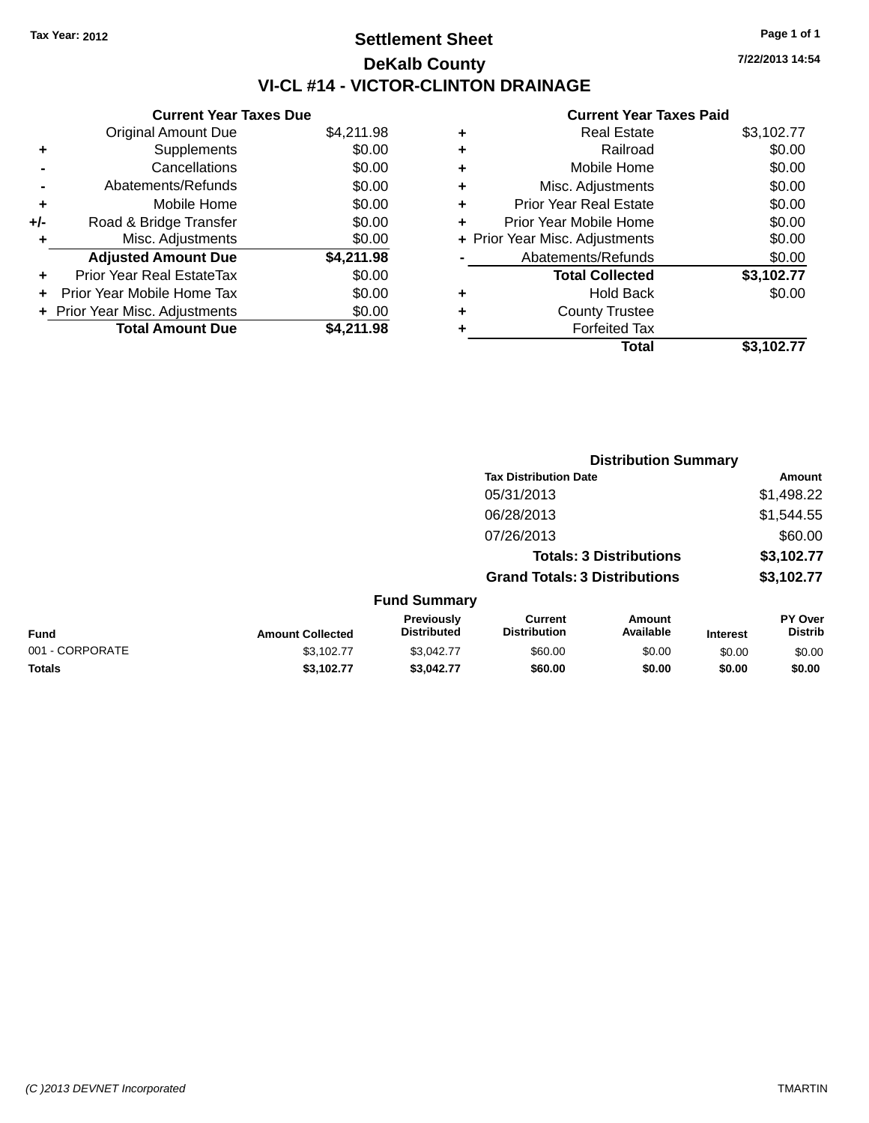# **Settlement Sheet Tax Year: 2012 Page 1 of 1 DeKalb County VI-CL #14 - VICTOR-CLINTON DRAINAGE**

|       | <b>Current Year Taxes Due</b>  |            |  |  |  |
|-------|--------------------------------|------------|--|--|--|
|       | <b>Original Amount Due</b>     | \$4,211.98 |  |  |  |
| ٠     | Supplements                    | \$0.00     |  |  |  |
|       | Cancellations                  | \$0.00     |  |  |  |
|       | Abatements/Refunds             | \$0.00     |  |  |  |
| ٠     | Mobile Home                    | \$0.00     |  |  |  |
| $+/-$ | Road & Bridge Transfer         | \$0.00     |  |  |  |
| ٠     | Misc. Adjustments              | \$0.00     |  |  |  |
|       | <b>Adjusted Amount Due</b>     | \$4,211.98 |  |  |  |
| ٠     | Prior Year Real EstateTax      | \$0.00     |  |  |  |
|       | Prior Year Mobile Home Tax     | \$0.00     |  |  |  |
|       | + Prior Year Misc. Adjustments | \$0.00     |  |  |  |
|       | <b>Total Amount Due</b>        | \$4,211.98 |  |  |  |

#### **Current Year Taxes Paid**

|   | <b>Real Estate</b>             | \$3,102.77 |
|---|--------------------------------|------------|
| ٠ | Railroad                       | \$0.00     |
| ٠ | Mobile Home                    | \$0.00     |
| ٠ | Misc. Adjustments              | \$0.00     |
| ٠ | <b>Prior Year Real Estate</b>  | \$0.00     |
| ٠ | Prior Year Mobile Home         | \$0.00     |
|   | + Prior Year Misc. Adjustments | \$0.00     |
|   | Abatements/Refunds             | \$0.00     |
|   | <b>Total Collected</b>         | \$3,102.77 |
| ٠ | <b>Hold Back</b>               | \$0.00     |
| ٠ | <b>County Trustee</b>          |            |
|   | <b>Forfeited Tax</b>           |            |
|   | Total                          | \$3,102.77 |
|   |                                |            |

|                 |                         |                                         |                                       | <b>Distribution Summary</b>    |                 |                           |
|-----------------|-------------------------|-----------------------------------------|---------------------------------------|--------------------------------|-----------------|---------------------------|
|                 |                         |                                         | <b>Tax Distribution Date</b>          |                                |                 | <b>Amount</b>             |
|                 |                         |                                         | 05/31/2013                            |                                |                 | \$1,498.22                |
|                 |                         |                                         | 06/28/2013                            |                                |                 | \$1,544.55                |
|                 |                         |                                         | 07/26/2013                            |                                |                 | \$60.00                   |
|                 |                         |                                         |                                       | <b>Totals: 3 Distributions</b> |                 | \$3,102.77                |
|                 |                         |                                         | <b>Grand Totals: 3 Distributions</b>  |                                |                 | \$3,102.77                |
|                 |                         | <b>Fund Summary</b>                     |                                       |                                |                 |                           |
| Fund            | <b>Amount Collected</b> | <b>Previously</b><br><b>Distributed</b> | <b>Current</b><br><b>Distribution</b> | Amount<br>Available            | <b>Interest</b> | PY Over<br><b>Distrib</b> |
| 001 - CORPORATE | \$3,102.77              | \$3,042.77                              | \$60.00                               | \$0.00                         | \$0.00          | \$0.00                    |
| <b>Totals</b>   | \$3,102.77              | \$3.042.77                              | \$60.00                               | \$0.00                         | \$0.00          | \$0.00                    |